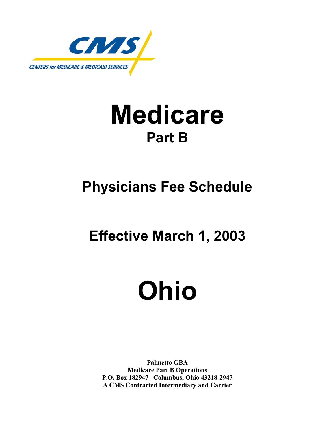

# **Medicare Part B**

# **Physicians Fee Schedule**

## **Effective March 1, 2003**

# **Ohio**

**Palmetto GBA Medicare Part B Operations P.O. Box 182947 Columbus, Ohio 43218-2947 A CMS Contracted Intermediary and Carrier**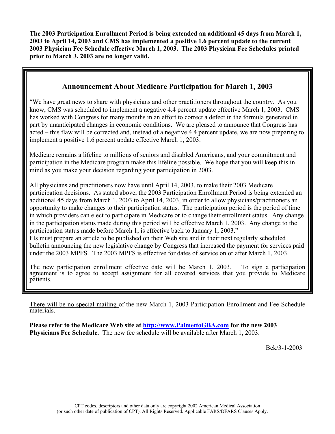**The 2003 Participation Enrollment Period is being extended an additional 45 days from March 1, 2003 to April 14, 2003 and CMS has implemented a positive 1.6 percent update to the current 2003 Physician Fee Schedule effective March 1, 2003. The 2003 Physician Fee Schedules printed prior to March 3, 2003 are no longer valid.** 

## **Announcement About Medicare Participation for March 1, 2003**

"We have great news to share with physicians and other practitioners throughout the country. As you know, CMS was scheduled to implement a negative 4.4 percent update effective March 1, 2003. CMS has worked with Congress for many months in an effort to correct a defect in the formula generated in part by unanticipated changes in economic conditions. We are pleased to announce that Congress has acted – this flaw will be corrected and, instead of a negative 4.4 percent update, we are now preparing to implement a positive 1.6 percent update effective March 1, 2003.

Medicare remains a lifeline to millions of seniors and disabled Americans, and your commitment and participation in the Medicare program make this lifeline possible. We hope that you will keep this in mind as you make your decision regarding your participation in 2003.

All physicians and practitioners now have until April 14, 2003, to make their 2003 Medicare participation decisions. As stated above, the 2003 Participation Enrollment Period is being extended an additional 45 days from March 1, 2003 to April 14, 2003, in order to allow physicians/practitioners an opportunity to make changes to their participation status. The participation period is the period of time in which providers can elect to participate in Medicare or to change their enrollment status. Any change in the participation status made during this period will be effective March 1, 2003. Any change to the participation status made before March 1, is effective back to January 1, 2003." FIs must prepare an article to be published on their Web site and in their next regularly scheduled bulletin announcing the new legislative change by Congress that increased the payment for services paid under the 2003 MPFS. The 2003 MPFS is effective for dates of service on or after March 1, 2003.

The new participation enrollment effective date will be March 1, 2003. To sign a participation agreement is to agree to accept assignment for all covered services that you provide to Medicare patients.

There will be no special mailing of the new March 1, 2003 Participation Enrollment and Fee Schedule materials.

**Please refer to the Medicare Web site at http://www.PalmettoGBA.com for the new 2003 Physicians Fee Schedule.** The new fee schedule will be available after March 1, 2003.

Bek/3-1-2003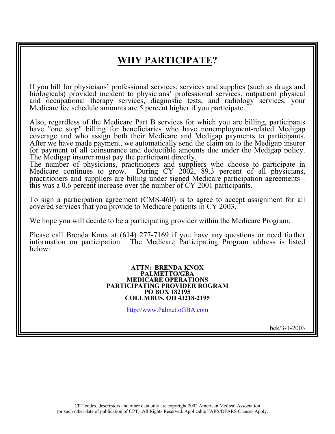## **WHY PARTICIPATE?**

If you bill for physicians' professional services, services and supplies (such as drugs and biologicals) provided incident to physicians' professional services, outpatient physical and occupational therapy services, diagnostic tests, and radiology services, your Medicare fee schedule amounts are 5 percent higher if you participate.

Also, regardless of the Medicare Part B services for which you are billing, participants have "one stop" billing for beneficiaries who have nonemployment-related Medigap coverage and who assign both their Medicare and Medigap payments to participants. After we have made payment, we automatically send the claim on to the Medigap insurer for payment of all coinsurance and deductible amounts due under the Medigap policy. The Medigap insurer must pay the participant directly.

The number of physicians, practitioners and suppliers who choose to participate in Medicare continues to grow. During CY 2002, 89.3 percent of all physicians, practitioners and suppliers are billing under signed Medicare participation agreements this was a 0.6 percent increase over the number of CY 2001 participants.

To sign a participation agreement (CMS-460) is to agree to accept assignment for all covered services that you provide to Medicare patients in CY 2003.

We hope you will decide to be a participating provider within the Medicare Program.

Please call Brenda Knox at (614) 277-7169 if you have any questions or need further information on participation. The Medicare Participating Program address is listed below:

#### **ATTN: BRENDA KNOX PALMETTO/GBA MEDICARE OPERATIONS PARTICIPATING PROVIDER ROGRAM PO BOX 182195 COLUMBUS, OH 43218-2195**

http://www.PalmettoGBA.com

bek/3-1-2003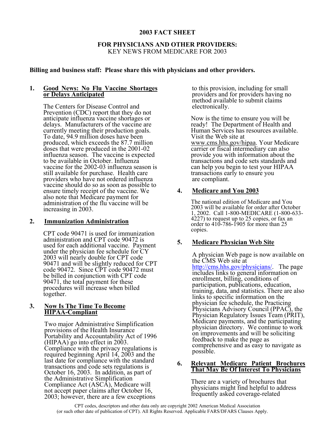## **2003 FACT SHEET**

## **FOR PHYSICIANS AND OTHER PROVIDERS:**  KEY NEWS FROM MEDICARE FOR 2003

## **Billing and business staff: Please share this with physicians and other providers.**

#### **1. Good News: No Flu Vaccine Shortages or Delays Anticipated**

The Centers for Disease Control and Prevention (CDC) report that they do not anticipate influenza vaccine shortages or delays. Manufacturers of the vaccine are currently meeting their production goals. To date, 94.9 million doses have been produced, which exceeds the 87.7 million doses that were produced in the 2001-02 influenza season. The vaccine is expected to be available in October. Influenza vaccine for the 2002-03 influenza season is still available for purchase. Health care providers who have not ordered influenza vaccine should do so as soon as possible to ensure timely receipt of the vaccine. We also note that Medicare payment for administration of the flu vaccine will be increasing in 2003.

#### **2. Immunization Administration**

CPT code 90471 is used for immunization administration and CPT code 90472 is used for each additional vaccine. Payment under the physician fee schedule for CY 2003 will nearly double for CPT code 90471 and will be slightly reduced for CPT code 90472. Since CPT code 90472 must be billed in conjunction with CPT code 90471, the total payment for these procedures will increase when billed together.

#### **3. Now Is The Time To Become HIPAA-Compliant**

Two major Administrative Simplification provisions of the Health Insurance Portability and Accountability Act of 1996 (HIPAA) go into effect in 2003. Compliance with the privacy regulations is required beginning April 14, 2003 and the last date for compliance with the standard transactions and code sets regulations is October 16, 2003. In addition, as part of the Administrative Simplification Compliance Act (ASCA), Medicare will not accept paper claims after October 16, 2003; however, there are a few exceptions

to this provision, including for small providers and for providers having no method available to submit claims electronically.

Now is the time to ensure you will be ready! The Department of Health and Human Services has resources available. Visit the Web site at www.cms.hhs.gov/hipaa. Your Medicare carrier or fiscal intermediary can also provide you with information about the transactions and code sets standards and can help you begin to test your HIPAA transactions early to ensure you are compliant.

## **4. Medicare and You 2003**

The national edition of Medicare and You 2003 will be available for order after October 1, 2002. Call 1-800-MEDICARE (1-800-633- 4227) to request up to 25 copies, or fax an order to 410-786-1905 for more than 25 copies.

## **5. Medicare Physician Web Site**

A physician Web page is now available on the CMS Web site at http://cms.hhs.gov/physicians/. The page includes links to general information on enrollment, billing, conditions of participation, publications, education, training, data, and statistics. There are also links to specific information on the physician fee schedule, the Practicing Physicians Advisory Council (PPAC), the Physician Regulatory Issues Team (PRIT), Medicare payments, and the participating physician directory. We continue to work on improvements and will be soliciting feedback to make the page as comprehensive and as easy to navigate as possible.

#### **6. Relevant Medicare Patient Brochures That May Be Of Interest To Physicians**

There are a variety of brochures that physicians might find helpful to address frequently asked coverage-related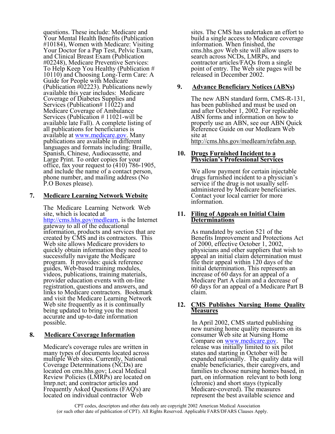questions. These include: Medicare and Your Mental Health Benefits (Publication #10184), Women with Medicare: Visiting Your Doctor for a Pap Test, Pelvic Exam, and Clinical Breast Exam (Publication #02248), Medicare Preventive Services: To Help Keep You Healthy (Publication # 10110) and Choosing Long-Term Care: A Guide for People with Medicare (Publication #02223). Publications newly available this year includes: Medicare Coverage of Diabetes Supplies and Services (Publication# 11022) and Medicare Coverage of Ambulance Services (Publication # 11021-will be available late Fall). A complete listing of all publications for beneficiaries is available at www.medicare.gov. Many publications are available in different languages and formats including: Braille, Spanish, Chinese, Audiocassette, and Large Print. To order copies for your office, fax your request to (410) 786-1905, and include the name of a contact person, phone number, and mailing address (No P.O Boxes please).

## **7. Medicare Learning Network Website**

The Medicare Learning Network Web site, which is located at http://cms.hhs.gov/medlearn, is the Internet gateway to all of the educational information, products and services that are created by CMS and its contractors. This Web site allows Medicare providers to quickly obtain information they need to successfully navigate the Medicare program. It provides: quick reference guides, Web-based training modules, videos, publications, training materials, provider education events with on-line registration, questions and answers, and links to Medicare contractors. Bookmark and visit the Medicare Learning Network Web site frequently as it is continually being updated to bring you the most accurate and up-to-date information possible.

#### **8. Medicare Coverage Information**

Medicare's coverage rules are written in many types of documents located across multiple Web sites. Currently, National Coverage Determinations (NCDs) are located on cms.hhs.gov; Local Medical Review Policies (LMRPs) are located on lmrp.net; and contractor articles and Frequently Asked Questions (FAQ's) are located on individual contractor Web

sites. The CMS has undertaken an effort to build a single access to Medicare coverage information. When finished, the cms.hhs.gov Web site will allow users to search across NCDs, LMRPs, and contractor articles/FAQs from a single point of entry. The Web site pages will be released in December 2002.

## **9. Advance Beneficiary Notices (ABNs)**

The new ABN standard form, CMS-R-131, has been published and must be used on and after October 1, 2002. For replicable ABN forms and information on how to properly use an ABN, see our ABN Quick Reference Guide on our Medlearn Web site at http://cms.hhs.gov/medlearn/refabn.asp.

#### **10. Drugs Furnished Incident to a Physician's Professional Services**

We allow payment for certain injectable drugs furnished incident to a physician's service if the drug is not usually selfadministered by Medicare beneficiaries. Contact your local carrier for more information.

#### **11. Filing of Appeals on Initial Claim Determinations**

As mandated by section 521 of the Benefits Improvement and Protections Act of 2000, effective October 1, 2002, physicians and other suppliers that wish to appeal an initial claim determination must file their appeal within 120 days of the initial determination. This represents an increase of 60 days for an appeal of a Medicare Part A claim and a decrease of 60 days for an appeal of a Medicare Part B claim.

## **12. CMS Publishes Nursing Home Quality Measures**

 In April 2002, CMS started publishing new nursing home quality measures on its consumer Web site at Nursing Home Compare on www.medicare.gov. The release was initially limited to six pilot states and starting in October will be expanded nationally. The quality data will enable beneficiaries, their caregivers, and families to choose nursing homes based, in part, on information relevant to both long (chronic) and short stays (typically Medicare-covered). The measures represent the best available science and

CPT codes, descriptors and other data only are copyright 2002 American Medical Association (or such other date of publication of CPT). All Rights Reserved. Applicable FARS/DFARS Clauses Apply.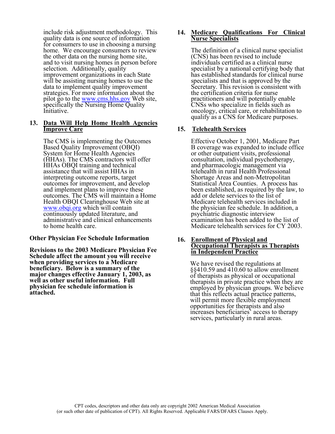include risk adjustment methodology. This quality data is one source of information for consumers to use in choosing a nursing home. We encourage consumers to review the other data on the nursing home site, and to visit nursing homes in person before selection. Additionally, quality improvement organizations in each State will be assisting nursing homes to use the data to implement quality improvement strategies. For more information about the pilot go to the <u>www.cms.hhs.gov</u> Web site, specifically the Nursing Home Quality Initiative.

#### **13. Data Will Help Home Health Agencies Improve Care**

The CMS is implementing the Outcomes Based Quality Improvement (OBQI) System for Home Health Agencies (HHAs). The CMS contractors will offer HHAs OBQI training and technical assistance that will assist HHAs in interpreting outcome reports, target outcomes for improvement, and develop and implement plans to improve these outcomes. The CMS will maintain a Home Health OBQI Clearinghouse Web site at www.obqi.org which will contain continuously updated literature, and administrative and clinical enhancements to home health care.

#### **Other Physician Fee Schedule Information**

**Revisions to the 2003 Medicare Physician Fee Schedule affect the amount you will receive when providing services to a Medicare beneficiary. Below is a summary of the major changes effective January 1, 2003, as well as other useful information. Full physician fee schedule information is attached.** 

#### **14. Medicare Qualifications For Clinical Nurse Specialists**

The definition of a clinical nurse specialist (CNS) has been revised to include individuals certified as a clinical nurse specialist by a national certifying body that has established standards for clinical nurse specialists and that is approved by the Secretary. This revision is consistent with the certification criteria for nurse practitioners and will potentially enable CNSs who specialize in fields such as oncology, critical care, or rehabilitation to qualify as a CNS for Medicare purposes.

## **15. Telehealth Services**

Effective October 1, 2001, Medicare Part B coverage was expanded to include office or other outpatient visits, professional consultation, individual psychotherapy, and pharmacologic management via telehealth in rural Health Professional Shortage Areas and non-Metropolitan Statistical Area Counties. A process has been established, as required by the law, to add or delete services to the list of Medicare telehealth services included in the physician fee schedule. In addition, a psychiatric diagnostic interview examination has been added to the list of Medicare telehealth services for CY 2003.

#### **16. Enrollment of Physical and Occupational Therapists as Therapists in Independent Practice**

We have revised the regulations at §§410.59 and 410.60 to allow enrollment of therapists as physical or occupational therapists in private practice when they are employed by physician groups. We believe that this reflects actual practice patterns, will permit more flexible employment opportunities for therapists and also increases beneficiaries' access to therapy services, particularly in rural areas.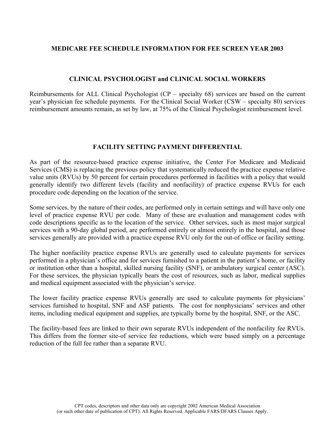## **MEDICARE FEE SCHEDULE INFORMATION FOR FEE SCREEN YEAR 2003**

## **CLINICAL PSYCHOLOGIST and CLINICAL SOCIAL WORKERS**

Reimbursements for ALL Clinical Psychologist (CP – specialty 68) services are based on the current year's physician fee schedule payments. For the Clinical Social Worker (CSW – specialty 80) services reimbursement amounts remain, as set by law, at 75% of the Clinical Psychologist reimbursement level.

## **FACILITY SETTING PAYMENT DIFFERENTIAL**

As part of the resource-based practice expense initiative, the Center For Medicare and Medicaid Services (CMS) is replacing the previous policy that systematically reduced the practice expense relative value units (RVUs) by 50 percent for certain procedures performed in facilities with a policy that would generally identify two different levels (facility and nonfacility) of practice expense RVUs for each procedure code depending on the location of the service.

Some services, by the nature of their codes, are performed only in certain settings and will have only one level of practice expense RVU per code. Many of these are evaluation and management codes with code descriptions specific as to the location of the service. Other services, such as most major surgical services with a 90-day global period, are performed entirely or almost entirely in the hospital, and those services generally are provided with a practice expense RVU only for the out-of office or facility setting.

The higher nonfacility practice expense RVUs are generally used to calculate payments for services performed in a physician's office and for services furnished to a patient in the patient's home, or facility or institution other than a hospital, skilled nursing facility (SNF), or ambulatory surgical center (ASC). For these services, the physician typically bears the cost of resources, such as labor, medical supplies and medical equipment associated with the physician's service.

The lower facility practice expense RVUs generally are used to calculate payments for physicians' services furnished to hospital, SNF and ASF patients. The cost for nonphysicians' services and other items, including medical equipment and supplies, are typically borne by the hospital, SNF, or the ASC.

The facility-based fees are linked to their own separate RVUs independent of the nonfacility fee RVUs. This differs from the former site-of service fee reductions, which were based simply on a percentage reduction of the full fee rather than a separate RVU.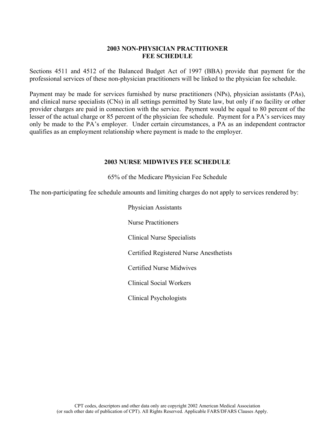## **2003 NON-PHYSICIAN PRACTITIONER FEE SCHEDULE**

Sections 4511 and 4512 of the Balanced Budget Act of 1997 (BBA) provide that payment for the professional services of these non-physician practitioners will be linked to the physician fee schedule.

Payment may be made for services furnished by nurse practitioners (NPs), physician assistants (PAs), and clinical nurse specialists (CNs) in all settings permitted by State law, but only if no facility or other provider charges are paid in connection with the service. Payment would be equal to 80 percent of the lesser of the actual charge or 85 percent of the physician fee schedule. Payment for a PA's services may only be made to the PA's employer. Under certain circumstances, a PA as an independent contractor qualifies as an employment relationship where payment is made to the employer.

## **2003 NURSE MIDWIVES FEE SCHEDULE**

65% of the Medicare Physician Fee Schedule

The non-participating fee schedule amounts and limiting charges do not apply to services rendered by:

Physician Assistants Nurse Practitioners Clinical Nurse Specialists Certified Registered Nurse Anesthetists Certified Nurse Midwives Clinical Social Workers Clinical Psychologists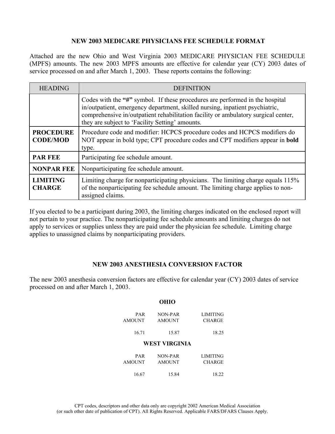## **NEW 2003 MEDICARE PHYSICIANS FEE SCHEDULE FORMAT**

Attached are the new Ohio and West Virginia 2003 MEDICARE PHYSICIAN FEE SCHEDULE (MPFS) amounts. The new 2003 MPFS amounts are effective for calendar year (CY) 2003 dates of service processed on and after March 1, 2003. These reports contains the following:

| <b>HEADING</b>                      | <b>DEFINITION</b>                                                                                                                                                                                                                                                                                     |
|-------------------------------------|-------------------------------------------------------------------------------------------------------------------------------------------------------------------------------------------------------------------------------------------------------------------------------------------------------|
|                                     | Codes with the "#" symbol. If these procedures are performed in the hospital<br>in/outpatient, emergency department, skilled nursing, inpatient psychiatric,<br>comprehensive in/outpatient rehabilitation facility or ambulatory surgical center,<br>they are subject to 'Facility Setting' amounts. |
| <b>PROCEDURE</b><br><b>CODE/MOD</b> | Procedure code and modifier: HCPCS procedure codes and HCPCS modifiers do<br>NOT appear in bold type; CPT procedure codes and CPT modifiers appear in <b>bold</b><br>type.                                                                                                                            |
| <b>PAR FEE</b>                      | Participating fee schedule amount.                                                                                                                                                                                                                                                                    |
| <b>NONPAR FEE</b>                   | Nonparticipating fee schedule amount.                                                                                                                                                                                                                                                                 |
| <b>LIMITING</b><br><b>CHARGE</b>    | Limiting charge for nonparticipating physicians. The limiting charge equals 115%<br>of the nonparticipating fee schedule amount. The limiting charge applies to non-<br>assigned claims.                                                                                                              |

If you elected to be a participant during 2003, the limiting charges indicated on the enclosed report will not pertain to your practice. The nonparticipating fee schedule amounts and limiting charges do not apply to services or supplies unless they are paid under the physician fee schedule. Limiting charge applies to unassigned claims by nonparticipating providers.

## **NEW 2003 ANESTHESIA CONVERSION FACTOR**

The new 2003 anesthesia conversion factors are effective for calendar year (CY) 2003 dates of service processed on and after March 1, 2003.

|                      | OHIO                     |                           |
|----------------------|--------------------------|---------------------------|
| PAR<br><b>AMOUNT</b> | NON-PAR<br><b>AMOUNT</b> | <b>LIMITING</b><br>CHARGE |
| 16.71                | 15.87                    | 18.25                     |
|                      | WEST VIRGINIA            |                           |
| PAR<br><b>AMOUNT</b> | NON-PAR<br><b>AMOUNT</b> | LIMITING<br><b>CHARGE</b> |
| 16.67                | 15.84                    | 18.22                     |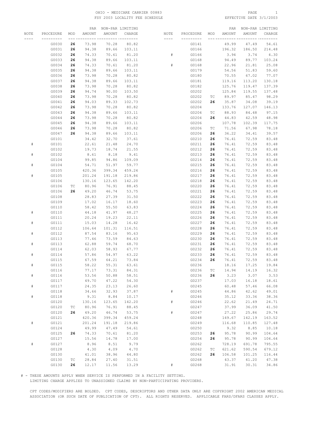#### OHIO - MEDICARE CARRIER 00883 PAGE 1 FSY 2003 LOCALITY FEE SCHEDULE

|      |                        |                | PAR             | NON-PAR LIMITING                |                 |                  |                        |          | PAR            |                 | NON-PAR LIMITING |
|------|------------------------|----------------|-----------------|---------------------------------|-----------------|------------------|------------------------|----------|----------------|-----------------|------------------|
| NOTE | PROCEDURE<br>--------- | MOD<br>--- --- | AMOUNT          | AMOUNT<br>__ _________ ________ | CHARGE          | NOTE<br>$\cdots$ | PROCEDURE<br>--------- | MOD      | AMOUNT         | AMOUNT          | CHARGE           |
|      | G0030                  | 26             | 73.98           | 70.28                           | 80.82           |                  | G0141                  |          | 49.99          | 47.49           | 54.61            |
|      | G0031                  | 26             | 94.38           | 89.66                           | 103.11          |                  | G0166                  |          | 196.32         | 186.50          | 214.48           |
|      | G0032                  | 26             | 74.33           | 70.61                           | 81.20           | #                | G0166                  |          | 3.94           | 3.74            | 4.30             |
|      | G0033                  | 26             | 94.38           | 89.66                           | 103.11          |                  | G0168                  |          | 94.49          | 89.77           | 103.24           |
|      | G0034                  | 26             | 74.33           | 70.61                           | 81.20           | #                | G0168                  |          | 22.96          | 21.81           | 25.08            |
|      | G0035                  | 26             | 94.38           | 89.66                           | 103.11          |                  | G0179                  |          | 54.56          | 51.83           | 59.60            |
|      | G0036                  | 26             | 73.98           | 70.28                           | 80.82           |                  | G0180                  |          | 70.55          | 67.02           | 77.07            |
|      | G0037                  | 26             | 94.38           | 89.66                           | 103.11          |                  | G0181                  |          | 119.16         | 113.20          | 130.18           |
|      | G0038                  | 26             | 73.98           | 70.28                           | 80.82           |                  | G0182                  |          | 125.76         | 119.47          | 137.39           |
|      | G0039                  | 26             | 94.74           | 90.00                           | 103.50          |                  | G0202                  |          | 125.84         | 119.55<br>85.47 | 137.48           |
|      | G0040<br>G0041         | 26<br>26       | 73.98<br>94.03  | 70.28<br>89.33                  | 80.82<br>102.73 |                  | G0202<br>G0202         | TC<br>26 | 89.97<br>35.87 | 34.08           | 98.29<br>39.19   |
|      | G0042                  | 26             | 73.98           | 70.28                           | 80.82           |                  | G0204                  |          | 133.76         | 127.07          | 146.13           |
|      | G0043                  | 26             | 94.38           | 89.66                           | 103.11          |                  | G0204                  | TC       | 88.93          | 84.48           | 97.15            |
|      | G0044                  | 26             | 73.98           | 70.28                           | 80.82           |                  | G0204                  | 26       | 44.83          | 42.59           | 48.98            |
|      | G0045                  | 26             | 94.38           | 89.66                           | 103.11          |                  | G0206                  |          | 107.78         | 102.39          | 117.75           |
|      | G0046                  | 26             | 73.98           | 70.28                           | 80.82           |                  | G0206                  | ТC       | 71.56          | 67.98           | 78.18            |
|      | G0047                  | 26             | 94.38           | 89.66                           | 103.11          |                  | G0206                  | 26       | 36.22          | 34.41           | 39.57            |
|      | G0101                  |                | 34.42           | 32.70                           | 37.61           |                  | G0210                  | 26       | 76.41          | 72.59           | 83.48            |
| #    | G0101                  |                | 22.61           | 21.48                           | 24.70           |                  | G0211                  | 26       | 76.41          | 72.59           | 83.48            |
| $\#$ | G0102                  |                | 19.73           | 18.74                           | 21.55           |                  | G0212                  | 26<br>26 | 76.41          | 72.59           | 83.48            |
|      | G0102<br>G0104         |                | 8.61<br>99.85   | 8.18<br>94.86                   | 9.41<br>109.09  |                  | G0213<br>G0214         | 26       | 76.41<br>76.41 | 72.59<br>72.59  | 83.48<br>83.48   |
| $\#$ | G0104                  |                | 54.71           | 51.97                           | 59.77           |                  | G0215                  | 26       | 76.41          | 72.59           | 83.48            |
|      | G0105                  |                | 420.36          | 399.34                          | 459.24          |                  | G0216                  | 26       | 76.41          | 72.59           | 83.48            |
| $\#$ | G0105                  |                | 201.24          | 191.18                          | 219.86          |                  | G0217                  | 26       | 76.41          | 72.59           | 83.48            |
|      | G0106                  |                | 130.16          | 123.65                          | 142.20          |                  | G0218                  | 26       | 76.41          | 72.59           | 83.48            |
|      | G0106                  | ТC             | 80.96           | 76.91                           | 88.45           |                  | G0220                  | 26       | 76.41          | 72.59           | 83.48            |
|      | G0106                  | 26             | 49.20           | 46.74                           | 53.75           |                  | G0221                  | 26       | 76.41          | 72.59           | 83.48            |
|      | G0108                  |                | 28.83           | 27.39                           | 31.50           |                  | G0222                  | 26       | 76.41          | 72.59           | 83.48            |
|      | G0109                  |                | 17.02           | 16.17                           | 18.60           |                  | G0223                  | 26       | 76.41          | 72.59           | 83.48            |
|      | G0110                  |                | 58.42           | 55.50                           | 63.83           |                  | G0224                  | 26       | 76.41          | 72.59           | 83.48            |
| #    | G0110<br>G0111         |                | 44.18<br>20.24  | 41.97<br>19.23                  | 48.27<br>22.11  |                  | G0225<br>G0226         | 26<br>26 | 76.41<br>76.41 | 72.59<br>72.59  | 83.48<br>83.48   |
| #    | G0111                  |                | 15.03           | 14.28                           | 16.42           |                  | G0227                  | 26       | 76.41          | 72.59           | 83.48            |
|      | G0112                  |                | 106.64          | 101.31                          | 116.51          |                  | G0228                  | 26       | 76.41          | 72.59           | 83.48            |
| $\#$ | G0112                  |                | 87.54           | 83.16                           | 95.63           |                  | G0229                  | 26       | 76.41          | 72.59           | 83.48            |
|      | G0113                  |                | 77.46           | 73.59                           | 84.63           |                  | G0230                  | 26       | 76.41          | 72.59           | 83.48            |
| $\#$ | G0113                  |                | 62.88           | 59.74                           | 68.70           |                  | G0231                  | 26       | 76.41          | 72.59           | 83.48            |
|      | G0114                  |                | 62.03           | 58.93                           | 67.77           |                  | G0232                  | 26       | 76.41          | 72.59           | 83.48            |
| #    | G0114                  |                | 57.86           | 54.97                           | 63.22           |                  | G0233                  | 26       | 76.41          | 72.59           | 83.48            |
|      | G0115                  |                | 67.59           | 64.21                           | 73.84           |                  | G0234                  | 26       | 76.41          | 72.59           | 83.48            |
| #    | G0115<br>G0116         |                | 58.22<br>77.17  | 55.31<br>73.31                  | 63.61<br>84.31  |                  | G0236<br>G0236         | ТC       | 18.16<br>14.94 | 17.25<br>14.19  | 19.84<br>16.32   |
| $\#$ | G0116                  |                | 53.56           | 50.88                           | 58.51           |                  | G0236                  | 26       | 3.23           | 3.07            | 3.53             |
|      | G0117                  |                | 49.70           | 47.22                           | 54.30           |                  | G0237                  |          | 17.03          | 16.18           | 18.61            |
| $\#$ | G0117                  |                | 24.35           | 23.13                           | 26.60           |                  | G0245                  |          | 60.48          | 57.46           | 66.08            |
|      | G0118                  |                | 34.66           | 32.93                           | 37.87           | $\#$             | G0245                  |          | 44.86          | 42.62           | 49.01            |
| $\#$ | G0118                  |                | 9.31            | 8.84                            | 10.17           |                  | G0246                  |          | 35.12          | 33.36           | 38.36            |
|      | G0120                  |                | 130.16          | 123.65                          | 142.20          | $\#$             | G0246                  |          | 22.62          | 21.49           | 24.71            |
|      | G0120                  | ТC             | 80.96           | 76.91                           | 88.45           |                  | G0247                  |          | 37.99          | 36.09           | 41.50            |
|      | G0120                  | 26             | 49.20           | 46.74                           | 53.75           | $\#$             | G0247                  |          | 27.22          | 25.86           | 29.74            |
|      | G0121                  |                | 420.36          | 399.34                          | 459.24          |                  | G0248                  |          | 149.67         | 142.19          | 163.52           |
| $\#$ | G0121<br>G0124         |                | 201.24<br>49.99 | 191.18<br>47.49                 | 219.86<br>54.61 |                  | G0249<br>G0250         |          | 116.68<br>9.32 | 110.85<br>8.85  | 127.48<br>10.18  |
|      | G0125                  | 26             | 74.33           | 70.61                           | 81.20           |                  | G0253                  | 26       | 95.78          | 90.99           | 104.64           |
|      | G0127                  |                | 15.56           | 14.78                           | 17.00           |                  | G0254                  | 26       | 95.78          | 90.99           | 104.64           |
| $\#$ | G0127                  |                | 8.96            | 8.51                            | 9.79            |                  | G0262                  |          | 728.19         | 691.78          | 795.55           |
|      | G0128                  |                | 4.30            | 4.09                            | 4.70            |                  | G0262                  | ТC       | 621.62         | 590.54          | 679.12           |
|      | G0130                  |                | 41.01           | 38.96                           | 44.80           |                  | G0262                  | 26       | 106.58         | 101.25          | 116.44           |
|      | G0130                  | TC             | 28.84           | 27.40                           | 31.51           |                  | G0268                  |          | 43.37          | 41.20           | 47.38            |
|      | G0130                  | 26             | 12.17           | 11.56                           | 13.29           | $\#$             | G0268                  |          | 31.91          | 30.31           | 34.86            |

# - THESE AMOUNTS APPLY WHEN SERVICE IS PERFORMED IN A FACILITY SETTING.

LIMITING CHARGE APPLIES TO UNASSIGNED CLAIMS BY NON-PARTICIPATING PROVIDERS.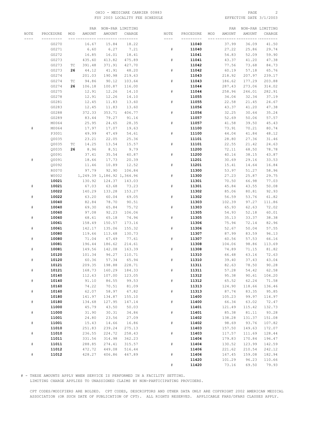#### OHIO - MEDICARE CARRIER 00883 PAGE 2 FSY 2003 LOCALITY FEE SCHEDULE

|      |           |     |               | PAR NON-PAR LIMITING       |        |      |           |     | PAR    |        | NON-PAR LIMITING |
|------|-----------|-----|---------------|----------------------------|--------|------|-----------|-----|--------|--------|------------------|
| NOTE | PROCEDURE | MOD | <b>AMOUNT</b> | AMOUNT                     | CHARGE | NOTE | PROCEDURE | MOD | AMOUNT | AMOUNT | CHARGE           |
|      |           |     |               |                            |        | ---- |           |     |        |        |                  |
|      | G0270     |     | 16.67         | 15.84                      | 18.22  |      | 11040     |     | 37.99  | 36.09  | 41.50            |
|      | G0271     |     | 6.60          | 6.27                       | 7.21   | #    | 11040     |     | 27.22  |        | 29.74            |
|      |           |     |               |                            |        |      |           |     |        | 25.86  |                  |
|      | G0272     |     | 16.85         | 16.01                      | 18.41  |      | 11041     |     | 54.83  | 52.09  | 59.90            |
|      | G0273     |     | 435.60        | 413.82                     | 475.89 | #    | 11041     |     | 43.37  | 41.20  | 47.38            |
|      | G0273     | TС  | 391.48        | 371.91                     | 427.70 |      | 11042     |     | 77.56  | 73.68  | 84.73            |
|      | G0273     | 26  | 44.12         | 41.91                      | 48.20  | #    | 11042     |     | 60.19  | 57.18  | 65.76            |
|      | G0274     |     | 201.03        | 190.98                     | 219.63 |      | 11043     |     | 218.92 | 207.97 | 239.17           |
|      | G0274     | ТC  | 94.86         | 90.12                      | 103.64 | #    | 11043     |     | 186.62 | 177.29 | 203.88           |
|      | G0274     | 26  | 106.18        | 100.87                     | 116.00 |      | 11044     |     | 287.43 | 273.06 | 314.02           |
|      | G0275     |     | 12.91         | 12.26                      | 14.10  | #    | 11044     |     | 258.96 | 246.01 | 282.91           |
|      | G0278     |     | 12.91         | 12.26                      | 14.10  |      | 11055     |     | 34.04  | 32.34  | 37.19            |
|      | G0281     |     | 12.45         | 11.83                      | 13.60  | #    | 11055     |     | 22.58  | 21.45  | 24.67            |
|      | G0283     |     | 12.45         | 11.83                      | 13.60  |      | 11056     |     | 43.37  | 41.20  | 47.38            |
|      | G0288     |     | 372.33        | 353.71                     | 406.77 | #    | 11056     |     | 32.25  | 30.64  | 35.24            |
|      | G0289     |     | 83.44         | 79.27                      | 91.16  |      | 11057     |     | 52.69  | 50.06  | 57.57            |
|      | M0064     |     | 25.95         | 24.65                      | 28.35  | $\#$ | 11057     |     | 41.58  | 39.50  | 45.43            |
| #    | M0064     |     | 17.97         | 17.07                      | 19.63  |      | 11100     |     | 73.91  |        |                  |
|      |           |     |               |                            |        |      |           |     |        | 70.21  | 80.74            |
|      | P3001     |     | 49.99         | 47.49                      | 54.61  | #    | 11100     |     | 44.04  | 41.84  | 48.12            |
|      | Q0035     |     | 23.21         | 22.05                      | 25.36  |      | 11101     |     | 28.80  | 27.36  | 31.46            |
|      | Q0035     | ТC  | 14.25         | 13.54                      | 15.57  | #    | 11101     |     | 22.55  | 21.42  | 24.63            |
|      | Q0035     | 26  | 8.96          | 8.51                       | 9.79   |      | 11200     |     | 72.11  | 68.50  | 78.78            |
|      | Q0091     |     | 37.41         | 35.54                      | 40.87  | #    | 11200     |     | 40.16  | 38.15  | 43.87            |
| #    | Q0091     |     | 18.66         | 17.73                      | 20.39  |      | 11201     |     | 30.69  | 29.16  | 33.53            |
|      | Q0092     |     | 11.46         | 10.89                      | 12.52  | #    | 11201     |     | 15.41  | 14.64  | 16.84            |
|      | R0070     |     | 97.79         | 92.90                      | 106.84 |      | 11300     |     | 53.97  | 51.27  | 58.96            |
|      | W0002     |     |               | 1,249.39 1,186.92 1,364.96 |        | $\#$ | 11300     |     | 27.23  | 25.87  | 29.75            |
|      | 10021     |     | 130.92        | 124.37                     | 143.03 |      | 11301     |     | 70.50  | 66.98  | 77.03            |
| #    | 10021     |     | 67.03         | 63.68                      | 73.23  | #    | 11301     |     | 45.84  | 43.55  | 50.08            |
|      | 10022     |     | 140.29        | 133.28                     | 153.27 |      | 11302     |     | 85.06  | 80.81  | 92.93            |
| #    | 10022     |     | 63.20         | 60.04                      | 69.05  | #    | 11302     |     | 56.59  | 53.76  | 61.82            |
|      | 10040     |     | 82.84         | 78.70                      | 90.51  |      | 11303     |     | 102.39 | 97.27  | 111.86           |
| #    | 10040     |     | 69.30         | 65.84                      | 75.72  | #    | 11303     |     | 65.93  | 62.63  | 72.02            |
|      | 10060     |     | 97.08         | 92.23                      | 106.06 |      | 11305     |     | 54.93  | 52.18  | 60.01            |
|      |           |     |               |                            |        |      |           |     |        |        |                  |
| #    | 10060     |     | 68.61         | 65.18                      | 74.96  | #    | 11305     |     | 35.13  | 33.37  | 38.38            |
|      | 10061     |     | 158.49        | 150.57                     | 173.16 |      | 11306     |     | 75.94  | 72.14  | 82.96            |
|      | 10061     |     | 142.17        | 135.06                     | 155.32 | #    | 11306     |     | 52.67  | 50.04  | 57.55            |
|      | 10080     |     | 119.66        | 113.68                     | 130.73 |      | 11307     |     | 87.99  | 83.59  | 96.13            |
| #    | 10080     |     | 71.04         | 67.49                      | 77.61  | #    | 11307     |     | 60.56  | 57.53  | 66.16            |
|      | 10081     |     | 196.44        | 186.62                     | 214.61 |      | 11308     |     | 104.06 | 98.86  | 113.69           |
|      | 10081     |     | 149.56        | 142.08                     | 163.39 | #    | 11308     |     | 74.89  | 71.15  | 81.82            |
|      | 10120     |     | 101.34        | 96.27                      | 110.71 |      | 11310     |     | 66.48  | 63.16  | 72.63            |
|      | 10120     |     | 60.36         | 57.34                      | 65.94  | #    | 11310     |     | 39.40  | 37.43  | 43.04            |
|      | 10121     |     | 209.35        | 198.88                     | 228.71 |      | 11311     |     | 82.63  | 78.50  | 90.28            |
|      | 10121     |     | 168.73        | 160.29                     | 184.33 |      | 11311     |     | 57.28  | 54.42  | 62.58            |
|      | 10140     |     | 112.63        | 107.00                     | 123.05 |      | 11312     |     | 95.38  | 90.61  | 104.20           |
| $\#$ | 10140     |     | 91.10         | 86.55                      | 99.53  | $\#$ | 11312     |     | 65.52  | 62.24  | 71.58            |
|      | 10160     |     | 74.22         | 70.51                      | 81.09  |      | 11313     |     | 124.90 | 118.66 | 136.46           |
| $\#$ | 10160     |     | 62.07         | 58.97                      | 67.82  | #    | 11313     |     | 87.74  | 83.35  | 95.85            |
|      | 10180     |     | 141.97        | 134.87                     | 155.10 |      | 11400     |     | 105.23 | 99.97  | 114.97           |
| $\#$ | 10180     |     | 134.68        | 127.95                     | 147.14 | $\#$ | 11400     |     | 66.34  | 63.02  | 72.47            |
|      | 11000     |     | 45.79         | 43.50                      | 50.03  |      | 11401     |     | 121.49 | 115.42 | 132.73           |
| $\#$ | 11000     |     | 31.90         | 30.31                      | 34.86  | $\#$ | 11401     |     | 85.38  | 81.11  | 93.28            |
|      |           |     |               |                            |        |      |           |     |        |        |                  |
|      | 11001     |     | 24.80         | 23.56                      | 27.09  |      | 11402     |     | 138.28 | 131.37 | 151.08           |
| $\#$ | 11001     |     | 15.43         | 14.66                      | 16.86  | $\#$ | 11402     |     | 98.69  | 93.76  | 107.82           |
|      | 11010     |     | 251.83        | 239.24                     | 275.13 |      | 11403     |     | 157.50 | 149.63 | 172.07           |
| $\#$ | 11010     |     | 236.55        | 224.72                     | 258.43 | $\#$ | 11403     |     | 117.57 | 111.69 | 128.44           |
|      | 11011     |     | 331.56        | 314.98                     | 362.23 |      | 11404     |     | 179.83 | 170.84 | 196.47           |
| $\#$ | 11011     |     | 288.85        | 274.41                     | 315.57 | #    | 11404     |     | 130.52 | 123.99 | 142.59           |
|      | 11012     |     | 472.72        | 449.08                     | 516.44 |      | 11406     |     | 221.62 | 210.54 | 242.12           |
| $\#$ | 11012     |     | 428.27        | 406.86                     | 467.89 | $\#$ | 11406     |     | 167.45 | 159.08 | 182.94           |
|      |           |     |               |                            |        |      | 11420     |     | 101.29 | 96.23  | 110.66           |
|      |           |     |               |                            |        | $\#$ | 11420     |     | 73.16  | 69.50  | 79.93            |

# - THESE AMOUNTS APPLY WHEN SERVICE IS PERFORMED IN A FACILITY SETTING.

LIMITING CHARGE APPLIES TO UNASSIGNED CLAIMS BY NON-PARTICIPATING PROVIDERS.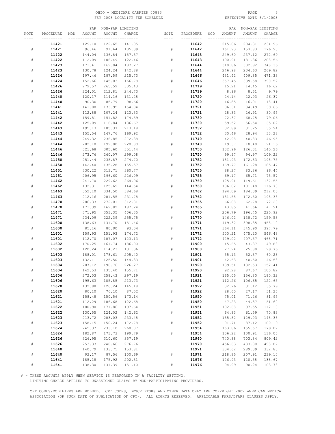#### OHIO - MEDICARE CARRIER 00883 PAGE 3 FSY 2003 LOCALITY FEE SCHEDULE

|      |           |     | PAR    |        | NON-PAR LIMITING |      |           |     | PAR    |        | NON-PAR LIMITING |
|------|-----------|-----|--------|--------|------------------|------|-----------|-----|--------|--------|------------------|
| NOTE | PROCEDURE | MOD | AMOUNT | AMOUNT | CHARGE           | NOTE | PROCEDURE | MOD | AMOUNT | AMOUNT | CHARGE           |
|      |           |     |        |        | --- ---------    | ---- |           |     |        |        |                  |
|      | 11421     |     | 129.10 | 122.65 | 141.05           |      | 11642     |     | 215.06 | 204.31 | 234.96           |
| #    | 11421     |     | 96.46  | 91.64  | 105.39           | $\#$ | 11642     |     | 161.93 | 153.83 | 176.90           |
|      | 11422     |     | 144.04 | 136.84 | 157.37           |      | 11643     |     | 249.60 | 237.12 | 272.69           |
|      |           |     |        |        |                  |      |           |     |        |        |                  |
| #    | 11422     |     | 112.09 | 106.49 | 122.46           | #    | 11643     |     | 190.91 | 181.36 | 208.56           |
|      | 11423     |     | 171.41 | 162.84 | 187.27           |      | 11644     |     | 318.86 | 302.92 | 348.36           |
|      | 11423     |     | 130.78 | 124.24 | 142.88           | #    | 11644     |     | 246.98 | 234.63 | 269.82           |
|      | 11424     |     | 197.46 | 187.59 | 215.73           |      | 11646     |     | 431.42 | 409.85 | 471.33           |
| #    | 11424     |     | 152.66 | 145.03 | 166.78           | #    | 11646     |     | 357.45 | 339.58 | 390.52           |
|      | 11426     |     | 279.57 | 265.59 | 305.43           |      | 11719     |     | 15.21  | 14.45  | 16.62            |
| #    | 11426     |     | 224.01 | 212.81 | 244.73           | $\#$ | 11719     |     | 8.96   | 8.51   | 9.79             |
|      | 11440     |     | 120.17 | 114.16 | 131.28           |      | 11720     |     | 24.14  | 22.93  | 26.37            |
| $\#$ | 11440     |     | 90.30  | 85.79  | 98.66            | $\#$ | 11720     |     | 16.85  | 16.01  | 18.41            |
|      | 11441     |     | 141.00 | 133.95 | 154.04           |      | 11721     |     | 36.31  | 34.49  | 39.66            |
|      |           |     |        |        |                  |      |           |     |        |        |                  |
| #    | 11441     |     | 112.88 | 107.24 | 123.33           | #    | 11721     |     | 28.33  | 26.91  | 30.95            |
|      | 11442     |     | 159.81 | 151.82 | 174.59           |      | 11730     |     | 72.37  | 68.75  | 79.06            |
|      | 11442     |     | 125.09 | 118.84 | 136.67           | #    | 11730     |     | 59.52  | 56.54  | 65.02            |
|      | 11443     |     | 195.13 | 185.37 | 213.18           |      | 11732     |     | 32.89  | 31.25  | 35.94            |
| #    | 11443     |     | 155.54 | 147.76 | 169.92           | $\#$ | 11732     |     | 30.46  | 28.94  | 33.28            |
|      | 11444     |     | 249.32 | 236.85 | 272.38           |      | 11740     |     | 42.98  | 40.83  | 46.95            |
| #    | 11444     |     | 202.10 | 192.00 | 220.80           | $\#$ | 11740     |     | 19.37  | 18.40  | 21.16            |
|      | 11446     |     | 321.68 | 305.60 | 351.44           |      | 11750     |     | 132.96 | 126.31 | 145.26           |
| #    | 11446     |     | 273.76 | 260.07 | 299.08           | #    | 11750     |     | 99.97  | 94.97  | 109.22           |
|      | 11450     |     | 251.44 | 238.87 | 274.70           |      | 11752     |     | 181.93 | 172.83 | 198.75           |
| #    | 11450     |     | 142.40 | 135.28 | 155.57           | #    | 11752     |     | 169.77 | 161.28 | 185.47           |
|      |           |     | 330.22 |        |                  |      |           |     |        |        |                  |
|      | 11451     |     |        | 313.71 | 360.77           |      | 11755     |     | 88.27  | 83.86  | 96.44            |
| #    | 11451     |     | 206.95 | 196.60 | 226.09           | #    | 11755     |     | 69.17  | 65.71  | 75.57            |
|      | 11462     |     | 241.70 | 229.62 | 264.06           |      | 11760     |     | 125.91 | 119.61 | 137.55           |
| #    | 11462     |     | 132.31 | 125.69 | 144.54           | #    | 11760     |     | 106.82 | 101.48 | 116.70           |
|      | 11463     |     | 352.10 | 334.50 | 384.68           |      | 11762     |     | 194.09 | 184.39 | 212.05           |
| #    | 11463     |     | 212.16 | 201.55 | 231.78           | $\#$ | 11762     |     | 181.58 | 172.50 | 198.38           |
|      | 11470     |     | 286.33 | 272.01 | 312.81           |      | 11765     |     | 66.08  | 62.78  | 72.20            |
| #    | 11470     |     | 171.39 | 162.82 | 187.24           | #    | 11765     |     | 43.85  | 41.66  | 47.91            |
|      | 11471     |     | 371.95 | 353.35 | 406.35           |      | 11770     |     | 206.79 | 196.45 | 225.92           |
| #    | 11471     |     | 234.09 | 222.39 | 255.75           | #    | 11770     |     | 146.02 | 138.72 | 159.53           |
|      | 11600     |     | 138.63 | 131.70 | 151.46           |      | 11771     |     | 419.32 | 398.35 | 458.10           |
|      | 11600     |     | 85.16  | 80.90  | 93.04            | #    | 11771     |     | 364.11 | 345.90 | 397.79           |
|      | 11601     |     | 159.93 | 151.93 | 174.72           |      | 11772     |     | 500.21 | 475.20 | 546.48           |
| #    | 11601     |     | 112.70 | 107.07 | 123.13           | #    | 11772     |     | 429.02 | 407.57 | 468.71           |
|      |           |     |        |        |                  |      |           |     |        |        |                  |
|      | 11602     |     | 170.25 | 161.74 | 186.00           |      | 11900     |     | 45.65  | 43.37  | 49.88            |
|      | 11602     |     | 120.24 | 114.23 | 131.36           | #    | 11900     |     | 27.24  | 25.88  | 29.76            |
|      | 11603     |     | 188.01 | 178.61 | 205.40           |      | 11901     |     | 55.13  | 52.37  | 60.23            |
| #    | 11603     |     | 132.11 | 125.50 | 144.33           | #    | 11901     |     | 42.63  | 40.50  | 46.58            |
|      | 11604     |     | 207.12 | 196.76 | 226.27           |      | 11920     |     | 139.51 | 132.53 | 152.41           |
|      | 11604     |     | 142.53 | 135.40 | 155.71           |      | 11920     |     | 92.28  | 87.67  | 100.82           |
|      | 11606     |     | 272.03 | 258.43 | 297.19           |      | 11921     |     | 165.05 | 156.80 | 180.32           |
| $\#$ | 11606     |     | 195.63 | 185.85 | 213.73           | $\#$ | 11921     |     | 112.26 | 106.65 | 122.65           |
|      | 11620     |     | 132.88 | 126.24 | 145.18           |      | 11922     |     | 32.76  | 31.12  | 35.79            |
| $\#$ | 11620     |     | 80.10  | 76.10  | 87.52            | $\#$ | 11922     |     | 28.60  | 27.17  | 31.25            |
|      | 11621     |     | 158.48 | 150.56 | 173.14           |      | 11950     |     | 75.01  | 71.26  | 81.95            |
| $\#$ | 11621     |     | 112.29 | 106.68 | 122.68           | $\#$ | 11950     |     | 47.23  | 44.87  | 51.60            |
|      | 11622     |     | 180.90 | 171.86 | 197.64           |      | 11951     |     | 102.68 | 97.55  | 112.18           |
|      | 11622     |     | 130.55 | 124.02 | 142.62           | $\#$ | 11951     |     | 64.83  | 61.59  | 70.83            |
| $\#$ |           |     |        |        |                  |      |           |     |        |        |                  |
|      | 11623     |     | 213.72 | 203.03 | 233.48           |      | 11952     |     | 135.82 | 129.03 | 148.38           |
| $\#$ | 11623     |     | 158.15 | 150.24 | 172.78           | $\#$ | 11952     |     | 91.71  | 87.12  | 100.19           |
|      | 11624     |     | 245.37 | 233.10 | 268.07           |      | 11954     |     | 163.86 | 155.67 | 179.02           |
| $\#$ | 11624     |     | 182.87 | 173.73 | 199.79           | $\#$ | 11954     |     | 106.22 | 100.91 | 116.05           |
|      | 11626     |     | 326.95 | 310.60 | 357.19           |      | 11960     |     | 740.88 | 703.84 | 809.42           |
| $\#$ | 11626     |     | 253.33 | 240.66 | 276.76           |      | 11970     |     | 456.63 | 433.80 | 498.87           |
|      | 11640     |     | 140.79 | 133.75 | 153.81           |      | 11971     |     | 304.62 | 289.39 | 332.80           |
| $\#$ | 11640     |     | 92.17  | 87.56  | 100.69           | $\#$ | 11971     |     | 218.85 | 207.91 | 239.10           |
|      | 11641     |     | 185.18 | 175.92 | 202.31           |      | 11976     |     | 126.93 | 120.58 | 138.67           |
| $\#$ | 11641     |     | 138.30 | 131.39 | 151.10           | #    | 11976     |     | 94.99  | 90.24  | 103.78           |
|      |           |     |        |        |                  |      |           |     |        |        |                  |

# - THESE AMOUNTS APPLY WHEN SERVICE IS PERFORMED IN A FACILITY SETTING.

LIMITING CHARGE APPLIES TO UNASSIGNED CLAIMS BY NON-PARTICIPATING PROVIDERS.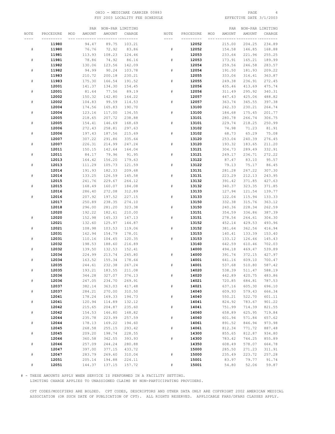#### OHIO - MEDICARE CARRIER 00883 PAGE 4 FSY 2003 LOCALITY FEE SCHEDULE

|           |                |     | PAR              |        | NON-PAR LIMITING |           |                |     | PAR              |                  | NON-PAR LIMITING |
|-----------|----------------|-----|------------------|--------|------------------|-----------|----------------|-----|------------------|------------------|------------------|
| NOTE      | PROCEDURE      | MOD | AMOUNT           | AMOUNT | CHARGE           | NOTE      | PROCEDURE      | MOD | AMOUNT           | AMOUNT           | CHARGE           |
|           |                |     |                  |        | --- ---------    | ----      |                |     |                  |                  | --- -----        |
|           | 11980          |     | 94.47            | 89.75  | 103.21           |           | 12052          |     | 215.00           | 204.25           | 234.89           |
| $\#$      | 11980          |     | 76.76            | 72.92  | 83.86            | #         | 12052          |     | 154.58           | 146.85           | 168.88           |
|           | 11981          |     | 113.93           | 108.23 | 124.46           |           | 12053          |     | 233.64           | 221.96           | 255.25           |
|           |                |     |                  |        |                  |           |                |     |                  |                  |                  |
| #         | 11981          |     | 78.86            | 74.92  | 86.16            | #         | 12053          |     | 173.91           | 165.21           | 189.99           |
|           | 11982          |     | 130.06           | 123.56 | 142.09           |           | 12054          |     | 259.56           | 246.58           | 283.57           |
| #         | 11982          |     | 94.99            | 90.24  | 103.78           | #         | 12054          |     | 191.50           | 181.93           | 209.22           |
|           | 11983          |     | 210.72           | 200.18 | 230.21           |           | 12055          |     | 333.06           | 316.41           | 363.87           |
| $\#$      | 11983          |     | 175.30           | 166.54 | 191.52           | #         | 12055          |     | 249.38           | 236.91           | 272.45           |
|           | 12001          |     | 141.37           | 134.30 | 154.45           |           | 12056          |     | 435.46           | 413.69           | 475.74           |
| #         | 12001          |     | 81.64            | 77.56  | 89.19            | #         | 12056          |     | 311.49           | 295.92           | 340.31           |
|           | 12002          |     | 150.32           | 142.80 | 164.22           |           | 12057          |     | 447.43           | 425.06           | 488.82           |
| $\#$      | 12002          |     | 104.83           | 99.59  | 114.53           | #         | 12057          |     | 363.74           | 345.55           | 397.38           |
|           | 12004          |     | 174.56           | 165.83 | 190.70           |           | 13100          |     | 242.33           | 230.21           | 264.74           |
| #         | 12004          |     | 123.16           | 117.00 | 134.55           | #         | 13100          |     | 184.68           | 175.45           | 201.77           |
|           | 12005          |     | 218.65           | 207.72 | 238.88           |           | 13101          |     | 280.78           | 266.74           | 306.75           |
| #         | 12005          |     | 154.41           | 146.69 | 168.69           | ${}^{\#}$ | 13101          |     | 229.74           | 218.25           | 250.99           |
|           | 12006          |     | 272.43           | 258.81 | 297.63           |           | 13102          |     | 74.98            | 71.23            | 81.91            |
| $\#$      | 12006          |     | 197.43           | 187.56 | 215.69           | #         | 13102          |     | 68.73            | 65.29            | 75.08            |
|           | 12007          |     | 307.22           | 291.86 | 335.64           |           | 13120          |     | 253.04           | 240.39           | 276.45           |
| #         | 12007          |     | 226.31           | 214.99 | 247.24           | #         | 13120          |     | 193.32           | 183.65           | 211.20           |
|           | 12011          |     | 150.15           | 142.64 | 164.04           |           | 13121          |     | 304.73           | 289.49           | 332.91           |
| $\#$      | 12011          |     | 84.17            | 79.96  | 91.95            | #         | 13121          |     | 249.17           | 236.71           | 272.22           |
|           | 12013          |     | 164.42           | 156.20 | 179.63           |           | 13122          |     | 87.47            | 83.10            | 95.57            |
|           | 12013          |     |                  | 105.73 | 121.59           |           |                |     |                  |                  |                  |
| #         | 12014          |     | 111.29           | 182.33 |                  | #         | 13122<br>13131 |     | 79.13<br>281.28  | 75.17<br>267.22  | 86.45<br>307.30  |
| #         |                |     | 191.93           | 126.59 | 209.68<br>145.58 |           |                |     |                  |                  | 243.95           |
|           | 12014<br>12015 |     | 133.25<br>241.76 | 229.67 | 264.12           | ${}^{\#}$ | 13131<br>13132 |     | 223.29<br>391.42 | 212.13<br>371.85 | 427.63           |
|           |                |     |                  |        |                  | #         |                |     |                  |                  |                  |
| $\#$      | 12015          |     | 168.49           | 160.07 | 184.08           |           | 13132          |     | 340.37           | 323.35           | 371.85           |
|           | 12016          |     | 286.40           | 272.08 | 312.89           |           | 13133          |     | 127.94           | 121.54           | 139.77           |
| $\#$      | 12016          |     | 207.92           | 197.52 | 227.15           | #         | 13133          |     | 122.04           | 115.94           | 133.33           |
|           | 12017          |     | 250.89           | 238.35 | 274.10           |           | 13150          |     | 332.38           | 315.76           | 363.12           |
|           | 12018          |     | 296.00           | 281.20 | 323.38           | #         | 13150          |     | 240.36           | 228.34           | 262.59           |
|           | 12020          |     | 192.22           | 182.61 | 210.00           |           | 13151          |     | 354.59           | 336.86           | 387.39           |
| ${}^{\#}$ | 12020          |     | 152.98           | 145.33 | 167.13           | #         | 13151          |     | 278.54           | 264.61           | 304.30           |
|           | 12021          |     | 132.60           | 125.97 | 144.87           |           | 13152          |     | 452.14           | 429.53           | 493.96           |
| #         | 12021          |     | 108.98           | 103.53 | 119.06           | ${}^{\#}$ | 13152          |     | 381.64           | 362.56           | 416.94           |
|           | 12031          |     | 162.94           | 154.79 | 178.01           |           | 13153          |     | 140.41           | 133.39           | 153.40           |
| $\#$      | 12031          |     | 110.16           | 104.65 | 120.35           | #         | 13153          |     | 133.12           | 126.46           | 145.43           |
|           | 12032          |     | 198.53           | 188.60 | 216.89           |           | 13160          |     | 642.59           | 610.46           | 702.03           |
| #         | 12032          |     | 139.50           | 132.53 | 152.41           |           | 14000          |     | 494.18           | 469.47           | 539.89           |
|           | 12034          |     | 224.99           | 213.74 | 245.80           | #         | 14000          |     | 391.74           | 372.15           | 427.97           |
| $\#$      | 12034          |     | 163.52           | 155.34 | 178.64           |           | 14001          |     | 641.16           | 609.10           | 700.47           |
|           | 12035          |     | 244.61           | 232.38 | 267.24           | #         | 14001          |     | 537.68           | 510.80           | 587.42           |
|           | 12035          |     | 193.21           | 183.55 | 211.08           |           | 14020          |     | 538.39           | 511.47           | 588.19           |
|           | 12036          |     | 344.28           | 327.07 | 376.13           | $\#$      | 14020          |     | 442.89           | 420.75           | 483.86           |
| $\#$      | 12036          |     | 247.05           | 234.70 | 269.91           |           | 14021          |     | 720.85           | 684.81           | 787.53           |
|           | 12037          |     | 382.14           | 363.03 | 417.48           | #         | 14021          |     | 637.16           | 605.30           | 696.10           |
| $\#$      | 12037          |     | 284.21           | 270.00 | 310.50           |           | 14040          |     | 609.93           | 579.43           | 666.34           |
|           | 12041          |     | 178.24           | 169.33 | 194.73           | $\#$      | 14040          |     | 550.21           | 522.70           | 601.11           |
| $\#$      | 12041          |     | 120.94           | 114.89 | 132.12           |           | 14041          |     | 824.92           | 783.67           | 901.22           |
|           | 12042          |     | 215.65           | 204.87 | 235.60           | $\#$      | 14041          |     | 751.99           | 714.39           | 821.55           |
| $\#$      | 12042          |     | 154.53           | 146.80 | 168.82           |           | 14060          |     | 658.89           | 625.95           | 719.84           |
|           | 12044          |     | 235.78           | 223.99 | 257.59           | #         | 14060          |     | 601.94           | 571.84           | 657.62           |
| $\#$      | 12044          |     | 178.13           | 169.22 | 194.60           |           | 14061          |     | 891.52           | 846.94           | 973.98           |
|           | 12045          |     | 268.58           | 255.15 | 293.42           | $\#$      | 14061          |     | 812.34           | 771.72           | 887.48           |
| $\#$      | 12045          |     | 209.20           | 198.74 | 228.55           |           | 14300          |     | 855.65           | 812.87           | 934.80           |
|           | 12046          |     | 360.58           | 342.55 | 393.93           | $\#$      | 14300          |     | 783.42           | 744.25           | 855.89           |
| $\#$      | 12046          |     | 257.09           | 244.24 | 280.88           |           | 14350          |     | 608.49           | 578.07           | 664.78           |
|           | 12047          |     | 397.00           | 377.15 | 433.72           |           | 15000          |     | 285.50           | 271.23           | 311.91           |
| $\#$      | 12047          |     | 283.79           | 269.60 | 310.04           | $\#$      | 15000          |     | 235.49           | 223.72           | 257.28           |
|           | 12051          |     | 205.14           | 194.88 | 224.11           |           | 15001          |     | 83.97            | 79.77            | 91.74            |
| ${}^{\#}$ | 12051          |     | 144.37           | 137.15 | 157.72           | $\#$      | 15001          |     | 54.80            | 52.06            | 59.87            |

# - THESE AMOUNTS APPLY WHEN SERVICE IS PERFORMED IN A FACILITY SETTING.

LIMITING CHARGE APPLIES TO UNASSIGNED CLAIMS BY NON-PARTICIPATING PROVIDERS.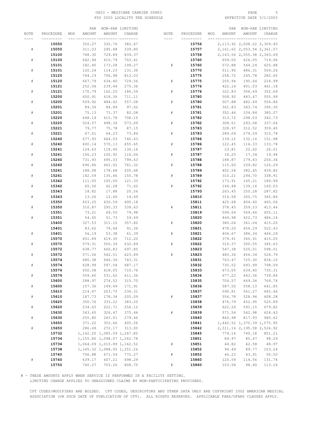#### OHIO - MEDICARE CARRIER 00883 PAGE 5 FSY 2003 LOCALITY FEE SCHEDULE

|           |           | PAR           |                                 | NON-PAR LIMITING |      |           |     | PAR           |                               | NON-PAR LIMITING |
|-----------|-----------|---------------|---------------------------------|------------------|------|-----------|-----|---------------|-------------------------------|------------------|
| NOTE      | PROCEDURE | MOD<br>AMOUNT | AMOUNT                          | CHARGE           | NOTE | PROCEDURE | MOD | <b>AMOUNT</b> | <b>AMOUNT</b>                 | CHARGE           |
|           |           |               | --- --------- <i>--------</i> - |                  |      |           |     |               | --- ---------- -----          |                  |
|           | 15050     | 350.27        | 332.76                          | 382.67           |      | 15756     |     |               | 2, 113.92 2, 008.22 2, 309.45 |                  |
| $\#$      | 15050     | 311.03        | 295.48                          | 339.80           |      | 15757     |     |               | 2, 161.62 2, 053.54 2, 361.57 |                  |
|           | 15100     | 768.30        | 729.89                          | 839.37           |      | 15758     |     |               | 2, 163.56 2, 055.38 2, 363.69 |                  |
| $\#$      | 15100     | 642.94        | 610.79                          | 702.41           |      | 15760     |     | 659.00        | 626.05                        | 719.96           |
|           | 15101     | 182.40        | 173.28                          | 199.27           | $\#$ | 15760     |     | 572.88        | 544.24                        | 625.88           |
| #         | 15101     | 120.24        | 114.23                          | 131.36           |      | 15770     |     | 511.90        | 486.31                        | 559.26           |
|           | 15120     | 744.19        | 706.98                          | 813.03           |      | 15775     |     | 258.72        | 245.78                        | 282.65           |
| $\#$      | 15120     | 667.79        | 634.40                          | 729.56           | $\#$ | 15775     |     | 205.94        | 195.64                        | 224.99           |
|           |           |               |                                 |                  |      | 15776     |     |               |                               |                  |
|           | 15121     | 252.04        | 239.44                          | 275.36           |      |           |     | 422.14        | 401.03                        | 461.18           |
| $\#$      | 15121     | 170.79        | 162.25                          | 186.59           | $\#$ | 15776     |     | 322.83        | 306.69                        | 352.69           |
|           | 15200     | 650.91        | 618.36                          | 711.11           |      | 15780     |     | 508.92        | 483.47                        | 555.99           |
| $\#$      | 15200     | 509.92        | 484.42                          | 557.08           | $\#$ | 15780     |     | 507.88        | 482.49                        | 554.86           |
|           | 15201     | 89.36         | 84.89                           | 97.62            |      | 15781     |     | 361.83        | 343.74                        | 395.30           |
| $\#$      | 15201     | 75.13         | 71.37                           | 82.08            | #    | 15781     |     | 352.46        | 334.84                        | 385.07           |
|           | 15220     | 648.19        | 615.78                          | 708.15           |      | 15782     |     | 313.72        | 298.03                        | 342.73           |
| #         | 15220     | 524.57        | 498.34                          | 573.09           | $\#$ | 15782     |     | 308.51        | 293.08                        | 337.04           |
|           | 15221     | 79.77         | 75.78                           | 87.15            |      | 15783     |     | 328.97        | 312.52                        | 359.40           |
| $\#$      | 15221     | 67.61         | 64.23                           | 73.86            | $\#$ | 15783     |     | 289.04        | 274.59                        | 315.78           |
|           | 15240     | 677.93        | 644.03                          | 740.63           |      | 15786     |     | 139.12        | 132.16                        | 151.98           |
| $\#$      | 15240     | 600.14        | 570.13                          | 655.65           | $\#$ | 15786     |     | 122.45        | 116.33                        | 133.78           |
|           | 15241     | 124.63        | 118.40                          | 136.16           |      | 15787     |     | 23.81         | 22.62                         | 26.01            |
| $\#$      | 15241     | 106.23        | 100.92                          | 116.06           | $\#$ | 15787     |     | 18.25         | 17.34                         | 19.94            |
|           | 15260     | 731.93        | 695.33                          | 799.63           |      | 15788     |     | 188.87        | 179.43                        | 206.34           |
| $\#$      | 15260     | 696.86        | 662.02                          | 761.32           | #    | 15788     |     | 115.60        | 109.82                        | 126.29           |
|           | 15261     | 188.08        | 178.68                          | 205.48           |      | 15789     |     | 402.58        | 382.45                        | 439.82           |
| #         | 15261     | 142.59        | 135.46                          | 155.78           | $\#$ | 15789     |     | 310.21        | 294.70                        | 338.91           |
|           | 15342     | 111.05        | 105.50                          | 121.33           |      | 15792     |     | 173.91        | 165.21                        | 189.99           |
|           |           |               |                                 |                  | #    |           |     |               |                               |                  |
| $\#$      | 15342     | 65.56         | 62.28                           | 71.62            |      | 15792     |     | 146.48        | 139.16                        | 160.03           |
|           | 15343     | 18.82         | 17.88                           | 20.56            |      | 15793     |     | 263.45        | 250.28                        | 287.82           |
| $\#$      | 15343     | 13.26         | 12.60                           | 14.49            |      | 15810     |     | 316.58        | 300.75                        | 345.86           |
|           | 15350     | 453.25        | 430.59                          | 495.18           |      | 15811     |     | 425.68        | 404.40                        | 465.06           |
| ${}^{\#}$ | 15350     | 310.87        | 295.33                          | 339.63           | $\#$ | 15811     |     | 378.45        | 359.53                        | 413.46           |
|           | 15351     | 73.21         | 69.55                           | 79.98            |      | 15819     |     | 599.64        | 569.66                        | 655.11           |
| #         | 15351     | 54.45         | 51.73                           | 59.49            |      | 15820     |     | 444.98        | 422.73                        | 486.14           |
|           | 15400     | 327.53        | 311.15                          | 357.82           | $\#$ | 15820     |     | 380.04        | 361.04                        | 415.20           |
|           | 15401     | 83.62         | 79.44                           | 91.36            |      | 15821     |     | 478.20        | 454.29                        | 522.43           |
| $\#$      | 15401     | 56.19         | 53.38                           | 61.39            | $\#$ | 15821     |     | 406.67        | 386.34                        | 444.29           |
|           | 15570     | 651.89        | 619.30                          | 712.20           |      | 15822     |     | 379.91        | 360.91                        | 415.05           |
| #         | 15570     | 579.31        | 550.34                          | 632.89           | $\#$ | 15822     |     | 316.37        | 300.55                        | 345.63           |
|           | 15572     | 638.77        | 606.83                          | 697.85           |      | 15823     |     | 547.38        | 520.01                        | 598.01           |
| #         | 15572     | 571.06        | 542.51                          | 623.89           | $\#$ | 15823     |     | 480.36        | 456.34                        | 524.79           |
|           | 15574     | 680.38        | 646.36                          | 743.31           |      | 15831     |     | 763.47        | 725.30                        | 834.10           |
| $\#$      | 15574     | 628.99        | 597.54                          | 687.17           |      | 15832     |     | 730.52        | 693.99                        | 798.09           |
|           | 15576     | 650.58        | 618.05                          | 710.76           |      | 15833     |     | 673.05        | 639.40                        | 735.31           |
| $\#$      | 15576     | 559.60        | 531.62                          | 611.36           |      | 15834     |     | 677.22        | 643.36                        | 739.86           |
|           | 15600     | 288.97        | 274.52                          | 315.70           |      | 15835     |     | 704.57        | 669.34                        | 769.74           |
| $\#$      | 15600     | 157.36        | 149.49                          | 171.91           |      | 15836     |     | 587.50        | 558.13                        | 641.85           |
|           | 15610     | 214.47        | 203.75                          | 234.31           |      | 15837     |     | 590.81        | 561.27                        | 645.46           |
| $\#$      | 15610     | 187.73        | 178.34                          | 205.09           | $\#$ | 15837     |     | 556.78        | 528.94                        | 608.28           |
|           | 15620     | 350.76        | 333.22                          | 383.20           |      | 15838     |     | 476.79        | 452.95                        | 520.89           |
| $\#$      | 15620     | 234.43        | 222.71                          | 256.12           |      | 15839     |     | 622.26        | 591.15                        | 679.82           |
|           | 15630     | 343.65        | 326.47                          | 375.44           | $\#$ | 15839     |     | 571.56        | 542.98                        | 624.43           |
|           |           |               |                                 |                  |      |           |     |               |                               |                  |
| $\#$      | 15630     | 255.80        | 243.01                          | 279.46           |      | 15840     |     | 860.98        | 817.93                        | 940.62           |
|           | 15650     | 371.22        | 352.66                          | 405.56           |      | 15841     |     |               | 1,442.52 1,370.39 1,575.95    |                  |
| $\#$      | 15650     | 286.49        | 272.17                          | 313.00           |      | 15842     |     |               | 2, 311.14 2, 195.58 2, 524.92 |                  |
|           | 15732     |               | 1, 142.20 1, 085.09 1, 247.85   |                  |      | 15845     |     | 779.14        | 740.18                        | 851.21           |
|           | 15734     |               | 1, 155.86 1, 098.07 1, 262.78   |                  |      | 15851     |     | 89.97         | 85.47                         | 98.29            |
|           | 15736     |               | 1,064.09 1,010.89 1,162.52      |                  | $\#$ | 15851     |     | 44.82         | 42.58                         | 48.97            |
|           | 15738     |               | 1, 145.32 1, 088.05 1, 251.26   |                  |      | 15852     |     | 94.49         | 89.77                         | 103.24           |
|           | 15740     | 706.88        | 671.54                          | 772.27           | $\#$ | 15852     |     | 46.22         | 43.91                         | 50.50            |
| $\#$      | 15740     | 639.17        | 607.21                          | 698.29           |      | 15860     |     | 120.59        | 114.56                        | 131.74           |
|           | 15750     | 740.27        | 703.26                          | 808.75           | $\#$ | 15860     |     | 103.58        | 98.40                         | 113.16           |

# - THESE AMOUNTS APPLY WHEN SERVICE IS PERFORMED IN A FACILITY SETTING.

LIMITING CHARGE APPLIES TO UNASSIGNED CLAIMS BY NON-PARTICIPATING PROVIDERS.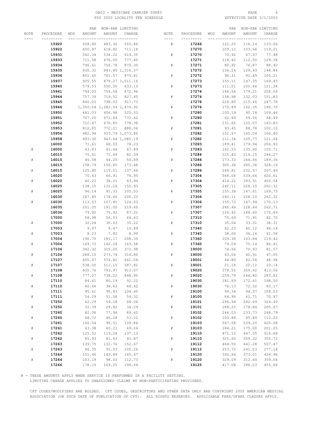#### OHIO - MEDICARE CARRIER 00883 PAGE 6 FSY 2003 LOCALITY FEE SCHEDULE

|           |           |     | PAR    |                            | NON-PAR LIMITING |             |           |     | PAR    |        | NON-PAR LIMITING |
|-----------|-----------|-----|--------|----------------------------|------------------|-------------|-----------|-----|--------|--------|------------------|
| NOTE      | PROCEDURE | MOD | AMOUNT | AMOUNT                     | CHARGE           | NOTE        | PROCEDURE | MOD | AMOUNT | AMOUNT | CHARGE           |
|           |           |     |        |                            | -- ---------     | ---         |           |     |        |        |                  |
|           | 15920     |     | 508.80 | 483.36                     | 555.86           | ${}^{\#}$   | 17266     |     | 122.25 | 116.14 | 133.56           |
|           | 15922     |     | 650.97 | 618.42                     | 711.18           |             | 17270     |     | 109.12 | 103.66 | 119.21           |
|           | 15931     |     | 562.34 | 534.22                     | 614.35           | #           | 17270     |     | 70.92  | 67.37  | 77.48            |
|           | 15933     |     | 711.58 | 676.00                     | 777.40           |             | 17271     |     | 118.42 | 112.50 | 129.38           |
|           |           |     |        | 756.78                     |                  | #           |           |     |        |        |                  |
|           | 15934     |     | 796.61 |                            | 870.30           |             | 17271     |     | 80.92  | 76.87  | 88.40            |
|           | 15935     |     | 930.32 |                            | 883.80 1,016.37  |             | 17272     |     | 136.24 | 129.43 | 148.84           |
|           | 15936     |     | 801.65 | 761.57                     | 875.81           | ${}^{\#}$   | 17272     |     | 96.31  | 91.49  | 105.21           |
|           | 15937     |     | 925.55 |                            | 879.27 1,011.16  |             | 17273     |     | 155.11 | 147.35 | 169.45           |
|           | 15940     |     | 579.53 | 550.55                     | 633.13           | #           | 17273     |     | 111.01 | 105.46 | 121.28           |
|           | 15941     |     | 799.03 | 759.08                     | 872.94           |             | 17274     |     | 188.64 | 179.21 | 206.09           |
|           | 15944     |     | 757.39 | 719.52                     | 827.45           | #           | 17274     |     | 138.98 | 132.03 | 151.83           |
|           | 15945     |     | 840.03 | 798.03                     | 917.73           |             | 17276     |     | 226.80 | 215.46 | 247.78           |
|           | 15946     |     |        | 1,350.04 1,282.54 1,474.92 |                  | #           | 17276     |     | 170.89 | 162.35 | 186.70           |
|           | 15950     |     | 481.03 | 456.98                     | 525.53           |             | 17280     |     | 100.19 | 95.18  | 109.46           |
|           | 15951     |     | 707.20 | 671.84                     | 772.62           | ${}^{\#}$   | 17280     |     | 62.69  | 59.56  | 68.49            |
|           | 15952     |     | 712.47 | 676.85                     | 778.38           |             | 17281     |     | 131.65 | 125.07 | 143.83           |
|           | 15953     |     | 812.85 | 772.21                     | 888.04           | ${}^{\#}$   | 17281     |     | 93.45  | 88.78  | 102.10           |
|           | 15956     |     | 982.94 |                            | 933.79 1,073.86  |             | 17282     |     | 152.67 | 145.04 | 166.80           |
|           | 15958     |     | 993.30 |                            | 943.64 1,085.19  | #           | 17282     |     | 111.34 | 105.77 | 121.64           |
|           | 16000     |     | 71.61  | 68.03                      | 78.23            |             | 17283     |     | 189.41 | 179.94 | 206.93           |
| #         | 16000     |     | 43.83  | 41.64                      | 47.89            | #           | 17283     |     | 142.53 | 135.40 | 155.71           |
|           | 16010     |     | 75.41  | 71.64                      | 82.39            |             | 17284     |     | 225.42 | 214.15 | 246.27           |
| #         | 16010     |     | 46.58  | 44.25                      | 50.89            | #           | 17284     |     | 173.33 | 164.66 | 189.36           |
|           | 16015     |     | 158.79 | 150.85                     | 173.48           |             | 17286     |     | 300.38 | 285.36 | 328.16           |
| #         | 16015     |     | 125.80 | 119.51                     | 137.44           | ${}^{\#}$   | 17286     |     | 244.81 | 232.57 | 267.46           |
|           | 16020     |     | 70.43  | 66.91                      | 76.95            |             | 17304     |     | 568.06 | 539.66 | 620.61           |
| #         | 16020     |     | 40.22  | 38.21                      | 43.94            | ${}^{\#}$   | 17304     |     | 414.22 | 393.51 | 452.54           |
|           | 16025     |     | 138.15 | 131.24                     | 150.93           |             | 17305     |     | 240.11 | 228.10 | 262.32           |
| #         | 16025     |     | 96.14  | 91.33                      | 105.03           | #           | 17305     |     | 155.38 | 147.61 | 169.75           |
|           | 16030     |     | 187.85 | 178.46                     | 205.23           |             | 17306     |     | 240.11 | 228.10 | 262.32           |
| #         |           |     |        |                            |                  | #           |           |     |        |        |                  |
|           | 16030     |     | 113.53 | 107.85                     | 124.03           |             | 17306     |     | 155.73 | 147.94 | 170.13           |
|           | 16035     |     | 201.05 | 191.00                     | 219.65           |             | 17307     |     | 240.46 | 228.44 | 262.71           |
|           | 16036     |     | 79.92  | 75.92                      | 87.31            | #           | 17307     |     | 156.42 | 148.60 | 170.89           |
|           | 17000     |     | 58.98  | 56.03                      | 64.43            |             | 17310     |     | 75.69  | 71.91  | 82.70            |
| ${}^{\#}$ | 17000     |     | 32.24  | 30.63                      | 35.22            | ${}^{\#}$   | 17310     |     | 35.06  | 33.31  | 38.31            |
|           | 17003     |     | 9.97   | 9.47                       | 10.89            |             | 17340     |     | 42.23  | 40.12  | 46.14            |
| #         | 17003     |     | 8.23   | 7.82                       | 8.99             | ${}^{\#}$   | 17340     |     | 38.06  | 36.16  | 41.58            |
|           | 17004     |     | 190.70 | 181.17                     | 208.35           |             | 17360     |     | 109.30 | 103.84 | 119.42           |
| #         | 17004     |     | 149.73 | 142.24                     | 163.58           | #           | 17360     |     | 79.09  | 75.14  | 86.41            |
|           | 17106     |     | 342.32 | 325.20                     | 373.98           |             | 19000     |     | 74.66  | 70.93  | 81.57            |
|           | 17106     |     | 288.15 | 273.74                     | 314.80           | #           | 19000     |     | 43.06  | 40.91  | 47.05            |
|           | 17107     |     | 605.07 | 574.82                     | 661.04           |             | 19001     |     | 44.80  | 42.56  | 48.94            |
| ${}^{\#}$ | 17107     |     | 538.05 | 511.15                     | 587.82           | #           | 19001     |     | 21.18  | 20.12  | 23.14            |
|           | 17108     |     | 835.76 | 793.97                     | 913.07           |             | 19020     |     | 378.55 | 359.62 | 413.56           |
| $\#$      | 17108     |     | 777.07 | 738.22                     | 848.95           | $\#$        | 19020     |     | 259.79 | 246.80 | 283.82           |
|           | 17110     |     | 84.41  | 80.19                      | 92.22            |             | 19030     |     | 181.69 | 172.61 | 198.50           |
| $\#$      | 17110     |     | 40.66  | 38.63                      | 44.42            | $\#$        | 19030     |     | 76.13  | 72.32  | 83.17            |
|           | 17111     |     | 95.61  | 90.83                      | 104.45           |             | 19100     |     | 99.34  | 94.37  | 108.53           |
| $\#$      | 17111     |     | 54.29  | 51.58                      | 59.32            | $_{\rm \#}$ | 19100     |     | 64.96  | 61.71  | 70.97            |
|           | 17250     |     | 62.29  | 59.18                      | 68.06            |             | 19101     |     | 296.94 | 282.09 | 324.40           |
| $\#$      | 17250     |     | 31.39  | 29.82                      | 34.29            | $\#$        | 19101     |     | 188.25 | 178.84 | 205.67           |
|           | 17260     |     | 82.06  | 77.96                      | 89.65            |             | 19102     |     | 246.03 | 233.73 | 268.79           |
| $\#$      | 17260     |     | 48.72  | 46.28                      | 53.22            | $\#$        | 19102     |     | 100.88 | 95.84  | 110.22           |
|           | 17261     |     | 100.54 | 95.51                      | 109.84           |             | 19103     |     | 567.58 | 539.20 | 620.08           |
| $\#$      | 17261     |     | 63.38  | 60.21                      | 69.24            | $\#$        | 19103     |     | 184.21 | 175.00 | 201.25           |
|           | 17262     |     | 125.52 | 119.24                     | 137.13           |             | 19110     |     | 471.10 | 447.55 | 514.68           |
| $\#$      | 17262     |     | 85.93  | 81.63                      | 93.87            | $\#$        | 19110     |     | 325.60 | 309.32 | 355.72           |
|           | 17263     |     | 139.75 | 132.76                     | 152.67           |             | 19112     |     | 464.50 | 441.28 | 507.47           |
| $\#$      | 17263     |     | 96.35  | 91.53                      | 105.26           | $_{\rm \#}$ | 19112     |     | 253.72 | 241.03 | 277.18           |
|           | 17264     |     | 151.46 | 143.89                     | 165.47           |             | 19120     |     | 392.64 | 373.01 | 428.96           |
| $\#$      | 17264     |     | 103.19 | 98.03                      | 112.73           | $\#$        | 19120     |     | 329.09 | 312.64 | 359.54           |
|           | 17266     |     | 178.16 | 169.25                     | 194.64           |             | 19125     |     | 417.08 | 396.23 | 455.66           |

# - THESE AMOUNTS APPLY WHEN SERVICE IS PERFORMED IN A FACILITY SETTING.

LIMITING CHARGE APPLIES TO UNASSIGNED CLAIMS BY NON-PARTICIPATING PROVIDERS.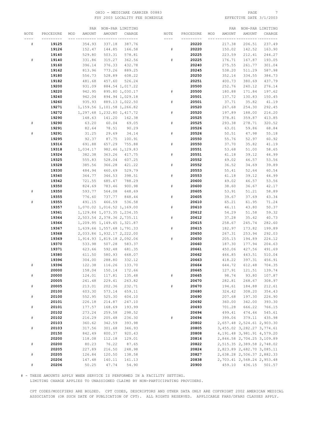#### OHIO – MEDICARE CARRIER 00883 PAGE 7<br>
FSY 2003 LOCALITY FEE SCHEDULE FOR PAGE 8 PAGE 3/1/2003 FSY 2003 LOCALITY FEE SCHEDULE

|      |                | PAR              |                               | NON-PAR LIMITING                   |             |                |     | PAR              |                                      | NON-PAR LIMITING |
|------|----------------|------------------|-------------------------------|------------------------------------|-------------|----------------|-----|------------------|--------------------------------------|------------------|
| NOTE | PROCEDURE      | AMOUNT<br>MOD    | AMOUNT                        | CHARGE                             | NOTE        | PROCEDURE      | MOD | AMOUNT           | AMOUNT                               | CHARGE           |
| ---- | ---------      |                  |                               | -- ---------                       | ----        |                |     |                  |                                      |                  |
| #    | 19125          | 354.93           | 337.18                        | 387.76                             |             | 20220          |     | 217.38           | 206.51                               | 237.49           |
|      | 19126          | 152.47           | 144.85                        | 166.58                             | $\#$        | 20220          |     | 150.02           | 142.52                               | 163.90           |
|      | 19140          | 529.80           | 503.31                        | 578.81                             |             | 20225          |     | 223.59           | 212.41                               | 244.27           |
| #    | 19140          | 331.86           | 315.27                        | 362.56                             | #           | 20225          |     | 176.71           | 167.87                               | 193.05           |
|      | 19160          | 396.14           | 376.33                        | 432.78                             |             | 20240          |     | 275.55           | 261.77                               | 301.04           |
|      | 19162          | 813.96           | 773.26                        | 889.25                             |             | 20245          |     | 538.20           | 511.29                               | 587.98           |
|      | 19180          | 556.73           | 528.89                        | 608.22                             |             | 20250          |     | 352.16           | 334.55                               | 384.73           |
|      | 19182          | 481.68           | 457.60                        | 526.24                             |             | 20251          |     | 400.73           | 380.69                               | 437.79           |
|      | 19200<br>19220 | 931.09<br>942.95 |                               | 884.54 1,017.22<br>895.80 1,030.17 | #           | 20500<br>20500 |     | 252.76<br>180.88 | 240.12<br>171.84                     | 276.14<br>197.62 |
|      | 19240          | 942.04           |                               | 894.94 1,029.18                    |             | 20501          |     | 137.72           | 130.83                               | 150.45           |
|      | 19260          | 935.93           |                               | 889.13 1,022.50                    | $\#$        | 20501          |     | 37.71            | 35.82                                | 41.19            |
|      | 19271          |                  | 1, 159.56 1, 101.58 1, 266.82 |                                    |             | 20520          |     | 267.68           | 254.30                               | 292.45           |
|      | 19272          |                  | 1, 297.68 1, 232.80 1, 417.72 |                                    | $_{\rm \#}$ | 20520          |     | 197.89           | 188.00                               | 216.20           |
|      | 19290          | 148.63           | 141.20                        | 162.38                             |             | 20525          |     | 378.81           | 359.87                               | 413.85           |
| $\#$ | 19290          | 63.20            | 60.04                         | 69.05                              | $\#$        | 20525          |     | 293.38           | 278.71                               | 320.52           |
|      | 19291          | 82.64            | 78.51                         | 90.29                              |             | 20526          |     | 63.01            | 59.86                                | 68.84            |
| #    | 19291          | 31.25            | 29.69                         | 34.14                              | #           | 20526          |     | 50.51            | 47.98                                | 55.18            |
|      | 19295          | 92.37            | 87.75                         | 100.91                             |             | 20550          |     | 55.76            | 52.97                                | 60.92            |
|      | 19316          | 691.88           | 657.29                        | 755.88                             | #           | 20550          |     | 37.70            | 35.82                                | 41.19            |
|      | 19318          | 1,034.17         |                               | 982.46 1,129.83                    |             | 20551          |     | 53.68            | 51.00                                | 58.65            |
|      | 19324          | 382.38           | 363.26                        | 417.75                             | $\#$        | 20551          |     | 41.18            | 39.12                                | 44.99            |
|      | 19325          | 555.83           | 528.04                        | 607.25                             |             | 20552          |     | 49.02            | 46.57                                | 53.56            |
|      | 19328          | 385.56           | 366.28                        | 421.22                             | #           | 20552          |     | 36.52            | 34.69                                | 39.89            |
|      | 19330          | 484.94           | 460.69                        | 529.79                             |             | 20553          |     | 55.41            | 52.64                                | 60.54            |
|      | 19340          | 364.77           | 346.53                        | 398.51                             | #           | 20553          |     | 41.18            | 39.12                                | 44.99            |
|      | 19342          | 721.55           | 685.47                        | 788.29                             |             | 20600          |     | 49.02            | 46.57                                | 53.56            |
|      | 19350          | 824.69           | 783.46                        | 900.98                             | #           | 20600          |     | 38.60            | 36.67                                | 42.17            |
| #    | 19350<br>19355 | 593.77<br>776.60 | 564.08<br>737.77              | 648.69<br>848.44                   | #           | 20605<br>20605 |     | 53.91<br>39.67   | 51.21<br>37.69                       | 58.89<br>43.34   |
| $\#$ | 19355          | 491.15           | 466.59                        | 536.58                             |             | 20610          |     | 65.21            | 61.95                                | 71.24            |
|      | 19357          |                  | 1,070.02 1,016.52 1,169.00    |                                    | #           | 20610          |     | 46.11            | 43.80                                | 50.37            |
|      | 19361          |                  | 1, 129.84 1, 073.35 1, 234.35 |                                    |             | 20612          |     | 54.29            | 51.58                                | 59.32            |
|      | 19364          |                  | 2,503.54 2,378.36 2,735.11    |                                    | $\#$        | 20612          |     | 37.28            | 35.42                                | 40.73            |
|      | 19366          |                  | 1,209.95 1,149.45 1,321.87    |                                    |             | 20615          |     | 258.67           | 245.74                               | 282.60           |
|      | 19367          |                  | 1,639.66 1,557.68 1,791.33    |                                    | ${}^{\#}$   | 20615          |     | 182.97           | 173.82                               | 199.89           |
|      | 19368          |                  | 2,033.86 1,932.17 2,222.00    |                                    |             | 20650          |     | 267.31           | 253.94                               | 292.03           |
|      | 19369          |                  | 1,914.93 1,819.18 2,092.06    |                                    | #           | 20650          |     | 205.15           | 194.89                               | 224.12           |
|      | 19370          | 533.98           | 507.28                        | 583.37                             |             | 20660          |     | 187.30           | 177.94                               | 204.63           |
|      | 19371          | 623.66           | 592.48                        | 681.35                             |             | 20661          |     | 450.06           | 427.56                               | 491.69           |
|      | 19380          | 611.50           | 580.93                        | 668.07                             |             | 20662          |     | 466.85           | 443.51                               | 510.04           |
|      | 19396          | 304.00           | 288.80                        | 332.12                             |             | 20663          |     | 418.22           | 397.31                               | 456.91           |
|      | 19396          | 122.38           | 116.26                        | 133.70                             |             | 20664          |     | 644.72           | 612.48                               | 704.35           |
| $\#$ | 20000<br>20000 | 158.04<br>124.01 | 150.14<br>117.81              | 172.66<br>135.48                   | $\#$        | 20665<br>20665 |     | 127.91<br>98.74  | 121.51<br>93.80                      | 139.74<br>107.87 |
|      | 20005          | 241.48           | 229.41                        | 263.82                             |             | 20670          |     | 282.81           | 268.67                               | 308.97           |
| $\#$ | 20005          | 213.01           | 202.36                        | 232.71                             | $\#$        | 20670          |     | 194.61           | 184.88                               | 212.61           |
|      | 20100          | 603.30           | 573.14                        | 659.11                             |             | 20680          |     | 324.42           | 308.20                               | 354.43           |
| $\#$ | 20100          | 552.95           | 525.30                        | 604.10                             |             | 20690          |     | 207.68           | 197.30                               | 226.90           |
|      | 20101          | 226.18           | 214.87                        | 247.10                             |             | 20692          |     | 360.00           | 342.00                               | 393.30           |
| $\#$ | 20101          | 177.57           | 168.69                        | 193.99                             |             | 20693          |     | 701.28           | 666.22                               | 766.15           |
|      | 20102          | 273.24           | 259.58                        | 298.52                             |             | 20694          |     | 499.41           | 474.44                               | 545.61           |
| $\#$ | 20102          | 216.29           | 205.48                        | 236.30                             | #           | 20694          |     | 399.06           | 379.11                               | 435.98           |
|      | 20103          | 360.62           | 342.59                        | 393.98                             |             | 20802          |     |                  | 2,657.48 2,524.61 2,903.30           |                  |
| $\#$ | 20103          | 317.56           | 301.68                        | 346.93                             |             | 20805          |     |                  | 3, 455.02 3, 282.27 3, 774.61        |                  |
|      | 20150          | 842.49           | 800.37                        | 920.43                             |             | 20808          |     |                  | 4, 191.48 3, 981.91 4, 579.20        |                  |
|      | 20200          | 118.08           | 112.18                        | 129.01                             |             | 20816          |     |                  | 2,846.58 2,704.25 3,109.89           |                  |
| $\#$ | 20200          | 80.23            | 76.22                         | 87.65                              |             | 20822          |     |                  | 2,515.35 2,389.58 2,748.02           |                  |
|      | 20205          | 227.89           | 216.50                        | 248.98                             |             | 20824          |     |                  | 2,823.89 2,682.70 3,085.11           |                  |
| $\#$ | 20205          | 126.84           | 120.50                        | 138.58                             |             | 20827          |     |                  | 2,638.28 2,506.37 2,882.33           |                  |
| $\#$ | 20206<br>20206 | 147.48<br>50.25  | 140.11<br>47.74               | 161.13<br>54.90                    |             | 20838<br>20900 |     | 459.10           | 2,703.41 2,568.24 2,953.48<br>436.15 | 501.57           |
|      |                |                  |                               |                                    |             |                |     |                  |                                      |                  |

# - THESE AMOUNTS APPLY WHEN SERVICE IS PERFORMED IN A FACILITY SETTING.

LIMITING CHARGE APPLIES TO UNASSIGNED CLAIMS BY NON-PARTICIPATING PROVIDERS.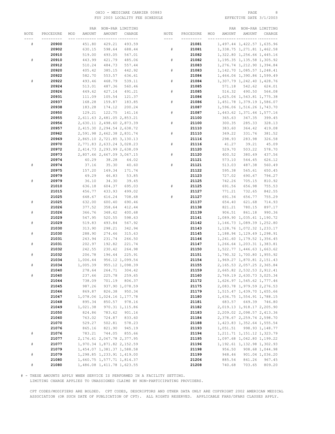#### OHIO - MEDICARE CARRIER 00883<br>
FSY 2003 LOCALITY FEE SCHEDULE FOR THE SERIER SOME PAGE 8 REFECTIVE DATE 3/1/2003 FSY 2003 LOCALITY FEE SCHEDULE

|      |           | PAR           |                               | NON-PAR LIMITING |             |           |     | PAR    |                               | NON-PAR LIMITING           |
|------|-----------|---------------|-------------------------------|------------------|-------------|-----------|-----|--------|-------------------------------|----------------------------|
| NOTE | PROCEDURE | AMOUNT<br>MOD | AMOUNT                        | CHARGE           | NOTE        | PROCEDURE | MOD | AMOUNT | AMOUNT                        | CHARGE                     |
|      |           |               |                               | -----------      | ----        |           |     |        |                               | ---------                  |
| #    | 20900     | 451.80        | 429.21                        | 493.59           |             | 21081     |     |        | 1,497.44 1,422.57 1,635.96    |                            |
|      | 20902     | 630.15        | 598.64                        | 688.44           | $\#$        | 21081     |     |        | 1, 338.75 1, 271.81 1, 462.58 |                            |
|      | 20910     | 519.00        | 493.05                        | 567.01           |             | 21082     |     |        | 1,322.80 1,256.66 1,445.16    |                            |
|      |           |               | 421.79                        |                  |             | 21082     |     |        |                               |                            |
| #    | 20910     | 443.99        |                               | 485.06           | $\#$        |           |     |        | 1, 195.35 1, 135.58 1, 305.92 |                            |
|      | 20912     | 510.24        | 484.73                        | 557.44           |             | 21083     |     |        | 1,276.74 1,212.90 1,394.84    |                            |
|      | 20920     | 405.42        | 385.15                        | 442.92           | $\#$        | 21083     |     |        | 1, 142.70 1, 085.57 1, 248.41 |                            |
|      | 20922     | 582.70        | 553.57                        | 636.61           |             | 21084     |     |        | 1,464.06 1,390.86 1,599.49    |                            |
| #    | 20922     | 493.46        | 468.79                        | 539.11           | $\#$        | 21084     |     |        | 1,307.79 1,242.40 1,428.76    |                            |
|      | 20924     | 513.01        | 487.36                        | 560.46           |             | 21085     |     | 571.18 | 542.62                        | 624.01                     |
|      | 20926     | 449.62        | 427.14                        | 491.21           | $_{\rm \#}$ | 21085     |     | 516.32 | 490.50                        | 564.08                     |
|      | 20931     | 111.09        | 105.54                        | 121.37           |             | 21086     |     |        | 1,625.06 1,543.81 1,775.38    |                            |
|      | 20937     | 168.28        | 159.87                        | 183.85           | $\#$        | 21086     |     |        | 1,451.78 1,379.19 1,586.07    |                            |
|      | 20938     | 183.28        | 174.12                        | 200.24           |             | 21087     |     |        | 1,596.06 1,516.26 1,743.70    |                            |
|      | 20950     | 129.21        | 122.75                        | 141.16           | $\#$        | 21087     |     |        | 1, 443.62 1, 371.44 1, 577.16 |                            |
|      | 20955     |               | 2,611.63 2,481.05 2,853.21    |                  |             | 21100     |     | 365.63 | 347.35                        | 399.45                     |
|      | 20956     |               | 2,630.11 2,498.60 2,873.39    |                  | #           | 21100     |     | 300.35 | 285.33                        | 328.13                     |
|      | 20957     |               | 2,415.30 2,294.54 2,638.72    |                  |             | 21110     |     | 383.60 | 364.42                        | 419.08                     |
|      | 20962     |               | 2,591.98 2,462.38 2,831.74    |                  | $\#$        | 21110     |     | 349.22 | 331.76                        | 381.52                     |
|      | 20969     |               | 2,865.10 2,721.85 3,130.13    |                  |             | 21116     |     | 298.93 | 283.98                        | 326.58                     |
|      |           |               |                               |                  |             |           |     |        |                               |                            |
|      | 20970     |               | 2,771.83 2,633.24 3,028.23    |                  | $\#$        | 21116     |     | 41.27  | 39.21                         | 45.09                      |
|      | 20972     |               | 2,414.73 2,293.99 2,638.09    |                  |             | 21120     |     | 529.70 | 503.22                        | 578.70                     |
|      | 20973     |               | 2,807.46 2,667.09 3,067.15    |                  | $\#$        | 21120     |     | 400.52 | 380.49                        | 437.56                     |
|      | 20974     | 40.29         | 38.28                         | 44.02            |             | 21121     |     | 573.10 | 544.45                        | 626.12                     |
| #    | 20974     | 37.16         | 35.30                         | 40.60            | $\#$        | 21121     |     | 513.03 | 487.38                        | 560.49                     |
|      | 20975     | 157.20        | 149.34                        | 171.74           |             | 21122     |     | 595.38 | 565.61                        | 650.45                     |
|      | 20979     | 49.29         | 46.83                         | 53.85            |             | 21123     |     | 727.02 | 690.67                        | 794.27                     |
| $\#$ | 20979     | 36.10         | 34.30                         | 39.45            |             | 21125     |     | 742.26 | 705.15                        | 810.92                     |
|      | 21010     | 636.18        | 604.37                        | 695.03           | $\#$        | 21125     |     | 691.56 | 656.98                        | 755.53                     |
|      | 21015     | 456.77        | 433.93                        | 499.02           |             | 21127     |     | 771.21 | 732.65                        | 842.55                     |
|      | 21025     | 648.67        | 616.24                        | 708.68           | $\#$        | 21127     |     | 691.34 | 656.77                        | 755.29                     |
| $\#$ | 21025     | 632.00        | 600.40                        | 690.46           |             | 21137     |     | 654.40 | 621.68                        | 714.93                     |
|      | 21026     | 377.52        | 358.64                        | 412.44           |             | 21138     |     | 821.21 | 780.15                        | 897.17                     |
| $\#$ | 21026     | 366.76        | 348.42                        | 400.68           |             | 21139     |     | 906.51 | 861.18                        | 990.36                     |
|      | 21029     | 547.95        | 520.55                        | 598.63           |             | 21141     |     |        | 1,089.90 1,035.41 1,190.72    |                            |
| $\#$ | 21029     | 519.83        | 493.84                        | 567.92           |             | 21142     |     |        | 1, 146.73 1, 089.39 1, 252.80 |                            |
|      | 21030     | 313.90        | 298.21                        | 342.94           |             | 21143     |     |        | 1, 128.76 1, 072.32 1, 233.17 |                            |
| $\#$ | 21030     | 288.90        | 274.46                        | 315.63           |             | 21145     |     |        | 1, 188.94 1, 129.49 1, 298.91 |                            |
|      | 21031     | 243.94        | 231.74                        | 266.50           |             | 21146     |     |        | 1,241.60 1,179.52 1,356.45    |                            |
|      |           |               |                               |                  |             |           |     |        |                               |                            |
| $\#$ | 21031     | 202.97        | 192.82                        | 221.74           |             | 21147     |     |        | 1,266.64 1,203.31 1,383.81    |                            |
|      | 21032     | 242.55        | 230.42                        | 264.98           |             | 21150     |     |        | 1,522.77 1,446.63 1,663.62    |                            |
| #    | 21032     | 206.78        | 196.44                        | 225.91           |             | 21151     |     |        | 1,790.32 1,700.80 1,955.92    |                            |
|      | 21034     | 1,006.44      |                               | 956.12 1,099.54  |             | 21154     |     |        |                               | 1,969.27 1,870.81 2,151.43 |
| #    | 21034     | 1,005.39      |                               | 955.12 1,098.39  |             | 21155     |     |        | 2, 165.53 2, 057.25 2, 365.84 |                            |
|      | 21040     | 278.64        | 264.71                        | 304.42           |             | 21159     |     |        | 2,665.82 2,532.53 2,912.41    |                            |
| $\#$ | 21040     | 237.66        | 225.78                        | 259.65           |             | 21160     |     |        | 2,769.19 2,630.73 3,025.34    |                            |
|      | 21044     | 738.09        | 701.19                        | 806.37           |             | 21172     |     |        | 1,626.97 1,545.62 1,777.46    |                            |
|      | 21045     | 987.26        |                               | 937.90 1,078.59  |             | 21175     |     |        | 2,083.78 1,979.59 2,276.53    |                            |
|      | 21046     | 869.87        | 826.38                        | 950.34           |             | 21179     |     |        | 1,515.47 1,439.70 1,655.66    |                            |
|      | 21047     |               | 1,078.06 1,024.16 1,177.78    |                  |             | 21180     |     |        | 1,636.75 1,554.91 1,788.15    |                            |
|      | 21048     | 895.34        | 850.57                        | 978.16           |             | 21181     |     |        | 683.57 649.39 746.80          |                            |
|      | 21049     | 1,021.38      |                               | 970.31 1,115.86  |             | 21182     |     |        | 2,019.13 1,918.17 2,205.90    |                            |
|      | 21050     | 824.86        | 783.62                        | 901.16           |             | 21183     |     |        | 2,209.02 2,098.57 2,413.36    |                            |
|      | 21060     | 763.02        | 724.87                        | 833.60           |             | 21184     |     |        | 2,378.67 2,259.74 2,598.70    |                            |
|      | 21070     | 529.27        | 502.81                        | 578.23           |             | 21188     |     |        | 1,423.83 1,352.64 1,555.54    |                            |
|      | 21076     | 865.16        | 821.90                        | 945.19           |             | 21193     |     |        | 1,051.51 998.93 1,148.77      |                            |
| $\#$ | 21076     | 783.21        | 744.05                        | 855.66           |             | 21194     |     |        | 1, 211.71 1, 151.12 1, 323.79 |                            |
|      | 21077     |               | 2, 176.61 2, 067.78 2, 377.95 |                  |             | 21195     |     |        | 1,097.68 1,042.80 1,199.22    |                            |
| $\#$ | 21077     |               | 1,970.34 1,871.82 2,152.59    |                  |             | 21196     |     |        | 1, 192.61 1, 132.98 1, 302.93 |                            |
|      |           |               | 1,454.07 1,381.37 1,588.58    |                  |             |           |     | 956.50 |                               |                            |
|      | 21079     |               |                               |                  |             | 21198     |     |        |                               | 908.68 1,044.98            |
| $\#$ | 21079     |               | 1,298.85 1,233.91 1,419.00    |                  |             | 21199     |     | 948.46 |                               | 901.04 1,036.20            |
|      | 21080     |               | 1,660.75 1,577.71 1,814.37    |                  |             | 21206     |     | 885.54 | 841.26                        | 967.45                     |
| $\#$ | 21080     |               | 1,486.08 1,411.78 1,623.55    |                  |             | 21208     |     | 740.68 | 703.65                        | 809.20                     |

# - THESE AMOUNTS APPLY WHEN SERVICE IS PERFORMED IN A FACILITY SETTING.

LIMITING CHARGE APPLIES TO UNASSIGNED CLAIMS BY NON-PARTICIPATING PROVIDERS.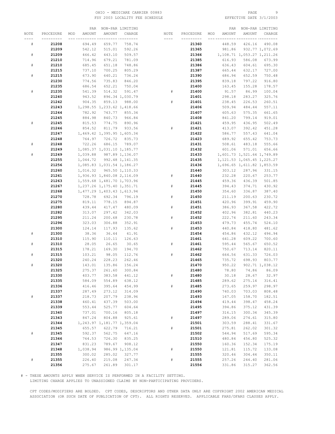#### OHIO - MEDICARE CARRIER 00883 PAGE 9 FSY 2003 LOCALITY FEE SCHEDULE

|           |           | PAR           |                               | NON-PAR LIMITING |      |           |     | PAR    |                               | NON-PAR LIMITING |
|-----------|-----------|---------------|-------------------------------|------------------|------|-----------|-----|--------|-------------------------------|------------------|
| NOTE      | PROCEDURE | AMOUNT<br>MOD | AMOUNT                        | CHARGE           | NOTE | PROCEDURE | MOD | AMOUNT | AMOUNT                        | CHARGE           |
| ----      | --------- |               | __ _________ ________         |                  | ---- | --------- |     |        | --- -----                     | --- -----        |
| #         | 21208     | 694.49        | 659.77                        | 758.74           |      | 21360     |     | 448.59 | 426.16                        | 490.08           |
|           | 21209     | 542.12        | 515.01                        | 592.26           |      | 21365     |     | 981.86 |                               | 932.77 1,072.69  |
| $\#$      | 21209     | 466.42        | 443.10                        | 509.57           |      | 21366     |     |        | 1, 108.71 1, 053.27 1, 211.26 |                  |
|           | 21210     | 714.96        | 679.21                        | 781.09           |      | 21385     |     | 616.93 | 586.08                        | 673.99           |
| $\#$      | 21210     | 685.45        | 651.18                        | 748.86           |      | 21386     |     | 636.43 | 604.61                        | 695.30           |
|           | 21215     | 737.10        | 700.25                        | 805.29           |      | 21387     |     | 665.44 | 632.17                        | 727.00           |
| $\#$      | 21215     | 673.90        | 640.21                        | 736.24           |      | 21390     |     | 686.94 | 652.59                        | 750.48           |
|           | 21230     | 774.56        | 735.83                        | 846.20           |      | 21395     |     | 839.18 | 797.22                        | 916.80           |
|           | 21235     | 686.54        | 652.21                        | 750.04           |      | 21400     |     | 163.45 |                               | 178.57           |
| #         |           |               |                               | 591.47           |      |           |     |        | 155.28                        |                  |
|           | 21235     | 541.39        | 514.32                        |                  | #    | 21400     |     | 91.57  | 86.99                         | 100.04           |
|           | 21240     | 943.52        |                               | 896.34 1,030.79  |      | 21401     |     | 298.18 | 283.27                        | 325.76           |
|           | 21242     | 904.35        | 859.13                        | 988.00           | #    | 21401     |     | 238.45 | 226.53                        | 260.51           |
|           | 21243     |               | 1,298.55 1,233.62 1,418.66    |                  |      | 21406     |     | 509.94 | 484.44                        | 557.11           |
|           | 21244     | 782.92        | 743.77                        | 855.34           |      | 21407     |     | 605.63 | 575.35                        | 661.65           |
|           | 21245     | 884.98        | 840.73                        | 966.84           |      | 21408     |     | 841.20 | 799.14                        | 919.01           |
| $\#$      | 21245     | 815.53        | 774.75                        | 890.96           |      | 21421     |     | 459.95 | 436.95                        | 502.49           |
|           | 21246     | 854.52        | 811.79                        | 933.56           | #    | 21421     |     | 413.07 | 392.42                        | 451.28           |
|           | 21247     |               | 1,469.42 1,395.95 1,605.34    |                  |      | 21422     |     | 586.77 | 557.43                        | 641.04           |
|           | 21248     | 764.97        | 726.72                        | 835.73           |      | 21423     |     | 689.92 | 655.42                        | 753.73           |
| $\#$      | 21248     | 722.26        | 686.15                        | 789.07           |      | 21431     |     | 508.61 | 483.18                        | 555.66           |
|           | 21249     |               | 1,085.37 1,031.10 1,185.77    |                  |      | 21432     |     | 601.06 | 571.01                        | 656.66           |
| $\#$      | 21249     |               | 1,039.88 987.89 1,136.07      |                  |      | 21433     |     |        | 1,601.73 1,521.64 1,749.89    |                  |
|           | 21255     |               | 1,044.72 992.48 1,141.35      |                  |      | 21435     |     |        | 1, 121.53 1, 065.45 1, 225.27 |                  |
|           | 21256     |               | 1,085.83 1,031.54 1,186.27    |                  |      | 21436     |     |        | 1,696.65 1,611.82 1,853.59    |                  |
|           | 21260     | 1,016.32      |                               | 965.50 1, 110.33 |      | 21440     |     | 303.12 | 287.96                        | 331.15           |
|           | 21261     |               | 1,936.93 1,840.08 2,116.09    |                  | #    | 21440     |     | 232.28 | 220.67                        | 253.77           |
|           | 21263     |               | 1,559.68 1,481.70 1,703.96    |                  |      | 21445     |     | 459.36 | 436.39                        | 501.85           |
|           | 21267     |               | 1, 237.26 1, 175.40 1, 351.71 |                  | #    | 21445     |     | 394.43 | 374.71                        | 430.92           |
|           | 21268     |               | 1, 477.29 1, 403.43 1, 613.94 |                  |      | 21450     |     | 354.60 | 336.87                        | 387.40           |
|           | 21270     | 728.78        | 692.34                        |                  | $\#$ | 21450     |     | 211.19 | 200.63                        | 230.72           |
|           |           |               |                               | 796.19           |      |           |     |        |                               |                  |
|           | 21275     | 819.11        | 778.15                        | 894.87           |      | 21451     |     | 420.96 | 399.91                        | 459.90           |
|           | 21280     | 439.44        | 417.47                        | 480.09           | #    | 21451     |     | 386.93 | 367.58                        | 422.72           |
|           | 21282     | 313.07        | 297.42                        | 342.03           |      | 21452     |     | 402.96 | 382.81                        | 440.23           |
|           | 21295     | 211.24        | 200.68                        | 230.78           | $\#$ | 21452     |     | 222.74 | 211.60                        | 243.34           |
|           | 21296     | 323.03        | 306.88                        | 352.91           |      | 21453     |     | 479.73 | 455.74                        | 524.10           |
|           | 21300     | 124.14        | 117.93                        | 135.62           | $\#$ | 21453     |     | 440.84 | 418.80                        | 481.62           |
| $\#$      | 21300     | 38.36         | 36.44                         | 41.91            |      | 21454     |     | 454.86 | 432.12                        | 496.94           |
|           | 21310     | 115.90        | 110.11                        | 126.63           |      | 21461     |     | 641.28 | 609.22                        | 700.60           |
| ${}^{\#}$ | 21310     | 28.05         | 26.65                         | 30.65            | #    | 21461     |     | 595.44 | 565.67                        | 650.52           |
|           | 21315     | 178.21        | 169.30                        | 194.70           |      | 21462     |     | 750.67 | 713.14                        | 820.11           |
| #         | 21315     | 103.21        | 98.05                         | 112.76           | $\#$ | 21462     |     | 664.56 | 631.33                        | 726.03           |
|           | 21320     | 240.24        | 228.23                        | 262.46           |      | 21465     |     | 735.72 | 698.93                        | 803.77           |
| $\#$      | 21320     | 143.01        | 135.86                        | 156.24           |      | 21470     |     | 950.22 |                               | 902.71 1,038.12  |
|           | 21325     | 275.37        | 261.60                        | 300.84           |      | 21480     |     | 78.80  | 74.86                         | 86.09            |
|           | 21330     | 403.77        | 383.58                        | 441.12           | $\#$ | 21480     |     | 30.18  | 28.67                         | 32.97            |
|           | 21335     | 584.09        | 554.89                        | 638.12           |      | 21485     |     | 289.62 | 275.14                        | 316.41           |
|           | 21336     | 416.46        | 395.64                        | 454.99           | #    | 21485     |     | 273.65 | 259.97                        | 298.97           |
|           | 21337     | 287.49        | 273.12                        | 314.09           |      | 21490     |     | 740.03 | 703.03                        | 808.48           |
| $\#$      | 21337     | 218.73        | 207.79                        | 238.96           |      | 21493     |     | 167.05 | 158.70                        | 182.51           |
|           | 21338     | 460.41        | 437.39                        | 503.00           |      | 21494     |     | 419.44 | 398.47                        | 458.24           |
|           | 21339     | 553.44        | 525.77                        | 604.64           |      | 21495     |     | 394.86 | 375.12                        | 431.39           |
|           | 21340     | 737.01        | 700.16                        | 805.18           |      | 21497     |     | 316.15 | 300.34                        | 345.39           |
|           | 21343     | 847.24        | 804.88                        | 925.61           | $\#$ | 21497     |     | 289.06 | 274.61                        | 315.80           |
|           | 21344     |               | 1, 243.97 1, 181.77 1, 359.04 |                  |      | 21501     |     | 303.59 | 288.41                        | 331.67           |
|           | 21345     | 655.57        | 622.79                        | 716.21           | $\#$ | 21501     |     | 275.81 | 262.02                        | 301.32           |
| $\#$      | 21345     | 592.37        | 562.75                        | 647.16           |      | 21502     |     | 544.94 | 517.69                        | 595.34           |
|           | 21346     | 764.53        | 726.30                        | 835.25           |      | 21510     |     | 480.84 | 456.80                        | 525.32           |
|           | 21347     | 831.23        | 789.67                        | 908.12           |      | 21550     |     | 160.36 | 152.34                        | 175.19           |
|           | 21348     | 1,038.94      |                               | 986.99 1,135.04  | #    | 21550     |     | 121.81 | 115.72                        | 133.08           |
|           | 21355     | 300.02        | 285.02                        | 327.77           |      | 21555     |     | 320.46 | 304.44                        | 350.11           |
| $\#$      | 21355     | 226.40        | 215.08                        | 247.34           | $\#$ | 21555     |     | 257.26 | 244.40                        | 281.06           |
|           | 21356     | 275.67        | 261.89                        | 301.17           |      | 21556     |     | 331.86 | 315.27                        | 362.56           |
|           |           |               |                               |                  |      |           |     |        |                               |                  |

# - THESE AMOUNTS APPLY WHEN SERVICE IS PERFORMED IN A FACILITY SETTING.

LIMITING CHARGE APPLIES TO UNASSIGNED CLAIMS BY NON-PARTICIPATING PROVIDERS.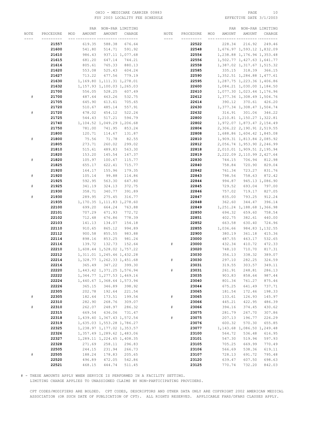#### OHIO – MEDICARE CARRIER 00883 PAGE 10<br>
FSY 2003 LOCALITY FEE SCHEDULE FOR THE SERIE PATE 3/1/2003 FSY 2003 LOCALITY FEE SCHEDULE

|      |           | PAR           |                               | NON-PAR LIMITING |      |           |     | PAR      |                               | NON-PAR LIMITING |
|------|-----------|---------------|-------------------------------|------------------|------|-----------|-----|----------|-------------------------------|------------------|
| NOTE | PROCEDURE | AMOUNT<br>MOD | AMOUNT                        | CHARGE           | NOTE | PROCEDURE | MOD | AMOUNT   | AMOUNT                        | CHARGE           |
|      |           |               |                               | -- ---------     | ---- |           |     |          |                               |                  |
|      |           |               |                               |                  |      |           |     |          |                               |                  |
|      | 21557     | 619.35        | 588.38                        | 676.64           |      | 22522     |     | 228.34   | 216.92                        | 249.46           |
|      | 21600     | 541.80        | 514.71                        | 591.92           |      | 22548     |     |          | 1,676.97 1,593.12 1,832.09    |                  |
|      | 21610     | 986.43        |                               | 937.11 1,077.68  |      | 22554     |     |          | 1,238.88 1,176.94 1,353.48    |                  |
|      | 21615     | 681.20        | 647.14                        | 744.21           |      | 22556     |     |          | 1,502.77 1,427.63 1,641.77    |                  |
|      | 21616     | 805.61        | 765.33                        | 880.13           |      | 22558     |     |          | 1,387.02 1,317.67 1,515.32    |                  |
|      | 21620     | 553.08        | 525.43                        | 604.24           |      | 22585     |     |          | 335.15 318.39                 | 366.15           |
|      | 21627     | 713.22        | 677.56                        | 779.19           |      | 22590     |     |          | 1, 352.51 1, 284.88 1, 477.61 |                  |
|      |           |               |                               |                  |      |           |     |          |                               |                  |
|      | 21630     |               | 1,169.80 1,111.31 1,278.01    |                  |      | 22595     |     |          | 1,287.75 1,223.36 1,406.86    |                  |
|      | 21632     |               | 1, 157.93 1, 100.03 1, 265.03 |                  |      | 22600     |     |          | 1,084.21 1,030.00 1,184.50    |                  |
|      | 21700     | 556.05        | 528.25                        | 607.49           |      | 22610     |     |          | 1,077.30 1,023.44 1,176.96    |                  |
| #    | 21700     | 487.64        | 463.26                        | 532.75           |      | 22612     |     |          | 1,377.36 1,308.49 1,504.76    |                  |
|      | 21705     | 645.90        | 613.61                        | 705.65           |      | 22614     |     |          | 390.12 370.61                 | 426.20           |
|      | 21720     | 510.67        | 485.14                        | 557.91           |      | 22630     |     |          | 1,377.34 1,308.47 1,504.74    |                  |
| #    | 21720     | 478.02        | 454.12                        | 522.24           |      | 22632     |     |          | 316.91 301.06                 | 346.22           |
|      | 21725     | 544.43        | 517.21                        | 594.79           |      | 22800     |     |          | 1, 210.81 1, 150.27 1, 322.81 |                  |
|      |           |               |                               |                  |      |           |     |          |                               |                  |
|      | 21740     |               | 1, 104.52 1, 049.29 1, 206.68 |                  |      | 22802     |     |          | 1,972.07 1,873.47 2,154.49    |                  |
|      | 21750     | 781.00        | 741.95                        | 853.24           |      | 22804     |     |          | 2,306.22 2,190.91 2,519.55    |                  |
|      | 21800     | 120.71        | 114.67                        | 131.87           |      | 22808     |     |          | 1,688.86 1,604.42 1,845.08    |                  |
| #    | 21800     | 75.56         | 71.78                         | 82.55            |      | 22810     |     |          | 1,909.31 1,813.84 2,085.92    |                  |
|      | 21805     | 273.71        | 260.02                        | 299.02           |      | 22812     |     |          | 2,056.74 1,953.90 2,246.99    |                  |
|      | 21810     | 515.61        | 489.83                        | 563.30           |      | 22818     |     |          | 2,010.01 1,909.51 2,195.94    |                  |
|      | 21820     | 153.20        | 145.54                        | 167.37           |      | 22819     |     |          | 2, 222.09 2, 110.99 2, 427.64 |                  |
| $\#$ | 21820     | 105.97        | 100.67                        | 115.77           |      | 22830     |     | 744.15   | 706.94                        | 812.98           |
|      |           |               |                               |                  |      |           |     |          | 720.90                        |                  |
|      | 21825     | 655.17        | 622.41                        | 715.77           |      | 22840     |     | 758.84   |                               | 829.04           |
|      | 21920     | 164.17        | 155.96                        | 179.35           |      | 22842     |     | 761.34   | 723.27                        | 831.76           |
| $\#$ | 21920     | 105.14        | 99.88                         | 114.86           |      | 22843     |     | 798.56   | 758.63                        | 872.42           |
|      | 21925     | 592.95        | 563.30                        | 647.80           |      | 22844     |     | 994.87   |                               | 945.13 1,086.90  |
| $\#$ | 21925     | 341.19        | 324.13                        | 372.75           |      | 22845     |     | 729.52   | 693.04                        | 797.00           |
|      | 21930     | 358.71        | 340.77                        | 391.89           |      | 22846     |     | 757.02   | 719.17                        | 827.05           |
| $\#$ | 21930     | 289.95        | 275.45                        | 316.77           |      | 22847     |     | 835.00   | 793.25                        | 912.24           |
|      | 21935     |               | 1, 170.35 1, 111.83 1, 278.60 |                  |      | 22848     |     | 362.60   | 344.47                        | 396.14           |
|      | 22100     | 699.20        | 664.24                        | 763.88           |      | 22849     |     |          | 1, 251.24 1, 188.68 1, 366.98 |                  |
|      | 22101     | 707.29        | 671.93                        | 772.72           |      | 22850     |     | 694.32   | 659.60                        | 758.54           |
|      | 22102     | 712.48        | 676.86                        | 778.39           |      | 22851     |     | 402.75   | 382.61                        | 440.00           |
|      |           |               |                               |                  |      |           |     |          |                               |                  |
|      | 22103     | 141.13        | 134.07                        | 154.18           |      | 22852     |     | 663.58   | 630.40                        | 724.96           |
|      | 22110     | 910.65        | 865.12                        | 994.89           |      | 22855     |     | 1,036.66 |                               | 984.83 1,132.55  |
|      | 22112     | 900.58        | 855.55                        | 983.88           |      | 22900     |     | 380.19   | 361.18                        | 415.36           |
|      | 22114     | 898.16        | 853.25                        | 981.24           |      | 23000     |     | 487.55   | 463.17                        | 532.65           |
|      | 22116     | 139.72        | 132.73                        | 152.64           | $\#$ | 23000     |     | 432.34   | 410.72                        | 472.33           |
|      | 22210     |               | 1,608.44 1,528.02 1,757.22    |                  |      | 23020     |     | 748.10   | 710.70                        | 817.31           |
|      | 22212     |               | 1, 311.01 1, 245.46 1, 432.28 |                  |      | 23030     |     | 356.13   | 338.32                        | 389.07           |
|      | 22214     |               | 1,328.77 1,262.33 1,451.68    |                  | #    | 23030     |     | 297.10   | 282.25                        | 324.59           |
|      | 22216     | 365.49        | 347.22                        | 399.30           |      | 23031     |     | 319.55   | 303.57                        | 349.11           |
|      | 22220     |               | 1, 443.42 1, 371.25 1, 576.94 |                  | #    | 23031     |     | 261.91   | 248.81                        | 286.13           |
|      | 22222     |               | 1,344.77 1,277.53 1,469.16    |                  |      | 23035     |     | 903.83   | 858.64                        | 987.44           |
|      |           |               |                               |                  |      | 23040     |     |          |                               |                  |
|      | 22224     |               | 1,440.67 1,368.64 1,573.94    |                  |      |           |     | 801.34   | 761.27                        | 875.46           |
|      | 22226     | 365.15        | 346.89                        | 398.92           |      | 23044     |     | 675.25   | 641.49                        | 737.71           |
|      | 22305     | 202.78        | 192.64                        | 221.54           |      | 23065     |     | 181.54   | 172.46                        | 198.33           |
| $\#$ | 22305     | 182.64        | 173.51                        | 199.54           | $\#$ | 23065     |     | 133.61   | 126.93                        | 145.97           |
|      | 22310     | 282.90        | 268.76                        | 309.07           |      | 23066     |     | 445.21   | 422.95                        | 486.39           |
| $\#$ | 22310     | 262.07        | 248.97                        | 286.32           | $\#$ | 23066     |     | 394.16   | 374.45                        | 430.62           |
|      | 22315     | 669.54        | 636.06                        | 731.47           |      | 23075     |     | 281.79   | 267.70                        | 307.86           |
|      | 22318     |               | 1,439.40 1,367.43 1,572.54    |                  | $\#$ | 23075     |     | 207.13   | 196.77                        | 226.29           |
|      | 22319     |               | 1,635.03 1,553.28 1,786.27    |                  |      | 23076     |     | 600.32   | 570.30                        | 655.85           |
|      | 22325     |               | 1, 238.97 1, 177.02 1, 353.57 |                  |      | 23077     |     |          | 1, 143.68 1, 086.50 1, 249.48 |                  |
|      | 22326     |               | 1,357.49 1,289.62 1,483.06    |                  |      | 23100     |     | 564.72   | 536.48                        | 616.95           |
|      | 22327     |               | 1,289.11 1,224.65 1,408.35    |                  |      | 23101     |     | 547.30   | 519.94                        | 597.93           |
|      |           |               |                               |                  |      |           |     |          |                               |                  |
|      | 22328     | 271.69        | 258.11                        | 296.83           |      | 23105     |     | 705.25   | 669.99                        | 770.49           |
|      | 22505     | 244.15        | 231.94                        | 266.73           |      | 23106     |     | 566.69   | 538.36                        | 619.11           |
| $\#$ | 22505     | 188.24        | 178.83                        | 205.65           |      | 23107     |     | 728.13   | 691.72                        | 795.48           |
|      | 22520     | 496.89        | 472.05                        | 542.86           |      | 23120     |     | 639.47   | 607.50                        | 698.63           |
|      | 22521     | 468.15        | 444.74                        | 511.45           |      | 23125     |     | 770.74   | 732.20                        | 842.03           |

# - THESE AMOUNTS APPLY WHEN SERVICE IS PERFORMED IN A FACILITY SETTING.

LIMITING CHARGE APPLIES TO UNASSIGNED CLAIMS BY NON-PARTICIPATING PROVIDERS.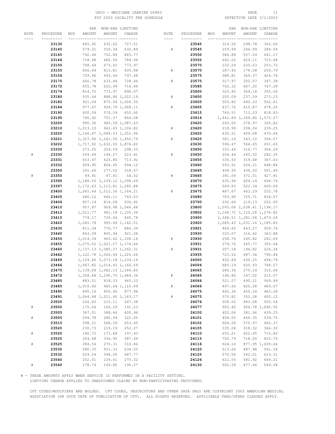#### OHIO – MEDICARE CARRIER 00883 PAGE 11<br>
FSY 2003 LOCALITY FEE SCHEDULE FOR PAGE 2/1/2003 FSY 2003 LOCALITY FEE SCHEDULE

|      |           |     | PAR      |                               | NON-PAR LIMITING |           |           |     | PAR    |                               | NON-PAR LIMITING |
|------|-----------|-----|----------|-------------------------------|------------------|-----------|-----------|-----|--------|-------------------------------|------------------|
| NOTE | PROCEDURE | MOD | AMOUNT   | AMOUNT                        | CHARGE           | NOTE      | PROCEDURE | MOD | AMOUNT | AMOUNT                        | CHARGE           |
|      |           |     |          |                               | -- ---------     | ----      |           |     |        |                               |                  |
|      | 23130     |     | 665.92   | 632.62                        | 727.51           |           | 23545     |     | 314.50 | 298.78                        | 343.60           |
|      | 23140     |     | 579.31   | 550.34                        | 632.89           | $\#$      | 23545     |     | 259.99 | 246.99                        | 284.04           |
|      | 23145     |     | 792.46   | 752.84                        | 865.77           |           | 23550     |     | 586.88 | 557.54                        | 641.17           |
|      | 23146     |     | 718.48   | 682.56                        | 784.94           |           |           |     |        | 629.11                        | 723.48           |
|      |           |     |          |                               |                  |           | 23552     |     | 662.22 |                               |                  |
|      | 23150     |     | 708.44   | 673.02                        | 773.97           |           | 23570     |     | 232.24 | 220.63                        | 253.72           |
|      | 23155     |     | 856.64   | 813.81                        | 935.88           | ${}^{\#}$ | 23570     |     | 187.45 | 178.08                        | 204.79           |
|      | 23156     |     | 729.96   | 693.46                        | 797.48           |           | 23575     |     | 388.81 | 369.37                        | 424.78           |
|      | 23170     |     | 666.78   | 633.44                        | 728.46           | $\#$      | 23575     |     | 317.97 | 302.07                        | 347.38           |
|      | 23172     |     | 655.78   | 622.99                        | 716.44           |           | 23585     |     | 702.32 | 667.20                        | 767.28           |
|      | 23174     |     | 814.70   | 773.97                        | 890.07           |           | 23600     |     | 325.45 | 309.18                        | 355.56           |
|      | 23180     |     | 935.64   |                               | 888.86 1,022.19  | ${}^{\#}$ | 23600     |     | 250.09 | 237.59                        | 273.23           |
|      | 23182     |     | 921.09   |                               | 875.04 1,006.30  |           | 23605     |     | 505.82 | 480.53                        | 552.61           |
|      | 23184     |     | 977.67   |                               | 928.79 1,068.11  | #         | 23605     |     | 437.76 | 415.87                        | 478.25           |
|      | 23190     |     | 600.09   | 570.09                        | 655.60           |           | 23615     |     | 749.51 | 712.03                        | 818.83           |
|      | 23195     |     | 790.92   | 751.37                        | 864.08           |           | 23616     |     |        | 1,441.89 1,369.80 1,575.27    |                  |
|      | 23200     |     | 995.36   |                               | 945.59 1,087.43  |           | 23620     |     | 293.65 | 278.97                        | 320.82           |
|      | 23210     |     |          | 1,013.10 962.45 1,106.82      |                  | #         | 23620     |     | 218.99 | 208.04                        | 239.25           |
|      | 23220     |     |          | 1, 146.87 1, 089.53 1, 252.96 |                  |           | 23625     |     | 430.61 | 409.08                        | 470.44           |
|      | 23221     |     |          | 1,327.96 1,261.56 1,450.79    |                  | #         | 23625     |     | 361.16 | 343.10                        | 394.57           |
|      | 23222     |     |          | 1,717.92 1,632.02 1,876.82    |                  |           | 23630     |     | 596.47 | 566.65                        | 651.65           |
|      |           |     |          |                               |                  |           |           |     |        |                               |                  |
|      | 23330     |     | 273.25   | 259.59                        | 298.53           |           | 23650     |     | 333.44 | 316.77                        | 364.29           |
| #    | 23330     |     | 204.49   | 194.27                        | 223.41           | #         | 23650     |     | 258.44 | 245.52                        | 282.35           |
|      | 23331     |     | 653.47   | 620.80                        | 713.92           |           | 23655     |     | 336.50 | 319.68                        | 367.63           |
|      | 23332     |     | 909.95   | 864.45                        | 994.12           |           | 23660     |     | 593.91 | 564.21                        | 648.84           |
|      | 23350     |     | 291.60   | 277.02                        | 318.57           |           | 23665     |     | 458.95 | 436.00                        | 501.40           |
| #    | 23350     |     | 49.91    | 47.41                         | 54.52            | #         | 23665     |     | 391.59 | 372.01                        | 427.81           |
|      | 23395     |     |          | 1, 188.55 1, 129.12 1, 298.49 |                  |           | 23670     |     | 635.94 | 604.14                        | 694.76           |
|      | 23397     |     |          | 1, 172.43 1, 113.81 1, 280.88 |                  |           | 23675     |     | 549.83 | 522.34                        | 600.69           |
|      | 23400     |     |          | 1,065.64 1,012.36 1,164.21    |                  | #         | 23675     |     | 487.67 | 463.29                        | 532.78           |
|      | 23405     |     | 680.12   |                               | 646.11 743.03    |           | 23680     |     | 763.90 | 725.71                        | 834.57           |
|      | 23406     |     | 857.14   | 814.28                        | 936.42           |           | 23700     |     | 230.66 | 219.13                        | 252.00           |
|      | 23410     |     | 957.87   |                               | 909.98 1,046.48  |           | 23800     |     |        | 1,093.06 1,038.41 1,194.17    |                  |
|      | 23412     |     | 1,011.77 |                               | 961.18 1,105.36  |           | 23802     |     |        | 1, 168.72 1, 110.28 1, 276.82 |                  |
|      | 23415     |     | 774.17   | 735.46                        | 845.78           |           | 23900     |     |        | 1,348.51 1,281.08 1,473.24    |                  |
|      | 23420     |     | 1,045.78 |                               | 993.49 1,142.51  |           | 23920     |     |        | 1,085.43 1,031.16 1,185.83    |                  |
|      | 23430     |     | 811.34   | 770.77                        | 886.39           |           | 23921     |     | 466.60 | 443.27                        | 509.76           |
|      | 23440     |     | 843.09   | 800.94                        | 921.08           |           | 23930     |     | 333.07 | 316.42                        | 363.88           |
|      | 23450     |     | 1,014.34 |                               | 963.62 1,108.16  | #         | 23930     |     | 258.76 | 245.82                        | 282.69           |
|      | 23455     |     |          | 1,075.02 1,021.27 1,174.46    |                  |           | 23931     |     | 279.76 | 265.77                        | 305.64           |
|      | 23460     |     |          | 1, 137.13 1, 080.27 1, 242.31 |                  | #         | 23931     |     | 207.18 | 196.82                        | 226.34           |
|      | 23462     |     |          | 1, 122.78 1, 066.64 1, 226.64 |                  |           | 23935     |     | 723.52 | 687.34                        | 790.44           |
|      |           |     |          | 1, 129.66 1, 073.18 1, 234.16 |                  |           |           |     |        |                               |                  |
|      | 23465     |     |          |                               |                  |           | 24000     |     | 452.89 | 430.25                        | 494.79           |
|      | 23466     |     |          | 1,067.82 1,014.43 1,166.59    |                  |           | 24006     |     | 685.19 | 650.93                        | 748.57           |
|      | 23470     |     |          | 1, 139.08 1, 082.13 1, 244.45 |                  |           | 24065     |     | 284.36 | 270.14                        | 310.66           |
|      | 23472     |     |          | 1,358.68 1,290.75 1,484.36    |                  | $\#$      | 24065     |     | 196.86 | 187.02                        | 215.07           |
|      | 23480     |     | 883.51   | 839.33                        | 965.23           |           | 24066     |     | 521.27 | 495.21                        | 569.49           |
|      | 23485     |     | 1,016.46 |                               | 965.64 1,110.49  | $\#$      | 24066     |     | 447.66 | 425.28                        | 489.07           |
|      | 23490     |     | 895.16   | 850.40                        | 977.96           |           | 24075     |     | 442.36 | 420.24                        | 483.28           |
|      | 23491     |     |          | 1,064.68 1,011.45 1,163.17    |                  | $\#$      | 24075     |     | 370.82 | 352.28                        | 405.12           |
|      | 23500     |     | 226.43   | 215.11                        | 247.38           |           | 24076     |     | 508.50 | 483.08                        | 555.54           |
| $\#$ | 23500     |     | 175.04   | 166.29                        | 191.23           |           | 24077     |     | 952.40 |                               | 904.78 1,040.50  |
|      | 23505     |     | 367.01   | 348.66                        | 400.96           |           | 24100     |     | 402.06 | 381.96                        | 439.25           |
| $\#$ | 23505     |     | 294.78   | 280.04                        | 322.05           |           | 24101     |     | 494.05 | 469.35                        | 539.75           |
|      | 23515     |     | 598.31   | 568.39                        | 653.65           |           | 24102     |     | 606.28 | 575.97                        | 662.37           |
|      | 23520     |     | 230.73   | 219.19                        | 252.07           |           | 24105     |     | 335.28 | 318.52                        | 366.30           |
| $\#$ | 23520     |     | 180.72   | 171.68                        | 197.43           |           | 24110     |     | 655.21 | 622.45                        | 715.82           |
|      | 23525     |     | 354.68   | 336.95                        | 387.49           |           | 24115     |     | 755.79 | 718.00                        | 825.70           |
| $\#$ | 23525     |     | 284.54   | 270.31                        | 310.86           |           | 24116     |     | 924.16 |                               | 877.95 1,009.64  |
|      | 23530     |     | 580.35   | 551.33                        | 634.03           |           | 24120     |     | 513.66 | 487.98                        | 561.18           |
|      | 23532     |     | 629.54   | 598.06                        | 687.77           |           | 24125     |     | 570.54 | 542.01                        | 623.31           |
|      | 23540     |     | 252.01   | 239.41                        | 275.32           |           | 24126     |     | 612.55 | 581.92                        | 669.21           |
| $\#$ | 23540     |     | 178.74   | 169.80                        | 195.27           |           | 24130     |     | 502.59 | 477.46                        | 549.08           |
|      |           |     |          |                               |                  |           |           |     |        |                               |                  |

# - THESE AMOUNTS APPLY WHEN SERVICE IS PERFORMED IN A FACILITY SETTING.

LIMITING CHARGE APPLIES TO UNASSIGNED CLAIMS BY NON-PARTICIPATING PROVIDERS.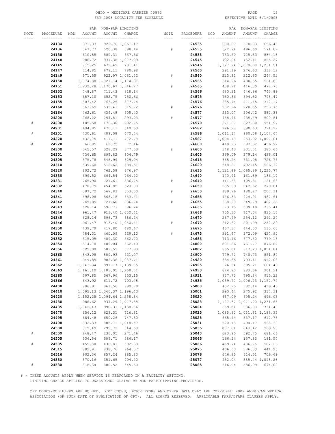#### OHIO – MEDICARE CARRIER 00883 PAGE 12<br>
FSY 2003 LOCALITY FEE SCHEDULE FOR THE SERIE SOME PAGE 3/1/2003 FSY 2003 LOCALITY FEE SCHEDULE

|      |           |     | PAR      |                               | NON-PAR LIMITING |           |           |     | PAR      |                               | NON-PAR LIMITING |
|------|-----------|-----|----------|-------------------------------|------------------|-----------|-----------|-----|----------|-------------------------------|------------------|
| NOTE | PROCEDURE | MOD | AMOUNT   | AMOUNT                        | CHARGE           | NOTE      | PROCEDURE | MOD | AMOUNT   | AMOUNT                        | CHARGE           |
|      | --------- |     |          | __ _________ ________         |                  | $- - - -$ | --------- |     |          |                               |                  |
|      | 24134     |     | 971.33   |                               | 922.76 1,061.17  |           | 24535     |     | 600.87   | 570.83                        | 656.45           |
|      | 24136     |     | 547.77   | 520.38                        | 598.44           | $\#$      | 24535     |     | 522.74   | 496.60                        | 571.09           |
|      | 24138     |     | 610.85   | 580.31                        | 667.36           |           | 24538     |     | 763.50   | 725.33                        | 834.13           |
|      | 24140     |     | 986.72   |                               | 937.38 1,077.99  |           | 24545     |     | 792.01   | 752.41                        | 865.27           |
|      | 24145     |     | 715.25   | 679.49                        | 781.41           |           | 24546     |     |          | 1, 127.24 1, 070.88 1, 231.51 |                  |
|      | 24147     |     | 714.85   | 679.11                        | 780.98           |           | 24560     |     | 291.19   | 276.63                        | 318.12           |
|      | 24149     |     | 971.55   |                               | 922.97 1,061.42  | #         | 24560     |     | 223.82   | 212.63                        | 244.52           |
|      | 24150     |     |          | 1,074.88 1,021.14 1,174.31    |                  |           | 24565     |     | 514.26   | 488.55                        | 561.83           |
|      | 24151     |     |          | 1, 232.28 1, 170.67 1, 346.27 |                  | $\#$      | 24565     |     | 438.21   | 416.30                        | 478.75           |
|      | 24152     |     | 748.87   | 711.43                        | 818.14           |           | 24566     |     | 680.91   | 646.86                        | 743.89           |
|      | 24153     |     | 687.10   | 652.75                        | 750.66           |           | 24575     |     | 730.86   | 694.32                        | 798.47           |
|      | 24155     |     | 803.42   | 763.25                        | 877.74           |           | 24576     |     | 285.74   | 271.45                        | 312.17           |
|      | 24160     |     | 563.59   | 535.41                        | 615.72           | #         | 24576     |     | 232.26   | 220.65                        | 253.75           |
|      | 24164     |     | 462.61   | 439.48                        | 505.40           |           | 24577     |     | 533.07   | 506.42                        | 582.38           |
|      | 24200     |     | 268.22   | 254.81                        | 293.03           | #         | 24577     |     | 458.41   | 435.49                        | 500.81           |
| #    |           |     | 185.58   | 176.30                        | 202.75           |           |           |     |          |                               |                  |
|      | 24200     |     |          |                               |                  |           | 24579     |     | 871.37   | 827.80                        | 951.97           |
|      | 24201     |     | 494.85   | 470.11                        | 540.63           |           | 24582     |     | 726.98   | 690.63                        | 794.22           |
| #    | 24201     |     | 430.61   | 409.08                        | 470.44           |           | 24586     |     | 1,011.14 |                               | 960.58 1,104.67  |
|      | 24220     |     | 432.75   | 411.11                        | 472.78           |           | 24587     |     | 1,004.13 |                               | 953.92 1,097.01  |
| #    | 24220     |     | 66.05    | 62.75                         | 72.16            |           | 24600     |     | 418.23   | 397.32                        | 456.92           |
|      | 24300     |     | 345.57   | 328.29                        | 377.53           | #         | 24600     |     | 348.43   | 331.01                        | 380.66           |
|      | 24301     |     | 736.65   | 699.82                        | 804.79           |           | 24605     |     | 399.09   | 379.14                        | 436.01           |
|      | 24305     |     | 575.78   | 546.99                        | 629.04           |           | 24615     |     | 665.24   | 631.98                        | 726.78           |
|      | 24310     |     | 539.60   | 512.62                        | 589.51           |           | 24620     |     | 518.37   | 492.45                        | 566.32           |
|      | 24320     |     | 802.72   | 762.58                        | 876.97           |           | 24635     |     |          | 1, 121.99 1, 065.89 1, 225.77 |                  |
|      | 24330     |     | 699.52   | 664.54                        | 764.22           |           | 24640     |     | 170.41   | 161.89                        | 186.17           |
|      | 24331     |     | 765.90   | 727.61                        | 836.75           | #         | 24640     |     | 111.38   | 105.81                        | 121.68           |
|      | 24332     |     | 478.79   | 454.85                        | 523.08           |           | 24650     |     | 255.39   | 242.62                        | 279.01           |
|      | 24340     |     | 597.72   | 567.83                        | 653.00           | #         | 24650     |     | 189.76   | 180.27                        | 207.31           |
|      | 24341     |     | 598.08   | 568.18                        | 653.41           |           | 24655     |     | 446.33   | 424.01                        | 487.61           |
|      | 24342     |     | 765.89   | 727.60                        | 836.74           | #         | 24655     |     | 368.20   | 349.79                        | 402.26           |
|      | 24343     |     | 628.14   | 596.73                        | 686.24           |           | 24665     |     | 673.15   | 639.49                        | 735.41           |
|      | 24344     |     | 961.47   |                               | 913.40 1,050.41  |           | 24666     |     | 755.30   | 717.54                        | 825.17           |
|      | 24345     |     | 628.14   | 596.73                        | 686.24           |           | 24670     |     | 267.49   | 254.12                        | 292.24           |
|      | 24346     |     | 961.47   |                               | 913.40 1,050.41  | #         | 24670     |     | 212.62   | 201.99                        | 232.29           |
|      | 24350     |     | 439.79   | 417.80                        | 480.47           |           | 24675     |     | 467.37   | 444.00                        | 510.60           |
|      | 24351     |     | 484.31   | 460.09                        | 529.10           | $\#$      | 24675     |     | 391.67   | 372.09                        | 427.90           |
|      | 24352     |     | 515.05   | 489.30                        | 562.70           |           | 24685     |     | 713.16   | 677.50                        | 779.13           |
|      | 24354     |     | 514.78   | 489.04                        | 562.40           |           | 24800     |     | 801.86   | 761.77                        | 876.04           |
|      | 24356     |     | 529.00   | 502.55                        | 577.93           |           | 24802     |     | 965.51   |                               | 917.23 1,054.81  |
|      | 24360     |     | 843.08   | 800.93                        | 921.07           |           | 24900     |     | 779.72   | 740.73                        | 851.84           |
|      | 24361     |     | 949.85   |                               | 902.36 1,037.71  |           | 24920     |     | 834.85   | 793.11                        | 912.08           |
|      | 24362     |     | 1,043.34 |                               | 991.17 1,139.85  |           | 24925     |     | 626.54   | 595.21                        | 684.49           |
|      | 24363     |     |          | 1, 161.10 1, 103.05 1, 268.51 |                  |           | 24930     |     | 824.90   | 783.66                        | 901.21           |
|      | 24365     |     | 597.85   | 567.96                        | 653.15           |           | 24931     |     | 837.73   | 795.84                        | 915.22           |
|      | 24366     |     | 643.92   | 611.72                        | 703.48           |           | 24935     |     |          | 1,059.72 1,006.73 1,157.74    |                  |
|      | 24400     |     | 906.91   | 861.56                        | 990.79           |           | 25000     |     | 402.25   | 382.14                        | 439.46           |
|      | 24410     |     |          | 1,095.13 1,040.37 1,196.43    |                  |           | 25001     |     | 290.44   | 275.92                        | 317.31           |
|      | 24420     |     |          | 1, 152.25 1, 094.64 1, 258.84 |                  |           | 25020     |     | 637.09   | 605.24                        | 696.03           |
|      | 24430     |     | 986.62   |                               | 937.29 1,077.88  |           | 25023     |     |          | 1, 127.37 1, 071.00 1, 231.65 |                  |
|      | 24435     |     | 1,042.43 |                               | 990.31 1,138.86  |           | 25024     |     | 669.51   | 636.03                        | 731.43           |
|      | 24470     |     | 656.12   | 623.31                        | 716.81           |           | 25025     |     |          | 1,085.90 1,031.61 1,186.35    |                  |
|      | 24495     |     | 684.48   | 650.26                        | 747.80           |           | 25028     |     | 565.44   | 537.17                        | 617.75           |
|      | 24498     |     | 932.33   |                               | 885.71 1,018.57  |           | 25031     |     | 520.18   | 494.17                        | 568.30           |
|      | 24500     |     | 315.49   | 299.72                        | 344.68           |           | 25035     |     | 887.81   | 843.42                        | 969.93           |
| $\#$ | 24500     |     | 248.47   | 236.05                        | 271.46           |           | 25040     |     | 623.95   | 592.75                        | 681.66           |
|      | 24505     |     | 536.54   | 509.71                        | 586.17           |           | 25065     |     | 166.14   | 157.83                        | 181.50           |
| $\#$ | 24505     |     | 459.80   | 436.81                        | 502.33           |           | 25066     |     | 459.74   | 436.75                        | 502.26           |
|      | 24515     |     | 882.91   | 838.76                        | 964.57           |           | 25075     |     | 406.63   | 386.30                        | 444.25           |
|      | 24516     |     | 902.36   | 857.24                        | 985.83           |           | 25076     |     | 646.85   | 614.51                        | 706.69           |
|      | 24530     |     | 370.16   | 351.65                        | 404.40           |           | 25077     |     | 932.04   |                               | 885.44 1,018.26  |
| #    | 24530     |     | 316.34   | 300.52                        | 345.60           |           | 25085     |     | 616.94   | 586.09                        | 674.00           |

# - THESE AMOUNTS APPLY WHEN SERVICE IS PERFORMED IN A FACILITY SETTING.

LIMITING CHARGE APPLIES TO UNASSIGNED CLAIMS BY NON-PARTICIPATING PROVIDERS.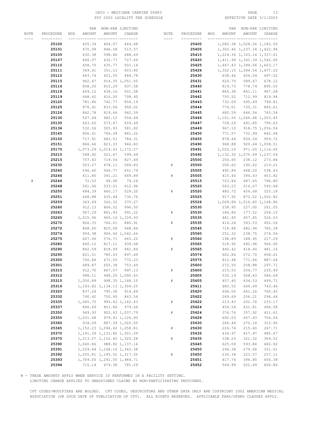#### OHIO – MEDICARE CARRIER 00883 PAGE 13<br>
FSY 2003 LOCALITY FEE SCHEDULE FOR PAGE 2/1/2003 FSY 2003 LOCALITY FEE SCHEDULE

|      |           |               | PAR NON-PAR LIMITING          |                  |       |           |     | PAR      |                               | NON-PAR LIMITING |
|------|-----------|---------------|-------------------------------|------------------|-------|-----------|-----|----------|-------------------------------|------------------|
| NOTE | PROCEDURE | MOD<br>AMOUNT | AMOUNT                        | CHARGE           | NOTE  | PROCEDURE | MOD | AMOUNT   | AMOUNT                        | CHARGE           |
|      | --------- |               | ___ _________ ._______        |                  | $---$ | --------- |     |          | --- --------- ----------      |                  |
|      | 25100     | 425.34        | 404.07                        | 464.68           |       | 25400     |     |          | 1,082.38 1,028.26 1,182.50    |                  |
|      | 25101     | 470.08        | 446.58                        | 513.57           |       | 25405     |     |          | 1,302.46 1,237.34 1,422.94    |                  |
|      | 25105     | 630.38        | 598.86                        | 688.69           |       | 25415     |     |          | 1, 224.36 1, 163.14 1, 337.61 |                  |
|      | 25107     | 666.07        | 632.77                        | 727.69           |       | 25420     |     |          | 1, 411.99 1, 341.39 1, 542.60 |                  |
|      | 25110     | 458.70        | 435.77                        | 501.14           |       | 25425     |     |          | 1,467.43 1,394.06 1,603.17    |                  |
|      |           |               |                               |                  |       |           |     |          |                               |                  |
|      | 25111     | 369.61        | 351.13                        | 403.80           |       | 25426     |     |          | 1, 352.15 1, 284.54 1, 477.22 |                  |
|      | 25112     | 443.74        | 421.55                        | 484.78           |       | 25430     |     | 638.46   | 606.54                        | 697.52           |
|      | 25115     | 962.47        |                               | 914.35 1,051.50  |       | 25431     |     | 620.70   | 589.67                        | 678.12           |
|      | 25116     | 858.20        | 815.29                        | 937.58           |       | 25440     |     | 819.73   | 778.74                        | 895.55           |
|      | 25118     | 459.12        | 436.16                        | 501.58           |       | 25441     |     | 885.38   | 841.11                        | 967.28           |
|      | 25119     | 648.42        | 616.00                        | 708.40           |       | 25442     |     | 750.52   | 712.99                        | 819.94           |
|      | 25120     | 781.86        | 742.77                        | 854.19           |       | 25443     |     | 732.09   | 695.49                        | 799.81           |
|      | 25125     | 876.91        | 833.06                        | 958.02           |       | 25444     |     | 774.01   | 735.31                        | 845.61           |
|      | 25126     | 862.78        | 819.64                        | 942.59           |       | 25445     |     | 680.59   | 646.56                        | 743.54           |
|      | 25130     | 507.49        | 482.12                        | 554.44           |       | 25446     |     |          | 1, 101.56 1, 046.48 1, 203.45 |                  |
|      | 25135     | 603.65        | 573.47                        | 659.49           |       | 25447     |     | 728.26   | 691.85                        | 795.63           |
|      | 25136     | 532.56        | 505.93                        | 581.82           |       | 25449     |     | 967.10   |                               | 918.75 1,056.56  |
|      | 25145     | 806.61        | 766.28                        | 881.22           |       | 25450     |     | 771.57   |                               | 732.99 842.94    |
|      | 25150     | 717.91        | 682.01                        | 784.31           |       | 25455     |     | 878.46   | 834.54                        | 959.72           |
|      | 25151     | 866.66        | 823.33                        | 946.83           |       | 25490     |     | 968.88   |                               | 920.44 1,058.51  |
|      | 25170     |               | 1,073.29 1,019.63 1,172.57    |                  |       | 25491     |     | 1,022.10 |                               | 971.00 1,116.65  |
|      | 25210     | 548.92        | 521.47                        | 599.69           |       | 25492     |     |          | 1, 132.30 1, 075.69 1, 237.04 |                  |
|      | 25215     | 757.43        | 719.56                        | 827.49           |       | 25500     |     | 250.65   | 238.12                        | 273.84           |
|      | 25230     | 503.27        | 478.11                        | 549.83           | #     | 25500     |     | 200.65   | 190.62                        | 219.21           |
|      | 25240     | 596.60        | 566.77                        | 651.79           |       | 25505     |     | 492.84   | 468.20                        | 538.43           |
|      | 25246     | 411.80        | 391.21                        | 449.89           | $\#$  | 25505     |     | 415.40   | 394.63                        | 453.82           |
| $\#$ | 25246     | 72.53         | 68.90                         | 79.24            |       | 25515     |     | 723.84   | 687.65                        | 790.80           |
|      | 25248     | 561.06        | 533.01                        | 612.96           |       | 25520     |     | 543.23   | 516.07                        | 593.48           |
|      | 25250     | 484.39        | 460.17                        | 529.20           | $\#$  | 25520     |     | 480.72   | 456.68                        | 525.18           |
|      | 25251     | 668.88        | 635.44                        | 730.76           |       | 25525     |     | 917.92   |                               | 872.02 1,002.82  |
|      | 25259     |               |                               |                  |       |           |     |          |                               |                  |
|      |           | 343.49        | 326.32                        | 375.27           |       | 25526     |     |          | 1,069.89 1,016.40 1,168.86    |                  |
|      | 25260     | 912.13        | 866.52                        | 996.50           |       | 25530     |     | 238.95   | 227.00                        | 261.05           |
|      | 25263     | 907.29        | 861.93                        | 991.22           | $\#$  | 25530     |     | 186.86   | 177.52                        | 204.15           |
|      | 25265     | 1,015.96      |                               | 965.16 1,109.93  |       | 25535     |     | 481.95   | 457.85                        | 526.53           |
|      | 25270     | 806.33        | 766.01                        | 880.91           | $\#$  | 25535     |     | 414.24   | 393.53                        | 452.56           |
|      | 25272     | 868.50        | 825.08                        | 948.84           |       | 25545     |     | 718.88   | 682.94                        | 785.38           |
|      | 25274     | 954.38        |                               | 906.66 1,042.66  |       | 25560     |     | 251.32   | 238.75                        | 274.56           |
|      | 25275     | 607.06        | 576.71                        | 663.22           | $\#$  | 25560     |     | 198.89   | 188.95                        | 217.29           |
|      | 25280     | 860.12        | 817.11                        | 939.68           |       | 25565     |     | 518.90   | 492.96                        | 566.90           |
|      | 25290     | 862.09        | 818.99                        | 941.84           | $\#$  | 25565     |     | 440.42   | 418.40                        | 481.16           |
|      | 25295     | 821.51        | 780.43                        | 897.49           |       | 25574     |     | 602.84   | 572.70                        | 658.61           |
|      | 25300     | 706.84        | 671.50                        | 772.23           |       | 25575     |     | 812.48   | 771.86                        | 887.64           |
|      | 25301     | 689.87        | 655.38                        | 753.69           |       | 25600     |     | 272.50   | 258.88                        | 297.71           |
|      | 25310     | 912.70        | 867.07                        | 997.13           | #     | 25600     |     | 215.55   | 204.77                        | 235.49           |
|      | 25312     | 998.11        |                               | 948.20 1,090.43  |       | 25605     |     | 535.19   | 508.43                        | 584.69           |
|      | 25315     | 1,050.89      |                               | 998.35 1,148.10  | $\#$  | 25605     |     | 457.40   | 434.53                        | 499.71           |
|      | 25316     |               | 1, 193.82 1, 134.13 1, 304.25 |                  |       | 25611     |     | 680.52   | 646.49                        | 743.46           |
|      | 25320     | 837.24        | 795.38                        | 914.69           |       | 25620     |     | 696.06   | 661.26                        | 760.45           |
|      | 25332     | 790.42        | 750.90                        | 863.54           |       | 25622     |     | 269.69   | 256.21                        | 294.64           |
|      | 25335     | 1,045.70      |                               | 993.42 1,142.43  | $\#$  | 25622     |     | 213.43   | 202.76                        | 233.17           |
|      | 25337     | 896.69        | 851.86                        | 979.64           |       | 25624     |     | 454.54   | 431.81                        | 496.58           |
|      | 25350     | 949.93        |                               | 902.43 1,037.79  | $\#$  | 25624     |     | 376.76   | 357.92                        | 411.61           |
|      | 25355     | 1,031.48      |                               | 979.91 1, 126.90 |       | 25628     |     | 692.03   | 657.43                        | 756.04           |
|      | 25360     | 934.09        |                               | 887.39 1,020.50  |       | 25630     |     | 286.46   | 272.14                        | 312.96           |
|      | 25365     |               | 1, 152.23 1, 094.62 1, 258.81 |                  | $\#$  | 25630     |     | 226.74   | 215.40                        | 247.71           |
|      | 25370     |               | 1, 191.39 1, 131.82 1, 301.59 |                  |       | 25635     |     | 439.97   | 417.97                        | 480.67           |
|      | 25375     |               | 1, 213.07 1, 152.42 1, 325.28 |                  | $\#$  | 25635     |     | 338.23   | 321.32                        | 369.52           |
|      | 25390     |               | 1,040.86 988.82 1,137.14      |                  |       | 25645     |     | 625.09   | 593.84                        | 682.92           |
|      | 25391     |               | 1,229.64 1,168.16 1,343.38    |                  |       | 25650     |     | 294.38   | 279.66                        | 321.61           |
|      | 25392     |               | 1,205.81 1,145.52 1,317.35    |                  | $\#$  | 25650     |     | 235.34   | 223.57                        | 257.11           |
|      | 25393     |               | 1,359.00 1,291.05 1,484.71    |                  |       | 25651     |     | 417.74   | 396.85                        | 456.38           |
|      | 25394     | 715.14        | 679.38                        | 781.29           |       | 25652     |     | 549.99   | 522.49                        | 600.86           |

# - THESE AMOUNTS APPLY WHEN SERVICE IS PERFORMED IN A FACILITY SETTING.

LIMITING CHARGE APPLIES TO UNASSIGNED CLAIMS BY NON-PARTICIPATING PROVIDERS.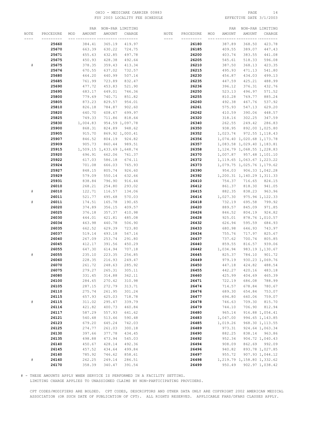#### OHIO - MEDICARE CARRIER 00883 PAGE 14 FSY 2003 LOCALITY FEE SCHEDULE

|      |           |     | PAR      |                            | NON-PAR LIMITING |           |           |     | PAR      |                               | NON-PAR LIMITING |
|------|-----------|-----|----------|----------------------------|------------------|-----------|-----------|-----|----------|-------------------------------|------------------|
| NOTE | PROCEDURE | MOD | AMOUNT   | AMOUNT                     | CHARGE           | NOTE      | PROCEDURE | MOD | AMOUNT   | AMOUNT                        | CHARGE           |
|      |           |     |          |                            | -- ---------     | $- - - -$ | --------- |     |          |                               |                  |
|      | 25660     |     | 384.41   | 365.19                     | 419.97           |           | 26180     |     | 387.89   | 368.50                        | 423.78           |
|      |           |     | 663.39   |                            |                  |           |           |     |          |                               |                  |
|      | 25670     |     |          | 630.22                     | 724.75           |           | 26185     |     | 409.55   | 389.07                        | 447.43           |
|      | 25671     |     | 455.63   | 432.85                     | 497.78           |           | 26200     |     | 403.74   | 383.55                        | 441.08           |
|      | 25675     |     | 450.93   | 428.38                     | 492.64           |           | 26205     |     | 545.61   | 518.33                        | 596.08           |
| #    | 25675     |     | 378.35   | 359.43                     | 413.34           |           | 26210     |     | 387.50   | 368.13                        | 423.35           |
|      | 25676     |     | 670.55   | 637.02                     | 732.57           |           | 26215     |     | 495.93   | 471.13                        | 541.80           |
|      | 25680     |     | 464.20   | 440.99                     | 507.14           |           | 26230     |     | 456.87   | 434.03                        | 499.13           |
|      | 25685     |     | 761.99   | 723.89                     | 832.47           |           | 26235     |     | 447.59   | 425.21                        | 488.99           |
|      | 25690     |     | 477.72   | 453.83                     | 521.90           |           | 26236     |     | 396.12   | 376.31                        | 432.76           |
|      | 25695     |     | 683.17   | 649.01                     | 746.36           |           | 26250     |     | 523.13   | 496.97                        | 571.52           |
|      | 25800     |     | 779.69   | 740.71                     | 851.82           |           | 26255     |     | 810.28   | 769.77                        | 885.24           |
|      | 25805     |     | 873.23   | 829.57                     | 954.01           |           | 26260     |     | 492.38   | 467.76                        | 537.92           |
|      | 25810     |     | 826.18   | 784.87                     | 902.60           |           | 26261     |     | 575.93   | 547.13                        | 629.20           |
|      | 25820     |     | 640.70   | 608.67                     | 699.97           |           | 26262     |     | 410.59   | 390.06                        | 448.57           |
|      | 25825     |     | 749.33   | 711.86                     | 818.64           |           | 26320     |     | 318.16   | 302.25                        | 347.59           |
|      | 25830     |     | 1,004.83 |                            | 954.59 1,097.78  |           | 26340     |     | 262.55   | 249.42                        | 286.83           |
|      |           |     |          |                            |                  |           |           |     |          |                               |                  |
|      | 25900     |     | 868.31   | 824.89                     | 948.62           |           | 26350     |     | 938.95   |                               | 892.00 1,025.80  |
|      | 25905     |     | 915.70   |                            | 869.92 1,000.41  |           | 26352     |     |          | 1,023.74 972.55 1,118.43      |                  |
|      | 25907     |     | 846.52   | 804.19                     | 924.82           |           | 26356     |     |          | 1,074.40 1,020.68 1,173.78    |                  |
|      | 25909     |     | 905.73   | 860.44                     | 989.51           |           | 26357     |     |          | 1,083.58 1,029.40 1,183.81    |                  |
|      | 25915     |     |          | 1,509.15 1,433.69 1,648.74 |                  |           | 26358     |     |          | 1, 124.79 1, 068.55 1, 228.83 |                  |
|      | 25920     |     | 696.91   | 662.06                     | 761.37           |           | 26370     |     |          | 1,007.87 957.48 1,101.10      |                  |
|      | 25922     |     | 617.03   | 586.18                     | 674.11           |           | 26372     |     |          | 1, 119.65 1, 063.67 1, 223.22 |                  |
|      | 25924     |     | 701.08   | 666.03                     | 765.93           |           | 26373     |     |          | 1,079.75 1,025.76 1,179.62    |                  |
|      | 25927     |     | 848.15   | 805.74                     | 926.60           |           | 26390     |     | 954.03   |                               | 906.33 1,042.28  |
|      | 25929     |     | 579.09   | 550.14                     | 632.66           |           | 26392     |     |          | 1,200.31 1,140.29 1,311.33    |                  |
|      | 25931     |     | 838.84   | 796.90                     | 916.44           |           | 26410     |     | 754.37   | 716.65                        | 824.15           |
|      | 26010     |     | 268.21   | 254.80                     | 293.02           |           | 26412     |     | 861.37   | 818.30                        | 941.05           |
| $\#$ | 26010     |     | 122.71   | 116.57                     | 134.06           |           | 26415     |     | 882.35   | 838.23                        | 963.96           |
|      | 26011     |     | 521.77   | 495.68                     | 570.03           |           | 26416     |     | 1,027.30 |                               | 975.94 1,122.33  |
| $\#$ | 26011     |     | 174.51   | 165.78                     | 190.65           |           | 26418     |     | 732.19   | 695.58                        | 799.92           |
|      | 26020     |     |          |                            |                  |           | 26420     |     | 889.57   | 845.09                        | 971.85           |
|      |           |     | 374.89   | 356.15                     | 409.57           |           |           |     |          |                               |                  |
|      | 26025     |     | 376.18   | 357.37                     | 410.98           |           | 26426     |     | 846.52   | 804.19                        | 924.82           |
|      | 26030     |     | 444.01   | 421.81                     | 485.08           |           | 26428     |     | 925.01   |                               | 878.76 1,010.57  |
|      | 26034     |     | 463.98   | 440.78                     | 506.90           |           | 26432     |     | 626.94   | 595.59                        | 684.93           |
|      | 26035     |     | 662.52   | 629.39                     | 723.80           |           | 26433     |     | 680.98   | 646.93                        | 743.97           |
|      | 26037     |     | 519.14   | 493.18                     | 567.16           |           | 26434     |     | 755.76   | 717.97                        | 825.67           |
|      | 26040     |     | 267.09   | 253.74                     | 291.80           |           | 26437     |     | 737.62   | 700.74                        | 805.85           |
|      | 26045     |     | 412.17   | 391.56                     | 450.29           |           | 26440     |     | 859.55   | 816.57                        | 939.06           |
|      | 26055     |     | 647.30   | 614.94                     | 707.18           |           | 26442     |     | 1,034.94 |                               | 983.19 1,130.67  |
| $\#$ | 26055     |     | 235.10   | 223.35                     | 256.85           |           | 26445     |     | 825.37   | 784.10                        | 901.72           |
|      | 26060     |     | 228.35   | 216.93                     | 249.47           |           | 26449     |     | 979.19   |                               | 930.23 1,069.76  |
|      | 26070     |     | 261.72   | 248.63                     | 285.92           |           | 26450     |     | 447.18   | 424.82                        | 488.54           |
|      | 26075     |     | 279.27   | 265.31                     | 305.11           |           | 26455     |     | 442.27   | 420.16                        | 483.18           |
|      | 26080     |     | 331.45   | 314.88                     | 362.11           |           | 26460     |     | 425.99   | 404.69                        | 465.39           |
|      | 26100     |     | 284.65   | 270.42                     | 310.98           |           | 26471     |     | 722.19   | 686.08                        | 788.99           |
|      | 26105     |     | 287.15   | 272.79                     | 313.71           |           | 26474     |     | 714.57   | 678.84                        | 780.67           |
|      | 26110     |     | 275.74   | 261.95                     | 301.24           |           | 26476     |     | 689.30   | 654.84                        | 753.07           |
|      | 26115     |     | 657.93   | 625.03                     | 718.78           |           | 26477     |     | 694.80   | 660.06                        | 759.07           |
| $\#$ | 26115     |     | 311.02   | 295.47                     | 339.79           |           | 26478     |     | 746.63   | 709.30                        | 815.70           |
|      | 26116     |     | 421.82   | 400.73                     | 460.84           |           | 26479     |     | 744.10   | 706.90                        | 812.94           |
|      |           |     |          |                            |                  |           |           |     |          |                               |                  |
|      | 26117     |     | 587.29   | 557.93                     | 641.62           |           | 26480     |     | 965.14   |                               | 916.88 1,054.41  |
|      | 26121     |     | 540.48   | 513.46                     | 590.48           |           | 26483     |     | 1,047.00 |                               | 994.65 1,143.85  |
|      | 26123     |     | 679.20   | 645.24                     | 742.03           |           | 26485     |     | 1,019.26 |                               | 968.30 1, 113.55 |
|      | 26125     |     | 274.77   | 261.03                     | 300.18           |           | 26489     |     | 973.31   |                               | 924.64 1,063.34  |
|      | 26130     |     | 397.66   | 377.78                     | 434.45           |           | 26490     |     | 882.25   | 838.14                        | 963.86           |
|      | 26135     |     | 498.88   | 473.94                     | 545.03           |           | 26492     |     | 952.34   |                               | 904.72 1,040.43  |
|      | 26140     |     | 450.67   | 428.14                     | 492.36           |           | 26494     |     | 908.09   | 862.69                        | 992.09           |
|      | 26145     |     | 457.52   | 434.64                     | 499.84           |           | 26496     |     | 940.82   |                               | 893.78 1,027.85  |
|      | 26160     |     | 785.92   | 746.62                     | 858.61           |           | 26497     |     | 955.72   |                               | 907.93 1,044.12  |
| $\#$ | 26160     |     | 262.25   | 249.14                     | 286.51           |           | 26498     |     |          | 1, 219.79 1, 158.80 1, 332.62 |                  |
|      | 26170     |     | 358.39   | 340.47                     | 391.54           |           | 26499     |     | 950.49   |                               | 902.97 1,038.42  |

# - THESE AMOUNTS APPLY WHEN SERVICE IS PERFORMED IN A FACILITY SETTING.

LIMITING CHARGE APPLIES TO UNASSIGNED CLAIMS BY NON-PARTICIPATING PROVIDERS.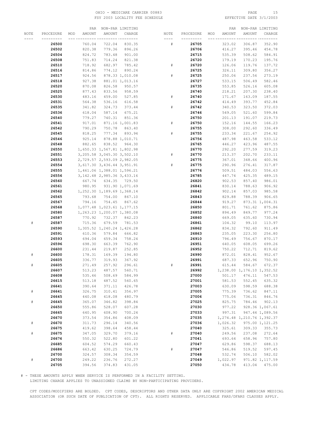#### OHIO – MEDICARE CARRIER 00883 PAGE 15<br>
FSY 2003 LOCALITY FEE SCHEDULE FSY 2003 LOCALITY FEE SCHEDULE FSY 2003 LOCALITY FEE SCHEDULE

|           |           |     | PAR    |                                  | NON-PAR LIMITING |             |           |     | PAR      |                            | NON-PAR LIMITING              |
|-----------|-----------|-----|--------|----------------------------------|------------------|-------------|-----------|-----|----------|----------------------------|-------------------------------|
| NOTE      | PROCEDURE | MOD | AMOUNT | AMOUNT                           | CHARGE           | NOTE        | PROCEDURE | MOD | AMOUNT   | AMOUNT                     | CHARGE                        |
|           |           |     |        |                                  | -- ---------     | ----        | -----     |     |          |                            |                               |
|           | 26500     |     | 760.04 | 722.04                           | 830.35           | #           | 26705     |     | 323.02   | 306.87                     | 352.90                        |
|           | 26502     |     | 820.38 | 779.36                           | 896.26           |             | 26706     |     | 416.27   | 395.46                     | 454.78                        |
|           | 26504     |     | 824.72 | 783.48                           |                  |             | 26715     |     |          |                            |                               |
|           |           |     |        |                                  | 901.00           |             |           |     | 535.39   | 508.62                     | 584.91                        |
|           | 26508     |     | 751.83 | 714.24                           | 821.38           |             | 26720     |     | 179.19   | 170.23                     | 195.76                        |
|           | 26510     |     | 718.92 | 682.97                           | 785.42           | ${}^{\#}$   | 26720     |     | 126.06   | 119.76                     | 137.72                        |
|           | 26516     |     | 814.86 | 774.12                           | 890.24           |             | 26725     |     | 326.11   | 309.80                     | 356.27                        |
|           | 26517     |     | 924.56 |                                  | 878.33 1,010.08  | #           | 26725     |     | 250.06   | 237.56                     | 273.19                        |
|           | 26518     |     | 927.38 |                                  | 881.01 1,013.16  |             | 26727     |     | 533.15   | 506.49                     | 582.46                        |
|           | 26520     |     | 870.08 | 826.58                           | 950.57           |             | 26735     |     | 553.85   | 526.16                     | 605.08                        |
|           | 26525     |     | 877.43 | 833.56                           | 958.59           |             | 26740     |     | 218.21   | 207.30                     | 238.40                        |
|           | 26530     |     | 483.16 | 459.00                           | 527.85           | #           | 26740     |     | 171.67   | 163.09                     | 187.55                        |
|           | 26531     |     | 564.38 | 536.16                           | 616.58           |             | 26742     |     | 414.49   | 393.77                     | 452.84                        |
|           | 26535     |     | 341.82 | 324.73                           | 373.44           | $_{\rm \#}$ | 26742     |     | 340.53   | 323.50                     | 372.03                        |
|           | 26536     |     | 618.04 | 587.14                           | 675.21           |             | 26746     |     | 549.05   | 521.60                     | 599.84                        |
|           | 26540     |     | 779.27 | 740.31                           | 851.36           |             | 26750     |     | 201.13   | 191.07                     | 219.73                        |
|           | 26541     |     | 917.01 |                                  | 871.16 1,001.83  | #           | 26750     |     | 152.16   | 144.55                     | 166.23                        |
|           | 26542     |     | 790.29 | 750.78                           | 863.40           |             | 26755     |     | 308.00   | 292.60                     | 336.49                        |
|           | 26545     |     | 818.25 | 777.34                           | 893.94           | #           | 26755     |     | 233.34   | 221.67                     | 254.92                        |
|           | 26546     |     | 925.14 |                                  | 878.88 1,010.71  |             | 26756     |     | 487.98   | 463.58                     | 533.12                        |
|           |           |     |        | 838.52                           |                  |             |           |     |          |                            |                               |
|           | 26548     |     | 882.65 |                                  | 964.30           |             | 26765     |     | 446.27   | 423.96                     | 487.55                        |
|           | 26550     |     |        | 1,650.33 1,567.81 1,802.98       |                  |             | 26770     |     | 292.20   | 277.59                     | 319.23                        |
|           | 26551     |     |        | 3,205.58 3,045.30 3,502.10       |                  | #           | 26770     |     | 213.37   | 202.70                     | 233.11                        |
|           | 26553     |     |        | 2,729.57 2,593.09 2,982.05       |                  |             | 26775     |     | 367.01   | 348.66                     | 400.96                        |
|           | 26554     |     |        | 3, 617.30 3, 436.44 3, 951.91    |                  | ${}^{\#}$   | 26775     |     | 290.96   | 276.41                     | 317.87                        |
|           | 26555     |     |        | 1,461.06 1,388.01 1,596.21       |                  |             | 26776     |     | 509.51   | 484.03                     | 556.63                        |
|           | 26556     |     |        | 3, 142. 48 2, 985. 36 3, 433. 16 |                  |             | 26785     |     | 447.74   | 425.35                     | 489.15                        |
|           | 26560     |     | 667.74 |                                  | 634.35 729.50    |             | 26820     |     | 902.53   | 857.40                     | 986.01                        |
|           | 26561     |     | 980.95 |                                  | 931.90 1,071.69  |             | 26841     |     | 830.14   | 788.63                     | 906.92                        |
|           | 26562     |     |        | 1, 252.30 1, 189.69 1, 368.14    |                  |             | 26842     |     | 902.14   | 857.03                     | 985.58                        |
|           | 26565     |     | 793.68 | 754.00                           | 867.10           |             | 26843     |     | 829.88   | 788.39                     | 906.65                        |
|           | 26567     |     | 794.16 | 754.45                           | 867.62           |             | 26844     |     | 919.27   |                            | 873.31 1,004.31               |
|           | 26568     |     |        | 1,077.48 1,023.61 1,177.15       |                  |             | 26850     |     | 801.71   | 761.62                     | 875.86                        |
|           | 26580     |     |        | 1,263.23 1,200.07 1,380.08       |                  |             | 26852     |     | 894.49   | 849.77                     | 977.24                        |
|           | 26587     |     | 770.92 | 732.37                           | 842.23           |             | 26860     |     | 669.05   | 635.60                     | 730.94                        |
| #         | 26587     |     | 715.36 | 679.59                           | 781.53           |             | 26861     |     | 104.32   | 99.10                      | 113.97                        |
|           | 26590     |     |        | 1,305.52 1,240.24 1,426.28       |                  |             | 26862     |     | 834.32   | 792.60                     | 911.49                        |
|           | 26591     |     | 610.36 | 579.84                           | 666.82           |             | 26863     |     | 235.05   | 223.30                     | 256.80                        |
|           | 26593     |     | 694.04 | 659.34                           | 758.24           |             | 26910     |     | 796.49   | 756.67                     | 870.17                        |
|           | 26596     |     | 698.30 | 663.39                           | 762.90           |             | 26951     |     | 640.05   | 608.05                     | 699.26                        |
|           | 26600     |     | 231.44 | 219.87                           | 252.85           |             | 26952     |     | 750.22   | 712.71                     | 819.62                        |
| ${}^{\#}$ | 26600     |     | 178.31 | 169.39                           | 194.80           |             | 26990     |     | 872.01   | 828.41                     | 952.67                        |
|           | 26605     |     | 336.77 | 319.93                           | 367.92           |             | 26991     |     | 687.33   | 652.96                     | 750.90                        |
| #         | 26605     |     | 271.49 | 257.92                           | 296.61           | #           | 26991     |     | 615.44   | 584.67                     | 672.37                        |
|           | 26607     |     | 513.23 | 487.57                           | 560.71           |             | 26992     |     |          | 1,238.00 1,176.10 1,352.52 |                               |
|           | 26608     |     | 535.46 | 508.69                           | 584.99           |             | 27000     |     | 501.17   | 476.11                     | 547.53                        |
|           |           |     |        |                                  |                  |             |           |     |          |                            | 635.32                        |
|           | 26615     |     | 513.18 | 487.52                           | 560.65           |             | 27001     |     | 581.53   | 552.45                     |                               |
|           | 26641     |     | 390.64 | 371.11                           | 426.78           |             | 27003     |     | 630.09   | 598.59                     | 688.38                        |
| $\#$      | 26641     |     | 326.75 | 310.41                           | 356.97           |             | 27005     |     | 775.39   | 736.62                     | 847.11                        |
|           | 26645     |     | 440.08 | 418.08                           | 480.79           |             | 27006     |     | 775.06   | 736.31                     | 846.76                        |
| $\#$      | 26645     |     | 365.07 | 346.82                           | 398.84           |             | 27025     |     | 825.75   | 784.46                     | 902.13                        |
|           | 26650     |     | 555.86 | 528.07                           | 607.28           |             | 27030     |     | 977.22   |                            | 928.36 1,067.61               |
|           | 26665     |     | 640.95 | 608.90                           | 700.24           |             | 27033     |     | 997.31   |                            | 947.44 1,089.56               |
|           | 26670     |     | 373.54 | 354.86                           | 408.09           |             | 27035     |     |          |                            | 1, 274.48 1, 210.76 1, 392.37 |
| $\#$      | 26670     |     | 311.73 | 296.14                           | 340.56           |             | 27036     |     | 1,026.32 |                            | 975.00 1,121.25               |
|           | 26675     |     | 419.62 | 398.64                           | 458.44           |             | 27040     |     | 325.61   | 309.33                     | 355.73                        |
| $\#$      | 26675     |     | 347.05 | 329.70                           | 379.16           | $\#$        | 27040     |     | 249.56   | 237.08                     | 272.64                        |
|           | 26676     |     | 550.32 | 522.80                           | 601.22           |             | 27041     |     | 693.64   | 658.96                     | 757.80                        |
|           | 26685     |     | 604.52 | 574.29                           | 660.43           |             | 27047     |     | 629.86   | 598.37                     | 688.13                        |
|           | 26686     |     | 663.42 | 630.25                           | 724.79           | $\#$        | 27047     |     | 546.86   | 519.52                     | 597.45                        |
|           | 26700     |     | 324.57 | 308.34                           | 354.59           |             | 27048     |     | 532.74   | 506.10                     | 582.02                        |
| $\#$      | 26700     |     | 249.22 | 236.76                           | 272.27           |             | 27049     |     | 1,022.97 |                            | 971.82 1, 117.59              |
|           | 26705     |     | 394.56 | 374.83                           | 431.05           |             | 27050     |     | 434.78   | 413.04                     | 475.00                        |

# - THESE AMOUNTS APPLY WHEN SERVICE IS PERFORMED IN A FACILITY SETTING.

LIMITING CHARGE APPLIES TO UNASSIGNED CLAIMS BY NON-PARTICIPATING PROVIDERS.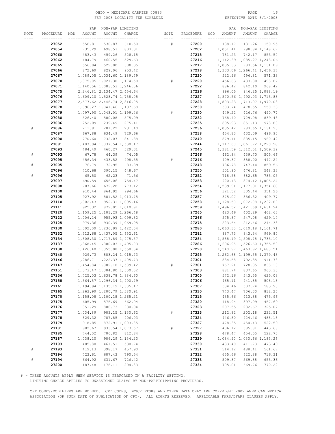#### OHIO – MEDICARE CARRIER 00883 PAGE 16<br>
FSY 2003 LOCALITY FEE SCHEDULE FSY 2003 LOCALITY FEE SCHEDULE FSY 2003 LOCALITY FEE SCHEDULE

|      |           | PAR           |                               | NON-PAR LIMITING |      |           |     | PAR              |                                                          | NON-PAR LIMITING |
|------|-----------|---------------|-------------------------------|------------------|------|-----------|-----|------------------|----------------------------------------------------------|------------------|
| NOTE | PROCEDURE | AMOUNT<br>MOD | AMOUNT                        | CHARGE           | NOTE | PROCEDURE | MOD | AMOUNT           | AMOUNT                                                   | CHARGE           |
|      |           |               |                               |                  | ---- |           |     |                  |                                                          |                  |
|      | 27052     | 558.81        | 530.87                        | 610.50           | #    | 27200     |     | 138.17           | 131.26                                                   | 150.95           |
|      | 27054     | 735.29        | 698.53                        | 803.31           |      | 27202     |     | 1,051.41         |                                                          | 998.84 1,148.67  |
|      | 27060     | 483.43        | 459.26                        |                  |      | 27215     |     | 781.23           |                                                          | 742.17 853.50    |
|      |           |               |                               | 528.15           |      |           |     |                  |                                                          |                  |
|      | 27062     | 484.79        | 460.55                        | 529.63           |      | 27216     |     |                  | 1, 142.39 1, 085.27 1, 248.06                            |                  |
|      | 27065     | 556.84        | 529.00                        | 608.35           |      | 27217     |     | 1,035.33         |                                                          | 983.56 1,131.09  |
|      | 27066     | 872.69        | 829.06                        | 953.42           |      | 27218     |     |                  | 1,333.06 1,266.41 1,456.37                               |                  |
|      | 27067     |               | 1,089.05 1,034.60 1,189.79    |                  |      | 27220     |     | 522.96           | 496.81                                                   | 571.33           |
|      | 27070     |               | 1,075.05 1,021.30 1,174.50    |                  | #    | 27220     |     | 456.63           | 433.80                                                   | 498.87           |
|      | 27071     |               | 1,140.56 1,083.53 1,246.06    |                  |      | 27222     |     | 886.42           | 842.10                                                   | 968.42           |
|      | 27075     |               | 2, 246.81 2, 134.47 2, 454.64 |                  |      | 27226     |     | 996.05           |                                                          | 946.25 1,088.19  |
|      | 27076     |               | 1,609.20 1,528.74 1,758.05    |                  |      | 27227     |     |                  | 1,570.56 1,492.03 1,715.83                               |                  |
|      | 27077     |               | 2,577.62 2,448.74 2,816.05    |                  |      | 27228     |     |                  | 1,803.23 1,713.07 1,970.03                               |                  |
|      | 27078     |               | 1,096.27 1,041.46 1,197.68    |                  |      | 27230     |     | 503.74           | 478.55                                                   | 550.33           |
|      | 27079     |               | 1,097.90 1,043.01 1,199.46    |                  | #    | 27230     |     | 449.22           | 426.76                                                   | 490.77           |
|      | 27080     | 526.40        | 500.08                        | 575.09           |      | 27232     |     | 768.40           | 729.98                                                   | 839.48           |
|      | 27086     | 252.09        | 239.49                        | 275.41           |      | 27235     |     | 895.93           | 851.13                                                   | 978.80           |
| $\#$ | 27086     | 211.81        | 201.22                        | 231.40           |      | 27236     |     | 1,035.42         |                                                          | 983.65 1,131.20  |
|      | 27087     | 667.88        | 634.49                        | 729.66           |      | 27238     |     | 454.83           | 432.09                                                   | 496.90           |
|      | 27090     | 770.60        | 732.07                        | 841.88           |      | 27240     |     | 879.11           | 835.15                                                   | 960.42           |
|      | 27091     |               | 1,407.94 1,337.54 1,538.17    |                  |      | 27244     |     |                  | 1, 117.60 1, 061.72 1, 220.98                            |                  |
|      | 27093     | 484.49        | 460.27                        | 529.31           |      | 27245     |     |                  | 1,381.59 1,312.51 1,509.39                               |                  |
| $\#$ | 27093     | 67.78         | 64.39                         | 74.05            |      | 27246     |     | 462.84           | 439.70                                                   | 505.66           |
|      | 27095     | 456.34        | 433.52                        | 498.55           | #    | 27246     |     | 409.37           | 388.90                                                   | 447.24           |
| $\#$ | 27095     | 76.79         | 72.95                         | 83.89            |      | 27248     |     | 786.78           | 747.44                                                   | 859.56           |
|      | 27096     | 410.68        | 390.15                        | 448.67           |      | 27250     |     | 501.90           | 476.81                                                   | 548.33           |
| $\#$ | 27096     | 65.50         | 62.23                         | 71.56            |      | 27252     |     | 718.58           | 682.65                                                   | 785.05           |
|      | 27097     | 690.59        | 656.06                        | 754.47           |      | 27253     |     | 920.13           |                                                          | 874.12 1,005.24  |
|      | 27098     | 707.66        | 672.28                        | 773.12           |      | 27254     |     |                  | 1,239.91 1,177.91 1,354.60                               |                  |
|      | 27100     | 910.44        | 864.92                        | 994.66           |      | 27256     |     | 321.52           | 305.44                                                   | 351.26           |
|      | 27105     | 927.92        |                               | 881.52 1,013.75  |      | 27257     |     | 375.07           | 356.32                                                   | 409.77           |
|      | 27110     | 1,002.43      |                               | 952.31 1,095.16  |      | 27258     |     |                  | 1, 128.50 1, 072.08 1, 232.89                            |                  |
|      | 27111     | 925.32        |                               | 879.05 1,010.91  |      | 27259     |     |                  | 1,496.52 1,421.69 1,634.94                               |                  |
|      | 27120     |               | 1, 159.25 1, 101.29 1, 266.48 |                  |      | 27265     |     | 423.46           | 402.29                                                   | 462.63           |
|      | 27122     | 1,006.24      |                               | 955.93 1,099.32  |      | 27266     |     |                  |                                                          |                  |
|      | 27125     | 979.36        |                               | 930.39 1,069.95  |      | 27275     |     | 575.87<br>223.64 | 547.08<br>212.46                                         | 629.14<br>244.33 |
|      | 27130     |               | 1,302.09 1,236.99 1,422.54    |                  |      | 27280     |     |                  |                                                          |                  |
|      |           |               |                               |                  |      | 27282     |     | 887.73           | 1,063.35 1,010.18 1,161.71<br>843.34                     | 969.84           |
|      | 27132     |               | 1,512.68 1,437.05 1,652.61    |                  |      |           |     |                  |                                                          |                  |
|      | 27134     |               | 1,808.30 1,717.89 1,975.57    |                  |      | 27284     |     |                  | 1,588.19 1,508.78 1,735.10<br>1,606.95 1,526.60 1,755.59 |                  |
|      | 27137     |               | 1,368.45 1,300.03 1,495.03    |                  |      | 27286     |     |                  |                                                          |                  |
|      | 27138     |               | 1,426.40 1,355.08 1,558.34    |                  |      | 27290     |     |                  | 1,540.97 1,463.92 1,683.51                               |                  |
|      | 27140     |               | 929.73 883.24 1,015.73        |                  |      | 27295     |     |                  | 1, 262.68 1, 199.55 1, 379.48                            |                  |
|      | 27146     |               | 1,286.71 1,222.37 1,405.73    |                  |      | 27301     |     | 834.58           | 792.85                                                   | 911.78           |
|      | 27147     |               | 1,454.84 1,382.10 1,589.42    |                  | #    | 27301     |     | 767.21           | 728.85                                                   | 838.18           |
|      | 27151     |               | 1,373.47 1,304.80 1,500.52    |                  |      | 27303     |     | 881.74           | 837.65                                                   | 963.30           |
|      | 27156     |               | 1,725.03 1,638.78 1,884.60    |                  |      | 27305     |     | 572.16           | 543.55                                                   | 625.08           |
|      | 27158     |               | 1,364.57 1,296.34 1,490.79    |                  |      | 27306     |     | 465.11           | 441.85                                                   | 508.13           |
|      | 27161     |               | 1, 194.94 1, 135.19 1, 305.47 |                  |      | 27307     |     | 534.46           | 507.74                                                   | 583.90           |
|      | 27165     |               | 1,263.99 1,200.79 1,380.91    |                  |      | 27310     |     | 743.47           | 706.30                                                   | 812.25           |
|      | 27170     |               | 1, 158.08 1, 100.18 1, 265.21 |                  |      | 27315     |     | 435.66           | 413.88                                                   | 475.96           |
|      | 27175     | 605.99        | 575.69                        | 662.04           |      | 27320     |     | 418.94           | 397.99                                                   | 457.69           |
|      | 27176     | 851.29        | 808.73                        | 930.04           |      | 27323     |     | 297.55           | 282.67                                                   | 325.07           |
|      | 27177     | 1,034.89      |                               | 983.15 1,130.62  | $\#$ | 27323     |     | 212.82           | 202.18                                                   | 232.51           |
|      | 27178     | 829.32        | 787.85                        | 906.03           |      | 27324     |     | 446.80           | 424.46                                                   | 488.13           |
|      | 27179     | 918.85        |                               | 872.91 1,003.85  |      | 27327     |     | 478.35           | 454.43                                                   | 522.59           |
|      | 27181     | 982.67        |                               | 933.54 1,073.57  | $\#$ | 27327     |     | 406.12           | 385.81                                                   | 443.68           |
|      | 27185     | 744.02        | 706.82                        | 812.84           |      | 27328     |     | 478.47           | 454.55                                                   | 522.73           |
|      | 27187     | 1,038.20      |                               | 986.29 1,134.23  |      | 27329     |     |                  | 1,084.90 1,030.66 1,185.26                               |                  |
|      | 27193     | 485.80        | 461.51                        | 530.74           |      | 27330     |     | 433.40           | 411.73                                                   | 473.49           |
| $\#$ | 27193     | 419.13        | 398.17                        | 457.90           |      | 27331     |     | 514.12           | 488.41                                                   | 561.67           |
|      | 27194     | 723.61        | 687.43                        | 790.54           |      | 27332     |     | 655.66           | 622.88                                                   | 716.31           |
| $\#$ | 27194     | 664.92        | 631.67                        | 726.42           |      | 27333     |     | 599.87           | 569.88                                                   | 655.36           |
|      | 27200     | 187.48        | 178.11                        | 204.83           |      | 27334     |     | 705.01           | 669.76                                                   | 770.22           |

# - THESE AMOUNTS APPLY WHEN SERVICE IS PERFORMED IN A FACILITY SETTING.

LIMITING CHARGE APPLIES TO UNASSIGNED CLAIMS BY NON-PARTICIPATING PROVIDERS.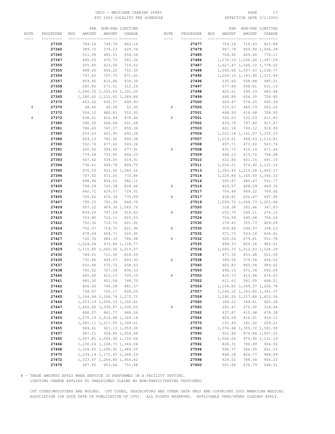#### OHIO – MEDICARE CARRIER 00883 PAGE 17<br>
FSY 2003 LOCALITY FEE SCHEDULE FOR THE SERIE PATE 3/1/2003 FSY 2003 LOCALITY FEE SCHEDULE

|      |           | PAR           |                               | NON-PAR LIMITING |           |           |     | PAR      |                               | NON-PAR LIMITING |
|------|-----------|---------------|-------------------------------|------------------|-----------|-----------|-----|----------|-------------------------------|------------------|
| NOTE | PROCEDURE | AMOUNT<br>MOD | AMOUNT                        | CHARGE           | NOTE      | PROCEDURE | MOD | AMOUNT   | AMOUNT                        | CHARGE           |
|      | --------- |               |                               | -- ---------     | $- - - -$ | --------- |     |          |                               |                  |
|      | 27335     | 789.16        | 749.70                        | 862.16           |           | 27477     |     | 754.14   | 716.43                        | 823.89           |
|      | 27340     | 389.72        | 370.23                        | 425.76           |           | 27479     |     | 957.79   |                               | 909.90 1,046.39  |
|      | 27345     | 511.06        | 485.51                        | 558.34           |           | 27485     |     | 704.90   | 669.66                        | 770.11           |
|      | 27347     | 495.53        | 470.75                        | 541.36           |           | 27486     |     |          | 1,270.10 1,206.60 1,387.59    |                  |
|      |           |               |                               |                  |           |           |     |          |                               |                  |
|      | 27350     | 655.85        | 623.06                        | 716.52           |           | 27487     |     |          | 1,627.47 1,546.10 1,778.02    |                  |
|      | 27355     | 688.65        | 654.22                        | 752.35           |           | 27488     |     |          | 1,060.66 1,007.63 1,158.77    |                  |
|      | 27356     | 797.63        | 757.75                        | 871.41           |           | 27495     |     |          | 1,204.10 1,143.90 1,315.49    |                  |
|      | 27357     | 859.85        | 816.86                        | 939.39           |           | 27496     |     | 535.66   | 508.88                        | 585.21           |
|      | 27358     | 285.80        | 271.51                        | 312.24           |           | 27497     |     | 577.69   | 548.81                        | 631.13           |
|      | 27360     |               | 1,090.35 1,035.83 1,191.20    |                  |           | 27498     |     | 625.61   | 594.33                        | 683.48           |
|      | 27365     |               | 1,180.65 1,121.62 1,289.86    |                  |           | 27499     |     | 690.89   | 656.35                        | 754.80           |
|      | 27370     | 453.02        | 430.37                        | 494.93           |           | 27500     |     | 604.47   | 574.25                        | 660.39           |
| #    | 27370     | 48.46         | 46.04                         | 52.95            | #         | 27500     |     | 515.57   | 489.79                        | 563.26           |
|      | 27372     | 506.12        | 480.81                        | 552.93           |           | 27501     |     | 648.93   | 616.48                        | 708.95           |
|      | 27372     | 438.41        | 416.49                        | 478.96           | #         | 27501     |     | 560.03   | 532.03                        | 611.83           |
|      | 27380     | 596.50        | 566.68                        | 651.68           |           | 27502     |     | 839.79   | 797.80                        | 917.47           |
|      | 27381     | 786.60        | 747.27                        | 859.36           |           | 27503     |     | 841.18   | 799.12                        | 918.99           |
|      | 27385     | 633.63        | 601.95                        | 692.24           |           | 27506     |     |          | 1, 222.18 1, 161.07 1, 335.23 |                  |
|      | 27386     | 824.13        | 782.92                        | 900.36           |           | 27507     |     | 1,019.51 |                               | 968.53 1, 113.81 |
|      | 27390     | 502.76        | 477.62                        | 549.26           |           | 27508     |     | 497.71   | 472.82                        | 543.74           |
|      | 27391     | 620.52        | 589.49                        | 677.91           | #         | 27508     |     | 431.73   | 410.14                        | 471.66           |
|      | 27392     |               |                               |                  |           | 27509     |     | 648.13   |                               | 708.08           |
|      |           | 774.58        | 735.85                        | 846.23           |           |           |     |          | 615.72                        |                  |
|      | 27393     | 567.42        | 539.05                        | 619.91           |           | 27510     |     | 632.80   | 601.16                        | 691.33           |
|      | 27394     | 736.61        | 699.78                        | 804.75           |           | 27511     |     | 1,026.21 | 974.90 1,121.14               |                  |
|      | 27395     | 970.55        |                               | 922.02 1,060.32  |           | 27513     |     |          | 1, 283.45 1, 219.28 1, 402.17 |                  |
|      | 27396     | 707.42        | 672.05                        | 772.86           |           | 27514     |     |          | 1,226.84 1,165.50 1,340.33    |                  |
|      | 27397     | 898.96        | 854.01                        | 982.11           |           | 27516     |     | 505.97   | 480.67                        | 552.77           |
|      | 27400     | 758.29        | 720.38                        | 828.44           | #         | 27516     |     | 429.57   | 408.09                        | 469.30           |
|      | 27403     | 662.71        | 629.57                        | 724.01           | #         | 27517     |     | 704.44   | 669.22                        | 769.60           |
|      | 27405     | 705.62        | 670.34                        | 770.89           |           | 27517     |     | 638.81   | 606.87                        | 697.90           |
|      | 27407     | 795.15        | 755.39                        | 868.70           |           | 27519     |     |          | 1,099.72 1,044.73 1,201.44    |                  |
|      | 27409     | 957.22        |                               | 909.36 1,045.76  |           | 27520     |     | 318.38   | 302.46                        | 347.83           |
|      | 27418     | 839.20        | 797.24                        | 916.83           | #         | 27520     |     | 252.75   | 240.11                        | 276.13           |
|      | 27420     | 753.80        | 716.11                        | 823.53           |           | 27524     |     | 726.99   | 690.64                        | 794.24           |
|      | 27422     | 752.32        | 714.70                        | 821.91           |           | 27530     |     | 374.45   | 355.73                        | 409.09           |
|      | 27424     | 752.37        | 714.75                        | 821.96           | #         | 27530     |     | 309.86   | 294.37                        | 338.53           |
|      | 27425     | 478.64        | 454.71                        | 522.92           |           | 27532     |     | 571.73   | 543.14                        | 624.61           |
|      | 27427     | 720.35        | 684.33                        | 786.98           | #         | 27532     |     | 505.06   | 479.81                        | 551.78           |
|      | 27428     | 1,024.04      |                               | 972.84 1, 118.77 |           | 27535     |     | 899.33   | 854.36                        | 982.51           |
|      | 27429     |               | 1, 115.85 1, 060.06 1, 219.07 |                  |           | 27536     |     |          | 1,065.72 1,012.43 1,164.29    |                  |
|      | 27430     | 749.01        | 711.56                        | 818.29           |           | 27538     |     | 477.35   | 453.48                        | 521.50           |
|      | 27435     | 735.86        | 699.07                        | 803.93           | #         | 27538     |     | 399.56   | 379.58                        | 436.52           |
|      | 27437     | 602.86        | 572.72                        | 658.63           |           | 27540     |     | 905.83   | 860.54                        | 989.62           |
|      | 27438     | 765.52        | 727.24                        | 836.33           |           | 27550     |     | 496.15   | 471.34                        | 542.04           |
|      | 27440     | 645.40        | 613.13                        | 705.10           | $\#$      | 27550     |     | 435.73   | 413.94                        | 476.03           |
|      | 27441     | 685.30        | 651.04                        | 748.70           |           | 27552     |     | 611.63   | 581.05                        | 668.21           |
|      | 27442     | 806.93        | 766.58                        | 881.57           |           | 27556     |     |          | 1,104.60 1,049.37 1,206.78    |                  |
|      | 27443     | 758.07        | 720.17                        | 828.20           |           | 27557     |     |          | 1,246.10 1,183.80 1,361.37    |                  |
|      | 27445     |               | 1, 164.99 1, 106.74 1, 272.75 |                  |           | 27558     |     |          | 1,292.50 1,227.88 1,412.06    |                  |
|      | 27446     |               | 1,053.19 1,000.53 1,150.61    |                  |           | 27560     |     | 368.22   | 349.81                        | 402.28           |
|      | 27447     |               | 1,400.92 1,330.87 1,530.50    |                  | $\#$      | 27560     |     | 291.47   | 276.90                        | 318.44           |
|      | 27448     |               | 886.07 841.77 968.04          |                  |           | 27562     |     | 437.87   | 415.98                        | 478.38           |
|      | 27450     |               | 1,070.19 1,016.68 1,169.18    |                  |           | 27566     |     | 859.59   | 816.61                        | 939.10           |
|      | 27454     |               | 1, 281.11 1, 217.05 1, 399.61 |                  |           | 27570     |     | 191.49   | 181.92                        | 209.21           |
|      | 27455     | 969.61        |                               | 921.13 1,059.30  |           | 27580     |     |          | 1,374.44 1,305.72 1,501.58    |                  |
|      | 27457     | 967.21        |                               | 918.85 1,056.68  |           | 27590     |     | 921.94   |                               | 875.84 1,007.22  |
|      | 27465     |               | 1,057.81 1,004.92 1,155.66    |                  |           | 27591     |     | 1,026.26 |                               | 974.95 1,121.19  |
|      | 27466     |               | 1, 230.24 1, 168.73 1, 344.04 |                  |           | 27592     |     | 828.31   | 786.89                        | 904.92           |
|      | 27468     |               | 1,358.85 1,290.91 1,484.55    |                  |           | 27594     |     | 596.37   | 566.55                        | 651.53           |
|      | 27470     |               | 1, 234.14 1, 172.43 1, 348.29 |                  |           | 27596     |     | 868.18   | 824.77                        | 948.49           |
|      | 27472     |               | 1,333.47 1,266.80 1,456.82    |                  |           | 27598     |     | 829.52   | 788.04                        | 906.25           |
|      | 27475     |               | 687.85 653.46 751.48          |                  |           | 27600     |     | 501.88   | 476.79                        | 548.31           |

# - THESE AMOUNTS APPLY WHEN SERVICE IS PERFORMED IN A FACILITY SETTING.

LIMITING CHARGE APPLIES TO UNASSIGNED CLAIMS BY NON-PARTICIPATING PROVIDERS.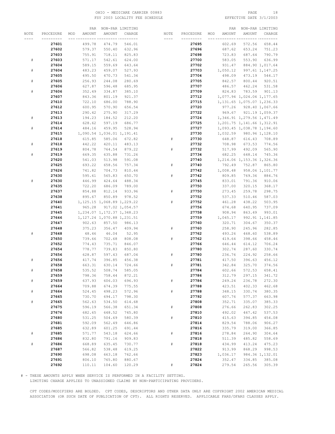#### OHIO - MEDICARE CARRIER 00883 PAGE 18 FSY 2003 LOCALITY FEE SCHEDULE

|      |           | PAR           |                                         | NON-PAR LIMITING |      |           |     | PAR      |                               | NON-PAR LIMITING |
|------|-----------|---------------|-----------------------------------------|------------------|------|-----------|-----|----------|-------------------------------|------------------|
| NOTE | PROCEDURE | AMOUNT<br>MOD | AMOUNT                                  | CHARGE           | NOTE | PROCEDURE | MOD | AMOUNT   | AMOUNT                        | CHARGE           |
|      |           |               |                                         | -- ---------     |      |           |     |          |                               |                  |
|      | 27601     | 499.78        | 474.79                                  | 546.01           |      | 27695     |     | 602.69   | 572.56                        | 658.44           |
|      | 27602     | 579.37        | 550.40                                  | 632.96           |      | 27696     |     | 687.62   | 653.24                        | 751.23           |
|      | 27603     | 755.91        | 718.11                                  | 825.83           |      | 27698     |     | 723.83   | 687.64                        | 790.79           |
| #    | 27603     | 571.17        | 542.61                                  | 624.00           |      | 27700     |     | 583.05   | 553.90                        | 636.99           |
|      |           |               | 559.69                                  |                  |      |           |     |          |                               | 884.90 1,017.64  |
|      | 27604     | 589.15        |                                         | 643.64           |      | 27702     |     | 931.47   |                               |                  |
| #    | 27604     | 483.23        | 459.07                                  | 527.93           |      | 27703     |     | 1,050.12 |                               | 997.61 1,147.25  |
|      | 27605     | 495.50        | 470.73                                  | 541.34           |      | 27704     |     | 498.09   | 473.19                        | 544.17           |
| #    | 27605     | 256.93        | 244.08                                  | 280.69           |      | 27705     |     | 842.57   | 800.44                        | 920.51           |
|      | 27606     | 627.87        | 596.48                                  | 685.95           |      | 27707     |     | 486.57   | 462.24                        | 531.58           |
| #    | 27606     | 352.49        | 334.87                                  | 385.10           |      | 27709     |     | 824.83   | 783.59                        | 901.13           |
|      | 27607     | 843.36        | 801.19                                  | 921.37           |      | 27712     |     |          | 1,077.94 1,024.04 1,177.65    |                  |
|      | 27610     | 722.10        | 686.00                                  | 788.90           |      | 27715     |     |          | 1, 131.65 1, 075.07 1, 236.33 |                  |
|      | 27612     | 600.95        | 570.90                                  | 656.54           |      | 27720     |     | 977.26   |                               | 928.40 1,067.66  |
|      | 27613     | 290.42        | 275.90                                  | 317.29           |      | 27722     |     | 969.67   |                               | 921.19 1,059.37  |
| #    | 27613     | 194.23        | 184.52                                  | 212.20           |      | 27724     |     |          | 1,346.91 1,279.56 1,471.49    |                  |
|      | 27614     | 628.62        | 597.19                                  | 686.77           |      | 27725     |     |          | 1, 201.75 1, 141.66 1, 312.91 |                  |
| $\#$ | 27614     | 484.16        | 459.95                                  | 528.94           |      | 27727     |     |          | 1,093.45 1,038.78 1,194.60    |                  |
|      | 27615     |               | 1,090.54 1,036.01 1,191.41              |                  |      | 27730     |     | 1,032.59 |                               | 980.96 1,128.10  |
|      | 27618     | 615.85        | 585.06                                  | 672.82           | #    | 27730     |     | 648.87   | 616.43                        | 708.89           |
| #    | 27618     | 442.22        | 420.11                                  | 483.13           |      | 27732     |     | 708.98   | 673.53                        | 774.56           |
|      | 27619     | 804.78        | 764.54                                  | 879.22           | #    | 27732     |     | 517.99   | 492.09                        | 565.90           |
| $\#$ | 27619     | 669.35        | 635.88                                  | 731.26           |      | 27734     |     | 682.25   | 648.14                        | 745.36           |
|      | 27620     | 541.03        | 513.98                                  | 591.08           |      | 27740     |     |          | 1,214.06 1,153.36 1,326.36    |                  |
|      | 27625     | 693.22        | 658.56                                  | 757.34           | #    | 27740     |     | 792.49   | 752.87                        | 865.80           |
|      | 27626     | 741.82        | 704.73                                  | 810.44           |      | 27742     |     | 1,008.48 |                               | 958.06 1,101.77  |
|      | 27630     | 595.61        | 565.83                                  | 650.70           | #    | 27742     |     | 809.85   | 769.36                        | 884.76           |
|      | 27630     | 446.99        | 424.64                                  | 488.34           |      | 27745     |     | 833.01   | 791.36                        | 910.06           |
|      | 27635     | 722.20        | 686.09                                  | 789.00           |      | 27750     |     | 337.00   | 320.15                        | 368.17           |
|      | 27637     | 854.88        | 812.14                                  | 933.96           | #    | 27750     |     | 273.45   | 259.78                        | 298.75           |
|      | 27638     | 895.67        | 850.89                                  | 978.52           |      | 27752     |     | 537.33   | 510.46                        | 587.03           |
|      |           |               |                                         |                  | $\#$ |           |     |          |                               | 503.95           |
|      | 27640     | 965.28        | 1, 125.15 1, 068.89 1, 229.22           |                  |      | 27752     |     | 461.28   | 438.22                        |                  |
|      | 27641     |               |                                         | 917.02 1,054.57  |      | 27756     |     | 674.68   | 640.95                        | 737.09           |
|      | 27645     |               | 1, 234.07 1, 172.37 1, 348.23           |                  |      | 27758     |     | 908.94   | 863.49                        | 993.01           |
|      | 27646     |               | 1, 127.24 1, 070.88 1, 231.51<br>857.50 |                  |      | 27759     |     | 1,045.17 |                               | 992.91 1,141.85  |
|      | 27647     | 902.63        |                                         | 986.13           |      | 27760     |     | 320.71   | 304.67                        | 350.37           |
|      | 27648     | 375.23        | 356.47                                  | 409.94           | #    | 27760     |     | 258.90   | 245.96                        | 282.85           |
|      | 27648     | 48.46         | 46.04                                   | 52.95            |      | 27762     |     | 493.26   | 468.60                        | 538.89           |
|      | 27650     | 739.66        | 702.68                                  | 808.08           | $\#$ | 27762     |     | 419.64   | 398.66                        | 458.46           |
|      | 27652     | 774.43        | 735.71                                  | 846.07           |      | 27766     |     | 646.44   | 614.12                        | 706.24           |
|      | 27654     | 778.77        | 739.83                                  | 850.80           |      | 27780     |     | 302.74   | 287.60                        | 330.74           |
|      | 27656     | 628.87        | 597.43                                  | 687.04           | #    | 27780     |     | 236.76   | 224.92                        | 258.66           |
| #    | 27656     | 417.74        | 396.85                                  | 456.38           |      | 27781     |     | 417.50   | 396.63                        | 456.12           |
|      | 27658     | 663.31        | 630.14                                  | 724.66           | $\#$ | 27781     |     | 342.84   | 325.70                        | 374.56           |
|      | 27658     | 535.52        | 508.74                                  | 585.05           |      | 27784     |     | 602.66   | 572.53                        | 658.41           |
|      | 27659     | 798.36        | 758.44                                  | 872.21           |      | 27786     |     | 312.79   | 297.15                        | 341.72           |
| $\#$ | 27659     | 637.93        | 606.03                                  | 696.93           | $\#$ | 27786     |     | 249.24   | 236.78                        | 272.30           |
|      | 27664     | 709.88        | 674.39                                  | 775.55           |      | 27788     |     | 423.51   | 402.33                        | 462.68           |
| $\#$ | 27664     | 524.45        | 498.23                                  | 572.96           | $\#$ | 27788     |     | 348.15   | 330.74                        | 380.35           |
|      | 27665     | 730.70        | 694.17                                  | 798.30           |      | 27792     |     | 607.76   | 577.37                        | 663.98           |
| $\#$ | 27665     | 562.63        | 534.50                                  | 614.68           |      | 27808     |     | 352.71   | 335.07                        | 385.33           |
|      | 27675     | 596.19        | 566.38                                  | 651.34           | $\#$ | 27808     |     | 276.66   | 262.83                        | 302.25           |
|      | 27676     | 682.65        | 648.52                                  | 745.80           |      | 27810     |     | 492.02   | 467.42                        | 537.53           |
|      | 27680     | 531.25        | 504.69                                  | 580.39           | $\#$ | 27810     |     | 415.63   | 394.85                        | 454.08           |
|      | 27681     | 592.09        | 562.49                                  | 646.86           |      | 27814     |     | 829.54   | 788.06                        | 906.27           |
|      | 27685     | 632.89        | 601.25                                  | 691.44           |      | 27816     |     | 335.79   | 319.00                        | 366.85           |
| $\#$ | 27685     | 571.77        | 543.18                                  | 624.66           | $\#$ | 27816     |     | 278.84   | 264.90                        | 304.64           |
|      | 27686     | 832.80        | 791.16                                  | 909.83           |      | 27818     |     | 511.39   | 485.82                        | 558.69           |
| $\#$ | 27686     | 668.89        | 635.45                                  | 730.77           | $\#$ | 27818     |     | 434.99   | 413.24                        | 475.23           |
|      | 27687     | 566.82        | 538.48                                  | 619.25           |      | 27822     |     | 913.99   | 868.29                        | 998.53           |
|      | 27690     | 698.08        | 663.18                                  | 762.66           |      | 27823     |     | 1,036.17 |                               | 984.36 1,132.01  |
|      | 27691     | 806.10        | 765.80                                  | 880.67           |      | 27824     |     | 352.47   | 334.85                        | 385.08           |
|      | 27692     | 110.11        | 104.60                                  | 120.29           |      | 27824     |     | 279.54   | 265.56                        | 305.39           |

# - THESE AMOUNTS APPLY WHEN SERVICE IS PERFORMED IN A FACILITY SETTING.

LIMITING CHARGE APPLIES TO UNASSIGNED CLAIMS BY NON-PARTICIPATING PROVIDERS.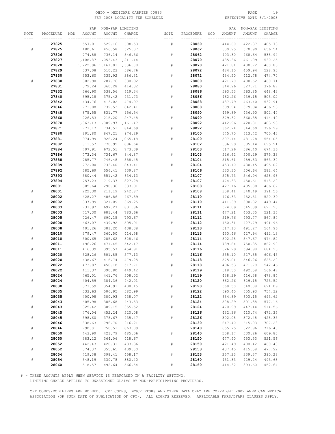#### OHIO - MEDICARE CARRIER 00883 PAGE 19 FSY 2003 LOCALITY FEE SCHEDULE

|      |           | PAR           |                            | NON-PAR LIMITING |      |           |     | PAR           |        | NON-PAR LIMITING |
|------|-----------|---------------|----------------------------|------------------|------|-----------|-----|---------------|--------|------------------|
| NOTE | PROCEDURE | AMOUNT<br>MOD | AMOUNT                     | CHARGE           | NOTE | PROCEDURE | MOD | <b>AMOUNT</b> | AMOUNT | CHARGE           |
|      |           |               |                            | -- ---------     |      |           |     |               |        |                  |
|      | 27825     | 557.01        | 529.16                     | 608.53           | $\#$ | 28060     |     | 444.60        | 422.37 | 485.73           |
| $\#$ | 27825     | 480.61        | 456.58                     | 525.07           |      | 28062     |     | 600.95        | 570.90 | 656.54           |
|      |           |               |                            |                  |      |           |     |               |        |                  |
|      | 27826     | 774.88        | 736.14                     | 846.56           | $\#$ | 28062     |     | 493.30        | 468.64 | 538.94           |
|      | 27827     |               | 1,108.87 1,053.43 1,211.44 |                  |      | 28070     |     | 485.36        | 461.09 | 530.25           |
|      | 27828     |               | 1,222.96 1,161.81 1,336.08 |                  | #    | 28070     |     | 421.81        | 400.72 | 460.83           |
|      | 27829     | 537.08        | 510.23                     | 586.76           |      | 28072     |     | 484.15        | 459.94 | 528.93           |
|      | 27830     | 353.60        | 335.92                     | 386.31           | $\#$ | 28072     |     | 434.50        | 412.78 | 474.70           |
| #    | 27830     | 302.90        | 287.76                     | 330.92           |      | 28080     |     | 421.70        | 400.62 | 460.71           |
|      | 27831     | 379.24        | 360.28                     | 414.32           | $\#$ | 28080     |     | 344.96        | 327.71 | 376.87           |
|      | 27832     | 566.90        | 538.56                     | 619.34           |      | 28086     |     | 593.53        | 563.85 | 648.43           |
|      | 27840     | 395.18        | 375.42                     | 431.73           | $\#$ | 28086     |     | 462.26        | 439.15 | 505.02           |
|      | 27842     | 434.76        | 413.02                     | 474.97           |      | 28088     |     | 487.79        | 463.40 | 532.91           |
|      | 27846     | 771.08        | 732.53                     | 842.41           | $\#$ | 28088     |     | 399.94        | 379.94 | 436.93           |
|      | 27848     | 875.55        | 831.77                     | 956.54           |      | 28090     |     | 459.89        | 436.90 | 502.44           |
|      | 27860     | 226.53        | 215.20                     | 247.48           | #    | 28090     |     | 379.32        | 360.35 | 414.40           |
|      |           |               |                            |                  |      |           |     |               |        |                  |
|      | 27870     |               | 1,063.13 1,009.97 1,161.47 |                  |      | 28092     |     | 442.96        | 420.81 | 483.93           |
|      | 27871     | 773.17        | 734.51                     | 844.69           | $\#$ | 28092     |     | 362.74        | 344.60 | 396.29           |
|      | 27880     | 891.80        | 847.21                     | 974.29           |      | 28100     |     | 645.70        | 613.42 | 705.43           |
|      | 27881     | 974.99        |                            | 926.24 1,065.18  | $\#$ | 28100     |     | 507.14        | 481.78 | 554.05           |
|      | 27882     | 811.57        | 770.99                     | 886.64           |      | 28102     |     | 636.99        | 605.14 | 695.91           |
|      | 27884     | 707.91        | 672.51                     | 773.39           |      | 28103     |     | 617.26        | 586.40 | 674.36           |
|      | 27886     | 773.34        | 734.67                     | 844.87           | $\#$ | 28103     |     | 526.62        | 500.29 | 575.33           |
|      | 27888     | 785.77        | 746.48                     | 858.45           |      | 28104     |     | 515.61        | 489.83 | 563.30           |
|      | 27889     | 772.00        | 733.40                     | 843.41           | $\#$ | 28104     |     | 453.10        | 430.45 | 495.02           |
|      | 27892     | 585.69        | 556.41                     | 639.87           |      | 28106     |     | 533.30        | 506.64 | 582.64           |
|      | 27893     | 580.44        | 551.42                     | 634.13           |      | 28107     |     | 575.73        | 546.94 | 628.98           |
|      | 27894     | 757.23        | 719.37                     | 827.28           | $\#$ | 28107     |     | 474.33        | 450.61 | 518.20           |
|      | 28001     | 305.64        | 290.36                     | 333.91           |      | 28108     |     | 427.16        | 405.80 | 466.67           |
|      |           |               |                            |                  |      |           |     |               |        |                  |
| $\#$ | 28001     | 222.30        | 211.19                     | 242.87           | $\#$ | 28108     |     | 358.41        | 340.49 | 391.56           |
|      | 28002     | 428.27        | 406.86                     | 467.89           |      | 28110     |     | 476.33        | 452.51 | 520.39           |
| $\#$ | 28002     | 337.99        | 321.09                     | 369.25           | $\#$ | 28110     |     | 411.39        | 390.82 | 449.44           |
|      | 28003     | 733.97        | 697.27                     | 801.86           |      | 28111     |     | 574.09        | 545.39 | 627.20           |
| $\#$ | 28003     | 717.30        | 681.44                     | 783.66           | $\#$ | 28111     |     | 477.21        | 453.35 | 521.35           |
|      | 28005     | 726.47        | 690.15                     | 793.67           |      | 28112     |     | 519.76        | 493.77 | 567.84           |
|      | 28008     | 463.07        | 439.92                     | 505.91           | #    | 28112     |     | 450.31        | 427.79 | 491.96           |
| $\#$ | 28008     | 401.26        | 381.20                     | 438.38           |      | 28113     |     | 517.13        | 491.27 | 564.96           |
|      | 28010     | 379.47        | 360.50                     | 414.58           | $\#$ | 28113     |     | 450.46        | 427.94 | 492.13           |
| $\#$ | 28010     | 300.65        | 285.62                     | 328.46           |      | 28114     |     | 892.28        | 847.67 | 974.82           |
|      | 28011     | 496.26        | 471.45                     | 542.17           | $\#$ | 28114     |     | 789.84        | 750.35 | 862.90           |
| #    | 28011     | 416.39        | 395.57                     | 454.91           |      | 28116     |     | 626.29        | 594.98 | 684.23           |
|      | 28020     | 528.26        | 501.85                     | 577.13           | #    | 28116     |     | 555.10        | 527.35 | 606.45           |
| $\#$ | 28020     | 438.67        | 416.74                     | 479.25           |      | 28118     |     | 575.01        | 546.26 | 628.20           |
|      | 28022     | 473.87        | 450.18                     | 517.71           | $\#$ | 28118     |     | 496.53        | 471.70 | 542.46           |
| #    | 28022     | 411.37        | 390.80                     | 449.42           |      | 28119     |     |               | 492.58 | 566.47           |
|      |           |               |                            |                  |      |           |     | 518.50        |        |                  |
|      | 28024     | 465.01        | 441.76                     | 508.02           | $\#$ | 28119     |     | 438.29        | 416.38 | 478.84           |
| $\#$ | 28024     | 404.59        | 384.36                     | 442.01           |      | 28120     |     | 662.26        | 629.15 | 723.52           |
|      | 28030     | 373.59        | 354.91                     | 408.15           | $\#$ | 28120     |     | 568.50        | 540.08 | 621.09           |
|      | 28035     | 533.63        | 506.95                     | 582.99           |      | 28122     |     | 690.45        | 655.93 | 754.32           |
| $\#$ | 28035     | 400.98        | 380.93                     | 438.07           | $\#$ | 28122     |     | 634.89        | 603.15 | 693.62           |
|      | 28043     | 405.98        | 385.68                     | 443.53           |      | 28124     |     | 528.29        | 501.88 | 577.16           |
| $\#$ | 28043     | 325.42        | 309.15                     | 355.52           | $\#$ | 28124     |     | 470.99        | 447.44 | 514.56           |
|      | 28045     | 476.04        | 452.24                     | 520.08           |      | 28126     |     | 432.36        | 410.74 | 472.35           |
| $\#$ | 28045     | 398.60        | 378.67                     | 435.47           | $\#$ | 28126     |     | 392.08        | 372.48 | 428.35           |
|      | 28046     | 838.63        | 796.70                     | 916.21           |      | 28130     |     | 647.40        | 615.03 | 707.28           |
| $\#$ | 28046     | 790.01        | 750.51                     | 863.09           |      | 28140     |     | 655.75        | 622.96 | 716.40           |
|      | 28050     | 443.99        | 421.79                     | 485.06           | $\#$ | 28140     |     | 558.17        | 530.26 | 609.80           |
| $\#$ | 28050     | 383.22        | 364.06                     | 418.67           |      | 28150     |     | 477.40        | 453.53 | 521.56           |
|      | 28052     | 442.43        | 420.31                     | 483.36           | $\#$ | 28150     |     | 421.49        | 400.42 | 460.48           |
|      |           |               |                            |                  |      |           |     |               |        |                  |
| $\#$ | 28052     | 374.37        | 355.65                     | 409.00           |      | 28153     |     | 437.45        | 415.58 | 477.92           |
|      | 28054     | 419.38        | 398.41                     | 458.17           | $\#$ | 28153     |     | 357.23        | 339.37 | 390.28           |
| $\#$ | 28054     | 348.19        | 330.78                     | 380.40           |      | 28160     |     | 451.83        | 429.24 | 493.63           |
|      | 28060     | 518.57        | 492.64                     | 566.54           | $\#$ | 28160     |     | 414.32        | 393.60 | 452.64           |

# - THESE AMOUNTS APPLY WHEN SERVICE IS PERFORMED IN A FACILITY SETTING.

LIMITING CHARGE APPLIES TO UNASSIGNED CLAIMS BY NON-PARTICIPATING PROVIDERS.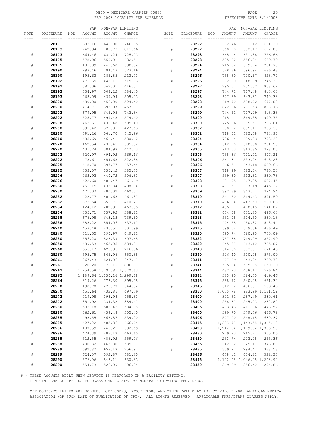#### OHIO - MEDICARE CARRIER 00883 PAGE 20 FSY 2003 LOCALITY FEE SCHEDULE

|           |           |     | PAR    |                               | NON-PAR LIMITING |      |           |     | PAR      |                                  | NON-PAR LIMITING |
|-----------|-----------|-----|--------|-------------------------------|------------------|------|-----------|-----|----------|----------------------------------|------------------|
| NOTE      | PROCEDURE | MOD | AMOUNT | AMOUNT                        | CHARGE           | NOTE | PROCEDURE | MOD | AMOUNT   | AMOUNT                           | CHARGE           |
|           |           |     |        |                               | -- ---------     |      |           |     |          |                                  |                  |
|           | 28171     |     | 683.16 | 649.00                        | 746.35           |      | 28292     |     | 632.76   | 601.12                           | 691.29           |
|           | 28173     |     | 742.94 | 705.79                        | 811.66           | #    | 28292     |     | 560.18   | 532.17                           | 612.00           |
| #         | 28173     |     | 664.46 | 631.24                        | 725.93           |      | 28293     |     | 665.14   | 631.88                           | 726.66           |
|           |           |     |        |                               |                  |      |           |     |          |                                  |                  |
|           | 28175     |     | 578.96 | 550.01                        | 632.51           | #    | 28293     |     | 585.62   | 556.34                           | 639.79           |
| #         | 28175     |     | 485.89 | 461.60                        | 530.84           |      | 28294     |     | 715.52   | 679.74                           | 781.70           |
|           | 28190     |     | 299.46 | 284.49                        | 327.16           | #    | 28294     |     | 628.36   | 596.94                           | 686.48           |
| $\#$      | 28190     |     | 195.63 | 185.85                        | 213.73           |      | 28296     |     | 758.60   | 720.67                           | 828.77           |
|           | 28192     |     | 471.69 | 448.11                        | 515.33           | #    | 28296     |     | 682.20   | 648.09                           | 745.30           |
| #         | 28192     |     | 381.06 | 362.01                        | 416.31           |      | 28297     |     | 795.07   | 755.32                           | 868.62           |
|           | 28193     |     | 534.97 | 508.22                        | 584.45           | #    | 28297     |     | 744.72   | 707.48                           | 813.60           |
| #         | 28193     |     | 463.09 | 439.94                        | 505.93           |      | 28298     |     | 677.69   | 643.81                           | 740.38           |
|           | 28200     |     | 480.00 | 456.00                        | 524.40           | #    | 28298     |     | 619.70   | 588.72                           | 677.03           |
| #         | 28200     |     | 414.71 | 393.97                        | 453.07           |      | 28299     |     | 822.66   | 781.53                           | 898.76           |
|           | 28202     |     | 679.95 | 645.95                        | 742.84           | #    | 28299     |     | 744.52   | 707.29                           | 813.38           |
| #         | 28202     |     | 525.77 | 499.48                        | 574.40           |      | 28300     |     | 915.11   | 869.35                           | 999.75           |
|           | 28208     |     | 462.61 | 439.48                        | 505.40           | #    | 28300     |     | 725.86   | 689.57                           | 793.01           |
| $\#$      | 28208     |     | 391.42 | 371.85                        | 427.63           |      | 28302     |     | 900.12   | 855.11                           | 983.38           |
|           | 28210     |     | 591.26 | 561.70                        | 645.96           | $\#$ | 28302     |     | 718.51   | 682.58                           | 784.97           |
| $\#$      | 28210     |     | 485.69 | 461.41                        | 530.62           |      | 28304     |     | 726.14   | 689.83                           | 793.30           |
|           | 28220     |     | 462.54 | 439.41                        | 505.32           | #    | 28304     |     | 642.10   | 610.00                           | 701.50           |
| $\#$      | 28220     |     | 405.24 | 384.98                        | 442.73           |      | 28305     |     | 913.53   | 867.85                           | 998.03           |
|           | 28222     |     |        |                               | 569.16           | #    | 28305     |     | 738.86   |                                  | 807.21           |
|           |           |     | 520.97 | 494.92                        |                  |      |           |     |          | 701.92                           |                  |
| ${}^{\#}$ | 28222     |     | 478.61 | 454.68                        | 522.88           |      | 28306     |     | 561.31   | 533.24                           | 613.23           |
|           | 28225     |     | 418.70 | 397.77                        | 457.44           | $\#$ | 28306     |     | 466.51   | 443.18                           | 509.66           |
| ${}^{\#}$ | 28225     |     | 353.07 | 335.42                        | 385.73           |      | 28307     |     | 718.99   | 683.04                           | 785.50           |
|           | 28226     |     | 463.92 | 440.72                        | 506.83           | #    | 28307     |     | 539.80   | 512.81                           | 589.73           |
| $\#$      | 28226     |     | 422.60 | 401.47                        | 461.69           |      | 28308     |     | 491.95   | 467.35                           | 537.45           |
|           | 28230     |     | 456.15 | 433.34                        | 498.34           | $\#$ | 28308     |     | 407.57   | 387.19                           | 445.27           |
| $\#$      | 28230     |     | 421.07 | 400.02                        | 460.02           |      | 28309     |     | 892.39   | 847.77                           | 974.94           |
|           | 28232     |     | 422.77 | 401.63                        | 461.87           |      | 28310     |     | 541.50   | 514.43                           | 591.59           |
| $\#$      | 28232     |     | 375.54 | 356.76                        | 410.27           | #    | 28310     |     | 466.84   | 443.50                           | 510.03           |
|           | 28234     |     | 424.12 | 402.91                        | 463.35           |      | 28312     |     | 495.21   | 470.45                           | 541.02           |
| ${}^{\#}$ | 28234     |     | 355.71 | 337.92                        | 388.61           | $\#$ | 28312     |     | 454.58   | 431.85                           | 496.63           |
|           | 28238     |     | 676.98 | 643.13                        | 739.60           |      | 28313     |     | 531.05   | 504.50                           | 580.18           |
| #         | 28238     |     | 583.22 | 554.06                        | 637.17           |      | 28315     |     | 474.55   | 450.82                           | 518.44           |
|           | 28240     |     | 459.48 | 436.51                        | 501.99           | #    | 28315     |     | 399.54   | 379.56                           | 436.49           |
| $\#$      | 28240     |     | 411.55 | 390.97                        | 449.62           |      | 28320     |     | 695.74   | 660.95                           | 760.09           |
|           | 28250     |     | 556.20 | 528.39                        | 607.65           |      | 28322     |     | 757.88   | 719.99                           | 827.99           |
| $\#$      | 28250     |     | 489.53 | 465.05                        | 534.81           | #    | 28322     |     | 645.37   | 613.10                           | 705.07           |
|           | 28260     |     | 656.17 | 623.36                        | 716.86           |      | 28340     |     | 614.60   | 583.87                           | 671.45           |
| #         | 28260     |     | 595.75 | 565.96                        | 650.85           | #    | 28340     |     | 526.40   | 500.08                           | 575.09           |
|           | 28261     |     | 867.43 | 824.06                        | 947.67           |      | 28341     |     | 677.09   | 643.24                           | 739.73           |
| ${}^{\#}$ | 28261     |     | 820.20 | 779.19                        | 896.07           | #    | 28341     |     | 595.14   | 565.38                           | 650.19           |
|           | 28262     |     |        | 1, 254.58 1, 191.85 1, 370.63 |                  |      | 28344     |     | 482.23   | 458.12                           | 526.84           |
| $\#$      | 28262     |     |        | 1, 189.64 1, 130.16 1, 299.68 |                  | $\#$ | 28344     |     | 383.95   | 364.75                           | 419.46           |
|           | 28264     |     | 819.26 | 778.30                        | 895.05           |      | 28345     |     | 568.72   | 540.28                           | 621.32           |
|           | 28270     |     | 498.70 | 473.77                        | 544.84           | $\#$ | 28345     |     | 512.12   | 486.51                           | 559.49           |
| $\#$      | 28270     |     | 455.64 | 432.86                        | 497.79           |      | 28360     |     | 1,035.78 |                                  | 983.99 1, 131.59 |
|           | 28272     |     | 419.98 | 398.98                        | 458.83           |      | 28400     |     | 302.62   | 287.49                           | 330.61           |
| $\#$      | 28272     |     | 351.92 | 334.32                        | 384.47           | $\#$ | 28400     |     | 258.87   | 245.93                           | 282.82           |
|           | 28280     |     | 535.18 | 508.42                        | 584.68           |      | 28405     |     | 433.43   | 411.76                           | 473.52           |
| $\#$      | 28280     |     | 462.61 | 439.48                        | 505.40           | $\#$ | 28405     |     | 399.75   | 379.76                           | 436.72           |
|           | 28285     |     | 493.55 | 468.87                        | 539.20           |      | 28406     |     | 577.00   | 548.15                           | 630.37           |
| $\#$      | 28285     |     | 427.22 | 405.86                        | 466.74           |      | 28415     |     |          | 1, 203. 77 1, 143. 58 1, 315. 12 |                  |
|           | 28286     |     | 487.59 | 463.21                        | 532.69           |      | 28420     |     |          | 1,242.04 1,179.94 1,356.93       |                  |
| $\#$      | 28286     |     | 424.39 | 403.17                        | 463.65           |      | 28430     |     | 279.23   | 265.27                           | 305.06           |
|           | 28288     |     | 512.55 | 486.92                        | 559.96           | $\#$ | 28430     |     | 233.74   | 222.05                           | 255.36           |
| $\#$      | 28288     |     | 490.32 | 465.80                        | 535.67           |      | 28435     |     | 342.22   | 325.11                           | 373.88           |
|           | 28289     |     | 692.82 | 658.18                        | 756.91           | $\#$ | 28435     |     | 309.92   | 294.42                           | 338.58           |
| $\#$      | 28289     |     | 624.07 | 592.87                        | 681.80           |      | 28436     |     | 478.12   | 454.21                           | 522.34           |
|           | 28290     |     | 576.96 | 548.11                        | 630.33           |      | 28445     |     |          | 1,102.05 1,046.95 1,203.99       |                  |
| $\#$      | 28290     |     | 554.73 | 526.99                        | 606.04           |      | 28450     |     | 269.89   | 256.40                           | 294.86           |
|           |           |     |        |                               |                  |      |           |     |          |                                  |                  |

# - THESE AMOUNTS APPLY WHEN SERVICE IS PERFORMED IN A FACILITY SETTING.

LIMITING CHARGE APPLIES TO UNASSIGNED CLAIMS BY NON-PARTICIPATING PROVIDERS.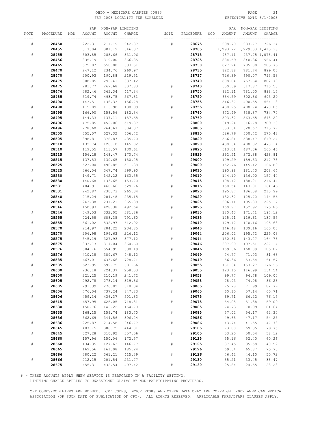#### OHIO – MEDICARE CARRIER 00883 PAGE 21<br>
FSY 2003 LOCALITY FEE SCHEDULE FOR THE SERIE SOME PAGE 3/1/2003 FSY 2003 LOCALITY FEE SCHEDULE

|           |           |     | PAR    |        | NON-PAR LIMITING |           |           |     | PAR    |                            | NON-PAR LIMITING |
|-----------|-----------|-----|--------|--------|------------------|-----------|-----------|-----|--------|----------------------------|------------------|
| NOTE      | PROCEDURE | MOD | AMOUNT | AMOUNT | CHARGE           | NOTE      | PROCEDURE | MOD | AMOUNT | AMOUNT                     | CHARGE           |
|           |           |     |        |        |                  |           |           |     |        |                            |                  |
| ${}^{\#}$ | 28450     |     | 222.31 | 211.19 | 242.87           | #         | 28675     |     | 298.70 | 283.77                     | 326.34           |
|           | 28455     |     | 317.04 | 301.19 | 346.37           |           | 28705     |     |        | 1,293.72 1,229.03 1,413.38 |                  |
| #         | 28455     |     | 303.85 | 288.66 | 331.96           |           | 28715     |     | 987.11 |                            | 937.75 1,078.41  |
|           | 28456     |     | 335.79 | 319.00 | 366.85           |           | 28725     |     | 884.59 | 840.36                     | 966.41           |
|           | 28465     |     | 579.87 | 550.88 | 633.51           |           | 28730     |     | 827.24 | 785.88                     | 903.76           |
|           | 28470     |     | 247.12 | 234.76 | 269.97           |           | 28735     |     | 822.88 | 781.74                     | 899.00           |
| $\#$      | 28470     |     | 200.93 | 190.88 | 219.51           |           | 28737     |     | 726.39 | 690.07                     | 793.58           |
|           | 28475     |     | 308.85 | 293.41 | 337.42           |           | 28740     |     | 808.04 | 767.64                     | 882.79           |
| $\#$      | 28475     |     | 281.77 | 267.68 | 307.83           | #         | 28740     |     | 650.39 | 617.87                     | 710.55           |
|           | 28476     |     | 382.46 | 363.34 | 417.84           |           | 28750     |     | 822.11 | 781.00                     | 898.15           |
|           | 28485     |     | 519.74 | 493.75 | 567.81           | #         | 28750     |     | 634.59 | 602.86                     | 693.29           |
|           | 28490     |     | 143.51 | 136.33 | 156.78           |           | 28755     |     | 516.37 | 490.55                     | 564.13           |
| #         | 28490     |     | 119.89 | 113.90 | 130.99           | ${}^{\#}$ | 28755     |     | 430.25 | 408.74                     | 470.05           |
|           | 28495     |     | 166.90 | 158.56 | 182.34           |           | 28760     |     | 672.49 | 638.87                     | 734.70           |
| ${}^{\#}$ | 28495     |     | 144.33 | 137.11 | 157.68           | #         | 28760     |     | 593.32 | 563.65                     | 648.20           |
|           | 28496     |     | 475.85 | 452.06 | 519.87           |           | 28800     |     | 649.24 | 616.78                     | 709.30           |
| $\#$      | 28496     |     | 278.60 | 264.67 | 304.37           |           | 28805     |     | 653.34 | 620.67                     | 713.77           |
|           | 28505     |     | 555.07 | 527.32 | 606.42           |           | 28810     |     | 526.76 | 500.42                     | 575.48           |
| $\#$      | 28505     |     | 398.81 | 378.87 | 435.70           |           | 28820     |     | 566.81 | 538.47                     | 619.24           |
|           | 28510     |     | 132.74 | 126.10 | 145.02           | #         | 28820     |     | 430.34 | 408.82                     | 470.14           |
| ${}^{\#}$ | 28510     |     | 119.55 | 113.57 | 130.61           |           | 28825     |     | 513.01 | 487.36                     | 560.46           |
|           | 28515     |     | 156.28 | 148.47 | 170.74           | $\#$      | 28825     |     | 392.51 | 372.88                     | 428.81           |
| #         | 28515     |     | 137.53 | 130.65 | 150.25           |           | 29000     |     | 199.29 | 189.33                     | 217.73           |
|           | 28525     |     | 523.00 | 496.85 | 571.38           | ${}^{\#}$ | 29000     |     | 152.76 | 145.12                     | 166.89           |
| ${}^{\#}$ | 28525     |     | 366.04 | 347.74 | 399.90           |           | 29010     |     | 190.98 | 181.43                     | 208.64           |
|           | 28530     |     | 149.71 | 142.22 | 163.55           | #         | 29010     |     | 144.10 | 136.90                     | 157.44           |
| $\#$      | 28530     |     | 140.68 | 133.65 | 153.70           |           | 29015     |     | 198.12 | 188.21                     | 216.44           |
|           | 28531     |     | 484.91 | 460.66 | 529.76           | #         | 29015     |     | 150.54 | 143.01                     | 164.46           |
| $\#$      | 28531     |     | 242.87 | 230.73 | 265.34           |           | 29020     |     | 195.87 | 186.08                     | 213.99           |
|           | 28540     |     | 215.24 | 204.48 | 235.15           | #         | 29020     |     | 132.32 | 125.70                     | 144.56           |
|           | 28545     |     | 243.38 | 231.21 | 265.89           |           | 29025     |     | 206.11 | 195.80                     | 225.17           |
|           | 28546     |     | 450.93 | 428.38 | 492.64           | #         | 29025     |     | 160.97 | 152.92                     | 175.86           |
| ${}^{\#}$ | 28546     |     | 349.53 | 332.05 | 381.86           |           | 29035     |     | 180.43 | 171.41                     | 197.12           |
|           | 28555     |     | 724.58 | 688.35 | 791.60           | ${}^{\#}$ | 29035     |     | 125.91 | 119.61                     | 137.55           |
| ${}^{\#}$ | 28555     |     | 561.02 | 532.97 | 612.92           |           | 29040     |     | 179.12 | 170.16                     | 195.68           |
|           | 28570     |     | 214.97 | 204.22 | 234.85           | #         | 29040     |     | 146.48 | 139.16                     | 160.03           |
| $\#$      | 28570     |     | 206.98 | 196.63 | 226.12           |           | 29044     |     | 206.02 | 195.72                     | 225.08           |
|           | 28575     |     | 345.19 | 327.93 | 377.12           | ${}^{\#}$ | 29044     |     | 150.81 | 143.27                     | 164.76           |
| $\#$      | 28575     |     | 333.73 | 317.04 | 364.60           |           | 29046     |     | 207.90 | 197.51                     | 227.14           |
|           | 28576     |     | 584.16 | 554.95 | 638.19           | #         | 29046     |     | 169.36 | 160.89                     | 185.02           |
| ${}^{\#}$ | 28576     |     | 410.18 | 389.67 | 448.12           |           | 29049     |     | 74.77  | 71.03                      | 81.68            |
|           | 28585     |     | 667.01 | 633.66 | 728.71           | #         | 29049     |     | 56.36  | 53.54                      | 61.57            |
| #         | 28585     |     | 623.95 | 592.75 | 681.66           |           | 29055     |     | 161.34 | 153.27                     | 176.26           |
|           | 28600     |     | 236.18 | 224.37 | 258.03           | #         | 29055     |     | 123.15 | 116.99                     | 134.54           |
| $\#$      | 28600     |     | 221.25 | 210.19 | 241.72           |           | 29058     |     | 99.77  | 94.78                      | 109.00           |
|           | 28605     |     | 292.78 | 278.14 | 319.86           | $\#$      | 29058     |     | 78.93  | 74.98                      | 86.23            |
| $\#$      | 28605     |     | 291.39 | 276.82 | 318.34           |           | 29065     |     | 75.78  | 71.99                      | 82.79            |
|           | 28606     |     | 776.04 | 737.24 | 847.83           | $\#$      | 29065     |     | 60.15  | 57.14                      | 65.71            |
| $\#$      | 28606     |     | 459.34 | 436.37 | 501.83           |           | 29075     |     | 69.71  | 66.22                      | 76.15            |
|           | 28615     |     | 657.95 | 625.05 | 718.81           | $\#$      | 29075     |     | 54.08  | 51.38                      | 59.09            |
|           | 28630     |     | 150.76 | 143.22 | 164.70           |           | 29085     |     | 74.73  | 70.99                      | 81.64            |
|           | 28635     |     | 168.15 | 159.74 | 183.70           | $\#$      | 29085     |     | 57.02  | 54.17                      | 62.30            |
|           | 28636     |     | 362.69 | 344.56 | 396.24           |           | 29086     |     | 49.65  | 47.17                      | 54.25            |
| $\#$      | 28636     |     | 225.87 | 214.58 | 246.77           | $\#$      | 29086     |     | 43.74  | 41.55                      | 47.78            |
|           | 28645     |     | 407.15 | 386.79 | 444.81           |           | 29105     |     | 73.00  | 69.35                      | 79.75            |
| $\#$      | 28645     |     | 327.28 | 310.92 | 357.56           | $\#$      | 29105     |     | 53.20  | 50.54                      | 58.12            |
|           | 28660     |     | 157.96 | 150.06 | 172.57           |           | 29125     |     | 55.16  | 52.40                      | 60.26            |
| $\#$      | 28660     |     | 134.35 | 127.63 | 146.77           | ${}^{\#}$ | 29125     |     | 37.45  | 35.58                      | 40.92            |
|           | 28665     |     | 169.56 | 161.08 | 185.24           |           | 29126     |     | 69.34  | 65.87                      | 75.75            |
|           | 28666     |     | 380.22 | 361.21 | 415.39           | $\#$      | 29126     |     | 46.42  | 44.10                      | 50.72            |
| #         | 28666     |     | 212.15 | 201.54 | 231.77           |           | 29130     |     | 35.21  | 33.45                      | 38.47            |
|           | 28675     |     | 455.31 | 432.54 | 497.42           | #         | 29130     |     | 25.84  | 24.55                      | 28.23            |
|           |           |     |        |        |                  |           |           |     |        |                            |                  |

# - THESE AMOUNTS APPLY WHEN SERVICE IS PERFORMED IN A FACILITY SETTING.

LIMITING CHARGE APPLIES TO UNASSIGNED CLAIMS BY NON-PARTICIPATING PROVIDERS.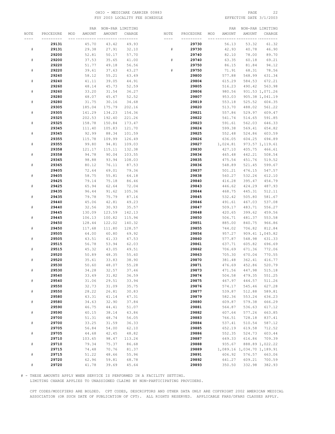#### OHIO - MEDICARE CARRIER 00883 PAGE 22 FSY 2003 LOCALITY FEE SCHEDULE

|      |           |     | PAR    |           | NON-PAR LIMITING |      |           |     | PAR      |                            | NON-PAR LIMITING |
|------|-----------|-----|--------|-----------|------------------|------|-----------|-----|----------|----------------------------|------------------|
| NOTE | PROCEDURE | MOD | AMOUNT | AMOUNT    | CHARGE           | NOTE | PROCEDURE | MOD | AMOUNT   | AMOUNT                     | CHARGE           |
|      | --------- |     |        |           | -- ---------     |      |           |     |          |                            |                  |
|      |           |     |        |           |                  |      |           |     |          |                            |                  |
|      | 29131     |     | 45.70  | 43.42     | 49.93            |      | 29730     |     | 56.13    | 53.32                      | 61.32            |
| $\#$ | 29131     |     | 29.38  | 27.91     | 32.10            | #    | 29730     |     | 42.93    | 40.78                      | 46.90            |
|      | 29200     |     | 52.81  | 50.17     | 57.70            |      | 29740     |     | 82.10    | 78.00                      | 89.70            |
| #    | 29200     |     | 37.53  | 35.65     | 41.00            | #    | 29740     |     | 63.35    | 60.18                      | 69.21            |
|      | 29220     |     | 51.77  | 49.18     | 56.56            |      | 29750     |     | 86.15    | 81.84                      | 94.12            |
| #    | 29220     |     | 39.61  | 37.63     | 43.27            |      | 29750     |     | 71.91    | 68.31                      | 78.56            |
|      | 29240     |     | 58.12  | 55.21     | 63.49            |      | 29800     |     | 577.88   | 548.99                     | 631.34           |
|      |           |     |        |           |                  |      |           |     |          |                            |                  |
| #    | 29240     |     | 41.11  | 39.05     | 44.91            |      | 29804     |     | 615.29   | 584.53                     | 672.21           |
|      | 29260     |     | 48.14  | 45.73     | 52.59            |      | 29805     |     | 516.23   | 490.42                     | 563.98           |
| #    | 29260     |     | 33.20  | 31.54     | 36.27            |      | 29806     |     | 980.56   |                            | 931.53 1,071.26  |
|      | 29280     |     | 48.07  | 45.67     | 52.52            |      | 29807     |     | 953.03   |                            | 905.38 1,041.19  |
| $\#$ | 29280     |     | 31.75  | 30.16     | 34.68            |      | 29819     |     | 553.18   | 525.52                     | 604.35           |
|      | 29305     |     | 185.04 | 175.79    | 202.16           |      | 29820     |     | 513.70   | 488.02                     | 561.22           |
| #    | 29305     |     |        | 134.23    | 154.36           |      |           |     |          | 529.97                     | 609.47           |
|      |           |     | 141.29 |           |                  |      | 29821     |     | 557.86   |                            |                  |
|      | 29325     |     | 202.53 | 192.40    | 221.26           |      | 29822     |     | 541.74   | 514.65                     | 591.85           |
| #    | 29325     |     | 158.78 | 150.84    | 173.47           |      | 29823     |     | 591.61   | 562.03                     | 646.33           |
|      | 29345     |     | 111.40 | 105.83    | 121.70           |      | 29824     |     | 599.38   | 569.41                     | 654.82           |
| #    | 29345     |     | 92.99  | 88.34     | 101.59           |      | 29825     |     | 552.48   | 524.86                     | 603.59           |
|      | 29355     |     | 115.78 | 109.99    | 126.49           |      | 29826     |     | 636.05   | 604.25                     | 694.89           |
| #    | 29355     |     | 99.80  | 94.81     | 109.03           |      | 29827     |     | 1,024.81 |                            | 973.57 1,119.61  |
|      |           |     |        |           |                  |      |           |     |          |                            |                  |
|      | 29358     |     | 121.17 | 115.11    | 132.38           |      | 29830     |     | 427.10   | 405.75                     | 466.61           |
| $\#$ | 29358     |     | 94.78  | 90.04     | 103.55           |      | 29834     |     | 465.48   | 442.21                     | 508.54           |
|      | 29365     |     | 98.88  | 93.94     | 108.03           |      | 29835     |     | 475.54   | 451.76                     | 519.52           |
| #    | 29365     |     | 80.12  | 76.11     | 87.53            |      | 29836     |     | 548.89   | 521.45                     | 599.67           |
|      | 29405     |     | 72.64  | 69.01     | 79.36            |      | 29837     |     | 501.21   | 476.15                     | 547.57           |
| #    | 29405     |     | 58.75  | 55.81     | 64.18            |      | 29838     |     | 560.27   | 532.26                     | 612.10           |
|      | 29425     |     | 79.14  | 75.18     | 86.46            |      | 29840     |     | 416.28   | 395.47                     | 454.79           |
|      |           |     |        |           |                  |      |           |     |          |                            |                  |
| #    | 29425     |     | 65.94  | 62.64     | 72.04            |      | 29843     |     | 446.62   | 424.29                     | 487.93           |
|      | 29435     |     | 96.44  | 91.62     | 105.36           |      | 29844     |     | 468.75   | 445.31                     | 512.11           |
| #    | 29435     |     | 79.78  | 75.79     | 87.16            |      | 29845     |     | 532.42   | 505.80                     | 581.67           |
|      | 29440     |     | 45.06  | 42.81     | 49.23            |      | 29846     |     | 491.61   | 467.03                     | 537.08           |
| $\#$ | 29440     |     | 32.56  | 30.93     | 35.57            |      | 29847     |     | 509.17   | 483.71                     | 556.27           |
|      | 29445     |     | 130.09 | 123.59    | 142.13           |      | 29848     |     | 420.65   | 399.62                     | 459.56           |
| #    | 29445     |     | 106.13 | 100.82    | 115.94           |      | 29850     |     | 506.71   | 481.37                     | 553.58           |
|      | 29450     |     | 128.44 | 122.02    | 140.32           |      | 29851     |     | 885.00   | 840.75                     | 966.86           |
|      |           |     |        |           |                  |      |           |     |          |                            |                  |
| #    | 29450     |     | 117.68 | 111.80    | 128.57           |      | 29855     |     | 744.02   | 706.82                     | 812.84           |
|      | 29505     |     | 64.00  | 60.80     | 69.92            |      | 29856     |     | 957.27   |                            | 909.41 1,045.82  |
| #    | 29505     |     | 43.51  | 41.33     | 47.53            |      | 29860     |     | 577.87   | 548.98                     | 631.33           |
|      | 29515     |     | 56.78  | 53.94     | 62.03            |      | 29861     |     | 637.71   | 605.82                     | 696.69           |
|      | 29515     |     | 45.32  | 43.05     | 49.51            |      | 29862     |     | 706.69   | 671.36                     | 772.06           |
|      | 29520     |     | 50.89  | 48.35     | 55.60            |      | 29863     |     | 705.30   | 670.04                     | 770.55           |
| #    | 29520     |     | 35.61  | 33.83     | 38.90            |      | 29870     |     | 381.48   | 362.41                     | 416.77           |
|      |           |     |        | 48.07     |                  |      |           |     |          |                            |                  |
|      | 29530     |     | 50.60  |           | 55.28            |      | 29871     |     | 476.69   | 452.86                     | 520.79           |
| #    | 29530     |     | 34.28  | 32.57     | 37.46            |      | 29873     |     | 471.56   | 447.98                     | 515.18           |
|      | 29540     |     | 33.49  | 31.82     | 36.59            |      | 29874     |     | 504.58   | 479.35                     | 551.25           |
| $\#$ | 29540     |     | 31.06  | 29.51     | 33.94            |      | 29875     |     | 467.97   | 444.57                     | 511.26           |
|      | 29550     |     | 32.73  | 31.09     | 35.75            |      | 29876     |     | 574.17   | 545.46                     | 627.28           |
| $\#$ | 29550     |     | 28.22  | 26.81     | 30.83            |      | 29877     |     | 539.87   | 512.88                     | 589.81           |
|      | 29580     |     | 43.31  | $41\,.14$ | 47.31            |      | 29879     |     | 582.36   | 553.24                     | 636.23           |
| $\#$ | 29580     |     | 34.63  | 32.90     | 37.84            |      | 29880     |     | 609.87   | 579.38                     | 666.29           |
|      |           |     |        |           |                  |      |           |     |          |                            |                  |
|      | 29590     |     | 46.75  | 44.41     | 51.07            |      | 29881     |     | 564.87   | 536.63                     | 617.12           |
| $\#$ | 29590     |     | 40.15  | 38.14     | 43.86            |      | 29882     |     | 607.64   | 577.26                     | 663.85           |
|      | 29700     |     | 51.31  | 48.74     | 56.05            |      | 29883     |     | 766.51   | 728.18                     | 837.41           |
| $\#$ | 29700     |     | 33.25  | 31.59     | 36.33            |      | 29884     |     | 537.41   | 510.54                     | 587.12           |
|      | 29705     |     | 56.84  | 54.00     | 62.10            |      | 29885     |     | 652.19   | 619.58                     | 712.52           |
| $\#$ | 29705     |     | 44.68  | 42.45     | 48.82            |      | 29886     |     | 552.35   | 524.73                     | 603.44           |
|      | 29710     |     | 103.65 | 98.47     | 113.24           |      | 29887     |     | 649.33   | 616.86                     | 709.39           |
|      |           |     |        |           |                  |      |           |     |          |                            |                  |
| $\#$ | 29710     |     | 79.34  | 75.37     | 86.68            |      | 29888     |     | 935.67   |                            | 888.89 1,022.22  |
|      | 29715     |     | 74.48  | 70.76     | 81.37            |      | 29889     |     |          | 1,089.16 1,034.70 1,189.91 |                  |
| $\#$ | 29715     |     | 51.22  | 48.66     | 55.96            |      | 29891     |     | 606.92   | 576.57                     | 663.06           |
|      | 29720     |     | 62.96  | 59.81     | 68.78            |      | 29892     |     | 641.27   | 609.21                     | 700.59           |
| $\#$ | 29720     |     | 41.78  | 39.69     | 45.64            |      | 29893     |     | 350.50   | 332.98                     | 382.93           |

# - THESE AMOUNTS APPLY WHEN SERVICE IS PERFORMED IN A FACILITY SETTING.

LIMITING CHARGE APPLIES TO UNASSIGNED CLAIMS BY NON-PARTICIPATING PROVIDERS.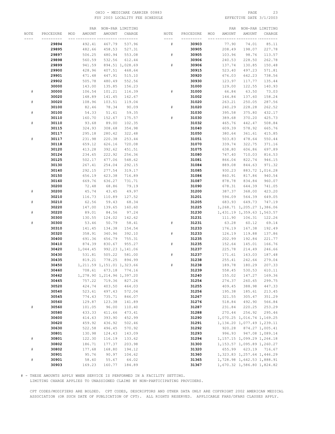#### OHIO - MEDICARE CARRIER 00883 PAGE 23 FSY 2003 LOCALITY FEE SCHEDULE

|           |           |     | PAR      |                               | NON-PAR LIMITING |      |           |     | PAR    |                               | NON-PAR LIMITING |
|-----------|-----------|-----|----------|-------------------------------|------------------|------|-----------|-----|--------|-------------------------------|------------------|
| NOTE      | PROCEDURE | MOD | AMOUNT   | AMOUNT                        | CHARGE           | NOTE | PROCEDURE | MOD | AMOUNT | AMOUNT                        | CHARGE           |
|           |           |     |          | __ _________ ________         |                  | ---- |           |     |        |                               | --- -----        |
|           | 29894     |     | 492.41   | 467.79                        | 537.96           | #    | 30903     |     | 77.90  | 74.01                         | 85.11            |
|           | 29895     |     | 482.66   | 458.53                        | 527.31           |      | 30905     |     | 208.49 | 198.07                        | 227.78           |
|           | 29897     |     | 506.25   | 480.94                        | 553.08           | #    | 30905     |     | 103.96 | 98.76                         | 113.57           |
|           |           |     |          |                               | 612.44           |      |           |     |        |                               |                  |
|           | 29898     |     | 560.59   | 532.56                        |                  |      | 30906     |     | 240.53 | 228.50                        | 262.78           |
|           | 29899     |     | 941.59   |                               | 894.51 1,028.69  | #    | 30906     |     | 137.74 | 130.85                        | 150.48           |
|           | 29900     |     | 428.96   | 407.51                        | 468.64           |      | 30915     |     | 523.40 | 497.23                        | 571.81           |
|           | 29901     |     | 471.48   | 447.91                        | 515.10           |      | 30920     |     | 676.03 | 642.23                        | 738.56           |
|           | 29902     |     | 505.78   | 480.49                        | 552.56           |      | 30930     |     | 123.97 | 117.77                        | 135.44           |
|           | 30000     |     | 143.00   | 135.85                        | 156.23           |      | 31000     |     | 129.00 | 122.55                        | 140.93           |
| $\#$      | 30000     |     | 106.54   | 101.21                        | 116.39           | #    | 31000     |     | 66.84  | 63.50                         | 73.03            |
|           | 30020     |     | 148.89   | 141.45                        | 162.67           |      | 31002     |     | 144.84 | 137.60                        | 158.24           |
| $\#$      | 30020     |     | 108.96   | 103.51                        | 119.04           |      | 31020     |     | 263.21 | 250.05                        | 287.56           |
|           | 30100     |     | 82.46    | 78.34                         | 90.09            | #    | 31020     |     | 240.29 | 228.28                        | 262.52           |
| #         | 30100     |     | 54.33    | 51.61                         | 59.35            |      | 31030     |     | 395.58 | 375.80                        | 432.17           |
|           | 30110     |     | 160.70   | 152.67                        | 175.57           | #    | 31030     |     | 389.68 | 370.20                        | 425.73           |
| #         | 30110     |     | 93.68    | 89.00                         | 102.35           |      | 31032     |     | 465.76 | 442.47                        | 508.84           |
|           |           |     |          |                               |                  |      |           |     |        |                               |                  |
|           | 30115     |     | 324.93   | 308.68                        | 354.98           |      | 31040     |     | 609.39 | 578.92                        | 665.76           |
|           | 30117     |     | 295.18   | 280.42                        | 322.48           |      | 31050     |     | 380.64 | 361.61                        | 415.85           |
| #         | 30117     |     | 231.98   | 220.38                        | 253.44           |      | 31051     |     | 503.83 | 478.64                        | 550.44           |
|           | 30118     |     | 659.12   | 626.16                        | 720.08           |      | 31070     |     | 339.74 | 322.75                        | 371.16           |
|           | 30120     |     | 413.28   | 392.62                        | 451.51           |      | 31075     |     | 638.80 | 606.86                        | 697.89           |
|           | 30124     |     | 234.65   | 222.92                        | 256.36           |      | 31080     |     | 747.40 | 710.03                        | 816.53           |
|           | 30125     |     | 502.17   | 477.06                        | 548.62           |      | 31081     |     | 866.04 | 822.74                        | 946.15           |
|           | 30130     |     | 267.41   | 254.04                        | 292.15           |      | 31084     |     | 889.08 | 844.63                        | 971.32           |
|           | 30140     |     | 292.15   | 277.54                        | 319.17           |      | 31085     |     | 930.23 |                               | 883.72 1,016.28  |
|           | 30150     |     | 656.19   | 623.38                        | 716.89           |      | 31086     |     | 860.91 | 817.86                        | 940.54           |
|           | 30160     |     | 669.76   | 636.27                        | 731.71           |      | 31087     |     | 878.78 | 834.84                        | 960.07           |
|           | 30200     |     | 72.48    | 68.86                         | 79.19            |      | 31090     |     | 678.31 | 644.39                        | 741.05           |
|           |           |     |          |                               |                  |      |           |     |        |                               |                  |
| ${}^{\#}$ | 30200     |     | 45.74    | 43.45                         | 49.97            |      | 31200     |     | 387.37 | 368.00                        | 423.20           |
|           | 30210     |     | 116.73   | 110.89                        | 127.52           |      | 31201     |     | 594.09 | 564.39                        | 649.05           |
| ${}^{\#}$ | 30210     |     | 62.56    | 59.43                         | 68.34            |      | 31205     |     | 683.93 | 649.73                        | 747.19           |
|           | 30220     |     | 147.00   | 139.65                        | 160.60           |      | 31225     |     |        | 1,268.71 1,205.27 1,386.06    |                  |
| $\#$      | 30220     |     | 89.01    | 84.56                         | 97.24            |      | 31230     |     |        | 1,431.19 1,359.63 1,563.57    |                  |
|           | 30300     |     | 130.55   | 124.02                        | 142.62           |      | 31231     |     | 111.90 | 106.31                        | 122.26           |
| $\#$      | 30300     |     | 53.46    | 50.79                         | 58.41            | #    | 31231     |     | 63.28  | 60.12                         | 69.14            |
|           | 30310     |     | 141.45   | 134.38                        | 154.54           |      | 31233     |     | 176.19 | 167.38                        | 192.49           |
|           | 30320     |     | 358.91   | 340.96                        | 392.10           | #    | 31233     |     | 126.19 | 119.88                        | 137.86           |
|           | 30400     |     | 691.36   | 656.79                        | 755.31           |      | 31235     |     | 202.99 | 192.84                        | 221.77           |
|           | 30410     |     | 874.39   | 830.67                        | 955.27           | #    | 31235     |     | 152.64 | 145.01                        | 166.76           |
|           | 30420     |     | 1,044.45 |                               | 992.23 1,141.06  |      | 31237     |     | 225.78 | 214.49                        | 246.66           |
|           | 30430     |     | 531.81   | 505.22                        | 581.00           | #    | 31237     |     | 171.61 | 163.03                        | 187.48           |
|           | 30435     |     | 819.21   | 778.25                        | 894.99           |      | 31238     |     | 255.41 | 242.64                        | 279.04           |
|           | 30450     |     |          | 1, 211.59 1, 151.01 1, 323.66 |                  | #    | 31238     |     | 189.78 | 180.29                        | 207.33           |
|           | 30460     |     | 708.61   | 673.18                        | 774.16           |      | 31239     |     | 558.45 | 530.53                        | 610.11           |
|           | 30462     |     |          | 1,278.90 1,214.96 1,397.20    |                  |      | 31240     |     | 155.02 | 147.27                        | 169.36           |
|           |           |     |          |                               |                  |      | 31254     |     |        | 260.65                        | 299.75           |
|           | 30465     |     | 757.22   | 719.36                        | 827.26           |      |           |     | 274.37 |                               |                  |
|           | 30520     |     | 424.74   | 403.50                        | 464.03           |      | 31255     |     | 409.45 | 388.98                        | 447.33           |
|           | 30540     |     | 523.61   | 497.43                        | 572.04           |      | 31256     |     | 195.38 | 185.61                        | 213.45           |
|           | 30545     |     | 774.43   | 735.71                        | 846.07           |      | 31267     |     | 321.55 | 305.47                        | 351.29           |
|           | 30560     |     | 129.87   | 123.38                        | 141.89           |      | 31276     |     | 518.84 | 492.90                        | 566.84           |
| $\#$      | 30560     |     | 101.05   | 96.00                         | 110.40           |      | 31287     |     | 231.84 | 220.25                        | 253.29           |
|           | 30580     |     | 433.33   | 411.66                        | 473.41           |      | 31288     |     | 270.44 | 256.92                        | 295.46           |
|           | 30600     |     | 414.63   | 393.90                        | 452.99           |      | 31290     |     |        | 1,070.25 1,016.74 1,169.25    |                  |
|           | 30620     |     | 459.92   | 436.92                        | 502.46           |      | 31291     |     |        | 1, 134.20 1, 077.49 1, 239.11 |                  |
|           | 30630     |     | 522.58   | 496.45                        | 570.92           |      | 31292     |     | 920.28 |                               | 874.27 1,005.41  |
|           | 30801     |     | 130.98   | 124.43                        | 143.09           |      | 31293     |     |        | 996.93 947.08 1,089.14        |                  |
| $\#$      | 30801     |     | 122.30   | 116.19                        | 133.62           |      | 31294     |     |        | 1, 157.15 1, 099.29 1, 264.18 |                  |
|           | 30802     |     | 186.71   | 177.37                        | 203.98           |      | 31300     |     |        | 1, 153.57 1, 095.89 1, 260.27 |                  |
| $\#$      | 30802     |     | 177.68   | 168.80                        | 194.12           |      | 31320     |     |        | 655.99 623.19 716.67          |                  |
|           | 30901     |     | 95.76    | 90.97                         | 104.62           |      | 31360     |     |        | 1,323.83 1,257.64 1,446.29    |                  |
| $\#$      | 30901     |     |          |                               | 64.02            |      |           |     |        | 1,728.98 1,642.53 1,888.91    |                  |
|           |           |     | 58.60    | 55.67                         |                  |      | 31365     |     |        |                               |                  |
|           | 30903     |     | 169.23   | 160.77                        | 184.89           |      | 31367     |     |        | 1,670.32 1,586.80 1,824.82    |                  |

# - THESE AMOUNTS APPLY WHEN SERVICE IS PERFORMED IN A FACILITY SETTING.

LIMITING CHARGE APPLIES TO UNASSIGNED CLAIMS BY NON-PARTICIPATING PROVIDERS.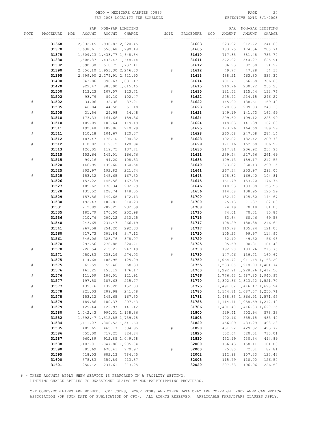#### OHIO – MEDICARE CARRIER 00883 PAGE 24<br>
FSY 2003 LOCALITY FEE SCHEDULE FOR THE SERIE SOME PAGE 3/1/2003 FSY 2003 LOCALITY FEE SCHEDULE

|           |                | PAR                  |                               | NON-PAR LIMITING |      |                | PAR              |                                      | NON-PAR LIMITING |
|-----------|----------------|----------------------|-------------------------------|------------------|------|----------------|------------------|--------------------------------------|------------------|
| NOTE      | PROCEDURE      | MOD<br><b>AMOUNT</b> | AMOUNT                        | CHARGE           | NOTE | PROCEDURE      | MOD<br>AMOUNT    | AMOUNT                               | CHARGE           |
|           |                |                      | ____________________          |                  |      |                |                  |                                      |                  |
|           | 31368          |                      | 2,032.45 1,930.83 2,220.45    |                  |      | 31603          | 223.92           | 212.72                               | 244.63           |
|           | 31370          |                      | 1,638.61 1,556.68 1,790.18    |                  |      | 31605          | 183.75           | 174.56                               | 200.74           |
|           | 31375          |                      | 1,509.23 1,433.77 1,648.84    |                  |      | 31610          | 717.35           | 681.48                               | 783.70           |
|           | 31380          |                      | 1,508.87 1,433.43 1,648.44    |                  |      | 31611          | 572.92           | 544.27                               | 625.91           |
|           | 31382          |                      | 1,590.30 1,510.79 1,737.41    |                  |      | 31612          | 86.93            | 82.58                                | 94.97            |
|           | 31390          |                      | 2,056.10 1,953.30 2,246.30    |                  | #    | 31612          | 49.77            | 47.28                                | 54.37            |
|           | 31395          |                      | 2,399.90 2,279.91 2,621.90    |                  |      | 31613          | 488.21           | 463.80                               | 533.37           |
|           | 31400          | 943.86               |                               | 896.67 1,031.17  |      | 31614          | 701.77           | 666.68                               | 766.68           |
|           | 31420          | 929.47               |                               | 883.00 1,015.45  |      | 31615          | 210.76           | 200.22                               | 230.25           |
|           | 31500          | 113.23               |                               | 107.57 123.71    | #    | 31615          | 121.52           | 115.44                               | 132.76           |
| #         | 31502<br>31502 | 93.79<br>34.06       | 89.10<br>32.36                | 102.47<br>37.21  | #    | 31622<br>31622 | 225.42<br>145.90 | 214.15<br>138.61                     | 246.27<br>159.40 |
|           | 31505          | 46.84                | 44.50                         | 51.18            |      | 31623          | 220.03           | 209.03                               | 240.38           |
| $\#$      | 31505          | 31.56                | 29.98                         | 34.48            | $\#$ | 31623          | 149.19           | 141.73                               | 162.99           |
|           | 31510          | 173.33               | 164.66                        | 189.36           |      | 31624          | 209.60           | 199.12                               | 228.99           |
| $\#$      | 31510          | 109.09               | 103.64                        | 119.19           | #    | 31624          | 148.83           | 141.39                               | 162.60           |
|           | 31511          | 192.48               | 182.86                        | 210.29           |      | 31625          | 173.26           | 164.60                               | 189.29           |
| $\#$      | 31511          | 110.18               | 104.67                        | 120.37           |      | 31628          | 260.08           | 247.08                               | 284.14           |
|           | 31512          | 187.47               | 178.10                        | 204.82           | #    | 31628          | 192.02           | 182.42                               | 209.78           |
| $\#$      | 31512          | 118.02               | 112.12                        | 128.94           |      | 31629          | 171.16           | 162.60                               | 186.99           |
|           | 31513          | 126.05               | 119.75                        | 137.71           |      | 31630          | 217.81           | 206.92                               | 237.96           |
|           | 31515          | 152.64               | 145.01                        | 166.76           |      | 31631          | 239.54           | 227.56                               | 261.69           |
| $\#$      | 31515          | 99.16                | 94.20                         | 108.33           |      | 31635          | 199.13           | 189.17                               | 217.55           |
|           | 31520          | 146.95               | 139.60                        | 160.54           |      | 31640          | 273.82           | 260.13                               | 299.15           |
|           | 31525          | 202.97               | 192.82                        | 221.74           |      | 31641          | 267.34           | 253.97                               | 292.07           |
| $\#$      | 31525          | 153.32               | 145.65                        | 167.50           |      | 31643          | 178.32           | 169.40                               | 194.81           |
|           | 31526          | 153.22               | 145.56                        | 167.39           |      | 31645          | 161.79           | 153.70                               | 176.76           |
|           | 31527          | 185.62               | 176.34                        | 202.79           |      | 31646          | 140.93           | 133.88                               | 153.96           |
|           | 31528          | 135.52               | 128.74                        | 148.05           |      | 31656          | 114.68           | 108.95                               | 125.29           |
|           | 31529          | 157.56               | 149.68                        | 172.13           |      | 31700          | 132.42           | 125.80                               | 144.67           |
|           | 31530          | 192.43               | 182.81                        | 210.23           | $\#$ | 31700          | 75.13            | 71.37                                | 82.08            |
|           | 31531          | 212.89               | 202.25                        | 232.59           |      | 31708          | 74.19            | 70.48                                | 81.05            |
|           | 31535          | 185.79               | 176.50                        | 202.98           |      | 31710          | 74.01            | 70.31                                | 80.86            |
|           | 31536          | 210.76               | 200.22                        | 230.25           |      | 31715          | 63.64            | 60.46                                | 69.53            |
|           | 31540          | 243.65               | 231.47                        | 266.19           |      | 31717          | 198.29           | 188.38                               | 216.64           |
|           | 31541          | 267.58               | 254.20                        | 292.33           | #    | 31717          | 110.78           | 105.24                               | 121.03           |
|           | 31560          | 317.73               | 301.84                        | 347.12           |      | 31720          | 105.23           | 99.97                                | 114.97           |
|           | 31561          | 346.06               | 328.76                        | 378.07           | #    | 31720          | 52.10            | 49.50                                | 56.93            |
|           | 31570          | 293.56               | 278.88                        | 320.71           |      | 31725          | 95.59            | 90.81                                | 104.43           |
| ${}^{\#}$ | 31570          | 226.54               | 215.21                        | 247.49           |      | 31730          | 192.90           | 183.26                               | 210.75           |
|           | 31571<br>31575 | 250.83<br>114.68     | 238.29<br>108.95              | 274.03<br>125.29 | $\#$ | 31730<br>31750 | 147.06           | 139.71<br>1,064.72 1,011.48 1,163.20 | 160.67           |
| $\#$      | 31575          | 62.59                | 59.46                         | 68.38            |      | 31755          |                  | 1,283.05 1,218.90 1,401.74           |                  |
|           | 31576          |                      | 161.25 153.19 176.17          |                  |      | 31760          |                  | 1,292.91 1,228.26 1,412.50           |                  |
| $\#$      | 31576          | 111.59               | 106.01                        | 121.91           |      | 31766          |                  | 1,776.63 1,687.80 1,940.97           |                  |
|           | 31577          | 197.50               | 187.63                        | 215.77           |      | 31770          |                  | 1,392.86 1,323.22 1,521.70           |                  |
| $\#$      | 31577          | 139.16               | 132.20                        | 152.03           |      | 31775          |                  | 1,491.02 1,416.47 1,628.94           |                  |
|           | 31578          | 221.03               | 209.98                        | 241.48           |      | 31780          |                  | 1, 144.81 1, 087.57 1, 250.71        |                  |
| $\#$      | 31578          | 153.32               | 145.65                        | 167.50           |      | 31781          |                  | 1,438.85 1,366.91 1,571.95           |                  |
|           | 31579          | 189.86               | 180.37                        | 207.43           |      | 31785          |                  | 1, 114.41 1, 058.69 1, 217.49        |                  |
| $\#$      | 31579          | 129.44               | 122.97                        | 141.42           |      | 31786          |                  | 1,491.40 1,416.83 1,629.35           |                  |
|           | 31580          | 1,042.43             |                               | 990.31 1,138.86  |      | 31800          | 529.41           | 502.94                               | 578.38           |
|           | 31582          |                      | 1,592.47 1,512.85 1,739.78    |                  |      | 31805          | 900.16           | 855.15                               | 983.42           |
|           | 31584          |                      | 1, 411.07 1, 340.52 1, 541.60 |                  |      | 31820          | 456.09           | 433.29                               | 498.28           |
|           | 31585          | 489.65               |                               | 465.17 534.95    | $\#$ | 31820          | 451.92           | 429.32                               | 493.72           |
|           | 31586          | 755.00               | 717.25                        | 824.84           |      | 31825          | 652.64           | 620.01                               | 713.01           |
|           | 31587          | 960.89               |                               | 912.85 1,049.78  |      | 31830          | 452.99           | 430.34                               | 494.89           |
|           | 31588          |                      | 1,103.01 1,047.86 1,205.04    |                  |      | 32000          | 166.43           | 158.11                               | 181.83           |
|           | 31590          | 705.69               | 670.41                        | 770.97           | $\#$ | 32000          | 75.80            | 72.01                                | 82.81            |
|           | 31595          | 718.03               | 682.13                        | 784.45           |      | 32002          | 112.98           | 107.33                               | 123.43           |
|           | 31600          | 378.83               | 359.89                        | 413.87           |      | 32005          | 115.79           | 110.00                               | 126.50           |
|           | 31601          | 250.12               | 237.61                        | 273.25           |      | 32020          | 207.33           | 196.96                               | 226.50           |

# - THESE AMOUNTS APPLY WHEN SERVICE IS PERFORMED IN A FACILITY SETTING.

LIMITING CHARGE APPLIES TO UNASSIGNED CLAIMS BY NON-PARTICIPATING PROVIDERS.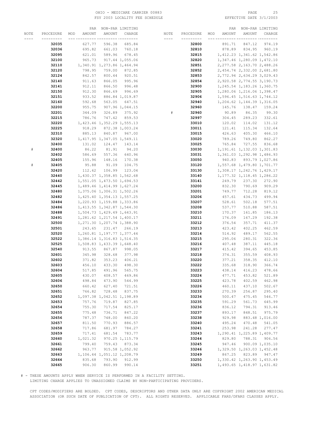#### OHIO - MEDICARE CARRIER 00883 PAGE 25 FSY 2003 LOCALITY FEE SCHEDULE

|      |           |               | PAR NON-PAR LIMITING          |                 |           |           |     |        | PAR NON-PAR LIMITING          |                 |
|------|-----------|---------------|-------------------------------|-----------------|-----------|-----------|-----|--------|-------------------------------|-----------------|
| NOTE | PROCEDURE | AMOUNT<br>MOD | AMOUNT                        | CHARGE          | NOTE      | PROCEDURE | MOD | AMOUNT | AMOUNT                        | CHARGE          |
|      | --------- |               |                               | -- ---------    | $- - - -$ | --------- |     |        |                               |                 |
|      | 32035     | 627.77        | 596.38                        | 685.84          |           | 32800     |     | 891.71 | 847.12                        | 974.19          |
|      | 32036     | 695.82        | 661.03                        | 760.18          |           | 32810     |     | 878.89 | 834.95                        | 960.19          |
|      | 32095     | 621.01        | 589.96                        | 678.45          |           | 32815     |     |        | 1, 412.23 1, 341.62 1, 542.86 |                 |
|      | 32100     | 965.73        |                               | 917.44 1,055.06 |           | 32820     |     |        | 1, 347.46 1, 280.09 1, 472.10 |                 |
|      |           |               |                               |                 |           |           |     |        |                               |                 |
|      | 32110     |               | 1,340.91 1,273.86 1,464.94    |                 |           | 32851     |     |        | 2, 277.58 2, 163.70 2, 488.26 |                 |
|      | 32120     | 798.95        | 759.00                        | 872.85          |           | 32852     |     |        | 2,454.74 2,332.00 2,681.80    |                 |
|      | 32124     | 842.57        | 800.44                        | 920.51          |           | 32853     |     |        | 2,772.94 2,634.29 3,029.43    |                 |
|      | 32140     | 911.63        | 866.05                        | 995.96          |           | 32854     |     |        | 2,920.58 2,774.55 3,190.73    |                 |
|      | 32141     | 912.11        | 866.50                        | 996.48          |           | 32900     |     |        | 1, 245.54 1, 183.26 1, 360.75 |                 |
|      | 32150     | 912.30        | 866.69                        | 996.69          |           | 32905     |     |        | 1,280.06 1,216.06 1,398.47    |                 |
|      | 32151     | 933.52        |                               | 886.84 1,019.87 |           | 32906     |     |        | 1,596.45 1,516.63 1,744.12    |                 |
|      | 32160     | 592.68        |                               | 563.05 647.51   |           | 32940     |     |        | 1,204.62 1,144.39 1,316.05    |                 |
|      | 32200     | 955.75        |                               | 907.96 1,044.15 |           | 32960     |     | 145.76 | 138.47                        | 159.24          |
|      | 32201     | 344.09        | 326.89                        | 375.92          | #         | 32960     |     | 90.89  | 86.35                         | 99.30           |
|      | 32215     | 786.76        | 747.42                        | 859.53          |           | 32997     |     | 304.45 | 289.23                        | 332.61          |
|      | 32220     |               | 1,423.46 1,352.29 1,555.13    |                 |           | 33010     |     | 120.02 | 114.02                        | 131.12          |
|      | 32225     | 918.29        |                               | 872.38 1,003.24 |           | 33011     |     | 121.41 | 115.34                        | 132.64          |
|      | 32310     | 885.13        | 840.87                        | 967.00          |           | 33015     |     | 426.63 | 405.30                        | 466.10          |
|      | 32320     |               | 1, 417.95 1, 347.05 1, 549.11 |                 |           | 33020     |     | 789.26 | 749.80                        | 862.27          |
|      | 32400     | 131.02        | 124.47                        | 143.14          |           | 33025     |     | 765.84 | 727.55                        | 836.68          |
|      |           |               |                               | 94.20           |           |           |     |        |                               |                 |
| #    | 32400     | 86.22         | 81.91                         |                 |           | 33030     |     |        | 1, 191.61 1, 132.03 1, 301.83 |                 |
|      | 32402     | 586.69        | 557.36                        | 640.96          |           | 33031     |     |        | 1,361.03 1,292.98 1,486.93    |                 |
|      | 32405     | 155.96        | 148.16                        | 170.38          |           | 33050     |     |        | 940.83 893.79 1,027.86        |                 |
| $\#$ | 32405     | 95.88         | 91.09                         | 104.75          |           | 33120     |     |        | 1,557.68 1,479.80 1,701.77    |                 |
|      | 32420     | 112.62        | 106.99                        | 123.04          |           | 33130     |     |        | 1,308.17 1,242.76 1,429.17    |                 |
|      | 32440     |               | 1,430.37 1,358.85 1,562.68    |                 |           | 33140     |     |        | 1, 177.32 1, 118.45 1, 286.22 |                 |
|      | 32442     |               | 1,551.05 1,473.50 1,694.53    |                 |           | 33141     |     | 249.79 | 237.30                        | 272.90          |
|      | 32445     |               | 1,489.46 1,414.99 1,627.24    |                 |           | 33200     |     | 832.30 | 790.69                        | 909.29          |
|      | 32480     |               | 1,375.06 1,306.31 1,502.26    |                 |           | 33201     |     | 749.77 | 712.28                        | 819.12          |
|      | 32482     |               | 1,425.40 1,354.13 1,557.25    |                 |           | 33206     |     | 457.61 | 434.73                        | 499.94          |
|      | 32484     |               | 1,220.93 1,159.88 1,333.86    |                 |           | 33207     |     | 528.61 | 502.18                        | 577.51          |
|      | 32486     |               | 1, 413.55 1, 342.87 1, 544.30 |                 |           | 33208     |     | 537.77 | 510.88                        | 587.51          |
|      | 32488     |               | 1,504.73 1,429.49 1,643.91    |                 |           | 33210     |     | 170.37 | 161.85                        | 186.13          |
|      | 32491     |               | 1, 281.62 1, 217.54 1, 400.17 |                 |           | 33211     |     | 176.09 | 167.29                        | 192.38          |
|      | 32500     |               | 1,271.30 1,207.74 1,388.90    |                 |           | 33212     |     | 376.54 | 357.71                        | 411.37          |
|      | 32501     |               | 243.65 231.47 266.19          |                 |           | 33213     |     | 423.42 | 402.25                        | 462.59          |
|      | 32520     |               | 1,260.81 1,197.77 1,377.44    |                 |           | 33214     |     | 514.92 | 489.17                        | 562.55          |
|      | 32522     |               | 1,386.14 1,316.83 1,514.35    |                 |           | 33215     |     | 295.06 | 280.31                        | 322.36          |
|      | 32525     |               | 1,508.83 1,433.39 1,648.40    |                 |           | 33216     |     | 407.48 | 387.11                        | 445.18          |
|      | 32540     | 913.55        | 867.87                        | 998.05          |           | 33217     |     | 415.42 | 394.65                        | 453.85          |
|      | 32601     | 345.98        | 328.68                        | 377.98          |           | 33218     |     | 374.31 | 355.59                        | 408.93          |
|      | 32602     | 371.82        | 353.23                        | 406.21          |           | 33220     |     | 377.21 | 358.35                        | 412.10          |
|      | 32603     | 456.10        | 433.30                        | 498.30          |           | 33222     |     | 335.68 | 318.90                        | 366.74          |
|      | 32604     | 517.85        | 491.96                        | 565.75          |           | 33223     |     | 438.14 | 416.23                        | 478.66          |
|      |           |               |                               |                 |           |           |     |        |                               |                 |
|      | 32605     | 430.07        | 408.57                        | 469.86          |           | 33224     |     | 477.71 | 453.82                        | 521.89          |
|      | 32606     | 498.84        | 473.90                        | 544.99          |           | 33225     |     | 423.78 | 402.59                        | 462.98          |
|      | 32650     | 660.42        | 627.40                        | 721.51          |           | 33226     |     | 460.11 | 437.10                        | 502.67          |
|      | 32651     | 766.82        | 728.48                        | 837.75          |           | 33233     |     | 270.39 | 256.87                        | 295.40          |
|      | 32652     |               | 1,097.38 1,042.51 1,198.89    |                 |           | 33234     |     | 500.47 | 475.45                        | 546.77          |
|      | 32653     | 757.76        | 719.87                        | 827.85          |           | 33235     |     | 591.29 | 561.73                        | 645.99          |
|      | 32654     | 755.30        | 717.54                        | 825.17          |           | 33236     |     | 836.12 | 794.31                        | 913.46          |
|      | 32655     | 775.48        | 736.71                        | 847.22          |           | 33237     |     | 893.17 | 848.51                        | 975.79          |
|      | 32656     | 787.37        | 748.00                        | 860.20          |           | 33238     |     | 929.98 |                               | 883.48 1,016.00 |
|      | 32657     | 811.50        | 770.93                        | 886.57          |           | 33240     |     | 495.24 | 470.48                        | 541.05          |
|      | 32658     | 717.86        | 681.97                        | 784.27          |           | 33241     |     | 253.98 | 241.28                        | 277.47          |
|      | 32659     | 717.41        | 681.54                        | 783.77          |           | 33243     |     |        | 1,290.41 1,225.89 1,409.77    |                 |
|      | 32660     | 1,021.32      |                               | 970.25 1,115.79 |           | 33244     |     | 829.80 | 788.31                        | 906.56          |
|      | 32661     | 799.40        | 759.43                        | 873.34          |           | 33245     |     | 947.46 |                               | 900.09 1,035.10 |
|      | 32662     | 963.77        |                               | 915.58 1,052.92 |           | 33246     |     |        | 1,329.50 1,263.03 1,452.48    |                 |
|      | 32663     |               | 1,106.44 1,051.12 1,208.79    |                 |           | 33249     |     | 867.25 | 823.89                        | 947.47          |
|      | 32664     | 835.68        | 793.90                        | 912.99          |           | 33250     |     |        | 1,330.42 1,263.90 1,453.49    |                 |
|      | 32665     | 906.30        | 860.99                        | 990.14          |           | 33251     |     |        | 1,493.65 1,418.97 1,631.82    |                 |
|      |           |               |                               |                 |           |           |     |        |                               |                 |

# - THESE AMOUNTS APPLY WHEN SERVICE IS PERFORMED IN A FACILITY SETTING.

LIMITING CHARGE APPLIES TO UNASSIGNED CLAIMS BY NON-PARTICIPATING PROVIDERS.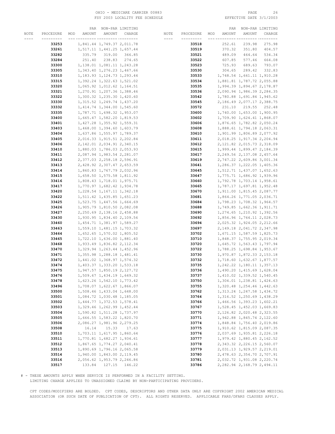#### OHIO - MEDICARE CARRIER 00883 PAGE 26 FSY 2003 LOCALITY FEE SCHEDULE

|      |                |               | PAR NON-PAR LIMITING          |        |      |           |     |                               | PAR NON-PAR LIMITING          |               |
|------|----------------|---------------|-------------------------------|--------|------|-----------|-----|-------------------------------|-------------------------------|---------------|
| NOTE | PROCEDURE      | AMOUNT<br>MOD | AMOUNT                        | CHARGE | NOTE | PROCEDURE | MOD | <b>AMOUNT</b>                 | AMOUNT                        | CHARGE        |
| ---- | ---------      |               | __ _________ ________         |        | ---- | --------- |     |                               |                               |               |
|      | 33253          |               | 1,841.44 1,749.37 2,011.78    |        |      | 33518     |     | 252.61                        | 239.98                        | 275.98        |
|      | 33261          |               | 1,517.11 1,441.25 1,657.44    |        |      | 33519     |     | 370.32                        | 351.80                        | 404.57        |
|      | 33282          | 335.79        | 319.00                        | 366.85 |      | 33521     |     | 489.09                        | 464.64                        | 534.34        |
|      | 33284          | 251.40        | 238.83                        | 274.65 |      | 33522     |     | 607.85                        | 577.46                        | 664.08        |
|      | 33300          |               | 1, 138.01 1, 081.11 1, 243.28 |        |      | 33523     |     | 725.93                        | 689.63                        | 793.07        |
|      | 33305          |               | 1, 343.40 1, 276.23 1, 467.66 |        |      | 33530     |     | 304.65                        | 289.42                        | 332.83        |
|      | 33310          |               | 1, 183.93 1, 124.73 1, 293.44 |        |      | 33533     |     |                               | 1,748.54 1,661.11 1,910.28    |               |
|      |                |               | 1, 392.24 1, 322.63 1, 521.02 |        |      |           |     |                               | 1,881.81 1,787.72 2,055.88    |               |
|      | 33315          |               |                               |        |      | 33534     |     |                               |                               |               |
|      | 33320          |               | 1,065.92 1,012.62 1,164.51    |        |      | 33535     |     |                               | 1,994.39 1,894.67 2,178.87    |               |
|      | 33321          |               | 1,270.91 1,207.36 1,388.46    |        |      | 33536     |     |                               | 2,090.94 1,986.39 2,284.35    |               |
|      | 33322          |               | 1,300.32 1,235.30 1,420.60    |        |      | 33542     |     |                               | 1,780.88 1,691.84 1,945.62    |               |
|      | 33330          |               | 1, 315.52 1, 249.74 1, 437.20 |        |      | 33545     |     |                               | 2, 186.49 2, 077.17 2, 388.75 |               |
|      | 33332          |               | 1, 414.74 1, 344.00 1, 545.60 |        |      | 33572     |     | 231.10                        |                               | 219.55 252.48 |
|      | 33335          |               | 1,787.71 1,698.32 1,953.07    |        |      | 33600     |     |                               | 1,740.00 1,653.00 1,900.95    |               |
|      | 33400          |               | 1,665.47 1,582.20 1,819.53    |        |      | 33602     |     |                               | 1,709.90 1,624.41 1,868.07    |               |
|      | 33401          |               | 1,427.28 1,355.92 1,559.31    |        |      | 33606     |     |                               | 1,876.65 1,782.82 2,050.24    |               |
|      | 33403          |               | 1,468.00 1,394.60 1,603.79    |        |      | 33608     |     | 1,888.61 1,794.18 2,063.31    |                               |               |
|      | 33404          |               | 1,637.86 1,555.97 1,789.37    |        |      | 33610     |     | 1,901.99 1,806.89 2,077.92    |                               |               |
|      | 33405          |               | 2,016.33 1,915.51 2,202.84    |        |      | 33611     |     |                               | 2,018.25 1,917.34 2,204.94    |               |
|      | 33406          |               | 2, 142.01 2, 034.91 2, 340.15 |        |      | 33612     |     |                               | 2, 121.82 2, 015.73 2, 318.09 |               |
|      | 33410          |               | 1,880.03 1,786.03 2,053.93    |        |      | 33615     |     |                               | 1,999.44 1,899.47 2,184.39    |               |
|      | 33411          |               | 2,087.94 1,983.54 2,281.07    |        |      | 33617     |     |                               | 2, 249.56 2, 137.08 2, 457.64 |               |
|      | 33412          |               | 2,377.03 2,258.18 2,596.91    |        |      | 33619     |     |                               | 2,747.22 2,609.86 3,001.34    |               |
|      | 33413          |               | 2,428.92 2,307.47 2,653.59    |        |      | 33641     |     |                               | 1,286.37 1,222.05 1,405.36    |               |
|      | 33414          |               | 1,860.83 1,767.79 2,032.96    |        |      | 33645     |     | 1,512.71 1,437.07 1,652.63    |                               |               |
|      | 33415          |               | 1,658.50 1,575.58 1,811.92    |        |      | 33647     |     |                               | 1,775.71 1,686.92 1,939.96    |               |
|      | 33416          |               | 1,808.43 1,718.01 1,975.71    |        |      | 33660     |     | 1,792.78 1,703.14 1,958.61    |                               |               |
|      | 33417          |               | 1,770.97 1,682.42 1,934.78    |        |      | 33665     |     | 1,787.17 1,697.81 1,952.48    |                               |               |
|      | 33420          |               | 1, 228.54 1, 167.11 1, 342.18 |        |      | 33670     |     |                               | 1,911.00 1,815.45 2,087.77    |               |
|      | 33422          |               | 1,511.42 1,435.85 1,651.23    |        |      | 33681     |     | 1,864.26 1,771.05 2,036.71    |                               |               |
|      | 33425          |               | 1,523.75 1,447.56 1,664.69    |        |      | 33684     |     |                               | 1,798.23 1,708.32 1,964.57    |               |
|      | 33426          |               | 1,905.79 1,810.50 2,082.08    |        |      | 33688     |     | 1,749.85 1,662.36 1,911.71    |                               |               |
|      | 33427          |               | 2, 250.69 2, 138.16 2, 458.88 |        |      | 33690     |     | 1,274.65 1,210.92 1,392.56    |                               |               |
|      | 33430          |               | 1,930.95 1,834.40 2,109.56    |        |      | 33692     |     |                               | 1,856.96 1,764.11 2,028.73    |               |
|      | 33460          |               | 1, 454.71 1, 381.97 1, 589.27 |        |      | 33694     |     |                               | 2,025.32 1,924.05 2,212.66    |               |
|      | 33463          |               | 1,559.10 1,481.15 1,703.32    |        |      | 33697     |     |                               | 2, 149.18 2, 041.72 2, 347.98 |               |
|      | 33464          |               | 1,652.65 1,570.02 1,805.52    |        |      | 33702     |     | 1,671.15 1,587.59 1,825.73    |                               |               |
|      | 33465          |               | 1,722.10 1,636.00 1,881.40    |        |      | 33710     |     | 1,848.37 1,755.95 2,019.34    |                               |               |
|      | 33468          |               | 1,933.49 1,836.82 2,112.34    |        |      | 33720     |     |                               | 1,645.72 1,563.43 1,797.94    |               |
|      | 33470          |               | 1,329.94 1,263.44 1,452.96    |        |      | 33722     |     |                               | 1,788.25 1,698.84 1,953.67    |               |
|      | 33471          |               | 1, 355.98 1, 288.18 1, 481.41 |        |      | 33730     |     |                               | 1,970.87 1,872.33 2,153.18    |               |
|      | 33472          |               | 1,441.02 1,368.97 1,574.32    |        |      | 33732     |     | 1,718.60 1,632.67 1,877.57    |                               |               |
|      | 33474          |               | 1,403.37 1,333.20 1,533.18    |        |      | 33735     |     |                               | 1, 242.22 1, 180.11 1, 357.13 |               |
|      | 33475          |               | 1,947.57 1,850.19 2,127.72    |        |      | 33736     |     |                               | 1,490.20 1,415.69 1,628.04    |               |
|      | 33476          |               | 1,509.67 1,434.19 1,649.32    |        |      | 33737     |     |                               | 1,410.02 1,339.52 1,540.45    |               |
|      | 33478          |               | 1,623.26 1,542.10 1,773.42    |        |      | 33750     |     |                               | 1,304.01 1,238.81 1,424.63    |               |
|      | 33496          |               | 1,708.07 1,622.67 1,866.07    |        |      | 33755     |     | 1,320.48 1,254.46 1,442.63    |                               |               |
|      | 33500          |               | 1,508.46 1,433.04 1,648.00    |        |      | 33762     |     |                               | 1, 313.24 1, 247.58 1, 434.72 |               |
|      | 33501          |               | 1,084.72 1,030.48 1,185.05    |        |      | 33764     |     |                               | 1,316.52 1,250.69 1,438.29    |               |
|      | 33502          |               | 1, 444.77 1, 372.53 1, 578.41 |        |      | 33766     |     |                               | 1,466.56 1,393.23 1,602.21    |               |
|      | 33503          |               | 1, 329.46 1, 262.99 1, 452.44 |        |      |           |     | 1,528.45 1,452.03 1,669.83    |                               |               |
|      |                |               | 1,590.82 1,511.28 1,737.97    |        |      | 33767     |     |                               |                               |               |
|      | 33504<br>33505 |               |                               |        |      | 33770     |     |                               | 2, 126.82 2, 020.48 2, 323.55 |               |
|      |                |               | 1,666.55 1,583.22 1,820.70    |        |      | 33771     |     |                               | 1,942.88 1,845.74 2,122.60    |               |
|      | 33506          |               | 2,086.27 1,981.96 2,279.25    |        |      | 33774     |     |                               | 1,848.84 1,756.40 2,019.86    |               |
|      | 33508          | 16.14         | 15.33                         | 17.63  |      | 33775     |     |                               | 1,910.62 1,815.09 2,087.35    |               |
|      | 33510          |               | 1,703.11 1,617.95 1,860.64    |        |      | 33776     |     |                               | 2,037.69 1,935.81 2,226.18    |               |
|      | 33511          |               | 1,770.81 1,682.27 1,934.61    |        |      | 33777     |     | 1,979.42 1,880.45 2,162.52    |                               |               |
|      | 33512          |               | 1,867.65 1,774.27 2,040.41    |        |      | 33778     |     |                               | 2,343.32 2,226.15 2,560.07    |               |
|      | 33513          |               | 1,890.69 1,796.16 2,065.58    |        |      | 33779     |     |                               | 2,031.13 1,929.57 2,219.01    |               |
|      | 33514          |               | 1,940.00 1,843.00 2,119.45    |        |      | 33780     |     |                               | 2,478.63 2,354.70 2,707.91    |               |
|      | 33516          |               | 2,056.62 1,953.79 2,246.86    |        |      | 33781     |     | 2,032.72 1,931.08 2,220.74    |                               |               |
|      | 33517          |               | 133.84 127.15 146.22          |        |      | 33786     |     | 2, 282.94 2, 168.79 2, 494.11 |                               |               |

# - THESE AMOUNTS APPLY WHEN SERVICE IS PERFORMED IN A FACILITY SETTING.

LIMITING CHARGE APPLIES TO UNASSIGNED CLAIMS BY NON-PARTICIPATING PROVIDERS.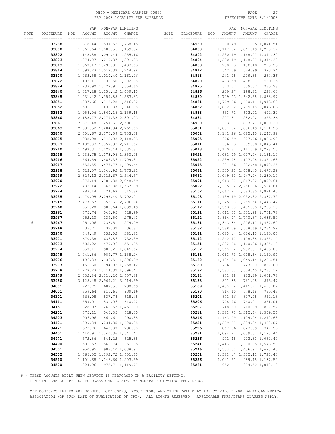#### OHIO – MEDICARE CARRIER 00883 PAGE 27<br>
FSY 2003 LOCALITY FEE SCHEDULE FOR PAGE 27 FSY 2003 LOCALITY FEE SCHEDULE

|      |           | PAR           |                               | NON-PAR LIMITING |       |            |                 | PAR      |                               | NON-PAR LIMITING |
|------|-----------|---------------|-------------------------------|------------------|-------|------------|-----------------|----------|-------------------------------|------------------|
| NOTE | PROCEDURE | MOD<br>AMOUNT | AMOUNT                        | CHARGE           | NOTE  | PROCEDURE  | MOD             | AMOUNT   | AMOUNT                        | CHARGE           |
| ---- | --------- |               | __ _________ ________         |                  | $---$ | ---------- | <u>--- ----</u> |          |                               | -- ---------     |
|      | 33788     |               | 1,618.44 1,537.52 1,768.15    |                  |       | 34530      |                 | 980.79   |                               | 931.75 1,071.51  |
|      |           |               |                               |                  |       |            |                 |          |                               |                  |
|      | 33800     |               | 1,061.64 1,008.56 1,159.84    |                  |       | 34800      |                 |          | 1, 117.04 1, 061.19 1, 220.37 |                  |
|      | 33802     |               | 1, 148.88 1, 091.44 1, 255.16 |                  |       | 34802      |                 |          | 1, 230.49 1, 168.97 1, 344.32 |                  |
|      | 33803     |               | 1, 274.07 1, 210.37 1, 391.93 |                  |       | 34804      |                 |          | 1,230.49 1,168.97 1,344.32    |                  |
|      | 33813     |               | 1, 367.17 1, 298.81 1, 493.63 |                  |       | 34808      |                 | 208.93   | 198.48                        | 228.25           |
|      | 33814     |               | 1,597.23 1,517.37 1,744.98    |                  |       | 34812      |                 | 342.09   | 324.99                        | 373.74           |
|      | 33820     |               | 1,063.58 1,010.40 1,161.96    |                  |       | 34813      |                 | 241.98   | 229.88                        | 264.36           |
|      |           |               |                               |                  |       |            |                 |          |                               |                  |
|      | 33822     |               | 1, 192.11 1, 132.50 1, 302.38 |                  |       | 34820      |                 | 493.59   | 468.91                        | 539.25           |
|      | 33824     |               | 1,239.90 1,177.91 1,354.60    |                  |       | 34825      |                 | 673.02   | 639.37                        | 735.28           |
|      | 33840     |               | 1, 317.28 1, 251.42 1, 439.13 |                  |       | 34826      |                 | 209.27   | 198.81                        | 228.63           |
|      | 33845     |               | 1,431.42 1,359.85 1,563.83    |                  |       | 34830      |                 |          | 1,729.03 1,642.58 1,888.97    |                  |
|      | 33851     |               | 1,387.66 1,318.28 1,516.02    |                  |       | 34831      |                 |          | 1,779.06 1,690.11 1,943.63    |                  |
|      | 33852     |               | 1,506.71 1,431.37 1,646.08    |                  |       | 34832      |                 |          | 1,872.82 1,779.18 2,046.06    |                  |
|      |           |               |                               |                  |       |            |                 |          |                               |                  |
|      | 33853     |               | 1,958.06 1,860.16 2,139.18    |                  |       | 34833      |                 | 633.71   |                               | 602.02 692.32    |
|      | 33860     |               | 2, 188.77 2, 079.33 2, 391.23 |                  |       | 34834      |                 | 297.81   |                               | 282.92 325.36    |
|      | 33861     |               | 2,376.48 2,257.66 2,596.31    |                  |       | 34900      |                 | 933.91   |                               | 887.21 1,020.29  |
|      | 33863     |               | 2,531.52 2,404.94 2,765.68    |                  |       | 35001      |                 |          | 1,091.04 1,036.49 1,191.96    |                  |
|      | 33870     |               | 2,501.67 2,376.59 2,733.08    |                  |       | 35002      |                 |          | 1, 142.26 1, 085.15 1, 247.92 |                  |
|      | 33875     |               | 1,938.98 1,842.03 2,118.33    |                  |       | 35005      |                 | 976.59   |                               | 927.76 1,066.92  |
|      | 33877     |               | 2,482.03 2,357.93 2,711.62    |                  |       | 35011      |                 | 956.93   |                               | 909.08 1,045.44  |
|      |           |               |                               |                  |       |            |                 |          |                               |                  |
|      | 33910     |               | 1,497.31 1,422.44 1,635.81    |                  |       | 35013      |                 |          | 1, 170.31 1, 111.79 1, 278.56 |                  |
|      | 33915     |               | 1,235.75 1,173.96 1,350.05    |                  |       | 35021      |                 |          | 1,081.09 1,027.04 1,181.10    |                  |
|      | 33916     |               | 1,564.59 1,486.36 1,709.31    |                  |       | 35022      |                 |          | 1,239.98 1,177.98 1,354.68    |                  |
|      | 33917     |               | 1,555.55 1,477.77 1,699.44    |                  |       | 35045      |                 |          | 981.56 932.48 1,072.35        |                  |
|      | 33918     |               | 1,623.07 1,541.92 1,773.21    |                  |       | 35081      |                 |          | 1,535.21 1,458.45 1,677.22    |                  |
|      | 33919     |               | 2, 329.13 2, 212.67 2, 544.57 |                  |       | 35082      |                 |          | 2,049.52 1,947.04 2,239.10    |                  |
|      | 33920     |               | 1,875.14 1,781.38 2,048.59    |                  |       | 35091      |                 |          | 1,913.60 1,817.92 2,090.61    |                  |
|      |           |               |                               |                  |       |            |                 |          |                               |                  |
|      | 33922     |               | 1,435.14 1,363.38 1,567.89    |                  |       | 35092      |                 |          | 2, 375.12 2, 256.36 2, 594.81 |                  |
|      | 33924     | 289.14        | 274.68                        | 315.88           |       | 35102      |                 |          | 1,667.21 1,583.85 1,821.43    |                  |
|      | 33935     |               | 3,470.95 3,297.40 3,792.01    |                  |       | 35103      |                 |          | 2, 139.79 2, 032.80 2, 337.72 |                  |
|      | 33945     |               | 2,477.57 2,353.69 2,706.74    |                  |       | 35111      |                 |          | 1, 325.83 1, 259.54 1, 448.47 |                  |
|      | 33960     | 951.20        |                               | 903.64 1,039.19  |       | 35112      |                 |          | 1,563.53 1,485.35 1,708.15    |                  |
|      | 33961     | 575.74        | 546.95                        | 628.99           |       | 35121      |                 |          | 1, 612.61 1, 531.98 1, 761.78 |                  |
|      |           |               |                               |                  |       |            |                 |          |                               |                  |
|      | 33967     | 252.10        | 239.50                        | 275.43           |       | 35122      |                 |          | 1,864.07 1,770.87 2,036.50    |                  |
| $\#$ | 33967     | 251.06        | 238.51                        | 274.29           |       | 35131      |                 |          | 1, 343.34 1, 276.17 1, 467.60 |                  |
|      | 33968     | 33.71         | 32.02                         | 36.82            |       | 35132      |                 |          | 1,588.09 1,508.69 1,734.99    |                  |
|      | 33970     | 349.49        | 332.02                        | 381.82           |       | 35141      |                 |          | 1,080.14 1,026.13 1,180.05    |                  |
|      | 33971     | 670.38        | 636.86                        | 732.39           |       | 35142      |                 |          | 1,240.40 1,178.38 1,355.14    |                  |
|      | 33973     | 505.22        | 479.96                        | 551.95           |       | 35151      |                 |          | 1,222.06 1,160.96 1,335.10    |                  |
|      | 33974     | 957.11        |                               | 909.25 1,045.64  |       | 35152      |                 |          | 1,360.92 1,292.87 1,486.80    |                  |
|      | 33975     | 1,041.86      |                               | 989.77 1,138.24  |       | 35161      |                 |          | 1,061.73 1,008.64 1,159.94    |                  |
|      |           |               |                               |                  |       |            |                 |          |                               |                  |
|      | 33976     |               | 1, 196.33 1, 136.51 1, 306.99 |                  |       | 35162      |                 |          | 1,104.36 1,049.14 1,206.51    |                  |
|      | 33977     |               | 1, 151.60 1, 094.02 1, 258.12 |                  |       | 35180      |                 | 766.21   |                               | 727.90 837.09    |
|      | 33978     |               | 1, 278.23 1, 214.32 1, 396.47 |                  |       | 35182      |                 |          | 1,583.63 1,504.45 1,730.12    |                  |
|      | 33979     |               | 2,432.84 2,311.20 2,657.88    |                  |       | 35184      |                 | 971.88   |                               | 923.29 1,061.78  |
|      | 33980     |               | 3, 125.48 2, 969.21 3, 414.59 |                  |       | 35188      |                 | 801.35   | 761.28                        | 875.47           |
|      | 34001     | 723.75        | 687.56                        | 790.69           |       | 35189      |                 |          | 1,490.22 1,415.71 1,628.07    |                  |
|      | 34051     | 859.64        | 816.66                        | 939.16           |       | 35190      |                 | 714.40   | 678.68                        | 780.48           |
|      | 34101     | 566.08        | 537.78                        | 618.45           |       | 35201      |                 | 871.56   | 827.98                        | 952.18           |
|      |           |               |                               | 610.72           |       |            |                 |          |                               |                  |
|      | 34111     | 559.01        | 531.06                        |                  |       | 35206      |                 | 778.96   | 740.01                        | 851.01           |
|      | 34151     |               | 1,328.97 1,262.52 1,451.90    |                  |       | 35207      |                 | 748.30   | 710.89                        | 817.52           |
|      | 34201     | 575.11        | 546.35                        | 628.30           |       | 35211      |                 |          | 1,381.73 1,312.64 1,509.54    |                  |
|      | 34203     | 906.96        | 861.61                        | 990.85           |       | 35216      |                 |          | 1,163.09 1,104.94 1,270.68    |                  |
|      | 34401     |               | 1,299.84 1,234.85 1,420.08    |                  |       | 35221      |                 |          | 1,299.83 1,234.84 1,420.07    |                  |
|      | 34421     | 673.76        | 640.07                        | 736.08           |       | 35226      |                 | 867.36   | 823.99                        | 947.59           |
|      | 34451     |               | 1,410.91 1,340.36 1,541.41    |                  |       | 35231      |                 |          | 1,094.22 1,039.51 1,195.44    |                  |
|      | 34471     | 572.86        | 544.22                        | 625.85           |       | 35236      |                 |          | 972.45 923.83 1,062.40        |                  |
|      |           |               |                               |                  |       |            |                 |          |                               |                  |
|      | 34490     | 596.57        | 566.74                        | 651.75           |       | 35241      |                 |          | 1,443.11 1,370.95 1,576.59    |                  |
|      | 34501     | 950.95        |                               | 903.40 1,038.91  |       | 35246      |                 |          | 1,533.60 1,456.92 1,675.46    |                  |
|      | 34502     |               | 1,466.02 1,392.72 1,601.63    |                  |       | 35251      |                 |          | 1,581.17 1,502.11 1,727.43    |                  |
|      | 34510     |               | 1,101.68 1,046.60 1,203.59    |                  |       | 35256      |                 | 1,041.21 |                               | 989.15 1, 137.52 |
|      | 34520     |               | 1,024.96 973.71 1,119.77      |                  |       | 35261      |                 |          | 952.11 904.50 1,040.18        |                  |

# - THESE AMOUNTS APPLY WHEN SERVICE IS PERFORMED IN A FACILITY SETTING.

LIMITING CHARGE APPLIES TO UNASSIGNED CLAIMS BY NON-PARTICIPATING PROVIDERS.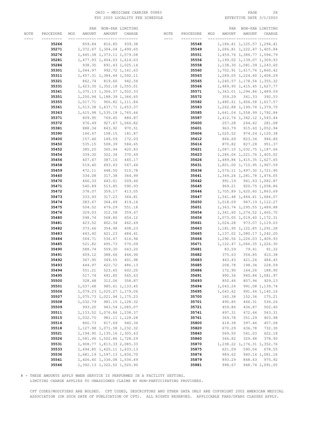# OHIO - MEDICARE CARRIER 00883 PAGE 28 FSY 2003 LOCALITY FEE SCHEDULE

|      |           |               | PAR NON-PAR LIMITING          |                 |      |           |     | PAR      | NON-PAR LIMITING              |                  |
|------|-----------|---------------|-------------------------------|-----------------|------|-----------|-----|----------|-------------------------------|------------------|
| NOTE | PROCEDURE | AMOUNT<br>MOD | AMOUNT                        | CHARGE          | NOTE | PROCEDURE | MOD | AMOUNT   | AMOUNT                        | CHARGE           |
|      | --------- |               |                               | -- ---------    | ---- | --------- |     |          | __ _________ ________         |                  |
|      | 35266     | 859.84        | 816.85                        | 939.38          |      | 35548     |     |          | 1, 184.81 1, 125.57 1, 294.41 |                  |
|      | 35271     |               | 1,372.67 1,304.04 1,499.65    |                 |      | 35549     |     |          | 1,286.81 1,222.47 1,405.84    |                  |
|      | 35276     |               | 1,445.38 1,373.11 1,579.08    |                 |      | 35551     |     |          | 1,459.76 1,386.77 1,594.79    |                  |
|      |           |               |                               |                 |      |           |     |          |                               |                  |
|      | 35281     |               | 1, 477.93 1, 404.03 1, 614.63 |                 |      | 35556     |     |          | 1,199.02 1,139.07 1,309.93    |                  |
|      | 35286     |               | 938.35 891.43 1,025.14        |                 |      | 35558     |     |          | 1, 138.30 1, 081.39 1, 243.60 |                  |
|      | 35301     |               | 1,044.97 992.72 1,141.63      |                 |      | 35560     |     |          | 1,702.91 1,617.76 1,860.42    |                  |
|      | 35311     |               | 1, 457.31 1, 384.44 1, 592.11 |                 |      | 35563     |     |          | 1,289.05 1,224.60 1,408.29    |                  |
|      | 35321     |               | 862.74 819.60 942.54          |                 |      | 35565     |     |          | 1, 240.57 1, 178.54 1, 355.32 |                  |
|      | 35331     |               | 1,423.35 1,352.18 1,555.01    |                 |      | 35566     |     |          | 1,489.95 1,415.45 1,627.77    |                  |
|      | 35341     |               | 1, 375.13 1, 306.37 1, 502.33 |                 |      | 35571     |     |          | 1,363.01 1,294.86 1,489.09    |                  |
|      | 35351     |               | 1,250.94 1,188.39 1,366.65    |                 |      | 35572     |     |          | 359.29 341.33 392.53          |                  |
|      | 35355     |               | 1,017.71 966.82 1,111.84      |                 |      | 35582     |     |          | 1,480.61 1,406.58 1,617.57    |                  |
|      | 35361     |               | 1,513.38 1,437.71 1,653.37    |                 |      | 35583     |     |          | 1, 262.88 1, 199.74 1, 379.70 |                  |
|      | 35363     |               | 1,615.98 1,535.18 1,765.46    |                 |      | 35585     |     |          | 1,641.04 1,558.99 1,792.84    |                  |
|      | 35371     | 809.95        |                               | 769.45 884.87   |      | 35587     |     |          | 1, 412.76 1, 342.12 1, 543.44 |                  |
|      | 35372     | 976.49        |                               | 927.67 1,066.82 |      | 35600     |     | 257.28   |                               | 244.42 281.08    |
|      | 35381     |               | 843.92                        | 970.51          |      | 35601     |     | 963.79   |                               | 915.60 1,052.94  |
|      |           | 888.34        |                               |                 |      |           |     |          |                               |                  |
|      | 35390     | 166.47        | 158.15                        | 181.87          |      | 35606     |     |          | 1,025.52 974.24 1,120.38      |                  |
|      | 35400     | 157.46        | 149.59                        | 172.03          |      | 35612     |     | 866.69   | 823.36                        | 946.86           |
|      | 35450     | 535.15        | 508.39                        | 584.65          |      | 35616     |     | 870.82   | 827.28 951.37                 |                  |
|      | 35452     | 385.20        | 365.94                        | 420.83          |      | 35621     |     |          | 1,087.10 1,032.75 1,187.66    |                  |
|      | 35454     | 339.30        | 322.34                        | 370.69          |      | 35623     |     |          | 1,286.06 1,221.76 1,405.02    |                  |
|      | 35456     | 407.47        | 387.10                        | 445.17          |      | 35626     |     |          | 1,489.84 1,415.35 1,627.65    |                  |
|      | 35458     | 519.40        | 493.43                        | 567.44          |      | 35631     |     |          | 1,801.00 1,710.95 1,967.59    |                  |
|      | 35459     | 472.11        | 448.50                        | 515.78          |      | 35636     |     |          | 1,576.11 1,497.30 1,721.90    |                  |
|      | 35460     | 334.08        | 317.38                        | 364.99          |      | 35641     |     |          | 1,349.24 1,281.78 1,474.05    |                  |
|      | 35470     | 466.33        | 443.01                        | 509.46          |      | 35642     |     |          | 991.19 941.63 1,082.87        |                  |
|      | 35471     | 540.89        | 513.85                        | 590.93          |      | 35645     |     |          | 969.21 920.75 1,058.86        |                  |
|      | 35472     | 378.07        | 359.17                        | 413.05          |      | 35646     |     |          | 1,705.89 1,620.60 1,863.69    |                  |
|      | 35473     | 333.93        | 317.23                        | 364.81          |      | 35647     |     |          | 1,541.48 1,464.41 1,684.07    |                  |
|      | 35474     | 383.67        | 364.49                        | 419.16          |      | 35650     |     |          | 1,018.09 967.19 1,112.27      |                  |
|      | 35475     | 504.52        | 479.29                        | 551.18          |      | 35651     |     |          | 1,363.74 1,295.55 1,489.88    |                  |
|      | 35476     | 329.03        | 312.58                        | 359.47          |      | 35654     |     |          | 1,341.60 1,274.52 1,465.70    |                  |
|      |           |               |                               |                 |      |           |     |          |                               |                  |
|      | 35480     | 598.74        | 568.80                        | 654.12          |      | 35656     |     |          | 1,073.05 1,019.40 1,172.31    |                  |
|      | 35481     | 423.52        | 402.34                        | 462.69          |      | 35661     |     |          | 1,024.28 973.07 1,119.03      |                  |
|      | 35482     | 373.66        | 354.98                        | 408.23          |      | 35663     |     |          | 1, 181.95 1, 122.85 1, 291.28 |                  |
|      | 35483     | 443.40        | 421.23                        | 484.41          |      | 35665     |     |          | 1, 137.02 1, 080.17 1, 242.20 |                  |
|      | 35484     | 564.71        | 536.47                        | 616.94          |      | 35666     |     |          | 1,290.56 1,226.03 1,409.93    |                  |
|      | 35485     | 521.82        | 495.73                        | 570.09          |      | 35671     |     |          | 1, 122.47 1, 066.35 1, 226.30 |                  |
|      | 35490     | 588.74        | 559.30                        | 643.20          |      | 35681     |     | 83.59    | 79.41                         | 91.32            |
|      | 35491     | 409.12        | 388.66                        | 446.96          |      | 35682     |     | 375.63   | 356.85                        | 410.38           |
|      | 35492     | 367.95        | 349.55                        | 401.98          |      | 35683     |     | 443.43   | 421.26                        | 484.45           |
|      | 35493     | 444.97        | 422.72                        | 486.13          |      | 35685     |     | 208.78   | 198.34                        | 228.09           |
|      | 35494     | 551.21        | 523.65                        | 602.20          |      | 35686     |     | 172.90   | 164.26                        | 188.90           |
|      | 35495     | 517.74        | 491.85                        | 565.63          |      | 35691     |     | 990.36   |                               | 940.84 1,081.97  |
|      | 35500     | 328.48        | 312.06                        | 358.87          |      | 35693     |     | 850.46   | 807.94                        | 929.13           |
|      | 35501     | 1,037.48      |                               | 985.61 1,133.45 |      | 35694     |     | 1,043.24 |                               | 991.08 1, 139.74 |
|      | 35506     |               | 1,079.23 1,025.27 1,179.06    |                 |      | 35695     |     | 1,043.62 |                               | 991.44 1,140.16  |
|      | 35507     |               | 1,075.73 1,021.94 1,175.23    |                 |      | 35700     |     | 160.38   | 152.36                        | 175.21           |
|      | 35508     | 1,032.79      |                               | 981.15 1,128.32 |      | 35701     |     | 490.85   | 466.31                        | 536.26           |
|      | 35509     | 993.20        |                               | 943.54 1,085.07 |      | 35721     |     | 459.86   | 436.87                        | 502.40           |
|      | 35511     |               | 1, 133.52 1, 076.84 1, 238.37 |                 |      | 35741     |     | 497.31   | 472.44                        | 543.31           |
|      |           |               |                               |                 |      |           |     |          |                               |                  |
|      | 35515     | 1,032.75      |                               | 981.11 1,128.28 |      | 35761     |     | 369.78   | 351.29                        | 403.98           |
|      | 35516     | 860.73        |                               | 817.69 940.34   |      | 35800     |     | 418.38   | 397.46                        | 457.08           |
|      | 35518     |               | 1, 127.98 1, 071.58 1, 232.32 |                 |      | 35820     |     | 670.29   | 636.78                        | 732.30           |
|      | 35521     |               | 1, 194.90 1, 135.16 1, 305.43 |                 |      | 35840     |     | 569.50   | 541.03                        | 622.18           |
|      | 35526     |               | 1,581.96 1,502.86 1,728.29    |                 |      | 35860     |     | 346.82   | 329.48                        | 378.90           |
|      | 35531     |               | 1,908.77 1,813.33 2,085.33    |                 |      | 35870     |     |          | 1, 238.22 1, 176.31 1, 352.76 |                  |
|      | 35533     |               | 1,494.85 1,420.11 1,633.13    |                 |      | 35875     |     | 621.09   | 590.04                        | 678.55           |
|      | 35536     |               | 1,681.19 1,597.13 1,836.70    |                 |      | 35876     |     | 989.62   |                               | 940.14 1,081.16  |
|      | 35541     |               | 1,406.40 1,336.08 1,536.49    |                 |      | 35879     |     | 893.29   | 848.63                        | 975.92           |
|      | 35546     |               | 1, 392.13 1, 322.52 1, 520.90 |                 |      | 35881     |     | 998.67   |                               | 948.74 1,091.05  |

# - THESE AMOUNTS APPLY WHEN SERVICE IS PERFORMED IN A FACILITY SETTING.

LIMITING CHARGE APPLIES TO UNASSIGNED CLAIMS BY NON-PARTICIPATING PROVIDERS.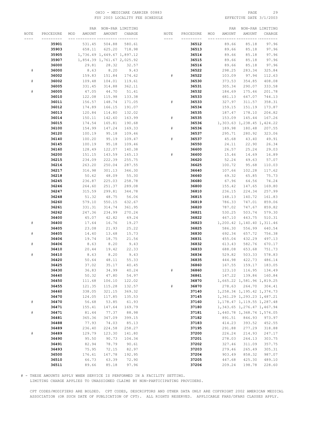# OHIO - MEDICARE CARRIER 00883 PAGE 29 FSY 2003 LOCALITY FEE SCHEDULE

|      |           | PAR           |                            | NON-PAR LIMITING |           |           |     | PAR           |                               | NON-PAR LIMITING |
|------|-----------|---------------|----------------------------|------------------|-----------|-----------|-----|---------------|-------------------------------|------------------|
| NOTE | PROCEDURE | AMOUNT<br>MOD | AMOUNT                     | CHARGE           | NOTE      | PROCEDURE | MOD | <b>AMOUNT</b> | AMOUNT                        | CHARGE           |
|      | --------- |               |                            | -- ---------     | $- - - -$ | --------- |     |               |                               |                  |
|      | 35901     | 531.45        | 504.88                     | 580.61           |           | 36512     |     | 89.66         | 85.18                         | 97.96            |
|      | 35903     | 658.11        | 625.20                     | 718.98           |           | 36513     |     | 89.66         | 85.18                         | 97.96            |
|      | 35905     |               | 1,736.49 1,649.67 1,897.12 |                  |           | 36514     |     | 89.66         | 85.18                         | 97.96            |
|      | 35907     |               |                            |                  |           |           |     | 89.66         | 85.18                         | 97.96            |
|      |           |               | 1,854.39 1,761.67 2,025.92 |                  |           | 36515     |     |               |                               |                  |
|      | 36000     | 29.81         | 28.32                      | 32.57            |           | 36516     |     | 89.66         | 85.18                         | 97.96            |
| #    | 36000     | 8.63          | 8.20                       | 9.43             |           | 36522     |     | 298.25        | 283.34                        | 325.84           |
|      | 36002     | 159.83        | 151.84                     | 174.62           | #         | 36522     |     | 103.09        | 97.94                         | 112.63           |
| #    | 36002     | 109.48        | 104.01                     | 119.61           |           | 36530     |     | 373.53        | 354.85                        | 408.08           |
|      | 36005     | 331.45        | 314.88                     | 362.11           |           | 36531     |     | 305.34        | 290.07                        | 333.58           |
| #    | 36005     | 47.05         | 44.70                      | 51.41            |           | 36532     |     | 184.69        | 175.46                        | 201.78           |
|      | 36010     | 122.08        | 115.98                     | 133.38           |           | 36533     |     | 681.13        | 647.07                        | 744.13           |
|      | 36011     | 156.57        | 148.74                     | 171.05           | #         | 36533     |     | 327.97        | 311.57                        | 358.31           |
|      | 36012     | 174.89        | 166.15                     | 191.07           |           | 36534     |     | 159.15        | 151.19                        | 173.87           |
|      | 36013     | 120.84        | 114.80                     | 132.02           |           | 36535     |     | 187.47        | 178.10                        | 204.82           |
|      | 36014     | 150.11        | 142.60                     | 163.99           | #         | 36535     |     | 153.09        | 145.44                        | 167.26           |
|      | 36015     | 174.54        | 165.81                     | 190.68           |           | 36536     |     |               | 1,303.63 1,238.45 1,424.22    |                  |
|      | 36100     | 154.99        | 147.24                     | 169.33           | #         | 36536     |     | 189.98        | 180.48                        | 207.55           |
|      |           | 100.19        | 95.18                      |                  |           | 36537     |     | 295.71        |                               | 323.06           |
|      | 36120     |               |                            | 109.46           |           |           |     |               | 280.92                        |                  |
|      | 36140     | 100.20        | 95.19                      | 109.47           | #         | 36537     |     | 45.68         | 43.40                         | 49.91            |
|      | 36145     | 100.19        | 95.18                      | 109.46           |           | 36550     |     | 24.11         | 22.90                         | 26.34            |
|      | 36160     | 128.49        | 122.07                     | 140.38           |           | 36600     |     | 26.57         | 25.24                         | 29.03            |
|      | 36200     | 151.15        | 143.59                     | 165.13           | #         | 36600     |     | 15.46         | 14.69                         | 16.89            |
|      | 36215     | 234.09        | 222.39                     | 255.75           |           | 36620     |     | 52.24         | 49.63                         | 57.07            |
|      | 36216     | 263.20        | 250.04                     | 287.55           |           | 36625     |     | 100.72        | 95.68                         | 110.03           |
|      | 36217     | 316.98        | 301.13                     | 346.30           |           | 36640     |     | 107.66        | 102.28                        | 117.62           |
|      | 36218     | 50.62         | 48.09                      | 55.30            |           | 36660     |     | 69.32         | 65.85                         | 75.73            |
|      | 36245     | 236.87        | 225.03                     | 258.78           |           | 36680     |     | 67.96         | 64.56                         | 74.24            |
|      | 36246     | 264.60        | 251.37                     | 289.08           |           | 36800     |     | 155.42        | 147.65                        | 169.80           |
|      | 36247     | 315.59        | 299.81                     | 344.78           |           | 36810     |     | 236.15        | 224.34                        | 257.99           |
|      | 36248     | 51.32         | 48.75                      | 56.06            |           | 36815     |     | 148.13        | 140.72                        | 161.83           |
|      | 36260     | 579.10        | 550.15                     | 632.67           |           | 36819     |     | 786.33        | 747.01                        | 859.06           |
|      | 36261     | 331.31        | 314.74                     | 361.95           |           | 36820     |     | 787.02        | 747.67                        | 859.82           |
|      | 36262     | 247.36        | 234.99                     | 270.24           |           | 36821     |     | 530.25        | 503.74                        | 579.30           |
|      | 36400     | 45.07         | 42.82                      | 49.24            |           | 36822     |     | 467.10        | 443.75                        | 510.31           |
| #    | 36400     | 17.64         | 16.76                      | 19.27            |           | 36823     |     |               | 1,200.42 1,140.40 1,311.46    |                  |
|      |           |               |                            |                  |           |           |     |               |                               |                  |
|      | 36405     | 23.08         | 21.93                      | 25.22            |           | 36825     |     | 586.30        | 556.99                        | 640.54           |
| $\#$ | 36405     | 14.40         | 13.68                      | 15.73            |           | 36830     |     | 692.34        | 657.72                        | 756.38           |
|      | 36406     | 19.74         | 18.75                      | 21.56            |           | 36831     |     | 455.04        | 432.29                        | 497.13           |
| #    | 36406     | 8.63          | 8.20                       | 9.43             |           | 36832     |     | 613.43        | 582.76                        | 670.17           |
|      | 36410     | 20.44         | 19.42                      | 22.33            |           | 36833     |     | 688.08        | 653.68                        | 751.73           |
| #    | 36410     | 8.63          | 8.20                       | 9.43             |           | 36834     |     | 529.82        | 503.33                        | 578.83           |
|      | 36420     | 50.64         | 48.11                      | 55.33            |           | 36835     |     | 444.98        | 422.73                        | 486.14           |
|      | 36425     | 37.02         | 35.17                      | 40.45            |           | 36860     |     | 167.55        | 159.17                        | 183.05           |
|      | 36430     | 36.83         | 34.99                      | 40.24            | #         | 36860     |     | 123.10        | 116.95                        | 134.49           |
|      | 36440     | 50.32         | 47.80                      | 54.97            |           | 36861     |     | 147.22        | 139.86                        | 160.84           |
|      | 36450     | 111.68        | 106.10                     | 122.02           |           | 36870     |     |               | 1,665.22 1,581.96 1,819.25    |                  |
|      | 36455     | 121.35        | 115.28                     | 132.57           | $\#$      | 36870     |     | 278.63        | 264.70                        | 304.41           |
|      | 36460     | 338.05        | 321.15                     | 369.32           |           | 37140     |     |               | 1, 258.34 1, 195.42 1, 374.73 |                  |
|      | 36470     | 124.05        | 117.85                     | 135.53           |           | 37145     |     |               | 1,361.29 1,293.23 1,487.21    |                  |
| $\#$ | 36470     | 56.68         | 53.85                      | 61.93            |           | 37160     |     |               | 1, 178.47 1, 119.55 1, 287.48 |                  |
|      | 36471     | 155.41        | 147.64                     | 169.79           |           | 37180     |     |               | 1, 343.65 1, 276.47 1, 467.94 |                  |
| $\#$ | 36471     | 81.44         | 77.37                      | 88.98            |           | 37181     |     |               | 1,440.78 1,368.74 1,574.05    |                  |
|      | 36481     | 365.36        | 347.09                     | 399.15           |           | 37182     |     | 891.51        | 846.93                        | 973.97           |
|      | 36488     | 77.93         | 74.03                      | 85.13            |           | 37183     |     |               | 393.52                        |                  |
|      |           |               |                            |                  |           |           |     | 414.23        |                               | 452.55           |
|      | 36489     | 236.40        | 224.58                     | 258.27           |           | 37195     |     | 291.88        | 277.29                        | 318.88           |
| $\#$ | 36489     | 129.79        | 123.30                     | 141.80           |           | 37200     |     | 226.24        | 214.93                        | 247.17           |
|      | 36490     | 95.50         | 90.73                      | 104.34           |           | 37201     |     | 278.03        | 264.13                        | 303.75           |
|      | 36491     | 82.94         | 78.79                      | 90.61            |           | 37202     |     | 327.46        | 311.09                        | 357.75           |
|      | 36493     | 75.95         | 72.15                      | 82.97            |           | 37203     |     | 279.46        | 265.49                        | 305.31           |
|      | 36500     | 176.61        | 167.78                     | 192.95           |           | 37204     |     | 903.49        | 858.32                        | 987.07           |
|      | 36510     | 66.73         | 63.39                      | 72.90            |           | 37205     |     | 447.68        | 425.30                        | 489.10           |
|      | 36511     | 89.66         | 85.18                      | 97.96            |           | 37206     |     | 209.24        | 198.78                        | 228.60           |

# - THESE AMOUNTS APPLY WHEN SERVICE IS PERFORMED IN A FACILITY SETTING.

LIMITING CHARGE APPLIES TO UNASSIGNED CLAIMS BY NON-PARTICIPATING PROVIDERS.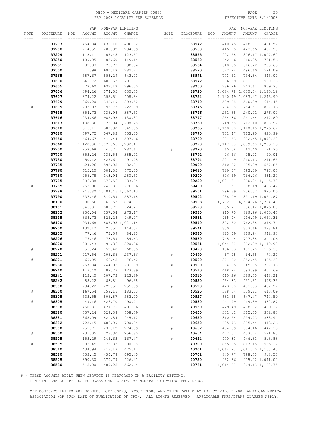# OHIO - MEDICARE CARRIER 00883 PAGE 30 FSY 2003 LOCALITY FEE SCHEDULE

|      |           |     |          | PAR NON-PAR LIMITING          |                 |      |      |           |     | PAR      |                               | NON-PAR LIMITING |
|------|-----------|-----|----------|-------------------------------|-----------------|------|------|-----------|-----|----------|-------------------------------|------------------|
| NOTE | PROCEDURE | MOD | AMOUNT   | AMOUNT                        | CHARGE          | NOTE |      | PROCEDURE | MOD | AMOUNT   | AMOUNT                        | CHARGE           |
|      |           |     |          |                               | -- ---------    |      |      |           |     |          |                               |                  |
|      | 37207     |     | 454.84   | 432.10                        | 496.92          |      |      | 38542     |     | 440.75   | 418.71                        | 481.52           |
|      | 37208     |     | 214.55   | 203.82                        | 234.39          |      |      | 38550     |     | 445.95   | 423.65                        | 487.20           |
|      | 37209     |     | 113.11   | 107.45                        | 123.57          |      |      | 38555     |     | 922.28   |                               | 876.17 1,007.60  |
|      | 37250     |     | 109.05   | 103.60                        | 119.14          |      |      |           |     |          | 610.05                        | 701.56           |
|      |           |     |          |                               |                 |      |      | 38562     |     | 642.16   |                               |                  |
|      | 37251     |     | 82.87    | 78.73                         | 90.54           |      |      | 38564     |     | 648.65   | 616.22                        | 708.65           |
|      | 37500     |     | 715.98   | 680.18                        | 782.21          |      |      | 38570     |     | 522.74   | 496.60                        | 571.09           |
|      | 37565     |     | 587.67   | 558.29                        | 642.03          |      |      | 38571     |     | 773.52   | 734.84                        | 845.07           |
|      | 37600     |     | 641.72   | 609.63                        | 701.07          |      |      | 38572     |     | 906.39   |                               | 861.07 990.23    |
|      | 37605     |     | 728.60   | 692.17                        | 796.00          |      |      | 38700     |     | 786.96   | 747.61                        | 859.75           |
|      | 37606     |     | 394.26   | 374.55                        | 430.73          |      |      | 38720     |     |          | 1,084.78 1,030.54 1,185.12    |                  |
|      | 37607     |     | 374.22   | 355.51                        | 408.84          |      |      | 38724     |     |          | 1, 140.49 1, 083.47 1, 245.99 |                  |
|      | 37609     |     | 360.20   | 342.19                        | 393.52          |      |      | 38740     |     | 589.88   |                               | 560.39 644.45    |
| #    | 37609     |     | 203.93   | 193.73                        | 222.79          |      |      | 38745     |     |          | 794.28 754.57 867.76          |                  |
|      | 37615     |     | 354.72   | 336.98                        | 387.53          |      |      | 38746     |     | 252.65   | 240.02                        | 276.02           |
|      | 37616     |     | 1,034.66 |                               | 982.93 1,130.37 |      |      | 38747     |     | 254.36   | 241.64                        | 277.89           |
|      | 37617     |     |          | 1, 188.36 1, 128.94 1, 298.28 |                 |      |      | 38760     |     | 749.58   | 712.10                        | 818.92           |
|      | 37618     |     | 316.11   | 300.30                        | 345.35          |      |      | 38765     |     |          | 1, 168.58 1, 110.15 1, 276.67 |                  |
|      | 37620     |     | 597.72   | 567.83                        | 653.00          |      |      | 38770     |     |          | 751.47 713.90 820.99          |                  |
|      | 37650     |     | 464.67   | 441.44                        | 507.66          |      |      | 38780     |     |          | 981.53 932.45 1,072.32        |                  |
|      | 37660     |     |          |                               |                 |      |      | 38790     |     |          | 1, 147.03 1, 089.68 1, 253.13 |                  |
|      |           |     |          | 1, 128.06 1, 071.66 1, 232.41 |                 |      |      |           |     |          |                               |                  |
|      | 37700     |     | 258.68   | 245.75                        | 282.61          |      | #    | 38790     |     | 65.68    | 62.40                         | 71.76            |
|      | 37720     |     | 353.24   | 335.58                        | 385.92          |      |      | 38792     |     | 26.56    | 25.23                         | 29.01            |
|      | 37730     |     | 450.12   | 427.61                        | 491.75          |      |      | 38794     |     | 221.19   | 210.13                        | 241.65           |
|      | 37735     |     | 624.26   | 593.05                        | 682.01          |      |      | 39000     |     | 510.62   | 485.09                        | 557.85           |
|      | 37760     |     | 615.10   | 584.35                        | 672.00          |      |      | 39010     |     | 729.57   | 693.09                        | 797.05           |
|      | 37780     |     | 256.78   | 243.94                        | 280.53          |      |      | 39200     |     | 806.59   | 766.26                        | 881.20           |
|      | 37785     |     | 396.38   | 376.56                        | 433.04          |      |      | 39220     |     | 1,021.31 |                               | 970.24 1, 115.78 |
| #    | 37785     |     | 252.96   | 240.31                        | 276.36          |      |      | 39400     |     | 387.57   |                               | 368.19 423.42    |
|      | 37788     |     |          | 1,246.80 1,184.46 1,362.13    |                 |      |      | 39501     |     | 796.39   |                               | 756.57 870.06    |
|      | 37790     |     | 537.46   | 510.59                        | 587.18          |      |      | 39502     |     | 938.09   |                               | 891.19 1,024.87  |
|      | 38100     |     | 800.56   | 760.53                        | 874.61          |      |      | 39503     |     |          | 4,772.91 4,534.26 5,214.40    |                  |
|      | 38101     |     | 846.01   | 803.71                        | 924.27          |      |      | 39520     |     |          | 985.71 936.42 1,076.88        |                  |
|      | 38102     |     | 250.04   | 237.54                        | 273.17          |      |      | 39530     |     |          | 915.75 869.96 1,000.45        |                  |
|      | 38115     |     | 868.72   | 825.28                        | 949.07          |      |      | 39531     |     | 965.04   |                               | 916.79 1,054.31  |
|      | 38120     |     | 934.68   |                               | 887.95 1,021.14 |      |      | 39540     |     | 802.50   |                               | 762.38 876.74    |
|      | 38200     |     | 132.12   | 125.51                        | 144.34          |      |      | 39541     |     | 850.17   |                               | 807.66 928.81    |
|      | 38205     |     | 77.46    | 73.59                         | 84.63           |      |      | 39545     |     | 863.09   | 819.94                        | 942.93           |
|      | 38206     |     | 77.46    | 73.59                         | 84.63           |      |      | 39560     |     | 745.14   | 707.88                        | 814.06           |
|      | 38220     |     | 201.43   | 191.36                        | 220.06          |      |      | 39561     |     | 1,044.30 |                               | 992.09 1,140.90  |
| #    | 38220     |     | 55.24    | 52.48                         | 60.35           |      |      | 40490     |     | 106.53   | 101.20                        | 116.38           |
|      | 38221     |     | 217.54   | 206.66                        | 237.66          |      |      | 40490     |     | 67.98    | 64.58                         | 74.27            |
| #    | 38221     |     | 69.95    | 66.45                         | 76.42           |      |      | 40500     |     | 371.00   | 352.45                        | 405.32           |
|      | 38230     |     | 257.84   | 244.95                        | 281.69          |      | $\#$ | 40500     |     | 364.05   | 345.85                        | 397.73           |
|      | 38240     |     | 113.40   | 107.73                        | 123.89          |      |      | 40510     |     | 418.94   | 397.99                        | 457.69           |
|      | 38241     |     | 113.40   | 107.73                        | 123.89          |      | $\#$ | 40510     |     | 410.26   | 389.75                        | 448.21           |
|      | 38242     |     | 88.22    | 83.81                         | 96.38           |      |      | 40520     |     | 454.33   | 431.61                        | 496.35           |
|      | 38300     |     | 234.22   | 222.51                        | 255.89          |      | $\#$ | 40520     |     | 423.08   | 401.93                        | 462.22           |
| $\#$ | 38300     |     | 167.54   | 159.16                        | 183.03          |      |      | 40525     |     | 588.64   | 559.21                        | 643.09           |
|      | 38305     |     | 533.55   | 506.87                        | 582.90          |      |      | 40527     |     | 681.55   | 647.47                        | 744.59           |
| $\#$ | 38305     |     | 449.16   | 426.70                        | 490.71          |      |      | 40530     |     | 441.99   | 419.89                        | 482.87           |
|      | 38308     |     | 450.31   | 427.79                        | 491.96          |      |      | 40530     |     |          |                               | 469.22           |
|      |           |     |          |                               |                 |      | $\#$ |           |     | 429.49   | 408.02                        |                  |
|      | 38380     |     | 557.24   | 529.38                        | 608.79          |      |      | 40650     |     | 332.11   | 315.50                        | 362.83           |
|      | 38381     |     | 865.09   | 821.84                        | 945.12          |      | $\#$ | 40650     |     | 310.24   | 294.73                        | 338.94           |
|      | 38382     |     | 723.15   | 686.99                        | 790.04          |      |      | 40652     |     | 405.73   | 385.44                        | 443.26           |
|      | 38500     |     | 251.71   | 239.12                        | 274.99          |      | $\#$ | 40652     |     | 404.69   | 384.46                        | 442.13           |
| $\#$ | 38500     |     | 235.05   | 223.30                        | 256.80          |      |      | 40654     |     | 477.62   | 453.74                        | 521.80           |
|      | 38505     |     | 153.29   | 145.63                        | 167.47          |      | $\#$ | 40654     |     | 470.33   | 446.81                        | 513.83           |
| $\#$ | 38505     |     | 82.45    | 78.33                         | 90.08           |      |      | 40700     |     | 855.95   | 813.15                        | 935.12           |
|      | 38510     |     | 434.94   | 413.19                        | 475.17          |      |      | 40701     |     |          | 1,064.95 1,011.70 1,163.46    |                  |
|      | 38520     |     | 453.45   | 430.78                        | 495.40          |      |      | 40702     |     | 840.77   | 798.73                        | 918.54           |
|      | 38525     |     | 390.30   | 370.79                        | 426.41          |      |      | 40720     |     | 952.86   |                               | 905.22 1,041.00  |
|      | 38530     |     | 515.00   | 489.25                        | 562.64          |      |      | 40761     |     | 1,014.87 |                               | 964.13 1,108.75  |

# - THESE AMOUNTS APPLY WHEN SERVICE IS PERFORMED IN A FACILITY SETTING.

LIMITING CHARGE APPLIES TO UNASSIGNED CLAIMS BY NON-PARTICIPATING PROVIDERS.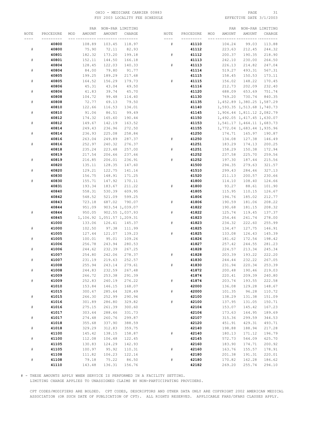# OHIO - MEDICARE CARRIER 00883 PAGE 31 FSY 2003 LOCALITY FEE SCHEDULE

|             |           | PAR           |                            | NON-PAR LIMITING |      |           |     | PAR              |                               | NON-PAR LIMITING |
|-------------|-----------|---------------|----------------------------|------------------|------|-----------|-----|------------------|-------------------------------|------------------|
| NOTE        | PROCEDURE | AMOUNT<br>MOD | AMOUNT                     | CHARGE           | NOTE | PROCEDURE | MOD | <b>AMOUNT</b>    | AMOUNT                        | CHARGE           |
|             |           |               |                            |                  |      |           |     |                  |                               |                  |
|             | 40800     | 108.89        | 103.45                     | 118.97           | #    | 41110     |     | 104.24           | 99.03                         | 113.88           |
| $\#$        | 40800     | 75.90         | 72.11                      | 82.93            |      | 41112     |     | 223.63           | 212.45                        | 244.32           |
|             |           |               |                            |                  |      |           |     |                  |                               |                  |
|             | 40801     | 182.32        | 173.20                     | 199.18           | $\#$ | 41112     |     | 200.37           | 190.35                        | 218.90           |
| $\#$        | 40801     | 152.11        | 144.50                     | 166.18           |      | 41113     |     | 242.10           | 230.00                        | 264.50           |
|             | 40804     | 128.45        | 122.03                     | 140.33           | #    | 41113     |     | 226.13           | 214.82                        | 247.04           |
| $\#$        | 40804     | 84.00         | 79.80                      | 91.77            |      | 41114     |     | 519.27           | 493.31                        | 567.31           |
|             | 40805     | 199.25        | 189.29                     | 217.68           |      | 41115     |     | 158.45           | 150.53                        | 173.11           |
| $\#$        | 40805     | 164.52        | 156.29                     | 179.73           | $\#$ | 41115     |     | 156.02           | 148.22                        | 170.45           |
|             | 40806     | 45.31         | 43.04                      | 49.50            |      | 41116     |     | 212.73           | 202.09                        | 232.40           |
| $\#$        | 40806     | 41.83         | 39.74                      | 45.70            |      | 41120     |     | 688.09           | 653.69                        | 751.74           |
|             | 40808     | 104.72        | 99.48                      | 114.40           |      | 41130     |     | 769.20           | 730.74                        | 840.35           |
| $\#$        | 40808     | 72.77         | 69.13                      | 79.50            |      | 41135     |     |                  | 1, 452.89 1, 380.25 1, 587.29 |                  |
|             | 40810     | 122.66        | 116.53                     | 134.01           |      | 41140     |     |                  | 1,593.35 1,513.68 1,740.73    |                  |
| $\#$        | 40810     | 91.06         | 86.51                      | 99.49            |      | 41145     |     |                  | 1,906.44 1,811.12 2,082.79    |                  |
|             | 40812     | 174.32        | 165.60                     | 190.44           |      | 41150     |     |                  | 1,492.05 1,417.45 1,630.07    |                  |
| $\#$        | 40812     | 149.67        | 142.19                     | 163.52           |      | 41153     |     |                  | 1,541.17 1,464.11 1,683.73    |                  |
|             | 40814     | 249.43        | 236.96                     | 272.50           |      | 41155     |     |                  | 1,772.04 1,683.44 1,935.96    |                  |
| $\#$        | 40814     |               |                            |                  |      |           |     |                  |                               |                  |
|             |           | 236.93        | 225.08                     | 258.84           |      | 41250     |     | 174.71           | 165.97                        | 190.87           |
|             | 40816     | 263.04        | 249.89                     | 287.37           | #    | 41250     |     | 134.08           | 127.38                        | 146.49           |
| $\#$        | 40816     | 252.97        | 240.32                     | 276.37           |      | 41251     |     | 183.29           | 174.13                        | 200.25           |
|             | 40818     | 235.24        | 223.48                     | 257.00           | $\#$ | 41251     |     | 158.29           | 150.38                        | 172.94           |
|             | 40819     | 217.54        | 206.66                     | 237.66           |      | 41252     |     | 237.58           | 225.70                        | 259.56           |
| $\#$        | 40819     | 216.85        | 206.01                     | 236.91           | #    | 41252     |     | 197.30           | 187.44                        | 215.56           |
|             | 40820     | 135.11        | 128.35                     | 147.60           |      | 41500     |     | 294.35           | 279.63                        | 321.57           |
| $\#$        | 40820     | 129.21        | 122.75                     | 141.16           |      | 41510     |     | 299.43           | 284.46                        | 327.13           |
|             | 40830     | 156.75        | 148.91                     | 171.25           |      | 41520     |     | 211.13           | 200.57                        | 230.66           |
| $\#$        | 40830     | 155.71        | 147.92                     | 170.11           |      | 41800     |     | 114.10           | 108.40                        | 124.66           |
|             | 40831     | 193.34        | 183.67                     | 211.22           | $\#$ | 41800     |     | 93.27            | 88.61                         | 101.90           |
|             | 40840     | 558.31        | 530.39                     | 609.95           |      | 41805     |     | 115.95           | 110.15                        | 126.67           |
|             | 40842     | 548.52        | 521.09                     | 599.25           |      | 41806     |     | 194.76           | 185.02                        | 212.77           |
|             | 40843     | 723.18        | 687.02                     | 790.07           | #    | 41806     |     | 190.59           | 181.06                        | 208.22           |
|             | 40844     | 951.09        |                            | 903.54 1,039.07  |      | 41822     |     | 190.68           | 181.15                        | 208.32           |
| $\#$        | 40844     | 950.05        |                            | 902.55 1,037.93  | $\#$ | 41822     |     | 125.74           | 119.45                        | 137.37           |
|             | 40845     |               | 1,106.92 1,051.57 1,209.31 |                  |      | 41823     |     | 254.46           | 241.74                        | 278.00           |
|             | 41000     | 133.06        | 126.41                     | 145.37           | $\#$ | 41823     |     | 234.32           | 222.60                        | 255.99           |
| $_{\rm \#}$ | 41000     | 102.50        | 97.38                      | 111.99           |      | 41825     |     | 134.47           | 127.75                        | 146.91           |
|             | 41005     | 127.44        | 121.07                     | 139.23           | #    | 41825     |     | 133.08           | 126.43                        | 145.39           |
| $\#$        | 41005     | 100.01        | 95.01                      | 109.26           |      | 41826     |     | 181.62           | 172.54                        | 198.42           |
|             | 41006     | 256.78        | 243.94                     | 280.53           |      | 41827     |     | 257.42           | 244.55                        | 281.23           |
| $\#$        | 41006     | 244.62        | 232.39                     | 267.25           |      | 41828     |     | 224.57           | 213.34                        | 245.34           |
|             |           |               |                            |                  |      |           |     |                  |                               |                  |
| $\#$        | 41007     | 254.80        | 242.06<br>219.63           | 278.37           | #    | 41828     |     | 203.39<br>244.44 | 193.22                        | 222.20           |
|             | 41007     | 231.19        |                            | 252.57           |      | 41830     |     |                  | 232.22                        | 267.05           |
|             | 41008     | 255.94        | 243.14                     | 279.61           | $\#$ | 41830     |     | 231.94           | 220.34                        | 253.39           |
|             | 41008     | 244.83        | 232.59                     | 267.48           |      | 41872     |     | 200.48           | 190.46                        | 219.03           |
|             | 41009     | 266.72        | 253.38                     | 291.39           |      | 41874     |     | 220.41           | 209.39                        | 240.80           |
| $\#$        | 41009     | 252.83        | 240.19                     | 276.22           | $\#$ | 41874     |     | 203.74           | 193.55                        | 222.58           |
|             | 41010     | 153.84        | 146.15                     | 168.07           |      | 42000     |     | 136.08           | 129.28                        | 148.67           |
|             | 41015     | 300.67        | 285.64                     | 328.49           | $\#$ | 42000     |     | 101.35           | 96.28                         | 110.72           |
| $\#$        | 41015     | 266.30        | 252.99                     | 290.94           |      | 42100     |     | 138.29           | 131.38                        | 151.09           |
|             | 41016     | 301.89        | 286.80                     | 329.82           | $\#$ | 42100     |     | 137.95           | 131.05                        | 150.71           |
| $\#$        | 41016     | 275.15        | 261.39                     | 300.60           |      | 42104     |     | 153.07           | 145.42                        | 167.23           |
|             | 41017     | 303.64        | 288.46                     | 331.73           |      | 42106     |     | 173.63           | 164.95                        | 189.69           |
| $\#$        | 41017     | 274.48        | 260.76                     | 299.87           |      | 42107     |     | 315.36           | 299.59                        | 344.53           |
|             | 41018     | 355.68        | 337.90                     | 388.59           |      | 42120     |     | 451.91           | 429.31                        | 493.71           |
| $\#$        | 41018     | 329.29        | 312.83                     | 359.75           |      | 42140     |     | 198.88           | 188.94                        | 217.28           |
|             | 41100     | 145.42        | 138.15                     | 158.87           | $\#$ | 42140     |     | 180.13           | 171.12                        | 196.79           |
| $\#$        | 41100     | 112.08        | 106.48                     | 122.45           |      | 42145     |     | 572.73           | 544.09                        | 625.70           |
|             | 41105     | 130.83        | 124.29                     | 142.93           |      | 42160     |     | 183.90           | 174.71                        | 200.92           |
| $\#$        | 41105     | 100.97        | 95.92                      | 110.31           | $\#$ | 42160     |     | 163.76           | 155.57                        | 178.91           |
|             | 41108     | 111.82        | 106.23                     | 122.16           |      | 42180     |     | 201.38           | 191.31                        | 220.01           |
|             |           |               |                            |                  |      |           |     |                  |                               |                  |
| $\#$        | 41108     | 79.18         | 75.22                      | 86.50            | $\#$ | 42180     |     | 170.82           | 162.28                        | 186.62           |
|             | 41110     | 143.48        | 136.31                     | 156.76           |      | 42182     |     | 269.20           | 255.74                        | 294.10           |

# - THESE AMOUNTS APPLY WHEN SERVICE IS PERFORMED IN A FACILITY SETTING.

LIMITING CHARGE APPLIES TO UNASSIGNED CLAIMS BY NON-PARTICIPATING PROVIDERS.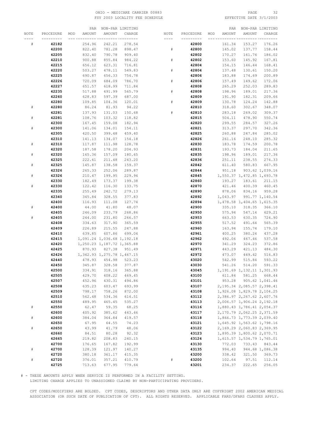# OHIO - MEDICARE CARRIER 00883 PAGE 32 FSY 2003 LOCALITY FEE SCHEDULE

|      |           | PAR           |                               | NON-PAR LIMITING |           |           |     | PAR      |                               | NON-PAR LIMITING              |
|------|-----------|---------------|-------------------------------|------------------|-----------|-----------|-----|----------|-------------------------------|-------------------------------|
| NOTE | PROCEDURE | AMOUNT<br>MOD | AMOUNT                        | CHARGE           | NOTE      | PROCEDURE | MOD | AMOUNT   | AMOUNT                        | CHARGE                        |
| ---- | --------- |               | -- ------                     | -- ---------     | $- - - -$ | --------- |     |          |                               |                               |
| #    | 42182     | 254.96        | 242.21                        | 278.54           |           | 42800     |     | 161.34   | 153.27                        | 176.26                        |
|      | 42200     | 822.40        | 781.28                        | 898.47           | $\#$      | 42800     |     | 145.02   | 137.77                        | 158.44                        |
|      | 42205     | 832.40        | 790.78                        | 909.40           |           | 42802     |     | 170.27   | 161.76                        | 186.02                        |
|      | 42210     | 900.88        | 855.84                        | 984.22           | $\#$      | 42802     |     | 153.60   | 145.92                        | 167.81                        |
|      | 42215     | 656.12        | 623.31                        | 716.81           |           | 42804     |     | 154.15   | 146.44                        | 168.41                        |
|      | 42220     | 503.27        | 478.11                        | 549.83           | #         | 42804     |     | 137.48   | 130.61                        | 150.20                        |
|      | 42225     | 690.87        | 656.33                        | 754.78           |           | 42806     |     | 183.88   | 174.69                        | 200.89                        |
|      | 42226     | 720.09        | 684.09                        | 786.70           | #         | 42806     |     | 157.49   | 149.62                        | 172.06                        |
|      | 42227     | 651.57        | 618.99                        | 711.84           |           | 42808     |     | 265.29   | 252.03                        | 289.83                        |
|      | 42235     | 517.88        | 491.99                        | 565.79           | #         | 42808     |     | 198.96   | 189.01                        | 217.36                        |
|      | 42260     | 628.83        | 597.39                        | 687.00           |           | 42809     |     | 191.90   | 182.31                        | 209.66                        |
|      | 42280     | 109.85        | 104.36                        | 120.01           | $\#$      | 42809     |     | 130.78   | 124.24                        | 142.88                        |
| #    | 42280     | 86.24         | 81.93                         | 94.22            |           | 42810     |     | 318.60   | 302.67                        | 348.07                        |
|      | 42281     | 137.93        | 131.03                        | 150.68           | #         | 42810     |     | 283.18   | 269.02                        | 309.37                        |
| #    | 42281     | 108.76        | 103.32                        | 118.82           |           | 42815     |     | 504.11   | 478.90                        | 550.74                        |
|      | 42300     | 167.45        | 159.08                        | 182.94           |           | 42820     |     | 299.55   | 284.57                        | 327.26                        |
| $\#$ | 42300     | 141.06        | 134.01                        | 154.11           |           | 42821     |     | 313.37   | 297.70                        | 342.36                        |
|      | 42305     | 420.50        | 399.48                        | 459.40           |           | 42825     |     | 260.88   | 247.84                        | 285.02                        |
|      | 42310     | 141.13        | 134.07                        | 154.18           |           | 42826     |     | 261.16   | 248.10                        | 285.32                        |
| #    | 42310     | 117.87        | 111.98                        | 128.78           |           | 42830     |     | 183.78   | 174.59                        | 200.78                        |
|      | 42320     | 187.58        | 178.20                        | 204.93           |           | 42831     |     | 193.73   | 184.04                        | 211.65                        |
| $\#$ | 42320     | 165.36        | 157.09                        | 180.65           |           | 42835     |     | 198.96   | 189.01                        | 217.36                        |
|      | 42325     | 222.61        | 211.48                        | 243.20           |           | 42836     |     | 251.11   | 238.55                        | 274.33                        |
| $\#$ | 42325     | 145.87        | 138.58                        | 159.37           |           | 42842     |     | 611.40   | 580.83                        | 667.95                        |
|      | 42326     | 265.33        | 252.06                        | 289.87           |           | 42844     |     | 951.18   |                               | 903.62 1,039.16               |
| #    | 42326     | 210.47        | 199.95                        | 229.94           |           | 42845     |     |          | 1,550.37 1,472.85 1,693.78    |                               |
|      | 42330     | 182.49        | 173.37                        | 199.38           |           | 42860     |     | 193.27   | 183.61                        | 211.15                        |
| #    | 42330     | 122.42        | 116.30                        | 133.75           |           | 42870     |     | 421.46   | 400.39                        | 460.45                        |
|      | 42335     | 255.49        | 242.72                        | 279.13           |           | 42890     |     | 878.06   | 834.16                        | 959.28                        |
|      | 42340     | 345.84        | 328.55                        | 377.83           |           | 42892     |     | 1,043.97 |                               | 991.77 1,140.54               |
|      | 42400     | 116.93        | 111.08                        | 127.74           |           | 42894     |     |          | 1,478.58 1,404.65 1,615.35    |                               |
| $\#$ | 42400     | 44.00         | 41.80                         | 48.07            |           | 42900     |     | 335.10   | 318.35                        | 366.10                        |
|      | 42405     | 246.09        | 233.79                        | 268.86           |           | 42950     |     | 575.94   | 547.14                        | 629.21                        |
| #    | 42405     | 244.00        | 231.80                        | 266.57           |           | 42953     |     | 663.53   | 630.35                        | 724.90                        |
|      | 42408     | 334.63        | 317.90                        | 365.59           |           | 42955     |     | 517.52   | 491.64                        | 565.39                        |
|      | 42409     | 226.89        | 215.55                        | 247.88           |           | 42960     |     | 163.94   | 155.74                        | 179.10                        |
|      | 42410     | 639.85        | 607.86                        | 699.04           |           | 42961     |     | 400.25   | 380.24                        | 437.28                        |
|      | 42415     |               | 1,091.24 1,036.68 1,192.18    |                  |           | 42962     |     | 492.06   | 467.46                        | 537.58                        |
|      | 42420     |               | 1, 250.23 1, 187.72 1, 365.88 |                  |           | 42970     |     | 341.29   | 324.23                        | 372.86                        |
|      | 42425     | 870.93        | 827.38                        | 951.49           |           | 42971     |     | 443.29   | 421.13                        | 484.30                        |
|      | 42426     |               | 1, 342.93 1, 275.78 1, 467.15 |                  |           | 42972     |     | 473.07   | 449.42                        | 516.83                        |
|      | 42440     | 478.93        | 454.98                        | 523.23           |           | 43020     |     | 542.99   | 515.84                        | 593.22                        |
|      | 42450     | 345.87        | 328.58                        | 377.87           |           | 43030     |     | 541.26   | 514.20                        | 591.33                        |
|      | 42500     | 334.91        | 318.16                        | 365.88           |           | 43045     |     |          | 1, 191.69 1, 132.11 1, 301.93 |                               |
|      | 42505     | 429.70        | 408.22                        | 469.45           |           | 43100     |     | 611.84   |                               | 581.25 668.44                 |
|      | 42507     | 452.96        | 430.31                        | 494.86           |           | 43101     |     | 953.28   |                               | 905.62 1,041.46               |
|      | 42508     | 635.23        | 603.47                        | 693.99           |           | 43107     |     |          |                               | 2, 195.34 2, 085.57 2, 398.41 |
|      | 42509     | 798.17        | 758.26                        | 872.00           |           | 43108     |     |          | 1,926.08 1,829.78 2,104.25    |                               |
|      | 42510     | 562.48        | 534.36                        | 614.51           |           | 43112     |     |          | 2,386.97 2,267.62 2,607.76    |                               |
|      | 42550     | 489.95        | 465.45                        | 535.27           |           | 43113     |     |          | 2,006.57 1,906.24 2,192.18    |                               |
| $\#$ | 42550     | 62.47         | 59.35                         | 68.25            |           | 43116     |     |          | 1,880.43 1,786.41 2,054.37    |                               |
|      | 42600     | 405.92        | 385.62                        | 443.46           |           | 43117     |     |          | 2, 170.79 2, 062.25 2, 371.59 |                               |
| $\#$ | 42600     | 384.04        | 364.84                        | 419.57           |           | 43118     |     |          | 1,866.73 1,773.39 2,039.40    |                               |
|      | 42650     | 67.95         | 64.55                         | 74.23            |           | 43121     |     |          | 1,645.92 1,563.62 1,798.16    |                               |
| $\#$ | 42650     | 43.99         | 41.79                         | 48.06            |           | 43122     |     |          | 2,169.29 2,060.83 2,369.95    |                               |
|      | 42660     | 84.51         | 80.28                         | 92.32            |           | 43123     |     |          | 1,895.39 1,800.62 2,070.71    |                               |
|      | 42665     | 219.82        | 208.83                        | 240.15           |           | 43124     |     |          | 1,615.57 1,534.79 1,765.01    |                               |
|      | 42700     | 176.65        | 167.82                        | 192.99           |           | 43130     |     | 772.03   | 733.43                        | 843.44                        |
| $\#$ | 42700     | 128.39        | 121.97                        | 140.27           |           | 43135     |     | 994.40   |                               | 944.68 1,086.38               |
|      | 42720     | 380.18        | 361.17                        | 415.35           |           | 43200     |     | 338.42   | 321.50                        | 369.73                        |
| $\#$ | 42720     | 376.01        | 357.21                        | 410.79           | $\#$      | 43200     |     | 102.64   | 97.51                         | 112.14                        |
|      | 42725     | 713.63        | 677.95                        | 779.64           |           | 43201     |     | 234.37   | 222.65                        | 256.05                        |

# - THESE AMOUNTS APPLY WHEN SERVICE IS PERFORMED IN A FACILITY SETTING.

LIMITING CHARGE APPLIES TO UNASSIGNED CLAIMS BY NON-PARTICIPATING PROVIDERS.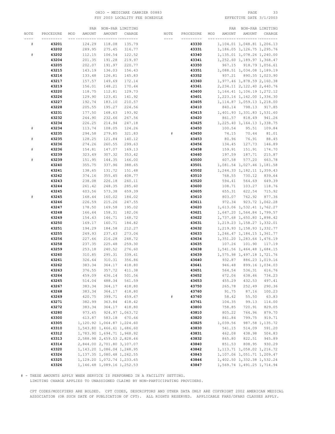# OHIO - MEDICARE CARRIER 00883 PAGE 33 FSY 2003 LOCALITY FEE SCHEDULE

|      |           | PAR           |                               | NON-PAR LIMITING |      |           |     | PAR      |                               | NON-PAR LIMITING |
|------|-----------|---------------|-------------------------------|------------------|------|-----------|-----|----------|-------------------------------|------------------|
| NOTE | PROCEDURE | AMOUNT<br>MOD | AMOUNT                        | CHARGE           | NOTE | PROCEDURE | MOD | AMOUNT   | AMOUNT                        | CHARGE           |
|      |           |               |                               |                  |      |           |     |          |                               |                  |
| #    | 43201     | 124.29        | 118.08                        | 135.79           |      | 43330     |     |          | 1, 104.01 1, 048.81 1, 206.13 |                  |
|      | 43202     | 289.95        | 275.45                        | 316.77           |      | 43331     |     |          | 1, 186.05 1, 126.75 1, 295.76 |                  |
| $\#$ | 43202     | 112.15        | 106.54                        | 122.52           |      | 43340     |     |          | 1,135.01 1,078.26 1,240.00    |                  |
|      | 43204     | 201.35        | 191.28                        | 219.97           |      | 43341     |     |          | 1, 252.60 1, 189.97 1, 368.47 |                  |
|      | 43205     | 202.07        | 191.97                        | 220.77           |      | 43350     |     | 967.15   |                               | 918.79 1,056.61  |
|      | 43215     | 143.19        | 136.03                        | 156.43           |      | 43351     |     |          | 1,088.51 1,034.08 1,189.19    |                  |
|      | 43216     | 133.48        | 126.81                        | 145.83           |      | 43352     |     | 937.21   |                               | 890.35 1,023.90  |
|      | 43217     | 157.57        | 149.69                        | 172.14           |      | 43360     |     |          | 1,977.46 1,878.59 2,160.38    |                  |
|      | 43219     | 156.01        | 148.21                        | 170.44           |      | 43361     |     |          | 2, 234.11 2, 122.40 2, 440.76 |                  |
|      | 43220     | 118.75        | 112.81                        | 129.73           |      | 43400     |     |          | 1, 164.41 1, 106.19 1, 272.12 |                  |
|      | 43226     | 129.90        | 123.41                        | 141.92           |      | 43401     |     |          | 1,223.16 1,162.00 1,336.30    |                  |
|      | 43227     | 192.74        | 183.10                        | 210.57           |      | 43405     |     |          | 1, 114.87 1, 059.13 1, 218.00 |                  |
|      | 43228     | 205.55        | 195.27                        | 224.56           |      | 43410     |     | 840.14   |                               | 798.13 917.85    |
|      | 43231     | 177.50        | 168.63                        | 193.92           |      | 43415     |     |          | 1,401.93 1,331.83 1,531.60    |                  |
|      | 43232     | 244.90        | 232.66                        | 267.56           |      | 43420     |     | 861.57   | 818.49                        | 941.26           |
|      | 43234     | 226.25        | 214.94                        | 247.18           |      | 43425     |     |          | 1, 225.40 1, 164.13 1, 338.75 |                  |
| $\#$ | 43234     | 113.74        | 108.05                        | 124.26           |      | 43450     |     | 100.54   | 95.51                         | 109.84           |
|      |           |               | 279.85                        | 321.83           |      |           |     | 74.15    |                               |                  |
|      | 43235     | 294.58        |                               |                  | $\#$ | 43450     |     |          | 70.44                         | 81.01            |
| $\#$ | 43235     | 128.25        | 121.84                        | 140.12           |      | 43453     |     | 80.96    | 76.91                         | 88.45            |
|      | 43236     | 274.26        | 260.55                        | 299.63           |      | 43456     |     | 134.45   | 127.73                        | 146.89           |
| $\#$ | 43236     | 154.81        | 147.07                        | 169.13           |      | 43458     |     | 159.91   | 151.91                        | 174.70           |
|      | 43239     | 323.49        | 307.32                        | 353.42           |      | 43460     |     | 197.59   | 187.71                        | 215.87           |
| $\#$ | 43239     | 151.95        | 144.35                        | 166.00           |      | 43500     |     | 607.58   | 577.20                        | 663.78           |
|      | 43240     | 355.75        | 337.96                        | 388.65           |      | 43501     |     |          | 1,081.54 1,027.46 1,181.58    |                  |
|      | 43241     | 138.65        | 131.72                        | 151.48           |      | 43502     |     |          | 1, 244.33 1, 182.11 1, 359.43 |                  |
|      | 43242     | 374.16        | 355.45                        | 408.77           |      | 43510     |     | 768.55   | 730.12                        | 839.64           |
|      | 43243     | 238.08        | 226.18                        | 260.11           |      | 43520     |     | 594.41   | 564.69                        | 649.39           |
|      | 43244     | 261.42        | 248.35                        | 285.60           |      | 43600     |     | 108.71   | 103.27                        | 118.76           |
|      | 43245     | 603.56        | 573.38                        | 659.39           |      | 43605     |     | 655.31   | 622.54                        | 715.92           |
| #    | 43245     | 168.44        | 160.02                        | 184.02           |      | 43610     |     | 803.07   | 762.92                        | 877.36           |
|      | 43246     | 226.59        | 215.26                        | 247.55           |      | 43611     |     | 972.34   |                               | 923.72 1,062.28  |
|      | 43247     | 178.50        | 169.58                        | 195.02           |      | 43620     |     |          | 1, 613.06 1, 532.41 1, 762.27 |                  |
|      | 43248     | 166.64        | 158.31                        | 182.06           |      | 43621     |     |          | 1,647.20 1,564.84 1,799.57    |                  |
|      | 43249     | 154.43        | 146.71                        | 168.72           |      | 43622     |     |          | 1,737.68 1,650.80 1,898.42    |                  |
|      | 43250     | 169.17        | 160.71                        | 184.82           |      | 43631     |     |          | 1, 219.23 1, 158.27 1, 332.01 |                  |
|      | 43251     | 194.29        | 184.58                        | 212.27           |      | 43632     |     |          | 1, 219.93 1, 158.93 1, 332.77 |                  |
|      | 43255     | 249.93        | 237.43                        | 273.04           |      | 43633     |     |          | 1, 246.47 1, 184.15 1, 361.77 |                  |
|      | 43256     | 227.66        | 216.28                        | 248.72           |      | 43634     |     |          | 1,351.20 1,283.64 1,476.19    |                  |
|      | 43258     | 237.35        | 225.48                        | 259.30           |      | 43635     |     |          | 107.26 101.90 117.19          |                  |
|      | 43259     | 253.18        | 240.52                        | 276.60           |      | 43638     |     |          | 1,541.56 1,464.48 1,684.15    |                  |
|      | 43260     | 310.85        | 295.31                        | 339.61           |      | 43639     |     |          | 1,575.98 1,497.18 1,721.76    |                  |
|      | 43261     | 326.64        | 310.31                        | 356.86           |      | 43640     |     |          | 932.87 886.23 1,019.16        |                  |
|      | 43262     | 383.34        | 364.17                        | 418.80           |      | 43641     |     | 946.48   |                               | 899.16 1,034.03  |
|      | 43263     | 376.55        | 357.72                        | 411.38           |      | 43651     |     | 564.54   | 536.31                        | 616.76           |
|      | 43264     | 459.09        | 436.14                        | 501.56           |      | 43652     |     | 672.06   | 638.46                        | 734.23           |
|      | 43265     | 514.04        | 488.34                        | 561.59           |      | 43653     |     | 455.29   | 432.53                        | 497.41           |
|      | 43267     | 383.34        | 364.17                        | 418.80           |      | 43750     |     | 265.78   | 252.49                        | 290.36           |
|      | 43268     | 383.34        | 364.17                        | 418.80           |      | 43760     |     | 91.75    | 87.16                         | 100.23           |
|      | 43269     | 420.75        | 399.71                        | 459.67           | $\#$ | 43760     |     | 58.42    | 55.50                         | 63.83            |
|      | 43271     | 382.99        | 363.84                        | 418.42           |      | 43761     |     | 104.35   | 99.13                         | 114.00           |
|      | 43272     | 383.34        | 364.17                        | 418.80           |      | 43800     |     | 758.85   | 720.91                        | 829.05           |
|      | 43280     | 973.65        |                               | 924.97 1,063.72  |      | 43810     |     | 805.22   | 764.96                        | 879.70           |
|      | 43300     | 613.87        | 583.18                        | 670.66           |      | 43820     |     | 841.84   | 799.75                        | 919.71           |
|      | 43305     |               | 1,120.92 1,064.87 1,224.60    |                  |      | 43825     |     | 1,039.56 |                               | 987.58 1,135.72  |
|      | 43310     |               | 1,543.80 1,466.61 1,686.60    |                  |      | 43830     |     | 541.15   | 514.09                        | 591.20           |
|      | 43312     |               | 1,783.90 1,694.71 1,948.92    |                  |      | 43831     |     | 462.08   | 438.98                        | 504.83           |
|      | 43313     |               | 2,588.98 2,459.53 2,828.46    |                  |      | 43832     |     | 865.80   | 822.51                        | 945.89           |
|      | 43314     |               | 2,844.00 2,701.80 3,107.07    |                  |      | 43840     |     | 851.53   | 808.95                        | 930.29           |
|      | 43320     |               | 1, 143.20 1, 086.04 1, 248.95 |                  |      | 43842     |     |          | 1, 113.71 1, 058.02 1, 216.72 |                  |
|      | 43324     |               | 1, 137.35 1, 080.48 1, 242.55 |                  |      | 43843     |     |          | 1,107.06 1,051.71 1,209.47    |                  |
|      | 43325     |               | 1, 129.20 1, 072.74 1, 233.65 |                  |      | 43846     |     |          | 1,402.50 1,332.38 1,532.24    |                  |
|      | 43326     |               | 1, 146.48 1, 089.16 1, 252.53 |                  |      | 43847     |     |          | 1,569.74 1,491.25 1,714.94    |                  |

# - THESE AMOUNTS APPLY WHEN SERVICE IS PERFORMED IN A FACILITY SETTING.

LIMITING CHARGE APPLIES TO UNASSIGNED CLAIMS BY NON-PARTICIPATING PROVIDERS.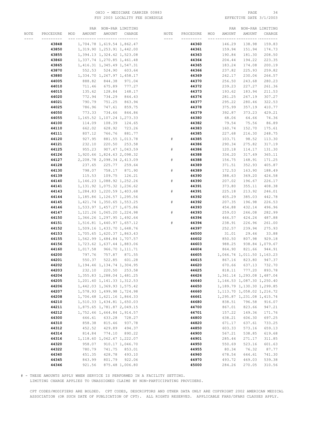### OHIO – MEDICARE CARRIER 00883 PAGE 34<br>
FSY 2003 LOCALITY FEE SCHEDULE FOR THE SERIE SOME PAGE 3/1/2003 FSY 2003 LOCALITY FEE SCHEDULE

|      |           | PAR           | NON-PAR LIMITING              |                 |           |           |     | PAR    |                               | NON-PAR LIMITING |
|------|-----------|---------------|-------------------------------|-----------------|-----------|-----------|-----|--------|-------------------------------|------------------|
| NOTE | PROCEDURE | MOD<br>AMOUNT | AMOUNT                        | CHARGE          | NOTE      | PROCEDURE | MOD | AMOUNT | AMOUNT                        | CHARGE           |
|      | --------- |               | -- ---------- ----------      |                 | $- - - -$ | --------- |     |        |                               | --- -----        |
|      | 43848     |               | 1,704.78 1,619.54 1,862.47    |                 |           | 44360     |     | 146.29 | 138.98                        | 159.83           |
|      | 43850     |               | 1,319.90 1,253.91 1,442.00    |                 |           | 44361     |     | 159.94 | 151.94                        | 174.73           |
|      | 43855     |               | 1,394.13 1,324.42 1,523.08    |                 |           | 44363     |     | 190.84 | 181.30                        | 208.50           |
|      |           |               |                               |                 |           |           |     |        |                               |                  |
|      | 43860     |               | 1, 337.74 1, 270.85 1, 461.48 |                 |           | 44364     |     | 204.44 | 194.22                        | 223.35           |
|      | 43865     |               | 1, 416.31 1, 345.49 1, 547.31 |                 |           | 44365     |     | 183.24 | 174.08                        | 200.19           |
|      | 43870     |               | 552.53 524.90 603.64          |                 |           | 44366     |     | 237.82 | 225.93                        | 259.82           |
|      | 43880     |               | 1,334.70 1,267.97 1,458.17    |                 |           | 44369     |     | 242.17 | 230.06                        | 264.57           |
|      | 44005     | 888.82        | 844.38                        | 971.04          |           | 44370     |     | 256.50 | 243.68                        | 280.23           |
|      | 44010     | 711.46        | 675.89                        | 777.27          |           | 44372     |     | 239.23 | 227.27                        | 261.36           |
|      | 44015     | 135.62        | 128.84                        | 148.17          |           | 44373     |     | 193.62 | 183.94                        | 211.53           |
|      | 44020     | 772.94        | 734.29                        | 844.43          |           | 44376     |     | 281.25 | 267.19                        | 307.27           |
|      | 44021     | 790.79        | 751.25                        | 863.94          |           | 44377     |     | 295.22 | 280.46                        | 322.53           |
|      | 44025     | 786.96        | 747.61                        | 859.75          |           | 44378     |     | 375.99 | 357.19                        | 410.77           |
|      |           |               |                               |                 |           |           |     |        |                               |                  |
|      | 44050     | 773.33        | 734.66                        | 844.86          |           | 44379     |     | 392.87 | 373.23                        | 429.21           |
|      | 44055     |               | 1, 165.52 1, 107.24 1, 273.33 |                 |           | 44380     |     | 68.06  | 64.66                         | 74.36            |
|      | 44100     | 114.09        | 108.39                        | 124.65          |           | 44382     |     | 79.54  | 75.56                         | 86.89            |
|      | 44110     | 662.02        | 628.92                        | 723.26          |           | 44383     |     | 160.74 | 152.70                        | 175.61           |
|      | 44111     | 807.12        | 766.76                        | 881.77          |           | 44385     |     | 227.68 | 216.30                        | 248.75           |
|      | 44120     | 927.95        |                               | 881.55 1,013.78 | #         | 44385     |     | 103.71 | 98.52                         | 113.30           |
|      | 44121     | 232.10        | 220.50                        | 253.58          |           | 44386     |     | 290.34 | 275.82                        | 317.19           |
|      | 44125     | 955.23        |                               | 907.47 1,043.59 | #         | 44386     |     | 120.18 | 114.17                        | 131.30           |
|      | 44126     |               | 1,920.66 1,824.63 2,098.32    |                 |           | 44388     |     | 334.20 | 317.49                        | 365.11           |
|      |           |               |                               |                 | $\#$      | 44388     |     |        |                               | 171.25           |
|      | 44127     |               | 2,208.78 2,098.34 2,413.09    |                 |           |           |     | 156.75 | 148.91                        |                  |
|      | 44128     | 237.65        |                               | 225.77 259.64   |           | 44389     |     | 371.51 | 352.93                        | 405.87           |
|      | 44130     | 798.07        | 758.17                        | 871.90          | $\#$      | 44389     |     | 172.53 | 163.90                        | 188.49           |
|      | 44139     | 115.53        | 109.75                        | 126.21          |           | 44390     |     | 388.63 | 369.20                        | 424.58           |
|      | 44140     |               | 1, 146.23 1, 088.92 1, 252.26 |                 | $\#$      | 44390     |     | 207.02 | 196.67                        | 226.17           |
|      | 44141     |               | 1, 131.92 1, 075.32 1, 236.62 |                 |           | 44391     |     | 373.80 | 355.11                        | 408.38           |
|      | 44143     |               | 1,284.83 1,220.59 1,403.68    |                 | #         | 44391     |     | 225.18 | 213.92                        | 246.01           |
|      | 44144     |               | 1, 185.86 1, 126.57 1, 295.56 |                 |           | 44392     |     | 405.29 | 385.03                        | 442.78           |
|      | 44145     |               | 1, 421.74 1, 350.65 1, 553.25 |                 | #         | 44392     |     | 207.35 | 196.98                        | 226.53           |
|      | 44146     |               | 1,533.97 1,457.27 1,675.86    |                 |           | 44393     |     | 454.88 | 432.14                        | 496.96           |
|      | 44147     |               | 1, 121.26 1, 065.20 1, 224.98 |                 | $\#$      | 44393     |     | 259.03 | 246.08                        | 282.99           |
|      |           |               |                               |                 |           |           |     |        |                               |                  |
|      | 44150     |               | 1,366.26 1,297.95 1,492.64    |                 |           | 44394     |     | 446.57 | 424.24                        | 487.88           |
|      | 44151     |               | 1,516.81 1,440.97 1,657.12    |                 | #         | 44394     |     | 238.91 | 226.96                        | 261.00           |
|      | 44152     |               | 1,509.16 1,433.70 1,648.76    |                 |           | 44397     |     | 252.57 | 239.94                        | 275.93           |
|      | 44153     |               | 1,705.65 1,620.37 1,863.43    |                 |           | 44500     |     | 31.01  | 29.46                         | 33.88            |
|      | 44155     |               | 1,562.99 1,484.84 1,707.57    |                 |           | 44602     |     | 850.50 | 807.98                        | 929.18           |
|      | 44156     |               | 1,723.62 1,637.44 1,883.06    |                 |           | 44603     |     | 988.25 |                               | 938.84 1,079.67  |
|      | 44160     |               | 1,017.58 966.70 1,111.71      |                 |           | 44604     |     | 864.90 | 821.66                        | 944.91           |
|      | 44200     | 797.76        | 757.87                        | 871.55          |           | 44605     |     |        | 1,064.74 1,011.50 1,163.23    |                  |
|      | 44201     | 550.37        | 522.85                        | 601.28          |           | 44615     |     | 867.16 | 823.80                        | 947.37           |
|      | 44202     |               | 1, 194.46 1, 134.74 1, 304.95 |                 |           | 44620     |     | 670.66 | 637.13                        | 732.70           |
|      | 44203     | 232.10        | 220.50                        | 253.58          |           | 44625     |     | 818.11 | 777.20                        | 893.78           |
|      | 44204     |               | 1, 355.83 1, 288.04 1, 481.25 |                 |           | 44626     |     |        | 1,361.14 1,293.08 1,487.04    |                  |
|      | 44205     |               | 1, 201.40 1, 141.33 1, 312.53 |                 |           | 44640     |     |        | 1, 144.53 1, 087.30 1, 250.40 |                  |
|      | 44206     |               | 1,442.03 1,369.93 1,575.42    |                 |           | 44650     |     |        | 1, 189.79 1, 130.30 1, 299.85 |                  |
|      |           |               |                               |                 |           |           |     |        |                               |                  |
|      | 44207     |               | 1,578.93 1,499.98 1,724.98    |                 |           | 44660     |     |        | 1, 113.70 1, 058.02 1, 216.72 |                  |
|      | 44208     |               | 1,706.48 1,621.16 1,864.33    |                 |           | 44661     |     |        | 1,295.87 1,231.08 1,415.74    |                  |
|      | 44210     |               | 1,510.33 1,434.81 1,650.03    |                 |           | 44680     |     | 838.51 | 796.58                        | 916.07           |
|      | 44211     |               | 1,875.65 1,781.87 2,049.15    |                 |           | 44700     |     | 867.01 | 823.66                        | 947.21           |
|      | 44212     |               | 1,752.46 1,664.84 1,914.57    |                 |           | 44701     |     | 157.22 | 149.36                        | 171.76           |
|      | 44300     | 666.61        | 633.28                        | 728.27          |           | 44800     |     | 638.21 | 606.30                        | 697.25           |
|      | 44310     | 858.38        | 815.46                        | 937.78          |           | 44820     |     | 671.17 | 637.61                        | 733.25           |
|      | 44312     | 452.52        | 429.89                        | 494.37          |           | 44850     |     | 603.33 | 573.16                        | 659.13           |
|      | 44314     | 814.84        | 774.10                        | 890.22          |           | 44900     |     | 567.21 | 538.85                        | 619.68           |
|      | 44316     |               | 1, 118.60 1, 062.67 1, 222.07 |                 |           | 44901     |     | 285.44 | 271.17                        | 311.85           |
|      | 44320     | 958.07        |                               | 910.17 1,046.70 |           | 44950     |     | 550.69 | 523.16                        | 601.63           |
|      |           |               |                               |                 |           |           |     |        |                               |                  |
|      | 44322     | 780.79        | 741.75                        | 853.01          |           | 44955     |     | 80.34  | 76.32                         | 87.77            |
|      | 44340     | 451.35        | 428.78                        | 493.10          |           | 44960     |     | 678.54 | 644.61                        | 741.30           |
|      | 44345     | 843.99        | 801.79                        | 922.06          |           | 44970     |     | 493.72 | 469.03                        | 539.38           |
|      | 44346     | 921.56        |                               | 875.48 1,006.80 |           | 45000     |     | 284.26 | 270.05                        | 310.56           |

# - THESE AMOUNTS APPLY WHEN SERVICE IS PERFORMED IN A FACILITY SETTING.

LIMITING CHARGE APPLIES TO UNASSIGNED CLAIMS BY NON-PARTICIPATING PROVIDERS.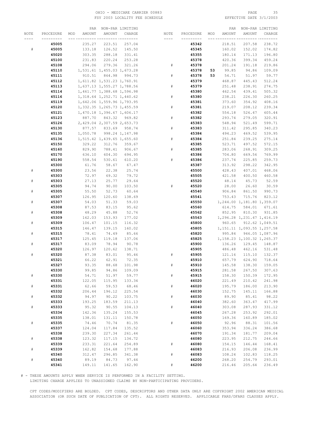### OHIO - MEDICARE CARRIER 00883 PAGE 35 FSY 2003 LOCALITY FEE SCHEDULE

|             |                | PAR              |                               | NON-PAR LIMITING |      |                |     | PAR              |                               | NON-PAR LIMITING |
|-------------|----------------|------------------|-------------------------------|------------------|------|----------------|-----|------------------|-------------------------------|------------------|
| NOTE        | PROCEDURE      | AMOUNT<br>MOD    | AMOUNT                        | CHARGE           | NOTE | PROCEDURE      | MOD | AMOUNT           | AMOUNT                        | CHARGE           |
|             |                |                  |                               |                  |      |                |     |                  |                               |                  |
|             | 45005          | 235.27           | 223.51                        | 257.04           |      | 45342          |     | 218.51           | 207.58                        | 238.72           |
| #           | 45005          | 133.18           | 126.52                        | 145.50           |      | 45345          |     | 160.02           | 152.02                        | 174.82           |
|             | 45020          | 303.35           | 288.18                        | 331.41           |      | 45355          |     | 180.14           | 171.13                        | 196.80           |
|             | 45100          | 231.83           | 220.24                        | 253.28           |      | 45378          |     | 420.36           | 399.34                        | 459.24           |
|             | 45108          | 294.06           | 279.36                        | 321.26           | #    | 45378          |     | 201.24           | 191.18                        | 219.86           |
|             | 45110          |                  | 1,531.61 1,455.03 1,673.28    |                  |      | 45378          | 53  | 99.85            | 94.86                         | 109.09           |
|             | 45111          | 910.51           | 864.98                        | 994.73           | $\#$ | 45378          | 53  | 54.71            | 51.97                         | 59.77            |
|             | 45112          |                  | 1,611.82 1,531.23 1,760.91    |                  |      | 45379          |     | 468.87           | 445.43                        | 512.24           |
|             | 45113          |                  | 1,637.13 1,555.27 1,788.56    |                  | $\#$ | 45379          |     | 251.48           | 238.91                        | 274.75           |
|             | 45114          |                  | 1,461.77 1,388.68 1,596.98    |                  |      | 45380          |     | 462.54           | 439.41                        | 505.32           |
|             | 45116          |                  | 1, 318.64 1, 252.71 1, 440.62 |                  | $\#$ | 45380          |     | 238.21           | 226.30                        | 260.25           |
|             | 45119          |                  | 1,642.06 1,559.96 1,793.95    |                  |      | 45381          |     | 373.60           | 354.92                        | 408.16           |
|             | 45120          |                  | 1, 332.35 1, 265.73 1, 455.59 |                  | $\#$ | 45381          |     | 219.07           | 208.12                        | 239.34           |
|             | 45121          |                  | 1,470.18 1,396.67 1,606.17    |                  |      | 45382          |     | 554.18           | 526.47                        | 605.44           |
|             | 45123          | 887.70           |                               | 843.32 969.82    | $\#$ | 45382          |     | 293.74           | 279.05                        | 320.91           |
|             | 45126          |                  | 2,429.04 2,307.59 2,653.73    |                  |      | 45383          |     | 548.94           | 521.49                        | 599.71           |
|             | 45130          | 877.57           |                               | 833.69 958.74    | #    | 45383          |     | 311.42           | 295.85                        | 340.23           |
|             | 45135          | 1,050.78         |                               | 998.24 1,147.98  |      | 45384          |     | 494.23           | 469.52                        | 539.95           |
|             | 45136          |                  | 1,515.42 1,439.65 1,655.60    |                  | $\#$ | 45384          |     | 251.84           | 239.25                        | 275.14           |
|             | 45150          | 329.22           | 312.76                        | 359.67           |      | 45385          |     | 523.71           | 497.52                        | 572.15           |
|             | 45160          | 829.90           | 788.41                        | 906.67           | $\#$ | 45385          |     | 283.06           | 268.91                        | 309.25           |
|             | 45170          | 636.10           | 604.30                        | 694.95           |      | 45386          |     | 704.80           | 669.56                        | 769.99           |
|             | 45190          | 558.54           | 530.61                        | 610.20           | #    | 45386          |     | 237.74           | 225.85                        | 259.73           |
|             |                |                  |                               |                  |      |                |     | 313.92           |                               | 342.95           |
|             | 45300          | 61.76            | 58.67                         | 67.47            |      | 45387          |     |                  | 298.22                        | 468.06           |
| $_{\rm \#}$ | 45300          | 23.56            | 22.38                         | 25.74<br>79.72   |      | 45500          |     | 428.43           | 407.01<br>400.50              | 460.58           |
| $\#$        | 45303<br>45303 | 72.97<br>27.13   | 69.32<br>25.77                |                  |      | 45505          |     | 421.58           |                               | 52.59            |
|             |                | 94.74            | 90.00                         | 29.64            | $\#$ | 45520<br>45520 |     | 48.14<br>28.00   | 45.73<br>26.60                |                  |
|             | 45305          |                  |                               | 103.50           |      |                |     |                  |                               | 30.59            |
| $\#$        | 45305<br>45307 | 55.50            | 52.73                         | 60.64            |      | 45540          |     | 906.84<br>753.43 | 861.50<br>715.76              | 990.73<br>823.12 |
| #           |                | 126.95           | 120.60                        | 138.69           |      | 45541          |     |                  |                               |                  |
|             | 45307<br>45308 | 54.03            | 51.33                         | 59.03            |      | 45550          |     | 614.75           | 1,244.00 1,181.80 1,359.07    |                  |
| $\#$        | 45308          | 87.53<br>48.29   | 83.15<br>45.88                | 95.62<br>52.76   |      | 45560<br>45562 |     | 852.95           | 584.01<br>810.30              | 671.61<br>931.85 |
|             |                |                  |                               |                  |      |                |     |                  | 1,296.28 1,231.47 1,416.19    |                  |
| $\#$        | 45309<br>45309 | 162.03<br>106.47 | 153.93<br>101.15              | 177.02<br>116.32 |      | 45563<br>45800 |     | 960.65           |                               | 912.62 1,049.51  |
|             | 45315          | 146.47           | 139.15                        | 160.02           |      | 45805          |     |                  | 1, 151.11 1, 093.55 1, 257.58 |                  |
| $\#$        | 45315          | 78.41            | 74.49                         | 85.66            |      | 45820          |     | 995.84           |                               | 946.05 1,087.96  |
|             | 45317          | 125.45           | 119.18                        | 137.06           |      | 45825          |     |                  | 1, 158.23 1, 100.32 1, 265.37 |                  |
| $\#$        | 45317          | 83.09            | 78.94                         | 90.78            |      | 45900          |     | 136.26           | 129.45                        | 148.87           |
|             | 45320          | 126.97           | 120.62                        | 138.71           |      | 45905          |     | 486.48           | 462.16                        | 531.48           |
| #           | 45320          | 87.38            | 83.01                         | 95.46            | #    | 45905          |     | 121.16           | 115.10                        | 132.37           |
|             | 45321          | 66.22            | 62.91                         | 72.35            |      | 45910          |     | 657.79           | 624.90                        | 718.64           |
|             | 45327          | 93.35            | 88.68                         | 101.98           | $\#$ | 45910          |     | 145.58           | 138.30                        | 159.05           |
|             | 45330          | 99.85            | 94.86                         | 109.09           |      | 45915          |     | 281.58           | 267.50                        | 307.63           |
| $\#$        | 45330          | 54.71            | 51.97                         | 59.77            | $\#$ | 45915          |     | 158.30           | 150.39                        | 172.95           |
|             | 45331          | 122.05           | 115.95                        | 133.34           |      | 46020          |     | 221.49           | 210.42                        | 241.98           |
| $\#$        | 45331          | 62.66            | 59.53                         | 68.46            | $\#$ | 46020          |     | 195.79           | 186.00                        | 213.90           |
|             | 45332          | 206.44           | 196.12                        | 225.54           |      | 46030          |     | 152.75           | 145.11                        | 166.88           |
| $\#$        | 45332          | 94.97            | 90.22                         | 103.75           | $\#$ | 46030          |     | 89.90            | 85.41                         | 98.22            |
|             | 45333          | 193.25           | 183.59                        | 211.13           |      | 46040          |     | 382.60           | 363.47                        | 417.99           |
| $\#$        | 45333          | 95.32            | 90.55                         | 104.13           | $\#$ | 46040          |     | 303.08           | 287.93                        | 331.12           |
|             | 45334          | 142.36           | 135.24                        | 155.53           |      | 46045          |     | 267.28           | 253.92                        | 292.01           |
|             | 45335          | 138.01           | 131.11                        | 150.78           |      | 46050          |     | 169.36           | 160.89                        | 185.02           |
| $\#$        | 45335          | 74.46            | 70.74                         | 81.35            | $\#$ | 46050          |     | 92.96            | 88.31                         | 101.56           |
|             | 45337          | 124.04           | 117.84                        | 135.52           |      | 46060          |     | 353.94           | 336.24                        | 386.68           |
|             | 45338          | 239.30           |                               |                  |      | 46070          |     |                  |                               | 209.04           |
| $\#$        | 45338          | 123.32           | 227.34<br>117.15              | 261.44<br>134.72 |      | 46080          |     | 191.34<br>223.95 | 181.77<br>212.75              | 244.66           |
|             | 45339          | 233.31           | 221.64                        | 254.89           | $\#$ | 46080          |     | 154.15           | 146.44                        | 168.41           |
| $\#$        | 45339          |                  |                               |                  |      |                |     |                  |                               | 236.99           |
|             | 45340          | 162.82<br>312.47 | 154.68<br>296.85              | 177.88<br>341.38 | $\#$ | 46083<br>46083 |     | 216.93<br>108.24 | 206.08<br>102.83              | 118.25           |
|             |                |                  |                               |                  |      |                |     |                  |                               |                  |
| $\#$        | 45340          | 89.19            | 84.73                         | 97.44            | $\#$ | 46200<br>46200 |     | 268.20           | 254.79                        | 293.01<br>236.49 |
|             | 45341          | 149.11           | 141.65                        | 162.90           |      |                |     | 216.46           | 205.64                        |                  |

# - THESE AMOUNTS APPLY WHEN SERVICE IS PERFORMED IN A FACILITY SETTING.

LIMITING CHARGE APPLIES TO UNASSIGNED CLAIMS BY NON-PARTICIPATING PROVIDERS.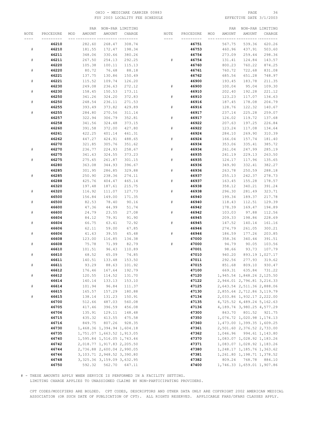# OHIO - MEDICARE CARRIER 00883 PAGE 36 FSY 2003 LOCALITY FEE SCHEDULE

|      |                |     | PAR    |                                  | NON-PAR LIMITING |           |           |     | PAR    |                                  | NON-PAR LIMITING |
|------|----------------|-----|--------|----------------------------------|------------------|-----------|-----------|-----|--------|----------------------------------|------------------|
| NOTE | PROCEDURE      | MOD | AMOUNT | AMOUNT                           | CHARGE           | NOTE      | PROCEDURE | MOD | AMOUNT | AMOUNT                           | CHARGE           |
|      | -------        |     |        | --- --------- ---------          |                  |           |           |     |        | ---- ----                        |                  |
|      | 46210          |     | 282.60 | 268.47                           | 308.74           |           | 46751     |     | 567.75 | 539.36                           | 620.26           |
| #    | 46210          |     | 181.55 | 172.47                           | 198.34           |           | 46753     |     | 460.96 | 437.91                           | 503.60           |
|      | 46211          |     | 348.06 | 330.66                           | 380.26           |           | 46754     |     | 273.09 | 259.44                           | 298.36           |
| #    | 46211          |     | 267.50 | 254.13                           | 292.25           | #         | 46754     |     | 131.41 | 124.84                           | 143.57           |
|      | 46220          |     | 105.38 | 100.11                           | 115.13           |           | 46760     |     | 800.23 | 760.22                           | 874.25           |
| $\#$ | 46220          |     | 80.72  | 76.68                            | 88.18            |           | 46761     |     | 760.72 | 722.68                           | 831.08           |
|      | 46221          |     | 137.75 | 130.86                           | 150.49           |           | 46762     |     | 685.56 | 651.28                           | 748.97           |
|      |                |     |        |                                  |                  |           |           |     |        |                                  |                  |
| $\#$ | 46221          |     | 115.52 | 109.74                           | 126.20           |           | 46900     |     | 193.45 | 183.78                           | 211.35           |
|      | 46230          |     | 249.08 | 236.63                           | 272.12           | ${}^{\#}$ | 46900     |     | 100.04 | 95.04                            | 109.30           |
| $\#$ | 46230          |     | 158.45 | 150.53                           | 173.11           |           | 46910     |     | 202.40 | 192.28                           | 221.12           |
|      | 46250          |     | 341.26 | 324.20                           | 372.83           | #         | 46910     |     | 123.23 | 117.07                           | 134.63           |
| #    | 46250          |     | 248.54 | 236.11                           | 271.53           |           | 46916     |     | 187.45 | 178.08                           | 204.79           |
|      | 46255          |     | 393.49 | 373.82                           | 429.89           | $\#$      | 46916     |     | 128.76 | 122.32                           | 140.67           |
| $\#$ | 46255          |     | 284.80 | 270.56                           | 311.14           |           | 46917     |     | 237.14 | 225.28                           | 259.07           |
|      | 46257          |     | 322.94 | 306.79                           | 352.81           | $\#$      | 46917     |     | 126.02 | 119.72                           | 137.68           |
|      | 46258          |     | 341.56 | 324.48                           | 373.15           |           | 46922     |     | 207.63 | 197.25                           | 226.84           |
|      | 46260          |     | 391.58 | 372.00                           | 427.80           | #         | 46922     |     | 123.24 | 117.08                           | 134.64           |
|      | 46261          |     | 422.25 | 401.14                           | 461.31           |           | 46924     |     | 284.10 | 269.90                           | 310.39           |
|      | 46262          |     | 447.27 | 424.91                           | 488.65           | #         | 46924     |     | 166.04 | 157.74                           | 181.40           |
|      | 46270          |     | 321.85 | 305.76                           | 351.62           |           | 46934     |     | 353.06 | 335.41                           | 385.72           |
| $\#$ | 46270          |     | 236.77 | 224.93                           | 258.67           | #         | 46934     |     | 261.04 | 247.99                           | 285.19           |
|      | 46275          |     | 341.63 | 324.55                           | 373.23           |           | 46935     |     | 241.19 | 229.13                           | 263.50           |
| $\#$ | 46275          |     | 275.65 | 261.87                           | 301.15           | $\#$      | 46935     |     | 124.17 | 117.96                           | 135.65           |
|      | 46280          |     | 363.08 | 344.93                           | 396.67           |           | 46936     |     | 349.90 | 332.41                           | 382.27           |
|      | 46285          |     | 301.95 | 286.85                           | 329.88           | $\#$      | 46936     |     | 263.78 | 250.59                           | 288.18           |
| $\#$ | 46285          |     | 250.90 | 238.36                           | 274.11           |           | 46937     |     | 255.13 | 242.37                           | 278.73           |
|      | 46288          |     | 425.76 | 404.47                           | 465.14           | $\#$      | 46937     |     | 163.45 | 155.28                           | 178.57           |
|      | 46320          |     | 197.48 | 187.61                           | 215.75           |           | 46938     |     | 358.12 | 340.21                           | 391.24           |
|      |                |     |        |                                  |                  |           |           |     |        | 281.49                           |                  |
| #    | 46320          |     | 116.92 | 111.07                           | 127.73           | #         | 46938     |     | 296.30 |                                  | 323.71           |
|      | 46500          |     | 156.84 | 149.00                           | 171.35           |           | 46940     |     | 199.34 | 189.37                           | 217.78           |
| $\#$ | 46500          |     | 82.53  | 78.40                            | 90.16            | #         | 46940     |     | 118.43 | 112.51                           | 129.39           |
|      | 46600          |     | 47.36  | 44.99                            | 51.74            |           | 46942     |     | 178.39 | 169.47                           | 194.89           |
| $\#$ | 46600          |     | 24.79  | 23.55                            | 27.08            | $\#$      | 46942     |     | 103.03 | 97.88                            | 112.56           |
|      | 46604          |     | 84.12  | 79.91                            | 91.90            |           | 46945     |     | 209.33 | 198.86                           | 228.69           |
| $\#$ | 46604          |     | 66.75  | 63.41                            | 72.92            | $\#$      | 46945     |     | 147.52 | 140.14                           | 161.16           |
|      | 46606          |     | 62.11  | 59.00                            | 67.85            |           | 46946     |     | 274.79 | 261.05                           | 300.21           |
| $\#$ | 46606          |     | 41.63  | 39.55                            | 45.48            | ${}^{\#}$ | 46946     |     | 186.59 | 177.26                           | 203.85           |
|      | 46608          |     | 123.00 | 116.85                           | 134.38           |           | 47000     |     | 358.36 | 340.44                           | 391.51           |
| $\#$ | 46608          |     | 75.78  | 71.99                            | 82.79            | #         | 47000     |     | 94.79  | 90.05                            | 103.56           |
|      | 46610          |     | 101.51 | 96.43                            | 110.89           |           | 47001     |     | 98.66  | 93.73                            | 107.79           |
| $\#$ | 46610          |     | 68.52  | 65.09                            | 74.85            |           | 47010     |     | 940.20 |                                  | 893.19 1,027.17  |
|      | 46611          |     | 140.51 | 133.48                           | 153.50           |           | 47011     |     | 292.56 | 277.93                           | 319.62           |
| $\#$ | 46611          |     | 93.29  | 88.63                            | 101.92           |           | 47015     |     | 851.68 | 809.10                           | 930.47           |
|      | 46612          |     | 176.46 | 167.64                           | 192.79           |           | 47100     |     | 669.31 | 635.84                           | 731.22           |
| $\#$ | 46612          |     | 120.55 | 114.52                           | 131.70           |           | 47120     |     |        | 1,945.54 1,848.26 2,125.50       |                  |
|      | 46614          |     | 140.14 | 133.13                           | 153.10           |           | 47122     |     |        | 2,944.01 2,796.81 3,216.33       |                  |
| $\#$ | 46614          |     | 101.94 | 96.84                            | 111.37           |           | 47125     |     |        | 2,643.54 2,511.36 2,888.06       |                  |
|      | 46615          |     | 165.57 | 157.29                           | 180.88           |           | 47130     |     |        | 2,855.64 2,712.86 3,119.79       |                  |
| $\#$ | 46615          |     | 138.14 | 131.23                           | 150.91           |           | 47134     |     |        | 2,033.86 1,932.17 2,222.00       |                  |
|      | 46700          |     | 512.66 | 487.03                           | 560.08           |           | 47135     |     |        | 4,725.52 4,489.24 5,162.63       |                  |
|      | 46705          |     | 417.46 | 396.59                           | 456.08           |           | 47136     |     |        | 4, 189. 74 3, 980. 25 4, 577. 29 |                  |
|      | 46706          |     | 135.91 | 129.11                           | 148.48           |           | 47300     |     | 843.70 |                                  | 801.52 921.75    |
|      | 46715          |     | 435.32 | 413.55                           | 475.58           |           | 47350     |     |        | 1,074.72 1,020.98 1,174.13       |                  |
|      | 46716          |     | 849.75 | 807.26                           | 928.35           |           | 47360     |     |        | 1,473.00 1,399.35 1,609.25       |                  |
|      | 46730          |     |        | 1,468.36 1,394.94 1,604.18       |                  |           | 47361     |     |        | 2,501.60 2,376.52 2,733.00       |                  |
|      | 46735          |     |        | 1,751.07 1,663.52 1,913.05       |                  |           | 47362     |     |        | 1,046.96 994.61 1,143.80         |                  |
|      | 46740          |     |        | 1,595.84 1,516.05 1,743.46       |                  |           | 47370     |     |        | 1,083.07 1,028.92 1,183.26       |                  |
|      | 46742          |     |        | 2,018.77 1,917.83 2,205.50       |                  |           | 47371     |     |        | 1,083.07 1,028.92 1,183.26       |                  |
|      |                |     |        | 2,736.88 2,600.04 2,990.05       |                  |           | 47380     |     |        | 1, 248.17 1, 185.76 1, 363.62    |                  |
|      | 46744<br>46746 |     |        |                                  |                  |           |           |     |        |                                  |                  |
|      |                |     |        | 3, 103. 71 2, 948. 52 3, 390. 80 |                  |           | 47381     |     |        | 1,261.80 1,198.71 1,378.52       |                  |
|      | 46748          |     |        | 3, 325.36 3, 159.09 3, 632.95    |                  |           | 47382     |     | 809.24 |                                  | 768.78 884.10    |
|      | 46750          |     |        | 592.32 562.70 647.11             |                  |           | 47400     |     |        | 1,746.33 1,659.01 1,907.86       |                  |

# - THESE AMOUNTS APPLY WHEN SERVICE IS PERFORMED IN A FACILITY SETTING.

LIMITING CHARGE APPLIES TO UNASSIGNED CLAIMS BY NON-PARTICIPATING PROVIDERS.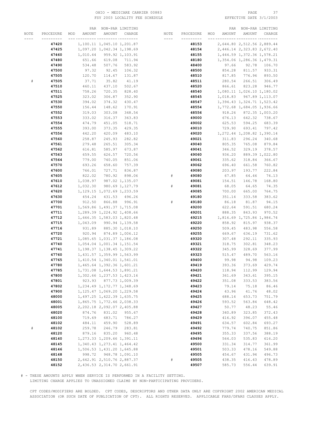# OHIO - MEDICARE CARRIER 00883 PAGE 37 FSY 2003 LOCALITY FEE SCHEDULE

|           |           | PAR           |                               | NON-PAR LIMITING |       |           |     | PAR    |                               | NON-PAR LIMITING |
|-----------|-----------|---------------|-------------------------------|------------------|-------|-----------|-----|--------|-------------------------------|------------------|
| NOTE      | PROCEDURE | AMOUNT<br>MOD | AMOUNT                        | CHARGE           | NOTE  | PROCEDURE | MOD | AMOUNT | AMOUNT                        | CHARGE           |
| $- - - -$ | --------- | -------       | __ _________ ________         |                  | $---$ | --------- |     |        | --- ---------- ---------      |                  |
|           | 47420     |               | 1,100.11 1,045.10 1,201.87    |                  |       | 48153     |     |        | 2,644.80 2,512.56 2,889.44    |                  |
|           |           |               |                               |                  |       |           |     |        |                               |                  |
|           | 47425     |               | 1,097.20 1,042.34 1,198.69    |                  |       | 48154     |     |        | 2,446.14 2,323.83 2,672.40    |                  |
|           | 47460     | 1,010.44      |                               | 959.92 1,103.91  |       | 48155     |     |        | 1,444.59 1,372.36 1,578.21    |                  |
|           | 47480     | 651.66        | 619.08                        | 711.94           |       | 48180     |     |        | 1,354.06 1,286.36 1,479.31    |                  |
|           | 47490     | 534.48        | 507.76                        | 583.92           |       | 48400     |     | 97.66  | 92.78                         | 106.70           |
|           | 47500     | 97.32         | 92.45                         | 106.32           |       | 48500     |     | 854.28 | 811.57                        | 933.31           |
|           | 47505     | 120.70        | 114.67                        | 131.87           |       | 48510     |     | 817.85 | 776.96                        | 893.50           |
|           |           | 37.71         |                               |                  |       |           |     |        | 266.51                        |                  |
|           | 47505     |               | 35.82                         | 41.19            |       | 48511     |     | 280.54 |                               | 306.49           |
|           | 47510     | 460.11        | 437.10                        | 502.67           |       | 48520     |     | 866.61 | 823.28                        | 946.77           |
|           | 47511     | 758.26        | 720.35                        | 828.40           |       | 48540     |     |        | 1,080.11 1,026.10 1,180.02    |                  |
|           | 47525     | 323.02        | 306.87                        | 352.90           |       | 48545     |     |        | 1,018.83 967.89 1,113.07      |                  |
|           | 47530     | 394.02        | 374.32                        | 430.47           |       | 48547     |     |        | 1, 394.43 1, 324.71 1, 523.42 |                  |
|           | 47550     | 156.44        | 148.62                        | 170.91           |       | 48554     |     |        | 1,772.68 1,684.05 1,936.66    |                  |
|           | 47552     | 319.03        | 303.08                        | 348.54           |       | 48556     |     | 918.26 |                               | 872.35 1,003.20  |
|           | 47553     | 333.02        | 316.37                        | 363.83           |       | 49000     |     | 676.13 | 642.32                        | 738.67           |
|           |           |               |                               |                  |       |           |     |        |                               |                  |
|           | 47554     | 474.79        | 451.05                        | 518.71           |       | 49002     |     | 625.53 | 594.25                        | 683.39           |
|           | 47555     | 393.00        | 373.35                        | 429.35           |       | 49010     |     | 729.90 | 693.41                        | 797.42           |
|           | 47556     | 442.20        | 420.09                        | 483.10           |       | 49020     |     |        | 1, 272.44 1, 208.82 1, 390.14 |                  |
|           | 47560     | 258.87        | 245.93                        | 282.82           |       | 49021     |     | 311.83 | 296.24                        | 340.68           |
|           | 47561     | 279.48        | 265.51                        | 305.34           |       | 49040     |     | 805.35 | 765.08                        | 879.84           |
|           | 47562     | 616.81        | 585.97                        | 673.87           |       | 49041     |     | 346.52 | 329.19                        | 378.57           |
|           | 47563     | 659.55        | 626.57                        | 720.56           |       | 49060     |     | 936.20 |                               | 889.39 1,022.80  |
|           | 47564     | 779.00        | 740.05                        | 851.06           |       | 49061     |     | 335.62 | 318.84                        | 366.67           |
|           |           |               |                               |                  |       |           |     |        |                               |                  |
|           | 47570     | 693.26        | 658.60                        | 757.39           |       | 49062     |     | 696.40 | 661.58                        | 760.82           |
|           | 47600     | 766.01        | 727.71                        | 836.87           |       | 49080     |     | 203.97 | 193.77                        | 222.84           |
|           | 47605     | 822.02        | 780.92                        | 898.06           | #     | 49080     |     | 67.85  | 64.46                         | 74.13            |
|           | 47610     | 1,038.97      |                               | 987.02 1,135.07  |       | 49081     |     | 154.51 | 146.78                        | 168.80           |
|           | 47612     | 1,032.30      |                               | 980.69 1,127.79  | #     | 49081     |     | 68.05  | 64.65                         | 74.35            |
|           | 47620     |               | 1, 129.15 1, 072.69 1, 233.59 |                  |       | 49085     |     | 700.00 | 665.00                        | 764.75           |
|           | 47630     | 454.24        | 431.53                        | 496.26           |       | 49180     |     | 351.14 | 333.58                        | 383.62           |
|           | 47700     | 912.50        | 866.88                        | 996.91           | $\#$  | 49180     |     | 86.18  | 81.87                         | 94.15            |
|           | 47701     |               | 1,569.86 1,491.37 1,715.08    |                  |       | 49200     |     | 622.64 | 591.51                        | 680.24           |
|           |           |               |                               |                  |       |           |     |        |                               |                  |
|           | 47711     |               | 1,289.39 1,224.92 1,408.66    |                  |       | 49201     |     | 888.35 | 843.93                        | 970.52           |
|           | 47712     |               | 1,666.35 1,583.03 1,820.48    |                  |       | 49215     |     |        | 1,816.69 1,725.86 1,984.74    |                  |
|           | 47715     | 1,043.09      |                               | 990.94 1,139.58  |       | 49220     |     | 858.92 | 815.97                        | 938.37           |
|           | 47716     | 931.89        |                               | 885.30 1,018.10  |       | 49250     |     | 509.45 | 483.98                        | 556.58           |
|           | 47720     | 920.94        |                               | 874.89 1,006.12  |       | 49255     |     | 669.67 | 636.19                        | 731.62           |
|           | 47721     |               | 1,085.65 1,031.37 1,186.08    |                  |       | 49320     |     | 307.48 | 292.11                        | 335.93           |
|           | 47740     |               | 1,054.04 1,001.34 1,151.54    |                  |       | 49321     |     | 318.75 | 302.81                        | 348.23           |
|           | 47741     |               | 1, 198.37 1, 138.45 1, 309.22 |                  |       | 49322     |     | 345.99 | 328.69                        | 377.99           |
|           | 47760     |               | 1,431.57 1,359.99 1,563.99    |                  |       | 49323     |     | 515.47 | 489.70                        | 563.16           |
|           | 47765     |               | 1,410.54 1,340.01 1,541.01    |                  |       | 49400     |     | 99.98  | 94.98                         | 109.23           |
|           |           |               |                               |                  |       |           |     |        |                               | 429.74           |
|           | 47780     |               | 1,465.64 1,392.36 1,601.21    |                  |       | 49419     |     | 393.36 | 373.69                        |                  |
|           | 47785     |               | 1,731.08 1,644.53 1,891.21    |                  |       | 49420     |     | 118.94 | 112.99                        | 129.94           |
|           | 47800     |               | 1,302.66 1,237.53 1,423.16    |                  |       | 49421     |     | 361.69 | 343.61                        | 395.15           |
|           | 47801     | 923.93        |                               | 877.73 1,009.39  |       | 49422     |     | 351.08 | 333.53                        | 383.56           |
|           | 47802     |               | 1, 234.49 1, 172.77 1, 348.69 |                  |       | 49423     |     | 79.14  | 75.18                         | 86.46            |
|           | 47900     |               | 1, 125.47 1, 069.20 1, 229.58 |                  |       | 49424     |     | 43.96  | 41.76                         | 48.02            |
|           | 48000     |               | 1,497.25 1,422.39 1,635.75    |                  |       | 49425     |     | 688.14 | 653.73                        | 751.79           |
|           | 48001     |               | 1,865.75 1,772.46 2,038.33    |                  |       | 49426     |     | 593.52 | 563.84                        | 648.42           |
|           | 48005     |               | 2, 202.18 2, 092.07 2, 405.88 |                  |       | 49427     |     | 50.77  | 48.23                         | 55.46            |
|           | 48020     | 874.76        | 831.02                        |                  |       | 49428     |     |        | 323.85                        | 372.43           |
|           |           |               |                               | 955.67           |       |           |     | 340.89 |                               |                  |
|           | 48100     | 719.69        | 683.71                        | 786.27           |       | 49429     |     | 416.92 | 396.07                        | 455.48           |
|           | 48102     | 484.11        | 459.90                        | 528.89           |       | 49491     |     | 634.57 | 602.84                        | 693.27           |
| $\#$      | 48102     | 259.78        | 246.79                        | 283.81           |       | 49492     |     | 779.74 | 740.75                        | 851.86           |
|           | 48120     | 879.16        | 835.20                        | 960.48           |       | 49495     |     | 355.33 | 337.56                        | 388.19           |
|           | 48140     |               | 1, 273.33 1, 209.66 1, 391.11 |                  |       | 49496     |     | 564.03 | 535.83                        | 616.20           |
|           | 48145     |               | 1,340.43 1,273.41 1,464.42    |                  |       | 49500     |     | 331.34 | 314.77                        | 361.99           |
|           | 48146     |               | 1,506.53 1,431.20 1,645.88    |                  |       | 49501     |     | 503.33 | 478.16                        | 549.88           |
|           | 48148     | 998.72        |                               | 948.78 1,091.10  |       | 49505     |     | 454.67 | 431.94                        | 496.73           |
|           | 48150     |               | 2,642.91 2,510.76 2,887.37    |                  | $\#$  | 49505     |     | 438.35 | 416.43                        | 478.89           |
|           |           |               |                               |                  |       |           |     |        |                               |                  |
|           | 48152     |               | 2,436.53 2,314.70 2,661.91    |                  |       | 49507     |     | 585.73 | 556.44                        | 639.91           |

# - THESE AMOUNTS APPLY WHEN SERVICE IS PERFORMED IN A FACILITY SETTING.

LIMITING CHARGE APPLIES TO UNASSIGNED CLAIMS BY NON-PARTICIPATING PROVIDERS.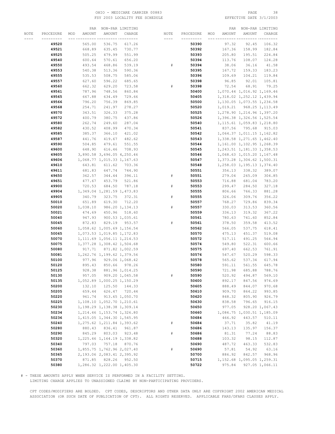### OHIO - MEDICARE CARRIER 00883 PAGE 38 FSY 2003 LOCALITY FEE SCHEDULE

|      |           |     | PAR      |                               | NON-PAR LIMITING |           |           |     | PAR    |                               | NON-PAR LIMITING |
|------|-----------|-----|----------|-------------------------------|------------------|-----------|-----------|-----|--------|-------------------------------|------------------|
| NOTE | PROCEDURE | MOD | AMOUNT   | AMOUNT                        | CHARGE           | NOTE      | PROCEDURE | MOD | AMOUNT | AMOUNT                        | CHARGE           |
|      | --------- |     |          |                               | -- ---------     | $- - - -$ | --------- |     |        |                               |                  |
|      | 49520     |     | 565.00   | 536.75                        | 617.26           |           | 50390     |     | 97.32  | 92.45                         | 106.32           |
|      |           |     |          |                               |                  |           |           |     |        |                               |                  |
|      | 49521     |     | 668.89   | 635.45                        | 730.77           |           | 50392     |     | 167.36 | 158.99                        | 182.84           |
|      | 49525     |     | 505.25   | 479.99                        | 551.99           |           | 50393     |     | 205.80 | 195.51                        | 224.84           |
|      | 49540     |     | 600.64   | 570.61                        | 656.20           |           | 50394     |     | 113.76 | 108.07                        | 124.28           |
|      | 49550     |     | 493.54   | 468.86                        | 539.19           | $\#$      | 50394     |     | 38.06  | 36.16                         | 41.58            |
|      | 49553     |     | 540.38   | 513.36                        | 590.36           |           | 50395     |     | 167.72 | 159.33                        | 183.23           |
|      | 49555     |     | 535.53   | 508.75                        | 585.06           |           | 50396     |     | 109.69 | 104.21                        | 119.84           |
|      |           |     |          |                               |                  |           |           |     |        |                               |                  |
|      | 49557     |     | 627.60   | 596.22                        | 685.65           |           | 50398     |     | 96.85  | 92.01                         | 105.81           |
|      | 49560     |     | 662.32   | 629.20                        | 723.58           | #         | 50398     |     | 72.54  | 68.91                         | 79.25            |
|      | 49561     |     | 787.96   | 748.56                        | 860.84           |           | 50400     |     |        | 1,070.44 1,016.92 1,169.46    |                  |
|      | 49565     |     | 667.88   | 634.49                        | 729.66           |           | 50405     |     |        | 1,318.02 1,252.12 1,439.94    |                  |
|      | 49566     |     | 796.20   | 756.39                        | 869.85           |           | 50500     |     |        | 1,130.05 1,073.55 1,234.58    |                  |
|      | 49568     |     | 254.71   | 241.97                        | 278.27           |           | 50520     |     |        | 1,019.21 968.25 1,113.49      |                  |
|      | 49570     |     | 343.51   | 326.33                        | 375.28           |           | 50525     |     |        | 1,278.90 1,214.96 1,397.20    |                  |
|      |           |     |          |                               |                  |           |           |     |        |                               |                  |
|      | 49572     |     | 400.79   | 380.75                        | 437.86           |           | 50526     |     |        | 1,396.38 1,326.56 1,525.54    |                  |
|      | 49580     |     | 262.74   | 249.60                        | 287.04           |           | 50540     |     |        | 1, 115.61 1, 059.83 1, 218.80 |                  |
|      | 49582     |     | 430.52   | 408.99                        | 470.34           |           | 50541     |     |        | 837.56 795.68                 | 915.03           |
|      | 49585     |     | 385.37   | 366.10                        | 421.02           |           | 50542     |     |        | 1,064.37 1,011.15 1,162.82    |                  |
|      | 49587     |     | 441.76   | 419.67                        | 482.62           |           | 50543     |     |        | 1,338.58 1,271.65 1,462.40    |                  |
|      | 49590     |     | 504.85   | 479.61                        | 551.55           |           | 50544     |     |        | 1, 161.00 1, 102.95 1, 268.39 |                  |
|      | 49600     |     | 648.90   | 616.46                        | 708.93           |           | 50545     |     |        | 1, 243.51 1, 181.33 1, 358.53 |                  |
|      |           |     |          |                               |                  |           |           |     |        |                               |                  |
|      | 49605     |     |          | 3,890.58 3,696.05 4,250.46    |                  |           | 50546     |     |        | 1,068.63 1,015.20 1,167.48    |                  |
|      | 49606     |     |          | 1,068.77 1,015.33 1,167.63    |                  |           | 50547     |     |        | 1, 373.28 1, 304.62 1, 500.31 |                  |
|      | 49610     |     | 643.81   | 611.62                        | 703.36           |           | 50548     |     |        | 1, 258.03 1, 195.13 1, 374.40 |                  |
|      | 49611     |     | 681.83   | 647.74                        | 744.90           |           | 50551     |     | 356.13 | 338.32                        | 389.07           |
|      | 49650     |     | 362.57   | 344.44                        | 396.11           | #         | 50551     |     | 279.04 | 265.09                        | 304.85           |
|      | 49651     |     | 477.67   | 453.79                        | 521.86           |           | 50553     |     | 716.88 | 681.04                        | 783.20           |
|      | 49900     |     | 720.53   | 684.50                        | 787.18           | $\#$      | 50553     |     | 299.47 | 284.50                        | 327.18           |
|      |           |     |          |                               |                  |           |           |     |        |                               |                  |
|      | 49904     |     |          | 1,349.04 1,281.59 1,473.83    |                  |           | 50555     |     | 806.66 | 766.33                        | 881.28           |
|      | 49905     |     | 340.79   | 323.75                        | 372.31           | #         | 50555     |     | 326.06 | 309.76                        | 356.22           |
|      | 50010     |     | 651.89   | 619.30                        | 712.20           |           | 50557     |     | 768.27 | 729.86                        | 839.34           |
|      | 50020     |     | 1,038.10 |                               | 986.20 1,134.13  | #         | 50557     |     | 330.03 | 313.53                        | 360.56           |
|      | 50021     |     | 474.69   | 450.96                        | 518.60           |           | 50559     |     | 336.13 | 319.32                        | 367.22           |
|      | 50040     |     | 947.93   |                               | 900.53 1,035.61  |           | 50561     |     | 780.63 | 741.60                        | 852.84           |
|      | 50045     |     | 872.83   | 829.19                        | 953.57           | #         | 50561     |     | 378.50 | 359.58                        | 413.52           |
|      |           |     |          |                               |                  |           |           |     |        |                               |                  |
|      | 50060     |     |          | 1,058.62 1,005.69 1,156.54    |                  |           | 50562     |     | 566.05 | 537.75                        | 618.41           |
|      | 50065     |     |          | 1,073.53 1,019.85 1,172.83    |                  |           | 50570     |     | 475.13 | 451.37                        | 519.08           |
|      | 50070     |     |          | 1, 111.69 1, 056.11 1, 214.53 |                  |           | 50572     |     | 517.11 | 491.25                        | 564.94           |
|      | 50075     |     |          | 1,377.28 1,308.42 1,504.68    |                  |           | 50574     |     | 549.80 | 522.31                        | 600.66           |
|      | 50080     |     |          | 917.71 871.82 1,002.59        |                  |           | 50575     |     | 697.40 | 662.53                        | 761.91           |
|      | 50081     |     |          | 1,262.76 1,199.62 1,379.56    |                  |           | 50576     |     | 547.67 | 520.29                        | 598.33           |
|      | 50100     |     | 977.96   |                               | 929.06 1,068.42  |           | 50578     |     | 565.62 | 537.34                        | 617.94           |
|      | 50120     |     | 895.43   | 850.66                        | 978.26           |           | 50580     |     | 591.11 | 561.55                        | 645.78           |
|      | 50125     |     | 928.38   |                               | 881.96 1,014.25  |           | 50590     |     | 721.98 | 685.88                        | 788.76           |
|      |           |     |          |                               |                  |           |           |     |        |                               |                  |
|      | 50130     |     | 957.05   |                               | 909.20 1,045.58  | $\#$      | 50590     |     | 520.92 | 494.87                        | 569.10           |
|      | 50135     |     |          | 1,052.89 1,000.25 1,150.29    |                  |           | 50600     |     | 892.17 | 847.56                        | 974.69           |
|      | 50200     |     | 132.10   | 125.50                        | 144.33           |           | 50605     |     | 888.49 | 844.07                        | 970.68           |
|      | 50205     |     | 659.44   |                               | 626.47 720.44    |           | 50610     |     | 909.70 | 864.22                        | 993.85           |
|      | 50220     |     | 961.74   |                               | 913.65 1,050.70  |           | 50620     |     | 848.32 | 805.90                        | 926.79           |
|      | 50225     |     |          | 1,108.10 1,052.70 1,210.61    |                  |           | 50630     |     | 838.58 | 796.65                        | 916.15           |
|      | 50230     |     |          | 1, 198.29 1, 138.38 1, 309.14 |                  |           | 50650     |     | 977.05 |                               | 928.20 1,067.43  |
|      | 50234     |     |          | 1, 214.46 1, 153.74 1, 326.80 |                  |           | 50660     |     |        | 1,084.75 1,030.51 1,185.09    |                  |
|      |           |     |          |                               |                  |           |           |     |        |                               |                  |
|      | 50236     |     |          | 1,415.05 1,344.30 1,545.95    |                  |           | 50684     |     | 466.92 | 443.57                        | 510.11           |
|      | 50240     |     |          | 1, 275.62 1, 211.84 1, 393.62 |                  | $\#$      | 50684     |     | 37.71  | 35.82                         | 41.19            |
|      | 50280     |     | 880.43   | 836.41                        | 961.87           |           | 50686     |     | 143.13 | 135.97                        | 156.37           |
|      | 50290     |     | 845.29   | 803.03                        | 923.48           | $\#$      | 50686     |     | 81.31  | 77.24                         | 88.83            |
|      | 50320     |     |          | 1, 225.46 1, 164.19 1, 338.82 |                  |           | 50688     |     | 103.32 | 98.15                         | 112.87           |
|      | 50340     |     | 797.03   | 757.18                        | 870.76           |           | 50690     |     | 487.72 | 463.33                        | 532.83           |
|      | 50360     |     |          | 1,855.75 1,762.96 2,027.40    |                  | $\#$      | 50690     |     | 57.81  | 54.92                         | 63.16            |
|      | 50365     |     |          |                               |                  |           | 50700     |     | 886.92 | 842.57                        | 968.96           |
|      |           |     |          | 2, 193.06 2, 083.41 2, 395.92 |                  |           |           |     |        |                               |                  |
|      | 50370     |     | 871.85   | 828.26                        | 952.50           |           | 50715     |     |        | 1, 152.68 1, 095.05 1, 259.31 |                  |
|      | 50380     |     |          | 1,286.32 1,222.00 1,405.30    |                  |           | 50722     |     | 975.84 |                               | 927.05 1,066.11  |

# - THESE AMOUNTS APPLY WHEN SERVICE IS PERFORMED IN A FACILITY SETTING.

LIMITING CHARGE APPLIES TO UNASSIGNED CLAIMS BY NON-PARTICIPATING PROVIDERS.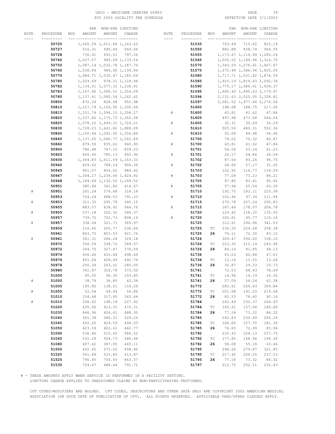# OHIO - MEDICARE CARRIER 00883 PAGE 39 FSY 2003 LOCALITY FEE SCHEDULE

|           |           | PAR           |                               | NON-PAR LIMITING |      |           |                             | PAR    |                               | NON-PAR LIMITING |
|-----------|-----------|---------------|-------------------------------|------------------|------|-----------|-----------------------------|--------|-------------------------------|------------------|
| NOTE      | PROCEDURE | AMOUNT<br>MOD | AMOUNT                        | CHARGE           | NOTE | PROCEDURE | MOD                         | AMOUNT | AMOUNT                        | CHARGE           |
|           |           |               |                               | -- ---------     | ---- |           |                             |        |                               |                  |
|           | 50725     |               | 1,065.09 1,011.84 1,163.62    |                  |      | 51535     |                             | 753.49 | 715.82                        | 823.19           |
|           | 50727     | 516.31        | 490.49                        | 564.06           |      | 51550     |                             | 882.88 | 838.74                        | 964.55           |
|           | 50728     | 730.01        | 693.51                        | 797.54           |      | 51555     |                             |        | 1, 173.67 1, 114.99 1, 282.24 |                  |
|           |           |               |                               |                  |      |           |                             |        |                               |                  |
|           | 50740     | 1,037.57      |                               | 985.69 1,133.54  |      | 51565     |                             |        | 1,205.22 1,144.96 1,316.70    |                  |
|           | 50750     |               | 1,087.14 1,032.78 1,187.70    |                  |      | 51570     |                             |        | 1, 343.59 1, 276.41 1, 467.87 |                  |
|           | 50760     | 1,038.84      |                               | 986.90 1,134.94  |      | 51575     |                             |        | 1,670.48 1,586.96 1,825.00    |                  |
|           | 50770     |               | 1,084.71 1,030.47 1,185.04    |                  |      | 51580     |                             |        | 1,717.71 1,631.82 1,876.59    |                  |
|           | 50780     |               | 1,029.69 978.21 1,124.94      |                  |      | 51585     |                             |        | 1,915.19 1,819.43 2,092.34    |                  |
|           | 50782     |               | 1, 134.01 1, 077.31 1, 238.91 |                  |      | 51590     |                             |        | 1,775.17 1,686.41 1,939.37    |                  |
|           | 50783     |               | 1, 147.90 1, 090.51 1, 254.09 |                  |      | 51595     |                             |        | 1,995.40 1,895.63 2,179.97    |                  |
|           | 50785     |               | 1, 137.41 1, 080.54 1, 242.62 |                  |      | 51596     |                             |        | 2, 131.63 2, 025.05 2, 328.81 |                  |
|           | 50800     |               | 872.29 828.68 952.98          |                  |      | 51597     |                             |        | 2,081.52 1,977.44 2,274.06    |                  |
|           | 50810     |               | 1, 217.79 1, 156.90 1, 330.44 |                  |      | 51600     |                             | 198.68 | 188.75                        | 217.06           |
|           | 50815     |               | 1, 151.74 1, 094.15 1, 258.27 |                  | #    | 51600     |                             | 43.81  | 41.62                         | 47.86            |
|           | 50820     |               | 1,237.60 1,175.72 1,352.08    |                  |      | 51605     |                             | 497.98 | 473.08                        | 544.04           |
|           |           |               |                               |                  |      |           |                             |        |                               |                  |
|           | 50825     |               | 1,578.22 1,499.31 1,724.21    |                  | #    | 51605     |                             | 32.31  | 30.69                         | 35.29            |
|           | 50830     |               | 1,728.23 1,641.82 1,888.09    |                  |      | 51610     |                             | 505.59 | 480.31                        | 552.36           |
|           | 50840     |               | 1, 150.44 1, 092.92 1, 256.86 |                  | #    | 51610     |                             | 52.08  | 49.48                         | 56.90            |
|           | 50845     |               | 1, 137.65 1, 080.77 1, 242.89 |                  |      | 51700     |                             | 74.02  | 70.32                         | 80.87            |
|           | 50860     | 879.59        | 835.61                        | 960.95           | $\#$ | 51700     |                             | 43.81  | 41.62                         | 47.86            |
|           | 50900     | 786.48        | 747.16                        | 859.23           |      | 51701     |                             | 56.04  | 53.24                         | 61.23            |
|           | 50920     | 826.45        | 785.13                        | 902.90           | #    | 51701     |                             | 26.17  | 24.86                         | 28.59            |
|           | 50930     |               | 1,064.83 1,011.59 1,163.33    |                  |      | 51702     |                             | 87.64  | 83.26                         | 95.75            |
|           | 50940     | 829.62        | 788.14                        | 906.36           | $\#$ | 51702     |                             | 28.60  | 27.17                         | 31.25            |
|           | 50945     | 901.07        | 856.02                        | 984.42           |      | 51703     |                             | 122.92 | 116.77                        | 134.29           |
|           | 50947     |               | 1,304.27 1,239.06 1,424.92    |                  | #    | 51703     |                             | 77.08  | 73.23                         | 84.21            |
|           | 50948     |               | 1, 189.49 1, 130.02 1, 299.52 |                  |      | 51705     |                             | 87.80  | 83.41                         | 95.92            |
|           | 50951     | 380.84        | 361.80                        | 416.07           | #    | 51705     |                             | 57.94  | 55.04                         | 63.30            |
|           |           |               |                               |                  |      |           |                             |        |                               |                  |
| ${}^{\#}$ | 50951     | 291.24        | 276.68                        | 318.18           |      | 51710     |                             | 192.75 | 183.11                        | 210.58           |
|           | 50953     | 724.24        | 688.03                        | 791.23           | $\#$ | 51710     |                             | 102.46 | 97.34                         | 111.94           |
| ${}^{\#}$ | 50953     | 311.35        | 295.78                        | 340.15           |      | 51715     |                             | 270.78 | 257.24                        | 295.83           |
|           | 50955     | 883.07        | 838.92                        | 964.76           | #    | 51715     |                             | 187.44 | 178.07                        | 204.78           |
| #         | 50955     | 337.18        | 320.32                        | 368.37           |      | 51720     |                             | 124.42 | 118.20                        | 135.93           |
|           | 50957     | 739.72        | 702.73                        | 808.14           | #    | 51720     |                             | 100.81 | 95.77                         | 110.14           |
| ${}^{\#}$ | 50957     | 338.64        | 321.71                        | 369.97           |      | 51725     |                             | 312.61 | 296.98                        | 341.53           |
|           | 50959     | 216.60        | 205.77                        | 236.64           |      | 51725     | ТC                          | 236.50 | 224.68                        | 258.38           |
|           | 50961     | 843.72        | 801.53                        | 921.76           |      | 51725     | 26                          | 76.11  | 72.30                         | 83.15            |
| #         | 50961     | 301.31        | 286.24                        | 329.18           |      | 51726     |                             | 309.47 | 294.00                        | 338.10           |
|           | 50970     | 356.59        | 338.76                        | 389.57           |      | 51726     | ТC                          | 223.30 | 212.14                        | 243.96           |
|           | 50972     | 344.70        | 327.47                        | 376.59           |      | 51726     | 26                          | 86.16  | 81.85                         | 94.13            |
|           | 50974     | 456.46        | 433.64                        | 498.69           |      | 51736     |                             | 43.03  | 40.88                         | 47.01            |
|           | 50976     | 451.04        | 428.49                        | 492.76           |      | 51736     | ТC                          | 12.16  | 11.55                         | 13.28            |
|           | 50978     | 256.34        | 243.52                        | 280.05           |      | 51736     | 26                          | 30.87  | 29.33                         | 33.73            |
|           | 50980     | 341.87        | 324.78                        | 373.50           |      | 51741     |                             | 72.03  | 68.43                         | 78.69            |
|           |           |               |                               |                  |      |           |                             |        |                               |                  |
|           | 51000     | 95.05         | 90.30                         | 103.85           |      | 51741     | ТC                          | 14.94  | 14.19                         | 16.32            |
| $\#$      | 51000     | 38.79         | 36.85                         | 42.38            |      | 51741     | 26                          | 57.09  | 54.24                         | 62.38            |
|           | 51005     | 145.80        | 138.51                        | 159.29           |      | 51772     |                             | 283.61 | 269.43                        | 309.84           |
| $\#$      | 51005     | 52.04         | 49.44                         | 56.86            |      | 51772     | ТC                          | 201.08 | 191.03                        | 219.68           |
|           | 51010     | 334.68        | 317.95                        | 365.64           |      | 51772     | 26                          | 82.53  | 78.40                         | 90.16            |
| $\#$      | 51010     | 208.62        | 198.19                        | 227.92           |      | 51784     |                             | 242.49 | 230.37                        | 264.93           |
|           | 51020     | 435.06        | 413.31                        | 475.31           |      | 51784     | $\protect\operatorname{TC}$ | 165.31 | 157.04                        | 180.60           |
|           | 51030     | 446.96        | 424.61                        | 488.30           |      | 51784     | 26                          | 77.18  | 73.32                         | 84.32            |
|           | 51040     | 301.38        | 286.31                        | 329.26           |      | 51785     |                             | 242.83 | 230.69                        | 265.29           |
|           | 51045     | 452.20        | 429.59                        | 494.03           |      | 51785     | ТC                          | 166.00 | 157.70                        | 181.36           |
|           | 51050     | 423.59        | 402.41                        | 462.77           |      | 51785     | 26                          | 76.83  | 72.99                         | 83.94            |
|           | 51060     | 536.86        | 510.02                        | 586.52           |      | 51792     |                             | 235.93 | 224.13                        | 257.75           |
|           | 51065     | 531.29        | 504.73                        | 580.44           |      | 51792     | ТC                          | 177.85 | 168.96                        | 194.30           |
|           | 51080     | 407.42        | 387.05                        | 445.11           |      | 51792     | 26                          | 58.08  | 55.18                         | 63.46            |
|           | 51500     | 602.65        | 572.52                        | 658.40           |      | 51795     |                             | 294.60 | 279.87                        | 321.85           |
|           | 51520     |               |                               |                  |      | 51795     |                             |        |                               |                  |
|           |           | 561.89        | 533.80                        | 613.87           |      |           | ТC                          | 217.42 | 206.55                        | 237.53           |
|           | 51525     | 790.45        | 750.93                        | 863.57           |      | 51795     | 26                          | 77.18  | 73.32                         | 84.32            |
|           | 51530     | 724.67        | 688.44                        | 791.71           |      | 51797     |                             | 212.75 | 202.11                        | 232.43           |

# - THESE AMOUNTS APPLY WHEN SERVICE IS PERFORMED IN A FACILITY SETTING.

LIMITING CHARGE APPLIES TO UNASSIGNED CLAIMS BY NON-PARTICIPATING PROVIDERS.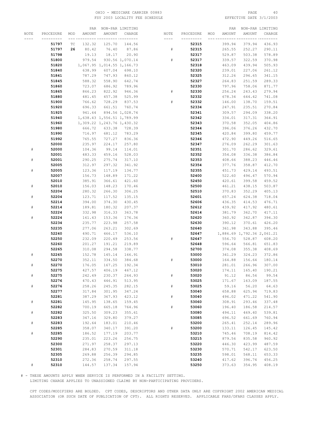# OHIO – MEDICARE CARRIER 00883 PAGE 40<br>
FSY 2003 LOCALITY FEE SCHEDULE FOR THE SERIE PATE 3/1/2003 FSY 2003 LOCALITY FEE SCHEDULE

|           |           |        | PAR    |                            | NON-PAR LIMITING |           |           |     | PAR    |                            | NON-PAR LIMITING |
|-----------|-----------|--------|--------|----------------------------|------------------|-----------|-----------|-----|--------|----------------------------|------------------|
| NOTE      | PROCEDURE | MOD    | AMOUNT | AMOUNT                     | CHARGE           | NOTE      | PROCEDURE | MOD | AMOUNT | AMOUNT                     | CHARGE           |
|           | --------- | --- -- |        | -- -----                   | -----------      | $- - - -$ | --------- |     |        |                            |                  |
|           | 51797     | ТC     | 132.32 | 125.70                     | 144.56           |           | 52315     |     | 399.94 | 379.94                     | 436.93           |
|           |           |        |        |                            |                  |           |           |     |        |                            |                  |
|           | 51797     | 26     | 80.42  | 76.40                      | 87.86            | #         | 52315     |     | 265.55 | 252.27                     | 290.11           |
|           | 51798     |        | 19.13  | 18.17                      | 20.90            |           | 52317     |     | 529.87 | 503.38                     | 578.89           |
|           | 51800     |        | 979.54 |                            | 930.56 1,070.14  | $\#$      | 52317     |     | 339.57 | 322.59                     | 370.98           |
|           | 51820     |        |        | 1,067.95 1,014.55 1,166.73 |                  |           | 52318     |     | 463.09 | 439.94                     | 505.93           |
|           | 51840     |        | 638.99 | 607.04                     | 698.10           |           | 52320     |     | 239.01 | 227.06                     | 261.12           |
|           | 51841     |        | 787.29 | 747.93                     | 860.12           |           | 52325     |     | 312.26 | 296.65                     | 341.15           |
|           |           |        |        |                            |                  |           |           |     |        |                            |                  |
|           | 51845     |        | 588.32 | 558.90                     | 642.74           |           | 52327     |     | 264.83 | 251.59                     | 289.33           |
|           | 51860     |        | 723.07 | 686.92                     | 789.96           |           | 52330     |     | 797.96 | 758.06                     | 871.77           |
|           | 51865     |        | 866.23 | 822.92                     | 946.36           | #         | 52330     |     | 256.24 | 243.43                     | 279.94           |
|           | 51880     |        | 481.45 | 457.38                     | 525.99           |           | 52332     |     | 678.34 | 644.42                     | 741.08           |
|           | 51900     |        | 766.62 | 728.29                     | 837.53           | #         | 52332     |     | 146.00 | 138.70                     | 159.51           |
|           | 51920     |        | 696.33 | 661.51                     | 760.74           |           | 52334     |     | 247.91 | 235.51                     | 270.84           |
|           |           |        | 941.64 |                            | 894.56 1,028.74  |           |           |     | 309.57 | 294.09                     | 338.20           |
|           | 51925     |        |        |                            |                  |           | 52341     |     |        |                            |                  |
|           | 51940     |        |        | 1,638.43 1,556.51 1,789.99 |                  |           | 52342     |     | 334.01 | 317.31                     | 364.91           |
|           | 51960     |        |        | 1,309.22 1,243.76 1,430.32 |                  |           | 52343     |     | 370.58 | 352.05                     | 404.86           |
|           | 51980     |        | 666.72 | 633.38                     | 728.39           |           | 52344     |     | 396.06 | 376.26                     | 432.70           |
|           | 51990     |        | 716.97 | 681.12                     | 783.29           |           | 52345     |     | 420.84 | 399.80                     | 459.77           |
|           | 51992     |        | 765.55 | 727.27                     | 836.36           |           | 52346     |     | 472.90 | 449.26                     | 516.65           |
|           | 52000     |        | 235.97 | 224.17                     | 257.80           |           | 52347     |     | 276.09 | 262.29                     | 301.63           |
| ${}^{\#}$ | 52000     |        | 104.36 | 99.14                      | 114.01           |           |           |     |        |                            | 329.61           |
|           |           |        |        |                            |                  |           | 52351     |     | 301.70 | 286.62                     |                  |
|           | 52001     |        | 483.33 | 459.16                     | 528.03           |           | 52352     |     | 354.08 | 336.38                     | 386.84           |
| #         | 52001     |        | 290.25 | 275.74                     | 317.10           |           | 52353     |     | 408.66 | 388.23                     | 446.46           |
|           | 52005     |        | 312.97 | 297.32                     | 341.92           |           | 52354     |     | 377.76 | 358.87                     | 412.70           |
| #         | 52005     |        | 123.36 | 117.19                     | 134.77           |           | 52355     |     | 451.73 | 429.14                     | 493.51           |
|           | 52007     |        | 156.73 | 148.89                     | 171.22           |           | 52400     |     | 522.60 | 496.47                     | 570.94           |
|           | 52010     |        | 385.91 | 366.61                     | 421.60           |           | 52450     |     | 420.61 | 399.58                     | 459.52           |
| #         | 52010     |        | 156.03 | 148.23                     | 170.46           |           | 52500     |     | 461.21 | 438.15                     | 503.87           |
|           |           |        |        |                            |                  |           |           |     |        |                            |                  |
|           | 52204     |        | 280.32 | 266.30                     | 306.25           |           | 52510     |     | 370.83 | 352.29                     | 405.13           |
| #         | 52204     |        | 123.71 | 117.52                     | 135.15           |           | 52601     |     | 657.24 | 624.38                     | 718.04           |
|           | 52214     |        | 394.00 | 374.30                     | 430.45           |           | 52606     |     | 436.35 | 414.53                     | 476.71           |
| ${}^{\#}$ | 52214     |        | 189.81 | 180.32                     | 207.37           |           | 52612     |     | 439.92 | 417.92                     | 480.61           |
|           | 52224     |        | 332.98 | 316.33                     | 363.78           |           | 52614     |     | 381.79 | 362.70                     | 417.11           |
| ${}^{\#}$ | 52224     |        | 161.43 | 153.36                     | 176.36           |           | 52620     |     | 360.92 | 342.87                     | 394.30           |
|           | 52234     |        | 235.77 | 223.98                     | 257.58           |           | 52630     |     | 390.12 | 370.61                     | 426.20           |
|           |           |        |        |                            |                  |           |           |     |        |                            |                  |
|           | 52235     |        | 277.06 | 263.21                     | 302.69           |           | 52640     |     | 361.98 | 343.88                     | 395.46           |
|           | 52240     |        | 490.71 | 466.17                     | 536.10           |           | 52647     |     |        | 1,886.69 1,792.36 2,061.21 |                  |
|           | 52250     |        | 232.09 | 220.49                     | 253.56           | #         | 52647     |     | 556.70 | 528.87                     | 608.20           |
|           | 52260     |        | 201.27 | 191.21                     | 219.89           |           | 52648     |     | 596.64 | 566.81                     | 651.83           |
|           | 52265     |        | 310.08 | 294.58                     | 338.77           |           | 52700     |     | 374.08 | 355.38                     | 408.69           |
|           | 52265     |        | 152.78 | 145.14                     | 166.91           |           | 53000     |     | 341.29 | 324.23                     | 372.86           |
|           | 52270     |        | 352.11 | 334.50                     | 384.68           | #         | 53000     |     | 164.88 | 156.64                     | 180.14           |
| #         | 52270     |        | 176.05 | 167.25                     | 192.34           |           | 53010     |     | 281.01 | 266.96                     | 307.00           |
|           |           |        |        |                            |                  |           |           |     |        |                            |                  |
|           | 52275     |        | 427.57 | 406.19                     | 467.12           |           | 53020     |     | 174.11 | 165.40                     | 190.21           |
| $\#$      | 52275     |        | 242.49 | 230.37                     | 264.93           | $\#$      | 53020     |     | 91.12  | 86.56                      | 99.54            |
|           | 52276     |        | 470.43 | 446.91                     | 513.95           |           | 53025     |     | 171.67 | 163.09                     | 187.55           |
| #         | 52276     |        | 258.26 | 245.35                     | 282.15           | $\#$      | 53025     |     | 59.16  | 56.20                      | 64.63            |
|           | 52277     |        | 317.84 | 301.95                     | 347.24           |           | 53040     |     | 658.88 | 625.94                     | 719.83           |
|           | 52281     |        | 387.29 | 367.93                     | 423.12           | $\#$      | 53040     |     | 496.02 | 471.22                     | 541.90           |
| $\#$      | 52281     |        | 145.95 | 138.65                     | 159.45           |           | 53060     |     | 308.91 | 293.46                     | 337.48           |
|           | 52282     |        | 700.19 | 665.18                     | 764.96           | $\#$      |           |     |        | 186.58                     | 214.57           |
|           |           |        |        |                            |                  |           | 53060     |     | 196.40 |                            |                  |
| $\#$      | 52282     |        | 325.50 | 309.23                     | 355.61           |           | 53080     |     | 494.11 | 469.40                     | 539.81           |
|           | 52283     |        | 347.16 | 329.80                     | 379.27           |           | 53085     |     | 696.52 | 661.69                     | 760.94           |
| $\#$      | 52283     |        | 192.64 | 183.01                     | 210.46           |           | 53200     |     | 265.41 | 252.14                     | 289.96           |
|           | 52285     |        | 358.07 | 340.17                     | 391.20           | $\#$      | 53200     |     | 133.11 | 126.45                     | 145.42           |
| $\#$      | 52285     |        | 186.52 | 177.19                     | 203.77           |           | 53210     |     | 745.46 | 708.19                     | 814.42           |
|           | 52290     |        | 235.01 | 223.26                     | 256.75           |           | 53215     |     | 879.56 | 835.58                     | 960.92           |
|           | 52300     |        | 271.97 | 258.37                     | 297.13           |           | 53220     |     | 446.30 | 423.99                     | 487.59           |
|           |           |        |        |                            |                  |           |           |     |        |                            |                  |
|           | 52301     |        | 284.83 | 270.59                     | 311.18           |           | 53230     |     | 570.71 | 542.17                     | 623.50           |
|           | 52305     |        | 269.88 | 256.39                     | 294.85           |           | 53235     |     | 598.01 | 568.11                     | 653.33           |
|           | 52310     |        | 272.36 | 258.74                     | 297.55           |           | 53240     |     | 417.62 | 396.74                     | 456.25           |
| #         | 52310     |        | 144.57 | 137.34                     | 157.94           |           | 53250     |     | 373.63 | 354.95                     | 408.19           |

# - THESE AMOUNTS APPLY WHEN SERVICE IS PERFORMED IN A FACILITY SETTING.

LIMITING CHARGE APPLIES TO UNASSIGNED CLAIMS BY NON-PARTICIPATING PROVIDERS.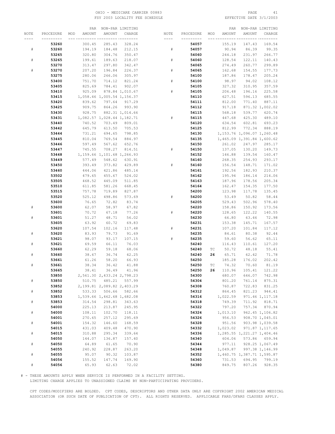# OHIO – MEDICARE CARRIER 00883 PAGE 41<br>
FSY 2003 LOCALITY FEE SCHEDULE FOR PAGE 2/1/2003 FSY 2003 LOCALITY FEE SCHEDULE

|      |           | PAR           |                               | NON-PAR LIMITING |           |           |     | PAR      |                               | NON-PAR LIMITING |
|------|-----------|---------------|-------------------------------|------------------|-----------|-----------|-----|----------|-------------------------------|------------------|
| NOTE | PROCEDURE | AMOUNT<br>MOD | AMOUNT                        | CHARGE           | NOTE      | PROCEDURE | MOD | AMOUNT   | AMOUNT                        | CHARGE           |
|      |           |               | __ _________ ________         |                  | ----      |           |     |          |                               | --- -----        |
|      | 53260     | 300.45        | 285.43                        | 328.24           |           | 54057     |     | 155.19   | 147.43                        | 169.54           |
| $\#$ | 53260     | 194.19        | 184.48                        | 212.15           | #         | 54057     |     | 90.94    | 86.39                         | 99.35            |
|      | 53265     | 320.80        | 304.76                        | 350.47           |           | 54060     |     | 244.18   | 231.97                        | 266.77           |
|      |           |               |                               |                  |           |           |     |          |                               | 140.43           |
| $\#$ | 53265     | 199.61        | 189.63                        | 218.07           | ${}^{\#}$ | 54060     |     | 128.54   | 122.11                        |                  |
|      | 53270     | 313.47        | 297.80                        | 342.47           |           | 54065     |     | 274.49   | 260.77                        | 299.89           |
| $\#$ | 53270     | 207.20        | 196.84                        | 226.37           | #         | 54065     |     | 162.68   | 154.55                        | 177.73           |
|      | 53275     | 280.06        | 266.06                        | 305.97           |           | 54100     |     | 187.86   | 178.47                        | 205.24           |
|      | 53400     | 751.70        | 714.12                        | 821.24           | #         | 54100     |     | 98.97    | 94.02                         | 108.12           |
|      | 53405     | 825.69        | 784.41                        | 902.07           |           | 54105     |     | 327.32   | 310.95                        | 357.59           |
|      | 53410     | 925.09        |                               | 878.84 1,010.67  | #         | 54105     |     | 206.48   | 196.16                        | 225.58           |
|      | 53415     |               | 1,058.46 1,005.54 1,156.37    |                  |           | 54110     |     | 627.51   | 596.13                        | 685.55           |
|      | 53420     | 839.62        | 797.64                        | 917.29           |           | 54111     |     | 812.00   | 771.40                        | 887.11           |
|      | 53425     | 909.75        | 864.26                        | 993.90           |           | 54112     |     | 917.18   |                               | 871.32 1,002.02  |
|      | 53430     | 928.75        |                               | 882.31 1,014.66  |           | 54115     |     | 568.18   | 539.77                        | 620.74           |
|      | 53431     |               | 1,082.57 1,028.44 1,182.71    |                  | #         | 54115     |     | 447.68   | 425.30                        | 489.10           |
|      |           |               |                               |                  |           |           |     |          |                               |                  |
|      | 53440     | 740.52        | 703.49                        | 809.01           |           | 54120     |     | 634.54   | 602.81                        | 693.23           |
|      | 53442     | 645.79        | 613.50                        | 705.53           |           | 54125     |     | 812.99   | 772.34                        | 888.19           |
|      | 53444     | 731.21        | 694.65                        | 798.85           |           | 54130     |     |          | 1, 153.76 1, 096.07 1, 260.48 |                  |
|      | 53445     | 810.04        | 769.54                        | 884.97           |           | 54135     |     |          | 1,465.09 1,391.84 1,600.62    |                  |
|      | 53446     | 597.49        | 567.62                        | 652.76           |           | 54150     |     | 261.02   | 247.97                        | 285.17           |
|      | 53447     | 745.55        | 708.27                        | 814.51           | #         | 54150     |     | 137.05   | 130.20                        | 149.73           |
|      | 53448     |               | 1, 159.66 1, 101.68 1, 266.93 |                  |           | 54152     |     | 146.88   | 139.54                        | 160.47           |
|      | 53449     | 577.49        | 548.62                        | 630.91           |           | 54160     |     | 268.35   | 254.93                        | 293.17           |
|      | 53450     | 393.49        | 373.82                        | 429.89           | #         | 54160     |     | 156.54   | 148.71                        | 171.02           |
|      | 53460     | 444.06        | 421.86                        | 485.14           |           | 54161     |     | 192.56   | 182.93                        | 210.37           |
|      |           |               |                               | 524.02           |           |           |     |          |                               |                  |
|      | 53502     | 479.65        | 455.67                        |                  |           | 54162     |     | 195.94   | 186.14                        | 214.06           |
|      | 53505     | 468.52        | 445.09                        | 511.85           |           | 54163     |     | 187.96   | 178.56                        | 205.34           |
|      | 53510     | 611.85        | 581.26                        | 668.45           |           | 54164     |     | 162.47   | 154.35                        | 177.50           |
|      | 53515     | 757.78        | 719.89                        | 827.87           |           | 54200     |     | 123.98   | 117.78                        | 135.45           |
|      | 53520     | 525.12        | 498.86                        | 573.69           | #         | 54200     |     | 53.49    | 50.82                         | 58.44            |
|      | 53600     | 76.65         | 72.82                         | 83.74            |           | 54205     |     | 529.43   | 502.96                        | 578.40           |
| $\#$ | 53600     | 62.07         | 58.97                         | 67.82            |           | 54220     |     | 158.86   | 150.92                        | 173.56           |
|      | 53601     | 70.72         | 67.18                         | 77.26            | $\#$      | 54220     |     | 128.65   | 122.22                        | 140.55           |
| $\#$ | 53601     | 51.27         | 48.71                         | 56.02            |           | 54230     |     | 66.80    | 63.46                         | 72.98            |
|      | 53605     | 63.92         | 60.72                         | 69.83            |           | 54231     |     | 153.38   | 145.71                        | 167.57           |
|      | 53620     | 107.54        | 102.16                        | 117.48           | #         | 54231     |     | 107.20   | 101.84                        | 117.12           |
| $\#$ | 53620     | 83.93         | 79.73                         | 91.69            |           | 54235     |     | 84.61    | 80.38                         | 92.44            |
|      | 53621     | 98.07         | 93.17                         | 107.15           | $\#$      | 54235     |     | 59.60    | 56.62                         | 65.11            |
|      | 53621     |               | 66.11                         | 76.03            |           |           |     | 116.43   |                               | 127.20           |
| $\#$ |           | 69.59         |                               |                  |           | 54240     |     |          | 110.61                        |                  |
|      | 53660     | 62.29         | 59.18                         | 68.06            |           | 54240     | ТC  | 50.72    | 48.18                         | 55.41            |
| $\#$ | 53660     | 38.67         | 36.74                         | 42.25            |           | 54240     | 26  | 65.71    | 62.42                         | 71.78            |
|      | 53661     | 61.26         | 58.20                         | 66.93            |           | 54250     |     | 185.28   | 176.02                        | 202.42           |
| $\#$ | 53661     | 38.34         | 36.42                         | 41.88            |           | 54250     | ТC  | 74.32    | 70.60                         | 81.19            |
|      | 53665     | 38.41         | 36.49                         | 41.96            |           | 54250     | 26  | 110.96   | 105.41                        | 121.22           |
|      | 53850     |               | 2,561.30 2,433.24 2,798.23    |                  |           | 54300     |     | 680.07   | 646.07                        | 742.98           |
| $\#$ | 53850     |               | 510.75 485.21 557.99          |                  |           | 54304     |     | 801.20   | 761.14                        | 875.31           |
|      | 53852     |               | 2, 199.81 2, 089.82 2, 403.29 |                  |           | 54308     |     | 760.87   | 722.83                        | 831.25           |
| $\#$ | 53852     | 533.33        | 506.66                        | 582.66           |           | 54312     |     | 864.45   | 821.23                        | 944.41           |
|      | 53853     |               | 1,539.66 1,462.68 1,682.08    |                  |           | 54316     |     | 1,022.59 |                               | 971.46 1,117.18  |
| $\#$ | 53853     | 314.54        | 298.81                        | 343.63           |           | 54318     |     | 749.39   | 711.92                        | 818.71           |
|      | 54000     | 225.13        | 213.87                        | 245.95           |           | 54322     |     | 797.20   | 757.34                        | 870.94           |
| $\#$ | 54000     | 108.11        | 102.70                        | 118.11           |           | 54324     |     | 1,013.10 |                               | 962.45 1,106.82  |
|      | 54001     | 270.65        | 257.12                        | 295.69           |           | 54326     |     | 956.53   |                               | 908.70 1,045.01  |
|      |           |               |                               |                  |           |           |     |          |                               |                  |
| $\#$ | 54001     | 154.32        | 146.60                        | 168.59           |           | 54328     |     | 951.56   |                               | 903.98 1,039.58  |
|      | 54015     | 431.03        | 409.48                        | 470.90           |           | 54332     |     | 1,023.02 |                               | 971.87 1, 117.65 |
| $\#$ | 54015     | 310.88        | 295.34                        | 339.64           |           | 54336     |     |          | 1,285.55 1,221.27 1,404.46    |                  |
|      | 54050     | 144.07        | 136.87                        | 157.40           |           | 54340     |     | 604.06   |                               | 573.86 659.94    |
| $\#$ | 54050     | 64.89         | 61.65                         | 70.90            |           | 54344     |     | 977.11   |                               | 928.25 1,067.49  |
|      | 54055     | 240.92        | 228.87                        | 263.20           |           | 54348     |     | 1,049.87 |                               | 997.38 1,146.99  |
| $\#$ | 54055     | 95.07         | 90.32                         | 103.87           |           | 54352     |     |          | 1,460.75 1,387.71 1,595.87    |                  |
|      | 54056     | 155.52        | 147.74                        | 169.90           |           | 54360     |     | 731.53   | 694.95                        | 799.19           |
| $\#$ | 54056     | 65.93         | 62.63                         | 72.02            |           | 54380     |     | 849.75   | 807.26                        | 928.35           |

# - THESE AMOUNTS APPLY WHEN SERVICE IS PERFORMED IN A FACILITY SETTING.

LIMITING CHARGE APPLIES TO UNASSIGNED CLAIMS BY NON-PARTICIPATING PROVIDERS.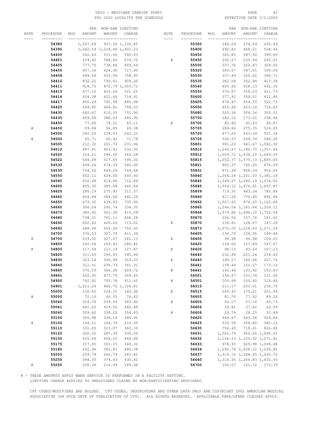### OHIO – MEDICARE CARRIER 00883 PAGE 42<br>
FSY 2003 LOCALITY FEE SCHEDULE FOR THE SERIE SOME PAGE 3/1/2003 FSY 2003 LOCALITY FEE SCHEDULE

|      |           | PAR              |                               | NON-PAR LIMITING |      |           |     | PAR      |                               | NON-PAR LIMITING       |
|------|-----------|------------------|-------------------------------|------------------|------|-----------|-----|----------|-------------------------------|------------------------|
| NOTE | PROCEDURE | AMOUNT<br>MOD    | AMOUNT                        | CHARGE           | NOTE | PROCEDURE | MOD | AMOUNT   | AMOUNT                        | CHARGE                 |
|      |           |                  |                               | -- ---------     | ---- | --------- |     |          |                               |                        |
|      | 54385     | 1,007.64         |                               | 957.26 1,100.85  |      | 55300     |     | 188.09   | 178.69                        | 205.49                 |
|      | 54390     |                  | 1, 282.59 1, 218.46 1, 401.23 |                  |      | 55400     |     | 492.85   | 468.21                        | 538.44                 |
|      | 54400     | 542.63           | 515.50                        | 592.83           |      | 55450     |     | 365.85   | 347.56                        | 399.69                 |
|      | 54401     | 619.42           | 588.45                        | 676.72           | #    | 55450     |     | 242.57   | 230.44                        | 265.01                 |
|      | 54405     | 777.75           | 738.86                        | 849.69           |      | 55500     |     | 337.76   | 320.87                        | 369.00                 |
|      |           |                  |                               |                  |      |           |     |          |                               |                        |
|      | 54406     | 657.16           | 624.30                        | 717.95           |      | 55520     |     | 365.27   | 347.01                        | 399.06                 |
|      | 54408     | 694.69           | 659.96                        | 758.95           |      | 55530     |     | 337.49   | 320.62                        | 368.71                 |
|      | 54410     | 832.22           | 790.61                        | 909.20           |      | 55535     |     | 382.04   | 362.94                        | 417.38                 |
|      | 54411     | 918.73           |                               | 872.79 1,003.71  |      | 55540     |     | 450.66   | 428.13                        | 492.35                 |
|      | 54415     | 477.12           | 453.26                        | 521.25           |      | 55550     |     | 376.87   | 358.03                        | 411.73                 |
|      | 54416     | 654.38           | 621.66                        | 714.91           |      | 55600     |     | 377.91   | 359.01                        | 412.86                 |
|      | 54417     | 806.29           | 765.98                        | 880.88           |      | 55605     |     | 478.47   | 454.55                        | 522.73                 |
|      | 54420     | 699.80           | 664.81                        | 764.53           |      | 55650     |     | 655.96   | 623.16                        | 716.63                 |
|      | 54430     | 642.47           | 610.35                        | 701.90           |      | 55680     |     | 320.38   | 304.36                        | 350.01                 |
|      | 54435     | 409.08           | 388.63                        | 446.92           |      | 55700     |     | 182.12   | 173.01                        | 198.96                 |
|      | 54450     | 77.90            | 74.01                         | 85.11            | #    | 55700     |     | 85.93    | 81.63                         | 93.87                  |
| $\#$ | 54450     | 59.84            | 56.85                         | 65.38            |      | 55705     |     | 289.84   | 275.35                        | 316.65                 |
|      | 54500     | 240.03           | 228.03                        | 262.23           |      | 55720     |     | 477.20   | 453.34                        | 521.34                 |
| #    | 54500     | 65.71            | 62.42                         | 71.78            |      | 55725     |     | 536.57   | 509.74                        | 586.20                 |
|      | 54505     | 212.32           | 201.70                        | 231.96           |      | 55801     |     | 991.23   |                               | 941.67 1,082.92        |
|      | 54512     | 487.81           | 463.42                        | 532.93           |      | 55810     |     |          | 1, 242.87 1, 180.73 1, 357.84 |                        |
|      | 54520     | 314.21           | 298.50                        | 343.28           |      | 55812     |     |          | 1,509.71 1,434.22 1,649.35    |                        |
|      | 54522     | 544.89           | 517.65                        | 595.30           |      | 55815     |     |          | 1,652.77 1,570.13 1,805.65    |                        |
|      | 54530     | 499.26           | 474.30                        | 545.45           |      | 55821     |     |          | 802.37 762.25                 | 876.59                 |
|      | 54535     | 704.52           | 669.29                        | 769.68           |      | 55831     |     | 871.99   | 828.39                        | 952.65                 |
|      |           |                  | 429.50                        |                  |      |           |     |          | 1, 264.24 1, 201.03 1, 381.18 |                        |
|      | 54550     | 452.11<br>652.48 |                               | 493.93           |      | 55840     |     |          | 1, 349.67 1, 282.19 1, 474.52 |                        |
|      | 54560     |                  | 619.86                        | 712.84           |      | 55842     |     |          |                               |                        |
|      | 54600     | 405.35           | 385.08                        | 442.84           |      | 55845     |     |          | 1,554.12 1,476.41 1,697.87    |                        |
|      | 54620     | 285.19           | 270.93                        | 311.57           |      | 55859     |     | 719.30   | 683.34                        | 785.84                 |
|      | 54640     | 404.84           | 384.60                        | 442.29           |      | 55860     |     |          | 817.26 776.40                 | 892.86                 |
|      | 54650     | 673.50           | 639.83                        | 735.80           |      | 55862     |     |          | 1,027.63 976.25 1,122.69      |                        |
|      | 54660     | 306.04           | 290.74                        | 334.35           |      | 55865     |     |          | 1,244.04 1,181.84 1,359.12    |                        |
|      | 54670     | 380.40           | 361.38                        | 415.59           |      | 55866     |     |          | 1,574.86 1,496.12 1,720.54    |                        |
|      | 54680     | 738.01           | 701.11                        | 806.28           |      | 55870     |     | 166.06   | 157.76                        | 181.42                 |
|      | 54690     | 652.65           | 620.02                        | 713.02           | #    | 55870     |     | 134.81   | 128.07                        | 147.28                 |
|      | 54692     | 688.69           | 654.26                        | 752.40           |      | 55873     |     |          | 1,072.03 1,018.43 1,171.19    |                        |
|      | 54700     | 376.53           | 357.70                        | 411.36           |      | 56405     |     | 136.79   | 129.95                        | 149.44                 |
| #    | 54700     | 239.02           | 227.07                        | 261.13           | #    | 56405     |     | 99.98    | 94.98                         | 109.23                 |
|      | 54800     | 262.54           | 249.41                        | 286.82           |      | 56420     |     | 134.62   | 127.89                        | 147.07                 |
|      | 54800     | 117.04           | 111.19                        | 127.87           | #    | 56420     |     | 98.15    | 93.24                         | 107.23                 |
|      | 54820     | 311.63           | 296.05                        | 340.46           |      | 56440     |     | 232.88   | 221.24                        | 254.43                 |
|      | 54830     | 323.14           | 306.98                        | 353.03           | $\#$ | 56440     |     | 190.17   | 180.66                        | 207.76                 |
|      | 54840     | 312.41           | 296.79                        | 341.31           |      | 56441     |     | 158.49   | 150.57                        | 173.16                 |
|      | 54860     | 375.03           | 356.28                        | 409.72           | $\#$ | 56441     |     | 140.44   | 133.42                        | 153.43                 |
|      | 54861     | 502.90           | 477.76                        | 549.42           |      | 56501     |     | 138.67   | 131.74                        | 151.50                 |
|      | 54900     | 742.91           | 705.76                        | 811.62           | $\#$ | 56501     |     | 105.68   | 100.40                        | 115.46                 |
|      | 54901     | 1,011.26         |                               | 960.70 1,104.81  |      | 56515     |     | 211.17   | 200.61                        | 230.70                 |
|      | 55000     | 130.85           | 124.31                        | 142.96           | $\#$ | 56515     |     | 184.43   | 175.21                        | 201.49                 |
| $\#$ | 55000     | 72.16            | 68.55                         | 78.83            |      | 56605     |     | 81.70    | 77.62                         | 89.26                  |
|      | 55040     | 314.78           | 299.04                        | 343.90           | $\#$ | 56605     |     | 60.17    | 57.16                         | 65.73                  |
|      | 55041     | 441.63           | 419.55                        | 482.48           |      | 56606     |     | 39.81    | 37.82                         | 43.49                  |
|      | 55060     | 324.42           | 308.20                        | 354.43           | $\#$ | 56606     |     | 29.74    | 28.25                         | 32.49                  |
|      | 55100     | 355.98           | 338.18                        | 388.91           |      | 56620     |     | 466.67   | 443.34                        | 509.84                 |
| $\#$ | 55100     | 194.51           | 184.78                        | 212.50           |      | 56625     |     | 535.58   | 508.80                        | 585.12                 |
|      | 55110     | 331.65           | 315.07                        | 362.33           |      | 56630     |     | 756.43   | 718.61                        | 826.40                 |
|      | 55120     | 302.52           | 287.39                        | 330.50           |      | 56631     |     | 1,002.79 |                               | 952.65 1,095.55        |
|      | 55150     | 425.49           | 404.22                        | 464.85           |      | 56632     |     |          | 1, 164.13 1, 105.92 1, 271.81 |                        |
|      | 55175     | 317.00           | 301.15                        | 346.32           |      | 56633     |     | 978.93   |                               | 929.98 1,069.48        |
|      | 55180     | 622.96           | 591.81                        | 680.58           |      | 56634     |     |          | 1,092.74 1,038.10 1,193.82    |                        |
|      | 55200     | 259.78           | 246.79                        | 283.81           |      | 56637     |     |          | 1, 314.16 1, 248.45 1, 435.72 |                        |
|      | 55250     | 394.35           | 374.63                        | 430.82           |      | 56640     |     |          | 1,310.35 1,244.83 1,431.55    |                        |
|      | 55250     | 228.36           | 216.94                        | 249.48           |      | 56700     |     |          |                               | 159.07  151.12  173.79 |

# - THESE AMOUNTS APPLY WHEN SERVICE IS PERFORMED IN A FACILITY SETTING.

LIMITING CHARGE APPLIES TO UNASSIGNED CLAIMS BY NON-PARTICIPATING PROVIDERS.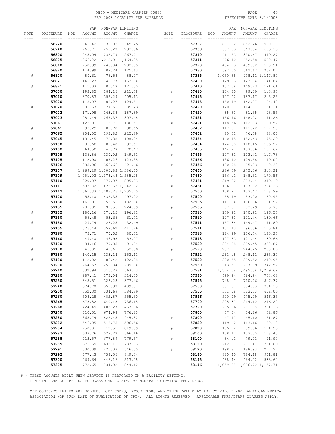# OHIO – MEDICARE CARRIER 00883 PAGE 43<br>
FSY 2003 LOCALITY FEE SCHEDULE FOR THE SERIE PATE 3/1/2003 FSY 2003 LOCALITY FEE SCHEDULE

|           |           | PAR           |                            | NON-PAR LIMITING |      |           |     | PAR           |                            | NON-PAR LIMITING |
|-----------|-----------|---------------|----------------------------|------------------|------|-----------|-----|---------------|----------------------------|------------------|
| NOTE      | PROCEDURE | AMOUNT<br>MOD | AMOUNT                     | CHARGE           | NOTE | PROCEDURE | MOD | <b>AMOUNT</b> | AMOUNT                     | CHARGE           |
|           |           |               |                            |                  |      |           |     |               |                            |                  |
|           | 56720     | 41.42         | 39.35                      | 45.25            |      | 57307     |     | 897.12        | 852.26                     | 980.10           |
|           | 56740     | 268.71        | 255.27                     | 293.56           |      | 57308     |     | 597.83        | 567.94                     | 653.13           |
|           | 56800     | 245.04        | 232.79                     | 267.71           |      | 57310     |     | 411.23        | 390.67                     | 449.27           |
|           | 56805     |               |                            |                  |      | 57311     |     |               | 452.58                     |                  |
|           |           |               | 1,066.22 1,012.91 1,164.85 |                  |      |           |     | 476.40        |                            | 520.47           |
|           | 56810     | 258.99        | 246.04                     | 282.95           |      | 57320     |     | 484.13        | 459.92                     | 528.91           |
|           | 56820     | 114.99        | 109.24                     | 125.63           |      | 57330     |     | 697.55        | 662.67                     | 762.07           |
| #         | 56820     | 80.61         | 76.58                      | 88.07            |      | 57335     |     | 1,050.65      |                            | 998.12 1,147.84  |
|           | 56821     | 149.23        | 141.77                     | 163.04           |      | 57400     |     | 129.83        | 123.34                     | 141.84           |
| #         | 56821     | 111.03        | 105.48                     | 121.30           |      | 57410     |     | 157.08        | 149.23                     | 171.61           |
|           | 57000     | 193.85        | 184.16                     | 211.78           | #    | 57410     |     | 104.30        | 99.09                      | 113.95           |
|           | 57010     | 370.83        | 352.29                     | 405.13           |      | 57415     |     | 197.02        | 187.17                     | 215.25           |
|           | 57020     | 113.97        | 108.27                     | 124.51           | #    | 57415     |     | 150.49        | 142.97                     | 164.42           |
| #         | 57020     | 81.67         | 77.59                      | 89.23            |      | 57420     |     | 120.01        | 114.01                     | 131.11           |
|           | 57022     | 171.98        | 163.38                     | 187.89           | #    | 57420     |     | 85.63         | 81.35                      | 93.55            |
|           | 57023     | 281.44        | 267.37                     | 307.48           |      | 57421     |     | 156.76        | 148.92                     | 171.26           |
|           | 57061     | 125.01        | 118.76                     | 136.57           | #    | 57421     |     | 118.56        | 112.63                     | 129.52           |
| #         | 57061     | 90.29         | 85.78                      | 98.65            |      | 57452     |     | 117.07        | 111.22                     | 127.90           |
|           | 57065     | 204.02        | 193.82                     | 222.89           | $\#$ | 57452     |     | 80.61         | 76.58                      | 88.07            |
| #         | 57065     | 181.45        | 172.38                     | 198.24           |      | 57454     |     |               | 152.43                     | 175.29           |
|           |           |               |                            |                  |      |           |     | 160.45        |                            |                  |
|           | 57100     | 85.68         | 81.40                      | 93.61            | $\#$ | 57454     |     | 124.68        | 118.45                     | 136.22           |
| #         | 57100     | 64.50         | 61.28                      | 70.47            |      | 57455     |     | 144.27        | 137.06                     | 157.62           |
|           | 57105     | 136.86        | 130.02                     | 149.52           | #    | 57455     |     | 107.81        | 102.42                     | 117.78           |
| #         | 57105     | 112.90        | 107.26                     | 123.35           |      | 57456     |     | 136.40        | 129.58                     | 149.02           |
|           | 57106     | 385.96        | 366.66                     | 421.66           | #    | 57456     |     | 100.98        | 95.93                      | 110.32           |
|           | 57107     |               | 1,269.29 1,205.83 1,386.70 |                  |      | 57460     |     | 286.69        | 272.36                     | 313.21           |
|           | 57109     |               | 1,451.03 1,378.48 1,585.25 |                  | #    | 57460     |     | 156.12        | 148.31                     | 170.56           |
|           | 57110     |               | 820.07 779.07              | 895.93           |      | 57461     |     | 319.62        | 303.64                     | 349.19           |
|           | 57111     |               | 1,503.82 1,428.63 1,642.92 |                  | $\#$ | 57461     |     | 186.97        | 177.62                     | 204.26           |
|           | 57112     |               | 1,561.33 1,483.26 1,705.75 |                  |      | 57500     |     | 108.92        | 103.47                     | 118.99           |
|           | 57120     | 455.10        | 432.35                     | 497.20           | $\#$ | 57500     |     | 55.79         | 53.00                      | 60.95            |
|           | 57130     | 166.91        | 158.56                     | 182.34           |      | 57505     |     | 111.64        | 106.06                     | 121.97           |
|           | 57135     | 205.85        | 195.56                     | 224.89           | #    | 57505     |     | 87.67         | 83.29                      | 95.78            |
| #         | 57135     | 180.16        | 171.15                     | 196.82           |      | 57510     |     | 179.91        | 170.91                     | 196.55           |
|           | 57150     | 56.48         | 53.66                      | 61.71            | #    | 57510     |     | 127.83        | 121.44                     | 139.66           |
| ${}^{\#}$ | 57150     | 29.74         | 28.25                      | 32.49            |      | 57511     |     | 157.34        | 149.47                     | 171.89           |
|           | 57155     | 376.44        | 357.62                     | 411.26           | #    | 57511     |     | 101.43        | 96.36                      | 110.81           |
|           |           |               |                            |                  |      |           |     |               |                            |                  |
|           | 57160     | 73.71         | 70.02                      | 80.52            |      | 57513     |     | 164.99        | 156.74                     | 180.25           |
| #         | 57160     | 49.40         | 46.93                      | 53.97            | $\#$ | 57513     |     | 127.83        | 121.44                     | 139.66           |
|           | 57170     | 84.16         | 79.95                      | 91.94            |      | 57520     |     | 304.68        | 289.45                     | 332.87           |
| #         | 57170     | 48.05         | 45.65                      | 52.50            | $\#$ | 57520     |     | 257.11        | 244.25                     | 280.89           |
|           | 57180     | 140.15        | 133.14                     | 153.11           |      | 57522     |     | 261.18        | 248.12                     | 285.34           |
| $\#$      | 57180     | 112.02        | 106.42                     | 122.38           | #    | 57522     |     | 220.55        | 209.52                     | 240.95           |
|           | 57200     | 264.57        | 251.34                     | 289.04           |      | 57530     |     | 313.57        | 297.89                     | 342.57           |
|           | 57210     | 332.94        | 316.29                     | 363.73           |      | 57531     |     |               | 1,574.08 1,495.38 1,719.69 |                  |
|           | 57220     | 287.41        | 273.04                     | 314.00           |      | 57540     |     | 699.94        | 664.94                     | 764.68           |
|           | 57230     | 345.51        | 328.23                     | 377.46           |      | 57545     |     | 748.17        | 710.76                     | 817.37           |
|           | 57240     | 374.70        | 355.97                     | 409.37           |      | 57550     |     | 351.61        | 334.03                     | 384.13           |
|           | 57250     | 352.30        | 334.69                     | 384.89           |      | 57555     |     | 551.08        | 523.53                     | 602.06           |
|           | 57260     | 508.28        | 482.87                     | 555.30           |      | 57556     |     | 500.09        | 475.09                     | 546.35           |
|           | 57265     | 673.82        | 640.13                     | 736.15           |      | 57700     |     | 225.37        | 214.10                     | 246.22           |
|           | 57268     | 424.49        | 403.27                     | 463.76           |      | 57720     |     | 275.66        | 261.88                     | 301.16           |
|           | 57270     | 710.51        | 674.98                     | 776.23           |      | 57800     |     | 57.54         | 54.66                      | 62.86            |
|           | 57280     | 865.74        | 822.45                     | 945.82           | #    | 57800     |     | 47.47         | 45.10                      | 51.87            |
|           | 57282     | 546.05        | 518.75                     | 596.56           |      | 57820     |     | 119.12        | 113.16                     | 130.13           |
|           | 57284     |               | 712.51                     | 819.39           | $\#$ | 57820     |     | 105.22        | 99.96                      | 114.95           |
|           |           | 750.01        |                            |                  |      |           |     |               |                            |                  |
|           | 57287     | 609.76        | 579.27                     | 666.16           |      | 58100     |     | 108.42        | 103.00                     | 118.45           |
|           | 57288     | 713.57        | 677.89                     | 779.57           | $\#$ | 58100     |     | 84.12         | 79.91                      | 91.90            |
|           | 57289     | 671.69        | 638.11                     | 733.83           |      | 58120     |     | 212.07        | 201.47                     | 231.69           |
|           | 57291     | 500.09        | 475.09                     | 546.35           | $\#$ | 58120     |     | 198.87        | 188.93                     | 217.27           |
|           | 57292     | 777.43        | 738.56                     | 849.34           |      | 58140     |     | 825.45        | 784.18                     | 901.81           |
|           | 57300     | 469.64        | 446.16                     | 513.08           |      | 58145     |     | 488.44        | 464.02                     | 533.62           |
|           | 57305     | 772.65        | 734.02                     | 844.12           |      | 58146     |     |               | 1,059.68 1,006.70 1,157.71 |                  |

# - THESE AMOUNTS APPLY WHEN SERVICE IS PERFORMED IN A FACILITY SETTING.

LIMITING CHARGE APPLIES TO UNASSIGNED CLAIMS BY NON-PARTICIPATING PROVIDERS.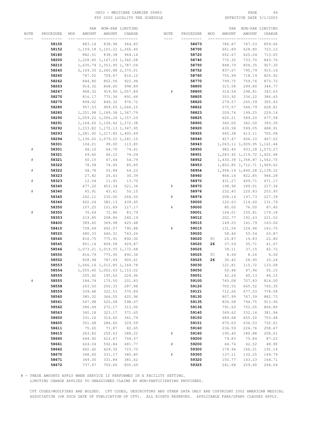# OHIO - MEDICARE CARRIER 00883 PAGE 44 FSY 2003 LOCALITY FEE SCHEDULE

|           |           | PAR           |                               | NON-PAR LIMITING |           |           |     | PAR    |                            | NON-PAR LIMITING |
|-----------|-----------|---------------|-------------------------------|------------------|-----------|-----------|-----|--------|----------------------------|------------------|
| NOTE      | PROCEDURE | AMOUNT<br>MOD | AMOUNT                        | CHARGE           | NOTE      | PROCEDURE | MOD | AMOUNT | AMOUNT                     | CHARGE           |
|           | --------- |               | $\frac{1}{2}$                 | -- ---------     | $- - - -$ | --------- |     |        |                            |                  |
|           | 58150     | 883.14        | 838.98                        | 964.83           |           | 58673     |     | 786.87 | 747.53                     | 859.66           |
|           |           |               |                               |                  |           |           |     |        |                            |                  |
|           | 58152     |               | 1, 159.18 1, 101.22 1, 266.40 |                  |           | 58700     |     | 661.89 | 628.80                     | 723.12           |
|           | 58180     | 882.51        | 838.38                        | 964.14           |           | 58720     |     | 652.67 | 620.04                     | 713.05           |
|           | 58200     |               | 1,228.45 1,167.03 1,342.08    |                  |           | 58740     |     | 772.32 | 733.70                     | 843.76           |
|           | 58210     |               | 1,635.74 1,553.95 1,787.04    |                  |           | 58750     |     | 848.79 | 806.35                     | 927.30           |
|           | 58240     |               | 2,169.35 2,060.88 2,370.01    |                  |           | 58752     |     | 837.67 | 795.79                     | 915.16           |
|           |           |               |                               |                  |           |           |     |        |                            |                  |
|           | 58260     | 747.02        | 709.67                        | 816.12           |           | 58760     |     | 755.99 | 718.19                     | 825.92           |
|           | 58262     | 844.80        | 802.56                        | 922.94           |           | 58770     |     | 799.75 | 759.76                     | 873.72           |
|           | 58263     | 914.32        | 868.60                        | 998.89           |           | 58800     |     | 315.58 | 299.80                     | 344.77           |
|           | 58267     | 968.32        |                               | 919.90 1,057.89  | #         | 58800     |     | 314.54 | 298.81                     | 343.63           |
|           | 58270     | 816.17        | 775.36                        | 891.66           |           | 58805     |     | 353.92 | 336.22                     | 386.65           |
|           | 58275     | 894.02        | 849.32                        | 976.72           |           | 58820     |     | 279.57 | 265.59                     | 305.43           |
|           |           |               |                               |                  |           |           |     |        |                            |                  |
|           | 58280     | 957.53        |                               | 909.65 1,046.10  |           | 58822     |     | 575.57 | 546.79                     | 628.81           |
|           | 58285     |               | 1, 251.98 1, 189.38 1, 367.79 |                  |           | 58823     |     | 209.74 | 199.25                     | 229.14           |
|           | 58290     |               | 1,059.22 1,006.26 1,157.20    |                  |           | 58825     |     | 620.21 | 589.20                     | 677.58           |
|           | 58291     |               | 1, 164.65 1, 106.42 1, 272.38 |                  |           | 58900     |     | 360.00 | 342.00                     | 393.30           |
|           | 58292     |               | 1, 233.82 1, 172.13 1, 347.95 |                  |           | 58920     |     | 630.58 | 599.05                     | 688.91           |
|           | 58293     |               | 1,281.92 1,217.82 1,400.49    |                  |           | 58925     |     | 645.38 | 613.11                     | 705.08           |
|           |           |               |                               |                  |           |           |     |        |                            |                  |
|           | 58294     |               | 1,136.02 1,079.22 1,241.10    |                  |           | 58940     |     | 427.47 | 406.10                     | 467.02           |
|           | 58301     | 104.21        | 99.00                         | 113.85           |           | 58943     |     |        | 1,063.11 1,009.95 1,161.44 |                  |
| ${}^{\#}$ | 58301     | 68.10         | 64.70                         | 74.41            |           | 58950     |     | 982.40 |                            | 933.28 1,073.27  |
|           | 58321     | 69.60         | 66.12                         | 76.04            |           | 58951     |     |        | 1,283.92 1,219.72 1,402.68 |                  |
| #         | 58321     | 50.15         | 47.64                         | 54.79            |           | 58952     |     |        | 1,430.39 1,358.87 1,562.70 |                  |
|           |           | 78.58         | 74.65                         |                  |           | 58953     |     |        | 1,802.85 1,712.71 1,969.62 |                  |
|           | 58322     |               |                               | 85.85            |           |           |     |        |                            |                  |
| #         | 58322     | 58.78         | 55.84                         | 64.22            |           | 58954     |     |        | 1,958.19 1,860.28 2,139.32 |                  |
|           | 58323     | 27.82         | 26.43                         | 30.39            |           | 58960     |     | 866.16 | 822.85                     | 946.28           |
| $\#$      | 58323     | 12.54         | 11.91                         | 13.70            |           | 58970     |     | 431.27 | 409.71                     | 471.17           |
|           | 58340     | 477.20        | 453.34                        | 521.34           | #         | 58970     |     | 198.96 | 189.01                     | 217.36           |
| #         | 58340     | 45.91         | 43.61                         | 50.15            |           | 58976     |     | 232.45 | 220.83                     | 253.95           |
|           | 58345     | 242.11        | 230.00                        | 264.50           | $\#$      | 58976     |     | 208.14 | 197.73                     | 227.39           |
|           |           |               |                               |                  |           |           |     |        |                            |                  |
|           | 58346     | 402.24        | 382.13                        | 439.45           |           | 59000     |     | 120.63 | 114.60                     | 131.79           |
|           | 58350     | 107.25        | 101.89                        | 117.17           | #         | 59000     |     | 80.00  | 76.00                      | 87.40            |
| #         | 58350     | 76.69         | 72.86                         | 83.79            |           | 59001     |     | 164.01 | 155.81                     | 179.18           |
|           | 58353     | 219.85        | 208.86                        | 240.19           |           | 59012     |     | 202.77 | 192.63                     | 221.52           |
|           | 58400     | 389.45        | 369.98                        | 425.48           |           | 59015     |     | 149.25 | 141.79                     | 163.06           |
|           | 58410     | 728.49        | 692.07                        | 795.88           | #         | 59015     |     | 131.54 | 124.96                     | 143.70           |
|           | 58520     |               | 646.31                        | 743.26           |           | 59020     |     | 58.46  | 55.54                      | 63.87            |
|           |           | 680.33        |                               |                  |           |           |     |        |                            |                  |
|           | 58540     | 816.75        | 775.91                        | 892.30           |           | 59020     | ТC  | 20.87  | 19.83                      | 22.80            |
|           | 58545     | 851.14        | 808.58                        | 929.87           |           | 59020     | 26  | 37.59  | 35.71                      | 41.07            |
|           | 58546     |               | 1,073.21 1,019.55 1,172.48    |                  |           | 59025     |     | 39.11  | 37.15                      | 42.72            |
|           | 58550     | 816.79        | 775.95                        | 892.34           |           | 59025     | ТC  | 8.69   | 8.26                       | 9.50             |
|           | 58552     | 828.94        | 787.49                        | 905.61           |           | 59025     | 26  | 30.42  | 28.90                      | 33.24            |
|           | 58553     |               | 1,066.16 1,012.85 1,164.78    |                  |           | 59030     |     | 121.81 | 115.72                     | 133.08           |
|           | 58554     |               | 1,055.40 1,002.63 1,153.02    |                  |           | 59050     |     | 50.48  | 47.96                      | 55.15            |
|           |           |               |                               |                  |           |           |     |        |                            |                  |
|           | 58555     | 205.92        | 195.62                        | 224.96           |           | 59051     |     | 42.24  | 40.13                      | 46.15            |
| $\#$      | 58555     | 184.74        | 175.50                        | 201.83           |           | 59100     |     | 745.08 | 707.83                     | 814.00           |
|           | 58558     | 263.50        | 250.33                        | 287.88           |           | 59120     |     | 700.55 | 665.52                     | 765.35           |
|           | 58559     | 339.48        | 322.51                        | 370.89           |           | 59121     |     | 712.66 | 677.03                     | 778.58           |
|           | 58560     | 385.32        | 366.05                        | 420.96           |           | 59130     |     | 807.99 | 767.59                     | 882.73           |
|           | 58561     | 547.98        | 520.58                        | 598.67           |           | 59135     |     | 836.58 | 794.75                     | 913.96           |
|           |           |               |                               |                  |           |           |     |        |                            |                  |
|           | 58562     | 286.49        | 272.17                        | 313.00           |           | 59136     |     | 791.63 | 752.05                     | 864.86           |
|           | 58563     | 340.18        | 323.17                        | 371.65           |           | 59140     |     | 349.62 | 332.14                     | 381.96           |
|           | 58600     | 331.16        | 314.60                        | 361.79           |           | 59150     |     | 689.68 | 655.20                     | 753.48           |
|           | 58605     | 301.68        | 286.60                        | 329.59           |           | 59151     |     | 670.03 | 636.53                     | 732.01           |
|           | 58611     | 75.65         | 71.87                         | 82.65            |           | 59160     |     | 236.59 | 224.76                     | 258.47           |
|           | 58615     | 263.82        | 250.63                        | 288.22           | $\#$      | 59160     |     | 190.40 | 180.88                     | 208.01           |
|           | 58660     | 644.92        | 612.67                        | 704.57           |           | 59200     |     | 79.83  | 75.84                      | 87.22            |
|           |           |               |                               |                  |           |           |     |        |                            |                  |
|           | 58661     | 624.04        | 592.84                        | 681.77           | $\#$      | 59200     |     | 44.76  | 42.52                      | 48.90            |
|           | 58662     | 662.42        | 629.30                        | 723.70           |           | 59300     |     | 174.96 | 166.21                     | 191.14           |
|           | 58670     | 348.60        | 331.17                        | 380.85           | $\#$      | 59300     |     | 137.11 | 130.25                     | 149.79           |
|           | 58671     | 349.30        | 331.84                        | 381.62           |           | 59320     |     | 150.77 | 143.23                     | 164.71           |
|           | 58672     | 737.47        | 700.60                        | 805.69           |           | 59325     |     | 241.68 | 229.60                     | 264.04           |
|           |           |               |                               |                  |           |           |     |        |                            |                  |

# - THESE AMOUNTS APPLY WHEN SERVICE IS PERFORMED IN A FACILITY SETTING.

LIMITING CHARGE APPLIES TO UNASSIGNED CLAIMS BY NON-PARTICIPATING PROVIDERS.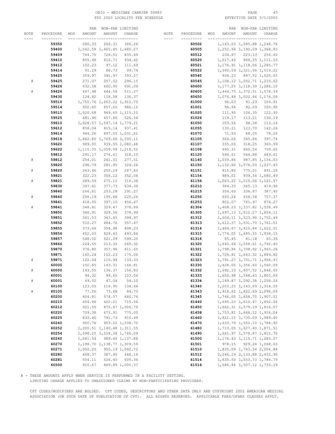# OHIO – MEDICARE CARRIER 00883 PAGE 45<br>
FSY 2003 LOCALITY FEE SCHEDULE FSY 2003 LOCALITY FEE SCHEDULE FSY 2003 LOCALITY FEE SCHEDULE

|      |           | PAR           | NON-PAR LIMITING              |                  |      |           |     | PAR    |                               | NON-PAR LIMITING |
|------|-----------|---------------|-------------------------------|------------------|------|-----------|-----|--------|-------------------------------|------------------|
| NOTE | PROCEDURE | AMOUNT<br>MOD | AMOUNT                        | CHARGE           | NOTE | PROCEDURE | MOD | AMOUNT | AMOUNT                        | CHARGE           |
|      |           |               |                               | -- ---------     | ---- |           |     |        |                               |                  |
|      | 59350     | 280.33        | 266.31                        | 306.26           |      | 60502     |     |        | 1, 143.03 1, 085.88 1, 248.76 |                  |
|      | 59400     |               | 1,542.58 1,465.45 1,685.27    |                  |      | 60505     |     |        | 1, 252.94 1, 190.29 1, 368.83 |                  |
|      | 59409     | 764.75        | 726.51                        | 835.49           |      | 60512     |     |        | 234.87 223.13 256.60          |                  |
|      |           |               |                               |                  |      |           |     |        |                               |                  |
|      | 59410     | 855.48        | 812.71                        | 934.62           |      | 60520     |     |        | 1,017.42 966.55 1,111.53      |                  |
|      | 59412     | 102.23        | 97.12                         | 111.69           |      | 60521     |     |        | 1, 176.91 1, 118.06 1, 285.77 |                  |
|      | 59414     | 91.29         | 86.73                         | 99.74            |      | 60522     |     |        | 1,390.59 1,321.06 1,519.22    |                  |
|      | 59425     | 359.97        | 341.97                        | 393.27           |      | 60540     |     |        | 934.23 887.52 1,020.65        |                  |
| #    | 59425     | 271.07        | 257.52                        | 296.15           |      | 60545     |     |        | 1,108.12 1,052.71 1,210.62    |                  |
|      | 59426     | 632.58        | 600.95                        | 691.09           |      | 60600     |     |        | 1, 177.25 1, 118.39 1, 286.15 |                  |
| $\#$ | 59426     | 467.98        | 444.58                        | 511.27           |      | 60605     |     |        | 1, 444.75 1, 372.51 1, 578.39 |                  |
|      | 59430     | 124.82        | 118.58                        | 136.37           |      | 60650     |     |        | 1,076.48 1,022.66 1,176.06    |                  |
|      | 59510     |               | 1,750.76 1,663.22 1,912.70    |                  |      | 61000     |     | 96.03  | 91.23                         | 104.91           |
|      | 59514     | 902.65        | 857.52                        | 986.15           |      | 61001     |     | 96.94  | 92.09                         | 105.90           |
|      | 59515     | 1,020.68      |                               | 969.65 1, 115.10 |      | 61020     |     | 111.95 | 106.35                        | 122.30           |
|      | 59525     | 481.96        | 457.86                        | 526.54           |      | 61026     |     | 119.17 | 113.21                        | 130.19           |
|      | 59610     |               | 1,628.57 1,547.14 1,779.21    |                  |      | 61050     |     | 103.56 | 98.38                         | 113.14           |
|      | 59612     | 858.04        | 815.14                        | 937.41           |      | 61055     |     | 130.21 | 123.70                        | 142.26           |
|      |           |               |                               |                  |      |           |     |        |                               | 78.26            |
|      | 59614     | 944.26        |                               | 897.05 1,031.61  |      | 61070     |     | 71.63  | 68.05                         |                  |
|      | 59618     |               | 1,862.80 1,769.66 2,035.11    |                  |      | 61105     |     | 364.06 | 345.86                        | 397.74           |
|      | 59620     | 989.00        |                               | 939.55 1,080.48  |      | 61107     |     | 335.00 | 318.25                        | 365.99           |
|      | 59622     |               | 1, 115.35 1, 059.58 1, 218.52 |                  |      | 61108     |     | 695.31 | 660.54                        | 759.62           |
|      | 59812     | 291.17        | 276.61                        | 318.10           |      | 61120     |     | 594.61 | 564.88                        | 649.61           |
| $\#$ | 59812     | 254.01        | 241.31                        | 277.51           |      | 61140     |     |        | 1,039.84 987.85 1,136.03      |                  |
|      | 59820     | 296.79        | 281.95                        | 324.24           |      | 61150     |     |        | 1, 132.66 1, 076.03 1, 237.43 |                  |
| $\#$ | 59820     | 263.46        | 250.29                        | 287.83           |      | 61151     |     | 815.80 |                               | 775.01 891.26    |
|      | 59821     | 322.23        | 306.12                        | 352.04           |      | 61154     |     | 989.01 |                               | 939.56 1,080.49  |
| $\#$ | 59821     | 289.59        | 275.11                        | 316.38           |      | 61156     |     |        | 1,063.22 1,010.06 1,161.57    |                  |
|      | 59830     | 397.61        | 377.73                        | 434.39           |      | 61210     |     | 384.35 | 365.13                        | 419.90           |
|      | 59840     | 266.61        | 253.28                        | 291.27           |      | 61215     |     | 354.60 | 336.87                        | 387.40           |
| $\#$ | 59840     | 206.19        | 195.88                        | 225.26           |      | 61250     |     | 693.24 | 658.58                        | 757.37           |
|      | 59841     | 418.00        | 397.10                        | 456.67           |      | 61253     |     | 802.07 | 761.97                        | 876.27           |
| $\#$ | 59841     | 346.81        | 329.47                        | 378.89           |      | 61304     |     |        | 1,408.23 1,337.82 1,538.49    |                  |
|      | 59850     | 346.91        | 329.56                        | 378.99           |      | 61305     |     |        | 1,697.13 1,612.27 1,854.11    |                  |
|      | 59851     | 361.53        | 343.45                        | 394.97           |      |           |     |        |                               |                  |
|      |           |               |                               |                  |      | 61312     |     |        | 1,604.11 1,523.90 1,752.49    |                  |
|      | 59852     | 510.27        | 484.76                        | 557.47           |      | 61313     |     |        | 1, 612.37 1, 531.75 1, 761.51 |                  |
|      | 59855     | 373.66        | 354.98                        | 408.23           |      | 61314     |     |        | 1,484.67 1,410.44 1,622.01    |                  |
|      | 59856     | 452.03        | 429.43                        | 493.84           |      | 61315     |     |        | 1,774.05 1,685.35 1,938.15    |                  |
|      | 59857     | 548.52        | 521.09                        | 599.25           |      | 61316     |     | 85.45  | 81.18                         | 93.36            |
|      | 59866     | 224.55        | 213.32                        | 245.32           |      | 61320     |     |        | 1,640.64 1,558.61 1,792.40    |                  |
|      | 59870     | 376.80        | 357.96                        | 411.65           |      | 61321     |     |        | 1,798.86 1,708.92 1,965.26    |                  |
|      | 59871     | 160.24        | 152.23                        | 175.06           |      | 61322     |     |        | 1,729.81 1,643.32 1,889.82    |                  |
| $\#$ | 59871     | 122.04        | 115.94                        | 133.33           |      | 61323     |     |        | 1,791.27 1,701.71 1,956.97    |                  |
|      | 60000     | 150.85        | 143.31                        | 164.81           |      | 61330     |     |        | 1,428.00 1,356.60 1,560.09    |                  |
| #    | 60000     | 143.55        | 136.37                        | 156.83           |      | 61332     |     |        | 1,692.13 1,607.52 1,848.65    |                  |
|      | 60001     | 94.32         | 89.60                         | 103.04           |      | 61333     |     |        | 1,650.98 1,568.43 1,803.69    |                  |
| $\#$ | 60001     | 49.52         | 47.04                         | 54.10            |      | 61334     |     |        | 1, 149.87 1, 092.38 1, 256.24 |                  |
|      | 60100     | 123.05        | 116.90                        | 134.44           |      | 61340     |     |        | 1,203.25 1,143.09 1,314.55    |                  |
| $\#$ | 60100     | 77.56         | 73.68                         | 84.73            |      | 61343     |     |        | 1,918.62 1,822.69 2,096.09    |                  |
|      | 60200     | 604.81        | 574.57                        | 660.76           |      | 61345     |     |        | 1,746.00 1,658.70 1,907.51    |                  |
|      | 60210     | 654.96        | 622.21                        | 715.54           |      | 61440     |     |        | 1,695.23 1,610.47 1,852.04    |                  |
|      | 60212     | 921.55        |                               | 875.47 1,006.79  |      | 61450     |     |        | 1,662.31 1,579.19 1,816.07    |                  |
|      | 60220     | 709.38        | 673.91                        | 775.00           |      | 61458     |     |        | 1,753.81 1,666.12 1,916.04    |                  |
|      | 60225     | 833.40        | 791.73                        | 910.49           |      | 61460     |     |        | 1,821.15 1,730.09 1,989.60    |                  |
|      |           |               |                               |                  |      |           |     |        |                               |                  |
|      | 60240     | 950.76        |                               | 903.22 1,038.70  |      | 61470     |     |        | 1,633.79 1,552.10 1,784.92    |                  |
|      | 60252     |               | 1,200.51 1,140.48 1,311.55    |                  |      | 61480     |     |        | 1,713.05 1,627.40 1,871.51    |                  |
|      | 60254     |               | 1,598.25 1,518.34 1,746.09    |                  |      | 61490     |     |        | 1,661.97 1,578.87 1,815.70    |                  |
|      | 60260     | 1,041.54      |                               | 989.46 1,137.88  |      | 61500     |     |        | 1, 174.43 1, 115.71 1, 283.07 |                  |
|      | 60270     |               | 1, 198.70 1, 138.77 1, 309.59 |                  |      | 61501     |     | 978.15 |                               | 929.24 1,068.63  |
|      | 60271     | 1,000.20      |                               | 950.19 1,092.72  |      | 61510     |     |        | 1,835.09 1,743.34 2,004.84    |                  |
|      | 60280     | 408.37        | 387.95                        | 446.14           |      | 61512     |     |        | 2, 246.19 2, 133.88 2, 453.96 |                  |
|      | 60281     | 554.11        | 526.40                        | 605.36           |      | 61514     |     |        | 1,635.50 1,553.73 1,786.79    |                  |
|      | 60500     | 915.67        |                               | 869.89 1,000.37  |      | 61516     |     |        | 1,586.44 1,507.12 1,733.19    |                  |

# - THESE AMOUNTS APPLY WHEN SERVICE IS PERFORMED IN A FACILITY SETTING.

LIMITING CHARGE APPLIES TO UNASSIGNED CLAIMS BY NON-PARTICIPATING PROVIDERS.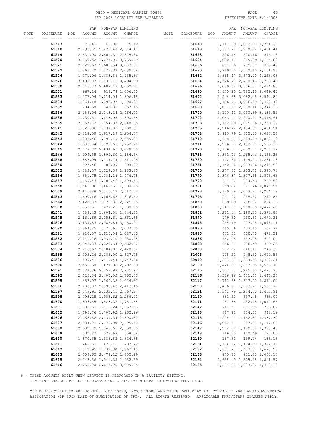# OHIO – MEDICARE CARRIER 00883 PAGE 46 PAGE 46 PAGE 46 PAGE 46 FSY 2003 LOCALITY FEE SCHEDULE

|      |           | PAR           | NON-PAR LIMITING              |               |           |           |     | PAR      | NON-PAR LIMITING               |                  |
|------|-----------|---------------|-------------------------------|---------------|-----------|-----------|-----|----------|--------------------------------|------------------|
| NOTE | PROCEDURE | MOD<br>AMOUNT | AMOUNT                        | CHARGE        | NOTE      | PROCEDURE | MOD | AMOUNT   | AMOUNT                         | CHARGE           |
|      |           |               |                               |               | $- - - -$ |           |     |          |                                | -- -----         |
|      |           |               |                               |               |           |           |     |          |                                |                  |
|      | 61517     | 72.42         | 68.80                         | 79.12         |           | 61618     |     |          | 1, 117.89 1, 062.00 1, 221.30  |                  |
|      | 61518     |               | 2,393.05 2,273.40 2,614.41    |               |           | 61619     |     |          | 1,337.71 1,270.82 1,461.44     |                  |
|      | 61519     |               | 2,631.90 2,500.31 2,875.36    |               |           | 61623     |     | 526.48   | 500.16                         | 575.18           |
|      | 61520     |               | 3,450.52 3,277.99 3,769.69    |               |           | 61624     |     |          | 1,020.41 969.39 1,114.80       |                  |
|      | 61521     |               | 2,822.67 2,681.54 3,083.77    |               |           | 61626     |     | 831.55   |                                | 789.97 908.47    |
|      | 61522     |               | 1,866.70 1,773.37 2,039.38    |               |           | 61680     |     |          | 1,969.10 1,870.65 2,151.25     |                  |
|      | 61524     |               | 1,771.96 1,683.36 1,935.86    |               |           | 61682     |     |          | 3,865.47 3,672.20 4,223.03     |                  |
|      |           |               |                               |               |           |           |     |          |                                |                  |
|      | 61526     |               | 3, 199.07 3, 039.12 3, 494.99 |               |           | 61684     |     |          | 2,526.77 2,400.43 2,760.49     |                  |
|      | 61530     |               | 2,746.77 2,609.43 3,000.84    |               |           | 61686     |     |          | 4,059.34 3,856.37 4,434.83     |                  |
|      | 61531     |               | 967.14 918.78 1,056.60        |               |           | 61690     |     |          | 1,875.95 1,782.15 2,049.47     |                  |
|      | 61533     |               | 1, 277.94 1, 214.04 1, 396.15 |               |           | 61692     |     |          | 3, 244.68 3, 082.45 3, 544.82  |                  |
|      | 61534     |               | 1, 364.18 1, 295.97 1, 490.37 |               |           | 61697     |     |          | 3, 196. 73 3, 036.89 3, 492.42 |                  |
|      | 61535     | 784.58        | 745.35 857.15                 |               |           | 61698     |     |          | 3,061.20 2,908.14 3,344.36     |                  |
|      | 61536     |               | 2, 256.04 2, 143.24 2, 464.73 |               |           | 61700     |     |          | 3, 190.41 3, 030.89 3, 485.52  |                  |
|      | 61538     |               | 1,730.51 1,643.98 1,890.58    |               |           | 61702     |     |          | 3,063.17 2,910.01 3,346.51     |                  |
|      |           |               |                               |               |           |           |     |          |                                |                  |
|      | 61539     |               | 2,057.72 1,954.83 2,248.05    |               |           | 61703     |     |          | 1, 152.69 1, 095.06 1, 259.32  |                  |
|      | 61541     |               | 1,829.36 1,737.89 1,998.57    |               |           | 61705     |     |          | 2, 246.72 2, 134.38 2, 454.54  |                  |
|      | 61542     |               | 2,018.09 1,917.19 2,204.77    |               |           | 61708     |     |          | 1,910.79 1,815.25 2,087.54     |                  |
|      | 61543     |               | 1,885.46 1,791.19 2,059.87    |               |           | 61710     |     |          | 1,668.09 1,584.69 1,822.39     |                  |
|      | 61544     |               | 1,603.84 1,523.65 1,752.20    |               |           | 61711     |     |          | 2,296.93 2,182.08 2,509.39     |                  |
|      | 61545     |               | 2,773.32 2,634.65 3,029.85    |               |           | 61720     |     |          | 1,106.01 1,050.71 1,208.32     |                  |
|      | 61546     |               | 1,999.58 1,899.60 2,184.54    |               |           | 61735     |     |          | 1,332.06 1,265.46 1,455.28     |                  |
|      |           |               |                               |               |           |           |     |          |                                |                  |
|      | 61548     |               | 1, 383.94 1, 314.74 1, 511.95 |               |           | 61750     |     |          | 1, 172.66 1, 114.03 1, 281.13  |                  |
|      | 61550     | 827.46        |                               | 786.09 904.00 |           | 61751     |     |          | 1,140.06 1,083.06 1,245.52     |                  |
|      | 61552     |               | 1,083.57 1,029.39 1,183.80    |               |           | 61760     |     |          | 1,277.60 1,213.72 1,395.78     |                  |
|      | 61556     |               | 1, 351.75 1, 284.16 1, 476.78 |               |           | 61770     |     |          | 1,376.37 1,307.55 1,503.68     |                  |
|      | 61557     |               | 1,459.43 1,386.46 1,594.43    |               |           | 61790     |     | 667.82   |                                | 634.43 729.59    |
|      | 61558     |               | 1,546.96 1,469.61 1,690.05    |               |           | 61791     |     | 959.22   |                                | 911.26 1,047.95  |
|      | 61559     |               | 2, 116.28 2, 010.47 2, 312.04 |               |           | 61793     |     |          | 1, 129.69 1, 073.21 1, 234.19  |                  |
|      | 61563     |               | 1,690.16 1,605.65 1,846.50    |               |           | 61795     |     | 247.92   | 235.52                         | 270.85           |
|      | 61564     |               | 2, 128.83 2, 022.39 2, 325.75 |               |           | 61850     |     | 809.39   | 768.92                         | 884.26           |
|      | 61570     |               | 1,555.01 1,477.26 1,698.85    |               |           | 61860     |     |          | 1,347.99 1,280.59 1,472.68     |                  |
|      |           |               |                               |               |           |           |     |          |                                |                  |
|      | 61571     |               | 1,688.43 1,604.01 1,844.61    |               |           | 61862     |     |          | 1, 262.14 1, 199.03 1, 378.88  |                  |
|      | 61575     |               | 2, 161.69 2, 053.61 2, 361.65 |               |           | 61870     |     | 979.60   |                                | 930.62 1,070.21  |
|      | 61576     |               | 3, 139.83 2, 982.84 3, 430.27 |               |           | 61875     |     | 954.79   |                                | 907.05 1,043.11  |
|      | 61580     |               | 1,864.85 1,771.61 2,037.35    |               |           | 61880     |     | 460.16   | 437.15                         | 502.72           |
|      | 61581     |               | 1,910.57 1,815.04 2,087.30    |               |           | 61885     |     | 432.32   | 410.70                         | 472.31           |
|      | 61582     |               | 2,041.26 1,939.20 2,230.08    |               |           | 61886     |     | 562.05   | 533.95                         | 614.04           |
|      | 61583     |               | 2, 345.83 2, 228.54 2, 562.82 |               |           | 61888     |     | 356.31   | 338.49                         | 389.26           |
|      | 61584     |               | 2, 215.67 2, 104.89 2, 420.62 |               |           | 62000     |     | 682.22   | 648.11                         | 745.33           |
|      | 61585     |               | 2,405.26 2,285.00 2,627.75    |               |           | 62005     |     | 998.21   |                                | 948.30 1,090.55  |
|      | 61586     |               | 1,599.41 1,519.44 1,747.36    |               |           | 62010     |     |          | 1,288.98 1,224.53 1,408.21     |                  |
|      | 61590     |               | 2,555.68 2,427.90 2,792.09    |               |           | 62100     |     |          | 1,424.89 1,353.65 1,556.70     |                  |
|      |           |               |                               |               |           |           |     |          |                                |                  |
|      | 61591     |               | 2,687.36 2,552.99 2,935.94    |               |           | 62115     |     |          | 1,352.63 1,285.00 1,477.75     |                  |
|      | 61592     |               | 2,526.34 2,400.02 2,760.02    |               |           | 62116     |     |          | 1,506.96 1,431.61 1,646.35     |                  |
|      | 61595     |               | 1,852.97 1,760.32 2,024.37    |               |           | 62117     |     |          | 1,713.58 1,627.90 1,872.09     |                  |
|      | 61596     |               | 2,208.87 2,098.43 2,413.19    |               |           | 62120     |     |          | 1,456.07 1,383.27 1,590.76     |                  |
|      | 61597     |               | 2,349.91 2,232.41 2,567.27    |               |           | 62121     |     |          | 1, 341.79 1, 274.70 1, 465.91  |                  |
|      | 61598     |               | 2,093.28 1,988.62 2,286.91    |               |           | 62140     |     | 881.53   | 837.45                         | 963.07           |
|      | 61600     |               | 1,603.55 1,523.37 1,751.88    |               |           | 62141     |     | 981.84   |                                | 932.75 1,072.66  |
|      | 61601     |               | 1,801.31 1,711.24 1,967.93    |               |           | 62142     |     | 717.50   | 681.63                         | 783.87           |
|      | 61605     |               | 1,796.76 1,706.92 1,962.96    |               |           | 62143     |     | 867.91   | 824.51                         | 948.19           |
|      | 61606     |               |                               |               |           |           |     |          |                                |                  |
|      |           |               | 2,462.52 2,339.39 2,690.30    |               |           | 62145     |     |          | 1, 224.07 1, 162.87 1, 337.30  |                  |
|      | 61607     |               | 2, 284.21 2, 170.00 2, 495.50 |               |           | 62146     |     | 1,050.51 |                                | 997.98 1, 147.68 |
|      | 61608     |               | 2,682.79 2,548.65 2,930.95    |               |           | 62147     |     |          | 1, 252.61 1, 189.98 1, 368.48  |                  |
|      | 61609     | 602.82        | 572.68                        | 658.58        |           | 62148     |     | 116.30   | 110.49                         | 127.06           |
|      | 61610     |               | 1,670.35 1,586.83 1,824.85    |               |           | 62160     |     | 167.62   | 159.24                         | 183.13           |
|      | 61611     | 442.31        |                               | 420.19 483.22 |           | 62161     |     |          | 1, 194.32 1, 134.60 1, 304.79  |                  |
|      | 61612     |               | 1, 612.95 1, 532.30 1, 762.15 |               |           | 62162     |     |          | 1,533.70 1,457.02 1,675.57     |                  |
|      | 61613     |               | 2,609.60 2,479.12 2,850.99    |               |           | 62163     |     | 970.35   |                                | 921.83 1,060.10  |
|      | 61615     |               | 2,043.56 1,941.38 2,232.59    |               |           | 62164     |     |          | 1,658.19 1,575.28 1,811.57     |                  |
|      | 61616     |               | 2,755.00 2,617.25 3,009.84    |               |           | 62165     |     |          | 1,298.23 1,233.32 1,418.32     |                  |
|      |           |               |                               |               |           |           |     |          |                                |                  |

# - THESE AMOUNTS APPLY WHEN SERVICE IS PERFORMED IN A FACILITY SETTING.

LIMITING CHARGE APPLIES TO UNASSIGNED CLAIMS BY NON-PARTICIPATING PROVIDERS.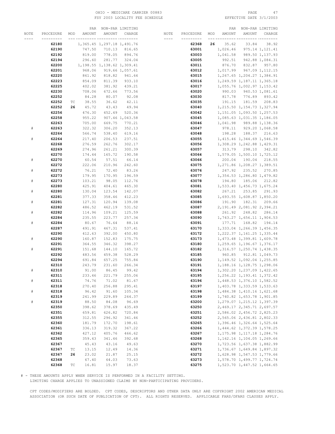# OHIO – MEDICARE CARRIER 00883 PAGE 47<br>
FSY 2003 LOCALITY FEE SCHEDULE FOR THE SERIE PATE 3/1/2003 FSY 2003 LOCALITY FEE SCHEDULE

|      |           |                             | PAR    | NON-PAR LIMITING              |                 |           |           |     | PAR    |                               | NON-PAR LIMITING |
|------|-----------|-----------------------------|--------|-------------------------------|-----------------|-----------|-----------|-----|--------|-------------------------------|------------------|
| NOTE | PROCEDURE | MOD                         | AMOUNT | AMOUNT                        | CHARGE          | NOTE      | PROCEDURE | MOD | AMOUNT | AMOUNT                        | CHARGE           |
|      |           |                             |        |                               | --- ---------   | $- - - -$ |           |     |        |                               | -- -----         |
|      | 62180     |                             |        | 1,365.45 1,297.18 1,491.76    |                 |           | 62368     | 26  | 35.62  | 33.84                         | 38.92            |
|      | 62190     |                             | 747.50 | 710.13                        | 816.65          |           | 63001     |     |        | 1,026.46 975.14 1,121.41      |                  |
|      | 62192     |                             | 819.00 | 778.05                        | 894.76          |           | 63003     |     |        |                               |                  |
|      |           |                             |        |                               |                 |           |           |     |        | 1,041.58 989.50 1,137.93      |                  |
|      | 62194     |                             | 296.60 | 281.77                        | 324.04          |           | 63005     |     | 992.51 |                               | 942.88 1,084.31  |
|      | 62200     |                             |        | 1, 198.55 1, 138.62 1, 309.41 |                 |           | 63011     |     |        | 876.70 832.87 957.80          |                  |
|      | 62201     |                             | 968.06 |                               | 919.66 1,057.61 |           | 63012     |     |        | 1,017.99 967.09 1,112.15      |                  |
|      | 62220     |                             | 861.92 | 818.82                        | 941.64          |           | 63015     |     |        | 1, 267.65 1, 204.27 1, 384.91 |                  |
|      | 62223     |                             | 854.09 | 811.39                        | 933.10          |           | 63016     |     |        | 1, 249.59 1, 187.11 1, 365.18 |                  |
|      | 62225     |                             | 402.02 | 381.92                        | 439.21          |           | 63017     |     |        | 1,055.76 1,002.97 1,153.42    |                  |
|      | 62230     |                             | 708.06 | 672.66                        | 773.56          |           | 63020     |     |        | 990.03 940.53 1,081.61        |                  |
|      | 62252     |                             | 84.28  | 80.07                         | 92.08           |           | 63030     |     |        | 817.78 776.89 893.42          |                  |
|      | 62252     | ТC                          | 38.55  | 36.62                         | 42.11           |           | 63035     |     | 191.15 | 181.59                        | 208.83           |
|      | 62252     | 26                          | 45.72  | 43.43                         | 49.94           |           | 63040     |     |        | 1, 215.50 1, 154.73 1, 327.94 |                  |
|      | 62256     |                             | 476.30 | 452.49                        | 520.36          |           | 63042     |     |        | 1, 151.05 1, 093.50 1, 257.53 |                  |
|      | 62258     |                             | 955.22 |                               | 907.46 1,043.58 |           | 63045     |     |        | 1,085.63 1,031.35 1,186.05    |                  |
|      |           |                             |        |                               |                 |           |           |     |        |                               |                  |
|      | 62263     |                             | 705.00 | 669.75                        | 770.21          |           | 63046     |     |        | 1,041.98 989.88 1,138.36      |                  |
| $\#$ | 62263     |                             | 322.32 | 306.20                        | 352.13          |           | 63047     |     |        | 978.11 929.20 1,068.58        |                  |
|      | 62264     |                             | 566.74 | 538.40                        | 619.16          |           | 63048     |     | 198.28 | 188.37 216.63                 |                  |
| $\#$ | 62264     |                             | 217.40 | 206.53                        | 237.51          |           | 63055     |     |        | 1, 415.46 1, 344.69 1, 546.39 |                  |
|      | 62268     |                             | 276.59 | 262.76                        | 302.17          |           | 63056     |     |        | 1,308.29 1,242.88 1,429.31    |                  |
|      | 62269     |                             | 274.96 | 261.21                        | 300.39          |           | 63057     |     |        | 313.79 298.10 342.82          |                  |
|      | 62270     |                             | 174.44 | 165.72                        | 190.58          |           | 63064     |     |        | 1,579.05 1,500.10 1,725.12    |                  |
| $\#$ | 62270     |                             | 60.54  | 57.51                         | 66.14           |           | 63066     |     | 200.04 | 190.04                        | 218.55           |
|      | 62272     |                             | 222.06 | 210.96                        | 242.60          |           | 63075     |     |        | 1,271.86 1,208.27 1,389.51    |                  |
| $\#$ | 62272     |                             | 76.21  | 72.40                         | 83.26           |           | 63076     |     | 247.92 | 235.52                        | 270.85           |
|      | 62273     |                             | 179.95 | 170.95                        | 196.59          |           | 63077     |     |        | 1,354.53 1,286.80 1,479.82    |                  |
| $\#$ | 62273     |                             | 103.21 | 98.05                         | 112.76          |           | 63078     |     | 194.80 | 185.06                        | 212.82           |
|      | 62280     |                             | 425.91 | 404.61                        | 465.30          |           | 63081     |     |        | 1,533.40 1,456.73 1,675.24    |                  |
|      |           |                             |        |                               |                 |           |           |     |        |                               |                  |
| $\#$ | 62280     |                             | 130.04 | 123.54                        | 142.07          |           | 63082     |     | 267.21 | 253.85                        | 291.93           |
|      | 62281     |                             | 377.33 | 358.46                        | 412.23          |           | 63085     |     |        | 1,693.55 1,608.87 1,850.20    |                  |
| $\#$ | 62281     |                             | 127.31 | 120.94                        | 139.08          |           | 63086     |     |        | 191.90  182.31  209.66        |                  |
|      | 62282     |                             | 486.52 | 462.19                        | 531.52          |           | 63087     |     |        | 2, 191.49 2, 081.92 2, 394.21 |                  |
| $\#$ | 62282     |                             | 114.96 | 109.21                        | 125.59          |           | 63088     |     |        | 261.92 248.82 286.14          |                  |
|      | 62284     |                             | 235.55 | 223.77                        | 257.34          |           | 63090     |     |        | 1,743.27 1,656.11 1,904.53    |                  |
| $\#$ | 62284     |                             | 80.67  | 76.64                         | 88.14           |           | 63091     |     |        | 177.71  168.82  194.14        |                  |
|      | 62287     |                             | 491.91 | 467.31                        | 537.41          |           | 63170     |     |        | 1, 333.04 1, 266.39 1, 456.35 |                  |
|      | 62290     |                             | 412.63 | 392.00                        | 450.80          |           | 63172     |     |        | 1, 222.37 1, 161.25 1, 335.44 |                  |
| $\#$ | 62290     |                             | 160.87 | 152.83                        | 175.75          |           | 63173     |     |        | 1, 473.48 1, 399.81 1, 609.78 |                  |
|      | 62291     |                             | 364.55 | 346.32                        | 398.27          |           | 63180     |     |        | 1, 259.65 1, 196.67 1, 376.17 |                  |
| $\#$ | 62291     |                             | 151.68 | 144.10                        | 165.72          |           | 63182     |     |        | 1, 316.57 1, 250.74 1, 438.35 |                  |
|      | 62292     |                             | 483.56 | 459.38                        | 528.29          |           | 63185     |     |        | 960.85 912.81 1,049.73        |                  |
|      | 62294     |                             | 691.84 | 657.25                        | 755.84          |           | 63190     |     |        | 1, 149.52 1, 092.04 1, 255.85 |                  |
|      | 62310     |                             | 243.79 | 231.60                        | 266.34          |           | 63191     |     |        | 1, 188.16 1, 128.75 1, 298.06 |                  |
| #    | 62310     |                             | 91.00  | 86.45                         | 99.42           |           | 63194     |     |        | 1,302.20 1,237.09 1,422.65    |                  |
|      | 62311     |                             | 233.46 | 221.79                        | 255.06          |           | 63195     |     |        | 1, 256.22 1, 193.41 1, 372.42 |                  |
| $\#$ | 62311     |                             | 74.76  | 71.02                         |                 |           |           |     |        | 1,448.53 1,376.10 1,582.52    |                  |
|      |           |                             |        |                               | 81.67           |           | 63196     |     |        |                               |                  |
|      | 62318     |                             | 270.40 | 256.88                        | 295.41          |           | 63197     |     |        | 1,403.78 1,333.59 1,533.63    |                  |
| $\#$ | 62318     |                             | 96.42  | 91.60                         | 105.34          |           | 63198     |     |        | 1,484.38 1,410.16 1,621.68    |                  |
|      | 62319     |                             | 241.99 | 229.89                        | 264.37          |           | 63199     |     |        | 1,740.82 1,653.78 1,901.85    |                  |
| $\#$ | 62319     |                             | 88.50  | 84.08                         | 96.69           |           | 63200     |     |        | 1, 279.07 1, 215.12 1, 397.39 |                  |
|      | 62350     |                             | 398.62 | 378.69                        | 435.49          |           | 63250     |     |        | 2,469.17 2,345.71 2,697.57    |                  |
|      | 62351     |                             | 659.81 | 626.82                        | 720.84          |           | 63251     |     |        | 2,586.02 2,456.72 2,825.23    |                  |
|      | 62355     |                             | 312.55 | 296.92                        | 341.46          |           | 63252     |     |        | 2,565.06 2,436.81 2,802.33    |                  |
|      | 62360     |                             | 181.79 | 172.70                        | 198.61          |           | 63265     |     |        | 1,396.46 1,326.64 1,525.64    |                  |
|      | 62361     |                             | 336.13 | 319.32                        | 367.22          |           | 63266     |     |        | 1,444.62 1,372.39 1,578.25    |                  |
|      | 62362     |                             | 427.12 | 405.76                        | 466.62          |           | 63267     |     |        | 1, 175.98 1, 117.18 1, 284.76 |                  |
|      | 62365     |                             | 359.43 | 341.46                        | 392.68          |           | 63268     |     |        | 1, 162.16 1, 104.05 1, 269.66 |                  |
|      | 62367     |                             | 45.43  | 43.16                         | 49.63           |           | 63270     |     |        | 1,723.56 1,637.38 1,882.99    |                  |
|      | 62367     | ТC                          | 13.15  | 12.49                         | 14.36           |           | 63271     |     |        | 1,736.67 1,649.84 1,897.32    |                  |
|      | 62367     | 26                          | 23.02  | 21.87                         | 25.15           |           | 63272     |     |        | 1,628.98 1,547.53 1,779.66    |                  |
|      | 62368     |                             | 67.40  |                               | 73.63           |           | 63273     |     |        |                               |                  |
|      |           |                             |        | 64.03                         |                 |           |           |     |        | 1,578.70 1,499.77 1,724.74    |                  |
|      | 62368     | $\protect\operatorname{TC}$ | 16.81  | 15.97                         | 18.37           |           | 63275     |     |        | 1,523.70 1,447.52 1,664.65    |                  |

# - THESE AMOUNTS APPLY WHEN SERVICE IS PERFORMED IN A FACILITY SETTING.

LIMITING CHARGE APPLIES TO UNASSIGNED CLAIMS BY NON-PARTICIPATING PROVIDERS.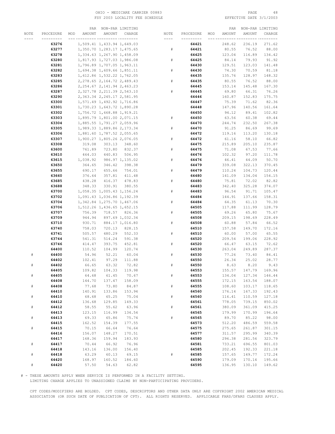# OHIO – MEDICARE CARRIER 00883 PAGE 48<br>
FSY 2003 LOCALITY FEE SCHEDULE FOR THE SERIE SOME PAGE 3/1/2003 FSY 2003 LOCALITY FEE SCHEDULE

|      |           | PAR           |                               | NON-PAR LIMITING |           |           |     | PAR           |        | NON-PAR LIMITING |
|------|-----------|---------------|-------------------------------|------------------|-----------|-----------|-----|---------------|--------|------------------|
| NOTE | PROCEDURE | AMOUNT<br>MOD | AMOUNT                        | CHARGE           | NOTE      | PROCEDURE | MOD | <b>AMOUNT</b> | AMOUNT | CHARGE           |
|      |           |               |                               |                  | ----      |           |     |               |        |                  |
|      | 63276     |               | 1,509.41 1,433.94 1,649.03    |                  |           | 64421     |     | 248.62        | 236.19 | 271.62           |
|      | 63277     |               | 1,350.70 1,283.17 1,475.65    |                  | $\#$      | 64421     |     | 80.55         | 76.52  | 88.00            |
|      |           |               |                               |                  |           | 64425     |     |               | 116.89 |                  |
|      | 63278     |               | 1,334.63 1,267.90 1,458.09    |                  |           |           |     | 123.04        |        | 134.42           |
|      | 63280     |               | 1,817.93 1,727.03 1,986.08    |                  | #         | 64425     |     | 84.14         | 79.93  | 91.92            |
|      | 63281     |               | 1,796.89 1,707.05 1,963.11    |                  |           | 64430     |     | 129.51        | 123.03 | 141.48           |
|      | 63282     |               | 1,694.38 1,609.66 1,851.11    |                  | #         | 64430     |     | 74.30         | 70.59  | 81.18            |
|      | 63283     |               | 1,612.86 1,532.22 1,762.05    |                  |           | 64435     |     | 135.76        | 128.97 | 148.32           |
|      | 63285     |               | 2, 278.65 2, 164.72 2, 489.43 |                  | ${}^{\#}$ | 64435     |     | 80.55         | 76.52  | 88.00            |
|      | 63286     |               | 2, 254.67 2, 141.94 2, 463.23 |                  |           | 64445     |     | 153.14        | 145.48 | 167.30           |
|      | 63287     |               | 2,327.78 2,211.39 2,543.10    |                  | #         | 64445     |     | 69.80         | 66.31  | 76.26            |
|      | 63290     |               | 2, 363.34 2, 245.17 2, 581.95 |                  |           | 64446     |     | 160.87        | 152.83 | 175.75           |
|      | 63300     |               | 1,571.49 1,492.92 1,716.86    |                  |           | 64447     |     | 75.39         | 71.62  | 82.36            |
|      |           |               |                               |                  |           |           |     |               |        |                  |
|      | 63301     |               | 1,730.23 1,643.72 1,890.28    |                  |           | 64448     |     | 147.96        | 140.56 | 161.64           |
|      | 63302     |               | 1,756.72 1,668.88 1,919.21    |                  |           | 64450     |     | 94.12         | 89.41  | 102.82           |
|      | 63303     |               | 1,895.79 1,801.00 2,071.15    |                  | ${}^{\#}$ | 64450     |     | 63.56         | 60.38  | 69.44            |
|      | 63304     |               | 1,885.55 1,791.27 2,059.96    |                  |           | 64470     |     | 244.74        | 232.50 | 267.38           |
|      | 63305     |               | 1,989.33 1,889.86 2,173.34    |                  | ${}^{\#}$ | 64470     |     | 91.25         | 86.69  | 99.69            |
|      | 63306     |               | 1,881.60 1,787.52 2,055.65    |                  |           | 64472     |     | 119.16        | 113.20 | 130.18           |
|      | 63307     |               | 1,900.27 1,805.26 2,076.05    |                  | #         | 64472     |     | 61.16         | 58.10  | 66.82            |
|      | 63308     | 319.08        | 303.13                        | 348.60           |           | 64475     |     | 215.89        | 205.10 | 235.87           |
|      | 63600     | 761.89        | 723.80                        | 832.37           | #         | 64475     |     | 71.08         | 67.53  | 77.66            |
|      |           |               |                               |                  |           |           |     |               |        |                  |
|      | 63610     | 464.03        | 440.83                        | 506.95           |           | 64476     |     | 102.32        | 97.20  | 111.78           |
|      | 63615     | 1,038.92      |                               | 986.97 1,135.02  | #         | 64476     |     | 46.41         | 44.09  | 50.70            |
|      | 63650     | 364.65        | 346.42                        | 398.38           |           | 64479     |     | 339.08        | 322.13 | 370.45           |
|      | 63655     | 690.17        | 655.66                        | 754.01           | #         | 64479     |     | 110.24        | 104.73 | 120.44           |
|      | 63660     | 376.64        | 357.81                        | 411.48           |           | 64480     |     | 141.09        | 134.04 | 154.15           |
|      | 63685     | 438.28        | 416.37                        | 478.83           | #         | 64480     |     | 75.81         | 72.02  | 82.82            |
|      | 63688     | 348.33        | 330.91                        | 380.55           |           | 64483     |     | 342.40        | 325.28 | 374.07           |
|      | 63700     |               | 1,058.35 1,005.43 1,156.24    |                  | #         | 64483     |     | 96.54         | 91.71  | 105.47           |
|      | 63702     |               | 1,091.43 1,036.86 1,192.39    |                  |           | 64484     |     | 144.91        | 137.66 | 158.31           |
|      | 63704     |               |                               |                  | #         | 64484     |     | 64.35         |        | 70.30            |
|      |           |               | 1, 342.84 1, 275.70 1, 467.06 |                  |           |           |     |               | 61.13  |                  |
|      | 63706     |               | 1,512.26 1,436.65 1,652.15    |                  |           | 64505     |     | 117.88        | 111.99 | 128.79           |
|      | 63707     | 756.39        | 718.57                        | 826.36           | #         | 64505     |     | 69.26         | 65.80  | 75.67            |
|      | 63709     | 944.94        |                               | 897.69 1,032.34  |           | 64508     |     | 209.15        | 198.69 | 228.49           |
|      | 63710     | 930.71        |                               | 884.17 1,016.80  | #         | 64508     |     | 60.88         | 57.84  | 66.52            |
|      | 63740     | 758.03        | 720.13                        | 828.15           |           | 64510     |     | 157.58        | 149.70 | 172.16           |
|      | 63741     | 505.57        | 480.29                        | 552.33           | #         | 64510     |     | 60.00         | 57.00  | 65.55            |
|      | 63744     | 541.31        | 514.24                        | 591.38           |           | 64520     |     | 209.54        | 199.06 | 228.92           |
|      | 63746     | 414.47        | 393.75                        | 452.81           | #         | 64520     |     | 66.47         | 63.15  | 72.62            |
|      | 64400     | 110.52        | 104.99                        | 120.74           |           | 64530     |     | 263.04        | 249.89 | 287.37           |
| #    | 64400     | 54.96         | 52.21                         | 60.04            | #         | 64530     |     | 77.26         | 73.40  | 84.41            |
|      | 64402     | 102.41        | 97.29                         | 111.88           |           | 64550     |     | 26.34         | 25.02  | 28.77            |
|      |           |               |                               |                  |           |           |     |               |        |                  |
| $\#$ | 64402     | 66.65         | 63.32                         | 72.82            | ${}^{\#}$ | 64550     |     | 8.63          | 8.20   | 9.43             |
|      | 64405     | 109.82        | 104.33                        | 119.98           |           | 64553     |     | 155.57        | 147.79 | 169.96           |
| $\#$ | 64405     | 64.68         | 61.45                         | 70.67            | $\#$      | 64553     |     | 134.04        | 127.34 | 146.44           |
|      | 64408     | 144.70        | 137.47                        | 158.09           |           | 64555     |     | 172.15        | 163.54 | 188.07           |
| $\#$ | 64408     | 77.68         | 73.80                         | 84.87            | $\#$      | 64555     |     | 108.60        | 103.17 | 118.65           |
|      | 64410     | 140.91        | 133.86                        | 153.94           |           | 64560     |     | 176.14        | 167.33 | 192.43           |
| $\#$ | 64410     | 68.68         | 65.25                         | 75.04            | $\#$      | 64560     |     | 116.41        | 110.59 | 127.18           |
|      | 64412     | 136.68        | 129.85                        | 149.33           |           | 64561     |     | 778.05        | 739.15 | 850.02           |
| $\#$ | 64412     | 58.55         | 55.62                         | 63.96            | $\#$      | 64561     |     | 380.09        | 361.09 | 415.25           |
|      | 64413     | 123.15        | 116.99                        | 134.54           |           | 64565     |     | 179.99        | 170.99 | 196.64           |
|      |           |               |                               |                  | #         |           |     |               |        |                  |
| $\#$ | 64413     | 69.33         | 65.86                         | 75.74            |           | 64565     |     | 89.70         | 85.22  | 98.00            |
|      | 64415     | 162.52        | 154.39                        | 177.55           |           | 64573     |     | 512.20        | 486.59 | 559.58           |
| $\#$ | 64415     | 70.15         | 66.64                         | 76.64            |           | 64575     |     | 275.65        | 261.87 | 301.15           |
|      | 64416     | 156.07        | 148.27                        | 170.51           |           | 64577     |     | 311.57        | 295.99 | 340.39           |
|      | 64417     | 168.36        | 159.94                        | 183.93           |           | 64580     |     | 296.38        | 281.56 | 323.79           |
| $\#$ | 64417     | 70.44         | 66.92                         | 76.96            |           | 64581     |     | 733.21        | 696.55 | 801.03           |
|      | 64418     | 143.16        | 136.00                        | 156.40           |           | 64585     |     | 202.45        | 192.33 | 221.18           |
| $\#$ | 64418     | 63.29         | 60.13                         | 69.15            | $\#$      | 64585     |     | 157.65        | 149.77 | 172.24           |
|      | 64420     | 168.97        | 160.52                        | 184.60           |           | 64590     |     | 179.09        | 170.14 | 195.66           |
| $\#$ | 64420     | 57.50         | 54.63                         | 62.82            |           | 64595     |     | 136.95        | 130.10 | 149.62           |
|      |           |               |                               |                  |           |           |     |               |        |                  |

# - THESE AMOUNTS APPLY WHEN SERVICE IS PERFORMED IN A FACILITY SETTING.

LIMITING CHARGE APPLIES TO UNASSIGNED CLAIMS BY NON-PARTICIPATING PROVIDERS.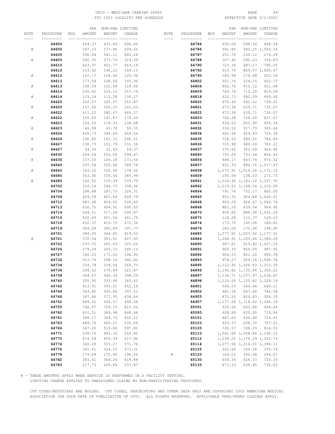# OHIO – MEDICARE CARRIER 00883 PAGE 49<br>
FSY 2003 LOCALITY FEE SCHEDULE FOR THE SERIE SOME PAGE 3/1/2003 FSY 2003 LOCALITY FEE SCHEDULE

|                             |           |     | PAR           | NON-PAR LIMITING |                  |      |           |     | PAR           |                               | NON-PAR LIMITING |
|-----------------------------|-----------|-----|---------------|------------------|------------------|------|-----------|-----|---------------|-------------------------------|------------------|
| NOTE                        | PROCEDURE | MOD | <b>AMOUNT</b> | AMOUNT           | CHARGE           | NOTE | PROCEDURE | MOD | <b>AMOUNT</b> | AMOUNT                        | CHARGE           |
|                             |           |     |               |                  |                  |      |           |     |               |                               |                  |
|                             | 64600     |     | 454.37        | 431.65           | 496.40           |      | 64784     |     | 630.06        | 598.56                        | 688.34           |
| ${}^{\scriptscriptstyle\#}$ | 64600     |     | 187.33        | 177.96           | 204.65           |      | 64786     |     | 991.80        |                               | 942.21 1,083.54  |
|                             | 64605     |     | 590.64        | 561.11           | 645.28           |      | 64787     |     | 251.70        | 239.12                        | 274.99           |
| $\#$                        | 64605     |     | 292.35        | 277.73           | 319.39           |      | 64788     |     | 307.40        | 292.03                        | 335.83           |
|                             | 64610     |     | 423.97        | 402.77           | 463.19           |      | 64790     |     | 723.34        | 687.17                        | 790.25           |
|                             | 64612     |     | 153.92        | 146.22           | 168.15           |      | 64792     |     | 915.76        |                               | 869.97 1,000.47  |
| ${}^{\scriptscriptstyle\#}$ | 64612     |     | 110.17        | 104.66           | 120.36           |      | 64795     |     | 185.98        | 176.68                        | 203.18           |
|                             | 64613     |     | 177.54        | 168.66           | 193.96           |      | 64802     |     | 551.74        | 524.15                        | 602.77           |
| $\#$                        | 64613     |     | 108.09        | 102.69           | 118.09           |      | 64804     |     | 852.76        | 810.12                        | 931.64           |
|                             | 64614     |     | 235.92        | 224.12           | 257.74           |      | 64809     |     | 749.74        | 712.25                        | 819.09           |
| $\#$                        | 64614     |     | 119.24        | 113.28           | 130.27           |      | 64818     |     | 612.73        | 582.09                        | 669.40           |
|                             | 64620     |     | 322.07        | 305.97           | 351.87           |      | 64820     |     | 676.44        | 642.62                        | 739.01           |
| $\#$                        | 64620     |     | 147.40        | 140.03           | 161.03           |      | 64821     |     | 673.38        | 639.71                        | 735.67           |
|                             | 64622     |     | 411.23        | 390.67           | 449.27           |      | 64822     |     | 673.38        | 639.71                        | 735.67           |
| $\#$                        | 64622     |     | 155.65        | 147.87           | 170.05           |      | 64823     |     | 766.38        | 728.06                        | 837.27           |
|                             | 64623     |     | 124.56        | 118.33           | 136.08           |      | 64831     |     | 634.63        | 602.90                        | 693.34           |
| $\#$                        | 64623     |     | 46.08         | 43.78            | 50.35            |      | 64832     |     | 334.52        | 317.79                        | 365.46           |
|                             | 64626     |     | 420.73        | 399.69           | 459.64           |      | 64834     |     | 662.98        | 629.83                        | 724.30           |
|                             |           |     | 190.85        | 181.31           | 208.51           |      |           |     |               |                               | 784.89           |
| $\#$                        | 64626     |     |               |                  |                  |      | 64835     |     | 718.43        | 682.51                        |                  |
|                             | 64627     |     | 138.73        | 131.79           | 151.56           |      | 64836     |     | 715.98        | 680.18                        | 782.21           |
| $\#$                        | 64627     |     | 54.35         | 51.63            | 59.37            |      | 64837     |     | 370.62        | 352.09                        | 404.90           |
|                             | 64630     |     | 269.54        | 256.06           | 294.47           |      | 64840     |     | 793.09        | 753.44                        | 866.46           |
| $\#$                        | 64630     |     | 157.03        | 149.18           | 171.56           |      | 64856     |     | 888.17        | 843.76                        | 970.32           |
|                             | 64640     |     | 337.54        | 320.66           | 368.76           |      | 64857     |     | 931.33        |                               | 884.76 1,017.47  |
| $\#$                        | 64640     |     | 163.22        | 155.06           | 178.32           |      | 64858     |     |               | 1,072.91 1,019.26 1,172.15    |                  |
|                             | 64680     |     | 353.30        | 335.64           | 385.99           |      | 64859     |     | 250.56        | 238.03                        | 273.73           |
| $\#$                        | 64680     |     | 142.52        | 135.39           | 155.70           |      | 64861     |     |               | 1, 224.44 1, 163.22 1, 337.70 |                  |
|                             | 64702     |     | 310.24        | 294.73           | 338.94           |      | 64862     |     |               | 1, 219.22 1, 158.26 1, 332.00 |                  |
|                             | 64704     |     | 298.68        | 283.75           | 326.31           |      | 64864     |     | 791.76        |                               | 752.17 865.00    |
|                             | 64708     |     | 429.09        | 407.64           | 468.79           |      | 64865     |     | 952.50        |                               | 904.88 1,040.61  |
|                             | 64712     |     | 483.68        | 459.50           | 528.43           |      | 64866     |     | 956.28        |                               | 908.47 1,044.74  |
|                             | 64713     |     | 636.75        | 604.91           | 695.65           |      | 64868     |     | 883.20        |                               | 839.04 964.90    |
|                             | 64714     |     | 544.51        | 517.28           | 594.87           |      | 64870     |     | 934.82        |                               | 888.08 1,021.29  |
|                             | 64716     |     | 422.69        | 401.56           | 461.79           |      | 64872     |     | 118.28        | 112.37                        | 129.23           |
|                             | 64718     |     | 432.37        | 410.75           | 472.36           |      | 64874     |     | 173.75        | 165.06                        | 189.82           |
|                             | 64719     |     | 364.09        | 345.89           | 397.77           |      | 64876     |     | 182.06        | 172.96                        | 198.90           |
|                             | 64721     |     | 384.00        | 364.80           | 419.52           |      | 64885     |     |               | 1,077.81 1,023.92 1,177.51    |                  |
| $\#$                        | 64721     |     | 372.54        | 353.91           | 407.00           |      | 64886     |     |               | 1,268.91 1,205.46 1,386.28    |                  |
|                             | 64722     |     | 297.72        | 282.83           | 325.25           |      | 64890     |     | 967.81        |                               | 919.42 1,057.33  |
|                             | 64726     |     | 279.29        | 265.33           | 305.13           |      | 64891     |     | 904.30        |                               | 859.09 987.95    |
|                             | 64727     |     | 180.23        | 171.22           | 196.90           |      | 64892     |     | 906.53        | 861.20                        | 990.38           |
|                             | 64732     |     | 313.79        | 298.10           | 342.82<br>365.75 |      | 64893     |     | 978.27        |                               | 929.36 1,068.76  |
|                             | 64734     |     | 334.78        | 318.04           |                  |      | 64895     |     |               | 1, 112.45 1, 056.83 1, 215.35 |                  |
|                             | 64736     |     | 294.62        | 279.89           | 321.87           |      | 64896     |     |               | 1,195.62 1,135.84 1,306.22    |                  |
|                             | 64738     |     | 364.57        | 346.34           | 398.29           |      | 64897     |     |               | 1, 134.71 1, 077.97 1, 239.67 |                  |
|                             | 64740     |     | 350.95        | 333.40           | 383.41           |      | 64898     |     |               | 1,216.65 1,155.82 1,329.19    |                  |
|                             | 64742     |     | 413.91        | 393.21           | 452.19           |      | 64901     |     | 594.15        | 564.44                        | 649.11           |
|                             | 64744     |     | 363.85        | 345.66           | 397.51           |      | 64902     |     |               | 681.54 647.46                 | 744.58           |
|                             | 64746     |     | 397.84        | 377.95           | 434.64           |      | 64905     |     |               | 873.50 829.83                 | 954.30           |
|                             | 64752     |     | 449.02        | 426.57           | 490.56           |      | 64907     |     |               | 1, 177.28 1, 118.42 1, 286.18 |                  |
|                             | 64755     |     | 746.47        | 709.15           | 815.52           |      | 65091     |     | 635.64        | 603.86<br>625.95              | 694.44           |
|                             | 64760     |     | 410.51        | 389.98           | 448.48           |      | 65093     |     | 658.89        |                               | 719.84           |
|                             | 64761     |     | 368.17        | 349.76           | 402.22           |      | 65101     |     | 667.83        | 634.44                        | 729.61           |
|                             | 64763     |     | 489.76        | 465.27           | 535.06           |      | 65103     |     | 693.37        | 658.70                        | 757.51           |
|                             | 64766     |     | 547.20        | 519.84           | 597.82           |      | 65105     |     |               | 745.57 708.29                 | 814.53           |
|                             | 64771     |     | 508.76        | 483.32           | 555.82           |      | 65110     |     |               | 1,061.89 1,008.80 1,160.12    |                  |
|                             | 64772     |     | 474.09        | 450.39           | 517.95           |      | 65112     |     |               | 1,238.20 1,176.29 1,352.73    |                  |
|                             | 64774     |     | 340.28        | 323.27           | 371.76           |      | 65114     |     |               | 1,277.90 1,214.01 1,396.11    |                  |
|                             | 64776     |     | 341.61        | 324.53           | 373.21           |      | 65125     |     | 325.64        | 309.36                        | 355.76           |
|                             | 64778     |     | 179.89        | 170.90           | 196.54           | #    | 65125     |     | 169.03        | 160.58                        | 184.67           |
|                             | 64782     |     | 383.41        | 364.24           | 418.88           |      | 65130     |     | 659.34        | 626.37                        | 720.33           |
|                             | 64783     |     | 217.73        | 206.84           | 237.87           |      | 65135     |     | 673.53        | 639.85                        | 735.83           |

# - THESE AMOUNTS APPLY WHEN SERVICE IS PERFORMED IN A FACILITY SETTING.

LIMITING CHARGE APPLIES TO UNASSIGNED CLAIMS BY NON-PARTICIPATING PROVIDERS.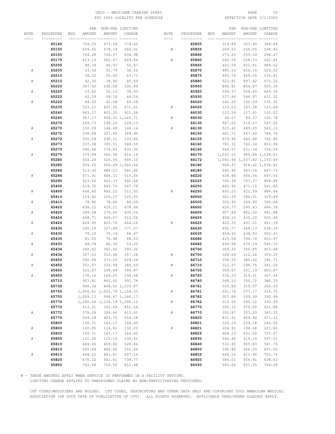# OHIO - MEDICARE CARRIER 00883 PAGE 50 FSY 2003 LOCALITY FEE SCHEDULE

|           |           |     | PAR      |                               | NON-PAR LIMITING |           |           |     | PAR      |                            | NON-PAR LIMITING |
|-----------|-----------|-----|----------|-------------------------------|------------------|-----------|-----------|-----|----------|----------------------------|------------------|
| NOTE      | PROCEDURE | MOD | AMOUNT   | AMOUNT                        | CHARGE           | NOTE      | PROCEDURE | MOD | AMOUNT   | AMOUNT                     | CHARGE           |
|           |           |     |          |                               | -- ---------     |           |           |     |          |                            |                  |
|           | 65140     |     | 709.03   | 673.58                        | 774.62           |           | 65855     |     | 319.89   | 303.90                     | 349.49           |
|           | 65150     |     | 609.62   | 579.14                        | 666.01           | #         | 65855     |     | 269.53   | 256.05                     | 294.46           |
|           | 65155     |     | 764.28   | 726.07                        | 834.98           |           | 65860     |     | 273.20   | 259.54                     | 298.47           |
|           | 65175     |     | 613.13   | 582.47                        | 669.84           | #         | 65860     |     | 240.56   | 228.53                     | 262.81           |
|           |           |     |          |                               |                  |           |           |     |          |                            |                  |
|           | 65205     |     | 48.39    | 45.97                         | 52.87            |           | 65865     |     | 443.59   | 421.41                     | 484.62           |
| $\#$      | 65205     |     | 33.46    | 31.79                         | 36.56            |           | 65870     |     | 480.10   | 456.10                     | 524.52           |
|           | 65210     |     | 58.32    | 55.40                         | 63.71            |           | 65875     |     | 493.74   | 469.05                     | 539.41           |
| $\#$      | 65210     |     | 42.00    | 39.90                         | 45.89            |           | 65880     |     | 523.81   | 497.62                     | 572.26           |
|           | 65220     |     | 307.45   | 292.08                        | 335.89           |           | 65900     |     | 846.81   | 804.47                     | 925.14           |
| ${}^{\#}$ | 65220     |     | 33.82    | 32.13                         | 36.95            |           | 65920     |     | 594.37   | 564.65                     | 649.35           |
|           | 65222     |     | 62.29    | 59.18                         | 68.06            |           | 65930     |     | 577.86   | 548.97                     | 631.32           |
| $\#$      | 65222     |     | 44.93    | 42.68                         | 49.08            |           | 66020     |     | 142.20   | 135.09                     | 155.35           |
|           | 65235     |     | 523.21   | 497.05                        | 571.61           | ${}^{\#}$ | 66020     |     | 113.03   | 107.38                     | 123.49           |
|           | 65260     |     | 843.37   | 801.20                        | 921.38           |           | 66030     |     | 123.59   | 117.41                     | 135.02           |
|           | 65265     |     | 957.17   |                               | 909.31 1,045.71  | $\#$      | 66030     |     | 94.07    | 89.37                      | 102.78           |
|           | 65270     |     | 209.73   | 199.24                        | 229.13           |           | 66130     |     | 547.02   | 519.67                     | 597.62           |
| $\#$      | 65270     |     | 152.09   | 144.49                        | 166.16           | $\#$      | 66130     |     | 515.42   | 489.65                     | 563.10           |
|           | 65272     |     | 338.58   | 321.65                        | 369.90           |           | 66150     |     | 681.71   | 647.62                     | 744.76           |
| $\#$      | 65272     |     | 305.59   | 290.31                        | 333.86           |           | 66155     |     | 679.96   | 645.96                     | 742.85           |
|           | 65273     |     | 337.38   | 320.51                        | 368.59           |           | 66160     |     | 781.31   | 742.24                     | 853.58           |
|           |           |     |          |                               |                  |           |           |     |          |                            |                  |
|           | 65275     |     | 396.66   | 376.83                        | 433.35           |           | 66165     |     | 664.57   | 631.34                     | 726.04           |
| $\#$      | 65275     |     | 379.99   | 360.99                        | 415.14           |           | 66170     |     | 1,032.51 |                            | 980.88 1,128.01  |
|           | 65280     |     | 554.26   | 526.55                        | 605.53           |           | 66172     |     |          | 1,092.44 1,037.82 1,193.49 |                  |
|           | 65285     |     | 954.20   |                               | 906.49 1,042.46  |           | 66180     |     | 966.97   |                            | 918.62 1,056.41  |
|           | 65286     |     | 513.93   | 488.23                        | 561.46           |           | 66185     |     | 592.90   | 563.26                     | 647.75           |
| $\#$      | 65286     |     | 471.91   | 448.31                        | 515.56           |           | 66220     |     | 638.48   | 606.56                     | 697.54           |
|           | 65290     |     | 423.50   | 402.33                        | 462.68           |           | 66225     |     | 740.39   | 703.37                     | 808.88           |
|           | 65400     |     | 519.70   | 493.72                        | 567.78           |           | 66250     |     | 495.95   | 471.15                     | 541.82           |
| $\#$      | 65400     |     | 468.65   | 445.22                        | 512.00           | #         | 66250     |     | 445.25   | 422.99                     | 486.44           |
|           | 65410     |     | 114.92   | 109.17                        | 125.55           |           | 66500     |     | 301.59   | 286.51                     | 329.49           |
| $\#$      | 65410     |     | 78.80    | 74.86                         | 86.09            |           | 66505     |     | 320.95   | 304.90                     | 350.64           |
|           | 65420     |     | 438.12   | 416.21                        | 478.64           |           | 66600     |     | 626.77   | 595.43                     | 684.74           |
| $\#$      | 65420     |     | 399.58   | 379.60                        | 436.54           |           | 66605     |     | 907.89   | 862.50                     | 991.88           |
|           | 65426     |     | 468.71   | 445.27                        | 512.06           |           | 66625     |     | 458.10   | 435.20                     | 500.48           |
| $\#$      | 65426     |     | 424.95   | 403.70                        | 464.26           | #         | 66625     |     | 422.33   | 401.21                     | 461.39           |
|           | 65430     |     | 345.15   | 327.89                        | 377.07           |           | 66630     |     | 492.77   | 468.13                     | 538.35           |
| $\#$      | 65430     |     | 79.15    | 75.19                         | 86.47            |           | 66635     |     | 459.93   | 436.93                     | 502.47           |
|           | 65435     |     | 81.03    | 76.98                         | 88.53            |           | 66680     |     | 415.54   | 394.76                     | 453.97           |
| $\#$      | 65435     |     | 48.74    | 46.30                         | 53.25            |           | 66682     |     | 494.94   | 470.19                     | 540.72           |
|           | 65436     |     | 360.02   | 342.02                        | 393.32           |           | 66700     |     | 369.32   | 350.85                     | 403.48           |
| $\#$      | 65436     |     | 327.03   | 310.68                        | 357.28           | #         | 66700     |     | 328.69   | 312.26                     | 359.10           |
|           | 65450     |     | 392.89   | 373.25                        | 429.24           |           | 66710     |     | 358.55   | 340.62                     | 391.71           |
| $\#$      | 65450     |     | 351.57   | 333.99                        | 384.09           | #         | 66710     |     | 312.37   | 296.75                     | 341.26           |
|           | 65600     |     | 315.67   | 299.89                        | 344.87           |           | 66720     |     | 369.67   | 351.19                     | 403.87           |
| $\#$      | 65600     |     | 178.16   | 169.25                        | 194.64           | $\#$      | 66720     |     | 336.33   | 319.51                     | 367.44           |
|           | 65710     |     | 907.81   | 862.42                        | 991.78           |           | 66740     |     | 348.13   | 330.72                     | 380.33           |
|           | 65730     |     | 946.34   |                               | 899.02 1,033.87  |           | 66761     |     | 335.86   | 319.07                     | 366.93           |
|           | 65750     |     |          | 1,056.61 1,003.78 1,154.35    |                  | $\#$      | 66761     |     | 291.76   | 277.17                     | 318.75           |
|           | 65755     |     | 1,049.13 |                               | 996.67 1,146.17  |           | 66762     |     | 357.88   | 339.99                     | 390.99           |
|           |           |     |          |                               |                  |           |           |     |          |                            |                  |
|           | 65770     |     |          | 1, 185.46 1, 126.19 1, 295.12 |                  | $\#$      | 66762     |     | 310.65   | 295.12                     | 339.39           |
|           | 65772     |     | 413.31   | 392.64                        | 451.54           |           | 66770     |     | 395.32   | 375.55                     | 431.88           |
| $\#$      | 65772     |     | 378.59   | 359.66                        | 413.61           | $\#$      | 66770     |     | 350.87   | 333.33                     | 383.33           |
|           | 65775     |     | 509.18   | 483.72                        | 556.28           |           | 66820     |     | 431.41   | 409.84                     | 471.32           |
|           | 65800     |     | 150.71   | 143.17                        | 164.65           |           | 66821     |     | 220.19   | 209.18                     | 240.56           |
| $\#$      | 65800     |     | 120.85   | 114.81                        | 132.03           | $\#$      | 66821     |     | 204.91   | 194.66                     | 223.86           |
|           | 65805     |     | 150.71   | 143.17                        | 164.65           |           | 66825     |     | 664.23   | 631.02                     | 725.67           |
| $\#$      | 65805     |     | 121.20   | 115.14                        | 132.41           |           | 66830     |     | 546.46   | 519.14                     | 597.01           |
|           | 65810     |     | 484.06   | 459.86                        | 528.84           |           | 66840     |     | 532.45   | 505.83                     | 581.70           |
|           | 65815     |     | 505.89   | 480.60                        | 552.69           |           | 66850     |     | 595.88   | 566.09                     | 651.00           |
| $\#$      | 65815     |     | 464.22   | 441.01                        | 507.16           |           | 66852     |     | 644.16   | 611.95                     | 703.74           |
|           | 65820     |     | 676.22   | 642.41                        | 738.77           |           | 66920     |     | 584.01   | 554.81                     | 638.03           |
|           | 65850     |     | 743.68   | 706.50                        | 812.48           |           | 66930     |     | 685.84   | 651.55                     | 749.28           |

# - THESE AMOUNTS APPLY WHEN SERVICE IS PERFORMED IN A FACILITY SETTING.

LIMITING CHARGE APPLIES TO UNASSIGNED CLAIMS BY NON-PARTICIPATING PROVIDERS.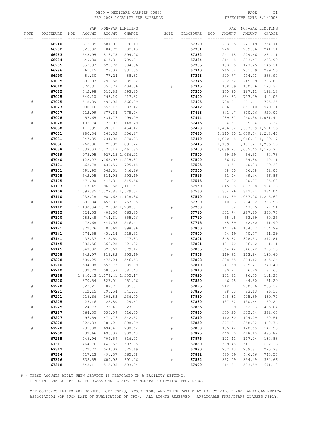### OHIO – MEDICARE CARRIER 00883 PAGE 51<br>
FSY 2003 LOCALITY FEE SCHEDULE FOR THE SERIE SOME PAGE 3/1/2003 FSY 2003 LOCALITY FEE SCHEDULE

|             |           | PAR           |                               | NON-PAR LIMITING |             |           |     | PAR    |                               | NON-PAR LIMITING |
|-------------|-----------|---------------|-------------------------------|------------------|-------------|-----------|-----|--------|-------------------------------|------------------|
| NOTE        | PROCEDURE | AMOUNT<br>MOD | AMOUNT                        | CHARGE           | NOTE        | PROCEDURE | MOD | AMOUNT | AMOUNT                        | CHARGE           |
|             |           |               |                               |                  |             |           |     |        |                               |                  |
|             | 66940     | 618.85        | 587.91                        | 676.10           |             | 67320     |     | 233.15 | 221.49                        | 254.71           |
|             | 66982     | 826.02        | 784.72                        | 902.43           |             | 67331     |     | 220.91 | 209.86                        | 241.34           |
|             | 66983     | 543.95        | 516.75                        | 594.26           |             | 67332     |     | 241.75 | 229.66                        | 264.11           |
|             | 66984     | 649.80        | 617.31                        | 709.91           |             | 67334     |     | 214.18 | 203.47                        | 233.99           |
|             | 66985     | 553.37        | 525.70                        | 604.56           |             | 67335     |     | 133.95 | 127.25                        | 146.34           |
|             | 66986     | 761.15        | 723.09                        | 831.55           |             | 67340     |     | 265.04 | 251.79                        | 289.56           |
|             | 66990     | 81.30         | 77.24                         | 88.83            |             | 67343     |     | 520.77 | 494.73                        | 568.94           |
|             | 67005     | 306.93        | 291.58                        | 335.32           |             | 67345     |     | 262.52 | 249.39                        | 286.80           |
|             | 67010     | 370.31        | 351.79                        | 404.56           | #           | 67345     |     | 158.69 | 150.76                        | 173.37           |
|             | 67015     | 542.98        | 515.83                        | 593.20           |             | 67350     |     | 175.90 | 167.11                        | 192.18           |
|             | 67025     | 840.10        | 798.10                        | 917.82           |             | 67400     |     | 834.83 | 793.09                        | 912.05           |
| $\#$        | 67025     | 518.89        | 492.95                        | 566.89           |             | 67405     |     | 728.01 | 691.61                        | 795.35           |
|             | 67027     | 900.16        | 855.15                        | 983.42           |             | 67412     |     | 896.21 | 851.40                        | 979.11           |
| ${}^{\#}$   | 67027     | 712.99        | 677.34                        | 778.94           |             | 67413     |     | 842.17 | 800.06                        | 920.07           |
|             | 67028     | 457.65        | 434.77                        | 499.99           |             | 67414     |     | 989.87 |                               | 940.38 1,081.44  |
| #           | 67028     | 135.74        | 128.95                        | 148.29           |             | 67415     |     | 94.57  | 89.84                         | 103.32           |
|             | 67030     | 415.95        | 395.15                        | 454.42           |             | 67420     |     |        | 1,456.62 1,383.79 1,591.36    |                  |
|             | 67031     | 280.34        | 266.32                        | 306.27           |             | 67430     |     |        | 1, 115.30 1, 059.54 1, 218.47 |                  |
| #           | 67031     | 247.35        | 234.98                        | 270.23           |             | 67440     |     |        | 1,070.18 1,016.67 1,169.17    |                  |
|             | 67036     | 760.86        | 722.82                        | 831.24           |             | 67445     |     |        | 1, 159.17 1, 101.21 1, 266.39 |                  |
|             | 67038     |               | 1,338.03 1,271.13 1,461.80    |                  |             | 67450     |     |        | 1,089.95 1,035.45 1,190.77    |                  |
|             | 67039     | 975.95        |                               | 927.15 1,066.22  |             | 67500     |     | 59.29  | 56.33                         | 64.78            |
|             | 67040     |               | 1, 122.07 1, 065.97 1, 225.87 |                  | #           | 67500     |     | 36.72  | 34.88                         | 40.11            |
|             | 67101     | 663.78        | 630.59                        | 725.18           |             | 67505     |     | 63.51  | 60.33                         | 69.38            |
| #           | 67101     | 591.90        | 562.31                        | 646.66           | #           | 67505     |     | 38.50  | 36.58                         | 42.07            |
|             | 67105     | 542.05        | 514.95                        | 592.19           |             | 67515     |     | 52.04  | 49.44                         | 56.86            |
| $\#$        | 67105     | 471.90        | 448.31                        | 515.56           | #           | 67515     |     | 32.60  | 30.97                         | 35.62            |
|             | 67107     | 1,017.45      |                               | 966.58 1,111.57  |             | 67550     |     | 845.98 | 803.68                        | 924.23           |
|             | 67108     |               | 1,399.85 1,329.86 1,529.34    |                  |             | 67560     |     | 854.96 | 812.21                        | 934.04           |
|             | 67110     | 1,033.28      |                               | 981.62 1,128.86  |             | 67570     |     |        | 1, 112.69 1, 057.06 1, 215.62 |                  |
| #           | 67110     | 689.84        | 655.35                        | 753.65           |             | 67700     |     | 310.23 | 294.72                        | 338.93           |
|             | 67112     |               | 1,180.84 1,121.80 1,290.07    |                  | $\#$        | 67700     |     | 71.32  | 67.75                         | 77.91            |
|             | 67115     | 424.53        | 403.30                        | 463.80           |             | 67710     |     | 302.74 | 287.60                        | 330.74           |
|             | 67120     | 783.48        | 744.31                        | 855.96           | $\#$        | 67710     |     | 55.15  | 52.39                         | 60.25            |
| $_{\rm \#}$ | 67120     | 472.68        | 449.05                        | 516.41           |             | 67715     |     | 65.89  | 62.60                         | 71.99            |
|             | 67121     | 822.76        | 781.62                        | 898.86           |             | 67800     |     | 141.86 | 134.77                        | 154.99           |
|             | 67141     | 474.88        | 451.14                        | 518.81           | #           | 67800     |     | 74.49  | 70.77                         | 81.39            |
| #           | 67141     | 437.37        | 415.50                        | 477.83           |             | 67801     |     | 345.82 | 328.53                        | 377.81           |
|             | 67145     | 385.56        | 366.28                        | 421.22           | #           | 67801     |     | 101.70 | 96.62                         | 111.11           |
| #           | 67145     | 347.02        | 329.67                        | 379.12           |             | 67805     |     | 364.44 | 346.22                        | 398.15           |
|             | 67208     | 542.97        | 515.82                        | 593.19           | #           | 67805     |     | 119.62 | 113.64                        | 130.69           |
| #           | 67208     | 500.25        | 475.24                        | 546.53           |             | 67808     |     | 288.55 | 274.12                        | 315.24           |
|             | 67210     | 584.98        | 555.73                        | 639.09           |             | 67810     |     | 247.59 | 235.21                        | 270.49           |
|             | 67210     | 532.20        | 505.59                        | 581.43           | #           | 67810     |     | 80.21  | 76.20                         | 87.63            |
|             | 67218     |               | 1, 240.43 1, 178.41 1, 355.17 |                  |             | 67820     |     | 101.82 | 96.73                         | 111.24           |
|             | 67220     | 870.54        | 827.01                        | 951.06           | $_{\rm \#}$ | 67820     |     | 46.95  | 44.60                         | 51.29            |
| $\#$        | 67220     | 829.21        | 787.75                        | 905.91           |             | 67825     |     | 242.91 | 230.76                        | 265.37           |
|             | 67221     | 312.15        | 296.54                        | 341.02           | $_{\rm \#}$ | 67825     |     | 88.03  | 83.63                         | 96.17            |
| $\#$        | 67221     | 216.66        | 205.83                        | 236.70           |             | 67830     |     | 448.31 | 425.89                        | 489.77           |
|             | 67225     | 27.16         | 25.80                         | 29.67            | $\#$        | 67830     |     | 137.52 | 130.64                        | 150.24           |
| $\#$        | 67225     | 24.73         | 23.49                         | 27.01            |             | 67835     |     | 371.29 | 352.73                        | 405.64           |
|             | 67227     | 564.30        | 536.09                        | 616.50           |             | 67840     |     | 350.25 | 332.74                        | 382.65           |
| $\#$        | 67227     | 496.59        | 471.76                        | 542.52           | $_{\rm \#}$ | 67840     |     | 110.30 | 104.79                        | 120.51           |
|             | 67228     | 822.33        | 781.21                        | 898.39           |             | 67850     |     | 377.81 | 358.92                        | 412.76           |
| $\#$        | 67228     | 731.00        | 694.45                        | 798.62           | $\#$        | 67850     |     | 135.42 | 128.65                        | 147.95           |
|             | 67250     | 732.66        | 696.03                        | 800.43           |             | 67875     |     | 440.10 | 418.10                        | 480.82           |
|             | 67255     | 746.94        | 709.59                        | 816.03           | $\#$        | 67875     |     | 123.41 | 117.24                        | 134.83           |
|             | 67311     | 464.76        | 441.52                        | 507.75           |             | 67880     |     | 569.48 | 541.01                        | 622.16           |
|             | 67312     | 572.72        | 544.08                        | 625.69           | $\#$        | 67880     |     | 252.43 | 239.81                        | 275.78           |
|             | 67314     | 517.23        | 491.37                        | 565.08           |             | 67882     |     | 680.59 | 646.56                        | 743.54           |
|             | 67316     | 632.55        | 600.92                        | 691.06           | $\#$        | 67882     |     | 352.09 | 334.49                        | 384.66           |
|             | 67318     | 543.11        | 515.95                        | 593.34           |             | 67900     |     | 614.31 | 583.59                        | 671.13           |

# - THESE AMOUNTS APPLY WHEN SERVICE IS PERFORMED IN A FACILITY SETTING.

LIMITING CHARGE APPLIES TO UNASSIGNED CLAIMS BY NON-PARTICIPATING PROVIDERS.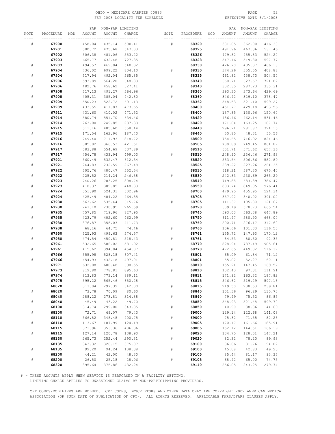# OHIO - MEDICARE CARRIER 00883 PAGE 52 FSY 2003 LOCALITY FEE SCHEDULE

|           |           |     | PAR    |        | NON-PAR LIMITING |           |           |     | PAR    |        | NON-PAR LIMITING |
|-----------|-----------|-----|--------|--------|------------------|-----------|-----------|-----|--------|--------|------------------|
| NOTE      | PROCEDURE | MOD | AMOUNT | AMOUNT | CHARGE           | NOTE      | PROCEDURE | MOD | AMOUNT | AMOUNT | CHARGE           |
|           |           |     |        |        | - ---------      |           |           |     |        |        |                  |
| ${}^{\#}$ | 67900     |     | 458.04 | 435.14 | 500.41           | #         | 68320     |     | 381.05 | 362.00 | 416.30           |
|           | 67901     |     | 500.72 | 475.68 | 547.03           |           | 68325     |     | 491.96 | 467.36 | 537.46           |
|           | 67902     |     | 506.38 | 481.06 | 553.22           |           | 68326     |     | 479.82 | 455.83 | 524.20           |
|           | 67903     |     | 665.77 | 632.48 | 727.35           |           | 68328     |     | 547.16 | 519.80 | 597.77           |
|           |           |     |        | 469.84 | 540.32           |           |           |     |        |        |                  |
| ${}^{\#}$ | 67903     |     | 494.57 |        |                  |           | 68330     |     | 426.70 | 405.37 | 466.18           |
|           | 67904     |     | 736.02 | 699.22 | 804.10           | #         | 68330     |     | 374.26 | 355.55 | 408.88           |
| $\#$      | 67904     |     | 517.94 | 492.04 | 565.85           |           | 68335     |     | 461.82 | 438.73 | 504.54           |
|           | 67906     |     | 593.89 | 564.20 | 648.83           |           | 68340     |     | 660.71 | 627.67 | 721.82           |
| $\#$      | 67906     |     | 482.76 | 458.62 | 527.41           | #         | 68340     |     | 302.35 | 287.23 | 330.31           |
|           | 67908     |     | 517.13 | 491.27 | 564.96           |           | 68360     |     | 393.30 | 373.64 | 429.69           |
| #         | 67908     |     | 405.31 | 385.04 | 442.80           | #         | 68360     |     | 346.42 | 329.10 | 378.47           |
|           | 67909     |     | 550.23 | 522.72 | 601.13           |           | 68362     |     | 548.53 | 521.10 | 599.27           |
| ${}^{\#}$ | 67909     |     | 433.55 | 411.87 | 473.65           |           | 68400     |     | 451.77 | 429.18 | 493.56           |
|           | 67911     |     | 431.60 | 410.02 | 471.52           | #         | 68400     |     | 137.85 | 130.96 | 150.60           |
|           | 67914     |     | 580.74 | 551.70 | 634.46           |           | 68420     |     | 486.46 | 462.14 | 531.46           |
| $\#$      | 67914     |     | 263.00 | 249.85 | 287.33           | #         | 68420     |     | 171.84 | 163.25 | 187.74           |
|           | 67915     |     | 511.16 | 485.60 | 558.44           |           | 68440     |     | 296.71 | 281.87 | 324.15           |
| #         | 67915     |     | 171.54 | 162.96 | 187.40           | #         | 68440     |     | 50.85  | 48.31  | 55.56            |
|           |           |     |        |        |                  |           |           |     |        |        |                  |
|           | 67916     |     | 749.40 | 711.93 | 818.72           |           | 68500     |     | 754.65 | 716.92 | 824.46           |
| $\#$      | 67916     |     | 385.82 | 366.53 | 421.51           |           | 68505     |     | 788.89 | 749.45 | 861.87           |
|           | 67917     |     | 583.88 | 554.69 | 637.89           |           | 68510     |     | 601.71 | 571.62 | 657.36           |
| $\#$      | 67917     |     | 456.78 | 433.94 | 499.03           | #         | 68510     |     | 248.90 | 236.46 | 271.93           |
|           | 67921     |     | 560.49 | 532.47 | 612.34           |           | 68520     |     | 533.54 | 506.86 | 582.89           |
| $\#$      | 67921     |     | 244.83 | 232.59 | 267.48           |           | 68525     |     | 239.22 | 227.26 | 261.35           |
|           | 67922     |     | 505.76 | 480.47 | 552.54           |           | 68530     |     | 618.21 | 587.30 | 675.40           |
| $\#$      | 67922     |     | 225.52 | 214.24 | 246.38           | ${}^{\#}$ | 68530     |     | 242.83 | 230.69 | 265.29           |
|           | 67923     |     | 740.26 | 703.25 | 808.74           |           | 68540     |     | 719.88 | 683.89 | 786.47           |
| #         | 67923     |     | 410.37 | 389.85 | 448.33           |           | 68550     |     | 893.74 | 849.05 | 976.41           |
|           | 67924     |     | 551.90 | 524.31 | 602.96           |           | 68700     |     | 479.95 | 455.95 | 524.34           |
| $\#$      | 67924     |     | 425.49 | 404.22 | 464.85           |           | 68705     |     | 357.92 | 340.02 | 391.02           |
|           | 67930     |     | 563.62 | 535.44 | 615.76           | ${}^{\#}$ | 68705     |     | 111.37 | 105.80 | 121.67           |
| $\#$      | 67930     |     | 243.10 | 230.95 | 265.59           |           | 68720     |     | 609.19 | 578.73 | 665.54           |
|           | 67935     |     | 757.85 | 719.96 | 827.95           |           | 68745     |     | 593.03 | 563.38 | 647.89           |
| $\#$      | 67935     |     | 423.79 | 402.60 | 462.99           |           | 68750     |     | 611.47 | 580.90 | 668.04           |
|           | 67938     |     | 376.87 | 358.03 | 411.73           |           | 68760     |     | 290.71 | 276.17 | 317.60           |
|           |           |     |        |        |                  |           |           |     |        |        |                  |
| ${}^{\#}$ | 67938     |     | 68.16  | 64.75  | 74.46            | #         | 68760     |     | 106.66 | 101.33 | 116.53           |
|           | 67950     |     | 525.93 | 499.63 | 574.57           |           | 68761     |     | 155.72 | 147.93 | 170.12           |
| #         | 67950     |     | 474.54 | 450.81 | 518.43           | #         | 68761     |     | 84.53  | 80.30  | 92.35            |
|           | 67961     |     | 532.65 | 506.02 | 581.92           |           | 68770     |     | 828.94 | 787.49 | 905.61           |
| #         | 67961     |     | 415.62 | 394.84 | 454.07           | #         | 68770     |     | 472.65 | 449.02 | 516.37           |
|           | 67966     |     | 555.98 | 528.18 | 607.41           |           | 68801     |     | 65.09  | 61.84  | 71.12            |
| $\#$      | 67966     |     | 454.93 | 432.18 | 497.01           | #         | 68801     |     | 55.02  | 52.27  | 60.11            |
|           | 67971     |     | 632.08 | 600.48 | 690.55           |           | 68810     |     | 155.21 | 147.45 | 169.57           |
|           | 67973     |     | 819.80 | 778.81 | 895.63           | #         | 68810     |     | 102.43 | 97.31  | 111.91           |
|           | 67974     |     | 813.83 | 773.14 | 889.11           |           | 68811     |     | 171.92 | 163.32 | 187.82           |
|           | 67975     |     | 595.22 | 565.46 | 650.28           |           | 68815     |     | 546.62 | 519.29 | 597.18           |
|           | 68020     |     | 313.04 | 297.39 | 342.00           | $\#$      | 68815     |     | 219.50 | 208.53 | 239.81           |
| $\#$      | 68020     |     | 73.78  | 70.09  | 80.60            |           | 68840     |     | 101.36 | 96.29  | 110.73           |
|           | 68040     |     | 288.22 | 273.81 | 314.88           | $\#$      | 68840     |     | 79.49  | 75.52  | 86.85            |
| $\#$      | 68040     |     | 45.49  | 43.22  | 49.70            |           | 68850     |     | 548.93 | 521.48 | 599.70           |
|           | 68100     |     | 314.74 | 299.00 | 343.85           | $\#$      | 68850     |     | 40.90  | 38.86  | 44.69            |
| $\#$      | 68100     |     | 72.71  | 69.07  | 79.43            |           | 69000     |     | 129.14 | 122.68 | 141.08           |
|           | 68110     |     | 366.82 | 348.48 | 400.75           | $\#$      | 69000     |     | 75.32  | 71.55  | 82.28            |
|           | 68110     |     | 113.67 | 107.99 | 124.19           |           | 69005     |     | 170.17 | 161.66 | 185.91           |
| $\#$      |           |     |        |        |                  |           |           |     |        |        |                  |
|           | 68115     |     | 371.96 | 353.36 | 406.36           | $\#$      | 69005     |     | 152.12 | 144.51 | 166.19           |
| $\#$      | 68115     |     | 127.14 | 120.78 | 138.90           |           | 69020     |     | 134.75 | 128.01 | 147.21           |
|           | 68130     |     | 265.73 | 252.44 | 290.31           | $\#$      | 69020     |     | 82.32  | 78.20  | 89.93            |
|           | 68135     |     | 343.32 | 326.15 | 375.07           |           | 69100     |     | 86.06  | 81.76  | 94.02            |
| $\#$      | 68135     |     | 99.20  | 94.24  | 108.38           | $\#$      | 69100     |     | 45.08  | 42.83  | 49.25            |
|           | 68200     |     | 44.21  | 42.00  | 48.30            |           | 69105     |     | 85.44  | 81.17  | 93.35            |
| $\#$      | 68200     |     | 26.50  | 25.18  | 28.96            | $\#$      | 69105     |     | 68.42  | 65.00  | 74.75            |
|           | 68320     |     | 395.64 | 375.86 | 432.24           |           | 69110     |     | 256.05 | 243.25 | 279.74           |

# - THESE AMOUNTS APPLY WHEN SERVICE IS PERFORMED IN A FACILITY SETTING.

LIMITING CHARGE APPLIES TO UNASSIGNED CLAIMS BY NON-PARTICIPATING PROVIDERS.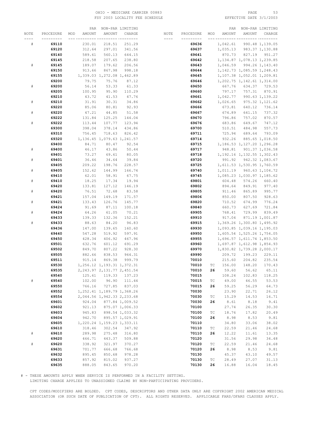# OHIO - MEDICARE CARRIER 00883 PAGE 53 FSY 2003 LOCALITY FEE SCHEDULE

|                             |           | PAR           |                               | NON-PAR LIMITING |      |           |                             | PAR      |                               | NON-PAR LIMITING |
|-----------------------------|-----------|---------------|-------------------------------|------------------|------|-----------|-----------------------------|----------|-------------------------------|------------------|
| NOTE                        | PROCEDURE | AMOUNT<br>MOD | AMOUNT                        | CHARGE           | NOTE | PROCEDURE | MOD                         | AMOUNT   | AMOUNT                        | CHARGE           |
|                             |           |               |                               |                  |      |           |                             |          |                               |                  |
| #                           | 69110     | 230.01        | 218.51                        | 251.29           |      | 69636     |                             | 1,042.61 |                               | 990.48 1,139.05  |
|                             | 69120     | 312.64        | 297.01                        | 341.56           |      | 69637     |                             |          | 1,035.13 983.37 1,130.88      |                  |
|                             |           |               |                               |                  |      |           |                             |          |                               |                  |
|                             | 69140     | 589.61        | 560.13                        | 644.15           |      | 69641     |                             | 870.73   |                               | 827.19 951.27    |
|                             | 69145     | 218.58        | 207.65                        | 238.80           |      | 69642     |                             |          | 1, 134.87 1, 078.13 1, 239.85 |                  |
| #                           | 69145     | 189.07        | 179.62                        | 206.56           |      | 69643     |                             |          | 1,046.59 994.26 1,143.40      |                  |
|                             | 69150     | 913.66        | 867.98                        | 998.18           |      | 69644     |                             |          | 1, 142.73 1, 085.59 1, 248.43 |                  |
|                             | 69155     |               | 1,339.03 1,272.08 1,462.89    |                  |      | 69645     |                             |          | 1,107.38 1,052.01 1,209.81    |                  |
|                             | 69200     | 79.75         | 75.76                         | 87.12            |      | 69646     |                             |          | 1, 202.75 1, 142.61 1, 314.00 |                  |
| $\#$                        | 69200     | 56.14         | 53.33                         | 61.33            |      | 69650     |                             | 667.76   |                               | 634.37 729.53    |
|                             | 69205     | 100.95        | 95.90                         | 110.29           |      | 69660     |                             | 797.17   | 757.31                        | 870.91           |
|                             | 69210     | 43.72         | 41.53                         | 47.76            |      | 69661     |                             | 1,042.77 |                               | 990.63 1,139.22  |
|                             |           |               |                               |                  |      |           |                             |          |                               |                  |
| $\#$                        | 69210     | 31.91         | 30.31                         | 34.86            |      | 69662     |                             | 1,026.65 |                               | 975.32 1,121.62  |
|                             | 69220     | 85.06         | 80.81                         | 92.93            |      | 69666     |                             | 673.81   | 640.12                        | 736.14           |
| $\#$                        | 69220     | 47.21         | 44.85                         | 51.58            |      | 69667     |                             | 674.89   | 641.15                        | 737.32           |
|                             | 69222     | 131.84        | 125.25                        | 144.04           |      | 69670     |                             | 796.86   | 757.02                        | 870.57           |
| $\#$                        | 69222     | 113.44        | 107.77                        | 123.94           |      | 69676     |                             | 683.86   | 649.67                        | 747.12           |
|                             | 69300     | 398.04        | 378.14                        | 434.86           |      | 69700     |                             | 510.51   | 484.98                        | 557.73           |
|                             | 69310     | 756.45        | 718.63                        | 826.42           |      | 69711     |                             | 725.94   | 689.64                        | 793.09           |
|                             | 69320     |               | 1, 136.45 1, 079.63 1, 241.57 |                  |      | 69714     |                             | 932.26   |                               | 885.65 1,018.50  |
|                             | 69400     | 84.71         | 80.47                         | 92.54            |      | 69715     |                             |          | 1, 186.53 1, 127.20 1, 296.28 |                  |
|                             |           |               |                               |                  |      |           |                             |          | 948.81 901.37 1,036.58        |                  |
| #                           | 69400     | 46.17         | 43.86                         | 50.44            |      | 69717     |                             |          |                               |                  |
|                             | 69401     | 73.27         | 69.61                         | 80.05            |      | 69718     |                             |          | 1, 192.16 1, 132.55 1, 302.43 |                  |
| ${}^{\scriptscriptstyle\#}$ | 69401     | 36.46         | 34.64                         | 39.84            |      | 69720     |                             |          | 991.92 942.32 1,083.67        |                  |
|                             | 69405     | 209.22        | 198.76                        | 228.57           |      | 69725     |                             |          | 1,611.53 1,530.95 1,760.59    |                  |
| #                           | 69405     | 152.62        | 144.99                        | 166.74           |      | 69740     |                             |          | 1,011.19 960.63 1,104.72      |                  |
|                             | 69410     | 62.01         | 58.91                         | 67.75            |      | 69745     |                             |          | 1,085.23 1,030.97 1,185.62    |                  |
| $\#$                        | 69410     | 18.25         | 17.34                         | 19.94            |      | 69801     |                             | 604.48   | 574.26                        | 660.40           |
|                             | 69420     | 133.81        | 127.12                        | 146.19           |      | 69802     |                             | 894.64   | 849.91                        | 977.40           |
| $\#$                        | 69420     | 76.51         | 72.68                         | 83.58            |      | 69805     |                             | 911.46   | 865.89                        | 995.77           |
|                             | 69421     | 157.04        | 149.19                        | 171.57           |      | 69806     |                             | 850.00   | 807.50                        | 928.63           |
|                             |           |               |                               |                  |      |           |                             |          |                               |                  |
| $\#$                        | 69421     | 133.43        | 126.76                        | 145.77           |      | 69820     |                             | 710.52   | 674.99                        | 776.24           |
|                             | 69424     | 91.69         | 87.11                         | 100.18           |      | 69840     |                             | 660.73   | 627.69                        | 721.84           |
| #                           | 69424     | 64.26         | 61.05                         | 70.21            |      | 69905     |                             | 768.41   | 729.99                        | 839.49           |
|                             | 69433     | 139.33        | 132.36                        | 152.21           |      | 69910     |                             | 917.04   |                               | 871.19 1,001.87  |
| #                           | 69433     | 88.63         | 84.20                         | 96.83            |      | 69915     |                             |          | 1,369.26 1,300.80 1,495.92    |                  |
|                             | 69436     | 147.00        | 139.65                        | 160.60           |      | 69930     |                             |          | 1,093.85 1,039.16 1,195.03    |                  |
|                             | 69440     | 547.28        | 519.92                        | 597.91           |      | 69950     |                             |          | 1,605.54 1,525.26 1,754.05    |                  |
|                             | 69450     | 428.34        | 406.92                        | 467.96           |      | 69955     |                             |          | 1,696.57 1,611.74 1,853.50    |                  |
|                             | 69501     | 632.76        | 601.12                        | 691.29           |      | 69960     |                             |          | 1,697.87 1,612.98 1,854.93    |                  |
|                             | 69502     | 849.70        | 807.22                        | 928.30           |      | 69970     |                             |          | 1,830.82 1,739.28 2,000.17    |                  |
|                             | 69505     | 882.66        | 838.53                        | 964.31           |      | 69990     |                             | 209.72   | 199.23                        | 229.11           |
|                             | 69511     | 915.14        | 869.38                        | 999.79           |      | 70010     |                             | 215.60   | 204.82                        | 235.54           |
|                             |           |               |                               |                  |      |           |                             |          |                               |                  |
|                             | 69530     |               | 1, 256.12 1, 193.31 1, 372.31 |                  |      | 70010     | ТC                          | 156.00   | 148.20                        | 170.43           |
|                             | 69535     |               | 2, 243.97 2, 131.77 2, 451.54 |                  |      | 70010     | 26                          | 59.60    | 56.62                         | 65.11            |
|                             | 69540     | 125.61        | 119.33                        | 137.23           |      | 70015     |                             | 108.24   | 102.83                        | 118.25           |
| $_{\rm \#}$                 | 69540     | 102.00        | 96.90                         | 111.44           |      | 70015     | ТC                          | 49.00    | 46.55                         | 53.53            |
|                             | 69550     | 766.16        | 727.85                        | 837.03           |      | 70015     | 26                          | 59.25    | 56.29                         | 64.73            |
|                             | 69552     |               | 1, 252.41 1, 189.79 1, 368.26 |                  |      | 70030     |                             | 23.90    | 22.71                         | 26.12            |
|                             | 69554     |               | 2,044.56 1,942.33 2,233.68    |                  |      | 70030     | $\protect\operatorname{TC}$ | 15.29    | 14.53                         | 16.71            |
|                             | 69601     | 924.04        |                               | 877.84 1,009.52  |      | 70030     | 26                          | 8.61     | 8.18                          | 9.41             |
|                             | 69602     |               | 921.13 875.07 1,006.33        |                  |      | 70100     |                             | 27.74    | 26.35                         | 30.30            |
|                             | 69603     | 945.83        |                               | 898.54 1,033.32  |      | 70100     | $\protect\operatorname{TC}$ | 18.76    | 17.82                         | 20.49            |
|                             | 69604     | 942.70        |                               | 895.57 1,029.91  |      | 70100     | 26                          |          |                               |                  |
|                             |           |               |                               |                  |      |           |                             | 8.98     | 8.53                          | 9.81             |
|                             | 69605     |               | 1, 220.24 1, 159.23 1, 333.11 |                  |      | 70110     |                             | 34.80    | 33.06                         | 38.02            |
|                             | 69610     | 318.46        | 302.54                        | 347.92           |      | 70110     | $\protect\operatorname{TC}$ | 22.59    | 21.46                         | 24.68            |
| $\#$                        | 69610     | 289.98        | 275.48                        | 316.80           |      | 70110     | 26                          | 12.22    | 11.61                         | 13.35            |
|                             | 69620     | 466.71        | 443.37                        | 509.88           |      | 70120     |                             | 31.56    | 29.98                         | 34.48            |
| $\#$                        | 69620     | 338.92        | 321.97                        | 370.27           |      | 70120     | $\protect\operatorname{TC}$ | 22.59    | 21.46                         | 24.68            |
|                             | 69631     | 701.77        | 666.68                        | 766.68           |      | 70120     | 26                          | 8.98     | 8.53                          | 9.81             |
|                             | 69632     | 895.45        | 850.68                        | 978.28           |      | 70130     |                             | 45.37    | 43.10                         | 49.57            |
|                             | 69633     | 857.92        | 815.02                        | 937.27           |      | 70130     | $\protect\operatorname{TC}$ | 28.49    | 27.07                         | 31.13            |
|                             | 69635     | 888.05        | 843.65                        | 970.20           |      | 70130     | 26                          | 16.88    | 16.04                         | $18 \, . \, 45$  |
|                             |           |               |                               |                  |      |           |                             |          |                               |                  |

# - THESE AMOUNTS APPLY WHEN SERVICE IS PERFORMED IN A FACILITY SETTING.

LIMITING CHARGE APPLIES TO UNASSIGNED CLAIMS BY NON-PARTICIPATING PROVIDERS.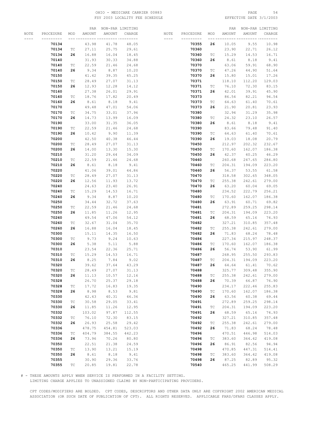# OHIO - MEDICARE CARRIER 00883 PAGE 54 FSY 2003 LOCALITY FEE SCHEDULE

|      |                |                             |                | PAR NON-PAR LIMITING |              |           |                |                             | PAR              |                  | NON-PAR LIMITING |
|------|----------------|-----------------------------|----------------|----------------------|--------------|-----------|----------------|-----------------------------|------------------|------------------|------------------|
| NOTE | PROCEDURE      | MOD                         | AMOUNT         | AMOUNT               | CHARGE       | NOTE      | PROCEDURE      | MOD                         | AMOUNT           | AMOUNT           | CHARGE           |
|      |                |                             |                |                      | -- --------- | $- - - -$ |                |                             |                  |                  |                  |
|      | 70134          |                             | 43.98          | 41.78                | 48.05        |           | 70355          | 26                          | 10.05            | 9.55             | 10.98            |
|      | 70134          | ТC                          | 27.11          | 25.75                | 29.61        |           | 70360          |                             | 23.90            | 22.71            | 26.12            |
|      | 70134          | 26                          | 16.88          | 16.04                | 18.45        |           | 70360          | ТC                          | 15.29            | 14.53            | 16.71            |
|      | 70140          |                             | 31.93          | 30.33                | 34.88        |           | 70360          | 26                          | 8.61             | 8.18             | 9.41             |
|      | 70140          | ТC                          | 22.59          | 21.46                | 24.68        |           | 70370          |                             | 63.06            | 59.91            | 68.90            |
|      | 70140          | 26                          | 9.34           | 8.87                 | 10.20        |           | 70370          | ТC                          | 47.26            | 44.90            | 51.64            |
|      |                |                             |                |                      |              |           |                | 26                          |                  |                  |                  |
|      | 70150          |                             | 41.42          | 39.35                | 45.25        |           | 70370          |                             | 15.80            | 15.01            | 17.26            |
|      | 70150          | ТC                          | 28.49          | 27.07                | 31.13        |           | 70371          |                             | 118.10           | 112.20           | 129.03           |
|      | 70150          | 26                          | 12.93          | 12.28                | 14.12        |           | 70371          | ТC                          | 76.10            | 72.30            | 83.15            |
|      | 70160          |                             | 27.38          | 26.01                | 29.91        |           | 70371          | 26                          | 42.01            | 39.91            | 45.90            |
|      | 70160          | ТC                          | 18.76          | 17.82                | 20.49        |           | 70373          |                             | 86.54            | 82.21            | 94.54            |
|      | 70160          | 26                          | 8.61           | 8.18                 | 9.41         |           | 70373          | ТC                          | 64.63            | 61.40            | 70.61            |
|      | 70170          |                             | 49.48          | 47.01                | 54.06        |           | 70373          | 26                          | 21.90            | 20.81            | 23.93            |
|      | 70170          | ТC                          | 34.75          | 33.01                | 37.96        |           | 70380          |                             | 32.94            | 31.29            | 35.98            |
|      | 70170          | 26                          | 14.73          | 13.99                | 16.09        |           | 70380          | ТC                          | 24.32            | 23.10            | 26.57            |
|      | 70190          |                             | 33.00          | 31.35                | 36.05        |           | 70380          | 26                          | 8.61             | 8.18             | 9.41             |
|      | 70190          | ТC                          | 22.59          | 21.46                | 24.68        |           | 70390          |                             | 83.66            | 79.48            | 91.40            |
|      | 70190          | 26                          | 10.42          | 9.90                 | 11.39        |           | 70390          | $\protect\operatorname{TC}$ | 64.63            | 61.40            | 70.61            |
|      | 70200          |                             | 42.50          | 40.38                | 46.44        |           | 70390          | 26                          | 19.03            | 18.08            | 20.79            |
|      | 70200          | ТC                          | 28.49          | 27.07                | 31.13        |           | 70450          |                             | 212.97           | 202.32           | 232.67           |
|      | 70200          | 26                          | 14.00          | 13.30                | 15.30        |           | 70450          | ТC                          | 170.60           | 162.07           | 186.38           |
|      | 70210          |                             | 31.20          | 29.64                | 34.09        |           | 70450          | 26                          | 42.37            | 40.25            | 46.29            |
|      | 70210          | ТC                          | 22.59          | 21.46                | 24.68        |           | 70460          |                             | 260.68           | 247.65           | 284.80           |
|      | 70210          | 26                          | 8.61           | 8.18                 | 9.41         |           | 70460          | ТC                          | 204.31           | 194.09           | 223.20           |
|      | 70220          |                             | 41.06          | 39.01                | 44.86        |           | 70460          | 26                          | 56.37            | 53.55            | 61.58            |
|      | 70220          | ТC                          | 28.49          | 27.07                | 31.13        |           | 70470          |                             | 318.58           | 302.65           | 348.05           |
|      | 70220          | 26                          | 12.56          | 11.93                | 13.72        |           | 70470          | ТC                          | 255.38           | 242.61           | 279.00           |
|      | 70240          |                             | 24.63          | 23.40                | 26.91        |           | 70470          | 26                          | 63.20            | 60.04            | 69.05            |
|      |                |                             |                |                      |              |           |                |                             |                  |                  |                  |
|      | 70240          | ТC                          | 15.29          | 14.53                | 16.71        |           | 70480          |                             | 234.52           | 222.79           | 256.21           |
|      | 70240          | 26                          | 9.34           | 8.87                 | 10.20        |           | 70480          | ТC<br>26                    | 170.60           | 162.07           | 186.38           |
|      | 70250          |                             | 34.44          | 32.72                | 37.63        |           | 70480          |                             | 63.91            | 60.71            | 69.82            |
|      | 70250<br>70250 | ТC<br>26                    | 22.59<br>11.85 | 21.46<br>11.26       | 24.68        |           | 70481<br>70481 |                             | 272.89<br>204.31 | 259.25<br>194.09 | 298.14<br>223.20 |
|      |                |                             |                |                      | 12.95        |           |                | ТC                          |                  |                  |                  |
|      | 70260          |                             | 49.54          | 47.06                | 54.12        |           | 70481          | 26                          | 68.59            | 65.16            | 74.93            |
|      | 70260          | ТC                          | 32.67          | 31.04                | 35.70        |           | 70482          |                             | 327.21           | 310.85           | 357.48           |
|      | 70260          | 26                          | 16.88          | 16.04                | 18.45        |           | 70482          | ТC                          | 255.38           | 242.61           | 279.00           |
|      | 70300          |                             | 15.11          | 14.35                | 16.50        |           | 70482          | 26                          | 71.83            | 68.24            | 78.48            |
|      | 70300          | ТC                          | 9.73           | 9.24                 | 10.63        |           | 70486          |                             | 227.34           | 215.97           | 248.37           |
|      | 70300          | 26                          | 5.38           | 5.11                 | 5.88         |           | 70486          | ТC                          | 170.60           | 162.07           | 186.38           |
|      | 70310          |                             | 23.54          | 22.36                | 25.71        |           | 70486          | 26                          | 56.74            | 53.90            | 61.99            |
|      | 70310          | ТC                          | 15.29          | 14.53                | 16.71        |           | 70487          |                             | 268.95           | 255.50           | 293.83           |
|      | 70310          | 26                          | 8.25           | 7.84                 | 9.02         |           | 70487          | ТC                          | 204.31           | 194.09           | 223.20           |
|      | 70320          |                             | 39.62          | 37.64                | 43.29        |           | 70487          | 26                          | 64.64            | 61.41            | 70.62            |
|      | 70320          | ТC                          | 28.49          | 27.07                | 31.13        |           | 70488          |                             | 325.77           | 309.48           | 355.90           |
|      | 70320          | 26                          | 11.13          | 10.57                | 12.16        |           | 70488          | ТC                          | 255.38           | 242.61           | 279.00           |
|      | 70328          |                             | 26.70          | 25.37                | 29.18        |           | 70488          | 26                          | 70.39            | 66.87            | 76.90            |
|      | 70328          | $\protect\operatorname{TC}$ | 17.72          | 16.83                | 19.35        |           | 70490          |                             | 234.17           | 222.46           | 255.83           |
|      | 70328          | 26                          | 8.98           | 8.53                 | 9.81         |           | 70490          | ТC                          | 170.60           | 162.07           | 186.38           |
|      | 70330          |                             | 42.43          | 40.31                | 46.36        |           | 70490          | 26                          | 63.56            | 60.38            | 69.44            |
|      | 70330          | $\protect\operatorname{TC}$ | 30.58          | 29.05                | 33.41        |           | 70491          |                             | 272.89           | 259.25           | 298.14           |
|      | 70330          | 26                          | 11.85          | 11.26                | 12.95        |           | 70491          | ТC                          | 204.31           | 194.09           | 223.20           |
|      | 70332          |                             | 103.02         | 97.87                | 112.55       |           | 70491          | 26                          | 68.59            | 65.16            | 74.93            |
|      | 70332          | TC                          | 76.10          | 72.30                | 83.15        |           | 70492          |                             | 327.21           | 310.85           | 357.48           |
|      | 70332          | 26                          | 26.93          | 25.58                | 29.42        |           | 70492          | ТC                          | 255.38           | 242.61           | 279.00           |
|      | 70336          |                             | 478.75         | 454.81               | 523.03       |           | 70492          | 26                          | 71.83            | 68.24            | 78.48            |
|      | 70336          | $\protect\operatorname{TC}$ | 404.79         | 384.55               | 442.23       |           | 70496          |                             | 470.51           | 446.98           | 514.03           |
|      | 70336          | 26                          | 73.96          | 70.26                | 80.80        |           | 70496          | ТC                          | 383.60           | 364.42           | 419.08           |
|      | 70350          |                             | 22.51          | 21.38                | 24.59        |           | 70496          | 26                          | 86.91            | 82.56            | 94.94            |
|      | 70350          | ТC                          | 13.90          | 13.21                | 15.19        |           | 70498          |                             | 470.85           | 447.31           | 514.41           |
|      | 70350          | 26                          | 8.61           | 8.18                 | 9.41         |           | 70498          | ТC                          | 383.60           | 364.42           | 419.08           |
|      | 70355          |                             | 30.90          | 29.36                | 33.76        |           | 70498          | 26                          | 87.25            | 82.89            | 95.32            |
|      | 70355          | TC                          | 20.85          | 19.81                | 22.78        |           | 70540          |                             | 465.25           | 441.99           | 508.29           |

# - THESE AMOUNTS APPLY WHEN SERVICE IS PERFORMED IN A FACILITY SETTING.

LIMITING CHARGE APPLIES TO UNASSIGNED CLAIMS BY NON-PARTICIPATING PROVIDERS.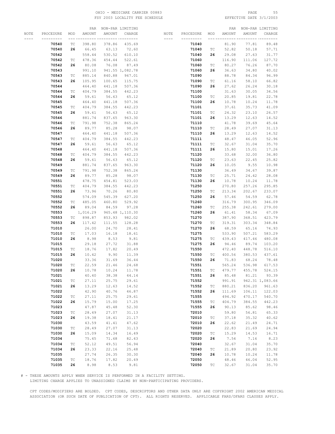# OHIO - MEDICARE CARRIER 00883 PAGE 55 FSY 2003 LOCALITY FEE SCHEDULE

|      |           |                             |          | PAR NON-PAR LIMITING    |                 |           |           |                             |        | PAR NON-PAR LIMITING |                 |
|------|-----------|-----------------------------|----------|-------------------------|-----------------|-----------|-----------|-----------------------------|--------|----------------------|-----------------|
| NOTE | PROCEDURE | MOD                         | AMOUNT   | AMOUNT                  | CHARGE          | NOTE      | PROCEDURE | MOD                         | AMOUNT | AMOUNT               | CHARGE          |
|      |           |                             |          | ______ _________ ______ |                 | $- - - -$ |           |                             |        |                      |                 |
|      | 70540     | ТC                          | 398.80   | 378.86                  | 435.69          |           | 71040     |                             | 81.90  | 77.81                | 89.48           |
|      | 70540     | 26                          | 66.45    | 63.13                   | 72.60           |           | 71040     | TC                          | 52.82  | 50.18                | 57.71           |
|      | 70542     |                             | 558.44   | 530.52                  | 610.10          |           | 71040     | 26                          | 29.08  | 27.63                | 31.77           |
|      |           |                             |          |                         |                 |           |           |                             |        |                      |                 |
|      | 70542     | TC                          | 478.36   | 454.44                  | 522.61          |           | 71060     |                             | 116.90 | 111.06               | 127.72          |
|      | 70542     | 26                          | 80.08    | 76.08                   | 87.49           |           | 71060     | ТC                          | 80.27  | 76.26                | 87.70           |
|      | 70543     |                             | 991.10   |                         | 941.55 1,082.78 |           | 71060     | 26                          | 36.63  | 34.80                | 40.02           |
|      | 70543     | TC                          | 885.14   | 840.88                  | 967.01          |           | 71090     |                             | 88.78  | 84.34                | 96.99           |
|      | 70543     | 26                          | 105.95   | 100.65                  | 115.75          |           | 71090     | ТC                          | 61.16  | 58.10                | 66.82           |
|      | 70544     |                             | 464.40   | 441.18                  | 507.36          |           | 71090     | 26                          | 27.62  | 26.24                | 30.18           |
|      | 70544     | ТC                          | 404.79   | 384.55                  | 442.23          |           | 71100     |                             | 31.63  | 30.05                | 34.56           |
|      | 70544     | 26                          | 59.61    | 56.63                   | 65.12           |           | 71100     | ТC                          | 20.85  | 19.81                | 22.78           |
|      | 70545     |                             | 464.40   | 441.18                  | 507.36          |           | 71100     | 26                          | 10.78  | 10.24                | 11.78           |
|      | 70545     | ТC                          | 404.79   | 384.55                  | 442.23          |           | 71101     |                             | 37.61  | 35.73                | 41.09           |
|      | 70545     | 26                          | 59.61    | 56.63                   | 65.12           |           | 71101     | TC                          | 24.32  | 23.10                | 26.57           |
|      | 70546     |                             | 881.74   | 837.65                  | 963.30          |           | 71101     | 26                          | 13.29  | 12.63                | 14.52           |
|      | 70546     | ТC                          | 791.98   | 752.38                  | 865.24          |           | 71110     |                             | 41.78  | 39.69                | 45.64           |
|      | 70546     | 26                          | 89.77    | 85.28                   | 98.07           |           | 71110     | TC                          | 28.49  | 27.07                | 31.13           |
|      | 70547     |                             | 464.40   | 441.18                  | 507.36          |           | 71110     | 26                          | 13.29  | 12.63                | 14.52           |
|      |           |                             |          |                         |                 |           |           |                             |        |                      |                 |
|      | 70547     | ТC                          | 404.79   | 384.55                  | 442.23          |           | 71111     |                             | 48.47  | 46.05                | 52.96           |
|      | 70547     | 26                          | 59.61    | 56.63                   | 65.12           |           | 71111     | ТC                          | 32.67  | 31.04                | 35.70           |
|      | 70548     |                             | 464.40   | 441.18                  | 507.36          |           | 71111     | 26                          | 15.80  | 15.01                | 17.26           |
|      | 70548     | TC                          | 404.79   | 384.55                  | 442.23          |           | 71120     |                             | 33.68  | 32.00                | 36.80           |
|      | 70548     | 26                          | 59.61    | 56.63                   | 65.12           |           | 71120     | ТC                          | 23.63  | 22.45                | 25.82           |
|      | 70549     |                             | 881.74   | 837.65                  | 963.30          |           | 71120     | 26                          | 10.05  | 9.55                 | 10.98           |
|      | 70549     | ТC                          | 791.98   | 752.38                  | 865.24          |           | 71130     |                             | 36.49  | 34.67                | 39.87           |
|      | 70549     | 26                          | 89.77    | 85.28                   | 98.07           |           | 71130     | ТC                          | 25.71  | 24.42                | 28.08           |
|      | 70551     |                             | 478.75   | 454.81                  | 523.03          |           | 71130     | 26                          | 10.78  | 10.24                | 11.78           |
|      | 70551     | ТC                          | 404.79   | 384.55                  | 442.23          |           | 71250     |                             | 270.80 | 257.26               | 295.85          |
|      | 70551     | 26                          | 73.96    | 70.26                   | 80.80           |           | 71250     | TC                          | 213.34 | 202.67               | 233.07          |
|      | 70552     |                             | 574.09   | 545.39                  | 627.20          |           | 71250     | 26                          | 57.46  | 54.59                | 62.78           |
|      | 70552     | ТC                          | 485.05   | 460.80                  | 529.92          |           | 71260     |                             | 316.79 | 300.95               | 346.09          |
|      | 70552     | 26                          | 89.04    | 84.59                   | 97.28           |           | 71260     | TC                          | 255.38 | 242.61               | 279.00          |
|      | 70553     |                             | 1,016.29 |                         | 965.48 1,110.30 |           | 71260     | 26                          | 61.41  | 58.34                | 67.09           |
|      | 70553     | TC                          | 898.87   | 853.93                  | 982.02          |           | 71270     |                             | 387.90 | 368.51               | 423.79          |
|      | 70553     | 26                          | 117.42   |                         | 128.28          |           | 71270     | ТC                          | 319.31 | 303.34               | 348.84          |
|      |           |                             |          | 111.55                  |                 |           |           |                             |        |                      |                 |
|      | 71010     |                             | 26.00    | 24.70                   | 28.41           |           | 71270     | 26                          | 68.59  | 65.16                | 74.93           |
|      | 71010     | TC                          | 17.03    | 16.18                   | 18.61           |           | 71275     |                             | 533.90 | 507.21               | 583.29          |
|      | 71010     | 26                          | 8.98     | 8.53                    | 9.81            |           | 71275     | ТC                          | 439.43 | 417.46               | 480.08          |
|      | 71015     |                             | 29.18    | 27.72                   | 31.88           |           | 71275     | 26                          | 94.46  | 89.74                | 103.20          |
|      | 71015     | ТC                          | 18.76    | 17.82                   | 20.49           |           | 71550     |                             | 472.40 | 448.78               | 516.10          |
|      | 71015     | 26                          | 10.42    | 9.90                    | 11.39           |           | 71550     | ТC                          | 400.56 | 380.53               | 437.61          |
|      | 71020     |                             | 33.36    | 31.69                   | 36.44           |           | 71550     | 26                          | 71.83  | 68.24                | 78.48           |
|      | 71020     | TC                          | 22.59    | 21.46                   | 24.68           |           | 71551     |                             | 565.24 | 536.98               | 617.53          |
|      | 71020     | 26                          | 10.78    | 10.24                   | 11.78           |           | 71551     | ТC                          | 479.77 | 455.78               | 524.15          |
|      | 71021     |                             | 40.40    | 38.38                   | 44.14           |           | 71551     | 26                          | 85.48  | 81.21                | 93.39           |
|      | 71021     | $\protect\operatorname{TC}$ | 27.11    | 25.75                   | 29.61           |           | 71552     |                             | 991.91 |                      | 942.31 1,083.66 |
|      | 71021     | 26                          | 13.29    | 12.63                   | 14.52           |           | 71552     | ТC                          | 880.21 | 836.20               | 961.63          |
|      | 71022     |                             | 42.90    | 40.76                   | 46.87           |           | 71552     | 26                          | 111.69 | 106.11               | 122.03          |
|      | 71022     | $\protect\operatorname{TC}$ | 27.11    | 25.75                   | 29.61           |           | 71555     |                             | 494.92 | 470.17               | 540.70          |
|      | 71022     | 26                          | 15.79    | 15.00                   | 17.25           |           | 71555     | ТC                          | 404.79 | 384.55               | 442.23          |
|      | 71023     |                             | 47.87    | 45.48                   | 52.30           |           | 71555     | 26                          | 90.13  | 85.62                | 98.46           |
|      | 71023     | ТC                          | 28.49    | 27.07                   | 31.13           |           | 72010     |                             | 59.80  | 56.81                | 65.33           |
|      | 71023     | 26                          | 19.38    | 18.41                   | 21.17           |           | 72010     | $\protect\operatorname{TC}$ | 37.18  | 35.32                | 40.62           |
|      | 71030     |                             | 43.59    | 41.41                   | 47.62           |           | 72010     | 26                          | 22.62  | 21.49                | 24.71           |
|      | 71030     | $\protect\operatorname{TC}$ |          |                         |                 |           | 72020     |                             |        |                      |                 |
|      |           |                             | 28.49    | 27.07                   | 31.13           |           |           |                             | 22.83  | 21.69                | 24.94           |
|      | 71030     | 26                          | 15.09    | 14.34                   | 16.49           |           | 72020     | ТC                          | 15.29  | 14.53                | 16.71           |
|      | 71034     |                             | 75.45    | 71.68                   | 82.43           |           | 72020     | 26                          | 7.54   | 7.16                 | 8.23            |
|      | 71034     | $\protect\operatorname{TC}$ | 52.12    | 49.51                   | 56.94           |           | 72040     |                             | 32.67  | 31.04                | 35.70           |
|      | 71034     | 26                          | 23.33    | 22.16                   | 25.48           |           | 72040     | $\protect\operatorname{TC}$ | 21.89  | 20.80                | 23.92           |
|      | 71035     |                             | 27.74    | 26.35                   | 30.30           |           | 72040     | 26                          | 10.78  | 10.24                | 11.78           |
|      | 71035     | $\protect\operatorname{TC}$ | 18.76    | 17.82                   | 20.49           |           | 72050     |                             | 48.46  | 46.04                | 52.95           |
|      | 71035     | 26                          | 8.98     | 8.53                    | 9.81            |           | 72050     | ТC                          | 32.67  | 31.04                | 35.70           |

# - THESE AMOUNTS APPLY WHEN SERVICE IS PERFORMED IN A FACILITY SETTING.

LIMITING CHARGE APPLIES TO UNASSIGNED CLAIMS BY NON-PARTICIPATING PROVIDERS.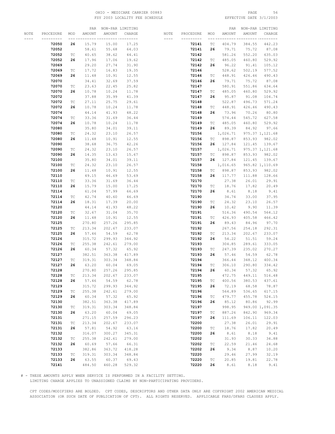# OHIO - MEDICARE CARRIER 00883 PAGE 56 FSY 2003 LOCALITY FEE SCHEDULE

|      |           |         |        | PAR NON-PAR LIMITING  |        |                      |            |                             |           | PAR NON-PAR LIMITING       |                 |
|------|-----------|---------|--------|-----------------------|--------|----------------------|------------|-----------------------------|-----------|----------------------------|-----------------|
| NOTE | PROCEDURE | MOD     | AMOUNT | AMOUNT                | CHARGE | NOTE                 | PROCEDURE  | MOD                         | AMOUNT    | AMOUNT                     | CHARGE          |
|      | --------- | --- --- |        | __ _________ ________ |        | $\cdots\cdots\cdots$ | ---------- | --- --                      |           | --- ---------- <i>----</i> |                 |
|      | 72050     | 26      | 15.79  | 15.00                 | 17.25  |                      | 72141      | ТC                          | 404.79    | 384.55                     | 442.23          |
|      | 72052     |         | 58.61  | 55.68                 | 64.03  |                      | 72141      | 26                          | 79.71     | 75.72                      | 87.08           |
|      | 72052     | ТC      | 40.65  | 38.62                 | 44.41  |                      | 72142      |                             | 581.26    | 552.20                     | 635.03          |
|      |           |         |        |                       |        |                      |            |                             |           |                            |                 |
|      | 72052     | 26      | 17.96  | 17.06                 | 19.62  |                      | 72142      | ТC                          | 485.05    | 460.80                     | 529.92          |
|      | 72069     |         | 29.20  | 27.74                 | 31.90  |                      | 72142      | 26                          | 96.22     | 91.41                      | 105.12          |
|      | 72069     | ТC      | 17.72  | 16.83                 | 19.35  |                      | 72146      |                             | 528.62    | 502.19                     | 577.52          |
|      | 72069     | 26      | 11.48  | 10.91                 | 12.55  |                      | 72146      | ТC                          | 448.91    | 426.46                     | 490.43          |
|      | 72070     |         | 34.41  | 32.69                 | 37.59  |                      | 72146      | 26                          | 79.71     | 75.72                      | 87.08           |
|      | 72070     | ТC      | 23.63  | 22.45                 | 25.82  |                      | 72147      |                             | 580.91    | 551.86                     | 634.64          |
|      | 72070     | 26      | 10.78  | 10.24                 | 11.78  |                      | 72147      | ТC                          | 485.05    | 460.80                     | 529.92          |
|      | 72072     |         | 37.88  | 35.99                 | 41.39  |                      | 72147      | 26                          | 95.87     | 91.08                      | 104.74          |
|      | 72072     | ТC      | 27.11  | 25.75                 | 29.61  |                      | 72148      |                             | 522.87    | 496.73                     | 571.24          |
|      | 72072     | 26      | 10.78  | 10.24                 | 11.78  |                      | 72148      | ТC                          | 448.91    | 426.46                     | 490.43          |
|      | 72074     |         | 44.14  | 41.93                 | 48.22  |                      | 72148      | 26                          | 73.96     | 70.26                      | 80.80           |
|      |           |         |        |                       |        |                      |            |                             |           |                            |                 |
|      | 72074     | ТC      | 33.36  | 31.69                 | 36.44  |                      | 72149      |                             | 574.44    | 545.72                     | 627.58          |
|      | 72074     | 26      | 10.78  | 10.24                 | 11.78  |                      | 72149      | ТC                          | 485.05    | 460.80                     | 529.92          |
|      | 72080     |         | 35.80  | 34.01                 | 39.11  |                      | 72149      | 26                          | 89.39     | 84.92                      | 97.66           |
|      | 72080     | ТC      | 24.32  | 23.10                 | 26.57  |                      | 72156      |                             | 1,026.71  |                            | 975.37 1,121.68 |
|      | 72080     | 26      | 11.48  | 10.91                 | 12.55  |                      | 72156      |                             | TC 898.87 | 853.93                     | 982.02          |
|      | 72090     |         | 38.68  | 36.75                 | 42.26  |                      | 72156      |                             | 26 127.84 | 121.45                     | 139.67          |
|      | 72090     | ТC      | 24.32  | 23.10                 | 26.57  |                      | 72157      |                             | 1,026.71  |                            | 975.37 1,121.68 |
|      | 72090     | 26      | 14.35  | 13.63                 | 15.67  |                      | 72157      |                             | TC 898.87 | 853.93                     | 982.02          |
|      | 72100     |         | 35.80  | 34.01                 | 39.11  |                      | 72157      |                             | 26 127.84 | 121.45                     | 139.67          |
|      | 72100     | ТC      | 24.32  | 23.10                 | 26.57  |                      | 72158      |                             | 1,016.65  |                            | 965.82 1,110.69 |
|      | 72100     | 26      | 11.48  | 10.91                 | 12.55  |                      | 72158      | TC                          | 898.87    | 853.93                     | 982.02          |
|      | 72110     |         | 49.15  | 46.69                 | 53.69  |                      | 72158      | 26                          | 117.77    | 111.88                     | 128.66          |
|      |           |         |        |                       |        |                      | 72170      |                             |           |                            |                 |
|      | 72110     | ТC      | 33.36  | 31.69                 | 36.44  |                      |            |                             | 27.38     | 26.01                      | 29.91           |
|      | 72110     | 26      | 15.79  | 15.00                 | 17.25  |                      | 72170      | ТC                          | 18.76     | 17.82                      | 20.49           |
|      | 72114     |         | 61.04  | 57.99                 | 66.69  |                      | 72170      | 26                          | 8.61      | 8.18                       | 9.41            |
|      | 72114     | ТC      | 42.74  | 40.60                 | 46.69  |                      | 72190      |                             | 34.74     | 33.00                      | 37.95           |
|      | 72114     | 26      | 18.31  | 17.39                 | 20.00  |                      | 72190      | ТC                          | 24.32     | 23.10                      | 26.57           |
|      | 72120     |         | 44.14  | 41.93                 | 48.22  |                      | 72190      | 26                          | 10.42     | 9.90                       | 11.39           |
|      | 72120     | ТC      | 32.67  | 31.04                 | 35.70  |                      | 72191      |                             | 516.36    | 490.54                     | 564.12          |
|      | 72120     | 26      | 11.48  | 10.91                 | 12.55  |                      | 72191      | ТC                          | 426.93    | 405.58                     | 466.42          |
|      | 72125     |         | 270.80 | 257.26                | 295.85 |                      | 72191      | 26                          | 89.43     | 84.96                      | 97.70           |
|      | 72125     | ТC      | 213.34 | 202.67                | 233.07 |                      | 72192      |                             | 267.56    | 254.18                     | 292.31          |
|      | 72125     | 26      | 57.46  | 54.59                 | 62.78  |                      | 72192      | ТC                          | 213.34    | 202.67                     | 233.07          |
|      | 72126     |         | 315.72 | 299.93                | 344.92 |                      | 72192      | 26                          | 54.22     | 51.51                      | 59.24           |
|      | 72126     | ТC      | 255.38 | 242.61                | 279.00 |                      | 72193      |                             | 304.85    | 289.61                     | 333.05          |
|      | 72126     | 26      | 60.34  | 57.32                 | 65.92  |                      | 72193      | ТC                          | 247.39    | 235.02                     | 270.27          |
|      | 72127     |         | 382.51 | 363.38                | 417.89 |                      | 72193      | 26                          | 57.46     | 54.59                      | 62.78           |
|      | 72127     | ТC      | 319.31 | 303.34                | 348.84 |                      | 72194      |                             | 366.44    |                            | 400.34          |
|      |           |         |        |                       |        |                      |            |                             |           | 348.12                     |                 |
|      | 72127     | 26      | 63.20  | 60.04                 | 69.05  |                      | 72194      | ТC                          | 306.10    | 290.80                     | 334.42          |
|      | 72128     |         | 270.80 | 257.26                | 295.85 |                      | 72194      | 26                          | 60.34     | 57.32                      | 65.92           |
|      | 72128     | ТC      | 213.34 | 202.67                | 233.07 |                      | 72195      |                             | 472.75    | 449.11                     | 516.48          |
|      | 72128     | 26      | 57.46  | 54.59                 | 62.78  |                      | 72195      | ТC                          | 400.56    | 380.53                     | 437.61          |
|      | 72129     |         | 315.72 | 299.93                | 344.92 |                      | 72195      | 26                          | 72.19     | 68.58                      | 78.87           |
|      | 72129     | ТC      | 255.38 | 242.61                | 279.00 |                      | 72196      |                             | 564.89    | 536.65                     | 617.15          |
|      | 72129     | 26      | 60.34  | 57.32                 | 65.92  |                      | 72196      | ТC                          | 479.77    | 455.78                     | 524.15          |
|      | 72130     |         | 382.51 | 363.38                | 417.89 |                      | 72196      | 26                          | 85.12     | 80.86                      | 92.99           |
|      | 72130     | TC      | 319.31 | 303.34                | 348.84 |                      | 72197      |                             | 998.95    |                            | 949.00 1,091.35 |
|      | 72130     | 26      | 63.20  | 60.04                 | 69.05  |                      | 72197      | ТC                          | 887.26    | 842.90                     | 969.34          |
|      | 72131     |         | 271.15 | 257.59                | 296.23 |                      | 72197      | 26                          | 111.69    | 106.11                     | 122.03          |
|      | 72131     | TC      | 213.34 | 202.67                | 233.07 |                      | 72200      |                             | 27.38     | 26.01                      | 29.91           |
|      | 72131     | 26      | 57.81  | 54.92                 | 63.16  |                      | 72200      | $\protect\operatorname{TC}$ | 18.76     | 17.82                      | 20.49           |
|      | 72132     |         | 316.07 | 300.27                | 345.31 |                      | 72200      | 26                          | 8.61      | 8.18                       | 9.41            |
|      | 72132     | TC      | 255.38 | 242.61                | 279.00 |                      | 72202      |                             | 31.93     | 30.33                      | 34.88           |
|      | 72132     | 26      | 60.69  | 57.66                 | 66.31  |                      | 72202      | ТC                          | 22.59     | 21.46                      | 24.68           |
|      |           |         |        |                       |        |                      |            |                             |           |                            |                 |
|      | 72133     |         | 382.86 | 363.72                | 418.28 |                      | 72202      | 26                          | 9.34      | 8.87                       | 10.20           |
|      | 72133     | TC      | 319.31 | 303.34                | 348.84 |                      | 72220      |                             | 29.46     | 27.99                      | 32.19           |
|      | 72133     | 26      | 63.55  | 60.37                 | 69.43  |                      | 72220      | $\protect\operatorname{TC}$ | 20.85     | 19.81                      | 22.78           |
|      | 72141     |         | 484.50 | 460.28                | 529.32 |                      | 72220      | 26                          | 8.61      | 8.18                       | 9.41            |

# - THESE AMOUNTS APPLY WHEN SERVICE IS PERFORMED IN A FACILITY SETTING.

LIMITING CHARGE APPLIES TO UNASSIGNED CLAIMS BY NON-PARTICIPATING PROVIDERS.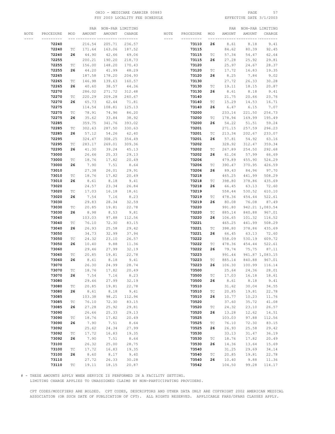# OHIO – MEDICARE CARRIER 00883 PAGE 57<br>
FSY 2003 LOCALITY FEE SCHEDULE FRY 2003 LOCALITY FEE SCHEDULE FSY 2003 LOCALITY FEE SCHEDULE

|      |           |                             |        | PAR NON-PAR LIMITING        |        |          |            |                             |        | PAR NON-PAR LIMITING |                 |
|------|-----------|-----------------------------|--------|-----------------------------|--------|----------|------------|-----------------------------|--------|----------------------|-----------------|
| NOTE | PROCEDURE | MOD                         | AMOUNT | AMOUNT                      | CHARGE | NOTE     | PROCEDURE  | MOD                         | AMOUNT | AMOUNT               | CHARGE          |
|      |           | --- --                      |        | ------- --------- --------- |        | $\cdots$ | ---------- | --- -----                   |        | --- ------           | --- -----       |
|      | 72240     |                             | 216.54 | 205.71                      | 236.57 |          | 73110      | 26                          | 8.61   | 8.18                 | 9.41            |
|      | 72240     | ТC                          | 171.64 | 163.06                      | 187.52 |          | 73115      |                             | 84.62  | 80.39                | 92.45           |
|      | 72240     | 26                          | 44.90  | 42.66                       | 49.06  |          | 73115      | ТC                          | 57.34  | 54.47                | 62.64           |
|      |           |                             |        | 190.20                      |        |          |            |                             |        |                      |                 |
|      | 72255     |                             | 200.21 |                             | 218.73 |          | 73115      | 26                          | 27.28  | 25.92                | 29.81           |
|      | 72255     | ТC                          | 156.00 | 148.20                      | 170.43 |          | 73120      |                             | 25.97  | 24.67                | 28.37           |
|      | 72255     | 26                          | 44.20  | 41.99                       | 48.29  |          | 73120      | ТC                          | 17.72  | 16.83                | 19.35           |
|      | 72265     |                             | 187.58 | 178.20                      | 204.93 |          | 73120      | 26                          | 8.25   | 7.84                 | 9.02            |
|      | 72265     | ТC                          | 146.98 | 139.63                      | 160.57 |          | 73130      |                             | 27.72  | 26.33                | 30.28           |
|      | 72265     | 26                          | 40.60  | 38.57                       | 44.36  |          | 73130      | TC                          | 19.11  | 18.15                | 20.87           |
|      | 72270     |                             | 286.02 | 271.72                      | 312.48 |          | 73130      | 26                          | 8.61   | 8.18                 | 9.41            |
|      | 72270     | ТC                          | 220.29 | 209.28                      | 240.67 |          | 73140      |                             | 21.75  | 20.66                | 23.76           |
|      | 72270     | 26                          | 65.73  | 62.44                       | 71.81  |          | 73140      | ТC                          | 15.29  | 14.53                | 16.71           |
|      | 72275     |                             | 114.54 | 108.81                      | 125.13 |          | 73140      | 26                          | 6.47   | 6.15                 | 7.07            |
|      | 72275     | $\protect\operatorname{TC}$ | 78.91  | 74.96                       | 86.20  |          | 73200      |                             | 233.16 | 221.50               | 254.73          |
|      | 72275     | 26                          | 35.62  | 33.84                       | 38.92  |          | 73200      | ТC                          | 178.94 | 169.99               | 195.49          |
|      | 72285     |                             | 359.75 | 341.76                      | 393.02 |          | 73200      | 26                          | 54.22  | 51.51                | 59.24           |
|      | 72285     | ТC                          | 302.63 | 287.50                      | 330.63 |          | 73201      |                             | 271.15 | 257.59               | 296.23          |
|      |           |                             |        |                             |        |          |            |                             |        |                      |                 |
|      | 72285     | 26                          | 57.12  | 54.26                       | 62.40  |          | 73201      | ТC                          | 213.34 | 202.67               | 233.07          |
|      | 72295     |                             | 324.47 | 308.25                      | 354.49 |          | 73201      | 26                          | 57.81  | 54.92                | 63.16           |
|      | 72295     | ТC                          | 283.17 | 269.01                      | 309.36 |          | 73202      |                             | 328.92 | 312.47               | 359.34          |
|      | 72295     | 26                          | 41.30  | 39.24                       | 45.13  |          | 73202      | ТC                          | 267.89 | 254.50               | 292.68          |
|      | 73000     |                             | 26.66  | 25.33                       | 29.13  |          | 73202      | 26                          | 61.04  | 57.99                | 66.69           |
|      | 73000     | ТC                          | 18.76  | 17.82                       | 20.49  |          | 73206      |                             | 479.89 | 455.90               | 524.29          |
|      | 73000     | 26                          | 7.90   | 7.51                        | 8.64   |          | 73206      | TC                          | 390.47 | 370.95               | 426.59          |
|      | 73010     |                             | 27.38  | 26.01                       | 29.91  |          | 73206      | 26                          | 89.43  | 84.96                | 97.70           |
|      | 73010     | ТC                          | 18.76  | 17.82                       | 20.49  |          | 73218      |                             | 465.25 | 441.99               | 508.29          |
|      | 73010     | 26                          | 8.61   | 8.18                        | 9.41   |          | 73218      | ТC                          | 398.80 | 378.86               | 435.69          |
|      | 73020     |                             | 24.57  | 23.34                       | 26.84  |          | 73218      | 26                          | 66.45  | 63.13                | 72.60           |
|      | 73020     | TC                          | 17.03  | 16.18                       | 18.61  |          | 73219      |                             | 558.44 | 530.52               | 610.10          |
|      | 73020     | 26                          | 7.54   | 7.16                        | 8.23   |          | 73219      | $\protect\operatorname{TC}$ | 478.36 | 454.44               | 522.61          |
|      |           |                             |        |                             |        |          |            |                             |        |                      |                 |
|      | 73030     |                             | 29.83  | 28.34                       | 32.59  |          | 73219      | 26                          | 80.08  | 76.08                | 87.49           |
|      | 73030     | ТC                          | 20.85  | 19.81                       | 22.78  |          | 73220      |                             | 991.80 |                      | 942.21 1,083.54 |
|      | 73030     | 26                          | 8.98   | 8.53                        | 9.81   |          | 73220      | ТC                          | 885.14 | 840.88               | 967.01          |
|      | 73040     |                             | 103.03 | 97.88                       | 112.56 |          | 73220      | 26                          | 106.65 | 101.32               | 116.52          |
|      | 73040     | ТC                          | 76.10  | 72.30                       | 83.15  |          | 73221      |                             | 465.25 | 441.99               | 508.29          |
|      | 73040     | 26                          | 26.93  | 25.58                       | 29.42  |          | 73221      | ТC                          | 398.80 | 378.86               | 435.69          |
|      | 73050     |                             | 34.73  | 32.99                       | 37.94  |          | 73221      | 26                          | 66.45  | 63.13                | 72.60           |
|      | 73050     | ТC                          | 24.32  | 23.10                       | 26.57  |          | 73222      |                             | 558.09 | 530.19               | 609.72          |
|      | 73050     | 26                          | 10.40  | 9.88                        | 11.36  |          | 73222      | ТC                          | 478.36 | 454.44               | 522.61          |
|      | 73060     |                             | 29.46  | 27.99                       | 32.19  |          | 73222      | 26                          | 79.74  | 75.75                | 87.11           |
|      | 73060     | ТC                          | 20.85  | 19.81                       | 22.78  |          | 73223      |                             | 991.44 |                      | 941.87 1,083.15 |
|      | 73060     | 26                          | 8.61   | 8.18                        | 9.41   |          | 73223      | ТC                          | 885.14 | 840.88               | 967.01          |
|      | 73070     |                             | 26.30  | 24.99                       | 28.74  |          | 73223      | 26                          | 106.30 | 100.99               | 116.14          |
|      | 73070     | TC                          | 18.76  | 17.82                       | 20.49  |          | 73500      |                             | 25.64  | 24.36                | 28.01           |
|      | 73070     | 26                          | 7.54   | 7.16                        | 8.23   |          | 73500      | $\protect\operatorname{TC}$ | 17.03  | 16.18                | 18.61           |
|      | 73080     |                             | 29.46  | 27.99                       | 32.19  |          | 73500      | 26                          | 8.61   | 8.18                 | 9.41            |
|      | 73080     | $\protect\operatorname{TC}$ | 20.85  | 19.81                       | 22.78  |          | 73510      |                             | 31.62  | 30.04                | 34.55           |
|      | 73080     | 26                          | 8.61   | 8.18                        | 9.41   |          | 73510      | ТC                          | 20.85  | 19.81                | 22.78           |
|      | 73085     |                             | 103.38 | 98.21                       | 112.94 |          | 73510      | 26                          | 10.77  | 10.23                | 11.76           |
|      | 73085     | $\protect\operatorname{TC}$ | 76.10  | 72.30                       | 83.15  |          | 73520      |                             |        | 35.72                | 41.08           |
|      |           |                             |        |                             |        |          |            |                             | 37.60  |                      |                 |
|      | 73085     | 26                          | 27.28  | 25.92                       | 29.81  |          | 73520      | $\protect\operatorname{TC}$ | 24.32  | 23.10                | 26.57           |
|      | 73090     |                             | 26.66  | 25.33                       | 29.13  |          | 73520      | 26                          | 13.28  | 12.62                | 14.51           |
|      | 73090     | ТC                          | 18.76  | 17.82                       | 20.49  |          | 73525      |                             | 103.03 | 97.88                | 112.56          |
|      | 73090     | 26                          | 7.90   | 7.51                        | 8.64   |          | 73525      | ТC                          | 76.10  | 72.30                | 83.15           |
|      | 73092     |                             | 25.62  | 24.34                       | 27.99  |          | 73525      | 26                          | 26.93  | 25.58                | 29.42           |
|      | 73092     | $\protect\operatorname{TC}$ | 17.72  | 16.83                       | 19.35  |          | 73530      |                             | 33.13  | 31.47                | 36.19           |
|      | 73092     | 26                          | 7.90   | 7.51                        | 8.64   |          | 73530      | $\protect\operatorname{TC}$ | 18.76  | 17.82                | 20.49           |
|      | 73100     |                             | 26.32  | 25.00                       | 28.75  |          | 73530      | 26                          | 14.36  | 13.64                | 15.69           |
|      | 73100     | ТC                          | 17.72  | 16.83                       | 19.35  |          | 73540      |                             | 31.25  | 29.69                | 34.14           |
|      | 73100     | 26                          | 8.60   | 8.17                        | 9.40   |          | 73540      | $\protect\operatorname{TC}$ | 20.85  | 19.81                | 22.78           |
|      | 73110     |                             | 27.72  | 26.33                       | 30.28  |          | 73540      | 26                          | 10.40  | 9.88                 | 11.36           |
|      | 73110     | ТC                          | 19.11  | 18.15                       | 20.87  |          | 73542      |                             | 104.50 | 99.28                | 114.17          |

# - THESE AMOUNTS APPLY WHEN SERVICE IS PERFORMED IN A FACILITY SETTING.

LIMITING CHARGE APPLIES TO UNASSIGNED CLAIMS BY NON-PARTICIPATING PROVIDERS.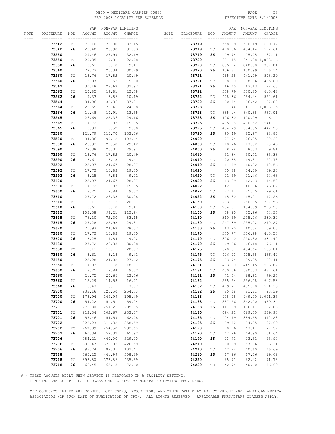# OHIO - MEDICARE CARRIER 00883 PAGE 58 FSY 2003 LOCALITY FEE SCHEDULE

|      |           |                             |        | PAR NON-PAR LIMITING  |        |                      |           |                             |        | PAR NON-PAR LIMITING |                 |
|------|-----------|-----------------------------|--------|-----------------------|--------|----------------------|-----------|-----------------------------|--------|----------------------|-----------------|
| NOTE | PROCEDURE | MOD                         | AMOUNT | AMOUNT                | CHARGE | NOTE                 | PROCEDURE | MOD                         | AMOUNT | AMOUNT               | CHARGE          |
|      | --------- | --- --                      |        | __ _________ ________ |        | $\cdots\cdots\cdots$ | --------- | --- --                      |        | --- ---------------  |                 |
|      | 73542     | ТC                          | 76.10  | 72.30                 | 83.15  |                      | 73719     |                             | 558.09 | 530.19               | 609.72          |
|      | 73542     | 26                          | 28.40  | 26.98                 | 31.03  |                      | 73719     | ТC                          | 478.36 | 454.44               | 522.61          |
|      | 73550     |                             | 29.46  | 27.99                 | 32.19  |                      | 73719     | 26                          | 79.74  | 75.75                | 87.11           |
|      |           |                             | 20.85  |                       |        |                      |           |                             | 991.45 |                      | 941.88 1,083.16 |
|      | 73550     | $\protect\operatorname{TC}$ |        | 19.81                 | 22.78  |                      | 73720     |                             |        |                      |                 |
|      | 73550     | 26                          | 8.61   | 8.18                  | 9.41   |                      | 73720     | ТC                          | 885.14 | 840.88               | 967.01          |
|      | 73560     |                             | 27.73  | 26.34                 | 30.29  |                      | 73720     | 26                          | 106.31 | 100.99               | 116.14          |
|      | 73560     | ТC                          | 18.76  | 17.82                 | 20.49  |                      | 73721     |                             | 465.25 | 441.99               | 508.29          |
|      | 73560     | 26                          | 8.97   | 8.52                  | 9.80   |                      | 73721     | ТC                          | 398.80 | 378.86               | 435.69          |
|      | 73562     |                             | 30.18  | 28.67                 | 32.97  |                      | 73721     | 26                          | 66.45  | 63.13                | 72.60           |
|      | 73562     | $\protect\operatorname{TC}$ | 20.85  | 19.81                 | 22.78  |                      | 73722     |                             | 558.79 | 530.85               | 610.48          |
|      | 73562     | 26                          | 9.33   | 8.86                  | 10.19  |                      | 73722     | ТC                          | 478.36 | 454.44               | 522.61          |
|      | 73564     |                             | 34.06  | 32.36                 | 37.21  |                      | 73722     | 26                          | 80.44  | 76.42                | 87.88           |
|      | 73564     | ТC                          | 22.59  | 21.46                 | 24.68  |                      | 73723     |                             | 991.44 |                      | 941.87 1,083.15 |
|      | 73564     | 26                          | 11.48  | 10.91                 | 12.55  |                      | 73723     | ТC                          | 885.14 | 840.88               | 967.01          |
|      | 73565     |                             | 26.69  | 25.36                 | 29.16  |                      | 73723     | 26                          | 106.30 | 100.99               | 116.14          |
|      | 73565     | ТC                          | 17.72  | 16.83                 | 19.35  |                      | 73725     |                             | 495.28 | 470.52               | 541.10          |
|      |           |                             |        |                       |        |                      |           |                             |        |                      |                 |
|      | 73565     | 26                          | 8.97   | 8.52                  | 9.80   |                      | 73725     | ТC                          | 404.79 | 384.55               | 442.23          |
|      | 73580     |                             | 121.79 | 115.70                | 133.06 |                      | 73725     | 26                          | 90.49  | 85.97                | 98.87           |
|      | 73580     | ТC                          | 94.86  | 90.12                 | 103.64 |                      | 74000     |                             | 27.74  | 26.35                | 30.30           |
|      | 73580     | 26                          | 26.93  | 25.58                 | 29.42  |                      | 74000     | ТC                          | 18.76  | 17.82                | 20.49           |
|      | 73590     |                             | 27.38  | 26.01                 | 29.91  |                      | 74000     | 26                          | 8.98   | 8.53                 | 9.81            |
|      | 73590     | ТC                          | 18.76  | 17.82                 | 20.49  |                      | 74010     |                             | 32.34  | 30.72                | 35.33           |
|      | 73590     | 26                          | 8.61   | 8.18                  | 9.41   |                      | 74010     | ТC                          | 20.85  | 19.81                | 22.78           |
|      | 73592     |                             | 25.97  | 24.67                 | 28.37  |                      | 74010     | 26                          | 11.49  | 10.92                | 12.56           |
|      | 73592     | ТC                          | 17.72  | 16.83                 | 19.35  |                      | 74020     |                             | 35.88  | 34.09                | 39.20           |
|      | 73592     | 26                          | 8.25   | 7.84                  | 9.02   |                      | 74020     | ТC                          | 22.59  | 21.46                | 24.68           |
|      | 73600     |                             | 25.97  | 24.67                 | 28.37  |                      | 74020     | 26                          | 13.29  | 12.63                | 14.52           |
|      | 73600     | ТC                          | 17.72  | 16.83                 | 19.35  |                      | 74022     |                             | 42.91  | 40.76                | 46.87           |
|      |           |                             |        |                       |        |                      |           |                             |        |                      |                 |
|      | 73600     | 26                          | 8.25   | 7.84                  | 9.02   |                      | 74022     | ТC                          | 27.11  | 25.75                | 29.61           |
|      | 73610     |                             | 27.72  | 26.33                 | 30.28  |                      | 74022     | 26                          | 15.80  | 15.01                | 17.26           |
|      | 73610     | ТC                          | 19.11  | 18.15                 | 20.87  |                      | 74150     |                             | 263.21 | 250.05               | 287.56          |
|      | 73610     | 26                          | 8.61   | 8.18                  | 9.41   |                      | 74150     | ТC                          | 204.31 | 194.09               | 223.20          |
|      | 73615     |                             | 103.38 | 98.21                 | 112.94 |                      | 74150     | 26                          | 58.90  | 55.96                | 64.35           |
|      | 73615     | ТC                          | 76.10  | 72.30                 | 83.15  |                      | 74160     |                             | 310.59 | 295.06               | 339.32          |
|      | 73615     | 26                          | 27.28  | 25.92                 | 29.81  |                      | 74160     | ТC                          | 247.39 | 235.02               | 270.27          |
|      | 73620     |                             | 25.97  | 24.67                 | 28.37  |                      | 74160     | 26                          | 63.20  | 60.04                | 69.05           |
|      | 73620     | ТC                          | 17.72  | 16.83                 | 19.35  |                      | 74170     |                             | 375.77 | 356.98               | 410.53          |
|      | 73620     | 26                          | 8.25   | 7.84                  | 9.02   |                      | 74170     | ТC                          | 306.10 | 290.80               | 334.42          |
|      | 73630     |                             | 27.72  | 26.33                 | 30.28  |                      | 74170     | 26                          | 69.66  | 66.18                | 76.11           |
|      | 73630     | ТC                          | 19.11  | 18.15                 | 20.87  |                      | 74175     |                             | 520.67 | 494.64               | 568.84          |
|      | 73630     | 26                          | 8.61   | 8.18                  | 9.41   |                      | 74175     | ТC                          | 426.93 | 405.58               | 466.42          |
|      | 73650     |                             | 25.28  | 24.02                 | 27.62  |                      | 74175     | 26                          | 93.74  | 89.05                | 102.41          |
|      | 73650     | ТC                          | 17.03  | 16.18                 | 18.61  |                      | 74181     |                             | 473.10 | 449.45               | 516.87          |
|      | 73650     | 26                          | 8.25   | 7.84                  | 9.02   |                      | 74181     | TC                          | 400.56 | 380.53               | 437.61          |
|      | 73660     |                             | 21.75  | 20.66                 | 23.76  |                      | 74181     | 26                          | 72.54  | 68.91                | 79.25           |
|      | 73660     |                             | 15.29  | 14.53                 | 16.71  |                      | 74182     |                             | 565.24 | 536.98               | 617.53          |
|      |           | ТC                          |        |                       |        |                      |           |                             |        |                      |                 |
|      | 73660     | 26                          | 6.47   | 6.15                  | 7.07   |                      | 74182     | ТC                          | 479.77 | 455.78               | 524.15          |
|      | 73700     |                             | 233.16 | 221.50                | 254.73 |                      | 74182     | 26                          | 85.48  | 81.21                | 93.39           |
|      | 73700     | ТC                          | 178.94 | 169.99                | 195.49 |                      | 74183     |                             | 998.95 |                      | 949.00 1,091.35 |
|      | 73700     | 26                          | 54.22  | 51.51                 | 59.24  |                      | 74183     | ТC                          | 887.26 | 842.90               | 969.34          |
|      | 73701     |                             | 270.80 | 257.26                | 295.85 |                      | 74183     | 26                          | 111.69 | 106.11               | 122.03          |
|      | 73701     | ТC                          | 213.34 | 202.67                | 233.07 |                      | 74185     |                             | 494.21 | 469.50               | 539.93          |
|      | 73701     | 26                          | 57.46  | 54.59                 | 62.78  |                      | 74185     | ТC                          | 404.79 | 384.55               | 442.23          |
|      | 73702     |                             | 328.23 | 311.82                | 358.59 |                      | 74185     | 26                          | 89.42  | 84.95                | 97.69           |
|      | 73702     | TC                          | 267.89 | 254.50                | 292.68 |                      | 74190     |                             | 70.96  | 67.41                | 77.52           |
|      | 73702     | 26                          | 60.34  | 57.32                 | 65.92  |                      | 74190     | ТC                          | 47.26  | 44.90                | 51.64           |
|      | 73706     |                             | 484.21 | 460.00                | 529.00 |                      | 74190     | 26                          | 23.71  | 22.52                | 25.90           |
|      | 73706     | ТC                          | 390.47 | 370.95                | 426.59 |                      | 74210     |                             | 60.69  | 57.66                | 66.31           |
|      | 73706     | 26                          | 93.74  | 89.05                 | 102.41 |                      | 74210     | $\protect\operatorname{TC}$ | 42.74  | 40.60                | 46.69           |
|      | 73718     |                             | 465.25 | 441.99                | 508.29 |                      | 74210     | 26                          | 17.96  | 17.06                | 19.62           |
|      | 73718     | ТC                          | 398.80 | 378.86                | 435.69 |                      | 74220     |                             | 65.71  | 62.42                | 71.78           |
|      | 73718     | 26                          | 66.45  | 63.13                 | 72.60  |                      | 74220     | ТC                          | 42.74  | 40.60                | 46.69           |
|      |           |                             |        |                       |        |                      |           |                             |        |                      |                 |

# - THESE AMOUNTS APPLY WHEN SERVICE IS PERFORMED IN A FACILITY SETTING.

LIMITING CHARGE APPLIES TO UNASSIGNED CLAIMS BY NON-PARTICIPATING PROVIDERS.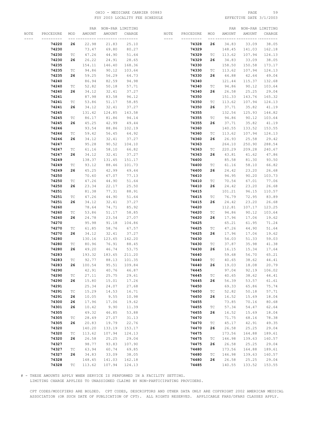# OHIO - MEDICARE CARRIER 00883 PAGE 59 FSY 2003 LOCALITY FEE SCHEDULE

|      |           |                             |        | PAR NON-PAR LIMITING |               |                      |           |                             |            | PAR NON-PAR LIMITING |        |
|------|-----------|-----------------------------|--------|----------------------|---------------|----------------------|-----------|-----------------------------|------------|----------------------|--------|
| NOTE | PROCEDURE | MOD                         | AMOUNT | AMOUNT               | CHARGE        | NOTE                 | PROCEDURE | MOD                         | AMOUNT     | AMOUNT               | CHARGE |
|      |           |                             |        |                      | -- ---------- | $\cdots\cdots\cdots$ | --------- |                             | --- ------ |                      |        |
|      | 74220     | 26                          | 22.98  | 21.83                | 25.10         |                      | 74328     | 26                          | 34.83      | 33.09                | 38.05  |
|      | 74230     |                             | 73.47  |                      |               |                      | 74329     |                             |            |                      |        |
|      |           |                             |        | 69.80                | 80.27         |                      |           |                             | 148.45     | 141.03               | 162.18 |
|      | 74230     | TC                          | 47.26  | 44.90                | 51.64         |                      | 74329     | ТC                          | 113.62     | 107.94               | 124.13 |
|      | 74230     | 26                          | 26.22  | 24.91                | 28.65         |                      | 74329     | 26                          | 34.83      | 33.09                | 38.05  |
|      | 74235     |                             | 154.11 | 146.40               | 168.36        |                      | 74330     |                             | 158.50     | 150.58               | 173.17 |
|      | 74235     | TC                          | 94.86  | 90.12                | 103.64        |                      | 74330     | ТC                          | 113.62     | 107.94               | 124.13 |
|      | 74235     | 26                          | 59.25  | 56.29                | 64.73         |                      | 74330     | 26                          | 44.88      | 42.64                | 49.04  |
|      | 74240     |                             | 86.94  | 82.59                | 94.98         |                      | 74340     |                             | 121.44     | 115.37               | 132.68 |
|      | 74240     | ТC                          | 52.82  | 50.18                | 57.71         |                      | 74340     | TC                          | 94.86      | 90.12                | 103.64 |
|      | 74240     | 26                          | 34.12  | 32.41                | 37.27         |                      | 74340     | 26                          | 26.58      | 25.25                | 29.04  |
|      | 74241     |                             | 87.98  | 83.58                | 96.12         |                      | 74350     |                             | 151.33     | 143.76               | 165.32 |
|      | 74241     | ТC                          | 53.86  | 51.17                | 58.85         |                      | 74350     | ТC                          | 113.62     | 107.94               | 124.13 |
|      | 74241     | 26                          | 34.12  | 32.41                | 37.27         |                      | 74350     | 26                          | 37.71      | 35.82                | 41.19  |
|      |           |                             |        |                      |               |                      |           |                             |            |                      |        |
|      | 74245     |                             | 131.42 | 124.85               | 143.58        |                      | 74355     |                             | 132.56     | 125.93               | 144.82 |
|      | 74245     | ТC                          | 86.17  | 81.86                | 94.14         |                      | 74355     | ТC                          | 94.86      | 90.12                | 103.64 |
|      | 74245     | 26                          | 45.25  | 42.99                | 49.44         |                      | 74355     | 26                          | 37.71      | 35.82                | 41.19  |
|      | 74246     |                             | 93.54  | 88.86                | 102.19        |                      | 74360     |                             | 140.55     | 133.52               | 153.55 |
|      | 74246     | ТC                          | 59.42  | 56.45                | 64.92         |                      | 74360     | ТC                          | 113.62     | 107.94               | 124.13 |
|      | 74246     | 26                          | 34.12  | 32.41                | 37.27         |                      | 74360     | 26                          | 26.93      | 25.58                | 29.42  |
|      | 74247     |                             | 95.28  | 90.52                | 104.10        |                      | 74363     |                             | 264.10     | 250.90               | 288.54 |
|      | 74247     | ТC                          | 61.16  | 58.10                | 66.82         |                      | 74363     | ТC                          | 220.29     | 209.28               | 240.67 |
|      | 74247     | 26                          | 34.12  | 32.41                | 37.27         |                      | 74363     | 26                          | 43.81      | 41.62                | 47.86  |
|      | 74249     |                             | 138.37 | 131.45               | 151.17        |                      | 74400     |                             | 85.58      | 81.30                | 93.50  |
|      | 74249     | ТC                          | 93.12  | 88.46                | 101.73        |                      | 74400     | ТC                          | 61.16      | 58.10                | 66.82  |
|      | 74249     | 26                          | 45.25  | 42.99                | 49.44         |                      | 74400     | 26                          | 24.42      | 23.20                | 26.68  |
|      |           |                             |        |                      |               |                      |           |                             |            |                      |        |
|      | 74250     |                             | 70.60  | 67.07                | 77.13         |                      | 74410     |                             | 94.95      | 90.20                | 103.73 |
|      | 74250     | ТC                          | 47.26  | 44.90                | 51.64         |                      | 74410     | ТC                          | 70.54      | 67.01                | 77.06  |
|      | 74250     | 26                          | 23.34  | 22.17                | 25.50         |                      | 74410     | 26                          | 24.42      | 23.20                | 26.68  |
|      | 74251     |                             | 81.38  | 77.31                | 88.91         |                      | 74415     |                             | 101.21     | 96.15                | 110.57 |
|      | 74251     | ТC                          | 47.26  | 44.90                | 51.64         |                      | 74415     | ТC                          | 76.79      | 72.95                | 83.89  |
|      | 74251     | 26                          | 34.12  | 32.41                | 37.27         |                      | 74415     | 26                          | 24.42      | 23.20                | 26.68  |
|      | 74260     |                             | 78.64  | 74.71                | 85.92         |                      | 74420     |                             | 112.81     | 107.17               | 123.25 |
|      | 74260     | ТC                          | 53.86  | 51.17                | 58.85         |                      | 74420     | ТC                          | 94.86      | 90.12                | 103.64 |
|      | 74260     | 26                          | 24.78  | 23.54                | 27.07         |                      | 74420     | 26                          | 17.96      | 17.06                | 19.62  |
|      | 74270     |                             | 95.98  | 91.18                | 104.86        |                      | 74425     |                             | 65.21      | 61.95                | 71.24  |
|      | 74270     | ТC                          | 61.85  | 58.76                | 67.57         |                      | 74425     | $\protect\operatorname{TC}$ | 47.26      | 44.90                | 51.64  |
|      | 74270     | 26                          | 34.12  | 32.41                | 37.27         |                      | 74425     | 26                          | 17.96      | 17.06                | 19.62  |
|      | 74280     |                             | 130.16 | 123.65               | 142.20        |                      | 74430     |                             | 54.03      | 51.33                | 59.03  |
|      | 74280     | TC                          | 80.96  | 76.91                | 88.45         |                      | 74430     | ТC                          | 37.87      | 35.98                | 41.38  |
|      | 74280     | 26                          | 49.20  | 46.74                | 53.75         |                      | 74430     | 26                          | 16.15      | 15.34                | 17.64  |
|      |           |                             | 193.32 | 183.65               | 211.20        |                      | 74440     |                             |            | 56.70                |        |
|      | 74283     |                             |        |                      |               |                      |           |                             | 59.68      |                      | 65.21  |
|      | 74283     | ТC                          | 92.77  | 88.13                | 101.35        |                      | 74440     | ТC                          | 40.65      | 38.62                | 44.41  |
|      | 74283     | 26                          | 100.54 | 95.51                | 109.84        |                      | 74440     | 26                          | 19.03      | 18.08                | 20.79  |
|      | 74290     |                             | 42.91  | 40.76                | 46.87         |                      | 74445     |                             | 97.04      | 92.19                | 106.02 |
|      | 74290     | ТC                          | 27.11  | 25.75                | 29.61         |                      | 74445     | ТC                          | 40.65      | 38.62                | 44.41  |
|      | 74290     | 26                          | 15.80  | 15.01                | 17.26         |                      | 74445     | 26                          | 56.39      | 53.57                | 61.61  |
|      | 74291     |                             | 25.34  | 24.07                | 27.68         |                      | 74450     |                             | 69.33      | 65.86                | 75.74  |
|      | 74291     | TC                          | 15.29  | 14.53                | 16.71         |                      | 74450     | $\protect\operatorname{TC}$ | 52.82      | 50.18                | 57.71  |
|      | 74291     | 26                          | 10.05  | 9.55                 | 10.98         |                      | 74450     | 26                          | 16.52      | 15.69                | 18.04  |
|      | 74300     | 26                          | 17.96  | 17.06                | 19.62         |                      | 74455     |                             | 73.85      | 70.16                | 80.68  |
|      | 74301     | 26                          | 10.42  | 9.90                 | 11.39         |                      | 74455     | $\protect\operatorname{TC}$ | 57.34      | 54.47                | 62.64  |
|      | 74305     |                             | 49.32  | 46.85                | 53.88         |                      | 74455     | 26                          | 16.52      | 15.69                | 18.04  |
|      | 74305     | ТC                          | 28.49  | 27.07                | 31.13         |                      | 74470     |                             | 71.75      | 68.16                | 78.38  |
|      | 74305     | 26                          | 20.83  | 19.79                | 22.76         |                      | 74470     | ТC                          | 45.17      | 42.91                | 49.35  |
|      | 74320     |                             | 140.20 | 133.19               | 153.17        |                      | 74470     | 26                          | 26.58      | 25.25                | 29.04  |
|      | 74320     | ТC                          | 113.62 | 107.94               | 124.13        |                      | 74475     |                             | 173.56     | 164.88               | 189.61 |
|      | 74320     | 26                          | 26.58  | 25.25                | 29.04         |                      | 74475     | $\protect\operatorname{TC}$ | 146.98     | 139.63               | 160.57 |
|      |           |                             | 98.77  |                      | 107.90        |                      | 74475     | 26                          |            |                      |        |
|      | 74327     |                             |        | 93.83                |               |                      |           |                             | 26.58      | 25.25                | 29.04  |
|      | 74327     | ТC                          | 63.94  | 60.74                | 69.85         |                      | 74480     |                             | 173.56     | 164.88               | 189.61 |
|      | 74327     | 26                          | 34.83  | 33.09                | 38.05         |                      | 74480     | ТC                          | 146.98     | 139.63               | 160.57 |
|      | 74328     |                             | 148.45 | 141.03               | 162.18        |                      | 74480     | 26                          | 26.58      | 25.25                | 29.04  |
|      | 74328     | $\protect\operatorname{TC}$ | 113.62 | 107.94               | 124.13        |                      | 74485     |                             | 140.55     | 133.52               | 153.55 |

# - THESE AMOUNTS APPLY WHEN SERVICE IS PERFORMED IN A FACILITY SETTING.

LIMITING CHARGE APPLIES TO UNASSIGNED CLAIMS BY NON-PARTICIPATING PROVIDERS.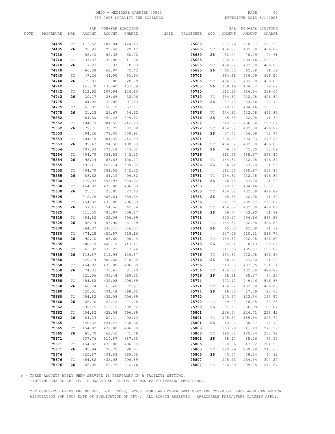# OHIO - MEDICARE CARRIER 00883 PAGE 60 FSY 2003 LOCALITY FEE SCHEDULE

|      |           |                             |        | PAR NON-PAR LIMITING  |                  |           |           |                             |        | PAR NON-PAR LIMITING |           |
|------|-----------|-----------------------------|--------|-----------------------|------------------|-----------|-----------|-----------------------------|--------|----------------------|-----------|
| NOTE | PROCEDURE | MOD                         | AMOUNT | AMOUNT                | CHARGE           | NOTE      | PROCEDURE | MOD                         | AMOUNT | AMOUNT               | CHARGE    |
|      |           | ----                        |        | __ _________ ________ |                  | $- - - -$ |           |                             |        |                      | --- ----- |
|      | 74485     | ТC                          | 113.62 | 107.94                | 124.13           |           | 75680     |                             | 537.76 | 510.87               | 587.50    |
|      | 74485     | 26                          | 26.93  | 25.58                 | 29.42            |           | 75680     | ТC                          | 454.82 | 432.08               | 496.89    |
|      | 74710     |                             | 55.10  | 52.35                 | 60.20            |           | 75680     | 26                          | 82.94  | 78.79                | 90.61     |
|      |           |                             |        |                       |                  |           |           |                             |        |                      |           |
|      | 74710     | ТC                          | 37.87  | 35.98                 | 41.38            |           | 75685     |                             | 520.17 | 494.16               | 568.28    |
|      | 74710     | 26                          | 17.23  | 16.37                 | 18.83            |           | 75685     | ТC                          | 454.82 | 432.08               | 496.89    |
|      | 74740     |                             | 66.28  | 62.97                 | 72.42            |           | 75685     | 26                          | 65.35  | 62.08                | 71.39     |
|      | 74740     | ТC                          | 47.26  | 44.90                 | 51.64            |           | 75705     |                             | 564.31 | 536.09               | 616.50    |
|      | 74740     | 26                          | 19.03  | 18.08                 | 20.79            |           | 75705     | ТC                          | 454.82 | 432.08               | 496.89    |
|      | 74742     |                             | 143.79 | 136.60                | 157.09           |           | 75705     | 26                          | 109.49 | 104.02               | 119.62    |
|      | 74742     | ТC                          | 113.62 | 107.94                | 124.13           |           | 75710     |                             | 512.25 | 486.64               | 559.64    |
|      | 74742     | 26                          | 30.17  | 28.66                 | 32.96            |           | 75710     | ТC                          | 454.82 | 432.08               | 496.89    |
|      | 74775     |                             | 84.05  | 79.85                 | 91.83            |           | 75710     | 26                          | 57.43  | 54.56                | 62.74     |
|      | 74775     | ТC                          | 52.82  | 50.18                 | 57.71            |           | 75716     |                             | 520.17 | 494.16               | 568.28    |
|      | 74775     | 26                          | 31.23  | 29.67                 | 34.12            |           | 75716     | TC                          | 454.82 | 432.08               | 496.89    |
|      | 75552     |                             | 484.50 | 460.28                | 529.32           |           | 75716     | 26                          | 65.35  | 62.08                | 71.39     |
|      |           |                             |        |                       |                  |           |           |                             |        |                      |           |
|      | 75552     | ТC                          | 404.79 | 384.55                | 442.23           |           | 75722     |                             | 512.25 | 486.64               | 559.64    |
|      | 75552     | 26                          | 79.71  | 75.72                 | 87.08            |           | 75722     | ТC                          | 454.82 | 432.08               | 496.89    |
|      | 75553     |                             | 504.26 | 479.05                | 550.91           |           | 75722     | 26                          | 57.43  | 54.56                | 62.74     |
|      | 75553     | ТC                          | 404.79 | 384.55                | 442.23           |           | 75724     |                             | 530.87 | 504.33               | 579.98    |
|      | 75553     | 26                          | 99.47  | 94.50                 | 108.68           |           | 75724     | ТC                          | 454.82 | 432.08               | 496.89    |
|      | 75554     |                             | 497.03 | 472.18                | 543.01           |           | 75724     | 26                          | 76.05  | 72.25                | 83.09     |
|      | 75554     | ТC                          | 404.79 | 384.55                | 442.23           |           | 75726     |                             | 511.55 | 485.97               | 558.87    |
|      | 75554     | 26                          | 92.24  | 87.63                 | 100.77           |           | 75726     | ТC                          | 454.82 | 432.08               | 496.89    |
|      | 75555     |                             | 493.41 | 468.74                | 539.05           |           | 75726     | 26                          | 56.74  | 53.90                | 61.99     |
|      | 75555     | ТC                          | 404.79 | 384.55                | 442.23           |           | 75731     |                             | 511.55 | 485.97               | 558.87    |
|      | 75555     | 26                          | 88.62  | 84.19                 | 96.82            |           | 75731     | ТC                          | 454.82 | 432.08               | 496.89    |
|      | 75600     |                             | 479.93 | 455.93                | 524.32           |           | 75731     | 26                          | 56.74  | 53.90                | 61.99     |
|      | 75600     |                             | 454.82 | 432.08                | 496.89           |           | 75733     |                             | 520.17 | 494.16               |           |
|      |           | ТC                          |        |                       |                  |           |           |                             |        |                      | 568.28    |
|      | 75600     | 26                          | 25.11  | 23.85                 | 27.43            |           | 75733     | TC                          | 454.82 | 432.08               | 496.89    |
|      | 75605     |                             | 512.25 | 486.64                | 559.64           |           | 75733     | 26                          | 65.35  | 62.08                | 71.39     |
|      | 75605     | ТC                          | 454.82 | 432.08                | 496.89           |           | 75736     |                             | 511.55 | 485.97               | 558.87    |
|      | 75605     | 26                          | 57.43  | 54.56                 | 62.74            |           | 75736     | ТC                          | 454.82 | 432.08               | 496.89    |
|      | 75625     |                             | 511.55 | 485.97                | 558.87           |           | 75736     | 26                          | 56.74  | 53.90                | 61.99     |
|      | 75625     | ТC                          | 454.82 | 432.08                | 496.89           |           | 75741     |                             | 520.17 | 494.16               | 568.28    |
|      | 75625     | 26                          | 56.74  | 53.90                 | 61.99            |           | 75741     | ТC                          | 454.82 | 432.08               | 496.89    |
|      | 75630     |                             | 564.37 | 536.15                | 616.57           |           | 75741     | 26                          | 65.35  | 62.08                | 71.39     |
|      | 75630     | ТC                          | 474.28 | 450.57                | 518.16           |           | 75743     |                             | 537.06 | 510.21               | 586.74    |
|      | 75630     | 26                          | 90.10  | 85.60                 | 98.44            |           | 75743     | ТC                          | 454.82 | 432.08               | 496.89    |
|      | 75635     |                             | 680.19 | 646.18                | 743.11           |           | 75743     | 26                          | 82.24  | 78.13                | 89.85     |
|      | 75635     | ТC                          | 561.32 | 533.25                | 613.24           |           | 75746     |                             | 511.55 | 485.97               | 558.87    |
|      | 75635     | 26                          | 118.87 | 112.93                | 129.87           |           | 75746     | ТC                          | 454.82 | 432.08               | 496.89    |
|      | 75650     |                             | 529.14 | 502.68                | 578.08           |           | 75746     | 26                          | 56.74  | 53.90                | 61.99     |
|      | 75650     | ТC                          | 454.82 | 432.08                | 496.89           |           | 75756     |                             | 513.63 | 487.95               | 561.14    |
|      | 75650     | 26                          | 74.33  | 70.61                 | 81.20            |           | 75756     | TC.                         | 454.82 | 432.08               | 496.89    |
|      |           |                             | 521.56 | 495.48                |                  |           |           |                             |        |                      | 64.25     |
|      | 75658     |                             |        |                       | 569.80<br>496.89 |           | 75756     | 26                          | 58.81  | 55.87                |           |
|      | 75658     | $\protect\operatorname{TC}$ | 454.82 | 432.08                |                  |           | 75774     |                             | 473.12 | 449.46               | 516.88    |
|      | 75658     | 26                          | 66.74  | 63.40                 | 72.91            |           | 75774     | ТC                          | 454.82 | 432.08               | 496.89    |
|      | 75660     |                             | 520.51 | 494.48                | 568.65           |           | 75774     | 26                          | 18.30  | 17.39                | 20.00     |
|      | 75660     | ТC                          | 454.82 | 432.08                | 496.89           |           | 75790     |                             | 140.57 | 133.54               | 153.57    |
|      | 75660     | 26                          | 65.70  | 62.42                 | 71.78            |           | 75790     | $\protect\operatorname{TC}$ | 49.00  | 46.55                | 53.53     |
|      | 75662     |                             | 539.15 | 512.19                | 589.02           |           | 75790     | 26                          | 91.57  | 86.99                | 100.04    |
|      | 75662     | ТC                          | 454.82 | 432.08                | 496.89           |           | 75801     |                             | 236.54 | 224.71               | 258.42    |
|      | 75662     | 26                          | 84.33  | 80.11                 | 92.13            |           | 75801     | ТC                          | 195.62 | 185.84               | 213.72    |
|      | 75665     |                             | 520.52 | 494.49                | 568.66           |           | 75801     | 26                          | 40.92  | 38.87                | 44.70     |
|      | 75665     | $\protect\operatorname{TC}$ | 454.82 | 432.08                | 496.89           |           | 75803     |                             | 253.79 | 241.10               | 277.27    |
|      | 75665     | 26                          | 65.70  | 62.42                 | 71.78            |           | 75803     | ТC                          | 195.62 | 185.84               | 213.72    |
|      | 75671     |                             | 537.76 | 510.87                | 587.50           |           | 75803     | 26                          | 58.17  | 55.26                | 63.55     |
|      | 75671     | ТC                          | 454.82 | 432.08                | 496.89           |           | 75805     |                             | 260.86 | 247.82               | 284.99    |
|      | 75671     | 26                          | 82.94  | 78.79                 | 90.61            |           | 75805     | ТC                          | 220.29 | 209.28               | 240.67    |
|      | 75676     |                             | 520.87 | 494.83                | 569.05           |           | 75805     | 26                          | 40.57  | 38.54                | 44.32     |
|      |           |                             |        |                       |                  |           |           |                             |        |                      |           |
|      | 75676     | $\protect\operatorname{TC}$ | 454.82 | 432.08                | 496.89           |           | 75807     |                             | 278.46 | 264.54               | 304.22    |
|      | 75676     | 26                          | 66.05  | 62.75                 | 72.16            |           | 75807     | ТC                          | 220.29 | 209.28               | 240.67    |

# - THESE AMOUNTS APPLY WHEN SERVICE IS PERFORMED IN A FACILITY SETTING.

LIMITING CHARGE APPLIES TO UNASSIGNED CLAIMS BY NON-PARTICIPATING PROVIDERS.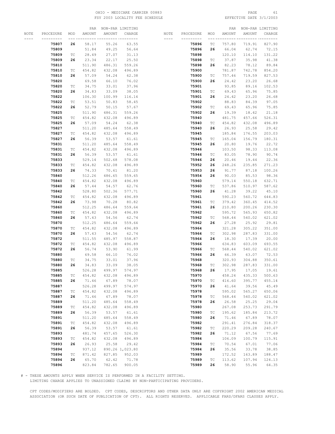# OHIO - MEDICARE CARRIER 00883 PAGE 61 FSY 2003 LOCALITY FEE SCHEDULE

|      |           |                             |        | PAR NON-PAR LIMITING |                 |           |           |                             |        | PAR NON-PAR LIMITING |        |
|------|-----------|-----------------------------|--------|----------------------|-----------------|-----------|-----------|-----------------------------|--------|----------------------|--------|
| NOTE | PROCEDURE | MOD                         | AMOUNT | AMOUNT               | CHARGE          | NOTE      | PROCEDURE | MOD                         | AMOUNT | <b>AMOUNT</b>        | CHARGE |
|      |           |                             |        |                      |                 | $- - - -$ |           | --- --                      |        |                      |        |
|      | 75807     | 26                          | 58.17  | 55.26                | 63.55           |           | 75896     | ТC                          | 757.80 | 719.91               | 827.90 |
|      | 75809     |                             | 51.84  | 49.25                | 56.64           |           | 75896     | 26                          | 66.04  | 62.74                | 72.15  |
|      | 75809     | ТC                          | 28.49  | 27.07                | 31.13           |           | 75898     |                             | 120.10 | 114.10               | 131.22 |
|      | 75809     | 26                          | 23.34  | 22.17                | 25.50           |           | 75898     | ТC                          | 37.87  | 35.98                | 41.38  |
|      | 75810     |                             | 511.90 | 486.31               | 559.26          |           | 75898     | 26                          | 82.23  | 78.12                | 89.84  |
|      | 75810     | ТC                          | 454.82 | 432.08               | 496.89          |           | 75900     |                             | 781.87 | 742.78               | 854.20 |
|      | 75810     | 26                          | 57.09  | 54.24                | 62.38           |           | 75900     | TC                          | 757.46 |                      | 827.53 |
|      |           |                             |        |                      |                 |           |           |                             |        | 719.59               |        |
|      | 75820     |                             | 69.58  | 66.10                | 76.02           |           | 75900     | 26                          | 24.42  | 23.20                | 26.68  |
|      | 75820     | ТC                          | 34.75  | 33.01                | 37.96           |           | 75901     |                             | 93.85  | 89.16                | 102.53 |
|      | 75820     | 26                          | 34.83  | 33.09                | 38.05           |           | 75901     | ТC                          | 69.43  | 65.96                | 75.85  |
|      | 75822     |                             | 106.30 | 100.99               | 116.14          |           | 75901     | 26                          | 24.42  | 23.20                | 26.68  |
|      | 75822     | TC                          | 53.51  | 50.83                | 58.45           |           | 75902     |                             | 88.83  | 84.39                | 97.05  |
|      | 75822     | 26                          | 52.79  | 50.15                | 57.67           |           | 75902     | ТC                          | 69.43  | 65.96                | 75.85  |
|      | 75825     |                             | 511.90 | 486.31               | 559.26          |           | 75902     | 26                          | 19.39  | 18.42                | 21.18  |
|      | 75825     | ТC                          | 454.82 | 432.08               | 496.89          |           | 75940     |                             | 481.75 | 457.66               | 526.31 |
|      | 75825     | 26                          | 57.09  | 54.24                | 62.38           |           | 75940     | ТC                          | 454.82 | 432.08               | 496.89 |
|      | 75827     |                             | 511.20 | 485.64               | 558.49          |           | 75940     | 26                          | 26.93  | 25.58                | 29.42  |
|      | 75827     | ТC                          | 454.82 | 432.08               | 496.89          |           | 75945     |                             | 185.84 | 176.55               | 203.03 |
|      | 75827     | 26                          | 56.39  | 53.57                | 61.61           |           | 75945     | ТC                          | 165.04 | 156.79               | 180.31 |
|      | 75831     |                             | 511.20 | 485.64               | 558.49          |           | 75945     | 26                          | 20.80  | 19.76                | 22.72  |
|      | 75831     | ТC                          | 454.82 | 432.08               | 496.89          |           | 75946     |                             | 103.50 | 98.33                | 113.08 |
|      |           | 26                          |        | 53.57                |                 |           |           | TC                          |        |                      |        |
|      | 75831     |                             | 56.39  |                      | 61.61           |           | 75946     |                             | 83.05  | 78.90                | 90.74  |
|      | 75833     |                             | 529.14 | 502.68               | 578.08          |           | 75946     | 26                          | 20.46  | 19.44                | 22.36  |
|      | 75833     | ТC                          | 454.82 | 432.08               | 496.89          |           | 75952     | 26                          | 248.26 | 235.85               | 271.23 |
|      | 75833     | 26                          | 74.33  | 70.61                | 81.20           |           | 75953     | 26                          | 91.77  | 87.18                | 100.26 |
|      | 75840     |                             | 512.26 | 486.65               | 559.65          |           | 75954     | 26                          | 90.03  | 85.53                | 98.36  |
|      | 75840     | TC                          | 454.82 | 432.08               | 496.89          |           | 75960     |                             | 579.14 | 550.18               | 632.71 |
|      | 75840     | 26                          | 57.44  | 54.57                | 62.76           |           | 75960     | ТC                          | 537.86 | 510.97               | 587.62 |
|      | 75842     |                             | 528.80 | 502.36               | 577.71          |           | 75960     | 26                          | 41.28  | 39.22                | 45.10  |
|      | 75842     | ТC                          | 454.82 | 432.08               | 496.89          |           | 75961     |                             | 590.23 | 560.72               | 644.83 |
|      | 75842     | 26                          | 73.98  | 70.28                | 80.82           |           | 75961     | ТC                          | 379.42 | 360.45               | 414.52 |
|      | 75860     |                             | 512.25 | 486.64               | 559.64          |           | 75961     | 26                          | 210.80 | 200.26               | 230.30 |
|      | 75860     | ТC                          | 454.82 | 432.08               | 496.89          |           | 75962     |                             | 595.72 | 565.93               | 650.82 |
|      | 75860     | 26                          | 57.43  | 54.56                | 62.74           |           | 75962     | TC                          | 568.44 | 540.02               | 621.02 |
|      | 75870     |                             | 512.25 | 486.64               | 559.64          |           | 75962     | 26                          | 27.28  | 25.92                | 29.81  |
|      | 75870     | ТC                          | 454.82 | 432.08               | 496.89          |           | 75964     |                             | 321.28 | 305.22               | 351.00 |
|      | 75870     | 26                          | 57.43  | 54.56                | 62.74           |           | 75964     | TC                          | 302.98 | 287.83               | 331.00 |
|      | 75872     |                             | 511.55 | 485.97               | 558.87          |           | 75964     | 26                          | 18.30  | 17.39                | 20.00  |
|      | 75872     |                             | 454.82 | 432.08               | 496.89          |           | 75966     |                             | 634.83 | 603.09               | 693.55 |
|      |           | ТC<br>26                    | 56.74  |                      |                 |           |           |                             |        |                      |        |
|      | 75872     |                             |        | 53.90                | 61.99           |           | 75966     | TC                          | 568.44 | 540.02               | 621.02 |
|      | 75880     |                             | 69.58  | 66.10                | 76.02           |           | 75966     | 26                          | 66.39  | 63.07                | 72.53  |
|      | 75880     | TC                          | 34.75  | 33.01                | 37.96           |           | 75968     |                             | 320.93 | 304.88               | 350.61 |
|      | 75880     | 26                          | 34.83  | 33.09                | 38.05           |           | 75968     | TC                          | 302.98 | 287.83               | 331.00 |
|      | 75885     |                             | 526.28 | 499.97               | 574.97          |           | 75968     | 26                          | 17.95  | 17.05                | 19.61  |
|      | 75885     | ТC                          | 454.82 | 432.08               | 496.89          |           | 75970     |                             | 458.24 | 435.33               | 500.63 |
|      | 75885     | 26                          | 71.46  | 67.89                | 78.07           |           | 75970     | ТC                          | 416.60 | 395.77               | 455.14 |
|      | 75887     |                             | 526.28 | 499.97               | 574.97          |           | 75970     | 26                          | 41.64  | 39.56                | 45.49  |
|      | 75887     | ТC                          | 454.82 | 432.08               | 496.89          |           | 75978     |                             | 595.02 | 565.27               | 650.06 |
|      | 75887     | 26                          | 71.46  | 67.89                | 78.07           |           | 75978     | ТC                          | 568.44 | 540.02               | 621.02 |
|      | 75889     |                             | 511.20 | 485.64               | 558.49          |           | 75978     | 26                          | 26.58  | 25.25                | 29.04  |
|      | 75889     | $\protect\operatorname{TC}$ | 454.82 | 432.08               | 496.89          |           | 75980     |                             | 267.08 | 253.73               | 291.79 |
|      | 75889     | 26                          | 56.39  | 53.57                | 61.61           |           | 75980     | ТC                          | 195.62 | 185.84               | 213.72 |
|      | 75891     |                             | 511.20 | 485.64               | 558.49          |           | 75980     | 26                          | 71.46  | 67.89                | 78.07  |
|      | 75891     | $\protect\operatorname{TC}$ | 454.82 | 432.08               | 496.89          |           | 75982     |                             | 291.41 | 276.84               | 318.37 |
|      | 75891     | 26                          | 56.39  | 53.57                | 61.61           |           | 75982     | ТC                          | 220.29 | 209.28               | 240.67 |
|      | 75893     |                             | 481.74 | 457.65               | 526.30          |           | 75982     | 26                          | 71.12  | 67.56                | 77.69  |
|      | 75893     | ТC                          | 454.82 | 432.08               | 496.89          |           | 75984     |                             | 106.09 | 100.79               | 115.91 |
|      | 75893     | 26                          | 26.93  | 25.58                | 29.42           |           | 75984     | ТC                          | 70.54  | 67.01                | 77.06  |
|      |           |                             |        |                      |                 |           |           | 26                          |        | 33.78                |        |
|      | 75894     |                             | 937.12 |                      | 890.26 1,023.80 |           | 75984     |                             | 35.56  |                      | 38.85  |
|      | 75894     | $\protect\operatorname{TC}$ | 871.42 | 827.85               | 952.03          |           | 75989     |                             | 172.52 | 163.89               | 188.47 |
|      | 75894     | 26                          | 65.70  | 62.42                | 71.78           |           | 75989     | $\protect\operatorname{TC}$ | 113.62 | 107.94               | 124.13 |
|      | 75896     |                             | 823.84 | 782.65               | 900.05          |           | 75989     | 26                          | 58.90  | 55.96                | 64.35  |

# - THESE AMOUNTS APPLY WHEN SERVICE IS PERFORMED IN A FACILITY SETTING.

LIMITING CHARGE APPLIES TO UNASSIGNED CLAIMS BY NON-PARTICIPATING PROVIDERS.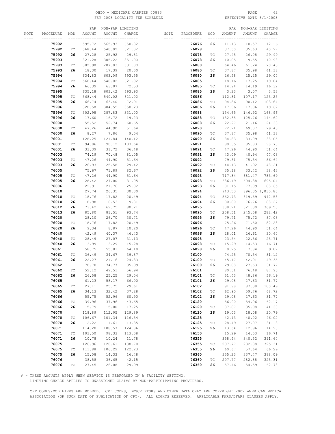# OHIO - MEDICARE CARRIER 00883 PAGE 62 FSY 2003 LOCALITY FEE SCHEDULE

|      |           |                             | PAR    | NON-PAR LIMITING |              |           |           |                             | PAR    |        | NON-PAR LIMITING |
|------|-----------|-----------------------------|--------|------------------|--------------|-----------|-----------|-----------------------------|--------|--------|------------------|
| NOTE | PROCEDURE | MOD                         | AMOUNT | AMOUNT           | CHARGE       | NOTE      | PROCEDURE | MOD                         | AMOUNT | AMOUNT | CHARGE           |
|      |           |                             |        |                  | -- --------- | $- - - -$ |           |                             |        |        |                  |
|      | 75992     |                             | 595.72 | 565.93           | 650.82       |           | 76076     | 26                          | 11.13  | 10.57  | 12.16            |
|      |           |                             |        |                  |              |           |           |                             |        |        |                  |
|      | 75992     | ТC                          | 568.44 | 540.02           | 621.02       |           | 76078     |                             | 37.50  | 35.63  | 40.97            |
|      | 75992     | 26                          | 27.28  | 25.92            | 29.81        |           | 76078     | ТC                          | 27.45  | 26.08  | 29.99            |
|      | 75993     |                             | 321.28 | 305.22           | 351.00       |           | 76078     | 26                          | 10.05  | 9.55   | 10.98            |
|      | 75993     | ТC                          | 302.98 | 287.83           | 331.00       |           | 76080     |                             | 64.46  | 61.24  | 70.43            |
|      | 75993     | 26                          | 18.30  | 17.39            | 20.00        |           | 76080     | ТC                          | 37.87  | 35.98  | 41.38            |
|      | 75994     |                             | 634.83 | 603.09           | 693.55       |           | 76080     | 26                          | 26.58  | 25.25  | 29.04            |
|      |           |                             |        |                  |              |           |           |                             |        |        |                  |
|      | 75994     | ТC                          | 568.44 | 540.02           | 621.02       |           | 76085     |                             | 18.16  | 17.25  | 19.84            |
|      | 75994     | 26                          | 66.39  | 63.07            | 72.53        |           | 76085     | ТC                          | 14.94  | 14.19  | 16.32            |
|      | 75995     |                             | 635.18 | 603.42           | 693.93       |           | 76085     | 26                          | 3.23   | 3.07   | 3.53             |
|      | 75995     | ТC                          | 568.44 | 540.02           | 621.02       |           | 76086     |                             | 112.81 | 107.17 | 123.25           |
|      | 75995     | 26                          | 66.74  | 63.40            | 72.91        |           | 76086     | ТC                          | 94.86  | 90.12  | 103.64           |
|      | 75996     |                             | 320.58 | 304.55           | 350.23       |           | 76086     | 26                          | 17.96  | 17.06  | 19.62            |
|      |           |                             |        |                  |              |           |           |                             |        |        |                  |
|      | 75996     | ТC                          | 302.98 | 287.83           | 331.00       |           | 76088     |                             | 154.65 | 146.92 | 168.96           |
|      | 75996     | 26                          | 17.60  | 16.72            | 19.23        |           | 76088     | ТC                          | 132.38 | 125.76 | 144.62           |
|      | 76000     |                             | 55.52  | 52.74            | 60.65        |           | 76088     | 26                          | 22.27  | 21.16  | 24.33            |
|      | 76000     | ТC                          | 47.26  | 44.90            | 51.64        |           | 76090     |                             | 72.71  | 69.07  | 79.43            |
|      | 76000     | 26                          | 8.27   | 7.86             | 9.04         |           | 76090     | ТC                          | 37.87  | 35.98  | 41.38            |
|      | 76001     |                             | 128.25 | 121.84           | 140.12       |           | 76090     | 26                          | 34.83  | 33.09  | 38.05            |
|      | 76001     | TС                          | 94.86  | 90.12            | 103.64       |           | 76091     |                             | 90.35  | 85.83  | 98.70            |
|      |           |                             |        |                  |              |           |           |                             |        |        |                  |
|      | 76001     | 26                          | 33.39  | 31.72            | 36.48        |           | 76091     | ТC                          | 47.26  | 44.90  | 51.64            |
|      | 76003     |                             | 74.19  | 70.48            | 81.05        |           | 76091     | 26                          | 43.09  | 40.94  | 47.08            |
|      | 76003     | ТC                          | 47.26  | 44.90            | 51.64        |           | 76092     |                             | 79.31  | 75.34  | 86.64            |
|      | 76003     | 26                          | 26.93  | 25.58            | 29.42        |           | 76092     | ТC                          | 44.13  | 41.92  | 48.21            |
|      | 76005     |                             | 75.67  | 71.89            | 82.67        |           | 76092     | 26                          | 35.18  | 33.42  | 38.43            |
|      | 76005     | ТC                          | 47.26  | 44.90            | 51.64        |           | 76093     |                             | 717.34 | 681.47 | 783.69           |
|      | 76005     | 26                          | 28.42  |                  | 31.05        |           | 76093     | ТC                          | 636.19 | 604.38 | 695.04           |
|      |           |                             |        | 27.00            |              |           |           |                             |        |        |                  |
|      | 76006     |                             | 22.91  | 21.76            | 25.02        |           | 76093     | 26                          | 81.15  | 77.09  | 88.65            |
|      | 76010     |                             | 27.74  | 26.35            | 30.30        |           | 76094     |                             | 943.53 |        | 896.35 1,030.80  |
|      | 76010     | TС                          | 18.76  | 17.82            | 20.49        |           | 76094     | ТC                          | 862.73 | 819.59 | 942.53           |
|      | 76010     | 26                          | 8.98   | 8.53             | 9.81         |           | 76094     | 26                          | 80.80  | 76.76  | 88.27            |
|      | 76012     | 26                          | 73.42  | 69.75            | 80.21        |           | 76095     |                             | 338.21 | 321.30 | 369.50           |
|      | 76013     | 26                          | 85.80  | 81.51            | 93.74        |           | 76095     | ТC                          | 258.51 | 245.58 | 282.42           |
|      |           |                             |        |                  |              |           |           |                             |        |        |                  |
|      | 76020     |                             | 28.10  | 26.70            | 30.71        |           | 76095     | 26                          | 79.71  | 75.72  | 87.08            |
|      | 76020     | TС                          | 18.76  | 17.82            | 20.49        |           | 76096     |                             | 75.26  | 71.50  | 82.23            |
|      | 76020     | 26                          | 9.34   | 8.87             | 10.20        |           | 76096     | ТC                          | 47.26  | 44.90  | 51.64            |
|      | 76040     |                             | 42.49  | 40.37            | 46.43        |           | 76096     | 26                          | 28.01  | 26.61  | 30.60            |
|      | 76040     | ТC                          | 28.49  | 27.07            | 31.13        |           | 76098     |                             | 23.54  | 22.36  | 25.71            |
|      | 76040     | 26                          | 13.99  | 13.29            | 15.28        |           | 76098     | ТC                          | 15.29  | 14.53  | 16.71            |
|      | 76061     |                             | 58.75  | 55.81            | 64.18        |           | 76098     | 26                          | 8.25   | 7.84   | 9.02             |
|      | 76061     | ТC                          | 36.49  | 34.67            | 39.87        |           | 76100     |                             | 74.25  | 70.54  | 81.12            |
|      |           |                             |        |                  |              |           |           |                             |        |        |                  |
|      | 76061     | 26                          | 22.27  | 21.16            | 24.33        |           | 76100     | ТC                          | 45.17  | 42.91  | 49.35            |
|      | 76062     |                             | 78.70  | 74.77            | 85.99        |           | 76100     | 26                          | 29.08  | 27.63  | 31.77            |
|      | 76062     | ТC                          | 52.12  | 49.51            | 56.94        |           | 76101     |                             | 80.51  | 76.48  | 87.95            |
|      | 76062     | 26                          | 26.58  | 25.25            | 29.04        |           | 76101     | ТC                          | 51.43  | 48.86  | 56.19            |
|      | 76065     |                             | 61.23  | 58.17            | 66.90        |           | 76101     | 26                          | 29.08  | 27.63  | 31.77            |
|      | 76065     | $\protect\operatorname{TC}$ | 27.11  | 25.75            | 29.61        |           | 76102     |                             | 91.98  | 87.38  | 100.49           |
|      | 76065     | 26                          | 34.13  | 32.42            | 37.28        |           | 76102     | $\protect\operatorname{TC}$ | 62.90  | 59.76  | 68.72            |
|      | 76066     |                             | 55.75  | 52.96            | 60.90        |           | 76102     | 26                          | 29.08  | 27.63  | 31.77            |
|      |           |                             |        |                  |              |           |           |                             |        |        |                  |
|      | 76066     | $\protect\operatorname{TC}$ | 39.96  | 37.96            | 43.65        |           | 76120     |                             | 56.90  | 54.06  | 62.17            |
|      | 76066     | 26                          | 15.79  | 15.00            | 17.25        |           | 76120     | $\protect\operatorname{TC}$ | 37.87  | 35.98  | 41.38            |
|      | 76070     |                             | 118.89 | 112.95           | 129.89       |           | 76120     | 26                          | 19.03  | 18.08  | 20.79            |
|      | 76070     | ТC                          | 106.67 | 101.34           | 116.54       |           | 76125     |                             | 42.13  | 40.02  | 46.02            |
|      | 76070     | 26                          | 12.22  | 11.61            | 13.35        |           | 76125     | $\protect\operatorname{TC}$ | 28.49  | 27.07  | 31.13            |
|      | 76071     |                             | 114.28 | 108.57           | 124.86       |           | 76125     | 26                          | 13.64  | 12.96  | 14.90            |
|      | 76071     | $\protect\operatorname{TC}$ | 103.50 | 98.33            | 113.08       |           | 76150     |                             | 15.29  | 14.53  | 16.71            |
|      | 76071     | 26                          |        |                  |              |           | 76355     |                             |        |        | 391.60           |
|      |           |                             | 10.78  | 10.24            | 11.78        |           |           |                             | 358.44 | 340.52 |                  |
|      | 76075     |                             | 126.96 | 120.61           | 138.70       |           | 76355     | ТC                          | 297.77 | 282.88 | 325.31           |
|      | 76075     | $\protect\operatorname{TC}$ | 111.88 | 106.29           | 122.23       |           | 76355     | 26                          | 60.67  | 57.64  | 66.29            |
|      | 76075     | 26                          | 15.08  | 14.33            | 16.48        |           | 76360     |                             | 355.23 | 337.47 | 388.09           |
|      | 76076     |                             | 38.58  | 36.65            | 42.15        |           | 76360     | $\protect\operatorname{TC}$ | 297.77 | 282.88 | 325.31           |
|      | 76076     | $\protect\operatorname{TC}$ | 27.45  | 26.08            | 29.99        |           | 76360     | 26                          | 57.46  | 54.59  | 62.78            |
|      |           |                             |        |                  |              |           |           |                             |        |        |                  |

# - THESE AMOUNTS APPLY WHEN SERVICE IS PERFORMED IN A FACILITY SETTING.

LIMITING CHARGE APPLIES TO UNASSIGNED CLAIMS BY NON-PARTICIPATING PROVIDERS.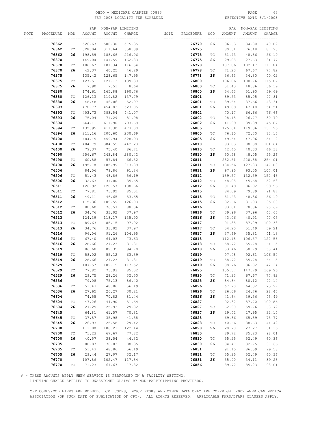# OHIO - MEDICARE CARRIER 00883 PAGE 63 FSY 2003 LOCALITY FEE SCHEDULE

|      |           |                             |        |        | PAR NON-PAR LIMITING    |           |           |                             |        | PAR NON-PAR LIMITING |        |
|------|-----------|-----------------------------|--------|--------|-------------------------|-----------|-----------|-----------------------------|--------|----------------------|--------|
| NOTE | PROCEDURE | MOD                         | AMOUNT | AMOUNT | CHARGE                  | NOTE      | PROCEDURE | MOD                         | AMOUNT | AMOUNT               | CHARGE |
|      |           |                             |        |        | ______ _________ ______ | $- - - -$ |           |                             |        |                      |        |
|      | 76362     |                             | 526.63 | 500.30 | 575.35                  |           | 76770     | 26                          | 36.63  | 34.80                | 40.02  |
|      | 76362     | TC                          | 328.04 | 311.64 | 358.39                  |           | 76775     |                             | 80.51  | 76.48                | 87.95  |
|      | 76362     | 26                          | 198.59 | 188.66 | 216.96                  |           | 76775     | ТC                          | 51.43  | 48.86                | 56.19  |
|      | 76370     |                             | 149.04 | 141.59 | 162.83                  |           | 76775     | 26                          | 29.08  | 27.63                | 31.77  |
|      | 76370     | ТC                          | 106.67 | 101.34 | 116.54                  |           | 76778     |                             | 107.86 | 102.47               | 117.84 |
|      | 76370     | 26                          | 42.37  | 40.25  | 46.29                   |           | 76778     | ТC                          | 71.23  | 67.67                | 77.82  |
|      | 76375     |                             | 135.42 | 128.65 | 147.95                  |           | 76778     | 26                          | 36.63  | 34.80                | 40.02  |
|      |           |                             |        |        |                         |           |           |                             |        |                      |        |
|      | 76375     | ТC                          | 127.51 | 121.13 | 139.30                  |           | 76800     |                             | 106.06 | 100.76               | 115.87 |
|      | 76375     | 26                          | 7.90   | 7.51   | 8.64                    |           | 76800     | ТC                          | 51.43  | 48.86                | 56.19  |
|      | 76380     |                             | 174.61 | 165.88 | 190.76                  |           | 76800     | 26                          | 54.63  | 51.90                | 59.69  |
|      | 76380     | ТC                          | 126.13 | 119.82 | 137.79                  |           | 76801     |                             | 89.53  | 85.05                | 97.81  |
|      | 76380     | 26                          | 48.48  | 46.06  | 52.97                   |           | 76801     | TC                          | 39.64  | 37.66                | 43.31  |
|      | 76393     |                             | 478.77 | 454.83 | 523.05                  |           | 76801     | 26                          | 49.89  | 47.40                | 54.51  |
|      | 76393     | ТC                          | 403.73 | 383.54 | 441.07                  |           | 76802     |                             | 70.17  | 66.66                | 76.66  |
|      | 76393     | 26                          | 75.04  | 71.29  | 81.98                   |           | 76802     | ТC                          | 28.18  | 26.77                | 30.79  |
|      | 76394     |                             | 644.11 | 611.90 | 703.69                  |           | 76802     | 26                          | 41.99  | 39.89                | 45.87  |
|      | 76394     | TC                          | 432.95 | 411.30 | 473.00                  |           | 76805     |                             | 125.64 | 119.36               | 137.26 |
|      | 76394     | 26                          | 211.16 | 200.60 | 230.69                  |           | 76805     | ТC                          | 76.10  | 72.30                | 83.15  |
|      | 76400     |                             | 484.15 | 459.94 | 528.93                  |           | 76805     | 26                          | 49.54  | 47.06                | 54.12  |
|      | 76400     | ТC                          | 404.79 | 384.55 | 442.23                  |           | 76810     |                             | 93.03  | 88.38                | 101.64 |
|      | 76400     | 26                          | 79.37  | 75.40  | 86.71                   |           | 76810     | ТC                          | 42.45  | 40.33                | 46.38  |
|      | 76490     |                             | 256.67 | 243.84 | 280.42                  |           | 76810     | 26                          | 50.58  | 48.05                | 55.26  |
|      | 76490     | ТC                          | 60.88  | 57.84  | 66.52                   |           | 76811     |                             | 232.51 | 220.88               | 254.01 |
|      | 76490     | 26                          | 195.78 | 185.99 | 213.89                  |           | 76811     | ТC                          | 134.56 | 127.83               | 147.00 |
|      | 76506     |                             | 84.06  | 79.86  | 91.84                   |           | 76811     | 26                          | 97.95  | 93.05                | 107.01 |
|      | 76506     | ТC                          | 51.43  | 48.86  | 56.19                   |           | 76812     |                             | 139.57 | 132.59               | 152.48 |
|      | 76506     | 26                          | 32.63  | 31.00  | 35.65                   |           | 76812     | TC                          | 48.08  | 45.68                | 52.53  |
|      | 76511     |                             | 126.92 | 120.57 | 138.66                  |           | 76812     | 26                          | 91.49  | 86.92                | 99.96  |
|      | 76511     |                             | 77.81  | 73.92  | 85.01                   |           | 76815     |                             | 84.09  | 79.89                | 91.87  |
|      |           | ТC<br>26                    |        |        |                         |           |           |                             |        |                      |        |
|      | 76511     |                             | 49.11  | 46.65  | 53.65                   |           | 76815     | ТC                          | 51.43  | 48.86                | 56.19  |
|      | 76512     |                             | 115.36 | 109.59 | 126.03                  |           | 76815     | 26                          | 32.66  | 31.03                | 35.68  |
|      | 76512     | ТC                          | 80.60  | 76.57  | 88.06                   |           | 76816     |                             | 83.01  | 78.86                | 90.69  |
|      | 76512     | 26                          | 34.76  | 33.02  | 37.97                   |           | 76816     | ТC                          | 39.96  | 37.96                | 43.65  |
|      | 76513     |                             | 124.39 | 118.17 | 135.90                  |           | 76816     | 26                          | 43.06  | 40.91                | 47.05  |
|      | 76513     | ТC                          | 89.63  | 85.15  | 97.92                   |           | 76817     |                             | 91.88  | 87.29                | 100.38 |
|      | 76513     | 26                          | 34.76  | 33.02  | 37.97                   |           | 76817     | ТC                          | 54.20  | 51.49                | 59.21  |
|      | 76516     |                             | 96.06  | 91.26  | 104.95                  |           | 76817     | 26                          | 37.69  | 35.81                | 41.18  |
|      | 76516     | ТC                          | 67.40  | 64.03  | 73.63                   |           | 76818     |                             | 112.18 | 106.57               | 122.56 |
|      | 76516     | 26                          | 28.66  | 27.23  | 31.31                   |           | 76818     | ТC                          | 58.72  | 55.78                | 64.15  |
|      | 76519     |                             | 86.68  | 82.35  | 94.70                   |           | 76818     | 26                          | 53.46  | 50.79                | 58.41  |
|      | 76519     | ТC                          | 58.02  | 55.12  | 63.39                   |           | 76819     |                             | 97.48  | 92.61                | 106.50 |
|      | 76519     | 26                          | 28.66  | 27.23  | 31.31                   |           | 76819     | ТC                          | 58.72  | 55.78                | 64.15  |
|      | 76529     |                             | 107.57 | 102.19 | 117.52                  |           | 76819     | 26                          | 38.76  | 36.82                | 42.34  |
|      | 76529     | $\protect\operatorname{TC}$ | 77.82  | 73.93  | 85.02                   |           | 76825     |                             | 155.57 | 147.79 169.96        |        |
|      | 76529     | 26                          | 29.75  | 28.26  | 32.50                   |           | 76825     | TС                          | 71.23  | 67.67                | 77.82  |
|      | 76536     |                             | 79.08  | 75.13  | 86.40                   |           | 76825     | 26                          | 84.34  | 80.12                | 92.14  |
|      | 76536     | ТC                          | 51.43  | 48.86  | 56.19                   |           | 76826     |                             | 67.70  | 64.32                | 73.97  |
|      | 76536     | 26                          | 27.65  | 26.27  | 30.21                   |           | 76826     | $\protect\operatorname{TC}$ | 26.06  | 24.76                | 28.47  |
|      | 76604     |                             | 74.55  | 70.82  | 81.44                   |           | 76826     | 26                          | 41.64  | 39.56                | 45.49  |
|      | 76604     | $\protect\operatorname{TC}$ | 47.26  | 44.90  | 51.64                   |           | 76827     |                             | 92.32  | 87.70                | 100.86 |
|      | 76604     | 26                          | 27.29  | 25.93  | 29.82                   |           | 76827     | ТC                          | 62.90  | 59.76                | 68.72  |
|      | 76645     |                             | 64.81  | 61.57  | 70.81                   |           | 76827     | 26                          | 29.42  | 27.95                | 32.14  |
|      | 76645     | $\protect\operatorname{TC}$ | 37.87  | 35.98  | 41.38                   |           | 76828     |                             | 69.36  | 65.89                | 75.77  |
|      | 76645     | 26                          | 26.93  | 25.58  | 29.42                   |           | 76828     | $\protect\operatorname{TC}$ | 40.66  | 38.63                | 44.42  |
|      | 76700     |                             | 111.80 | 106.21 | 122.14                  |           | 76828     | 26                          | 28.70  | 27.27                | 31.36  |
|      | 76700     | ТC                          | 71.23  | 67.67  | 77.82                   |           | 76830     |                             | 89.72  | 85.23                | 98.01  |
|      | 76700     | 26                          | 40.57  | 38.54  | 44.32                   |           | 76830     | ТC                          | 55.25  | 52.49                | 60.36  |
|      | 76705     |                             | 80.87  | 76.83  | 88.35                   |           | 76830     | 26                          | 34.47  | 32.75                | 37.66  |
|      | 76705     | $\protect\operatorname{TC}$ | 51.43  | 48.86  | 56.19                   |           | 76831     |                             | 91.15  | 86.59                | 99.58  |
|      | 76705     | 26                          | 29.44  | 27.97  | 32.17                   |           | 76831     | TС                          | 55.25  | 52.49                | 60.36  |
|      | 76770     |                             | 107.86 | 102.47 | 117.84                  |           | 76831     | 26                          | 35.90  | 34.11                | 39.23  |
|      | 76770     | $\protect\operatorname{TC}$ | 71.23  | 67.67  | 77.82                   |           | 76856     |                             | 89.72  | 85.23                | 98.01  |

# - THESE AMOUNTS APPLY WHEN SERVICE IS PERFORMED IN A FACILITY SETTING.

LIMITING CHARGE APPLIES TO UNASSIGNED CLAIMS BY NON-PARTICIPATING PROVIDERS.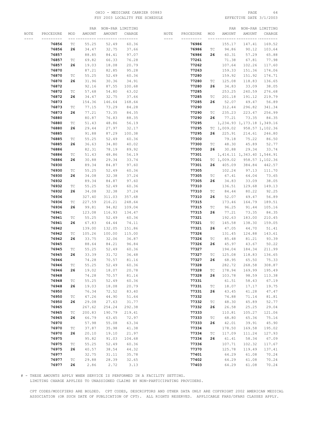# OHIO - MEDICARE CARRIER 00883 PAGE 64 FSY 2003 LOCALITY FEE SCHEDULE

|      |           |                             |        | PAR NON-PAR LIMITING |              |          |           |                             | PAR    |                               | NON-PAR LIMITING |
|------|-----------|-----------------------------|--------|----------------------|--------------|----------|-----------|-----------------------------|--------|-------------------------------|------------------|
| NOTE | PROCEDURE | MOD                         | AMOUNT | AMOUNT               | CHARGE       | NOTE     | PROCEDURE | MOD                         | AMOUNT | AMOUNT                        | CHARGE           |
|      |           |                             |        |                      | -- --------- | $\cdots$ | --------- |                             |        |                               |                  |
|      | 76856     | ТC                          | 55.25  | 52.49                | 60.36        |          | 76986     |                             | 155.17 | 147.41                        | 169.52           |
|      | 76856     | 26                          | 34.47  | 32.75                | 37.66        |          | 76986     | ТC                          | 94.86  | 90.12                         | 103.64           |
|      | 76857     |                             | 88.85  | 84.41                | 97.07        |          | 76986     | 26                          | 60.31  | 57.29                         | 65.88            |
|      | 76857     |                             | 69.82  | 66.33                | 76.28        |          | 77261     |                             | 71.38  | 67.81                         | 77.98            |
|      |           | ТC                          |        |                      |              |          |           |                             |        |                               |                  |
|      | 76857     | 26                          | 19.03  | 18.08                | 20.79        |          | 77262     |                             | 107.64 | 102.26                        | 117.60           |
|      | 76870     |                             | 87.21  | 82.85                | 95.28        |          | 77263     |                             | 159.33 | 151.36                        | 174.06           |
|      | 76870     | ТC                          | 55.25  | 52.49                | 60.36        |          | 77280     |                             | 159.92 | 151.92                        | 174.71           |
|      | 76870     | 26                          | 31.96  | 30.36                | 34.91        |          | 77280     | ТC                          | 125.08 | 118.83                        | 136.65           |
|      | 76872     |                             | 92.16  | 87.55                | 100.68       |          | 77280     | 26                          | 34.83  | 33.09                         | 38.05            |
|      | 76872     | ТC                          | 57.68  | 54.80                | 63.02        |          | 77285     |                             | 253.25 | 240.59                        | 276.68           |
|      | 76872     | 26                          | 34.47  | 32.75                | 37.66        |          | 77285     | ТC                          | 201.18 | 191.12                        | 219.79           |
|      | 76873     |                             | 154.36 | 146.64               | 168.64       |          | 77285     | 26                          | 52.07  | 49.47                         | 56.89            |
|      | 76873     | ТC                          | 77.15  | 73.29                | 84.28        |          | 77290     |                             | 312.44 | 296.82                        | 341.34           |
|      | 76873     | 26                          | 77.21  | 73.35                | 84.35        |          | 77290     | TC                          | 235.23 | 223.47                        | 256.99           |
|      | 76880     |                             | 80.87  | 76.83                | 88.35        |          | 77290     | 26                          | 77.21  | 73.35                         | 84.35            |
|      | 76880     | ТC                          | 51.43  | 48.86                | 56.19        |          | 77295     |                             |        | 1,234.93 1,173.18 1,349.16    |                  |
|      | 76880     | 26                          | 29.44  | 27.97                | 32.17        |          | 77295     |                             |        | TC 1,009.02 958.57 1,102.36   |                  |
|      | 76885     |                             | 91.88  | 87.29                | 100.38       |          | 77295     |                             |        | 26 225.91 214.61 246.80       |                  |
|      | 76885     | ТC                          | 55.25  | 52.49                | 60.36        |          | 77300     |                             | 79.18  | 75.22                         | 86.50            |
|      |           |                             |        |                      |              |          |           |                             |        |                               |                  |
|      | 76885     | 26                          | 36.63  | 34.80                | 40.02        |          | 77300     | TC                          | 48.30  | 45.89                         | 52.77            |
|      | 76886     |                             | 82.31  | 78.19                | 89.92        |          | 77300     | 26                          | 30.88  | 29.34                         | 33.74            |
|      | 76886     | ТC                          | 51.43  | 48.86                | 56.19        |          | 77301     |                             |        | 1, 414.11 1, 343.40 1, 544.91 |                  |
|      | 76886     | 26                          | 30.88  | 29.34                | 33.74        |          | 77301     |                             |        | TC 1,009.02 958.57 1,102.36   |                  |
|      | 76930     |                             | 89.34  | 84.87                | 97.60        |          | 77301     | 26                          | 405.09 | 384.84                        | 442.57           |
|      | 76930     | ТC                          | 55.25  | 52.49                | 60.36        |          | 77305     |                             | 102.24 | 97.13                         | 111.70           |
|      | 76930     | 26                          | 34.08  | 32.38                | 37.24        |          | 77305     | ТC                          | 67.41  | 64.04                         | 73.65            |
|      | 76932     |                             | 89.34  | 84.87                | 97.60        |          | 77305     | 26                          | 34.83  | 33.09                         | 38.05            |
|      | 76932     | ТC                          | 55.25  | 52.49                | 60.36        |          | 77310     |                             | 136.51 | 129.68                        | 149.13           |
|      | 76932     | 26                          | 34.08  | 32.38                | 37.24        |          | 77310     | TC                          | 84.44  | 80.22                         | 92.25            |
|      | 76936     |                             | 327.40 | 311.03               | 357.68       |          | 77310     | 26                          | 52.07  | 49.47                         | 56.89            |
|      | 76936     | ТC                          | 227.59 | 216.21               | 248.64       |          | 77315     |                             | 173.46 | 164.79                        | 189.51           |
|      | 76936     | 26                          | 99.81  | 94.82                | 109.04       |          | 77315     | ТC                          | 96.25  | 91.44                         | 105.16           |
|      | 76941     |                             | 123.08 | 116.93               | 134.47       |          | 77315     | 26                          | 77.21  | 73.35                         | 84.35            |
|      | 76941     | ТC                          | 55.25  | 52.49                | 60.36        |          | 77321     |                             | 192.63 | 183.00                        | 210.45           |
|      | 76941     | 26                          | 67.83  | 64.44                | 74.11        |          | 77321     | ТC                          | 145.58 | 138.30                        | 159.05           |
|      | 76942     |                             | 139.00 | 132.05               | 151.86       |          | 77321     | 26                          | 47.05  | 44.70                         | 51.41            |
|      | 76942     | ТC                          | 105.26 | 100.00               | 115.00       |          | 77326     |                             | 131.45 | 124.88                        | 143.61           |
|      |           |                             | 33.75  |                      |              |          |           |                             |        |                               |                  |
|      | 76942     | 26                          |        | 32.06                | 36.87        |          | 77326     | ТC                          | 85.48  | 81.21                         | 93.39            |
|      | 76945     |                             | 88.64  | 84.21                | 96.84        |          | 77326     | 26                          | 45.97  | 43.67                         | 50.22            |
|      | 76945     | ТC                          | 55.25  | 52.49                | 60.36        |          | 77327     |                             | 194.04 | 184.34                        | 211.99           |
|      | 76945     | 26                          | 33.39  | 31.72                | 36.48        |          | 77327     | ТC                          | 125.08 | 118.83                        | 136.65           |
|      | 76946     |                             | 74.28  | 70.57                | 81.16        |          | 77327     | 26                          | 68.95  | 65.50                         | 75.33            |
|      | 76946     | ТC                          | 55.25  | 52.49                | 60.36        |          | 77328     |                             | 282.72 | 268.58                        | 308.87           |
|      | 76946     | 26                          | 19.02  | 18.07                | 20.78        |          | 77328     | ТC                          | 178.94 | 169.99                        | 195.49           |
|      | 76948     |                             | 74.28  | 70.57                | 81.16        |          | 77328     | 26                          | 103.78 | 98.59                         | 113.38           |
|      | 76948     | $\protect\operatorname{TC}$ | 55.25  | 52.49                | 60.36        |          | 77331     |                             | 61.51  | 58.43                         | 67.19            |
|      | 76948     | 26                          | 19.03  | 18.08                | 20.79        |          | 77331     | $\protect\operatorname{TC}$ | 18.07  | 17.17                         | 19.75            |
|      | 76950     |                             | 76.34  | 72.52                | 83.40        |          | 77331     | 26                          | 43.45  | 41.28                         | 47.47            |
|      | 76950     | ТC                          | 47.26  | 44.90                | 51.64        |          | 77332     |                             | 74.88  | 71.14                         | 81.81            |
|      | 76950     | 26                          | 29.08  | 27.63                | 31.77        |          | 77332     | ТC                          | 48.30  | 45.89                         | 52.77            |
|      | 76965     |                             | 267.62 | 254.24               | 292.38       |          | 77332     | 26                          | 26.58  | 25.25                         | 29.04            |
|      | 76965     | ТC                          | 200.83 | 190.79               | 219.41       |          | 77333     |                             | 110.81 | 105.27                        | 121.06           |
|      | 76965     | 26                          | 66.79  | 63.45                | 72.97        |          | 77333     | ТC                          | 68.80  | 65.36                         | 75.16            |
|      | 76970     |                             | 57.98  | 55.08                | 63.34        |          | 77333     | 26                          | 42.01  | 39.91                         | 45.90            |
|      | 76970     | $\protect\operatorname{TC}$ | 37.87  | 35.98                | 41.38        |          | 77334     |                             | 178.50 | 169.58                        | 195.02           |
|      | 76970     | 26                          | 20.10  | 19.10                | 21.97        |          | 77334     | $\protect\operatorname{TC}$ | 117.09 | 111.24                        | 127.93           |
|      | 76975     |                             | 95.82  | 91.03                | 104.68       |          | 77334     | 26                          | 61.41  | 58.34                         | 67.09            |
|      | 76975     | $\protect\operatorname{TC}$ | 55.25  | 52.49                | 60.36        |          | 77336     |                             | 107.71 | 102.32                        | 117.67           |
|      |           |                             |        |                      |              |          |           |                             |        |                               |                  |
|      | 76975     | 26                          | 40.57  | 38.54                | 44.32        |          | 77370     |                             | 125.78 | 119.49                        | 137.41           |
|      | 76977     |                             | 32.75  | 31.11                | 35.78        |          | 77401     |                             | 64.29  | 61.08                         | 70.24            |
|      | 76977     | $\protect\operatorname{TC}$ | 29.88  | 28.39                | 32.65        |          | 77402     |                             | 64.29  | 61.08                         | 70.24            |
|      | 76977     | 26                          | 2.86   | 2.72                 | 3.13         |          | 77403     |                             | 64.29  | 61.08                         | 70.24            |

# - THESE AMOUNTS APPLY WHEN SERVICE IS PERFORMED IN A FACILITY SETTING.

LIMITING CHARGE APPLIES TO UNASSIGNED CLAIMS BY NON-PARTICIPATING PROVIDERS.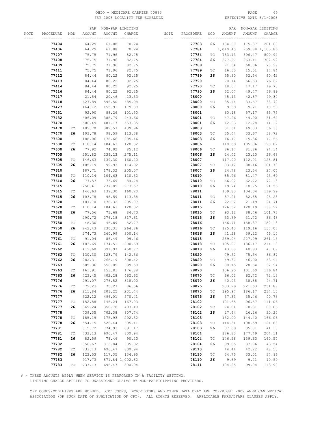# OHIO - MEDICARE CARRIER 00883 PAGE 65 FSY 2003 LOCALITY FEE SCHEDULE

|      |           |                             |        | PAR NON-PAR LIMITING    |                 |      |           |                             |          | PAR NON-PAR LIMITING |                 |
|------|-----------|-----------------------------|--------|-------------------------|-----------------|------|-----------|-----------------------------|----------|----------------------|-----------------|
| NOTE | PROCEDURE | MOD                         | AMOUNT | AMOUNT                  | CHARGE          | NOTE | PROCEDURE | MOD                         | AMOUNT   | AMOUNT               | CHARGE          |
|      |           |                             |        | -- ---------- --------- |                 |      |           |                             |          |                      |                 |
|      | 77404     |                             | 64.29  | 61.08                   | 70.24           |      | 77783     | 26                          | 184.60   | 175.37               | 201.68          |
|      | 77406     |                             | 64.29  | 61.08                   | 70.24           |      | 77784     |                             | 1,010.40 |                      | 959.88 1,103.86 |
|      | 77407     |                             | 75.75  |                         |                 |      |           |                             |          |                      |                 |
|      |           |                             |        | 71.96                   | 82.75           |      | 77784     | TC                          | 733.13   | 696.47               | 800.94          |
|      | 77408     |                             | 75.75  | 71.96                   | 82.75           |      | 77784     | 26                          | 277.27   | 263.41               | 302.92          |
|      | 77409     |                             | 75.75  | 71.96                   | 82.75           |      | 77789     |                             | 71.64    | 68.06                | 78.27           |
|      | 77411     |                             | 75.75  | 71.96                   | 82.75           |      | 77789     | ТC                          | 16.33    | 15.51                | 17.84           |
|      | 77412     |                             | 84.44  | 80.22                   | 92.25           |      | 77789     | 26                          | 55.30    | 52.54                | 60.42           |
|      | 77413     |                             | 84.44  | 80.22                   | 92.25           |      | 77790     |                             | 70.14    | 66.63                | 76.62           |
|      | 77414     |                             | 84.44  | 80.22                   | 92.25           |      | 77790     | TC                          | 18.07    | 17.17                | 19.75           |
|      | 77416     |                             | 84.44  | 80.22                   | 92.25           |      | 77790     | 26                          | 52.07    | 49.47                | 56.89           |
|      | 77417     |                             | 21.54  | 20.46                   | 23.53           |      | 78000     |                             | 45.13    | 42.87                | 49.30           |
|      | 77418     |                             | 627.89 | 596.50                  | 685.98          |      | 78000     | ТC                          | 35.44    | 33.67                | 38.72           |
|      |           |                             |        |                         |                 |      |           |                             |          |                      |                 |
|      | 77427     |                             | 164.12 | 155.91                  | 179.30          |      | 78000     | 26                          | 9.69     | 9.21                 | 10.59           |
|      | 77431     |                             | 92.90  | 88.26                   | 101.50          |      | 78001     |                             | 60.18    | 57.17                | 65.75           |
|      | 77432     |                             | 406.09 | 385.79                  | 443.66          |      | 78001     | ТC                          | 47.26    | 44.90                | 51.64           |
|      | 77470     |                             | 506.49 | 481.17                  | 553.35          |      | 78001     | 26                          | 12.93    | 12.28                | 14.12           |
|      | 77470     | TC                          | 402.70 | 382.57                  | 439.96          |      | 78003     |                             | 51.61    | 49.03                | 56.38           |
|      | 77470     | 26                          | 103.78 | 98.59                   | 113.38          |      | 78003     | ТC                          | 35.44    | 33.67                | 38.72           |
|      | 77600     |                             | 188.06 | 178.66                  | 205.46          |      | 78003     | 26                          | 16.17    | 15.36                | 17.66           |
|      | 77600     | ТC                          | 110.14 | 104.63                  | 120.32          |      | 78006     |                             | 110.59   | 105.06               | 120.82          |
|      | 77600     | 26                          | 77.92  | 74.02                   | 85.12           |      | 78006     | ТC                          | 86.17    | 81.86                | 94.14           |
|      |           |                             |        |                         |                 |      |           |                             |          |                      |                 |
|      | 77605     |                             | 251.82 | 239.23                  | 275.11          |      | 78006     | 26                          | 24.42    | 23.20                | 26.68           |
|      | 77605     | ТC                          | 146.63 | 139.30                  | 160.20          |      | 78007     |                             | 117.90   | 112.01               | 128.81          |
|      | 77605     | 26                          | 105.19 | 99.93                   | 114.92          |      | 78007     | ТC                          | 93.12    | 88.46                | 101.73          |
|      | 77610     |                             | 187.71 | 178.32                  | 205.07          |      | 78007     | 26                          | 24.78    | 23.54                | 27.07           |
|      | 77610     | TC                          | 110.14 | 104.63                  | 120.32          |      | 78010     |                             | 85.76    | 81.47                | 93.69           |
|      | 77610     | 26                          | 77.57  | 73.69                   | 84.74           |      | 78010     | ТC                          | 66.02    | 62.72                | 72.13           |
|      | 77615     |                             | 250.41 | 237.89                  | 273.57          |      | 78010     | 26                          | 19.74    | 18.75                | 21.56           |
|      | 77615     | TC                          | 146.63 | 139.30                  | 160.20          |      | 78011     |                             | 109.83   | 104.34               | 119.99          |
|      | 77615     | 26                          | 103.78 | 98.59                   | 113.38          |      | 78011     | ТC                          | 87.21    | 82.85                | 95.28           |
|      | 77620     |                             | 187.70 | 178.32                  | 205.07          |      | 78011     | 26                          | 22.62    | 21.49                | 24.71           |
|      |           |                             |        |                         |                 |      |           |                             |          |                      |                 |
|      | 77620     | TC                          | 110.14 | 104.63                  | 120.32          |      | 78015     |                             | 126.52   | 120.19               | 138.22          |
|      | 77620     | 26                          | 77.56  | 73.68                   | 84.73           |      | 78015     | ТC                          | 93.12    | 88.46                | 101.73          |
|      | 77750     |                             | 290.72 | 276.18                  | 317.61          |      | 78015     | 26                          | 33.39    | 31.72                | 36.48           |
|      | 77750     | ТC                          | 48.30  | 45.89                   | 52.77           |      | 78016     |                             | 166.71   | 158.37               | 182.13          |
|      | 77750     | 26                          | 242.43 | 230.31                  | 264.86          |      | 78016     | ТC                          | 125.43   | 119.16               | 137.03          |
|      | 77761     |                             | 274.73 | 260.99                  | 300.14          |      | 78016     | 26                          | 41.28    | 39.22                | 45.10           |
|      | 77761     | ТC                          | 91.04  | 86.49                   | 99.46           |      | 78018     |                             | 239.04   | 227.09               | 261.15          |
|      | 77761     | 26                          | 183.69 | 174.51                  | 200.69          |      | 78018     | TC                          | 195.97   | 186.17               | 214.10          |
|      | 77762     |                             | 412.60 | 391.97                  | 450.77          |      | 78018     | 26                          | 43.08    | 40.93                | 47.07           |
|      | 77762     | TC                          | 130.30 | 123.79                  | 142.36          |      | 78020     |                             | 79.52    | 75.54                | 86.87           |
|      | 77762     | 26                          | 282.31 | 268.19                  | 308.42          |      | 78020     | ТC                          | 49.37    | 46.90                | 53.94           |
|      | 77763     |                             | 585.36 | 556.09                  | 639.50          |      | 78020     | 26                          | 30.15    | 28.64                | 32.94           |
|      | 77763     | TC                          | 161.91 | 153.81                  | 176.88          |      | 78070     |                             | 106.95   | 101.60               | 116.84          |
|      | 77763     | 26                          | 423.45 | 402.28                  | 462.62          |      | 78070     |                             | 66.02    | 62.72                | 72.13           |
|      | 77776     |                             |        |                         |                 |      |           | ТC                          |          |                      |                 |
|      |           |                             | 291.07 | 276.52                  | 318.00          |      | 78070     | 26                          | 40.93    | 38.88                | 44.71           |
|      | 77776     | ТC                          | 79.23  | 75.27                   | 86.56           |      | 78075     |                             | 233.29   | 221.63               | 254.87          |
|      | 77776     | 26                          | 211.84 | 201.25                  | 231.44          |      | 78075     | ТC                          | 195.97   | 186.17               | 214.10          |
|      | 77777     |                             | 522.12 | 496.01                  | 570.41          |      | 78075     | 26                          | 37.33    | 35.46                | 40.78           |
|      | 77777     | $\protect\operatorname{TC}$ | 152.88 | 145.24                  | 167.03          |      | 78102     |                             | 101.65   | 96.57                | 111.06          |
|      | 77777     | 26                          | 369.24 | 350.78                  | 403.40          |      | 78102     | $\protect\operatorname{TC}$ | 74.01    | 70.31                | 80.86           |
|      | 77778     |                             | 739.35 | 702.38                  | 807.74          |      | 78102     | 26                          | 27.64    | 26.26                | 30.20           |
|      | 77778     | TC                          | 185.19 | 175.93                  | 202.32          |      | 78103     |                             | 152.00   | 144.40               | 166.06          |
|      | 77778     | 26                          | 554.15 | 526.44                  | 605.41          |      | 78103     | ТC                          | 114.31   | 108.59               | 124.88          |
|      | 77781     |                             | 815.72 | 774.93                  | 891.17          |      | 78103     | 26                          | 37.69    | 35.81                | 41.18           |
|      | 77781     | TC                          | 733.13 | 696.47                  | 800.94          |      | 78104     |                             | 186.83   | 177.49               | 204.11          |
|      |           |                             |        |                         |                 |      |           |                             |          |                      |                 |
|      | 77781     | 26                          | 82.59  | 78.46                   | 90.23           |      | 78104     | $\protect\operatorname{TC}$ | 146.98   | 139.63               | 160.57          |
|      | 77782     |                             | 856.67 | 813.84                  | 935.92          |      | 78104     | 26                          | 39.85    | 37.86                | 43.54           |
|      | 77782     | TC                          | 733.13 | 696.47                  | 800.94          |      | 78110     |                             | 44.44    | 42.22                | 48.55           |
|      | 77782     | 26                          | 123.53 | 117.35                  | 134.95          |      | 78110     | $\protect\operatorname{TC}$ | 34.75    | 33.01                | 37.96           |
|      | 77783     |                             | 917.73 |                         | 871.84 1,002.62 |      | 78110     | 26                          | 9.69     | 9.21                 | 10.59           |
|      | 77783     | ТC                          | 733.13 | 696.47                  | 800.94          |      | 78111     |                             | 104.25   | 99.04                | 113.90          |

# - THESE AMOUNTS APPLY WHEN SERVICE IS PERFORMED IN A FACILITY SETTING.

LIMITING CHARGE APPLIES TO UNASSIGNED CLAIMS BY NON-PARTICIPATING PROVIDERS.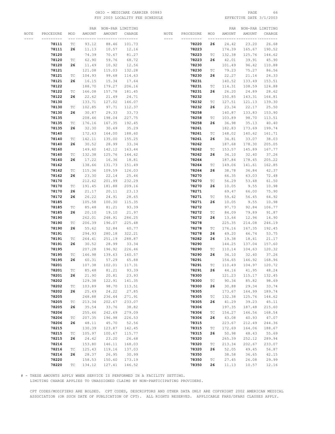# OHIO - MEDICARE CARRIER 00883 PAGE 66 FSY 2003 LOCALITY FEE SCHEDULE

|      |           |                             |        | PAR NON-PAR LIMITING |              |                      |           |                             |        | PAR NON-PAR LIMITING |        |
|------|-----------|-----------------------------|--------|----------------------|--------------|----------------------|-----------|-----------------------------|--------|----------------------|--------|
| NOTE | PROCEDURE | MOD                         | AMOUNT | AMOUNT               | CHARGE       | NOTE                 | PROCEDURE | MOD                         | AMOUNT | AMOUNT               | CHARGE |
|      |           | --- --                      |        |                      | -- --------- | $\cdots\cdots\cdots$ | --------- |                             |        |                      |        |
|      | 78111     | ТC                          | 93.12  | 88.46                | 101.73       |                      | 78220     | 26                          | 24.42  | 23.20                | 26.68  |
|      | 78111     | 26                          | 11.13  | 10.57                | 12.16        |                      | 78223     |                             | 174.39 | 165.67               | 190.52 |
|      | 78120     |                             | 74.39  | 70.67                | 81.27        |                      | 78223     | ТC                          | 132.38 | 125.76               | 144.62 |
|      |           |                             |        |                      |              |                      |           |                             |        |                      |        |
|      | 78120     | ТC                          | 62.90  | 59.76                | 68.72        |                      | 78223     | 26                          | 42.01  | 39.91                | 45.90  |
|      | 78120     | 26                          | 11.49  | 10.92                | 12.56        |                      | 78230     |                             | 101.49 | 96.42                | 110.88 |
|      | 78121     |                             | 121.08 | 115.03               | 132.28       |                      | 78230     | ТC                          | 79.23  | 75.27                | 86.56  |
|      | 78121     | ТC                          | 104.93 | 99.68                | 114.63       |                      | 78230     | 26                          | 22.27  | 21.16                | 24.33  |
|      | 78121     | 26                          | 16.15  | 15.34                | 17.64        |                      | 78231     |                             | 140.52 | 133.49               | 153.51 |
|      | 78122     |                             | 188.70 | 179.27               | 206.16       |                      | 78231     | TC                          | 114.31 | 108.59               | 124.88 |
|      | 78122     | ТC                          | 166.08 | 157.78               | 181.45       |                      | 78231     | 26                          | 26.20  | 24.89                | 28.62  |
|      | 78122     | 26                          | 22.62  | 21.49                | 24.71        |                      | 78232     |                             | 150.85 | 143.31               | 164.81 |
|      | 78130     |                             | 133.71 | 127.02               | 146.07       |                      | 78232     | ТC                          | 127.51 | 121.13               | 139.30 |
|      | 78130     | ТC                          | 102.85 | 97.71                | 112.37       |                      | 78232     | 26                          | 23.34  | 22.17                | 25.50  |
|      | 78130     | 26                          | 30.87  | 29.33                | 33.73        |                      | 78258     |                             | 140.87 | 133.83               | 153.90 |
|      | 78135     |                             | 208.46 | 198.04               | 227.75       |                      | 78258     | ТC                          | 103.89 | 98.70                | 113.51 |
|      | 78135     | ТC                          | 176.16 | 167.35               | 192.45       |                      | 78258     | 26                          | 36.98  | 35.13                | 40.40  |
|      | 78135     | 26                          | 32.30  | 30.69                | 35.29        |                      | 78261     |                             | 182.83 | 173.69               | 199.74 |
|      | 78140     |                             | 172.63 | 164.00               | 188.60       |                      | 78261     | ТC                          | 148.02 | 140.62               | 161.71 |
|      | 78140     | ТC                          | 142.11 | 135.00               | 155.25       |                      | 78261     | 26                          | 34.81  | 33.07                | 38.03  |
|      | 78140     | 26                          | 30.52  | 28.99                | 33.34        |                      | 78262     |                             | 187.68 | 178.30               | 205.05 |
|      |           |                             |        | 142.12               | 163.44       |                      | 78262     | ТC                          |        |                      | 167.77 |
|      | 78160     |                             | 149.60 |                      |              |                      |           | 26                          | 153.57 | 145.89               |        |
|      | 78160     | ТC                          | 132.38 | 125.76               | 144.62       |                      | 78262     |                             | 34.10  | 32.40                | 37.26  |
|      | 78160     | 26                          | 17.22  | 16.36                | 18.81        |                      | 78264     |                             | 187.84 | 178.45               | 205.22 |
|      | 78162     |                             | 138.66 | 131.73               | 151.49       |                      | 78264     | TC                          | 149.06 | 141.61               | 162.85 |
|      | 78162     | ТC                          | 115.36 | 109.59               | 126.03       |                      | 78264     | 26                          | 38.78  | 36.84                | 42.37  |
|      | 78162     | 26                          | 23.30  | 22.14                | 25.46        |                      | 78270     |                             | 66.35  | 63.03                | 72.48  |
|      | 78170     |                             | 212.62 | 201.99               | 232.29       |                      | 78270     | ТC                          | 56.29  | 53.48                | 61.50  |
|      | 78170     | ТC                          | 191.45 | 181.88               | 209.16       |                      | 78270     | 26                          | 10.05  | 9.55                 | 10.98  |
|      | 78170     | 26                          | 21.17  | 20.11                | 23.13        |                      | 78271     |                             | 69.47  | 66.00                | 75.90  |
|      | 78172     | 26                          | 26.22  | 24.91                | 28.65        |                      | 78271     | ТC                          | 59.42  | 56.45                | 64.92  |
|      | 78185     |                             | 105.58 | 100.30               | 115.35       |                      | 78271     | 26                          | 10.05  | 9.55                 | 10.98  |
|      | 78185     | ТC                          | 85.48  | 81.21                | 93.39        |                      | 78272     |                             | 97.73  | 92.84                | 106.77 |
|      | 78185     | 26                          | 20.10  | 19.10                | 21.97        |                      | 78272     | ТC                          | 84.09  | 79.89                | 91.87  |
|      | 78190     |                             | 262.01 | 248.91               | 286.25       |                      | 78272     | 26                          | 13.64  | 12.96                | 14.90  |
|      | 78190     | ТC                          | 206.39 | 196.07               | 225.48       |                      | 78278     |                             | 225.35 | 214.08               | 246.19 |
|      | 78190     | 26                          | 55.62  | 52.84                | 60.77        |                      | 78278     | ТC                          | 176.16 | 167.35               | 192.45 |
|      | 78191     |                             | 294.93 | 280.18               | 322.21       |                      | 78278     | 26                          | 49.20  | 46.74                | 53.75  |
|      | 78191     | ТC                          | 264.41 | 251.19               | 288.87       |                      | 78282     | 26                          | 19.38  | 18.41                | 21.17  |
|      | 78191     | 26                          | 30.52  | 28.99                | 33.34        |                      | 78290     |                             | 144.25 | 137.04               | 157.60 |
|      | 78195     |                             | 207.28 | 196.92               | 226.46       |                      | 78290     | ТC                          | 110.14 | 104.63               | 120.32 |
|      | 78195     | ТC                          | 146.98 | 139.63               | 160.57       |                      | 78290     | 26                          | 34.10  | 32.40                | 37.26  |
|      | 78195     | 26                          | 60.31  | 57.29                | 65.88        |                      | 78291     |                             | 154.65 | 146.92               | 168.96 |
|      | 78201     |                             | 107.38 | 102.01               | 117.31       |                      | 78291     | ТC                          | 110.49 | 104.97               | 120.72 |
|      | 78201     | ТC                          | 85.48  | 81.21                | 93.39        |                      | 78291     | 26                          | 44.16  | 41.95                | 48.24  |
|      | 78201     | 26                          | 21.90  | 20.81                | 23.93        |                      | 78300     |                             | 121.23 | 115.17               | 132.45 |
|      | 78202     |                             | 129.38 | 122.91               | 141.35       |                      | 78300     | ТC                          | 90.34  | 85.82                | 98.69  |
|      | 78202     | $\protect\operatorname{TC}$ | 103.89 | 98.70                | 113.51       |                      | 78300     | 26                          | 30.88  | 29.34                | 33.74  |
|      | 78202     | 26                          | 25.49  | 24.22                | 27.85        |                      | 78305     |                             | 173.67 | 164.99               | 189.74 |
|      | 78205     |                             | 248.88 | 236.44               | 271.91       |                      | 78305     | ТC                          | 132.38 | 125.76               | 144.62 |
|      | 78205     | ТC                          | 213.34 | 202.67               | 233.07       |                      | 78305     | 26                          | 41.29  | 39.23                | 45.11  |
|      | 78205     | 26                          | 35.54  | 33.76                | 38.82        |                      | 78306     |                             | 197.35 | 187.48               | 215.60 |
|      | 78206     |                             | 255.46 | 242.69               | 279.09       |                      | 78306     | ТC                          | 154.27 | 146.56               | 168.54 |
|      | 78206     | $\protect\operatorname{TC}$ | 207.35 | 196.98               | 226.53       |                      | 78306     | 26                          | 43.08  | 40.93                | 47.07  |
|      | 78206     | 26                          | 48.11  | 45.70                | 52.56        |                      | 78315     |                             | 223.67 | 212.49               | 244.36 |
|      | 78215     |                             | 130.39 | 123.87               | 142.45       |                      | 78315     | ТC                          | 172.69 | 164.06               | 188.67 |
|      | 78215     | ТC                          | 105.97 | 100.67               | 115.77       |                      | 78315     | 26                          | 50.98  | 48.43                | 55.69  |
|      | 78215     | 26                          | 24.42  | 23.20                | 26.68        |                      | 78320     |                             | 265.39 | 252.12               | 289.94 |
|      | 78216     |                             | 153.80 | 146.11               | 168.03       |                      | 78320     | ТC                          | 213.34 | 202.67               | 233.07 |
|      | 78216     | ТC                          | 125.43 | 119.16               | 137.03       |                      | 78320     | 26                          | 52.05  | 49.45                | 56.87  |
|      | 78216     | 26                          | 28.37  | 26.95                | 30.99        |                      | 78350     |                             | 38.58  | 36.65                | 42.15  |
|      | 78220     |                             | 158.53 | 150.60               | 173.19       |                      | 78350     | $\protect\operatorname{TC}$ | 27.45  | 26.08                | 29.99  |
|      | 78220     | TC                          | 134.12 | 127.41               | 146.52       |                      | 78350     | 26                          | 11.13  | 10.57                | 12.16  |
|      |           |                             |        |                      |              |                      |           |                             |        |                      |        |

# - THESE AMOUNTS APPLY WHEN SERVICE IS PERFORMED IN A FACILITY SETTING.

LIMITING CHARGE APPLIES TO UNASSIGNED CLAIMS BY NON-PARTICIPATING PROVIDERS.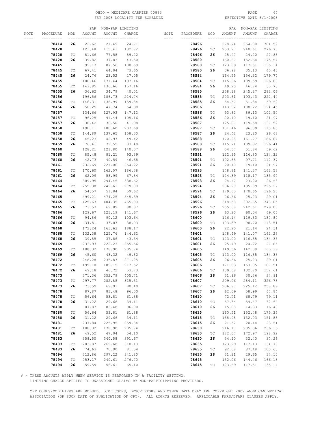# OHIO - MEDICARE CARRIER 00883 PAGE 67 FSY 2003 LOCALITY FEE SCHEDULE

|      |           |                             |                                 |        | PAR NON-PAR LIMITING |                      |           |                             |        | PAR NON-PAR LIMITING               |        |
|------|-----------|-----------------------------|---------------------------------|--------|----------------------|----------------------|-----------|-----------------------------|--------|------------------------------------|--------|
| NOTE | PROCEDURE | MOD                         | AMOUNT                          | AMOUNT | CHARGE               | NOTE                 | PROCEDURE | MOD                         | AMOUNT | AMOUNT                             | CHARGE |
|      | --------- |                             | ------------------------------- |        |                      | $\cdots\cdots\cdots$ | --------- |                             |        | --- --------- ---------- --------- |        |
|      | 78414     | 26                          | 22.62                           | 21.49  | 24.71                |                      | 78496     |                             | 278.74 | 264.80                             | 304.52 |
|      | 78428     |                             | 121.48                          | 115.41 | 132.72               |                      | 78496     | ТC                          | 253.27 | 240.61                             | 276.70 |
|      | 78428     | ТC                          | 81.66                           | 77.58  | 89.22                |                      | 78496     | 26                          | 25.47  | 24.20                              | 27.83  |
|      |           |                             |                                 |        |                      |                      |           |                             |        |                                    |        |
|      | 78428     | 26                          | 39.82                           | 37.83  | 43.50                |                      | 78580     |                             | 160.67 | 152.64                             | 175.54 |
|      | 78445     |                             | 92.17                           | 87.56  | 100.69               |                      | 78580     | ТC                          | 123.69 | 117.51                             | 135.14 |
|      | 78445     | ТC                          | 67.41                           | 64.04  | 73.65                |                      | 78580     | 26                          | 36.98  | 35.13                              | 40.40  |
|      | 78445     | 26                          | 24.76                           | 23.52  | 27.05                |                      | 78584     |                             | 164.55 | 156.32                             | 179.77 |
|      | 78455     |                             | 180.46                          | 171.44 | 197.16               |                      | 78584     | ТC                          | 115.36 | 109.59                             | 126.03 |
|      | 78455     | ТC                          | 143.85                          | 136.66 | 157.16               |                      | 78584     | 26                          | 49.20  | 46.74                              | 53.75  |
|      | 78455     | 26                          | 36.62                           | 34.79  | 40.01                |                      | 78585     |                             | 258.18 | 245.27                             | 282.06 |
|      | 78456     |                             | 196.56                          | 186.73 | 214.74               |                      | 78585     | ТC                          | 203.61 | 193.43                             | 222.44 |
|      | 78456     | ТC                          | 146.31                          | 138.99 | 159.84               |                      | 78585     | 26                          | 54.57  | 51.84                              | 59.62  |
|      | 78456     | 26                          | 50.25                           | 47.74  | 54.90                |                      | 78586     |                             | 113.92 | 108.22                             | 124.45 |
|      | 78457     |                             | 134.66                          | 127.93 | 147.12               |                      | 78586     | TC                          | 93.82  | 89.13                              | 102.50 |
|      | 78457     | ТC                          | 96.25                           | 91.44  | 105.16               |                      | 78586     | 26                          | 20.10  | 19.10                              | 21.97  |
|      |           |                             |                                 |        |                      |                      |           |                             |        |                                    |        |
|      | 78457     | 26                          | 38.42                           | 36.50  | 41.98                |                      | 78587     |                             | 125.87 | 119.58                             | 137.52 |
|      | 78458     |                             | 190.11                          | 180.60 | 207.69               |                      | 78587     | ТC                          | 101.46 | 96.39                              | 110.85 |
|      | 78458     | ТC                          | 144.89                          | 137.65 | 158.30               |                      | 78587     | 26                          | 24.42  | 23.20                              | 26.68  |
|      | 78458     | 26                          | 45.23                           | 42.97  | 49.42                |                      | 78588     |                             | 170.28 | 161.77                             | 186.04 |
|      | 78459     | 26                          | 76.41                           | 72.59  | 83.48                |                      | 78588     | ТC                          | 115.71 | 109.92                             | 126.41 |
|      | 78460     |                             | 128.21                          | 121.80 | 140.07               |                      | 78588     | 26                          | 54.57  | 51.84                              | 59.62  |
|      | 78460     | ТC                          | 85.48                           | 81.21  | 93.39                |                      | 78591     |                             | 122.95 | 116.80                             | 134.32 |
|      | 78460     | 26                          | 42.73                           | 40.59  | 46.68                |                      | 78591     | ТC                          | 102.85 | 97.71                              | 112.37 |
|      | 78461     |                             | 232.69                          | 221.06 | 254.22               |                      | 78591     | 26                          | 20.10  | 19.10                              | 21.97  |
|      | 78461     | ТC                          | 170.60                          | 162.07 | 186.38               |                      | 78593     |                             | 148.81 | 141.37                             | 162.58 |
|      | 78461     | 26                          | 62.09                           | 58.99  | 67.84                |                      | 78593     | ТC                          | 124.39 | 118.17                             | 135.90 |
|      | 78464     |                             | 309.95                          | 294.45 | 338.62               |                      | 78593     | 26                          | 24.42  | 23.20                              | 26.68  |
|      |           |                             |                                 |        |                      |                      |           |                             |        |                                    |        |
|      | 78464     | ТC                          | 255.38                          | 242.61 | 279.00               |                      | 78594     |                             | 206.20 | 195.89                             | 225.27 |
|      | 78464     | 26                          | 54.57                           | 51.84  | 59.62                |                      | 78594     | TC                          | 179.63 | 170.65                             | 196.25 |
|      | 78465     |                             | 499.21                          | 474.25 | 545.39               |                      | 78594     | 26                          | 26.56  | 25.23                              | 29.01  |
|      | 78465     | ТC                          | 425.63                          | 404.35 | 465.00               |                      | 78596     |                             | 318.58 | 302.65                             | 348.05 |
|      | 78465     | 26                          | 73.57                           | 69.89  | 80.37                |                      | 78596     | ТC                          | 255.38 | 242.61                             | 279.00 |
|      | 78466     |                             | 129.67                          | 123.19 | 141.67               |                      | 78596     | 26                          | 63.20  | 60.04                              | 69.05  |
|      | 78466     | ТC                          | 94.86                           | 90.12  | 103.64               |                      | 78600     |                             | 126.14 | 119.83                             | 137.80 |
|      | 78466     | 26                          | 34.81                           | 33.07  | 38.03                |                      | 78600     | ТC                          | 103.89 | 98.70                              | 113.51 |
|      | 78468     |                             | 172.24                          | 163.63 | 188.17               |                      | 78600     | 26                          | 22.25  | 21.14                              | 24.31  |
|      | 78468     | ТC                          | 132.38                          | 125.76 | 144.62               |                      | 78601     |                             | 148.49 | 141.07                             | 162.23 |
|      | 78468     | 26                          | 39.85                           | 37.86  | 43.54                |                      | 78601     | ТC                          | 123.00 | 116.85                             | 134.38 |
|      | 78469     |                             | 233.93                          | 222.23 | 255.56               |                      | 78601     | 26                          | 25.49  | 24.22                              | 27.85  |
|      | 78469     | ТC                          | 188.32                          | 178.90 | 205.74               |                      | 78605     |                             | 149.56 | 142.08                             | 163.39 |
|      | 78469     | 26                          | 45.60                           | 43.32  | 49.82                |                      | 78605     | ТC                          | 123.00 | 116.85                             | 134.38 |
|      | 78472     |                             | 248.28                          | 235.87 | 271.25               |                      | 78605     | 26                          | 26.56  | 25.23                              | 29.01  |
|      | 78472     | ТC                          | 199.10                          | 189.15 | 217.52               |                      | 78606     |                             | 171.63 | 163.05                             | 187.51 |
|      |           | 26                          | 49.18                           |        |                      |                      |           | TC                          | 139.68 | 132.70                             |        |
|      | 78472     |                             |                                 | 46.72  | 53.73                |                      | 78606     |                             |        |                                    | 152.61 |
|      | 78473     |                             | 371.36                          | 352.79 | 405.71               |                      | 78606     | 26                          | 31.96  | 30.36                              | 34.91  |
|      | 78473     | ТC                          | 297.77                          | 282.88 | 325.31               |                      | 78607     |                             | 299.06 | 284.11                             | 326.73 |
|      | 78473     | 26                          | 73.59                           | 69.91  | 80.40                |                      | 78607     | ТC                          | 236.97 | 225.12                             | 258.89 |
|      | 78478     |                             | 87.87                           | 83.48  | 96.00                |                      | 78607     | 26                          | 62.09  | 58.99                              | 67.84  |
|      | 78478     | $\protect\operatorname{TC}$ | 56.64                           | 53.81  | 61.88                |                      | 78610     |                             | 72.41  | 68.79                              | 79.11  |
|      | 78478     | 26                          | 31.22                           | 29.66  | 34.11                |                      | 78610     | $\protect\operatorname{TC}$ | 57.34  | 54.47                              | 62.64  |
|      | 78480     |                             | 87.87                           | 83.48  | 96.00                |                      | 78610     | 26                          | 15.08  | 14.33                              | 16.48  |
|      | 78480     | $\protect\operatorname{TC}$ | 56.64                           | 53.81  | 61.88                |                      | 78615     |                             | 160.51 | 152.48                             | 175.35 |
|      | 78480     | 26                          | 31.22                           | 29.66  | 34.11                |                      | 78615     | ТC                          | 138.98 | 132.03                             | 151.83 |
|      | 78481     |                             | 237.84                          | 225.95 | 259.84               |                      | 78615     | 26                          | 21.52  | 20.44                              | 23.51  |
|      | 78481     | $\protect\operatorname{TC}$ | 188.32                          | 178.90 | 205.74               |                      | 78630     |                             | 216.17 | 205.36                             | 236.16 |
|      | 78481     | 26                          | 49.52                           | 47.04  | 54.10                |                      | 78630     | ТC                          | 182.07 | 172.97                             | 198.92 |
|      | 78483     |                             | 358.50                          | 340.58 | 391.67               |                      | 78630     | 26                          | 34.10  | 32.40                              | 37.26  |
|      | 78483     | ТC                          | 283.87                          | 269.68 | 310.13               |                      | 78635     |                             | 123.29 | 117.13                             | 134.70 |
|      |           |                             |                                 |        |                      |                      |           |                             |        |                                    |        |
|      | 78483     | 26                          | 74.63                           | 70.90  | 81.54                |                      | 78635     | $\protect\operatorname{TC}$ | 92.08  | 87.48                              | 100.60 |
|      | 78494     |                             | 312.86                          | 297.22 | 341.80               |                      | 78635     | 26                          | 31.21  | 29.65                              | 34.10  |
|      | 78494     | $\protect\operatorname{TC}$ | 253.27                          | 240.61 | 276.70               |                      | 78645     |                             | 152.06 | 144.46                             | 166.13 |
|      | 78494     | 26                          | 59.59                           | 56.61  | 65.10                |                      | 78645     | ТC                          | 123.69 | 117.51                             | 135.14 |

# - THESE AMOUNTS APPLY WHEN SERVICE IS PERFORMED IN A FACILITY SETTING.

LIMITING CHARGE APPLIES TO UNASSIGNED CLAIMS BY NON-PARTICIPATING PROVIDERS.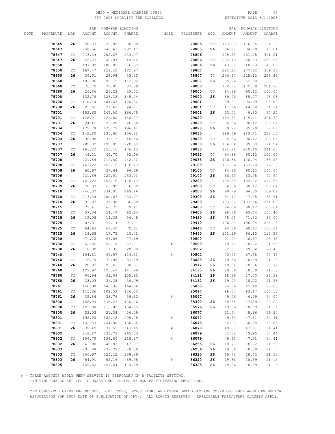# OHIO - MEDICARE CARRIER 00883 PAGE 68 FSY 2003 LOCALITY FEE SCHEDULE

|      |           |                             |        | PAR NON-PAR LIMITING |        |       |           |                             | PAR    |        | NON-PAR LIMITING |
|------|-----------|-----------------------------|--------|----------------------|--------|-------|-----------|-----------------------------|--------|--------|------------------|
| NOTE | PROCEDURE | MOD                         | AMOUNT | AMOUNT               | CHARGE | NOTE  | PROCEDURE | MOD                         | AMOUNT | AMOUNT | CHARGE           |
|      | --------- |                             |        | __________________   |        | $---$ | --------- | --- --                      |        |        | --- -----        |
|      | 78645     | 26                          | 28.37  | 26.95                | 30.99  |       | 78805     | ТC                          | 123.00 | 116.85 | 134.38           |
|      | 78647     |                             | 258.56 | 245.63               | 282.47 |       | 78805     | 26                          | 36.62  | 34.79  | 40.01            |
|      | 78647     | ТC                          | 213.34 | 202.67               | 233.07 |       | 78806     |                             | 275.53 | 261.75 | 301.01           |
|      |           |                             |        |                      |        |       |           |                             |        | 220.83 |                  |
|      | 78647     | 26                          | 45.23  | 42.97                | 49.42  |       | 78806     | $\protect\operatorname{TC}$ | 232.45 |        | 253.95           |
|      | 78650     |                             | 197.99 | 188.09               | 216.30 |       | 78806     | 26                          | 43.08  | 40.93  | 47.07            |
|      | 78650     | ТC                          | 167.47 | 159.10               | 182.97 |       | 78807     |                             | 292.23 | 277.62 | 319.26           |
|      | 78650     | 26                          | 30.51  | 28.98                | 33.33  |       | 78807     | ТC                          | 236.97 | 225.12 | 258.89           |
|      | 78660     |                             | 103.36 | 98.19                | 112.92 |       | 78807     | 26                          | 55.26  | 52.50  | 60.38            |
|      | 78660     | ТC                          | 76.79  | 72.95                | 83.89  |       | 79000     |                             | 184.62 | 175.39 | 201.70           |
|      | 78660     | 26                          | 26.56  | 25.23                | 29.01  |       | 79000     | $\protect\operatorname{TC}$ | 94.86  | 90.12  | 103.64           |
|      | 78700     |                             | 132.76 | 126.12               | 145.04 |       | 79000     | 26                          | 89.76  | 85.27  | 98.06            |
|      | 78700     | ТC                          | 110.14 | 104.63               | 120.32 |       | 79001     |                             | 99.67  | 94.69  | 108.89           |
|      | 78700     | 26                          | 22.62  | 21.49                | 24.71  |       | 79001     | ТC                          | 47.26  | 44.90  | 51.64            |
|      | 78701     |                             | 152.63 | 145.00               | 166.75 |       | 79001     | 26                          | 52.42  | 49.80  | 57.27            |
|      | 78701     | ТC                          | 128.21 | 121.80               | 140.07 |       | 79020     |                             | 184.64 | 175.41 | 201.72           |
|      | 78701     | 26                          | 24.42  | 23.20                | 26.68  |       | 79020     | ТC                          | 94.86  | 90.12  | 103.64           |
|      |           |                             |        |                      |        |       |           |                             |        |        |                  |
|      | 78704     |                             | 179.78 | 170.79               | 196.41 |       | 79020     | 26                          | 89.78  | 85.29  | 98.08            |
|      | 78704     | ТC                          | 142.80 | 135.66               | 156.01 |       | 79030     |                             | 199.69 | 189.71 | 218.17           |
|      | 78704     | 26                          | 36.98  | 35.13                | 40.40  |       | 79030     | $\protect\operatorname{TC}$ | 94.86  | 90.12  | 103.64           |
|      | 78707     |                             | 209.32 | 198.85               | 228.68 |       | 79030     | 26                          | 104.84 | 99.60  | 114.54           |
|      | 78707     | ТC                          | 161.22 | 153.16               | 176.13 |       | 79035     |                             | 221.21 | 210.15 | 241.67           |
|      | 78707     | 26                          | 48.11  | 45.70                | 52.56  |       | 79035     | ТC                          | 94.86  | 90.12  | 103.64           |
|      | 78708     |                             | 221.89 | 210.80               | 242.42 |       | 79035     | 26                          | 126.36 | 120.04 | 138.05           |
|      | 78708     | ТC                          | 161.22 | 153.16               | 176.13 |       | 79100     |                             | 161.26 | 153.20 | 176.18           |
|      | 78708     | 26                          | 60.67  | 57.64                | 66.29  |       | 79100     | $\protect\operatorname{TC}$ | 94.86  | 90.12  | 103.64           |
|      | 78709     |                             | 231.59 | 220.01               | 253.01 |       | 79100     | 26                          | 66.40  | 63.08  | 72.54            |
|      | 78709     | ТC                          | 161.22 | 153.16               | 176.13 |       | 79200     |                             | 194.65 | 184.92 | 212.66           |
|      | 78709     | 26                          | 70.37  | 66.85                | 76.88  |       | 79200     | ТC                          | 94.86  | 90.12  | 103.64           |
|      |           |                             |        |                      |        |       |           |                             |        |        |                  |
|      | 78710     |                             | 246.37 | 234.05               | 269.16 |       | 79200     | 26                          | 99.79  | 94.80  | 109.02           |
|      | 78710     | ТC                          | 213.34 | 202.67               | 233.07 |       | 79300     | 26                          | 81.10  | 77.05  | 88.61            |
|      | 78710     | 26                          | 33.03  | 31.38                | 36.09  |       | 79400     |                             | 193.22 | 183.56 | 211.09           |
|      | 78715     |                             | 72.41  | 68.79                | 79.11  |       | 79400     | ТC                          | 94.86  | 90.12  | 103.64           |
|      | 78715     | ТC                          | 57.34  | 54.47                | 62.64  |       | 79400     | 26                          | 98.36  | 93.44  | 107.46           |
|      | 78715     | 26                          | 15.08  | 14.33                | 16.48  |       | 79420     | 26                          | 75.05  | 71.30  | 82.00            |
|      | 78725     |                             | 83.31  | 79.14                | 91.01  |       | 79440     |                             | 196.04 | 186.24 | 214.18           |
|      | 78725     | ТC                          | 64.63  | 61.40                | 70.61  |       | 79440     | ТC                          | 94.86  | 90.12  | 103.64           |
|      | 78725     | 26                          | 18.68  | 17.75                | 20.41  |       | 79440     | 26                          | 101.19 | 96.13  | 110.55           |
|      | 78730     |                             | 71.12  | 67.56                | 77.69  |       | 80500     |                             | 21.44  | 20.37  | 23.43            |
|      | 78730     | ТC                          | 52.82  | 50.18                | 57.71  | #     | 80500     |                             | 19.70  | 18.72  | 21.53            |
|      | 78730     | 26                          | 18.30  | 17.39                | 20.00  |       | 80502     |                             | 72.67  | 69.04  | 79.40            |
|      | 78740     |                             | 104.81 | 99.57                | 114.51 | #     | 80502     |                             | 70.93  | 67.38  | 77.49            |
|      | 78740     | ТC                          | 76.79  | 72.95                | 83.89  |       | 83020     | 26                          | 19.36  | 18.39  | 21.15            |
|      | 78740     | 26                          | 28.02  | 26.62                | 30.61  |       | 83912     | 26                          | 19.01  | 18.06  | 20.77            |
|      | 78760     |                             | 129.97 | 123.47               | 141.99 |       | 84165     | 26                          | 19.36  | 18.39  | 21.15            |
|      |           |                             |        |                      |        |       |           |                             |        |        |                  |
|      | 78760     | $\protect\operatorname{TC}$ | 96.94  | 92.09                | 105.90 |       | 84181     | 26                          | 18.66  | 17.73  | 20.39            |
|      | 78760     | 26                          | 33.03  | 31.38                | 36.09  |       | 84182     | 26                          | 19.70  | 18.72  | 21.53            |
|      | 78761     |                             | 150.90 | 143.36               | 164.86 |       | 85060     |                             | 23.66  | 22.48  | 25.85            |
|      | 78761     | ТC                          | 115.36 | 109.59               | 126.03 |       | 85097     |                             | 98.07  | 93.17  | 107.15           |
|      | 78761     | 26                          | 35.54  | 33.76                | 38.82  | $\#$  | 85097     |                             | 49.46  | 46.99  | 54.04            |
|      | 78800     |                             | 156.03 | 148.23               | 170.46 |       | 85390     | 26                          | 18.31  | 17.39  | 20.00            |
|      | 78800     | $\protect\operatorname{TC}$ | 123.00 | 116.85               | 134.38 |       | 85576     | 26                          | 19.36  | 18.39  | 21.15            |
|      | 78800     | 26                          | 33.03  | 31.38                | 36.09  |       | 86077     |                             | 51.54  | 48.96  | 56.30            |
|      | 78801     |                             | 192.02 | 182.42               | 209.78 | $\#$  | 86077     |                             | 49.80  | 47.31  | 54.41            |
|      | 78801     | TC                          | 152.53 | 144.90               | 166.64 |       | 86078     |                             | 52.93  | 50.28  | 57.82            |
|      | 78801     | 26                          | 39.49  | 37.52                | 43.15  | $\#$  | 86078     |                             | 49.80  | 47.31  | 54.41            |
|      | 78802     |                             | 242.87 | 230.73               | 265.34 |       | 86079     |                             | 52.58  | 49.95  | 57.44            |
|      | 78802     | TC                          | 199.79 | 189.80               | 218.27 | $\#$  | 86079     |                             | 49.80  | 47.31  | 54.41            |
|      | 78802     | 26                          | 43.08  | 40.93                | 47.07  |       | 86255     | 26                          | 19.70  | 18.72  | 21.53            |
|      | 78803     |                             | 291.88 | 277.29               | 318.88 |       | 86256     | 26                          | 19.36  | 18.39  | 21.15            |
|      | 78803     | $\protect\operatorname{TC}$ | 236.97 | 225.12               | 258.89 |       | 86320     | 26                          | 19.70  | 18.72  | 21.53            |
|      |           |                             |        |                      |        |       |           |                             |        |        |                  |
|      | 78803     | 26                          | 54.91  | 52.16                | 59.98  | #     | 86320     | 26                          | 19.36  | 18.39  | 21.15            |
|      | 78805     |                             | 159.62 | 151.64               | 174.39 |       | 86325     | 26                          | 19.36  | 18.39  | 21.15            |

# - THESE AMOUNTS APPLY WHEN SERVICE IS PERFORMED IN A FACILITY SETTING.

LIMITING CHARGE APPLIES TO UNASSIGNED CLAIMS BY NON-PARTICIPATING PROVIDERS.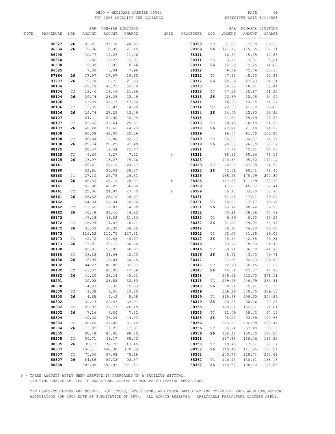# OHIO - MEDICARE CARRIER 00883 PAGE 69 FSY 2003 LOCALITY FEE SCHEDULE

|      |           |                             | PAR    |        | NON-PAR LIMITING |             |           |                             | PAR    |        | NON-PAR LIMITING |
|------|-----------|-----------------------------|--------|--------|------------------|-------------|-----------|-----------------------------|--------|--------|------------------|
| NOTE | PROCEDURE | MOD                         | AMOUNT | AMOUNT | CHARGE           | NOTE        | PROCEDURE | MOD                         | AMOUNT | AMOUNT | CHARGE           |
|      |           |                             |        |        |                  | $- - - - -$ |           |                             |        |        |                  |
|      |           |                             |        |        |                  |             |           |                             |        | 77.88  |                  |
|      | 86327     | 26                          | 22.21  | 21.10  | 24.27            |             | 88309     | ТC                          | 81.98  |        | 89.56            |
|      | 86334     | 26                          | 19.36  | 18.39  | 21.15            |             | 88309     | 26                          | 121.10 | 115.05 | 132.31           |
|      | 86490     |                             | 10.77  | 10.23  | 11.76            |             | 88311     |                             | 16.37  | 15.55  | 17.88            |
|      | 86510     |                             | 11.82  | 11.23  | 12.91            |             | 88311     | ТC                          | 3.48   | 3.31   | 3.81             |
|      | 86580     |                             | 9.39   | 8.92   | 10.26            |             | 88311     | 26                          | 12.89  | 12.25  | 14.09            |
|      | 86585     |                             | 7.30   | 6.94   | 7.98             |             | 88312     |                             | 76.59  | 72.76  | 83.67            |
|      |           |                             |        |        |                  |             |           |                             |        |        |                  |
|      | 87164     | 26                          | 17.97  | 17.07  | 19.63            |             | 88312     | TС                          | 47.93  | 45.53  | 52.36            |
|      | 87207     | 26                          | 19.70  | 18.72  | 21.53            |             | 88312     | 26                          | 28.66  | 27.23  | 31.31            |
|      | 88104     |                             | 49.19  | 46.73  | 53.74            |             | 88313     |                             | 50.75  | 48.21  | 55.44            |
|      | 88104     | ТC                          | 19.46  | 18.49  | 21.26            |             | 88313     | ТC                          | 37.86  | 35.97  | 41.37            |
|      | 88104     | 26                          | 29.74  | 28.25  | 32.49            |             | 88313     | 26                          | 12.89  | 12.25  | 14.09            |
|      | 88106     |                             | 43.29  | 41.13  | 47.30            |             | 88314     |                             | 46.93  | 44.58  | 51.27            |
|      |           |                             |        |        |                  |             |           |                             |        |        |                  |
|      | 88106     | ТC                          | 13.55  | 12.87  | 14.80            |             | 88314     | ТC                          | 22.93  | 21.78  | 25.05            |
|      | 88106     | 26                          | 29.74  | 28.25  | 32.49            |             | 88314     | 26                          | 24.00  | 22.80  | 26.22            |
|      | 88107     |                             | 64.11  | 60.90  | 70.04            |             | 88318     |                             | 41.67  | 39.59  | 45.53            |
|      | 88107     | ТC                          | 23.62  | 22.44  | 25.81            |             | 88318     | TС                          | 19.45  | 18.48  | 21.25            |
|      | 88107     | 26                          | 40.48  | 38.46  | 44.23            |             | 88318     | 26                          | 22.21  | 21.10  | 24.27            |
|      | 88108     |                             | 50.58  | 48.05  | 55.26            |             | 88319     |                             | 96.37  | 91.55  | 105.28           |
|      |           |                             |        |        |                  |             |           |                             |        |        |                  |
|      | 88108     | ТC                          | 20.84  | 19.80  | 22.77            |             | 88319     | ТC                          | 68.07  | 64.67  | 74.37            |
|      | 88108     | 26                          | 29.74  | 28.25  | 32.49            |             | 88319     | 26                          | 28.30  | 26.89  | 30.92            |
|      | 88125     |                             | 20.57  | 19.54  | 22.47            |             | 88321     |                             | 77.48  | 73.61  | 84.65            |
|      | 88125     | ТC                          | 6.60   | 6.27   | 7.21             | #           | 88321     |                             | 68.80  | 65.36  | 75.16            |
|      | 88125     | 26                          | 13.97  | 13.27  | 15.26            |             | 88323     |                             | 100.84 | 95.80  | 110.17           |
|      | 88141     |                             | 22.21  | 21.10  | 24.27            |             | 88323     | TС                          | 28.83  | 27.39  | 31.50            |
|      |           |                             |        |        |                  |             |           |                             |        |        |                  |
|      | 88160     |                             | 53.61  | 50.93  | 58.57            |             | 88323     | 26                          | 72.01  | 68.41  | 78.67            |
|      | 88160     | ТC                          | 27.10  | 25.75  | 29.61            |             | 88325     |                             | 185.25 | 175.99 | 202.39           |
|      | 88160     | 26                          | 26.52  | 25.19  | 28.97            | #           | 88325     |                             | 117.88 | 111.99 | 128.79           |
|      | 88161     |                             | 51.88  | 49.29  | 56.68            |             | 88329     |                             | 47.97  | 45.57  | 52.41            |
|      | 88161     | ТC                          | 25.36  | 24.09  | 27.70            | #           | 88329     |                             | 35.47  | 33.70  | 38.76            |
|      | 88161     | 26                          | 26.52  | 25.19  | 28.97            |             | 88331     |                             | 81.48  | 77.41  | 89.02            |
|      | 88162     |                             | 54.04  | 51.34  | 59.04            |             | 88331     | ТC                          | 18.07  | 17.17  | 19.75            |
|      |           |                             |        |        |                  |             |           |                             |        |        |                  |
|      | 88162     | ТC                          | 13.55  | 12.87  | 14.80            |             | 88331     | 26                          | 63.41  | 60.24  | 69.28            |
|      | 88162     | 26                          | 40.48  | 38.46  | 44.23            |             | 88332     |                             | 40.91  | 38.86  | 44.69            |
|      | 88172     |                             | 47.18  | 44.82  | 51.54            |             | 88332     | ТC                          | 9.39   | 8.92   | 10.26            |
|      | 88172     | ТC                          | 15.29  | 14.53  | 16.71            |             | 88332     | 26                          | 31.52  | 29.94  | 34.43            |
|      | 88172     | 26                          | 31.89  | 30.30  | 34.85            |             | 88342     |                             | 78.14  | 74.23  | 85.36            |
|      | 88173     |                             | 116.53 | 110.70 | 127.31           |             | 88342     | TС                          | 33.00  | 31.35  | 36.05            |
|      | 88173     | ТC                          | 42.72  | 40.58  | 46.67            |             | 88342     | 26                          | 45.14  | 42.88  | 49.31            |
|      |           |                             |        |        |                  |             |           |                             |        |        |                  |
|      | 88173     | 26                          | 73.81  | 70.12  | 80.64            |             | 88346     |                             | 83.72  | 79.53  | 91.46            |
|      | 88180     |                             | 55.81  | 53.02  | 60.97            |             | 88346     | ТC                          | 38.21  | 36.30  | 41.75            |
|      | 88180     | ТC                          | 36.82  | 34.98  | 40.23            |             | 88346     | 26                          | 45.51  | 43.23  | 49.71            |
|      | 88180     | 26                          | 18.99  | 18.04  | 20.75            |             | 88347     |                             | 97.61  | 92.73  | 106.64           |
|      | 88182     |                             | 84.27  | 80.06  | 92.07            |             | 88347     | ТC                          | 52.79  | 50.15  | 57.67            |
|      | 88182     | ТC                          | 43.07  | 40.92  | 47.06            |             | 88347     | 26                          | 44.81  | 42.57  | 48.96            |
|      | 88182     | 26                          | 41.20  | 39.14  | 45.01            |             | 88348     |                             | 339.68 | 322.70 | 371.11           |
|      | 88291     |                             | 30.02  | 28.52  | 32.80            |             | 88348     | ТC                          | 259.78 | 246.79 | 283.81           |
|      |           |                             |        |        |                  |             |           |                             |        |        |                  |
|      | 88300     |                             | 14.03  | 13.33  | 15.33            |             | 88348     | 26                          | 79.91  | 75.91  | 87.30            |
|      | 88300     | ТC                          | 9.38   | 8.91   | 10.25            |             | 88349     |                             | 356.16 | 338.35 | 389.10           |
|      | 88300     | 26                          | 4.65   | 4.42   | 5.08             |             | 88349     | ТC                          | 315.68 | 299.90 | 344.89           |
|      | 88302     |                             | 31.13  | 29.57  | 34.01            |             | 88349     | 26                          | 40.48  | 38.46  | 44.23            |
|      | 88302     | $\protect\operatorname{TC}$ | 23.97  | 22.77  | 26.19            |             | 88355     |                             | 160.01 | 152.01 | 174.81           |
|      | 88302     | 26                          | 7.16   | 6.80   | 7.82             |             | 88355     | $\protect\operatorname{TC}$ | 61.49  | 58.42  | 67.18            |
|      | 88304     |                             | 40.30  | 38.29  | 44.03            |             | 88355     | 26                          | 98.52  | 93.59  | 107.63           |
|      |           |                             |        |        |                  |             |           |                             |        |        |                  |
|      | 88304     | $\protect\operatorname{TC}$ | 28.48  | 27.06  | 31.12            |             | 88356     |                             | 213.67 | 202.99 | 233.44           |
|      | 88304     | 26                          | 11.82  | 11.23  | 12.91            |             | 88356     | ТC                          | 55.24  | 52.48  | 60.35            |
|      | 88305     |                             | 90.48  | 85.96  | 98.85            |             | 88356     | 26                          | 158.42 | 150.50 | 173.08           |
|      | 88305     | $\protect\operatorname{TC}$ | 50.71  | 48.17  | 55.40            |             | 88358     |                             | 167.85 | 159.46 | 183.38           |
|      | 88305     | 26                          | 39.77  | 37.78  | 43.45            |             | 88358     | ТC                          | 18.43  | 17.51  | 20.14            |
|      | 88307     |                             | 156.11 | 148.30 | 170.55           |             | 88358     | 26                          | 149.42 | 141.95 | 163.24           |
|      | 88307     | TC                          | 71.56  | 67.98  | 78.18            |             | 88362     |                             | 240.75 | 228.71 | 263.02           |
|      |           |                             |        |        |                  |             |           |                             |        |        |                  |
|      | 88307     | 26                          | 84.55  | 80.32  | 92.37            |             | 88362     | $\protect\operatorname{TC}$ | 126.43 | 120.11 | 138.13           |
|      | 88309     |                             | 203.08 | 192.93 | 221.87           |             | 88362     | 26                          | 114.32 | 108.60 | 124.89           |

# - THESE AMOUNTS APPLY WHEN SERVICE IS PERFORMED IN A FACILITY SETTING.

LIMITING CHARGE APPLIES TO UNASSIGNED CLAIMS BY NON-PARTICIPATING PROVIDERS.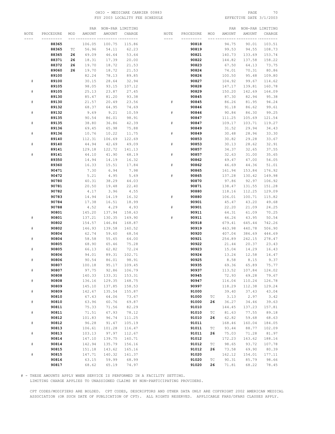# OHIO – MEDICARE CARRIER 00883 PAGE 70<br>
FSY 2003 LOCALITY FEE SCHEDULE FOR THE SERIE SOME PAGE 3/1/2003 FSY 2003 LOCALITY FEE SCHEDULE

|           |           |     | PAR    |        | NON-PAR LIMITING |             |           |                             | PAR    |        | NON-PAR LIMITING |
|-----------|-----------|-----|--------|--------|------------------|-------------|-----------|-----------------------------|--------|--------|------------------|
| NOTE      | PROCEDURE | MOD | AMOUNT | AMOUNT | CHARGE           | NOTE        | PROCEDURE | MOD                         | AMOUNT | AMOUNT | CHARGE           |
|           |           |     |        |        |                  |             |           |                             |        |        |                  |
|           | 88365     |     | 106.05 | 100.75 | 115.86           |             | 90818     |                             | 94.75  | 90.01  | 103.51           |
|           | 88365     | ТC  | 56.96  | 54.11  | 62.23            |             | 90819     |                             | 99.53  | 94.55  | 108.73           |
|           | 88365     | 26  | 49.09  | 46.64  | 53.64            |             | 90821     |                             | 140.73 | 133.69 | 153.74           |
|           |           |     |        |        |                  |             |           |                             |        |        | 158.22           |
|           | 88371     | 26  | 18.31  | 17.39  | 20.00            |             | 90822     |                             | 144.82 | 137.58 |                  |
|           | 88372     | 26  | 19.70  | 18.72  | 21.53            |             | 90823     |                             | 67.50  | 64.13  | 73.75            |
|           | 89060     | 26  | 19.70  | 18.72  | 21.53            |             | 90824     |                             | 74.01  | 70.31  | 80.86            |
|           | 89100     |     | 82.24  | 78.13  | 89.85            |             | 90826     |                             | 100.50 | 95.48  | 109.80           |
| ${}^{\#}$ | 89100     |     | 30.15  | 28.64  | 32.94            |             | 90827     |                             | 104.92 | 99.67  | 114.62           |
|           | 89105     |     | 98.05  | 93.15  | 107.12           |             | 90828     |                             | 147.17 | 139.81 | 160.78           |
| ${}^{\#}$ | 89105     |     | 25.13  | 23.87  | 27.45            |             | 90829     |                             | 150.20 | 142.69 | 164.09           |
|           | 89130     |     | 85.47  | 81.20  | 93.38            |             | 90845     |                             | 87.30  | 82.94  | 95.38            |
| $\#$      | 89130     |     | 21.57  | 20.49  | 23.56            | #           | 90845     |                             | 86.26  | 81.95  | 94.24            |
|           | 89132     |     | 68.37  | 64.95  | 74.69            |             | 90846     |                             | 91.18  | 86.62  | 99.61            |
| #         | 89132     |     | 9.69   | 9.21   | 10.59            | $_{\rm \#}$ | 90846     |                             | 90.84  | 86.30  | 99.25            |
|           | 89135     |     | 90.54  | 86.01  | 98.91            |             | 90847     |                             | 111.25 | 105.69 | 121.54           |
| $\#$      | 89135     |     | 38.80  | 36.86  | 42.39            | #           | 90847     |                             | 109.17 | 103.71 | 119.27           |
|           | 89136     |     | 69.45  | 65.98  | 75.88            |             | 90849     |                             | 31.52  | 29.94  | 34.43            |
| $\#$      | 89136     |     | 10.76  | 10.22  | 11.75            | #           | 90849     |                             | 30.48  | 28.96  | 33.30            |
|           | 89140     |     | 112.31 | 106.69 | 122.69           |             | 90853     |                             |        |        | 33.67            |
|           |           |     |        |        |                  |             |           |                             | 30.82  | 29.28  |                  |
| ${}^{\#}$ | 89140     |     | 44.94  | 42.69  | 49.09            | #           | 90853     |                             | 30.13  | 28.62  | 32.91            |
|           | 89141     |     | 129.18 | 122.72 | 141.13           |             | 90857     |                             | 34.37  | 32.65  | 37.55            |
| $\#$      | 89141     |     | 44.10  | 41.90  | 48.19            | ${}^{\#}$   | 90857     |                             | 32.63  | 31.00  | 35.65            |
|           | 89350     |     | 14.94  | 14.19  | 16.32            |             | 90862     |                             | 49.47  | 47.00  | 54.05            |
|           | 89360     |     | 16.33  | 15.51  | 17.84            | #           | 90862     |                             | 46.69  | 44.36  | 51.01            |
|           | 90471     |     | 7.30   | 6.94   | 7.98             |             | 90865     |                             | 161.94 | 153.84 | 176.92           |
|           | 90472     |     | 5.21   | 4.95   | 5.69             | #           | 90865     |                             | 137.28 | 130.42 | 149.98           |
|           | 90780     |     | 40.31  | 38.29  | 44.03            |             | 90870     |                             | 97.86  | 92.97  | 106.92           |
|           | 90781     |     | 20.50  | 19.48  | 22.40            |             | 90871     |                             | 138.47 | 131.55 | 151.28           |
|           | 90782     |     | 4.17   | 3.96   | 4.55             |             | 90880     |                             | 118.16 | 112.25 | 129.09           |
|           | 90783     |     | 14.94  | 14.19  | 16.32            | ${}^{\#}$   | 90880     |                             | 106.01 | 100.71 | 115.82           |
|           | 90784     |     | 17.38  | 16.51  | 18.99            |             | 90901     |                             | 45.47  | 43.20  | 49.68            |
|           | 90788     |     | 4.52   | 4.29   | 4.93             | ${}^{\#}$   | 90901     |                             | 22.20  | 21.09  | 24.25            |
|           | 90801     |     | 145.20 | 137.94 | 158.63           |             | 90911     |                             | 64.31  | 61.09  | 70.25            |
| #         | 90801     |     | 137.21 | 130.35 | 149.90           | #           | 90911     |                             | 46.26  | 43.95  | 50.54            |
|           | 90802     |     | 154.57 | 146.84 | 168.87           |             | 90918     |                             | 679.41 | 645.44 | 742.26           |
| $\#$      | 90802     |     | 146.93 | 139.58 | 160.52           |             | 90919     |                             | 463.98 | 440.78 | 506.90           |
|           | 90804     |     | 62.74  | 59.60  | 68.54            |             | 90920     |                             | 407.04 | 386.69 | 444.69           |
| $\#$      | 90804     |     | 58.58  | 55.65  | 64.00            |             | 90921     |                             | 254.89 | 242.15 | 278.47           |
|           | 90805     |     | 68.90  | 65.46  | 75.28            |             | 90922     |                             | 21.44  | 20.37  | 23.43            |
| ${}^{\#}$ | 90805     |     | 66.13  | 62.82  | 72.24            |             | 90923     |                             | 15.04  | 14.29  | 16.43            |
|           | 90806     |     | 94.01  | 89.31  | 102.71           |             | 90924     |                             | 13.24  | 12.58  | 14.47            |
| $\#$      | 90806     |     | 90.54  | 86.01  | 98.91            |             | 90925     |                             | 8.58   | 8.15   | 9.37             |
|           | 90807     |     | 100.18 | 95.17  | 109.45           |             | 90935     |                             | 69.36  | 65.89  | 75.77            |
| #         | 90807     |     | 97.75  | 92.86  | 106.79           |             | 90937     |                             | 113.52 | 107.84 | 124.02           |
|           | 90808     |     | 140.33 | 133.31 | 153.31           |             | 90945     |                             | 72.93  | 69.28  | 79.67            |
| $\#$      | 90808     |     | 136.16 | 129.35 | 148.75           |             | 90947     |                             | 116.04 | 110.24 | 126.78           |
|           | 90809     |     |        |        |                  |             |           |                             |        |        |                  |
|           |           |     | 145.10 | 137.85 | 158.53           |             | 90997     |                             | 118.29 | 112.38 | 129.24           |
| $\#$      | 90809     |     | 142.67 | 135.54 | 155.87           |             | 91000     |                             | 39.40  | 37.43  | 43.04            |
|           | 90810     |     | 67.43  | 64.06  | 73.67            |             | 91000     | ТC                          | 3.13   | 2.97   | 3.42             |
| $\#$      | 90810     |     | 63.96  | 60.76  | 69.87            |             | 91000     | 26                          | 36.27  | 34.46  | 39.63            |
|           | 90811     |     | 75.33  | 71.56  | 82.29            |             | 91010     |                             | 144.45 | 137.23 | 157.81           |
| $\#$      | 90811     |     | 71.51  | 67.93  | 78.12            |             | 91010     | ТC                          | 81.63  | 77.55  | 89.18            |
|           | 90812     |     | 101.83 | 96.74  | 111.25           |             | 91010     | 26                          | 62.82  | 59.68  | 68.63            |
| $\#$      | 90812     |     | 96.28  | 91.47  | 105.19           |             | 91011     |                             | 168.46 | 160.04 | 184.05           |
|           | 90813     |     | 106.61 | 101.28 | 116.47           |             | 91011     | $\protect\operatorname{TC}$ | 93.44  | 88.77  | 102.09           |
| $\#$      | 90813     |     | 103.13 | 97.97  | 112.67           |             | 91011     | 26                          | 75.03  | 71.28  | 81.97            |
|           | 90814     |     | 147.10 | 139.75 | 160.71           |             | 91012     |                             | 172.23 | 163.62 | 188.16           |
| $\#$      | 90814     |     | 142.94 | 135.79 | 156.16           |             | 91012     | $\protect\operatorname{TC}$ | 98.65  | 93.72  | 107.78           |
|           | 90815     |     | 151.18 | 143.62 | 165.16           |             | 91012     | 26                          | 73.58  | 69.90  | 80.39            |
| $\#$      | 90815     |     | 147.71 | 140.32 | 161.37           |             | 91020     |                             | 162.12 | 154.01 | 177.11           |
|           | 90816     |     | 63.15  | 59.99  | 68.99            |             | 91020     | $\protect\operatorname{TC}$ | 90.31  | 85.79  | 98.66            |
|           | 90817     |     | 68.62  | 65.19  | 74.97            |             | 91020     | 26                          | 71.81  | 68.22  | 78.45            |
|           |           |     |        |        |                  |             |           |                             |        |        |                  |

# - THESE AMOUNTS APPLY WHEN SERVICE IS PERFORMED IN A FACILITY SETTING.

LIMITING CHARGE APPLIES TO UNASSIGNED CLAIMS BY NON-PARTICIPATING PROVIDERS.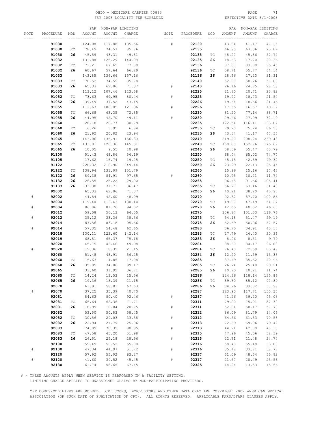# OHIO – MEDICARE CARRIER 00883 PAGE 71<br>
FSY 2003 LOCALITY FEE SCHEDULE FOR PAGE REFECTIVE DATE 3/1/2003 FSY 2003 LOCALITY FEE SCHEDULE

|           |           |                             | PAR    |        | NON-PAR LIMITING |           |           |     | PAR    |        | NON-PAR LIMITING |
|-----------|-----------|-----------------------------|--------|--------|------------------|-----------|-----------|-----|--------|--------|------------------|
| NOTE      | PROCEDURE | MOD                         | AMOUNT | AMOUNT | CHARGE           | NOTE      | PROCEDURE | MOD | AMOUNT | AMOUNT | CHARGE           |
|           | --------- |                             |        |        | -- ---------     | $- - - -$ | --------- |     |        |        |                  |
|           | 91030     |                             | 124.08 | 117.88 | 135.56           | #         | 92130     |     | 43.34  | 41.17  | 47.35            |
|           |           | $\protect\operatorname{TC}$ |        |        |                  |           |           |     |        |        |                  |
|           | 91030     |                             | 78.49  | 74.57  | 85.76            |           | 92135     |     | 66.90  | 63.56  | 73.09            |
|           | 91030     | 26                          | 45.59  | 43.31  | 49.81            |           | 92135     | ТC  | 48.27  | 45.86  | 52.74            |
|           | 91032     |                             | 131.88 | 125.29 | 144.08           |           | 92135     | 26  | 18.63  | 17.70  | 20.36            |
|           | 91032     | ТC                          | 71.21  | 67.65  | 77.80            |           | 92136     |     | 87.37  | 83.00  | 95.45            |
|           | 91032     | 26                          | 60.67  | 57.64  | 66.29            |           | 92136     | ТC  | 58.71  | 55.77  | 64.14            |
|           | 91033     |                             | 143.85 | 136.66 | 157.16           |           | 92136     | 26  | 28.66  | 27.23  | 31.31            |
|           | 91033     | ТC                          | 78.52  | 74.59  | 85.78            |           | 92140     |     | 52.90  | 50.26  | 57.80            |
|           | 91033     | 26                          | 65.33  | 62.06  | 71.37            | #         | 92140     |     | 26.16  | 24.85  | 28.58            |
|           | 91052     |                             | 113.12 | 107.46 | 123.58           |           | 92225     |     | 21.80  | 20.71  | 23.82            |
|           | 91052     | ТC                          | 73.63  | 69.95  | 80.44            | #         | 92225     |     | 19.72  | 18.73  | 21.54            |
|           | 91052     | 26                          | 39.49  | 37.52  | 43.15            |           | 92226     |     | 19.64  | 18.66  | 21.46            |
|           |           |                             |        |        |                  |           |           |     |        |        |                  |
|           | 91055     |                             | 111.63 | 106.05 | 121.96           | #         | 92226     |     | 17.55  | 16.67  | 19.17            |
|           | 91055     | ТC                          | 66.68  | 63.35  | 72.85            |           | 92230     |     | 81.20  | 77.14  | 88.71            |
|           | 91055     | 26                          | 44.95  | 42.70  | 49.11            | #         | 92230     |     | 29.46  | 27.99  | 32.19            |
|           | 91060     |                             | 28.18  | 26.77  | 30.79            |           | 92235     |     | 122.54 | 116.41 | 133.87           |
|           | 91060     | $\protect\operatorname{TC}$ | 6.26   | 5.95   | 6.84             |           | 92235     | ТC  | 79.20  | 75.24  | 86.53            |
|           | 91060     | 26                          | 21.92  | 20.82  | 23.94            |           | 92235     | 26  | 43.34  | 41.17  | 47.35            |
|           | 91065     |                             | 143.06 | 135.91 | 156.30           |           | 92240     |     | 219.20 | 208.24 | 239.48           |
|           | 91065     | ТC                          | 133.01 | 126.36 | 145.31           |           | 92240     | ТC  | 160.80 | 152.76 | 175.67           |
|           | 91065     | 26                          | 10.05  | 9.55   | 10.98            |           | 92240     | 26  | 58.39  | 55.47  | 63.79            |
|           | 91100     |                             | 51.43  | 48.86  | 56.19            |           | 92250     |     | 68.44  | 65.02  | 74.77            |
|           | 91105     |                             | 17.62  | 16.74  | 19.25            |           | 92250     | ТC  | 45.15  | 42.89  | 49.32            |
|           |           |                             |        |        |                  |           |           |     |        |        |                  |
|           | 91122     |                             | 228.32 | 216.90 | 249.44           |           | 92250     | 26  | 23.29  | 22.13  | 25.45            |
|           | 91122     | ТC                          | 138.94 | 131.99 | 151.79           |           | 92260     |     | 15.96  | 15.16  | 17.43            |
|           | 91122     | 26                          | 89.38  | 84.91  | 97.65            | #         | 92260     |     | 10.75  | 10.21  | 11.74            |
|           | 91132     | 26                          | 26.55  | 25.22  | 29.00            |           | 92265     |     | 96.48  | 91.66  | 105.41           |
|           | 91133     | 26                          | 33.38  | 31.71  | 36.47            |           | 92265     | ТC  | 56.27  | 53.46  | 61.48            |
|           | 92002     |                             | 65.33  | 62.06  | 71.37            |           | 92265     | 26  | 40.21  | 38.20  | 43.93            |
| #         | 92002     |                             | 44.84  | 42.60  | 48.99            |           | 92270     |     | 92.32  | 87.70  | 100.86           |
|           | 92004     |                             | 119.40 | 113.43 | 130.44           |           | 92270     | ТC  | 49.67  | 47.19  | 54.27            |
| $\#$      | 92004     |                             | 86.06  | 81.76  | 94.02            |           | 92270     | 26  | 42.65  | 40.52  | 46.60            |
|           | 92012     |                             | 59.08  | 56.13  | 64.55            |           | 92275     |     | 106.87 | 101.53 | 116.76           |
| $\#$      | 92012     |                             | 35.12  | 33.36  | 38.36            |           | 92275     | ТC  | 54.18  | 51.47  | 59.19            |
|           | 92014     |                             | 87.56  | 83.18  | 95.66            |           | 92275     | 26  | 52.69  | 50.06  | 57.57            |
|           |           |                             |        |        |                  |           |           |     |        |        |                  |
| ${}^{\#}$ | 92014     |                             | 57.35  | 54.48  | 62.65            |           | 92283     |     | 36.75  | 34.91  | 40.15            |
|           | 92018     |                             | 130.11 | 123.60 | 142.14           |           | 92283     | ТC  | 27.79  | 26.40  | 30.36            |
|           | 92019     |                             | 68.81  | 65.37  | 75.18            |           | 92283     | 26  | 8.96   | 8.51   | 9.79             |
|           | 92020     |                             | 45.75  | 43.46  | 49.98            |           | 92284     |     | 88.60  | 84.17  | 96.80            |
| #         | 92020     |                             | 19.36  | 18.39  | 21.15            |           | 92284     | ТC  | 76.40  | 72.58  | 83.47            |
|           | 92060     |                             | 51.48  | 48.91  | 56.25            |           | 92284     | 26  | 12.20  | 11.59  | 13.33            |
|           | 92060     | ТC                          | 15.63  | 14.85  | 17.08            |           | 92285     |     | 37.49  | 35.62  | 40.96            |
|           | 92060     | 26                          | 35.85  | 34.06  | 39.17            |           | 92285     | ТC  | 26.74  | 25.40  | 29.21            |
|           | 92065     |                             | 33.60  | 31.92  | 36.71            |           | 92285     | 26  | 10.75  | 10.21  | 11.74            |
|           | 92065     | ТC                          | 14.24  | 13.53  | 15.56            |           | 92286     |     | 124.36 | 118.14 | 135.86           |
|           | 92065     | 26                          | 19.36  | 18.39  | 21.15            |           | 92286     | ТC  | 89.60  | 85.12  | 97.89            |
|           | 92070     |                             | 61.91  | 58.81  | 67.63            |           | 92286     | 26  | 34.76  | 33.02  | 37.97            |
| $\#$      | 92070     |                             | 37.25  | 35.39  | 40.70            |           | 92287     |     | 123.90 | 117.71 | 135.37           |
|           |           |                             |        |        |                  |           |           |     |        |        |                  |
|           | 92081     |                             | 84.63  | 80.40  | 92.46            | $\#$      | 92287     |     | 41.26  | 39.20  | 45.08            |
|           | 92081     | ТC                          | 65.64  | 62.36  | 71.71            |           | 92311     |     | 79.90  | 75.91  | 87.30            |
|           | 92081     | 26                          | 18.99  | 18.04  | 20.75            | $\#$      | 92311     |     | 52.81  | 50.17  | 57.70            |
|           | 92082     |                             | 53.50  | 50.83  | 58.45            |           | 92312     |     | 86.09  | 81.79  | 94.06            |
|           | 92082     | $\protect\operatorname{TC}$ | 30.56  | 29.03  | 33.38            | $\#$      | 92312     |     | 64.56  | 61.33  | 70.53            |
|           | 92082     | 26                          | 22.94  | 21.79  | 25.06            |           | 92313     |     | 72.69  | 69.06  | 79.42            |
|           | 92083     |                             | 74.09  | 70.39  | 80.95            | $\#$      | 92313     |     | 44.21  | 42.00  | 48.30            |
|           | 92083     | TC                          | 47.58  | 45.20  | 51.98            |           | 92315     |     | 47.96  | 45.56  | 52.39            |
|           | 92083     | 26                          | 26.51  | 25.18  | 28.96            | $\#$      | 92315     |     | 22.61  | 21.48  | 24.70            |
|           | 92100     |                             | 59.49  | 56.52  | 65.00            |           | 92316     |     | 58.40  | 55.48  | 63.80            |
| $\#$      | 92100     |                             | 47.34  | 44.97  | 51.72            | $\#$      | 92316     |     | 35.48  | 33.71  | 38.77            |
|           | 92120     |                             | 57.92  | 55.02  | 63.27            |           | 92317     |     | 51.09  | 48.54  | 55.82            |
| $\#$      | 92120     |                             | 41.60  | 39.52  | 45.45            | $\#$      | 92317     |     | 21.57  | 20.49  | 23.56            |
|           |           |                             |        |        |                  |           |           |     |        |        | 15.56            |
|           | 92130     |                             | 61.74  | 58.65  | 67.45            |           | 92325     |     | 14.24  | 13.53  |                  |

# - THESE AMOUNTS APPLY WHEN SERVICE IS PERFORMED IN A FACILITY SETTING.

LIMITING CHARGE APPLIES TO UNASSIGNED CLAIMS BY NON-PARTICIPATING PROVIDERS.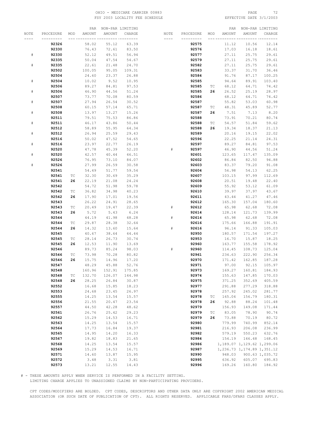## OHIO – MEDICARE CARRIER 00883 PAGE 72<br>
FSY 2003 LOCALITY FEE SCHEDULE FOR THE SERIE SOME PAGE 3/1/2003 FSY 2003 LOCALITY FEE SCHEDULE

|      |                |                             | PAR            | NON-PAR LIMITING |                    |      |                |     | PAR    |                               | NON-PAR LIMITING |
|------|----------------|-----------------------------|----------------|------------------|--------------------|------|----------------|-----|--------|-------------------------------|------------------|
| NOTE | PROCEDURE      | MOD                         | AMOUNT         | <b>AMOUNT</b>    | CHARGE             | NOTE | PROCEDURE      | MOD | AMOUNT | AMOUNT                        | CHARGE           |
|      | ------         |                             |                |                  | -------- --------- |      |                |     |        |                               |                  |
|      | 92326          |                             | 58.02          | 55.12            | 63.39              |      | 92575          |     | 11.12  | 10.56                         | 12.14            |
|      | 92330          |                             | 76.43          | 72.61            | 83.50              |      | 92576          |     | 17.03  | 16.18                         | 18.61            |
| $\#$ | 92330          |                             | 52.12          | 49.51            | 56.94              |      | 92577          |     | 27.11  | 25.75                         | 29.61            |
|      | 92335          |                             | 50.04          | 47.54            | 54.67              |      | 92579          |     | 27.11  | 25.75                         | 29.61            |
| $\#$ | 92335          |                             | 22.61          | 21.48            | 24.70              |      | 92582          |     | 27.11  | 25.75                         | 29.61            |
|      | 92502          |                             | 100.05         | 95.05            | 109.31             |      | 92583          |     | 33.37  | 31.70                         | 36.46            |
|      | 92504          |                             | 24.60          | 23.37            | 26.88              |      | 92584          |     | 91.76  | 87.17                         | 100.25           |
| $\#$ | 92504          |                             | 10.02          | 9.52             | 10.95              |      | 92585          |     | 94.64  | 89.91                         | 103.40           |
|      | 92506          |                             | 89.27          | 84.81            | 97.53              |      | 92585          | ТC  | 68.12  | 64.71                         | 74.42            |
| $\#$ | 92506          |                             | 46.90          | 44.56            | 51.24              |      | 92585          | 26  | 26.52  | 25.19                         | 28.97            |
|      | 92507          |                             | 73.77          |                  |                    |      | 92586          |     |        |                               | 74.42            |
|      |                |                             |                | 70.08            | 80.59              |      |                |     | 68.12  | 64.71                         | 60.98            |
| $\#$ | 92507          |                             | 27.94          | 26.54            | 30.52              |      | 92587          |     | 55.82  | 53.03                         |                  |
|      | 92508          |                             | 60.15          | 57.14            | 65.71              |      | 92587          | ТC  | 48.31  | 45.89                         | 52.77            |
| $\#$ | 92508          |                             | 13.97          | 13.27            | 15.26              |      | 92587          | 26  | 7.51   | 7.13                          | 8.20             |
|      | 92511          |                             | 79.51          | 75.53            | 86.86              |      | 92588          |     | 73.91  | 70.21                         | 80.74            |
| $\#$ | 92511          |                             | 46.17          | 43.86            | 50.44              |      | 92588          | ТC  | 54.57  | 51.84                         | 59.62            |
|      | 92512          |                             | 58.89          | 55.95            | 64.34              |      | 92588          | 26  | 19.34  | 18.37                         | 21.13            |
| $\#$ | 92512          |                             | 26.94          | 25.59            | 29.43              |      | 92589          |     | 20.16  | 19.15                         | 22.02            |
|      | 92516          |                             | 50.02          | 47.52            | 54.65              |      | 92596          |     | 22.25  | 21.14                         | 24.31            |
| $\#$ | 92516          |                             | 23.97          | 22.77            | 26.19              |      | 92597          |     | 89.27  | 84.81                         | 97.53            |
|      | 92520          |                             | 47.78          | 45.39            | 52.20              | #    | 92597          |     | 46.90  | 44.56                         | 51.24            |
| $\#$ | 92520          |                             | 42.57          | 40.44            | 46.51              |      | 92601          |     | 123.65 | 117.47                        | 135.09           |
|      | 92526          |                             | 76.95          | 73.10            | 84.07              |      | 92602          |     | 86.84  | 82.50                         | 94.88            |
| $\#$ | 92526          |                             | 27.99          | 26.59            | 30.58              |      | 92603          |     | 83.37  | 79.20                         | 91.08            |
|      | 92541          |                             | 54.49          | 51.77            | 59.54              |      | 92604          |     | 56.98  | 54.13                         | 62.25            |
|      | 92541          | ТC                          | 32.30          | 30.69            | 35.29              |      | 92607          |     | 103.15 | 97.99                         | 112.69           |
|      | 92541          | 26                          | 22.19          | 21.08            | 24.24              |      | 92608          |     | 20.51  | 19.48                         | 22.40            |
|      | 92542          |                             | 54.72          | 51.98            | 59.78              |      | 92609          |     | 55.92  | 53.12                         | 61.09            |
|      | 92542          | $\protect\operatorname{TC}$ | 36.82          | 34.98            | 40.23              |      | 92610          |     | 39.97  | 37.97                         | 43.67            |
|      | 92542          | 26                          | 17.90          | 17.01            | 19.56              |      | 92611          |     | 43.44  | 41.27                         | 47.46            |
|      | 92543          |                             | 26.22          | 24.91            | 28.65              |      | 92612          |     | 165.30 | 157.04                        | 180.60           |
|      | 92543          | ТC                          | 20.49          | 19.47            | 22.39              | #    | 92612          |     | 65.98  | 62.68                         | 72.08            |
|      | 92543          | 26                          | 5.72           | 5.43             | 6.24               |      | 92614          |     | 128.14 | 121.73                        | 139.99           |
|      | 92544          |                             | 44.19          | 41.98            | 48.28              | $\#$ | 92614          |     | 65.98  | 62.68                         | 72.08            |
|      | 92544          | ТC                          | 29.87          | 28.38            | 32.64              |      | 92616          |     | 175.66 | 166.88                        | 191.91           |
|      |                | 26                          |                |                  |                    | #    |                |     |        |                               |                  |
|      | 92544<br>92545 |                             | 14.32<br>40.67 | 13.60<br>38.64   | 15.64<br>44.44     |      | 92616<br>92950 |     | 96.14  | 91.33<br>171.54               | 105.03<br>197.27 |
|      |                |                             |                |                  |                    |      |                |     | 180.57 |                               |                  |
|      | 92545          | ТC                          | 28.14          | 26.73            | 30.74              |      | 92953          |     | 16.70  | 15.87                         | 18.25            |
|      | 92545          | 26                          | 12.53          | 11.90            | 13.69              |      | 92960          |     | 163.77 | 155.58                        | 178.92           |
|      | 92546          |                             | 89.73          | 85.24            | 98.03              | $\#$ | 92960          |     | 114.45 | 108.73                        | 125.04           |
|      | 92546          | ТC                          | 73.98          | 70.28            | 80.82              |      | 92961          |     | 234.63 | 222.90                        | 256.34           |
|      | 92546          | 26                          | 15.75          | 14.96            | 17.20              |      | 92970          |     | 171.42 | 162.85                        | 187.28           |
|      | 92547          |                             | 48.29          | 45.88            | 52.76              |      | 92971          |     | 97.00  | 92.15                         | 105.97           |
|      | 92548          |                             | 160.96         |                  | 152.91 175.85      |      | 92973          |     |        | 169.27 160.81 184.93          |                  |
|      | 92548          | ТC                          | 132.70         | 126.07           | 144.98             |      | 92974          |     | 155.63 | 147.85                        | 170.03           |
|      | 92548          | 26                          | 28.25          | 26.84            | 30.87              |      | 92975          |     | 371.25 | 352.69                        | 405.59           |
|      | 92552          |                             | 16.68          | 15.85            | 18.23              |      | 92977          |     | 291.88 | 277.29                        | 318.88           |
|      | 92553          |                             | 24.68          | 23.45            | 26.97              |      | 92978          |     | 257.92 | 245.02                        | 281.77           |
|      | 92555          |                             | 14.25          | 13.54            | 15.57              |      | 92978          | ТC  | 165.04 | 156.79                        | 180.31           |
|      | 92556          |                             | 21.55          | 20.47            | 23.54              |      | 92978          | 26  | 92.88  | 88.24                         | 101.48           |
|      | 92557          |                             | 44.50          | 42.28            | 48.62              |      | 92979          |     | 156.93 | 149.08                        | 171.44           |
|      | 92561          |                             | 26.76          | 25.42            | 29.23              |      | 92979          | ТC  | 83.05  | 78.90                         | 90.74            |
|      | 92562          |                             | 15.29          | 14.53            | 16.71              |      | 92979          | 26  | 73.88  | 70.19                         | 80.72            |
|      | 92563          |                             | 14.25          | 13.54            | 15.57              |      | 92980          |     | 779.99 | 740.99                        | 852.14           |
|      | 92564          |                             | 17.73          | 16.84            | 19.37              |      | 92981          |     | 216.93 | 206.08                        | 236.99           |
|      | 92565          |                             | 14.95          | $14.20\,$        | 16.33              |      | 92982          |     | 579.19 | 550.23                        | 632.76           |
|      | 92567          |                             | 19.82          | 18.83            | 21.65              |      | 92984          |     | 154.19 | 146.48                        | 168.45           |
|      | 92568          |                             | 14.25          | 13.54            | 15.57              |      | 92986          |     |        | 1,189.07 1,129.62 1,299.06    |                  |
|      | 92569          |                             | 15.29          | 14.53            | 16.71              |      | 92987          |     |        | 1, 236.73 1, 174.89 1, 351.12 |                  |
|      | 92571          |                             | 14.60          | 13.87            | 15.95              |      | 92990          |     | 948.03 |                               | 900.63 1,035.72  |
|      | 92572          |                             | 3.48           | 3.31             | 3.81               |      | 92995          |     | 636.92 | 605.07                        | 695.83           |
|      | 92573          |                             | 13.21          | 12.55            | 14.43              |      | 92996          |     | 169.26 | 160.80                        | 184.92           |
|      |                |                             |                |                  |                    |      |                |     |        |                               |                  |

# - THESE AMOUNTS APPLY WHEN SERVICE IS PERFORMED IN A FACILITY SETTING.

LIMITING CHARGE APPLIES TO UNASSIGNED CLAIMS BY NON-PARTICIPATING PROVIDERS.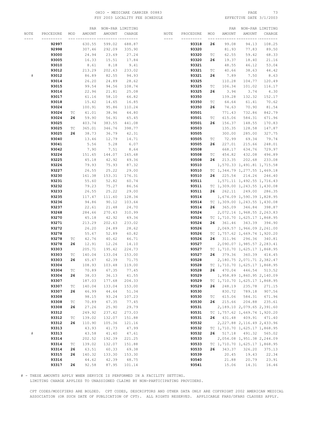# OHIO – MEDICARE CARRIER 00883 PAGE 73<br>
FSY 2003 LOCALITY FEE SCHEDULE FRAME REFECTIVE DATE 3/1/2003 FSY 2003 LOCALITY FEE SCHEDULE

|      |           |     |        | PAR NON-PAR LIMITING     |        |                      |           |     |                               | PAR NON-PAR LIMITING          |                            |
|------|-----------|-----|--------|--------------------------|--------|----------------------|-----------|-----|-------------------------------|-------------------------------|----------------------------|
| NOTE | PROCEDURE | MOD | AMOUNT | AMOUNT                   | CHARGE | NOTE                 | PROCEDURE | MOD | AMOUNT                        | AMOUNT                        | CHARGE                     |
| ---- | --------- |     |        | --- --------- ---------- |        | $\cdots\cdots\cdots$ | --------- |     | ___ _________ _______________ |                               |                            |
|      |           |     |        |                          |        |                      |           |     |                               |                               |                            |
|      | 92997     |     | 630.55 | 599.02                   | 688.87 |                      | 93318     | 26  | 99.08                         | 94.13                         | 108.25                     |
|      | 92998     |     | 307.46 | 292.09                   | 335.90 |                      | 93320     |     | 81.93                         | 77.83                         | 89.50                      |
|      | 93000     |     | 24.94  | 23.69                    | 27.24  |                      | 93320     | ТC  | 62.55                         | 59.42                         | 68.33                      |
|      | 93005     |     | 16.33  | 15.51                    | 17.84  |                      | 93320     | 26  | 19.37                         | 18.40                         | 21.16                      |
|      | 93010     |     | 8.61   | 8.18                     | 9.41   |                      | 93321     |     | 48.55                         | 46.12                         | 53.04                      |
|      | 93012     |     | 213.29 | 202.63                   | 233.02 |                      | 93321     | ТC  | 40.66                         | 38.63                         | 44.42                      |
|      |           |     |        |                          |        |                      |           |     |                               |                               |                            |
| #    | 93012     |     | 86.89  | 82.55                    | 94.93  |                      | 93321     | 26  | 7.89                          | 7.50                          | 8.63                       |
|      | 93014     |     | 26.20  | 24.89                    | 28.62  |                      | 93325     |     | 110.28                        | 104.77                        | 120.49                     |
|      | 93015     |     | 99.54  | 94.56                    | 108.74 |                      | 93325     | ТC  | 106.34                        | 101.02                        | 116.17                     |
|      | 93016     |     | 22.96  | 21.81                    | 25.08  |                      | 93325     | 26  | 3.94                          | 3.74                          | 4.30                       |
|      | 93017     |     | 61.16  | 58.10                    | 66.82  |                      | 93350     |     | 139.28                        | 132.32                        | 152.17                     |
|      | 93018     |     | 15.42  | 14.65                    | 16.85  |                      | 93350     | ТC  | 64.64                         | 61.41                         | 70.62                      |
|      |           |     |        |                          |        |                      |           |     |                               |                               |                            |
|      | 93024     |     | 100.91 | 95.86                    | 110.24 |                      | 93350     | 26  | 74.63                         | 70.90                         | 81.54                      |
|      | 93024     | TC  | 41.01  | 38.96                    | 44.80  |                      | 93501     |     | 771.43                        | 732.86                        | 842.79                     |
|      | 93024     | 26  | 59.90  | 56.91                    | 65.45  |                      | 93501     | ТC  | 615.06                        | 584.31                        | 671.96                     |
|      | 93025     |     | 403.74 | 383.55                   | 441.08 |                      | 93501     | 26  | 156.37                        | 148.55                        | 170.83                     |
|      | 93025     | ТC  | 365.01 | 346.76                   | 398.77 |                      | 93503     |     | 135.35                        | 128.58                        | 147.87                     |
|      | 93025     | 26  | 38.73  | 36.79                    | 42.31  |                      | 93505     |     | 300.00                        | 285.00                        | 327.75                     |
|      |           |     |        |                          |        |                      |           |     |                               |                               |                            |
|      | 93040     |     | 13.46  | 12.79                    | 14.71  |                      | 93505     | TC  | 72.99                         | 69.34                         | 79.74                      |
|      | 93041     |     | 5.56   | 5.28                     | 6.07   |                      | 93505     | 26  | 227.01                        | 215.66                        | 248.01                     |
|      | 93042     |     | 7.90   | 7.51                     | 8.64   |                      | 93508     |     | 668.17                        | 634.76                        | 729.97                     |
|      | 93224     |     | 151.65 | 144.07                   | 165.68 |                      | 93508     | ТC  | 454.82                        | 432.08                        | 496.89                     |
|      | 93225     |     | 45.18  | 42.92                    | 49.36  |                      | 93508     | 26  | 213.35                        | 202.68                        | 233.08                     |
|      | 93226     |     | 79.93  | 75.93                    | 87.32  |                      | 93510     |     |                               | 1,570.33 1,491.81 1,715.58    |                            |
|      |           |     |        |                          |        |                      |           |     |                               |                               |                            |
|      | 93227     |     | 26.55  | 25.22                    | 29.00  |                      | 93510     |     | TC 1,344.79 1,277.55 1,469.18 |                               |                            |
|      | 93230     |     | 161.38 | 153.31                   | 176.31 |                      | 93510     | 26  |                               | 225.54 214.26 246.40          |                            |
|      | 93231     |     | 55.60  | 52.82                    | 60.74  |                      | 93511     |     |                               | 1,571.11 1,492.55 1,716.43    |                            |
|      | 93232     |     | 79.23  | 75.27                    | 86.56  |                      | 93511     |     | TC 1,309.00 1,243.55 1,430.08 |                               |                            |
|      | 93233     |     | 26.55  | 25.22                    | 29.00  |                      | 93511     |     | 26  262.11  249.00  286.35    |                               |                            |
|      | 93235     |     | 117.47 | 111.60                   | 128.34 |                      | 93514     |     |                               | 1,674.09 1,590.39 1,828.95    |                            |
|      | 93236     |     | 94.86  | 90.12                    | 103.64 |                      | 93514     |     | TC 1,309.00 1,243.55 1,430.08 |                               |                            |
|      |           |     |        |                          |        |                      |           | 26  |                               |                               |                            |
|      | 93237     |     | 22.61  | 21.48                    | 24.70  |                      | 93514     |     |                               | 365.09 346.84 398.87          |                            |
|      | 93268     |     | 284.66 | 270.43                   | 310.99 |                      | 93524     |     |                               | 2,072.16 1,968.55 2,263.83    |                            |
|      | 93270     |     | 45.18  | 42.92                    | 49.36  |                      | 93524     |     | TC 1,710.70 1,625.17 1,868.95 |                               |                            |
|      | 93271     |     | 213.29 | 202.63                   | 233.02 |                      | 93524     | 26  |                               | 361.46 343.39 394.90          |                            |
|      | 93272     |     | 26.20  | 24.89                    | 28.62  |                      | 93526     |     |                               | 2,069.57 1,966.09 2,261.00    |                            |
|      | 93278     |     | 55.67  | 52.89                    | 60.82  |                      | 93526     |     | TC 1,757.62 1,669.74 1,920.20 |                               |                            |
|      | 93278     | ТC  | 42.76  | 40.62                    | 46.71  |                      | 93526     | 26  |                               | 311.96 296.36 340.81          |                            |
|      |           | 26  | 12.91  | 12.26                    | 14.10  |                      | 93527     |     |                               | 2,090.07 1,985.57 2,283.41    |                            |
|      | 93278     |     |        |                          |        |                      |           |     |                               |                               |                            |
|      | 93303     |     | 205.71 | 195.42                   | 224.73 |                      | 93527     |     | TC 1,710.70 1,625.17 1,868.95 |                               |                            |
|      | 93303     | TC  | 140.04 | 133.04                   | 153.00 |                      | 93527     | 26  |                               | 379.36 360.39 414.45          |                            |
|      | 93303     | 26  | 65.67  | 62.39                    | 71.75  |                      | 93528     |     |                               |                               | 2,180.75 2,071.71 2,382.47 |
|      | 93304     |     | 108.93 | 103.48                   | 119.00 |                      | 93528     |     | TC 1,710.70 1,625.17 1,868.95 |                               |                            |
|      | 93304     | ТC  | 70.89  | 67.35                    | 77.45  |                      | 93528     | 26  |                               | 470.04 446.54 513.52          |                            |
|      | 93304     | 26  | 38.03  | 36.13                    | 41.55  |                      | 93529     |     |                               | 1,958.89 1,860.95 2,140.09    |                            |
|      | 93307     |     | 187.03 | 177.68                   | 204.33 |                      | 93529     |     | TC 1,710.70 1,625.17 1,868.95 |                               |                            |
|      | 93307     |     |        |                          |        |                      | 93529     | 26  | 248.19                        |                               |                            |
|      |           | ТC  | 140.04 | 133.04                   | 153.00 |                      |           |     |                               | 235.78                        | 271.15                     |
|      | 93307     | 26  | 46.99  | 44.64                    | 51.34  |                      | 93530     |     | 830.72                        | 789.18                        | 907.56                     |
|      | 93308     |     | 98.15  | 93.24                    | 107.23 |                      | 93530     | ТC  | 615.06                        | 584.31                        | 671.96                     |
|      | 93308     | ТC  | 70.89  | 67.35                    | 77.45  |                      | 93530     | 26  | 215.66                        | 204.88                        | 235.61                     |
|      | 93308     | 26  | 27.26  | 25.90                    | 29.79  |                      | 93531     |     |                               | 2,189.10 2,079.65 2,391.60    |                            |
|      | 93312     |     | 249.92 | 237.42                   | 273.03 |                      | 93531     |     | TC 1,757.62 1,669.74 1,920.20 |                               |                            |
|      | 93312     | ТC  | 139.02 | 132.07                   | 151.88 |                      | 93531     | 26  |                               | 431.48 409.91 471.40          |                            |
|      | 93312     | 26  | 110.90 | 105.36                   | 121.16 |                      | 93532     |     |                               | 2, 227.88 2, 116.49 2, 433.96 |                            |
|      |           |     |        |                          |        |                      |           |     |                               |                               |                            |
|      | 93313     |     | 43.93  | 41.73                    | 47.99  |                      | 93532     |     | TC 1,710.70 1,625.17 1,868.95 |                               |                            |
| $\#$ | 93313     |     | 43.58  | 41.40                    | 47.61  |                      | 93532     | 26  |                               | 517.18 491.32 565.02          |                            |
|      | 93314     |     | 202.52 | 192.39                   | 221.25 |                      | 93533     |     |                               | 2,054.08 1,951.38 2,244.09    |                            |
|      | 93314     | ТC  | 139.02 | 132.07                   | 151.88 |                      | 93533     |     | TC 1,710.70 1,625.17 1,868.95 |                               |                            |
|      | 93314     | 26  | 63.51  | 60.33                    | 69.38  |                      | 93533     | 26  | 343.37                        | 326.20                        | 375.13                     |
|      | 93315     | 26  | 140.32 | 133.30                   | 153.30 |                      | 93539     |     | 20.45                         | 19.43                         | 22.34                      |
|      | 93316     |     | 44.62  | 42.39                    | 48.75  |                      | 93540     |     | 21.88                         | 20.79                         | 23.91                      |
|      |           | 26  |        |                          |        |                      |           |     |                               |                               | 16.46                      |
|      | 93317     |     | 92.58  | 87.95                    | 101.14 |                      | 93541     |     | 15.06                         | 14.31                         |                            |

# - THESE AMOUNTS APPLY WHEN SERVICE IS PERFORMED IN A FACILITY SETTING.

LIMITING CHARGE APPLIES TO UNASSIGNED CLAIMS BY NON-PARTICIPATING PROVIDERS.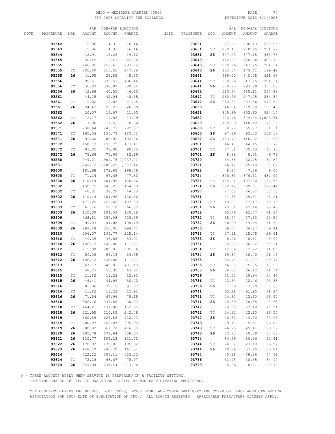## OHIO – MEDICARE CARRIER 00883 PAGE 74<br>
FSY 2003 LOCALITY FEE SCHEDULE FOR THE SERIE SOME PAGE 3/1/2003 FSY 2003 LOCALITY FEE SCHEDULE

|      |           |                             | PAR    | NON-PAR LIMITING           |                 |       |           |                             | PAR    |        | NON-PAR LIMITING |
|------|-----------|-----------------------------|--------|----------------------------|-----------------|-------|-----------|-----------------------------|--------|--------|------------------|
| NOTE | PROCEDURE | MOD                         | AMOUNT | AMOUNT                     | CHARGE          | NOTE  | PROCEDURE | MOD                         | AMOUNT | AMOUNT | CHARGE           |
|      |           |                             |        | -- ---------- ---------    |                 | $---$ | --------- |                             |        |        | --- -----        |
|      | 93542     |                             | 15.06  | 14.31                      | 16.46           |       |           |                             | 627.50 | 596.13 | 685.55           |
|      |           |                             |        |                            |                 |       | 93631     |                             |        |        |                  |
|      | 93543     |                             | 15.06  | 14.31                      | 16.46           |       | 93631     | ТC                          | 230.47 | 218.95 | 251.79           |
|      | 93544     |                             | 12.91  | 12.26                      | 14.10           |       | 93631     | 26                          | 397.03 | 377.18 | 433.76           |
|      | 93545     |                             | 20.45  | 19.43                      | 22.34           |       | 93640     |                             | 442.80 | 420.66 | 483.76           |
|      | 93555     |                             | 268.85 | 255.41                     | 293.72          |       | 93640     | ТC                          | 260.26 | 247.25 | 284.34           |
|      | 93555     | ТC                          | 226.89 | 215.55                     | 247.88          |       | 93640     | 26                          | 182.54 | 173.41 | 199.42           |
|      | 93555     | 26                          | 41.95  | 39.85                      | 45.83           |       | 93641     |                             | 569.00 | 540.55 | 621.63           |
|      |           |                             |        |                            |                 |       |           |                             |        |        |                  |
|      | 93556     |                             | 399.51 | 379.53                     | 436.46          |       | 93641     | ТC                          | 260.26 | 247.25 | 284.34           |
|      | 93556     | TC                          | 356.83 | 338.99                     | 389.84          |       | 93641     | 26                          | 308.73 | 293.29 | 337.28           |
|      | 93556     | 26                          | 42.68  | 40.55                      | 46.63           |       | 93642     |                             | 510.64 | 485.11 | 557.88           |
|      | 93561     |                             | 44.25  | 42.04                      | 48.35           |       | 93642     | ТC                          | 260.26 | 247.25 | 284.34           |
|      | 93561     | ТC                          | 19.82  | 18.83                      | 21.65           |       | 93642     | 26                          | 250.38 | 237.86 | 273.54           |
|      | 93561     | 26                          | 24.43  | 23.21                      | 26.69           |       | 93650     |                             | 546.84 | 519.50 | 597.43           |
|      |           |                             |        |                            |                 |       |           |                             |        |        |                  |
|      | 93562     |                             | 20.07  | 19.07                      | 21.93           |       | 93651     |                             | 845.89 | 803.60 | 924.14           |
|      | 93562     | ТC                          | 12.17  | 11.56                      | 13.29           |       | 93652     |                             | 920.46 |        | 874.44 1,005.61  |
|      | 93562     | 26                          | 7.90   | 7.51                       | 8.64            |       | 93660     |                             | 155.89 | 148.10 | 170.32           |
|      | 93571     |                             | 258.64 | 245.71                     | 282.57          |       | 93660     | ТC                          | 58.70  | 55.77  | 64.14            |
|      | 93571     | ТC                          | 165.04 | 156.79                     | 180.31          |       | 93660     | 26                          | 97.19  | 92.33  | 106.18           |
|      | 93571     | 26                          | 93.60  | 88.92                      | 102.26          |       | 93662     | 26                          | 153.70 | 146.02 | 167.92           |
|      | 93572     |                             | 158.73 | 150.79                     | 173.41          |       | 93701     |                             | 46.47  | 44.15  | 50.77            |
|      |           |                             | 83.05  |                            | 90.74           |       |           |                             |        |        |                  |
|      | 93572     | ТC                          |        | 78.90                      |                 |       | 93701     | ТC                          | 37.51  | 35.63  | 40.97            |
|      | 93572     | 26                          | 75.68  | 71.90                      | 82.69           |       | 93701     | 26                          | 8.96   | 8.51   | 9.79             |
|      | 93580     |                             | 949.21 |                            | 901.75 1,037.01 |       | 93720     |                             | 34.68  | 32.95  | 37.89            |
|      | 93581     |                             |        | 1,269.72 1,206.23 1,387.16 |                 |       | 93721     |                             | 26.42  | 25.10  | 28.87            |
|      | 93600     |                             | 181.68 | 172.60                     | 198.49          |       | 93722     |                             | 8.27   | 7.86   | 9.04             |
|      | 93600     | ТC                          | 71.24  | 67.68                      | 77.83           |       | 93724     |                             | 396.33 | 376.51 | 432.99           |
|      | 93600     | 26                          | 110.44 | 104.92                     | 120.66          |       | 93724     | ТC                          | 144.21 | 137.00 | 157.55           |
|      |           |                             |        |                            |                 |       |           | 26                          | 252.12 |        |                  |
|      | 93602     |                             | 150.75 | 143.21                     | 164.69          |       | 93724     |                             |        | 239.51 | 275.44           |
|      | 93602     | ТC                          | 40.31  | 38.29                      | 44.03           |       | 93727     |                             | 27.60  | 26.22  | 30.15            |
|      | 93602     | 26                          | 110.44 | 104.92                     | 120.66          |       | 93731     |                             | 41.38  | 39.31  | 45.21            |
|      | 93603     |                             | 171.25 | 162.69                     | 187.09          |       | 93731     | $\protect\operatorname{TC}$ | 18.07  | 17.17  | 19.75            |
|      | 93603     | ТC                          | 61.16  | 58.10                      | 66.82           |       | 93731     | 26                          | 23.31  | 22.14  | 25.46            |
|      | 93603     | 26                          | 110.09 | 104.59                     | 120.28          |       | 93732     |                             | 65.76  | 62.47  | 71.84            |
|      | 93609     |                             | 368.51 | 350.08                     | 402.59          |       | 93732     | ТC                          | 18.77  | 17.83  | 20.50            |
|      | 93609     | ТC                          | 99.03  | 94.08                      | 108.19          |       | 93732     | 26                          | 46.99  | 44.64  | 51.34            |
|      |           |                             |        |                            |                 |       |           |                             |        |        |                  |
|      | 93609     | 26                          | 269.48 | 256.01                     | 294.41          |       | 93733     |                             | 36.07  | 34.27  | 39.41            |
|      | 93610     |                             | 206.07 | 195.77                     | 225.14          |       | 93733     | ТC                          | 27.11  | 25.75  | 29.61            |
|      | 93610     | ТC                          | 49.35  | 46.88                      | 53.91           |       | 93733     | 26                          | 8.96   | 8.51   | 9.79             |
|      | 93610     | 26                          | 156.72 | 148.88                     | 171.21          |       | 93734     |                             | 32.23  | 30.62  | 35.21            |
|      | 93612     |                             | 215.80 | 205.01                     | 235.76          |       | 93734     | ТC                          | 12.86  | 12.22  | 14.05            |
|      | 93612     | ТC                          | 59.08  | 56.13                      | 64.55           |       | 93734     | 26                          | 19.37  | 18.40  | 21.16            |
|      | 93612     | 26                          | 156.72 | 148.88                     | 171.21          |       | 93735     |                             | 54.70  | 51.97  | 59.77            |
|      | 93613     |                             | 367.17 | 348.81                     | 401.13          |       | 93735     | ТC                          | 16.68  | 15.85  | 18.23            |
|      |           |                             |        |                            |                 |       |           |                             |        |        |                  |
|      | 93615     |                             | 58.23  | 55.32                      | 63.62           |       | 93735     | 26                          | 38.02  | 36.12  | 41.54            |
|      | 93615     | ТC                          | 11.82  | 11.23                      | 12.91           |       | 93736     |                             | 31.52  | 29.94  | 34.43            |
|      | 93615     | 26                          | 46.41  | 44.09                      | 50.70           |       | 93736     | $\protect\operatorname{TC}$ | 23.64  | 22.46  | 25.83            |
|      | 93616     |                             | 83.36  | 79.19                      | 91.07           |       | 93736     | 26                          | 7.89   | 7.50   | 8.63             |
|      | 93616     | ТC                          | 11.82  | 11.23                      | 12.91           |       | 93741     |                             | 65.21  | 61.95  | 71.24            |
|      | 93616     | 26                          | 71.54  | 67.96                      | 78.15           |       | 93741     | ТC                          | 24.32  | 23.10  | 26.57            |
|      | 93618     |                             | 366.16 | 347.85                     | 400.03          |       | 93741     | 26                          | 40.89  | 38.85  | 44.68            |
|      |           |                             |        |                            |                 |       | 93742     |                             |        |        |                  |
|      | 93618     | $\protect\operatorname{TC}$ | 144.21 | 137.00                     | 157.55          |       |           |                             | 70.95  | 67.40  | 77.51            |
|      | 93618     | 26                          | 221.95 | 210.85                     | 242.48          |       | 93742     | $\protect\operatorname{TC}$ | 24.32  | 23.10  | 26.57            |
|      | 93619     |                             | 660.89 | 627.85                     | 722.03          |       | 93742     | 26                          | 46.63  | 44.30  | 50.95            |
|      | 93619     | ТC                          | 280.07 | 266.07                     | 305.98          |       | 93743     |                             | 79.48  | 75.51  | 86.84            |
|      | 93619     | 26                          | 380.82 | 361.78                     | 416.05          |       | 93743     | ТC                          | 26.75  | 25.41  | 29.22            |
|      | 93620     | 26                          | 602.78 | 572.64                     | 658.54          |       | 93743     | 26                          | 52.73  | 50.09  | 57.60            |
|      | 93621     | 26                          | 110.77 | 105.23                     | 121.01          |       | 93744     |                             | 84.59  | 80.36  | 92.41            |
|      | 93622     | 26                          | 178.97 | 170.02                     | 195.52          |       | 93744     | $\protect\operatorname{TC}$ | 24.32  | 23.10  | 26.57            |
|      |           |                             |        |                            |                 |       |           |                             |        |        |                  |
|      | 93623     | 26                          | 148.10 | 140.70                     | 161.81          |       | 93744     | 26                          | 60.26  | 57.25  | 65.84            |
|      | 93624     |                             | 322.22 | 306.11                     | 352.03          |       | 93784     |                             | 40.91  | 38.86  | 44.69            |
|      | 93624     | $\protect\operatorname{TC}$ | 72.28  | 68.67                      | 78.97           |       | 93786     |                             | 31.95  | 30.35  | 34.90            |
|      | 93624     | 26                          | 249.94 | 237.44                     | 273.06          |       | 93790     |                             | 8.96   | 8.51   | 9.79             |

# - THESE AMOUNTS APPLY WHEN SERVICE IS PERFORMED IN A FACILITY SETTING.

LIMITING CHARGE APPLIES TO UNASSIGNED CLAIMS BY NON-PARTICIPATING PROVIDERS.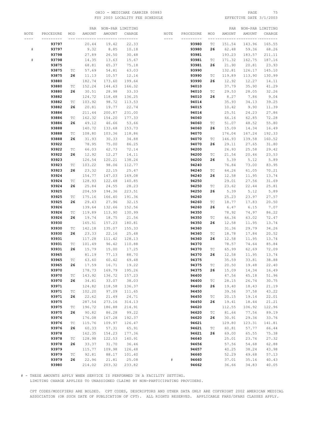# OHIO – MEDICARE CARRIER 00883 PAGE 75<br>
FSY 2003 LOCALITY FEE SCHEDULE FOR THE SERIE RESOLUTION PATE 3/1/2003 FSY 2003 LOCALITY FEE SCHEDULE

|      |           |                             | PAR    |        | NON-PAR LIMITING |           |           |                             | PAR    |        | NON-PAR LIMITING |
|------|-----------|-----------------------------|--------|--------|------------------|-----------|-----------|-----------------------------|--------|--------|------------------|
| NOTE | PROCEDURE | MOD                         | AMOUNT | AMOUNT | CHARGE           | NOTE      | PROCEDURE | MOD                         | AMOUNT | AMOUNT | CHARGE           |
|      |           |                             |        |        |                  | $- - - -$ |           |                             |        |        |                  |
|      | 93797     |                             | 20.44  | 19.42  | 22.33            |           | 93980     | ТC                          | 151.54 | 143.96 | 165.55           |
| $\#$ | 93797     |                             | 9.32   | 8.85   | 10.18            |           | 93980     | 26                          | 62.48  | 59.36  | 68.26            |
|      | 93798     |                             | 27.89  | 26.50  | 30.48            |           | 93981     |                             | 193.23 | 183.57 | 211.11           |
|      |           |                             |        |        |                  |           |           |                             |        |        |                  |
| $\#$ | 93798     |                             | 14.35  | 13.63  | 15.67            |           | 93981     | ТC                          | 171.32 | 162.75 | 187.16           |
|      | 93875     |                             | 68.81  | 65.37  | 75.18            |           | 93981     | 26                          | 21.90  | 20.81  | 23.93            |
|      | 93875     | $\protect\operatorname{TC}$ | 57.69  | 54.81  | 63.03            |           | 93990     |                             | 132.81 | 126.17 | 145.10           |
|      | 93875     | 26                          | 11.13  | 10.57  | 12.16            |           | 93990     | $\protect\operatorname{TC}$ | 119.89 | 113.90 | 130.99           |
|      | 93880     |                             | 182.74 | 173.60 | 199.64           |           | 93990     | 26                          | 12.92  | 12.27  | 14.11            |
|      | 93880     | ТC                          | 152.24 | 144.63 | 166.32           |           | 94010     |                             | 37.79  | 35.90  | 41.29            |
|      | 93880     | 26                          | 30.51  | 28.98  | 33.33            |           | 94010     | ТC                          | 29.53  | 28.05  | 32.26            |
|      | 93882     |                             | 124.72 | 118.48 | 136.25           |           | 94010     | 26                          | 8.27   | 7.86   | 9.04             |
|      | 93882     | $\protect\operatorname{TC}$ | 103.92 | 98.72  | 113.53           |           | 94014     |                             | 35.93  | 34.13  | 39.25            |
|      | 93882     | 26                          | 20.81  | 19.77  | 22.74            |           | 94015     |                             | 10.42  | 9.90   | 11.39            |
|      | 93886     |                             | 211.44 | 200.87 | 231.00           |           | 94016     |                             | 25.51  | 24.23  | 27.86            |
|      | 93886     | ТC                          | 162.32 | 154.20 | 177.33           |           | 94060     |                             | 66.16  | 62.85  | 72.28            |
|      | 93886     | 26                          | 49.12  | 46.66  | 53.66            |           | 94060     | ТC                          | 51.07  | 48.52  | 55.80            |
|      | 93888     |                             | 140.72 | 133.68 | 153.73           |           | 94060     | 26                          | 15.09  | 14.34  | 16.49            |
|      | 93888     | ТC                          | 108.80 | 103.36 | 118.86           |           | 94070     |                             | 176.04 | 167.24 | 192.33           |
|      |           |                             |        | 30.33  |                  |           |           |                             |        |        |                  |
|      | 93888     | 26                          | 31.93  |        | 34.88            |           | 94070     | ТC                          | 146.93 | 139.58 | 160.52           |
|      | 93922     |                             | 78.95  | 75.00  | 86.25            |           | 94070     | 26                          | 29.11  | 27.65  | 31.80            |
|      | 93922     | $\protect\operatorname{TC}$ | 66.03  | 62.73  | 72.14            |           | 94200     |                             | 26.93  | 25.58  | 29.42            |
|      | 93922     | 26                          | 12.92  | 12.27  | 14.11            |           | 94200     | ТC                          | 21.54  | 20.46  | 23.53            |
|      | 93923     |                             | 126.54 | 120.21 | 138.24           |           | 94200     | 26                          | 5.39   | 5.12   | 5.89             |
|      | 93923     | ТC                          | 103.22 | 98.06  | 112.77           |           | 94240     |                             | 76.84  | 73.00  | 83.95            |
|      | 93923     | 26                          | 23.32  | 22.15  | 25.47            |           | 94240     | ТC                          | 64.26  | 61.05  | 70.21            |
|      | 93924     |                             | 154.77 | 147.03 | 169.08           |           | 94240     | 26                          | 12.58  | 11.95  | 13.74            |
|      | 93924     | $\protect\operatorname{TC}$ | 128.93 | 122.48 | 140.85           |           | 94250     |                             | 29.01  | 27.56  | 31.69            |
|      | 93924     | 26                          | 25.84  | 24.55  | 28.23            |           | 94250     | ТC                          | 23.62  | 22.44  | 25.81            |
|      | 93925     |                             | 204.59 | 194.36 | 223.51           |           | 94250     | 26                          | 5.39   | 5.12   | 5.89             |
|      | 93925     | ТC                          | 175.16 | 166.40 | 191.36           |           | 94260     |                             | 25.23  | 23.97  | 27.57            |
|      | 93925     | 26                          | 29.43  | 27.96  | 32.15            |           | 94260     | $\protect\operatorname{TC}$ | 18.77  | 17.83  | 20.50            |
|      | 93926     |                             | 139.64 | 132.66 | 152.56           |           | 94260     | 26                          | 6.47   | 6.15   | 7.07             |
|      | 93926     | ТC                          | 119.89 | 113.90 | 130.99           |           | 94350     |                             | 78.92  | 74.97  | 86.22            |
|      | 93926     | 26                          | 19.74  | 18.75  | 21.56            |           | 94350     | ТC                          | 66.34  | 63.02  | 72.47            |
|      | 93930     |                             | 165.51 | 157.23 | 180.81           |           | 94350     | 26                          | 12.58  | 11.95  | 13.74            |
|      |           |                             |        |        |                  |           |           |                             |        |        |                  |
|      | 93930     | $\protect\operatorname{TC}$ | 142.18 | 135.07 | 155.33           |           | 94360     |                             | 31.36  | 29.79  | 34.26            |
|      | 93930     | 26                          | 23.33  | 22.16  | 25.48            |           | 94360     | $\protect\operatorname{TC}$ | 18.78  | 17.84  | 20.52            |
|      | 93931     |                             | 117.28 | 111.42 | 128.13           |           | 94360     | 26                          | 12.58  | 11.95  | 13.74            |
|      | 93931     | ТC                          | 101.49 | 96.42  | 110.88           |           | 94370     |                             | 78.57  | 74.64  | 85.84            |
|      | 93931     | 26                          | 15.79  | 15.00  | 17.25            |           | 94370     | ТC                          | 65.99  | 62.69  | 72.09            |
|      | 93965     |                             | 81.19  | 77.13  | 88.70            |           | 94370     | 26                          | 12.58  | 11.95  | 13.74            |
|      | 93965     | $\protect\operatorname{TC}$ | 63.60  | 60.42  | 69.48            |           | 94375     |                             | 35.59  | 33.81  | 38.88            |
|      | 93965     | 26                          | 17.59  | 16.71  | 19.22            |           | 94375     | $\protect\operatorname{TC}$ | 20.50  | 19.48  | 22.40            |
|      | 93970     |                             | 178.73 | 169.79 | 195.26           |           | 94375     | 26                          | 15.09  | 14.34  | 16.49            |
|      | 93970     | ТC                          | 143.92 | 136.72 | 157.23           |           | 94400     |                             | 47.56  | 45.18  | 51.96            |
|      | 93970     | 26                          | 34.81  | 33.07  | 38.03            |           | 94400     | $\protect\operatorname{TC}$ | 28.15  | 26.74  | 30.75            |
|      | 93971     |                             | 124.82 | 118.58 | 136.37           |           | 94400     | 26                          | 19.40  | 18.43  | 21.19            |
|      | 93971     | $\protect\operatorname{TC}$ | 102.20 | 97.09  | 111.65           |           | 94450     |                             | 39.56  | 37.58  | 43.22            |
|      | 93971     | 26                          | 22.62  | 21.49  | 24.71            |           | 94450     | ТC                          | 20.15  | 19.14  | 22.01            |
|      | 93975     |                             | 287.54 | 273.16 | 314.13           |           | 94450     | 26                          | 19.41  | 18.44  | 21.21            |
|      | 93975     | $\protect\operatorname{TC}$ | 196.72 | 186.88 | 214.91           |           | 94620     |                             | 112.55 | 106.92 | 122.96           |
|      | 93975     | 26                          | 90.82  | 86.28  | 99.22            |           | 94620     | $\protect\operatorname{TC}$ | 81.64  | 77.56  | 89.19            |
|      | 93976     |                             |        |        | 192.37           |           | 94620     | 26                          | 30.91  | 29.36  | 33.76            |
|      |           |                             | 176.08 | 167.28 |                  |           |           |                             |        |        |                  |
|      | 93976     | ТC                          | 115.76 | 109.97 | 126.47           |           | 94621     |                             | 129.80 | 123.31 | 141.81           |
|      | 93976     | 26                          | 60.33  | 57.31  | 65.91            |           | 94621     | $\protect\operatorname{TC}$ | 60.81  | 57.77  | 66.44            |
|      | 93978     |                             | 162.35 | 154.23 | 177.36           |           | 94621     | 26                          | 69.00  | 65.55  | 75.38            |
|      | 93978     | $\protect\operatorname{TC}$ | 128.98 | 122.53 | 140.91           |           | 94640     |                             | 25.01  | 23.76  | 27.32            |
|      | 93978     | 26                          | 33.37  | 31.70  | 36.46            |           | 94656     |                             | 57.56  | 54.68  | 62.88            |
|      | 93979     |                             | 115.77 | 109.98 | 126.48           |           | 94657     |                             | 40.25  | 38.24  | 43.98            |
|      | 93979     | $\protect\operatorname{TC}$ | 92.81  | 88.17  | 101.40           |           | 94660     |                             | 52.29  | 49.68  | 57.13            |
|      | 93979     | 26                          | 22.96  | 21.81  | 25.08            | $\#$      | 94660     |                             | 37.01  | 35.16  | 40.43            |
|      | 93980     |                             | 214.02 | 203.32 | 233.82           |           | 94662     |                             | 36.66  | 34.83  | 40.05            |

# - THESE AMOUNTS APPLY WHEN SERVICE IS PERFORMED IN A FACILITY SETTING.

LIMITING CHARGE APPLIES TO UNASSIGNED CLAIMS BY NON-PARTICIPATING PROVIDERS.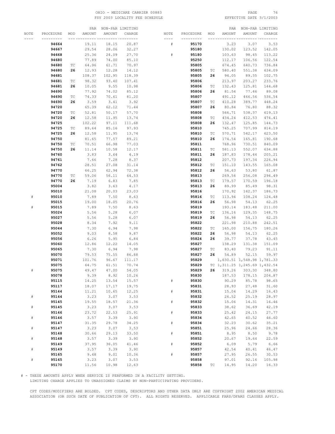# OHIO – MEDICARE CARRIER 00883 PAGE 76 PAGE 76 PAGE 76 PAGE 76 FSY 2003 LOCALITY FEE SCHEDULE

|      |           |     |        | PAR NON-PAR LIMITING |              |      |           |     |        | PAR NON-PAR LIMITING             |        |
|------|-----------|-----|--------|----------------------|--------------|------|-----------|-----|--------|----------------------------------|--------|
| NOTE | PROCEDURE | MOD | AMOUNT | AMOUNT               | CHARGE       | NOTE | PROCEDURE | MOD | AMOUNT | AMOUNT                           | CHARGE |
|      |           |     |        |                      | -- --------- | ---- |           |     |        |                                  |        |
|      | 94664     |     | 19.11  | 18.15                | 20.87        | #    | 95170     |     | 3.23   | 3.07                             | 3.53   |
|      | 94667     |     | 29.54  | 28.06                | 32.27        |      | 95180     |     | 130.02 | 123.52                           | 142.05 |
|      | 94668     |     | 25.36  | 24.09                | 27.70        | $\#$ | 95180     |     | 103.63 | 98.45                            | 113.22 |
|      | 94680     |     | 77.89  | 74.00                | 85.10        |      | 95250     |     | 112.17 | 106.56                           | 122.54 |
|      | 94680     | ТC  | 64.96  | 61.71                | 70.97        |      | 95805     |     | 674.45 | 640.73                           | 736.84 |
|      | 94680     | 26  | 12.93  | 12.28                | 14.12        |      | 95805     | ТC  | 580.40 | 551.38                           | 634.09 |
|      | 94681     |     | 108.37 | 102.95               | 118.39       |      | 95805     | 26  | 94.05  | 89.35                            | 102.75 |
|      |           |     |        |                      |              |      |           |     | 213.97 |                                  | 233.76 |
|      | 94681     | ТC  | 98.32  | 93.40                | 107.41       |      | 95806     |     |        | 203.27                           |        |
|      | 94681     | 26  | 10.05  | 9.55                 | 10.98        |      | 95806     | TC  | 132.43 | 125.81                           | 144.68 |
|      | 94690     |     | 77.92  | 74.02                | 85.12        |      | 95806     | 26  | 81.54  | 77.46                            | 89.08  |
|      | 94690     | TC  | 74.33  | 70.61                | 81.20        |      | 95807     |     | 491.12 | 466.56                           | 536.54 |
|      | 94690     | 26  | 3.59   | 3.41                 | 3.92         |      | 95807     | ТC  | 410.28 | 389.77                           | 448.24 |
|      | 94720     |     | 65.39  | 62.12                | 71.44        |      | 95807     | 26  | 80.84  | 76.80                            | 88.32  |
|      | 94720     | ТC  | 52.81  | 50.17                | 57.70        |      | 95808     |     | 566.71 | 538.37                           | 619.13 |
|      | 94720     | 26  | 12.58  | 11.95                | 13.74        |      | 95808     | ТC  | 434.24 | 412.53                           | 474.41 |
|      | 94725     |     | 102.22 | 97.11                | 111.68       |      | 95808     | 26  | 132.47 | 125.85                           | 144.73 |
|      | 94725     | ТC  | 89.64  | 85.16                | 97.93        |      | 95810     |     | 745.25 | 707.99                           | 814.19 |
|      | 94725     | 26  | 12.58  | 11.95                | 13.74        |      | 95810     | ТC  | 570.71 | 542.17                           | 623.50 |
|      | 94750     |     | 81.65  | 77.57                | 89.21        |      | 95810     | 26  | 174.54 | 165.81                           | 190.68 |
|      | 94750     | ТC  | 70.51  | 66.98                | 77.03        |      | 95811     |     | 768.96 | 730.51                           | 840.09 |
|      | 94750     | 26  | 11.14  | 10.58                | 12.17        |      | 95811     | ТC  | 581.13 | 552.07                           | 634.88 |
|      | 94760     |     | 3.83   | 3.64                 | 4.19         |      | 95811     | 26  | 187.83 | 178.44                           | 205.21 |
|      | 94761     |     | 7.66   | 7.28                 | 8.37         |      | 95812     |     | 207.73 | 197.34                           | 226.94 |
|      | 94762     |     | 28.51  | 27.08                | 31.14        |      | 95812     | ТC  | 151.10 | 143.55                           | 165.08 |
|      | 94770     |     | 66.25  | 62.94                | 72.38        |      | 95812     | 26  | 56.63  | 53.80                            | 61.87  |
|      | 94770     | TC  | 59.06  | 56.11                | 64.53        |      | 95813     |     | 269.56 | 256.08                           | 294.49 |
|      | 94770     | 26  | 7.19   | 6.83                 | 7.85         |      | 95813     | ТC  | 179.57 | 170.59                           | 196.18 |
|      | 95004     |     | 3.82   | 3.63                 | 4.17         |      | 95813     | 26  | 89.99  | 85.49                            | 98.31  |
|      | 95010     |     | 21.08  | 20.03                | 23.03        |      | 95816     |     | 170.92 | 162.37                           | 186.73 |
| #    | 95010     |     | 7.89   | 7.50                 | 8.63         |      | 95816     | ТC  | 113.94 | 108.24                           | 124.48 |
|      | 95015     |     | 19.00  | 18.05                | 20.76        |      | 95816     | 26  | 56.98  | 54.13                            | 62.25  |
| $\#$ | 95015     |     | 7.89   | 7.50                 | 8.63         |      | 95819     |     | 193.14 |                                  | 211.00 |
|      | 95024     |     | 5.56   | 5.28                 | 6.07         |      | 95819     | ТC  | 136.16 | 183.48<br>129.35                 | 148.75 |
|      |           |     |        |                      |              |      |           |     |        |                                  |        |
|      | 95027     |     | 5.56   | 5.28                 | 6.07         |      | 95819     | 26  | 56.98  | 54.13                            | 62.25  |
|      | 95028     |     | 8.34   | 7.92                 | 9.11         |      | 95822     |     | 221.98 | 210.88                           | 242.51 |
|      | 95044     |     | 7.30   | 6.94                 | 7.98         |      | 95822     | ТC  | 165.00 | 156.75                           | 180.26 |
|      | 95052     |     | 9.03   | 8.58                 | 9.87         |      | 95822     | 26  | 56.98  | 54.13                            | 62.25  |
|      | 95056     |     | 6.26   | 5.95                 | 6.84         |      | 95824     | 26  | 39.77  | 37.78                            | 43.45  |
|      | 95060     |     | 12.86  | 12.22                | 14.05        |      | 95827     |     | 138.29 | 131.38                           | 151.09 |
|      | 95065     |     | 7.30   | 6.94                 | 7.98         |      | 95827     | TC  | 83.40  | 79.23                            | 91.11  |
|      | 95070     |     | 79.53  | 75.55                | 86.88        |      | 95827     | 26  | 54.89  | 52.15                            | 59.97  |
|      | 95071     |     | 101.76 | 96.67                | 111.17       |      | 95829     |     |        | 1,630.51 1,548.98 1,781.33       |        |
|      | 95075     |     | 64.75  | 61.51                | 70.74        |      | 95829     |     |        | TC 1, 311.25 1, 245.69 1, 432.54 |        |
| #    | 95075     |     | 49.47  | 47.00                | 54.05        |      | 95829     |     |        | 26 319.26 303.30 348.80          |        |
|      | 95078     |     | 9.39   | 8.92                 | 10.26        |      | 95830     |     | 187.53 | 178.15                           | 204.87 |
|      | 95115     |     | 14.25  | 13.54                | 15.57        | $\#$ | 95830     |     | 90.29  | 85.78                            | 98.65  |
|      | 95117     |     | 18.07  | 17.17                | 19.75        |      | 95831     |     | 28.93  | 27.48                            | 31.60  |
|      | 95144     |     | 11.21  | 10.65                | 12.25        | $\#$ | 95831     |     | 15.04  | 14.29                            | 16.43  |
| $\#$ | 95144     |     | 3.23   | 3.07                 | 3.53         |      | 95832     |     | 26.52  | 25.19                            | 28.97  |
|      | 95145     |     | 19.55  | 18.57                | 21.36        | $\#$ | 95832     |     | 15.06  | 14.31                            | 16.46  |
| $\#$ | 95145     |     | 3.23   | 3.07                 | 3.53         |      | 95833     |     | 38.62  | 36.69                            | 42.19  |
|      | 95146     |     | 23.72  | 22.53                | 25.91        | $\#$ | 95833     |     | 25.42  | 24.15                            | 27.77  |
| $\#$ | 95146     |     | 3.57   | 3.39                 | 3.90         |      | 95834     |     | 42.65  | 40.52                            | 46.60  |
|      | 95147     |     | 31.35  | 29.78                | 34.25        | $\#$ | 95834     |     | 32.23  | 30.62                            | 35.21  |
| $\#$ | 95147     |     | 3.23   | 3.07                 | 3.53         |      | 95851     |     | 25.96  | 24.66                            | 28.36  |
|      | 95148     |     | 30.66  | 29.13                | 33.50        | $\#$ | 95851     |     | 8.95   | 8.50                             | 9.78   |
| $\#$ | 95148     |     | 3.57   | 3.39                 | 3.90         |      | 95852     |     | 20.67  | 19.64                            | 22.59  |
|      | 95149     |     | 37.95  | 36.05                | 41.46        | $\#$ | 95852     |     | 6.09   | 5.79                             | 6.66   |
| $\#$ | 95149     |     | 3.57   | 3.39                 | 3.90         |      | 95857     |     | 42.54  | 40.41                            | 46.47  |
|      | 95165     |     | 9.48   | 9.01                 | 10.36        | $\#$ | 95857     |     | 27.95  | 26.55                            | 30.53  |
| $\#$ | 95165     |     | 3.23   | 3.07                 | 3.53         |      | 95858     |     | 97.01  | 92.16                            | 105.98 |
|      | 95170     |     | 11.56  | 10.98                | 12.63        |      | 95858     | ТC  | 14.95  | 14.20                            | 16.33  |
|      |           |     |        |                      |              |      |           |     |        |                                  |        |

# - THESE AMOUNTS APPLY WHEN SERVICE IS PERFORMED IN A FACILITY SETTING.

LIMITING CHARGE APPLIES TO UNASSIGNED CLAIMS BY NON-PARTICIPATING PROVIDERS.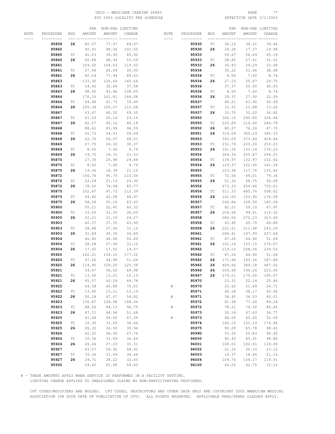# OHIO – MEDICARE CARRIER 00883 PAGE 77<br>
FSY 2003 LOCALITY FEE SCHEDULE FOR PAGE REFECTIVE DATE 3/1/2003 FSY 2003 LOCALITY FEE SCHEDULE

|      |           |                             |        | PAR NON-PAR LIMITING |        |      |           |                             |        | PAR NON-PAR LIMITING |                      |
|------|-----------|-----------------------------|--------|----------------------|--------|------|-----------|-----------------------------|--------|----------------------|----------------------|
| NOTE | PROCEDURE | MOD                         | AMOUNT | AMOUNT               | CHARGE | NOTE | PROCEDURE | MOD                         | AMOUNT | AMOUNT               | CHARGE               |
|      | --------- |                             |        |                      |        |      | --------- |                             |        |                      |                      |
|      | 95858     | 26                          | 82.07  | 77.97                | 89.67  |      | 95930     | ТC                          | 36.12  | 34.31                | 39.46                |
|      | 95860     |                             | 92.91  | 88.26                | 101.50 |      | 95930     | 26                          | 18.28  | 17.37                | 19.98                |
|      | 95860     | ТC                          | 42.03  | 39.93                | 45.92  |      | 95933     |                             | 59.67  | 56.69                | 65.19                |
|      | 95860     | 26                          | 50.88  | 48.34                | 55.59  |      | 95933     | ТC                          | 28.85  | 27.41                | 31.52                |
|      | 95861     |                             | 109.50 | 104.03               | 119.63 |      | 95933     | 26                          | 30.83  | 29.29                | 33.68                |
|      |           |                             | 27.46  | 26.09                | 30.00  |      |           |                             | 35.22  |                      |                      |
|      | 95861     | ТC                          |        |                      |        |      | 95934     |                             |        | 33.46                | 38.48                |
|      | 95861     | 26                          | 82.04  | 77.94                | 89.63  |      | 95934     | $\protect\operatorname{TC}$ | 8.00   | 7.60                 | 8.74                 |
|      | 95863     |                             | 133.30 | 126.64               | 145.64 |      | 95934     | 26                          | 27.23  | 25.87                | 29.75                |
|      | 95863     | $\protect\operatorname{TC}$ | 34.40  | 32.68                | 37.58  |      | 95936     |                             | 37.37  | 35.50                | 40.83                |
|      | 95863     | 26                          | 98.90  | 93.96                | 108.05 |      | 95936     | ТC                          | 8.00   | 7.60                 | 8.74                 |
|      | 95864     |                             | 170.33 | 161.81               | 186.08 |      | 95936     | 26                          | 29.37  | 27.90                | 32.09                |
|      | 95864     | $\protect\operatorname{TC}$ | 64.98  | 61.73                | 70.99  |      | 95937     |                             | 46.21  | 43.90                | 50.49                |
|      | 95864     | 26                          | 105.34 | 100.07               | 115.08 |      | 95937     | ТC                          | 12.51  | 11.88                | 13.66                |
|      | 95867     |                             | 63.47  | 60.30                | 69.35  |      | 95937     | 26                          | 33.70  | 32.02                | 36.82                |
|      | 95867     | ТC                          | 21.20  | 20.14                | 23.16  |      | 95950     |                             | 306.16 | 290.85               | 334.48               |
|      | 95867     | 26                          | 42.27  | 40.16                | 46.18  |      | 95950     | ТC                          | 225.89 | 214.60               | 246.79               |
|      | 95868     |                             | 88.41  | 83.99                | 96.59  |      | 95950     | 26                          | 80.27  | 76.26                | 87.70                |
|      | 95868     | ТC                          | 25.72  | 24.43                | 28.09  |      | 95951     | 26                          | 316.09 | 300.29               | 345.33               |
|      | 95868     | 26                          | 62.70  | 59.57                | 68.51  |      | 95953     |                             | 393.09 | 373.44               | 429.46               |
|      | 95869     |                             | 27.70  | 26.32                | 30.27  |      | 95953     | ТC                          | 231.79 | 220.20               | 253.23               |
|      | 95869     |                             |        |                      |        |      |           | 26                          | 161.30 | 153.24               |                      |
|      |           | ТC                          | 8.00   | 7.60                 | 8.74   |      | 95953     |                             |        |                      | 176.23               |
|      | 95869     | 26                          | 19.70  | 18.72                | 21.53  |      | 95954     |                             | 269.34 | 255.87               | 294.25               |
|      | 95870     |                             | 27.35  | 25.98                | 29.88  |      | 95954     | ТC                          | 139.97 | 132.97               | 152.92               |
|      | 95870     | ТC                          | 8.00   | 7.60                 | 8.74   |      | 95954     | 26                          | 129.37 | 122.90               | 141.34               |
|      | 95870     | 26                          | 19.36  | 18.39                | 21.15  |      | 95955     |                             | 123.96 | 117.76               | 135.42               |
|      | 95872     |                             | 100.74 | 95.70                | 110.06 |      | 95955     | ТC                          | 72.64  | 69.01                | 79.36                |
|      | 95872     | ТC                          | 22.24  | 21.13                | 24.30  |      | 95955     | 26                          | 51.32  | 48.75                | 56.06                |
|      | 95872     | 26                          | 78.50  | 74.58                | 85.77  |      | 95956     |                             | 673.33 | 639.66               | 735.61               |
|      | 95875     |                             | 102.87 | 97.73                | 112.39 |      | 95956     | ТC                          | 511.33 | 485.76               | 558.62               |
|      | 95875     | ТC                          | 44.82  | 42.58                | 48.97  |      | 95956     | 26                          | 162.00 | 153.90               | 176.99               |
|      | 95875     | 26                          | 58.06  | 55.16                | 63.43  |      | 95957     |                             | 166.84 | 158.50               | 182.28               |
|      | 95900     |                             | 55.21  | 52.45                | 60.32  |      | 95957     | TC                          | 62.21  | 59.10                | 67.97                |
|      | 95900     | ТC                          | 33.00  | 31.35                | 36.05  |      | 95957     | 26                          | 104.64 | 99.41                | 114.32               |
|      | 95900     | 26                          | 22.21  | 21.10                | 24.27  |      | 95958     |                             | 286.56 | 272.23               | 313.06               |
|      | 95903     |                             | 60.37  | 57.35                | 65.95  |      | 95958     | ТC                          | 63.95  | 60.75                | 69.86                |
|      | 95903     | ТC                          | 28.48  | 27.06                | 31.12  |      | 95958     | 26                          | 222.61 | 211.48               | 243.20               |
|      | 95903     | 26                          | 31.89  | 30.30                | 34.85  |      | 95961     |                             | 208.41 | 197.99               | 227.69               |
|      | 95904     |                             | 46.40  | 44.08                | 50.69  |      | 95961     | ТC                          | 47.26  | 44.90                | 51.64                |
|      | 95904     | ТC                          | 28.48  | 27.06                | 31.12  |      | 95961     | 26                          | 161.16 | 153.10               | 176.07               |
|      | 95904     | 26                          | 17.92  | 17.02                | 19.57  |      | 95962     |                             | 219.22 | 208.26               | 239.50               |
|      | 95920     |                             | 162.21 | 154.10               | 177.22 |      | 95962     | ТC                          | 47.26  | 44.90                | 51.64                |
|      | 95920     | $\protect\operatorname{TC}$ | 47.26  | 44.90                | 51.64  |      | 95962     | 26                          | 171.96 | 163.36               | 187.86               |
|      | 95920     | 26                          | 114.95 | 109.20               | 125.58 |      | 95965     | 26                          | 409.66 | 389.18               | 447.56               |
|      | 95921     |                             |        | 59.47 56.50 64.98    |        |      | 95966     | 26                          |        |                      | 204.48 194.26 223.40 |
|      |           |                             |        |                      |        |      |           |                             |        |                      |                      |
|      | 95921     | $\protect\operatorname{TC}$ | 13.90  | 13.21                | 15.19  |      | 95967     | 26                          | 179.01 | 170.06               | 195.57               |
|      | 95921     | 26                          | 45.57  | 43.29                | 49.78  |      | 95970     |                             | 23.31  | 22.14                | 25.46                |
|      | 95922     |                             | 64.08  | 60.88                | 70.01  | $\#$ | 95970     |                             | 22.62  | 21.49                | 24.71                |
|      | 95922     | $\protect\operatorname{TC}$ | 13.90  | 13.21                | 15.19  |      | 95971     |                             | 40.18  | 38.17                | 43.90                |
|      | 95922     | 26                          | 50.18  | 47.67                | 54.82  | $\#$ | 95971     |                             | 38.45  | 36.53                | 42.01                |
|      | 95923     |                             | 135.87 | 129.08               | 148.44 |      | 95972     |                             | 81.68  | 77.60                | 89.24                |
|      | 95923     | $\protect\operatorname{TC}$ | 88.56  | 84.13                | 96.75  | $\#$ | 95972     |                             | 78.21  | 74.30                | 85.45                |
|      | 95923     | 26                          | 47.31  | 44.94                | 51.68  |      | 95973     |                             | 50.14  | 47.63                | 54.77                |
|      | 95925     |                             | 61.68  | 58.60                | 67.39  | $\#$ | 95973     |                             | 48.05  | 45.65                | 52.50                |
|      | 95925     | $\protect\operatorname{TC}$ | 33.36  | 31.69                | 36.44  |      | 95974     |                             | 160.15 | 152.14               | 174.96               |
|      | 95925     | 26                          | 28.32  | 26.90                | 30.94  |      | 95975     |                             | 90.29  | 85.78                | 98.65                |
|      | 95926     |                             | 62.02  | 58.92                | 67.76  |      | 95990     |                             | 53.50  | 50.83                | 58.45                |
|      | 95926     | $\protect\operatorname{TC}$ | 33.36  | 31.69                | 36.44  |      | 96000     |                             | 90.43  | 85.91                | 98.80                |
|      | 95926     | 26                          | 28.66  | 27.23                | 31.31  |      | 96001     |                             | 108.01 | 102.61               | 118.00               |
|      | 95927     |                             | 63.07  | 59.92                | 68.91  |      | 96002     |                             | 21.16  | 20.10                | 23.12                |
|      | 95927     | ТC                          | 33.36  | 31.69                | 36.44  |      | 96003     |                             | 19.37  | 18.40                | 21.16                |
|      | 95927     | 26                          | 29.71  | 28.22                | 32.45  |      | 96004     |                             | 109.76 | 104.27               | 119.91               |
|      | 95930     |                             | 54.40  | 51.68                | 59.43  |      | 96100     |                             | 66.05  | 62.75                | 72.16                |
|      |           |                             |        |                      |        |      |           |                             |        |                      |                      |

# - THESE AMOUNTS APPLY WHEN SERVICE IS PERFORMED IN A FACILITY SETTING.

LIMITING CHARGE APPLIES TO UNASSIGNED CLAIMS BY NON-PARTICIPATING PROVIDERS.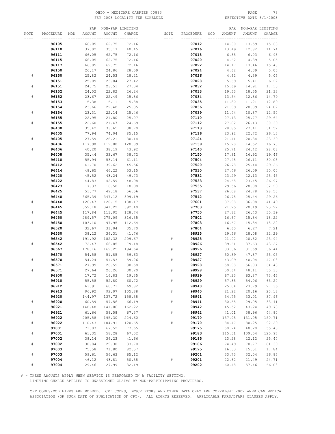# OHIO – MEDICARE CARRIER 00883 PAGE 78<br>
FSY 2003 LOCALITY FEE SCHEDULE FOR THE SERETIVE DATE 3/1/2003 FSY 2003 LOCALITY FEE SCHEDULE

|                             |                |                | PAR NON-PAR LIMITING |                |      |                |     |                | PAR NON-PAR LIMITING |                |
|-----------------------------|----------------|----------------|----------------------|----------------|------|----------------|-----|----------------|----------------------|----------------|
| NOTE                        | PROCEDURE      | AMOUNT<br>MOD  | AMOUNT               | CHARGE         | NOTE | PROCEDURE      | MOD | AMOUNT         | AMOUNT               | CHARGE         |
|                             |                |                |                      |                |      |                |     |                |                      |                |
|                             | 96105          | 66.05          | 62.75                | 72.16          |      | 97012          |     | 14.30          | 13.59                | 15.63          |
|                             | 96110          | 37.02          | 35.17                | 40.45          |      | 97016          |     | 13.49          | 12.82                | 14.74          |
|                             | 96111          | 66.05<br>66.05 | 62.75<br>62.75       | 72.16          |      | 97018<br>97020 |     | 6.35           | 6.03                 | 6.93           |
|                             | 96115<br>96117 | 66.05          | 62.75                | 72.16<br>72.16 |      | 97022          |     | 4.62<br>14.17  | 4.39<br>13.46        | 5.05<br>15.48  |
|                             | 96150          | 26.17          | 24.86                | 28.59          |      | 97024          |     | 4.62           | 4.39                 | 5.05           |
| ${}^{\scriptscriptstyle\#}$ | 96150          | 25.82          | 24.53                | 28.21          |      | 97026          |     | 4.62           | 4.39                 | 5.05           |
|                             | 96151          | 25.09          | 23.84                | 27.42          |      | 97028          |     | 5.69           | 5.41                 | 6.22           |
| $\#$                        | 96151          | 24.75          | 23.51                | 27.04          |      | 97032          |     | 15.69          | 14.91                | 17.15          |
|                             | 96152          | 24.02          | 22.82                | 26.24          |      | 97033          |     | 19.53          | 18.55                | 21.33          |
| $\#$                        | 96152          | 23.67          | 22.49                | 25.86          |      | 97034          |     | 13.54          | 12.86                | 14.79          |
|                             | 96153          | 5.38           | 5.11                 | 5.88           |      | 97035          |     | 11.80          | 11.21                | 12.89          |
|                             | 96154          | 23.66          | 22.48                | 25.85          |      | 97036          |     | 21.99          | 20.89                | 24.02          |
| #                           | 96154          | 23.31          | 22.14                | 25.46          |      | 97039          |     | 11.44          | 10.87                | 12.50          |
|                             | 96155          | 22.95          | 21.80                | 25.07          |      | 97110          |     | 27.13          | 25.77                | 29.64          |
| $\#$                        | 96155          | 22.60          | 21.47                | 24.69          |      | 97112          |     | 27.82          | 26.43                | 30.39          |
|                             | 96400          | 35.42          | 33.65                | 38.70          |      | 97113          |     | 28.85          | 27.41                | 31.52          |
|                             | 96405          | 77.94          | 74.04                | 85.15          |      | 97116          |     | 23.92          | 22.72                | 26.13          |
| ${}^{\scriptscriptstyle\#}$ | 96405          | 27.59          | 26.21                | 30.14          |      | 97124          |     | 21.41          | 20.34                | 23.39          |
|                             | 96406          | 117.98         | 112.08               | 128.89         |      | 97139          |     | 15.28          | 14.52                | 16.70          |
| ${}^{\#}$                   | 96406          | 40.20          | 38.19                | 43.92          |      | 97140          |     | 25.71          | 24.42                | 28.08          |
|                             | 96408          | 35.44          | 33.67                | 38.72          |      | 97150          |     | 17.81          | 16.92                | 19.46          |
|                             | 96410          | 55.94          | 53.14                | 61.11          |      | 97504          |     | 27.48          | 26.11                | 30.03          |
|                             | 96412          | 41.70          | 39.62                | 45.56          |      | 97520          |     | 26.78          | 25.44                | 29.26          |
|                             | 96414          | 48.65          | 46.22                | 53.15          |      | 97530          |     | 27.46          | 26.09                | 30.00          |
|                             | 96420          | 45.52          | 43.24                | 49.73          |      | 97532          |     | 23.29          | 22.13                | 25.45          |
|                             | 96422<br>96423 | 44.83<br>17.37 | 42.59<br>16.50       | 48.98<br>18.98 |      | 97533<br>97535 |     | 24.68<br>29.56 | 23.45<br>28.08       | 26.97<br>32.29 |
|                             | 96425          | 51.77          | 49.18                | 56.56          |      | 97537          |     | 26.08          | 24.78                | 28.50          |
|                             | 96440          | 365.39         | 347.12               | 399.19         |      | 97542          |     | 26.78          | 25.44                | 29.26          |
| ${}^{\#}$                   | 96440          | 126.47         | 120.15               | 138.17         |      | 97601          |     | 37.98          | 36.08                | 41.49          |
|                             | 96445          | 359.18         | 341.22               | 392.40         |      | 97703          |     | 21.25          | 20.19                | 23.22          |
| $\#$                        | 96445          | 117.84         | 111.95               | 128.74         |      | 97750          |     | 27.82          | 26.43                | 30.39          |
|                             | 96450          | 289.57         | 275.09               | 316.35         |      | 97802          |     | 16.67          | 15.84                | 18.22          |
| $\#$                        | 96450          | 103.10         | 97.95                | 112.64         |      | 97803          |     | 16.67          | 15.84                | 18.22          |
|                             | 96520          | 32.67          | 31.04                | 35.70          |      | 97804          |     | 6.60           | 6.27                 | 7.21           |
|                             | 96530          | 38.22          | 36.31                | 41.76          |      | 98925          |     | 29.56          | 28.08                | 32.29          |
|                             | 96542          | 191.92         | 182.32               | 209.67         | #    | 98925          |     | 21.92          | 20.82                | 23.94          |
| ${}^{\#}$                   | 96542          | 72.47          | 68.85                | 79.18          |      | 98926          |     | 39.61          | 37.63                | 43.27          |
|                             | 96567          | 178.16         | 169.25               | 194.64         | #    | 98926          |     | 33.36          | 31.69                | 36.44          |
|                             | 96570          | 54.58          | 51.85                | 59.63          |      | 98927          |     | 50.39          | 47.87                | 55.05          |
| $\#$                        | 96570          | 54.24          | 51.53                | 59.26          | #    | 98927          |     | 43.09          | 40.94                | 47.08          |
|                             | 96571          | 27.99          | 26.59                | 30.58          |      | 98928          |     | 58.98          | 56.03                | 64.43          |
|                             | 96571<br>96900 | 27.64          | 26.26<br>16.83       | 30.20<br>19.35 |      | 98928<br>98929 |     | 50.64<br>67.23 | 48.11<br>63.87       | 55.33          |
|                             | 96910          | 17.72<br>55.58 | 52.80                | 60.72          | $\#$ | 98929          |     | 57.85          | 54.96                | 73.45<br>63.20 |
|                             | 96912          | 63.91          | 60.71                | 69.82          |      | 98940          |     | 25.04          | 23.79                | 27.36          |
|                             | 96913          | 96.92          | 92.07                | 105.88         | $\#$ | 98940          |     | 21.22          | 20.16                | 23.18          |
|                             | 96920          | 144.97         | 137.72               | 158.38         |      | 98941          |     | 34.75          | 33.01                | 37.96          |
| $\#$                        | 96920          | 60.59          | 57.56                | 66.19          | $\#$ | 98941          |     | 30.58          | 29.05                | 33.41          |
|                             | 96921          | 148.48         | 141.06               | 162.22         |      | 98942          |     | 45.52          | 43.24                | 49.73          |
| $\#$                        | 96921          | 61.66          | 58.58                | 67.37          | $\#$ | 98942          |     | 41.01          | 38.96                | 44.80          |
|                             | 96922          | 205.58         | 195.30               | 224.60         |      | 99170          |     | 137.95         | 131.05               | 150.71         |
| $\#$                        | 96922          | 110.43         | 104.91               | 120.65         | #    | 99170          |     | 84.47          | 80.25                | 92.29          |
|                             | 97001          | 71.07          | 67.52                | 77.65          |      | 99175          |     | 50.74          | 48.20                | 55.43          |
| $\#$                        | 97001          | 61.35          | 58.28                | 67.02          |      | 99183          |     | 115.31         | 109.54               | 125.97         |
|                             | 97002          | 38.14          | 36.23                | 41.66          |      | 99185          |     | 23.28          | 22.12                | 25.44          |
| $\#$                        | 97002          | 30.84          | 29.30                | 33.70          |      | 99186          |     | 74.49          | 70.77                | 81.39          |
|                             | 97003          | 75.58          | 71.80                | 82.57          |      | 99195          |     | 16.33          | 15.51                | 17.84          |
| $\#$                        | 97003          | 59.61          | 56.63                | 65.12          |      | 99201          |     | 33.73          | 32.04                | 36.85          |
|                             | 97004          | 46.12          | 43.81                | 50.38          | $\#$ | 99201          |     | 22.62          | 21.49                | 24.71          |
| #                           | 97004          | 29.46          | 27.99                | 32.19          |      | 99202          |     | 60.48          | 57.46                | 66.08          |

# - THESE AMOUNTS APPLY WHEN SERVICE IS PERFORMED IN A FACILITY SETTING.

LIMITING CHARGE APPLIES TO UNASSIGNED CLAIMS BY NON-PARTICIPATING PROVIDERS.